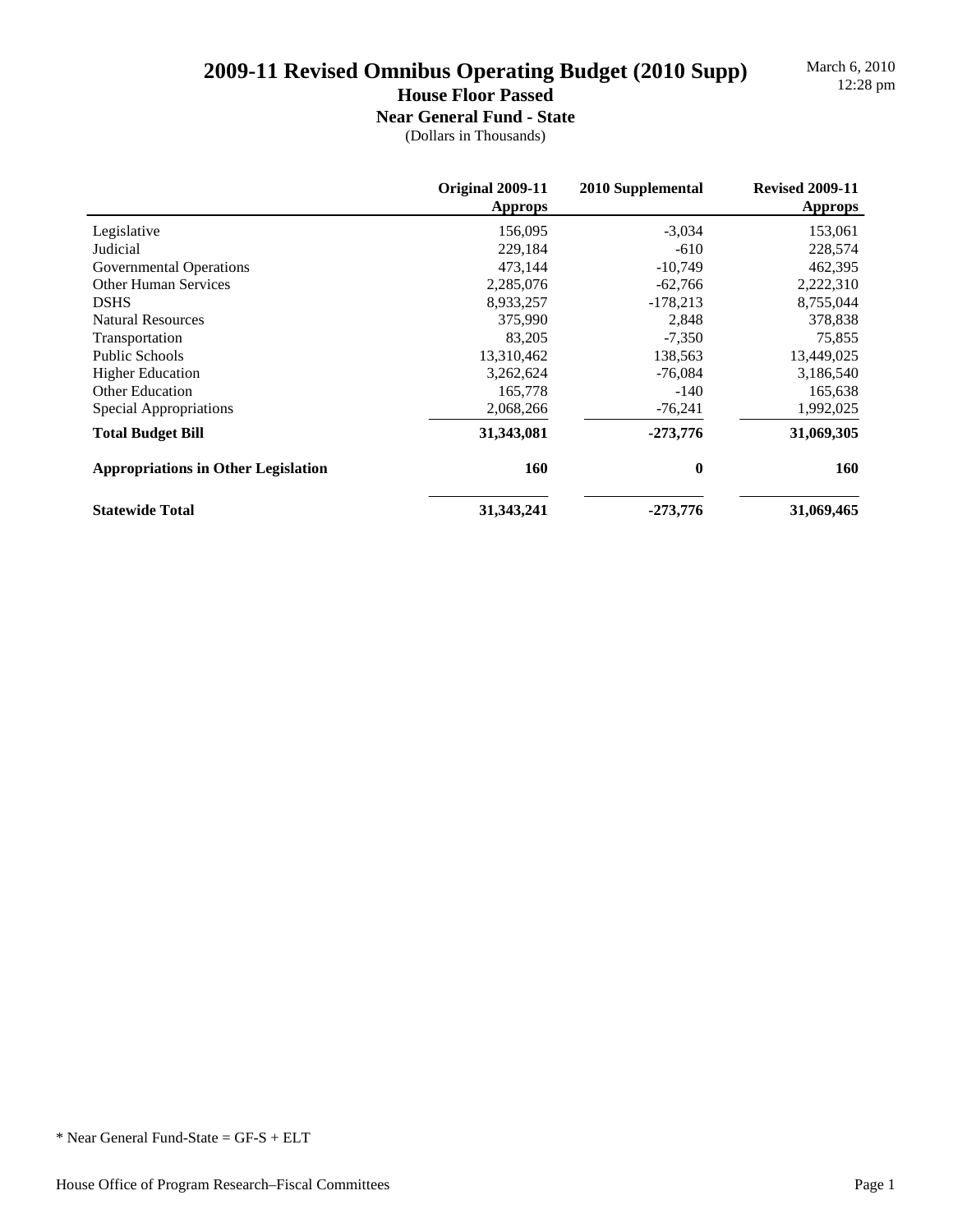March 6, 2010

### **House Floor Passed**

**Near General Fund - State**

|                                            | <b>Original 2009-11</b><br><b>Approps</b> | 2010 Supplemental | <b>Revised 2009-11</b><br><b>Approps</b> |
|--------------------------------------------|-------------------------------------------|-------------------|------------------------------------------|
| Legislative                                | 156,095                                   | $-3.034$          | 153,061                                  |
| Judicial                                   | 229.184                                   | $-610$            | 228,574                                  |
| Governmental Operations                    | 473,144                                   | $-10,749$         | 462,395                                  |
| <b>Other Human Services</b>                | 2,285,076                                 | $-62,766$         | 2,222,310                                |
| <b>DSHS</b>                                | 8,933,257                                 | $-178,213$        | 8,755,044                                |
| <b>Natural Resources</b>                   | 375,990                                   | 2,848             | 378,838                                  |
| Transportation                             | 83,205                                    | $-7,350$          | 75,855                                   |
| <b>Public Schools</b>                      | 13,310,462                                | 138,563           | 13,449,025                               |
| <b>Higher Education</b>                    | 3,262,624                                 | $-76,084$         | 3,186,540                                |
| <b>Other Education</b>                     | 165,778                                   | -140              | 165,638                                  |
| Special Appropriations                     | 2,068,266                                 | $-76,241$         | 1,992,025                                |
| <b>Total Budget Bill</b>                   | 31,343,081                                | $-273,776$        | 31,069,305                               |
| <b>Appropriations in Other Legislation</b> | 160                                       | $\bf{0}$          | <b>160</b>                               |
| <b>Statewide Total</b>                     | 31, 343, 241                              | $-273,776$        | 31,069,465                               |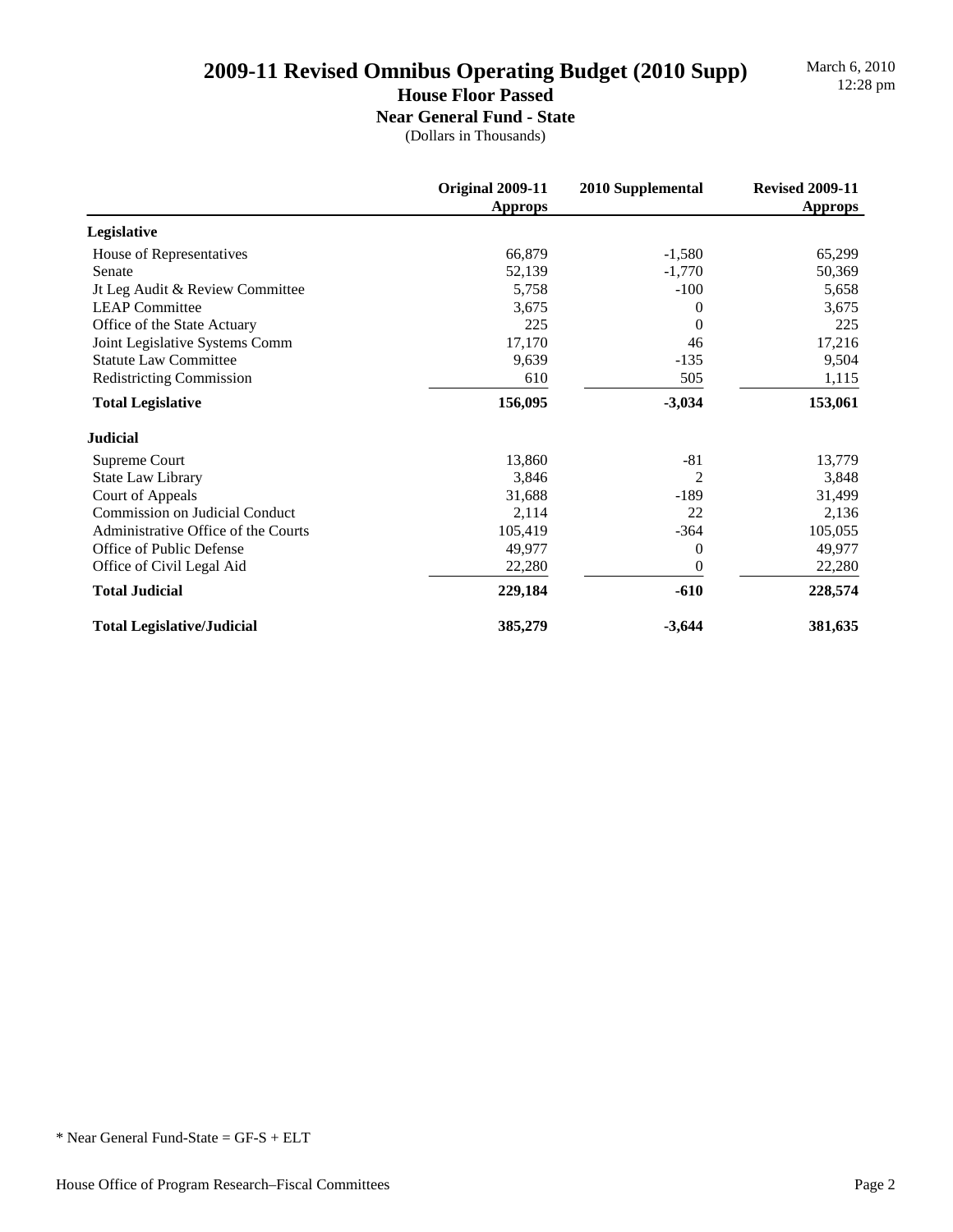March 6, 2010

### **House Floor Passed**

**Near General Fund - State**

|                                       | Original 2009-11<br>Approps | 2010 Supplemental | <b>Revised 2009-11</b><br>Approps |
|---------------------------------------|-----------------------------|-------------------|-----------------------------------|
| Legislative                           |                             |                   |                                   |
| House of Representatives              | 66,879                      | $-1,580$          | 65,299                            |
| Senate                                | 52,139                      | $-1,770$          | 50,369                            |
| Jt Leg Audit & Review Committee       | 5,758                       | $-100$            | 5,658                             |
| <b>LEAP Committee</b>                 | 3,675                       | 0                 | 3,675                             |
| Office of the State Actuary           | 225                         | $\Omega$          | 225                               |
| Joint Legislative Systems Comm        | 17,170                      | 46                | 17,216                            |
| <b>Statute Law Committee</b>          | 9,639                       | $-135$            | 9,504                             |
| <b>Redistricting Commission</b>       | 610                         | 505               | 1,115                             |
| <b>Total Legislative</b>              | 156,095                     | $-3,034$          | 153,061                           |
| <b>Judicial</b>                       |                             |                   |                                   |
| Supreme Court                         | 13,860                      | -81               | 13,779                            |
| <b>State Law Library</b>              | 3,846                       | 2                 | 3,848                             |
| Court of Appeals                      | 31,688                      | $-189$            | 31,499                            |
| <b>Commission on Judicial Conduct</b> | 2,114                       | 22                | 2,136                             |
| Administrative Office of the Courts   | 105,419                     | $-364$            | 105,055                           |
| Office of Public Defense              | 49,977                      | $\Omega$          | 49,977                            |
| Office of Civil Legal Aid             | 22,280                      | $\overline{0}$    | 22,280                            |
| <b>Total Judicial</b>                 | 229,184                     | $-610$            | 228,574                           |
| <b>Total Legislative/Judicial</b>     | 385,279                     | $-3,644$          | 381,635                           |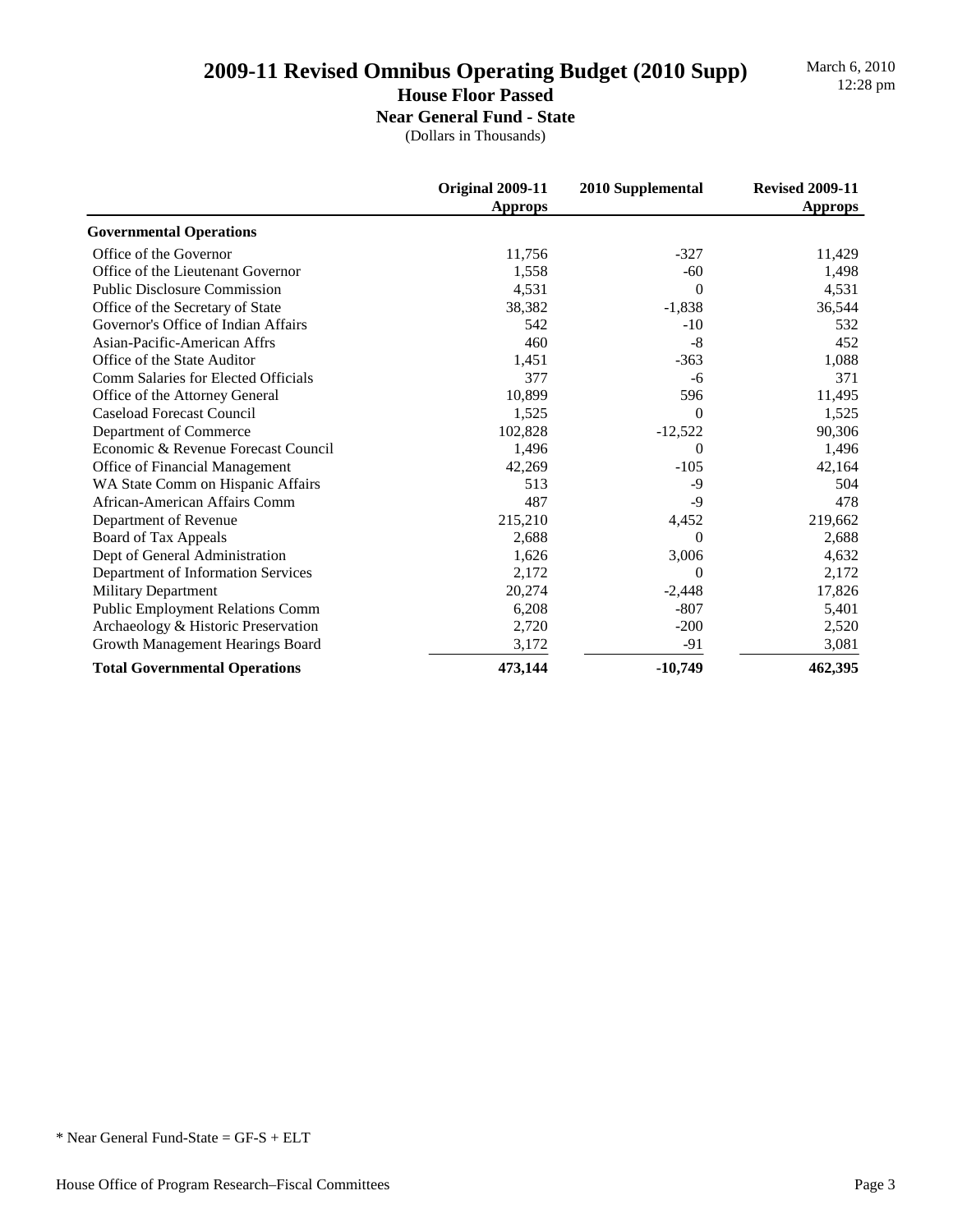March 6, 2010

### **House Floor Passed**

**Near General Fund - State**

|                                         | Original 2009-11<br><b>Approps</b> | 2010 Supplemental | <b>Revised 2009-11</b><br><b>Approps</b> |
|-----------------------------------------|------------------------------------|-------------------|------------------------------------------|
| <b>Governmental Operations</b>          |                                    |                   |                                          |
| Office of the Governor                  | 11,756                             | $-327$            | 11,429                                   |
| Office of the Lieutenant Governor       | 1,558                              | $-60$             | 1,498                                    |
| <b>Public Disclosure Commission</b>     | 4,531                              | $\Omega$          | 4,531                                    |
| Office of the Secretary of State        | 38,382                             | $-1,838$          | 36,544                                   |
| Governor's Office of Indian Affairs     | 542                                | $-10$             | 532                                      |
| Asian-Pacific-American Affrs            | 460                                | $-8$              | 452                                      |
| Office of the State Auditor             | 1,451                              | $-363$            | 1,088                                    |
| Comm Salaries for Elected Officials     | 377                                | -6                | 371                                      |
| Office of the Attorney General          | 10,899                             | 596               | 11,495                                   |
| Caseload Forecast Council               | 1,525                              | $\Omega$          | 1,525                                    |
| Department of Commerce                  | 102,828                            | $-12,522$         | 90,306                                   |
| Economic & Revenue Forecast Council     | 1,496                              | $\Omega$          | 1,496                                    |
| Office of Financial Management          | 42,269                             | $-105$            | 42,164                                   |
| WA State Comm on Hispanic Affairs       | 513                                | $-9$              | 504                                      |
| African-American Affairs Comm           | 487                                | $-9$              | 478                                      |
| Department of Revenue                   | 215,210                            | 4,452             | 219,662                                  |
| Board of Tax Appeals                    | 2,688                              | $\Omega$          | 2,688                                    |
| Dept of General Administration          | 1,626                              | 3,006             | 4,632                                    |
| Department of Information Services      | 2,172                              | $\Omega$          | 2,172                                    |
| Military Department                     | 20,274                             | $-2,448$          | 17,826                                   |
| <b>Public Employment Relations Comm</b> | 6,208                              | $-807$            | 5,401                                    |
| Archaeology & Historic Preservation     | 2,720                              | $-200$            | 2,520                                    |
| Growth Management Hearings Board        | 3,172                              | $-91$             | 3,081                                    |
| <b>Total Governmental Operations</b>    | 473,144                            | $-10,749$         | 462,395                                  |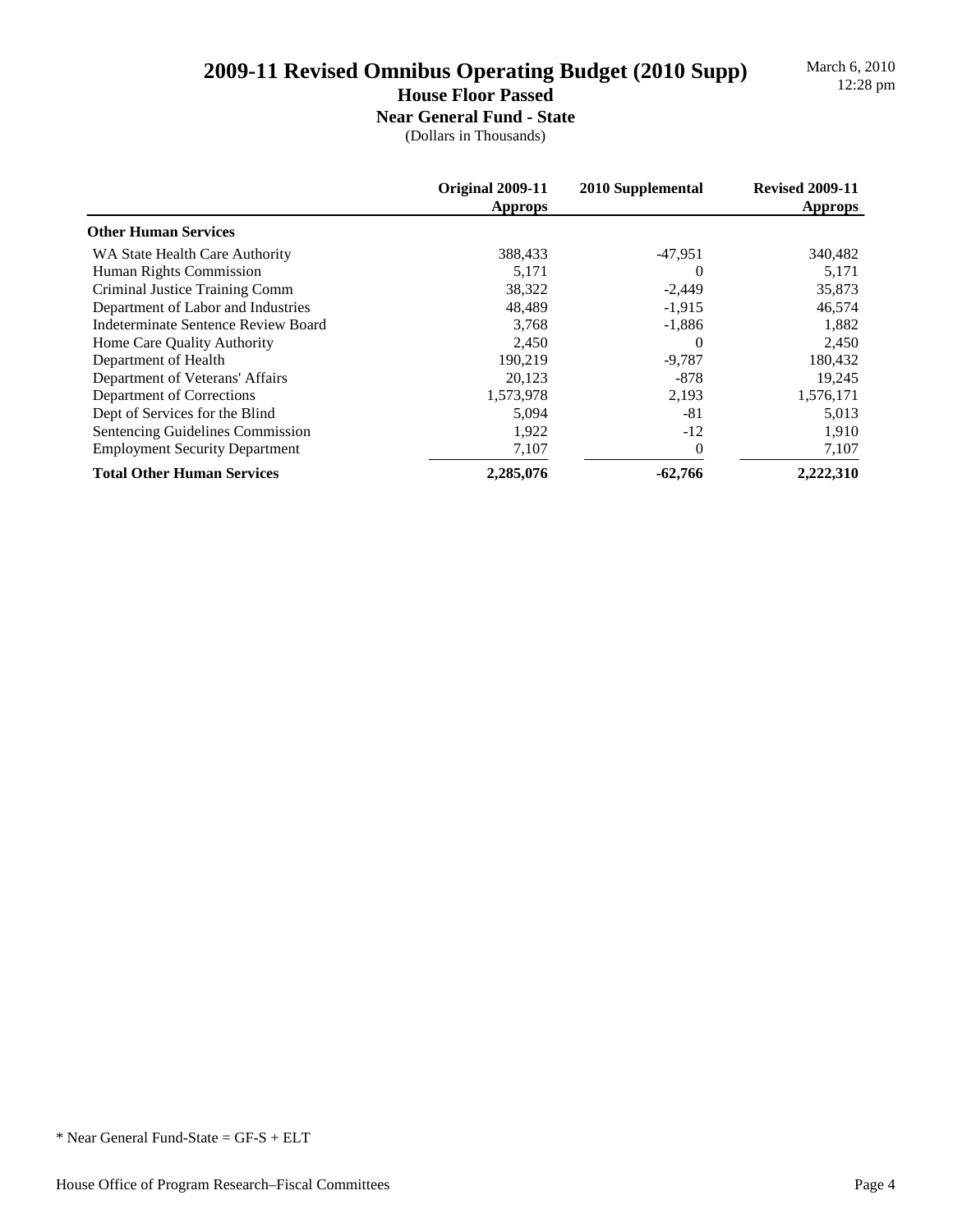# 2009-11 Revised Omnibus Operating Budget (2010 Supp)

March 6, 2010<br>12:28 pm

## **House Floor Passed**

**Near General Fund - State** (Dollars in Thousands)

|                                       | Original 2009-11<br><b>Approps</b> | 2010 Supplemental | <b>Revised 2009-11</b><br><b>Approps</b> |
|---------------------------------------|------------------------------------|-------------------|------------------------------------------|
| <b>Other Human Services</b>           |                                    |                   |                                          |
| WA State Health Care Authority        | 388,433                            | $-47,951$         | 340,482                                  |
| Human Rights Commission               | 5,171                              | $\theta$          | 5,171                                    |
| Criminal Justice Training Comm        | 38,322                             | $-2,449$          | 35,873                                   |
| Department of Labor and Industries    | 48,489                             | $-1,915$          | 46,574                                   |
| Indeterminate Sentence Review Board   | 3,768                              | $-1,886$          | 1,882                                    |
| Home Care Quality Authority           | 2,450                              | $\theta$          | 2,450                                    |
| Department of Health                  | 190,219                            | $-9,787$          | 180,432                                  |
| Department of Veterans' Affairs       | 20,123                             | $-878$            | 19,245                                   |
| Department of Corrections             | 1,573,978                          | 2,193             | 1,576,171                                |
| Dept of Services for the Blind        | 5,094                              | -81               | 5,013                                    |
| Sentencing Guidelines Commission      | 1,922                              | $-12$             | 1,910                                    |
| <b>Employment Security Department</b> | 7,107                              |                   | 7,107                                    |
| <b>Total Other Human Services</b>     | 2,285,076                          | $-62,766$         | 2,222,310                                |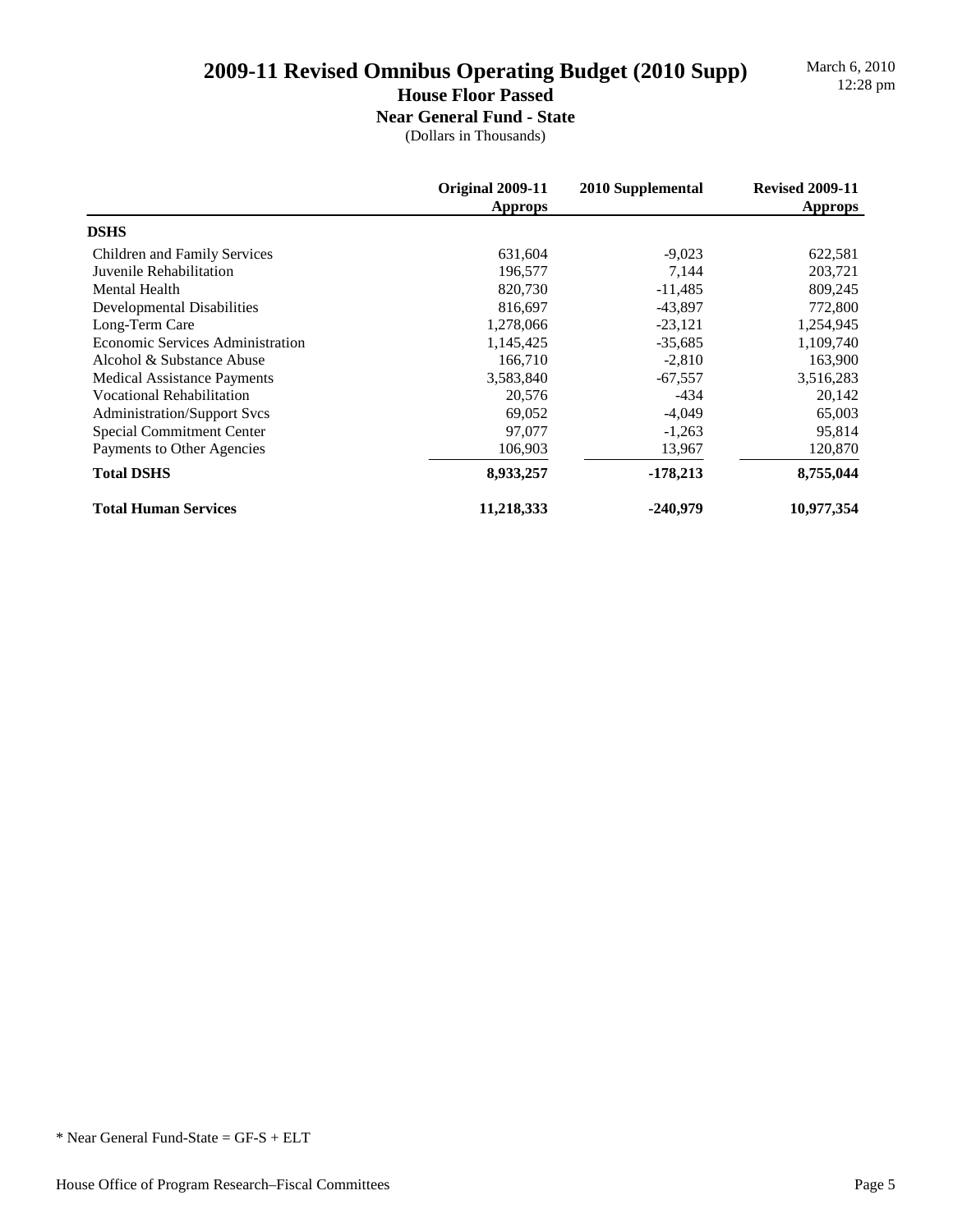March 6, 2010

## **House Floor Passed**

**Near General Fund - State** (Dollars in Thousands)

|                                         | Original 2009-11<br><b>Approps</b> | 2010 Supplemental | <b>Revised 2009-11</b><br><b>Approps</b> |
|-----------------------------------------|------------------------------------|-------------------|------------------------------------------|
| <b>DSHS</b>                             |                                    |                   |                                          |
| Children and Family Services            | 631,604                            | $-9,023$          | 622,581                                  |
| Juvenile Rehabilitation                 | 196,577                            | 7,144             | 203,721                                  |
| <b>Mental Health</b>                    | 820,730                            | $-11,485$         | 809,245                                  |
| <b>Developmental Disabilities</b>       | 816,697                            | $-43,897$         | 772,800                                  |
| Long-Term Care                          | 1,278,066                          | $-23,121$         | 1,254,945                                |
| <b>Economic Services Administration</b> | 1,145,425                          | $-35,685$         | 1,109,740                                |
| Alcohol & Substance Abuse               | 166,710                            | $-2,810$          | 163,900                                  |
| <b>Medical Assistance Payments</b>      | 3,583,840                          | $-67,557$         | 3,516,283                                |
| <b>Vocational Rehabilitation</b>        | 20,576                             | $-434$            | 20,142                                   |
| <b>Administration/Support Svcs</b>      | 69,052                             | $-4,049$          | 65,003                                   |
| Special Commitment Center               | 97,077                             | $-1,263$          | 95,814                                   |
| Payments to Other Agencies              | 106,903                            | 13,967            | 120,870                                  |
| <b>Total DSHS</b>                       | 8,933,257                          | $-178,213$        | 8,755,044                                |
| <b>Total Human Services</b>             | 11,218,333                         | -240,979          | 10,977,354                               |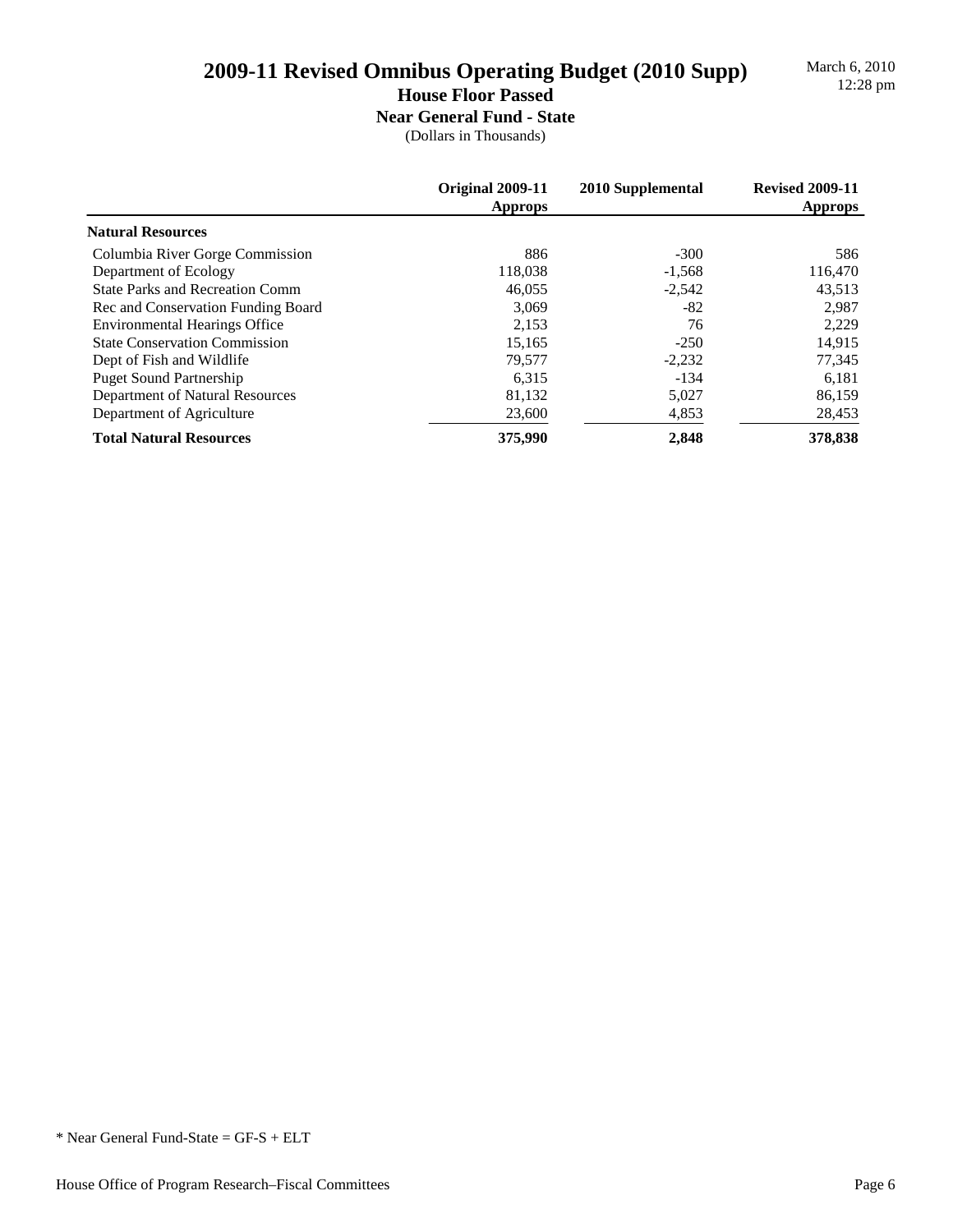March 6, 2010

## **House Floor Passed**

**Near General Fund - State** (Dollars in Thousands)

|                                        | Original 2009-11<br><b>Approps</b> | 2010 Supplemental | <b>Revised 2009-11</b><br><b>Approps</b> |
|----------------------------------------|------------------------------------|-------------------|------------------------------------------|
| <b>Natural Resources</b>               |                                    |                   |                                          |
| Columbia River Gorge Commission        | 886                                | $-300$            | 586                                      |
| Department of Ecology                  | 118,038                            | $-1,568$          | 116,470                                  |
| <b>State Parks and Recreation Comm</b> | 46,055                             | $-2,542$          | 43,513                                   |
| Rec and Conservation Funding Board     | 3.069                              | $-82$             | 2,987                                    |
| <b>Environmental Hearings Office</b>   | 2,153                              | 76                | 2,229                                    |
| <b>State Conservation Commission</b>   | 15,165                             | $-250$            | 14,915                                   |
| Dept of Fish and Wildlife              | 79,577                             | $-2,232$          | 77,345                                   |
| <b>Puget Sound Partnership</b>         | 6,315                              | $-134$            | 6,181                                    |
| Department of Natural Resources        | 81,132                             | 5,027             | 86,159                                   |
| Department of Agriculture              | 23,600                             | 4,853             | 28,453                                   |
| <b>Total Natural Resources</b>         | 375,990                            | 2.848             | 378,838                                  |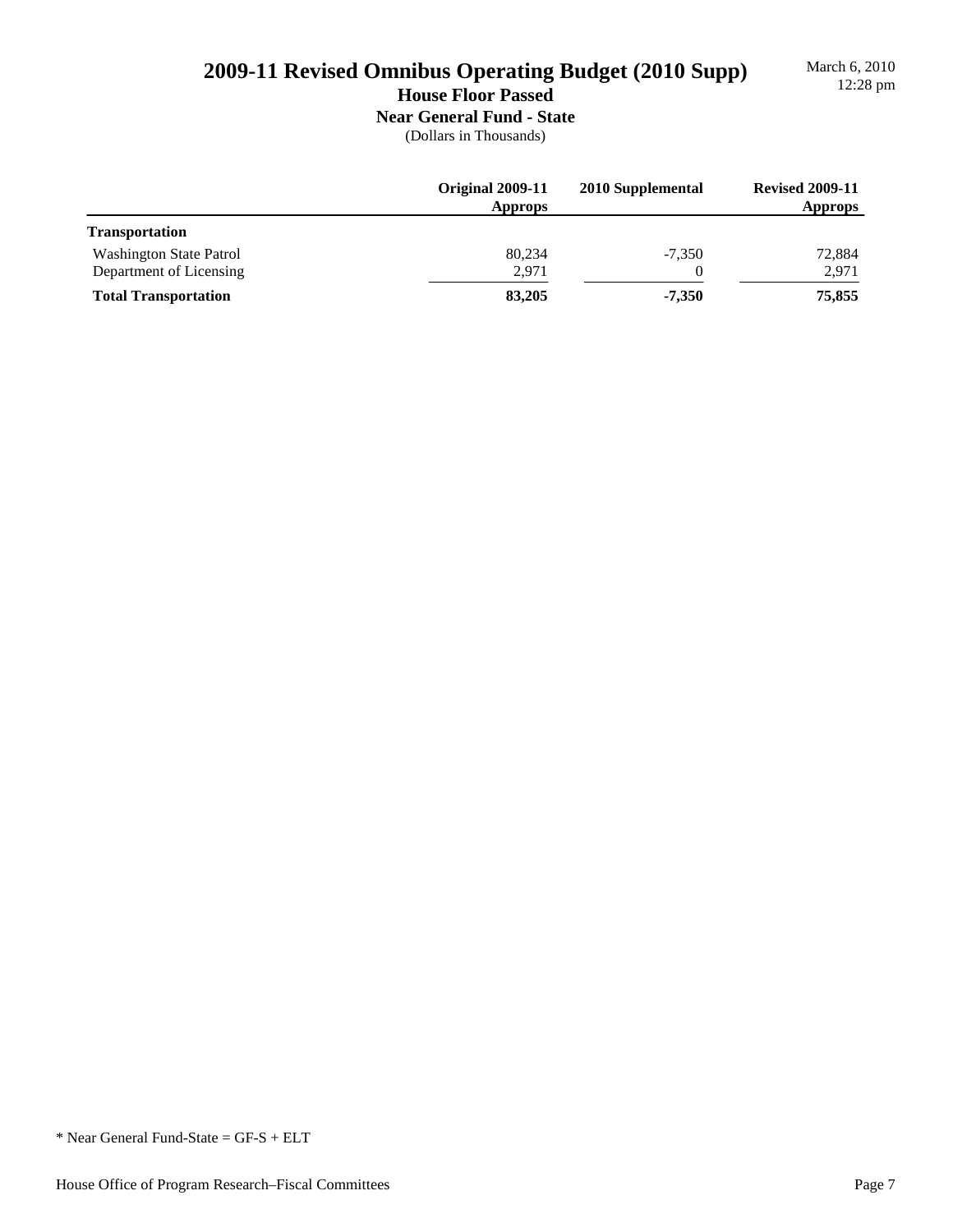# March 6, 2010

# **2009-11 Revised Omnibus Operating Budget (2010 Supp)** March 6, 2010<br> **12:28 pm**

**House Floor Passed**

## **Near General Fund - State**

|                             | Original 2009-11<br><b>Approps</b> | 2010 Supplemental | <b>Revised 2009-11</b><br><b>Approps</b> |
|-----------------------------|------------------------------------|-------------------|------------------------------------------|
| <b>Transportation</b>       |                                    |                   |                                          |
| Washington State Patrol     | 80,234                             | $-7,350$          | 72,884                                   |
| Department of Licensing     | 2,971                              | $\theta$          | 2,971                                    |
| <b>Total Transportation</b> | 83,205                             | $-7.350$          | 75,855                                   |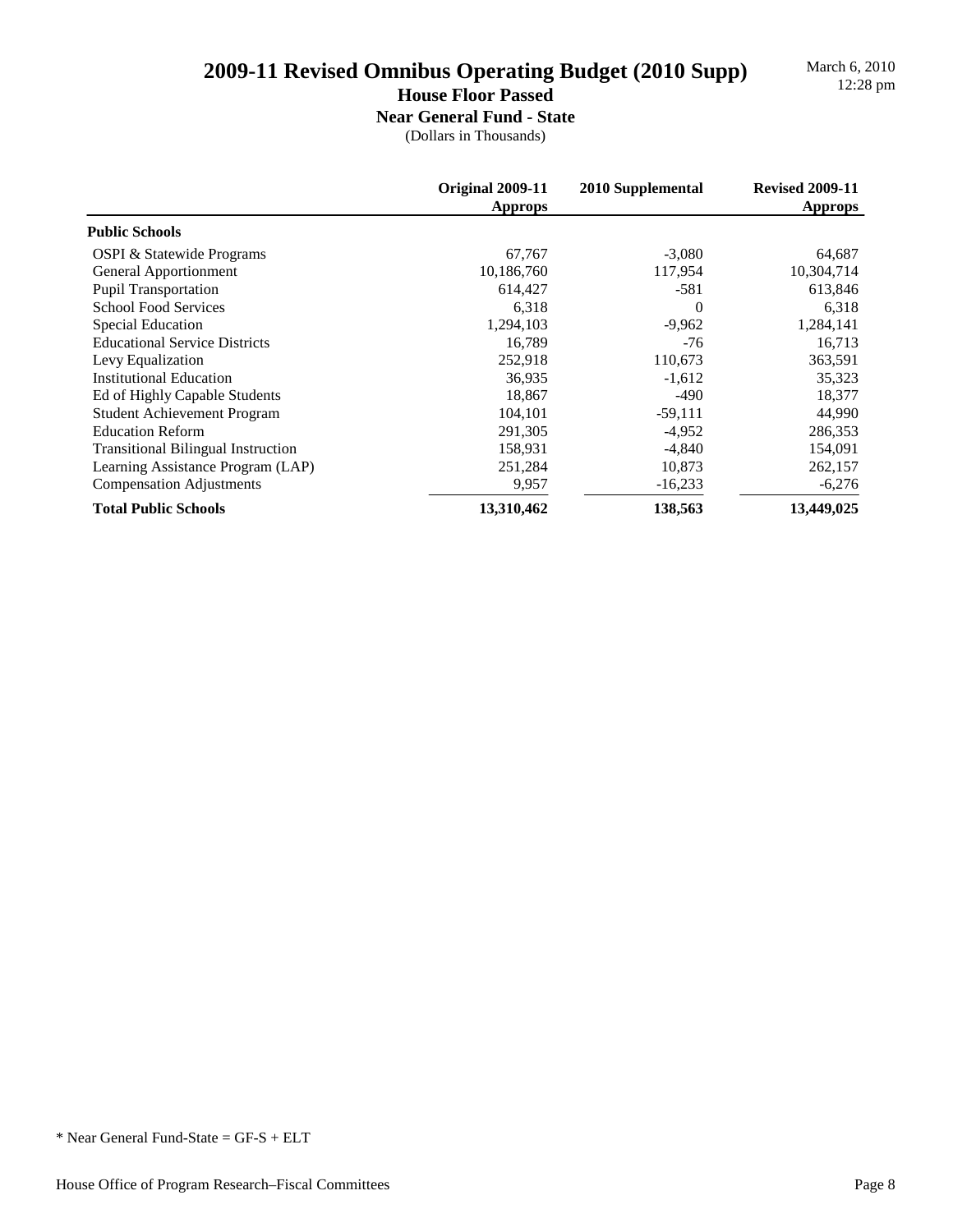March 6, 2010

### **House Floor Passed**

**Near General Fund - State**

|                                           | Original 2009-11<br><b>Approps</b> | 2010 Supplemental | <b>Revised 2009-11</b><br><b>Approps</b> |
|-------------------------------------------|------------------------------------|-------------------|------------------------------------------|
| <b>Public Schools</b>                     |                                    |                   |                                          |
| OSPI & Statewide Programs                 | 67,767                             | $-3,080$          | 64,687                                   |
| General Apportionment                     | 10,186,760                         | 117,954           | 10,304,714                               |
| <b>Pupil Transportation</b>               | 614,427                            | $-581$            | 613,846                                  |
| <b>School Food Services</b>               | 6,318                              | $\Omega$          | 6,318                                    |
| Special Education                         | 1,294,103                          | $-9,962$          | 1,284,141                                |
| <b>Educational Service Districts</b>      | 16,789                             | $-76$             | 16,713                                   |
| Levy Equalization                         | 252,918                            | 110,673           | 363,591                                  |
| <b>Institutional Education</b>            | 36,935                             | $-1,612$          | 35,323                                   |
| Ed of Highly Capable Students             | 18,867                             | $-490$            | 18,377                                   |
| <b>Student Achievement Program</b>        | 104,101                            | $-59,111$         | 44,990                                   |
| <b>Education Reform</b>                   | 291,305                            | $-4,952$          | 286,353                                  |
| <b>Transitional Bilingual Instruction</b> | 158,931                            | $-4,840$          | 154,091                                  |
| Learning Assistance Program (LAP)         | 251,284                            | 10,873            | 262,157                                  |
| <b>Compensation Adjustments</b>           | 9,957                              | $-16,233$         | $-6,276$                                 |
| <b>Total Public Schools</b>               | 13,310,462                         | 138,563           | 13,449,025                               |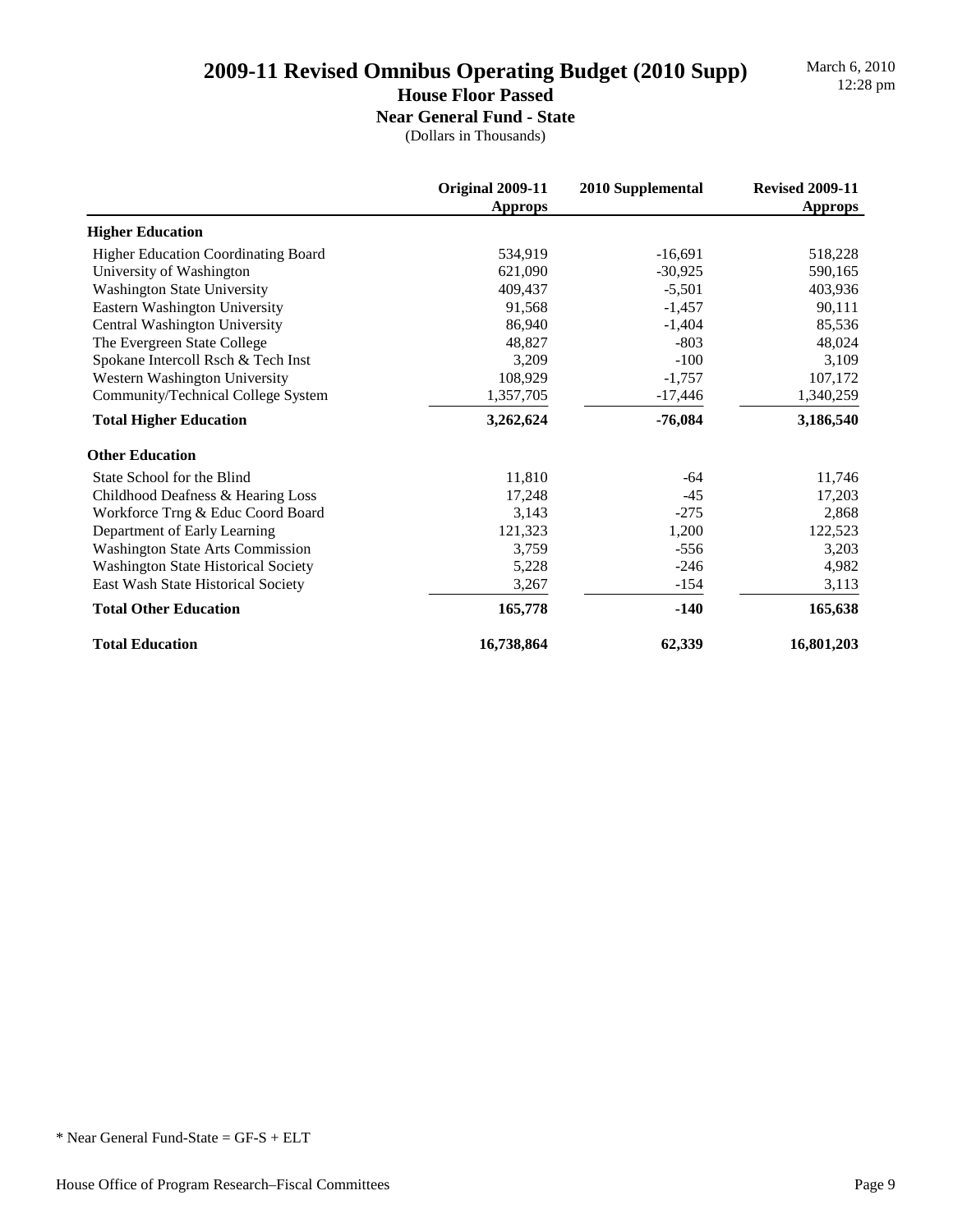March 6, 2010

### **House Floor Passed**

**Near General Fund - State** (Dollars in Thousands)

|                                            | <b>Original 2009-11</b><br><b>Approps</b> | 2010 Supplemental | <b>Revised 2009-11</b><br><b>Approps</b> |
|--------------------------------------------|-------------------------------------------|-------------------|------------------------------------------|
| <b>Higher Education</b>                    |                                           |                   |                                          |
| <b>Higher Education Coordinating Board</b> | 534,919                                   | $-16,691$         | 518,228                                  |
| University of Washington                   | 621,090                                   | $-30,925$         | 590,165                                  |
| <b>Washington State University</b>         | 409.437                                   | $-5,501$          | 403,936                                  |
| Eastern Washington University              | 91,568                                    | $-1,457$          | 90,111                                   |
| Central Washington University              | 86,940                                    | $-1,404$          | 85,536                                   |
| The Evergreen State College                | 48,827                                    | $-803$            | 48,024                                   |
| Spokane Intercoll Rsch & Tech Inst         | 3,209                                     | $-100$            | 3,109                                    |
| Western Washington University              | 108,929                                   | $-1,757$          | 107,172                                  |
| Community/Technical College System         | 1,357,705                                 | $-17,446$         | 1,340,259                                |
| <b>Total Higher Education</b>              | 3,262,624                                 | $-76,084$         | 3,186,540                                |
| <b>Other Education</b>                     |                                           |                   |                                          |
| State School for the Blind                 | 11,810                                    | $-64$             | 11,746                                   |
| Childhood Deafness & Hearing Loss          | 17,248                                    | $-45$             | 17,203                                   |
| Workforce Trng & Educ Coord Board          | 3,143                                     | $-275$            | 2,868                                    |
| Department of Early Learning               | 121,323                                   | 1,200             | 122,523                                  |
| <b>Washington State Arts Commission</b>    | 3,759                                     | $-556$            | 3,203                                    |
| <b>Washington State Historical Society</b> | 5,228                                     | $-246$            | 4,982                                    |
| East Wash State Historical Society         | 3,267                                     | $-154$            | 3,113                                    |
| <b>Total Other Education</b>               | 165,778                                   | $-140$            | 165,638                                  |
| <b>Total Education</b>                     | 16,738,864                                | 62,339            | 16,801,203                               |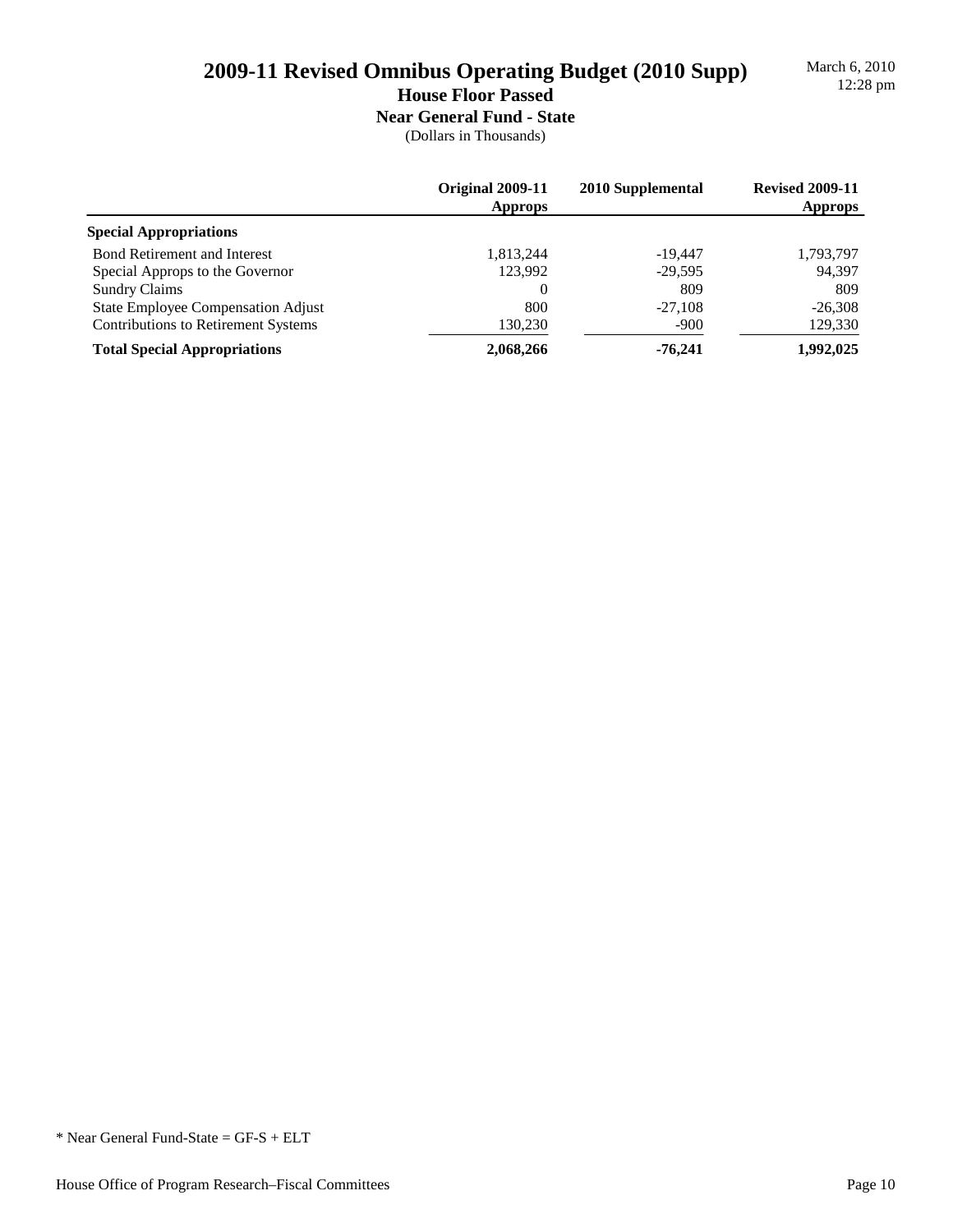March 6, 2010

## **House Floor Passed**

**Near General Fund - State** (Dollars in Thousands)

|                                            | Original 2009-11<br><b>Approps</b> | 2010 Supplemental | <b>Revised 2009-11</b><br><b>Approps</b> |
|--------------------------------------------|------------------------------------|-------------------|------------------------------------------|
| <b>Special Appropriations</b>              |                                    |                   |                                          |
| <b>Bond Retirement and Interest</b>        | 1,813,244                          | $-19.447$         | 1,793,797                                |
| Special Approps to the Governor            | 123.992                            | $-29.595$         | 94,397                                   |
| <b>Sundry Claims</b>                       | 0                                  | 809               | 809                                      |
| <b>State Employee Compensation Adjust</b>  | 800                                | $-27.108$         | $-26.308$                                |
| <b>Contributions to Retirement Systems</b> | 130,230                            | $-900$            | 129,330                                  |
| <b>Total Special Appropriations</b>        | 2,068,266                          | $-76,241$         | 1,992,025                                |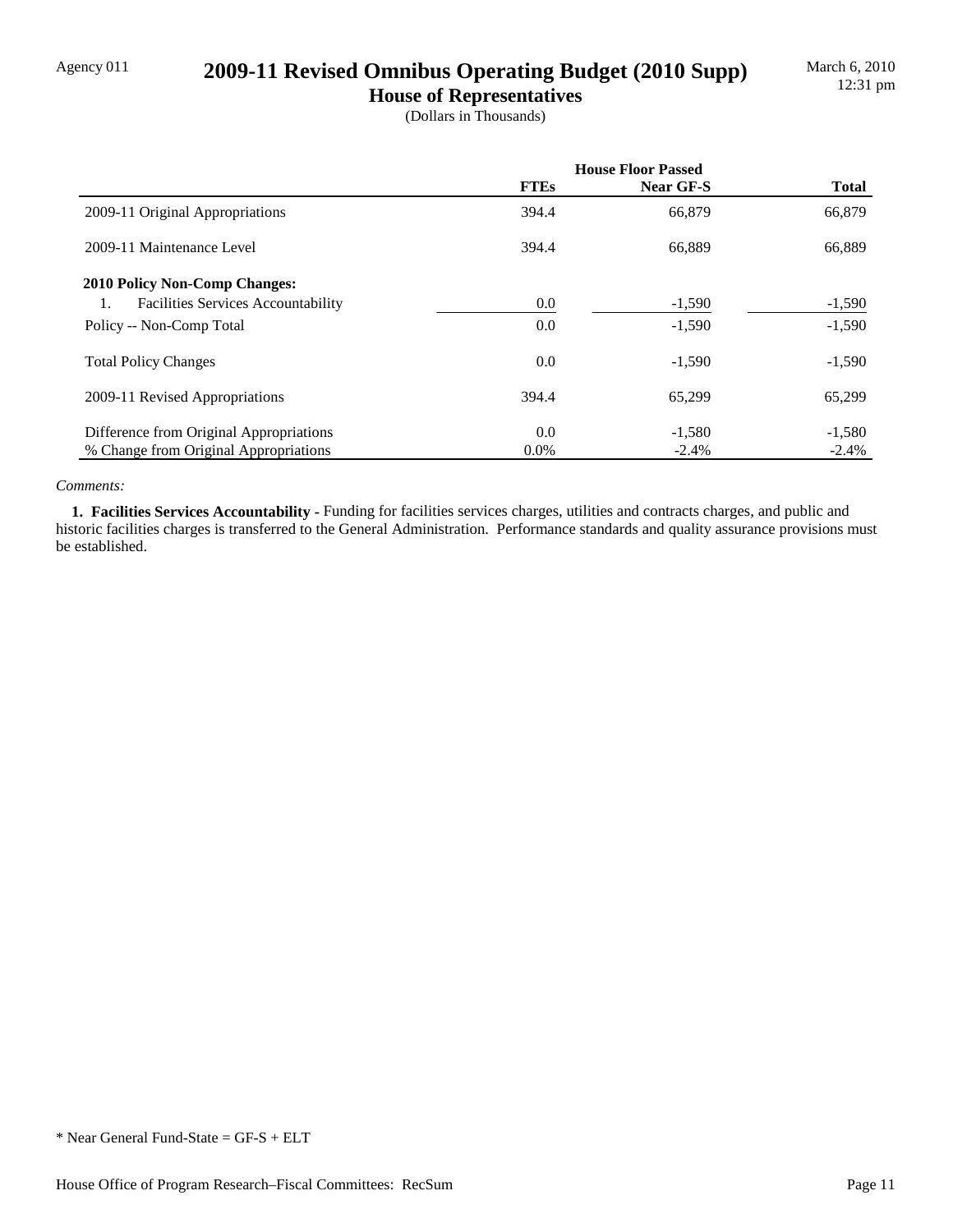## Agency 011 **2009-11 Revised Omnibus Operating Budget (2010 Supp)**

**House of Representatives** (Dollars in Thousands)

|                                                 | <b>House Floor Passed</b> |           |              |
|-------------------------------------------------|---------------------------|-----------|--------------|
|                                                 | <b>FTEs</b>               | Near GF-S | <b>Total</b> |
| 2009-11 Original Appropriations                 | 394.4                     | 66,879    | 66,879       |
| 2009-11 Maintenance Level                       | 394.4                     | 66,889    | 66,889       |
| <b>2010 Policy Non-Comp Changes:</b>            |                           |           |              |
| <b>Facilities Services Accountability</b><br>1. | 0.0                       | $-1,590$  | $-1,590$     |
| Policy -- Non-Comp Total                        | 0.0                       | $-1,590$  | $-1,590$     |
| <b>Total Policy Changes</b>                     | 0.0                       | $-1,590$  | $-1,590$     |
| 2009-11 Revised Appropriations                  | 394.4                     | 65,299    | 65,299       |
| Difference from Original Appropriations         | 0.0                       | $-1,580$  | $-1,580$     |
| % Change from Original Appropriations           | $0.0\%$                   | $-2.4%$   | $-2.4%$      |

#### *Comments:*

 **1. Facilities Services Accountability -** Funding for facilities services charges, utilities and contracts charges, and public and historic facilities charges is transferred to the General Administration. Performance standards and quality assurance provisions must be established.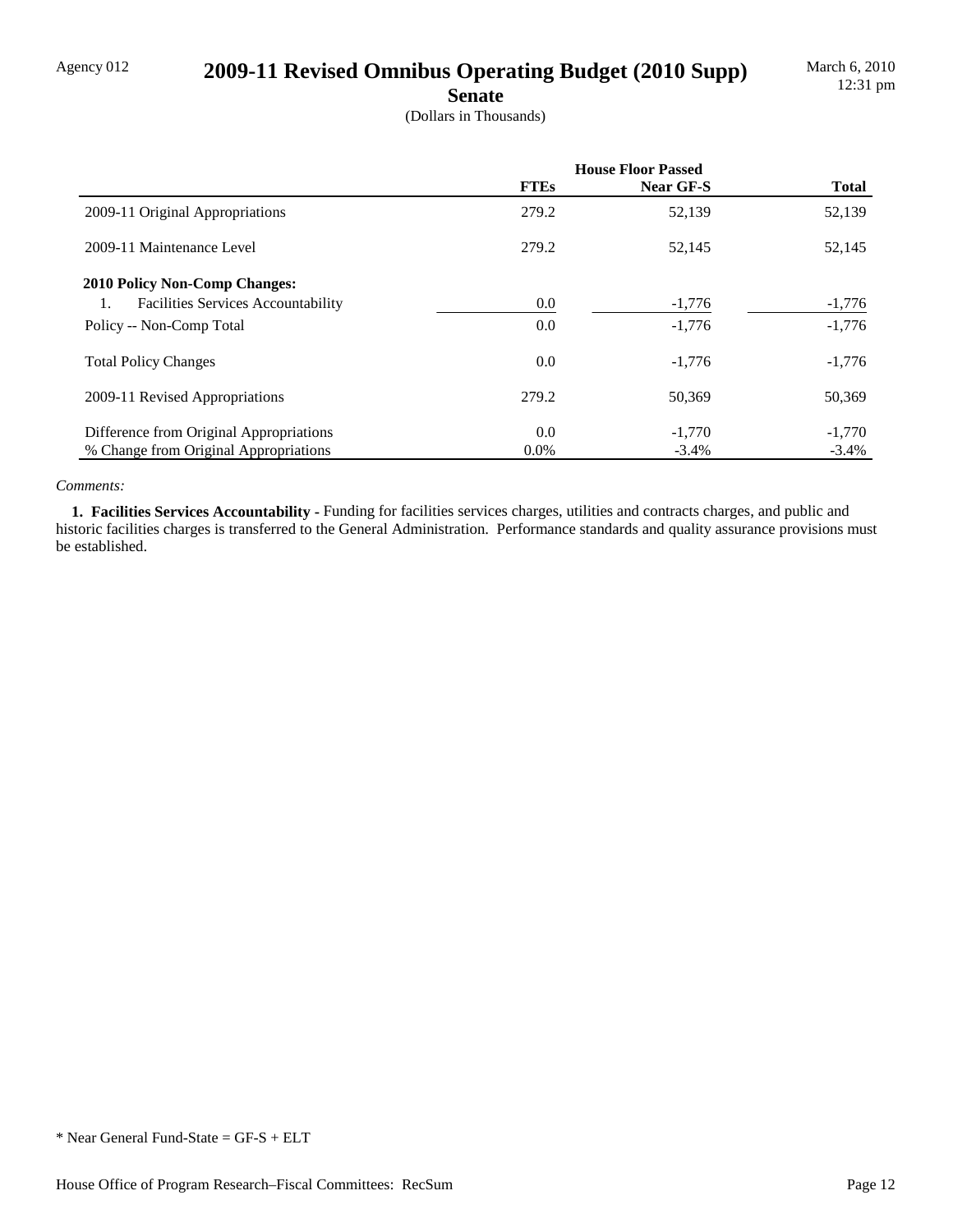# Agency 012 **2009-11 Revised Omnibus Operating Budget (2010 Supp)**

**Senate**

(Dollars in Thousands)

|                                                 | <b>House Floor Passed</b> |           |              |
|-------------------------------------------------|---------------------------|-----------|--------------|
|                                                 | <b>FTEs</b>               | Near GF-S | <b>Total</b> |
| 2009-11 Original Appropriations                 | 279.2                     | 52,139    | 52,139       |
| 2009-11 Maintenance Level                       | 279.2                     | 52,145    | 52,145       |
| <b>2010 Policy Non-Comp Changes:</b>            |                           |           |              |
| <b>Facilities Services Accountability</b><br>1. | 0.0                       | $-1,776$  | $-1,776$     |
| Policy -- Non-Comp Total                        | 0.0                       | $-1,776$  | $-1,776$     |
| <b>Total Policy Changes</b>                     | 0.0                       | $-1,776$  | $-1,776$     |
| 2009-11 Revised Appropriations                  | 279.2                     | 50,369    | 50,369       |
| Difference from Original Appropriations         | 0.0                       | $-1,770$  | $-1,770$     |
| % Change from Original Appropriations           | $0.0\%$                   | $-3.4\%$  | $-3.4%$      |

#### *Comments:*

 **1. Facilities Services Accountability -** Funding for facilities services charges, utilities and contracts charges, and public and historic facilities charges is transferred to the General Administration. Performance standards and quality assurance provisions must be established.

<sup>\*</sup> Near General Fund-State = GF-S + ELT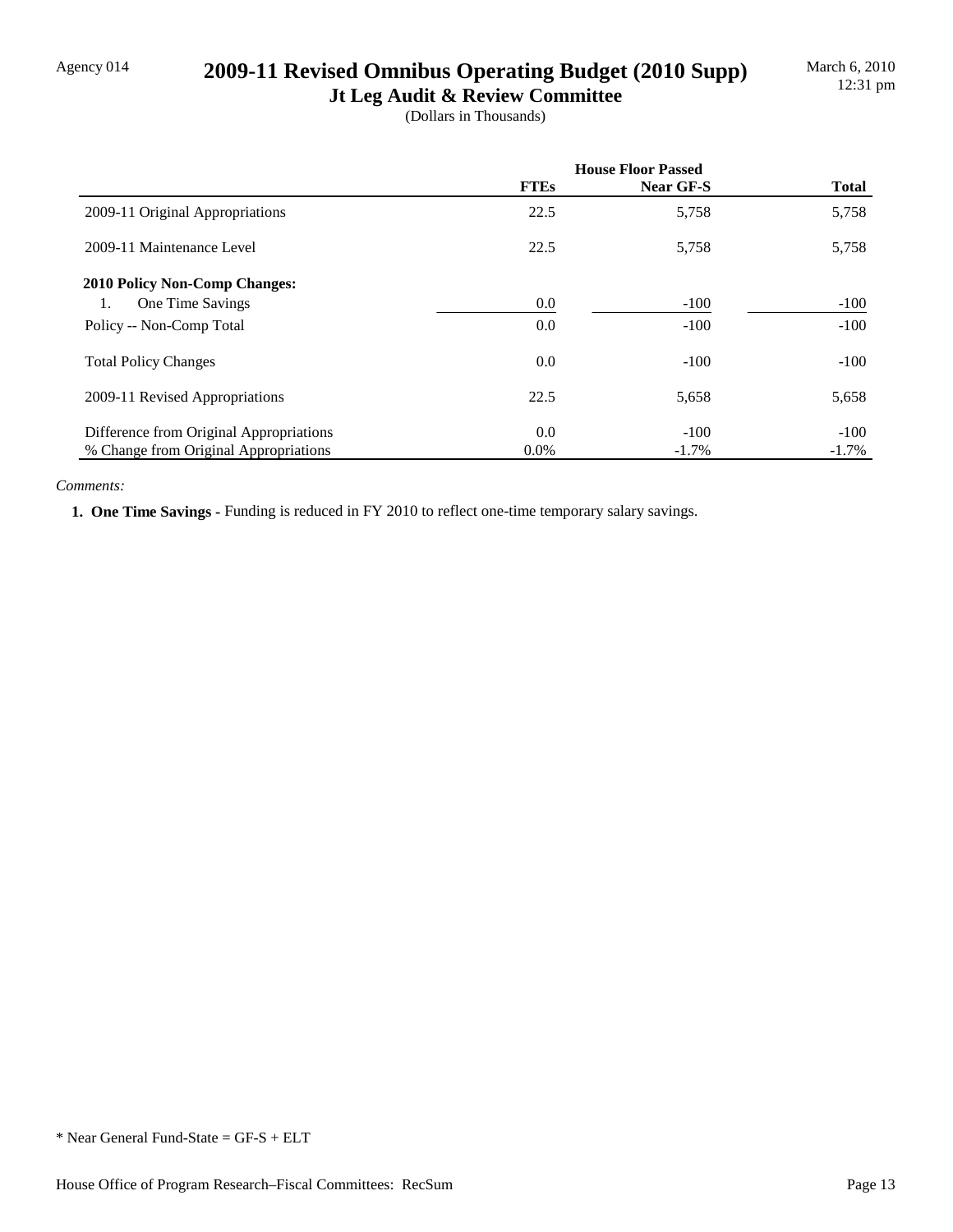## Agency 014 **2009-11 Revised Omnibus Operating Budget (2010 Supp)**

**Jt Leg Audit & Review Committee** (Dollars in Thousands)

|                                         | <b>House Floor Passed</b> |           |              |
|-----------------------------------------|---------------------------|-----------|--------------|
|                                         | <b>FTEs</b>               | Near GF-S | <b>Total</b> |
| 2009-11 Original Appropriations         | 22.5                      | 5,758     | 5,758        |
| 2009-11 Maintenance Level               | 22.5                      | 5,758     | 5,758        |
| <b>2010 Policy Non-Comp Changes:</b>    |                           |           |              |
| One Time Savings<br>1.                  | 0.0                       | $-100$    | $-100$       |
| Policy -- Non-Comp Total                | 0.0                       | $-100$    | $-100$       |
| <b>Total Policy Changes</b>             | 0.0                       | $-100$    | $-100$       |
| 2009-11 Revised Appropriations          | 22.5                      | 5,658     | 5,658        |
| Difference from Original Appropriations | 0.0                       | $-100$    | $-100$       |
| % Change from Original Appropriations   | $0.0\%$                   | $-1.7\%$  | $-1.7\%$     |

#### *Comments:*

 **1. One Time Savings -** Funding is reduced in FY 2010 to reflect one-time temporary salary savings.

<sup>\*</sup> Near General Fund-State = GF-S + ELT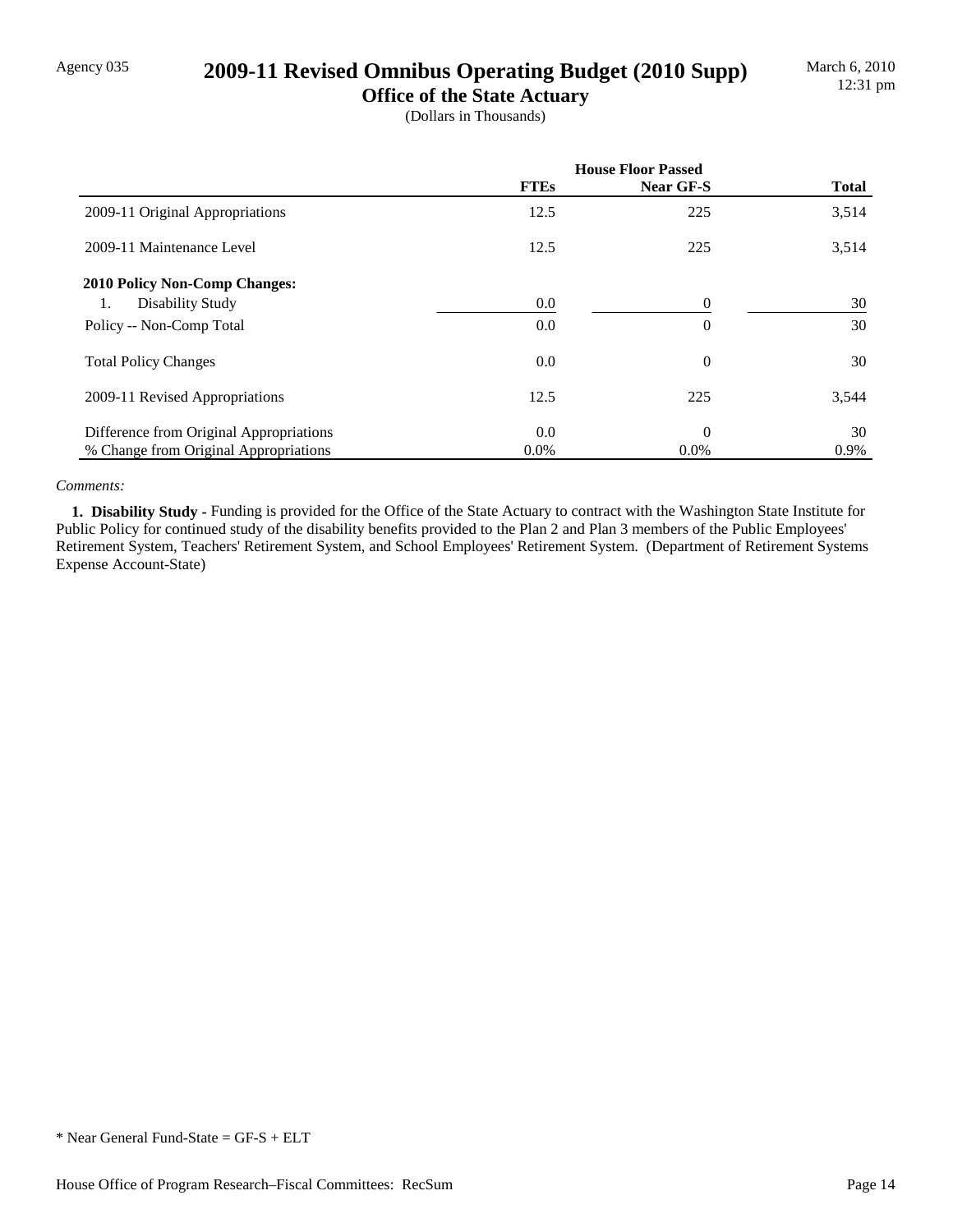### Agency 035 **2009-11 Revised Omnibus Operating Budget (2010 Supp)**

**Office of the State Actuary** (Dollars in Thousands)

|                                         | <b>House Floor Passed</b> |                |              |
|-----------------------------------------|---------------------------|----------------|--------------|
|                                         | <b>FTEs</b>               | Near GF-S      | <b>Total</b> |
| 2009-11 Original Appropriations         | 12.5                      | 225            | 3,514        |
| 2009-11 Maintenance Level               | 12.5                      | 225            | 3,514        |
| <b>2010 Policy Non-Comp Changes:</b>    |                           |                |              |
| Disability Study<br>1.                  | 0.0                       | $\Omega$       | 30           |
| Policy -- Non-Comp Total                | 0.0                       | $\overline{0}$ | 30           |
| <b>Total Policy Changes</b>             | 0.0                       | $\overline{0}$ | 30           |
| 2009-11 Revised Appropriations          | 12.5                      | 225            | 3,544        |
| Difference from Original Appropriations | 0.0                       | $\Omega$       | 30           |
| % Change from Original Appropriations   | $0.0\%$                   | $0.0\%$        | 0.9%         |

#### *Comments:*

 **1. Disability Study -** Funding is provided for the Office of the State Actuary to contract with the Washington State Institute for Public Policy for continued study of the disability benefits provided to the Plan 2 and Plan 3 members of the Public Employees' Retirement System, Teachers' Retirement System, and School Employees' Retirement System. (Department of Retirement Systems Expense Account-State)

<sup>\*</sup> Near General Fund-State = GF-S + ELT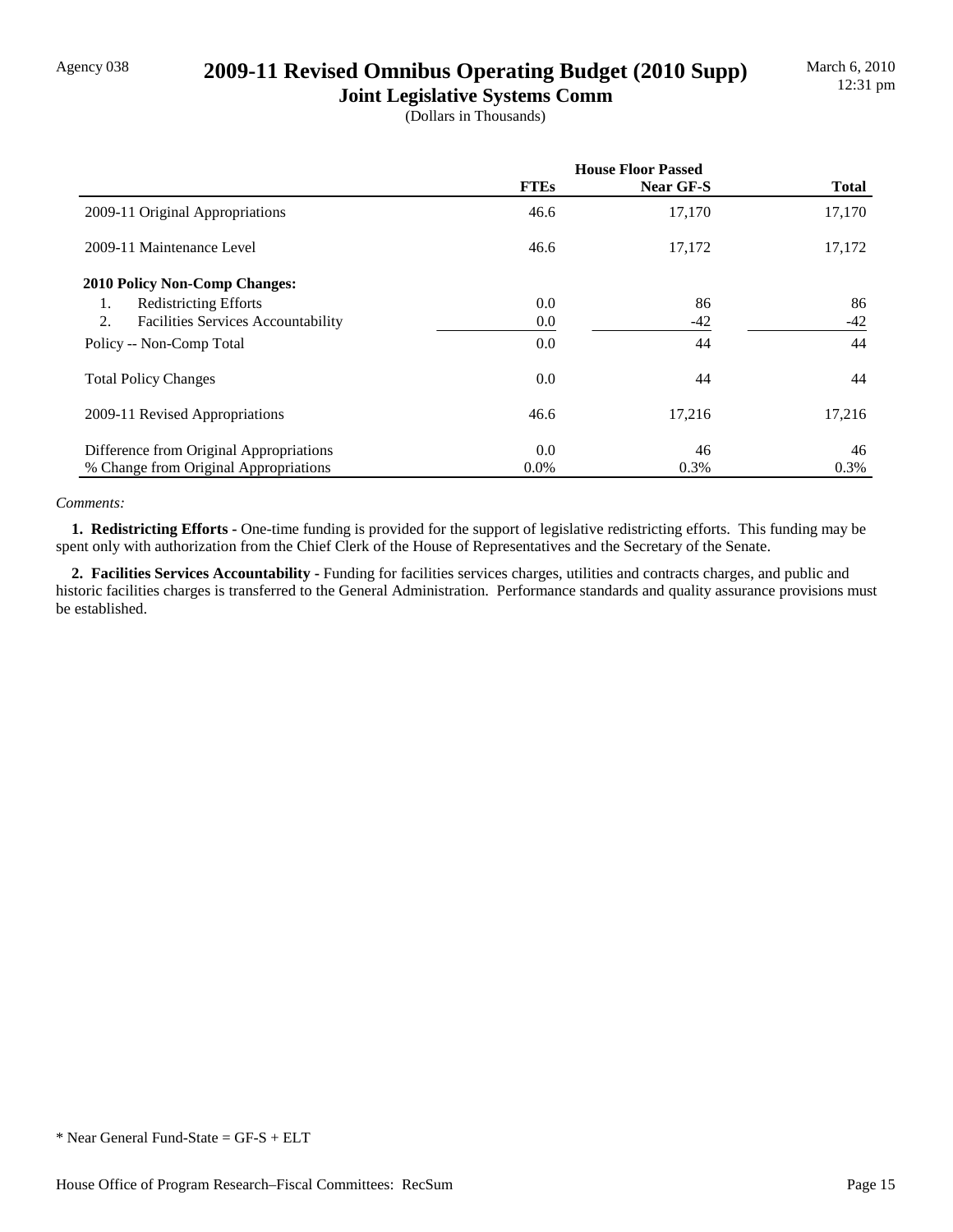## Agency 038 **2009-11 Revised Omnibus Operating Budget (2010 Supp)**

**Joint Legislative Systems Comm** (Dollars in Thousands)

|                                                 | <b>House Floor Passed</b> |           |              |
|-------------------------------------------------|---------------------------|-----------|--------------|
|                                                 | <b>FTEs</b>               | Near GF-S | <b>Total</b> |
| 2009-11 Original Appropriations                 | 46.6                      | 17,170    | 17,170       |
| 2009-11 Maintenance Level                       | 46.6                      | 17,172    | 17,172       |
| <b>2010 Policy Non-Comp Changes:</b>            |                           |           |              |
| <b>Redistricting Efforts</b><br>1.              | 0.0                       | 86        | 86           |
| 2.<br><b>Facilities Services Accountability</b> | 0.0                       | $-42$     | -42          |
| Policy -- Non-Comp Total                        | 0.0                       | 44        | 44           |
| <b>Total Policy Changes</b>                     | 0.0                       | 44        | 44           |
| 2009-11 Revised Appropriations                  | 46.6                      | 17,216    | 17,216       |
| Difference from Original Appropriations         | 0.0                       | 46        | 46           |
| % Change from Original Appropriations           | $0.0\%$                   | 0.3%      | 0.3%         |

#### *Comments:*

 **1. Redistricting Efforts -** One-time funding is provided for the support of legislative redistricting efforts. This funding may be spent only with authorization from the Chief Clerk of the House of Representatives and the Secretary of the Senate.

 **2. Facilities Services Accountability -** Funding for facilities services charges, utilities and contracts charges, and public and historic facilities charges is transferred to the General Administration. Performance standards and quality assurance provisions must be established.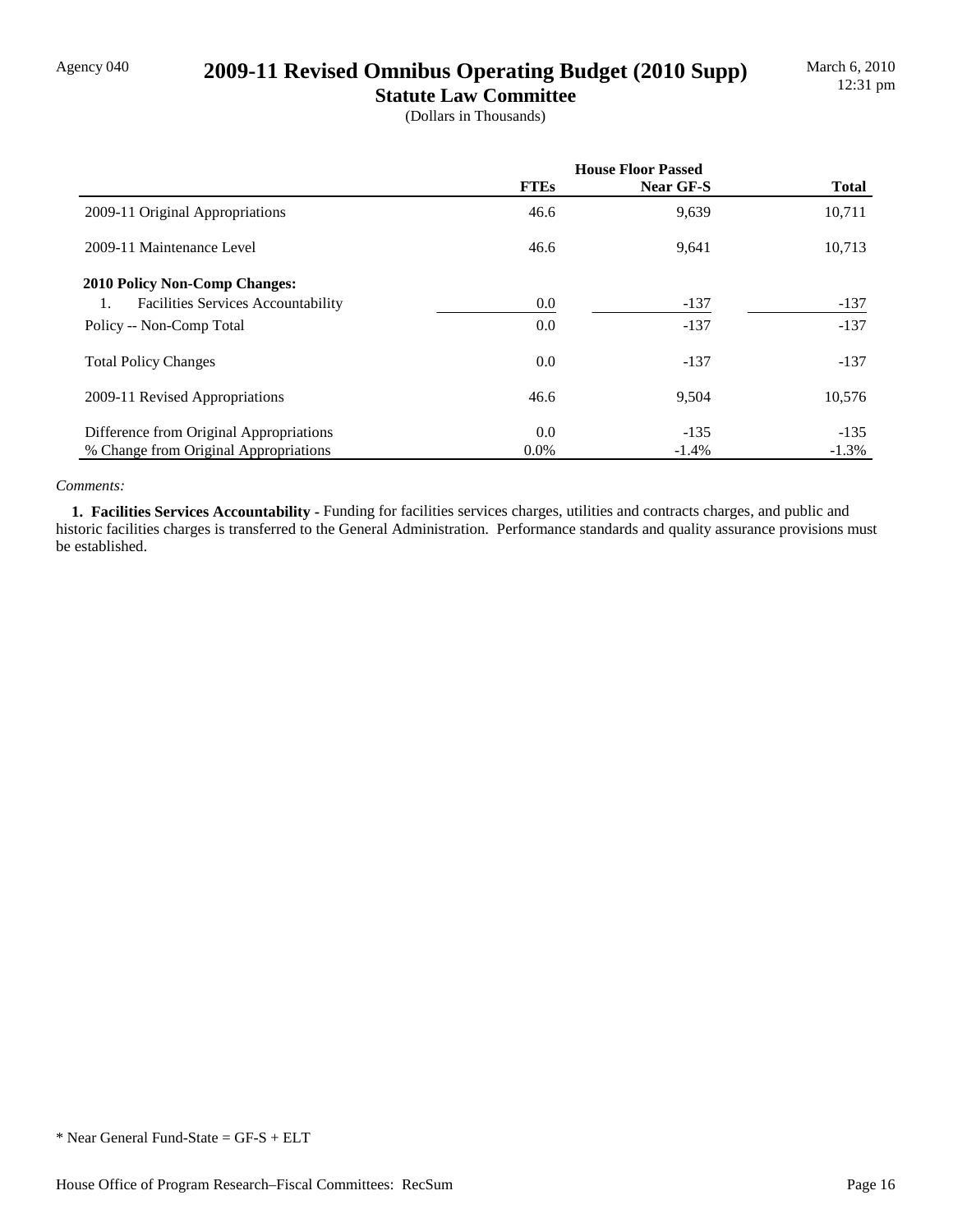## Agency 040 **2009-11 Revised Omnibus Operating Budget (2010 Supp)**

**Statute Law Committee** (Dollars in Thousands)

|                                                 | <b>House Floor Passed</b> |           |              |
|-------------------------------------------------|---------------------------|-----------|--------------|
|                                                 | <b>FTEs</b>               | Near GF-S | <b>Total</b> |
| 2009-11 Original Appropriations                 | 46.6                      | 9,639     | 10,711       |
| 2009-11 Maintenance Level                       | 46.6                      | 9,641     | 10,713       |
| 2010 Policy Non-Comp Changes:                   |                           |           |              |
| <b>Facilities Services Accountability</b><br>1. | 0.0                       | $-137$    | $-137$       |
| Policy -- Non-Comp Total                        | 0.0                       | $-137$    | $-137$       |
| <b>Total Policy Changes</b>                     | 0.0                       | $-137$    | $-137$       |
| 2009-11 Revised Appropriations                  | 46.6                      | 9,504     | 10,576       |
| Difference from Original Appropriations         | 0.0                       | $-135$    | $-135$       |
| % Change from Original Appropriations           | $0.0\%$                   | $-1.4%$   | $-1.3%$      |

#### *Comments:*

 **1. Facilities Services Accountability -** Funding for facilities services charges, utilities and contracts charges, and public and historic facilities charges is transferred to the General Administration. Performance standards and quality assurance provisions must be established.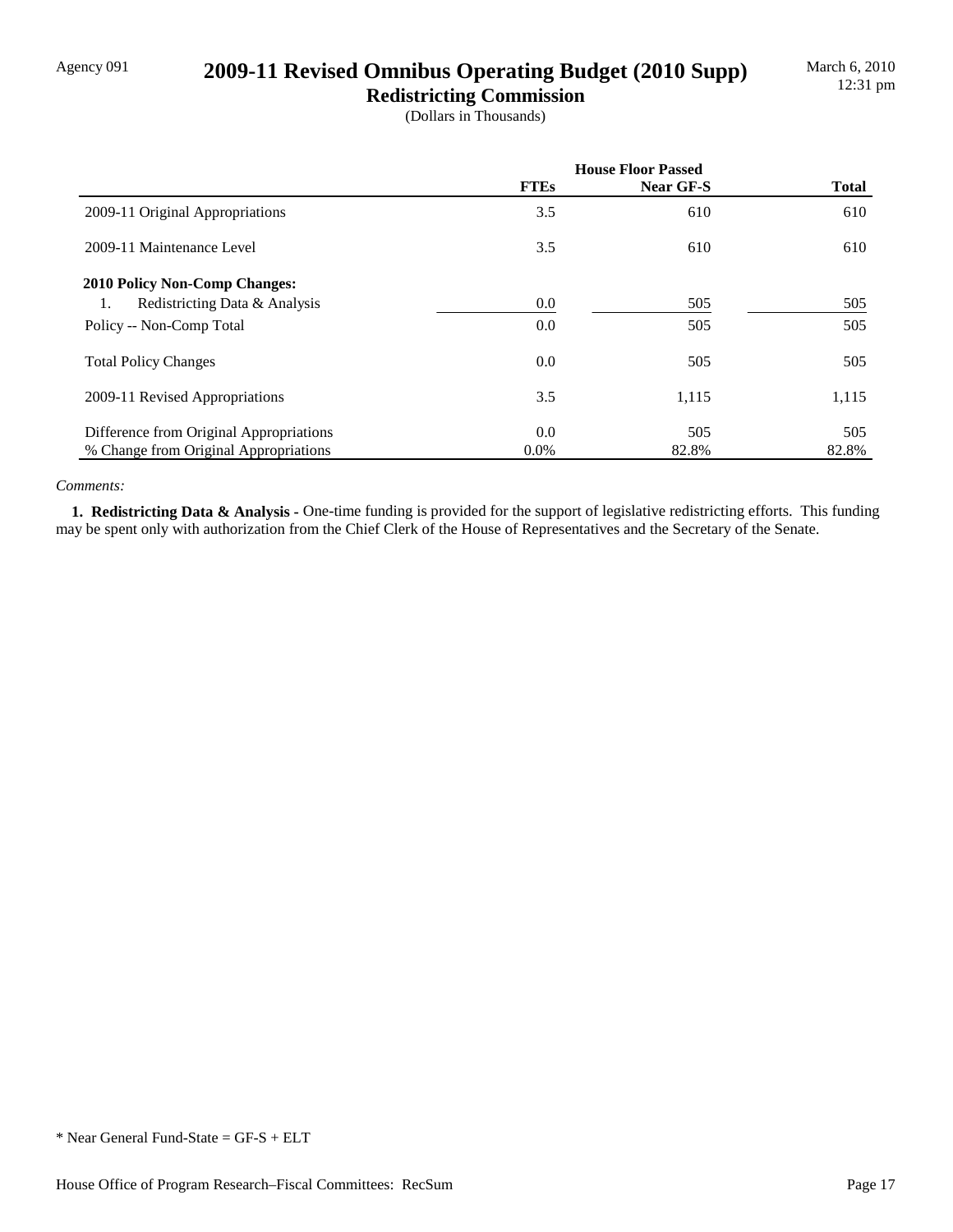## Agency 091 **2009-11 Revised Omnibus Operating Budget (2010 Supp)**

**Redistricting Commission** (Dollars in Thousands)

|                                         | <b>House Floor Passed</b> |           |              |
|-----------------------------------------|---------------------------|-----------|--------------|
|                                         | <b>FTEs</b>               | Near GF-S | <b>Total</b> |
| 2009-11 Original Appropriations         | 3.5                       | 610       | 610          |
| 2009-11 Maintenance Level               | 3.5                       | 610       | 610          |
| <b>2010 Policy Non-Comp Changes:</b>    |                           |           |              |
| Redistricting Data & Analysis<br>1.     | 0.0                       | 505       | 505          |
| Policy -- Non-Comp Total                | 0.0                       | 505       | 505          |
| <b>Total Policy Changes</b>             | 0.0                       | 505       | 505          |
| 2009-11 Revised Appropriations          | 3.5                       | 1,115     | 1,115        |
| Difference from Original Appropriations | 0.0                       | 505       | 505          |
| % Change from Original Appropriations   | $0.0\%$                   | 82.8%     | 82.8%        |

#### *Comments:*

 **1. Redistricting Data & Analysis -** One-time funding is provided for the support of legislative redistricting efforts. This funding may be spent only with authorization from the Chief Clerk of the House of Representatives and the Secretary of the Senate.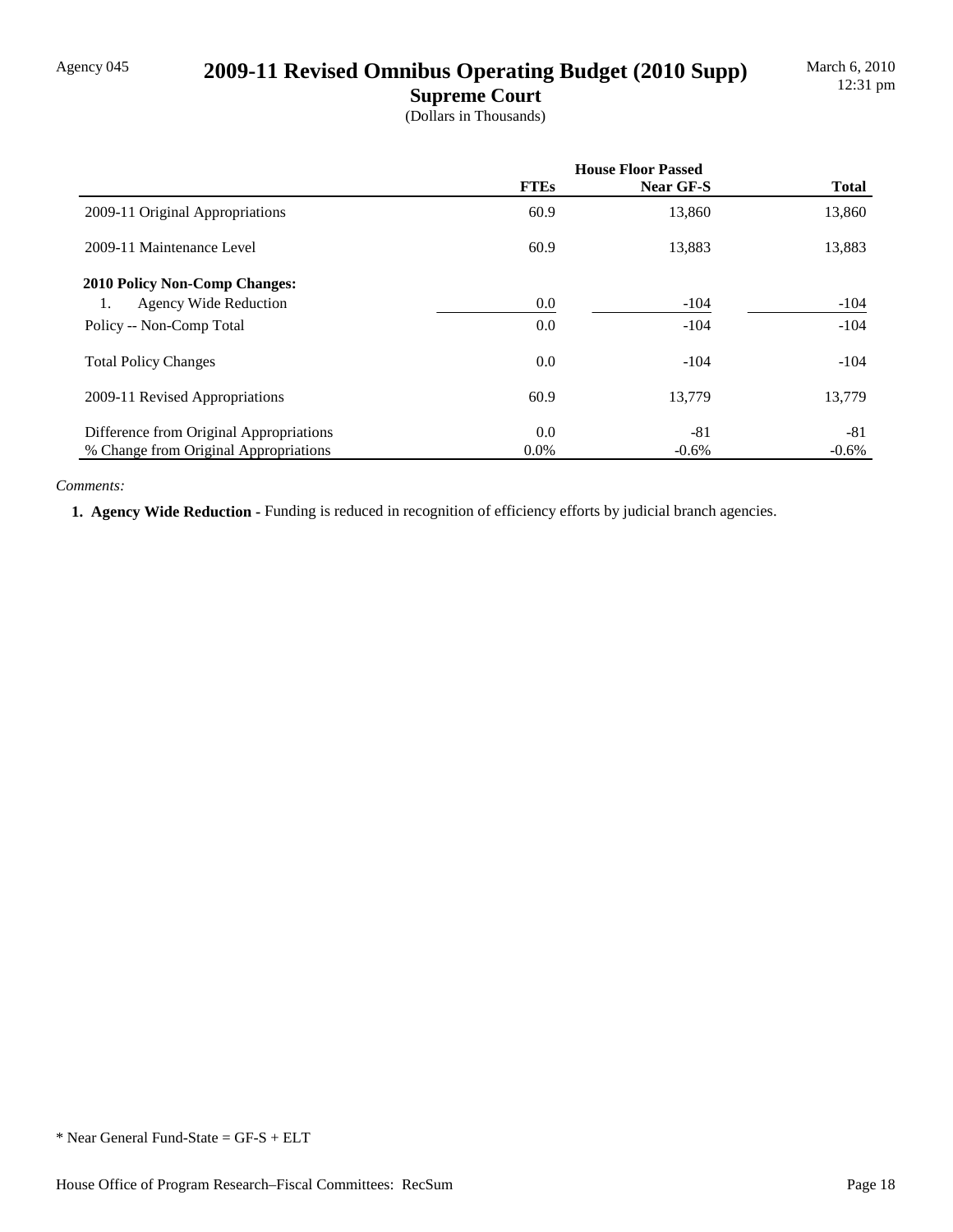# Agency 045 **2009-11 Revised Omnibus Operating Budget (2010 Supp)**

**Supreme Court**

(Dollars in Thousands)

|                                         | <b>House Floor Passed</b> |           |              |
|-----------------------------------------|---------------------------|-----------|--------------|
|                                         | <b>FTEs</b>               | Near GF-S | <b>Total</b> |
| 2009-11 Original Appropriations         | 60.9                      | 13,860    | 13,860       |
| 2009-11 Maintenance Level               | 60.9                      | 13,883    | 13,883       |
| <b>2010 Policy Non-Comp Changes:</b>    |                           |           |              |
| <b>Agency Wide Reduction</b><br>1.      | 0.0                       | $-104$    | $-104$       |
| Policy -- Non-Comp Total                | 0.0                       | $-104$    | $-104$       |
| <b>Total Policy Changes</b>             | 0.0                       | $-104$    | $-104$       |
| 2009-11 Revised Appropriations          | 60.9                      | 13,779    | 13,779       |
| Difference from Original Appropriations | 0.0                       | $-81$     | $-81$        |
| % Change from Original Appropriations   | $0.0\%$                   | $-0.6\%$  | $-0.6%$      |

#### *Comments:*

 **1. Agency Wide Reduction -** Funding is reduced in recognition of efficiency efforts by judicial branch agencies.

<sup>\*</sup> Near General Fund-State = GF-S + ELT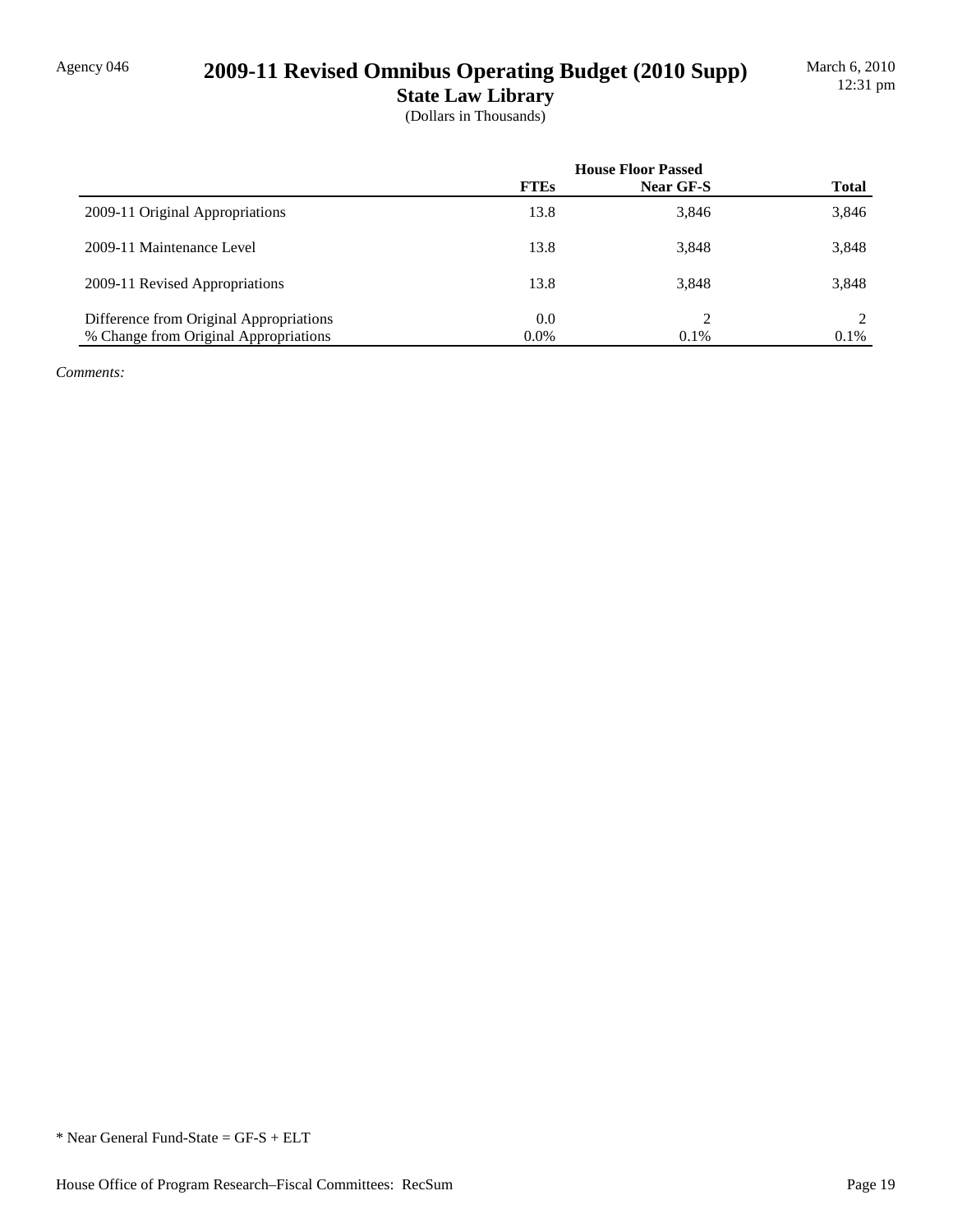# Agency 046 **2009-11 Revised Omnibus Operating Budget (2010 Supp)**

**State Law Library** (Dollars in Thousands)

|                                         | <b>House Floor Passed</b> |           |              |
|-----------------------------------------|---------------------------|-----------|--------------|
|                                         | <b>FTEs</b>               | Near GF-S | <b>Total</b> |
| 2009-11 Original Appropriations         | 13.8                      | 3,846     | 3,846        |
| 2009-11 Maintenance Level               | 13.8                      | 3,848     | 3,848        |
| 2009-11 Revised Appropriations          | 13.8                      | 3,848     | 3,848        |
| Difference from Original Appropriations | 0.0                       |           | $2^{\circ}$  |
| % Change from Original Appropriations   | $0.0\%$                   | 0.1%      | $0.1\%$      |

*Comments:*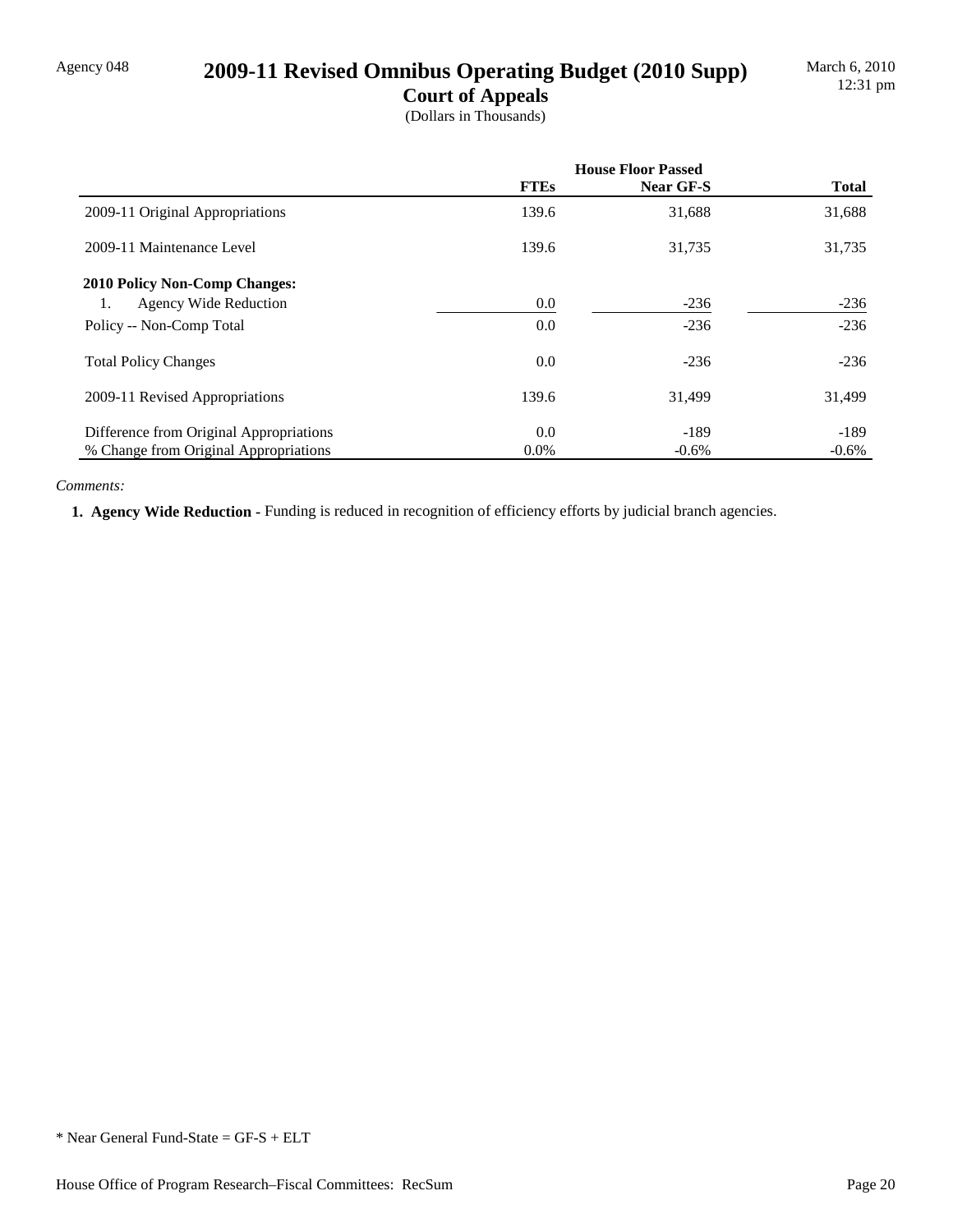## Agency 048 **2009-11 Revised Omnibus Operating Budget (2010 Supp)**

**Court of Appeals** (Dollars in Thousands)

|                                         | <b>House Floor Passed</b> |           |              |
|-----------------------------------------|---------------------------|-----------|--------------|
|                                         | <b>FTEs</b>               | Near GF-S | <b>Total</b> |
| 2009-11 Original Appropriations         | 139.6                     | 31,688    | 31,688       |
| 2009-11 Maintenance Level               | 139.6                     | 31,735    | 31,735       |
| <b>2010 Policy Non-Comp Changes:</b>    |                           |           |              |
| <b>Agency Wide Reduction</b><br>1.      | 0.0                       | $-236$    | $-236$       |
| Policy -- Non-Comp Total                | 0.0                       | $-236$    | $-236$       |
| <b>Total Policy Changes</b>             | 0.0                       | $-236$    | $-236$       |
| 2009-11 Revised Appropriations          | 139.6                     | 31,499    | 31,499       |
| Difference from Original Appropriations | 0.0                       | $-189$    | $-189$       |
| % Change from Original Appropriations   | $0.0\%$                   | $-0.6%$   | $-0.6%$      |

#### *Comments:*

 **1. Agency Wide Reduction -** Funding is reduced in recognition of efficiency efforts by judicial branch agencies.

<sup>\*</sup> Near General Fund-State = GF-S + ELT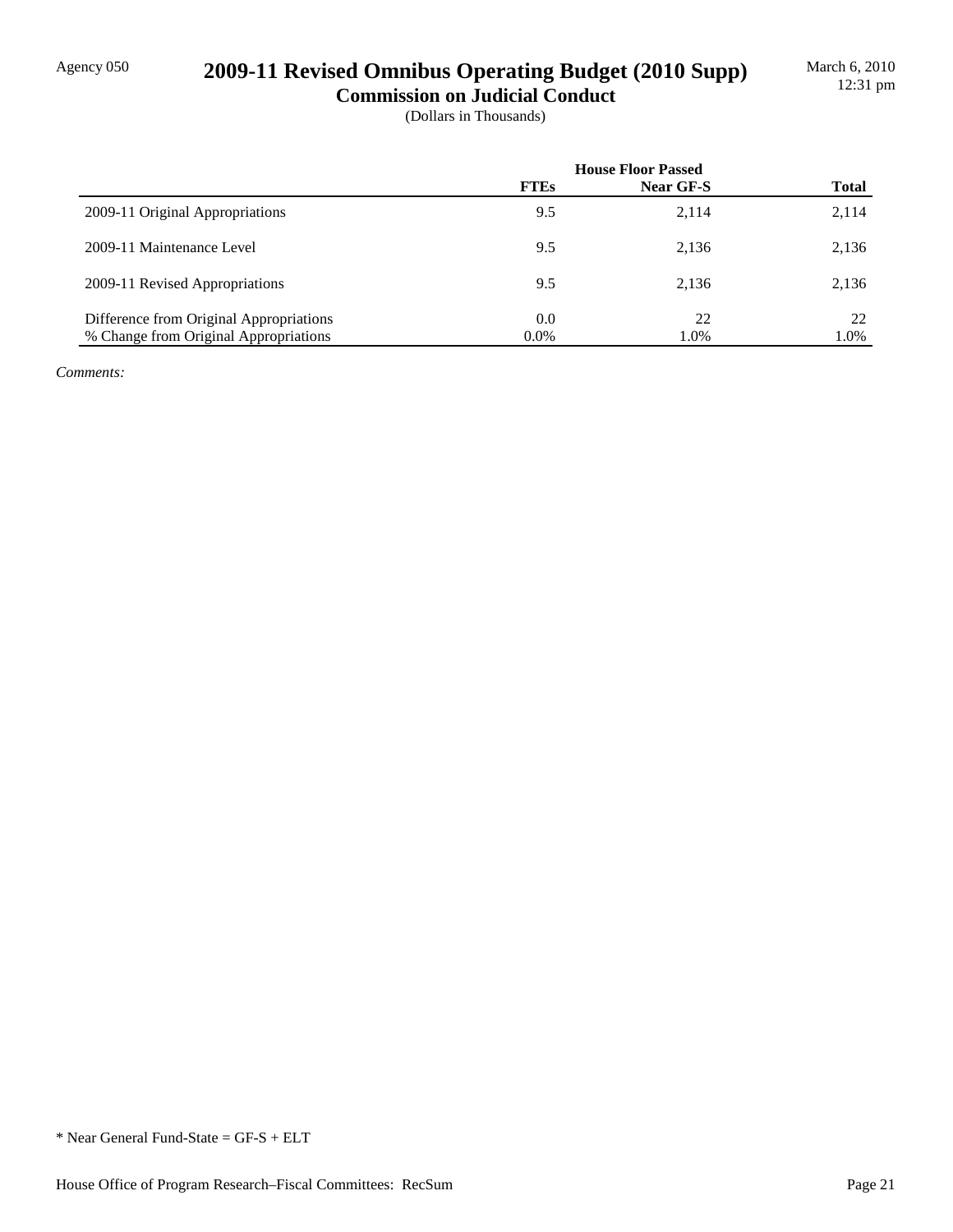## Agency 050 **2009-11 Revised Omnibus Operating Budget (2010 Supp)**

**Commission on Judicial Conduct** (Dollars in Thousands)

|                                         | <b>House Floor Passed</b> |                  |              |
|-----------------------------------------|---------------------------|------------------|--------------|
|                                         | <b>FTEs</b>               | <b>Near GF-S</b> | <b>Total</b> |
| 2009-11 Original Appropriations         | 9.5                       | 2,114            | 2,114        |
| 2009-11 Maintenance Level               | 9.5                       | 2,136            | 2,136        |
| 2009-11 Revised Appropriations          | 9.5                       | 2,136            | 2,136        |
| Difference from Original Appropriations | 0.0                       | 22               | 22           |
| % Change from Original Appropriations   | $0.0\%$                   | 1.0%             | 1.0%         |

*Comments:*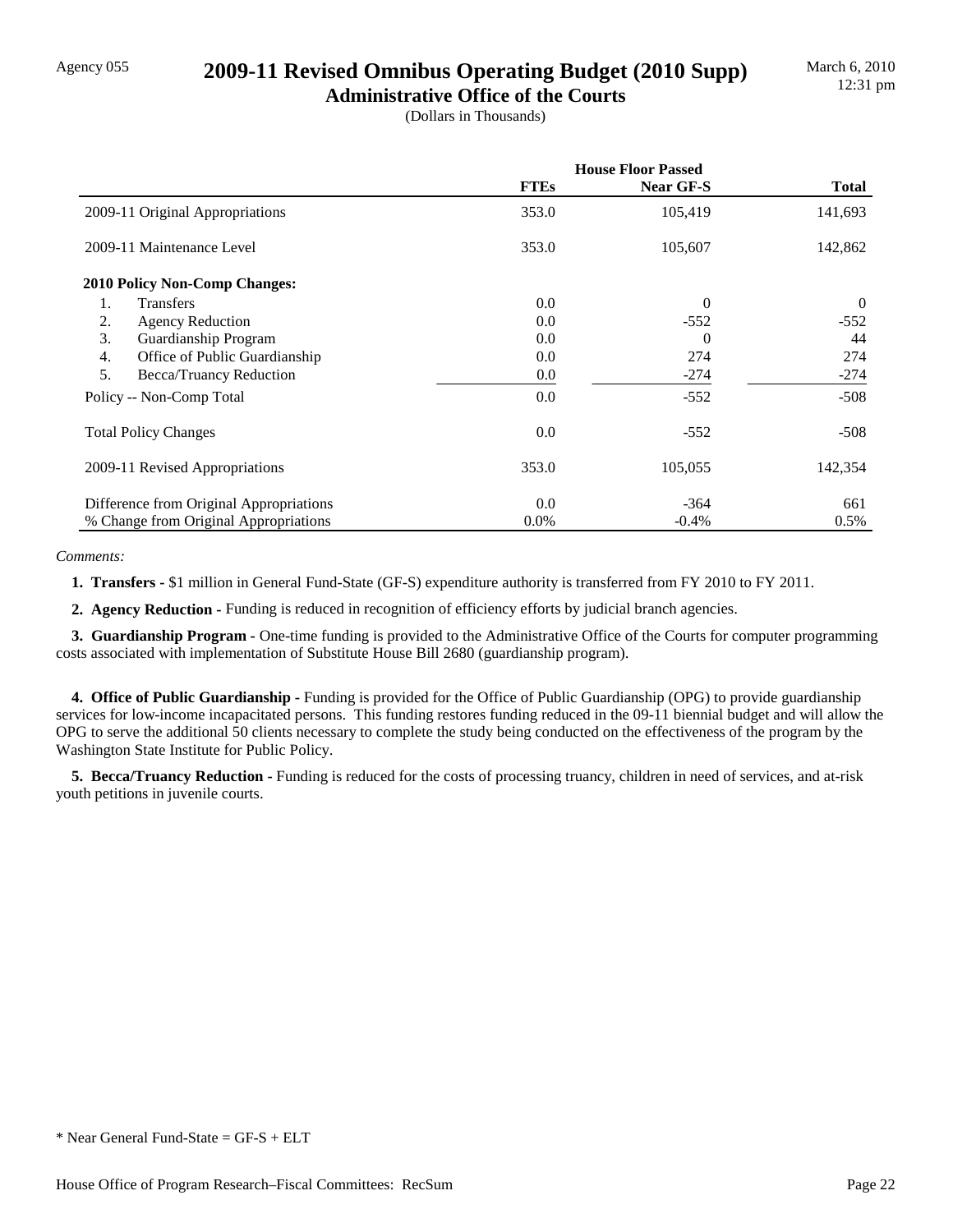### Agency 055 **2009-11 Revised Omnibus Operating Budget (2010 Supp)**

**Administrative Office of the Courts** (Dollars in Thousands)

|                                                   | <b>House Floor Passed</b> |           |                |
|---------------------------------------------------|---------------------------|-----------|----------------|
|                                                   | <b>FTEs</b>               | Near GF-S | <b>Total</b>   |
| 2009-11 Original Appropriations                   | 353.0                     | 105,419   | 141,693        |
| 2009-11 Maintenance Level                         | 353.0                     | 105,607   | 142,862        |
| 2010 Policy Non-Comp Changes:                     |                           |           |                |
| <b>Transfers</b><br>1.                            | 0.0                       | $\theta$  | $\overline{0}$ |
| 2.<br><b>Agency Reduction</b>                     | 0.0                       | $-552$    | $-552$         |
| 3.<br>Guardianship Program                        | 0.0                       | 0         | 44             |
| $\overline{4}$ .<br>Office of Public Guardianship | 0.0                       | 274       | 274            |
| 5.<br>Becca/Truancy Reduction                     | 0.0                       | $-274$    | $-274$         |
| Policy -- Non-Comp Total                          | 0.0                       | $-552$    | $-508$         |
| <b>Total Policy Changes</b>                       | 0.0                       | $-552$    | $-508$         |
| 2009-11 Revised Appropriations                    | 353.0                     | 105,055   | 142,354        |
| Difference from Original Appropriations           | 0.0                       | $-364$    | 661            |
| % Change from Original Appropriations             | $0.0\%$                   | $-0.4%$   | 0.5%           |

*Comments:*

 **1. Transfers -** \$1 million in General Fund-State (GF-S) expenditure authority is transferred from FY 2010 to FY 2011.

 **2. Agency Reduction -** Funding is reduced in recognition of efficiency efforts by judicial branch agencies.

 **3. Guardianship Program -** One-time funding is provided to the Administrative Office of the Courts for computer programming costs associated with implementation of Substitute House Bill 2680 (guardianship program).

 **4. Office of Public Guardianship -** Funding is provided for the Office of Public Guardianship (OPG) to provide guardianship services for low-income incapacitated persons. This funding restores funding reduced in the 09-11 biennial budget and will allow the OPG to serve the additional 50 clients necessary to complete the study being conducted on the effectiveness of the program by the Washington State Institute for Public Policy.

 **5. Becca/Truancy Reduction -** Funding is reduced for the costs of processing truancy, children in need of services, and at-risk youth petitions in juvenile courts.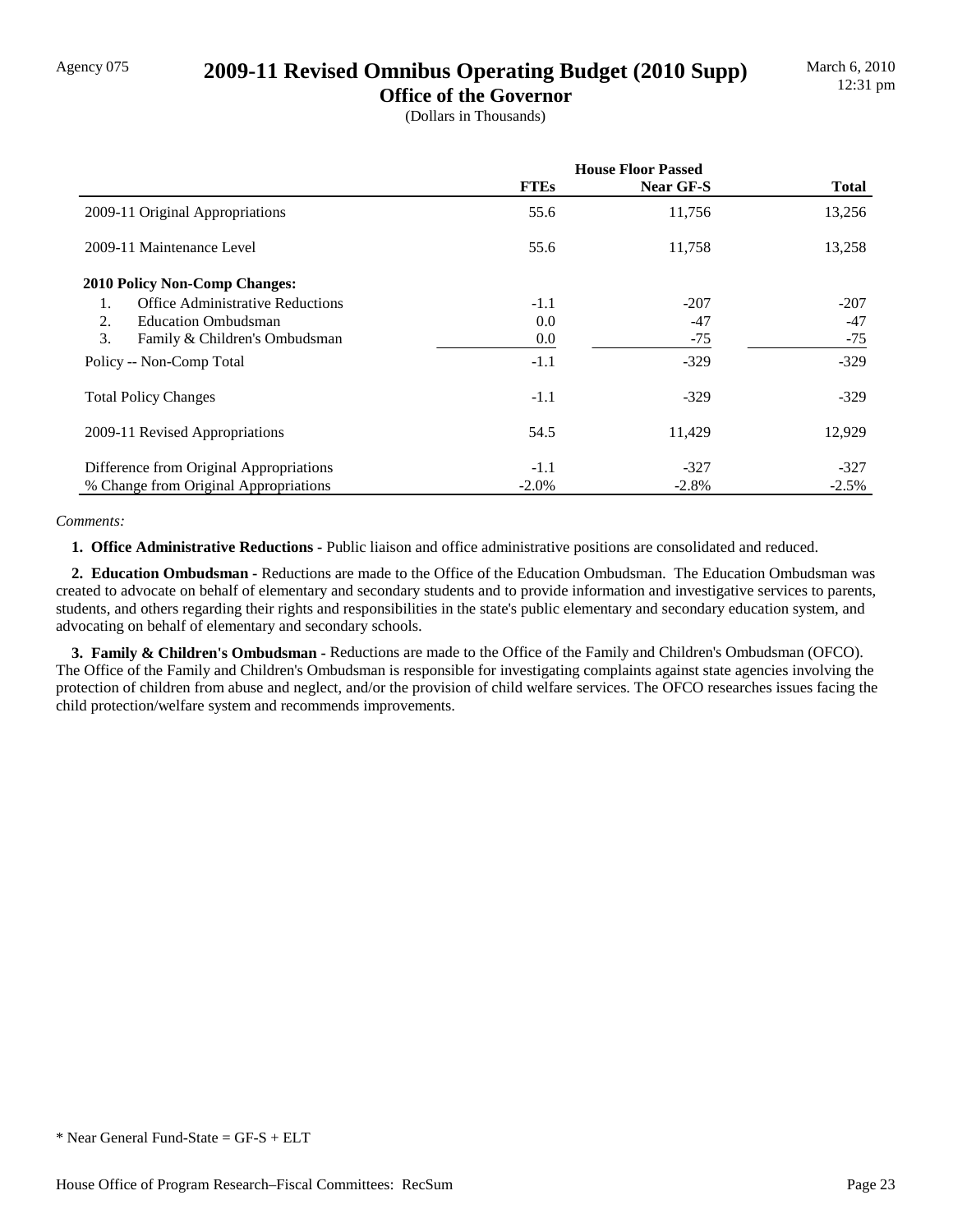## Agency 075 **2009-11 Revised Omnibus Operating Budget (2010 Supp)**

**Office of the Governor** (Dollars in Thousands)

|                                               | <b>House Floor Passed</b> |                  |              |
|-----------------------------------------------|---------------------------|------------------|--------------|
|                                               | <b>FTEs</b>               | <b>Near GF-S</b> | <b>Total</b> |
| 2009-11 Original Appropriations               | 55.6                      | 11,756           | 13,256       |
| 2009-11 Maintenance Level                     | 55.6                      | 11,758           | 13,258       |
| <b>2010 Policy Non-Comp Changes:</b>          |                           |                  |              |
| <b>Office Administrative Reductions</b><br>1. | $-1.1$                    | $-207$           | $-207$       |
| 2.<br><b>Education Ombudsman</b>              | 0.0                       | $-47$            | $-47$        |
| 3.<br>Family & Children's Ombudsman           | $0.0\,$                   | $-75$            | $-75$        |
| Policy -- Non-Comp Total                      | $-1.1$                    | $-329$           | $-329$       |
| <b>Total Policy Changes</b>                   | $-1.1$                    | $-329$           | $-329$       |
| 2009-11 Revised Appropriations                | 54.5                      | 11,429           | 12,929       |
| Difference from Original Appropriations       | $-1.1$                    | $-327$           | $-327$       |
| % Change from Original Appropriations         | $-2.0\%$                  | $-2.8%$          | $-2.5%$      |

#### *Comments:*

 **1. Office Administrative Reductions -** Public liaison and office administrative positions are consolidated and reduced.

 **2. Education Ombudsman -** Reductions are made to the Office of the Education Ombudsman. The Education Ombudsman was created to advocate on behalf of elementary and secondary students and to provide information and investigative services to parents, students, and others regarding their rights and responsibilities in the state's public elementary and secondary education system, and advocating on behalf of elementary and secondary schools.

 **3. Family & Children's Ombudsman -** Reductions are made to the Office of the Family and Children's Ombudsman (OFCO). The Office of the Family and Children's Ombudsman is responsible for investigating complaints against state agencies involving the protection of children from abuse and neglect, and/or the provision of child welfare services. The OFCO researches issues facing the child protection/welfare system and recommends improvements.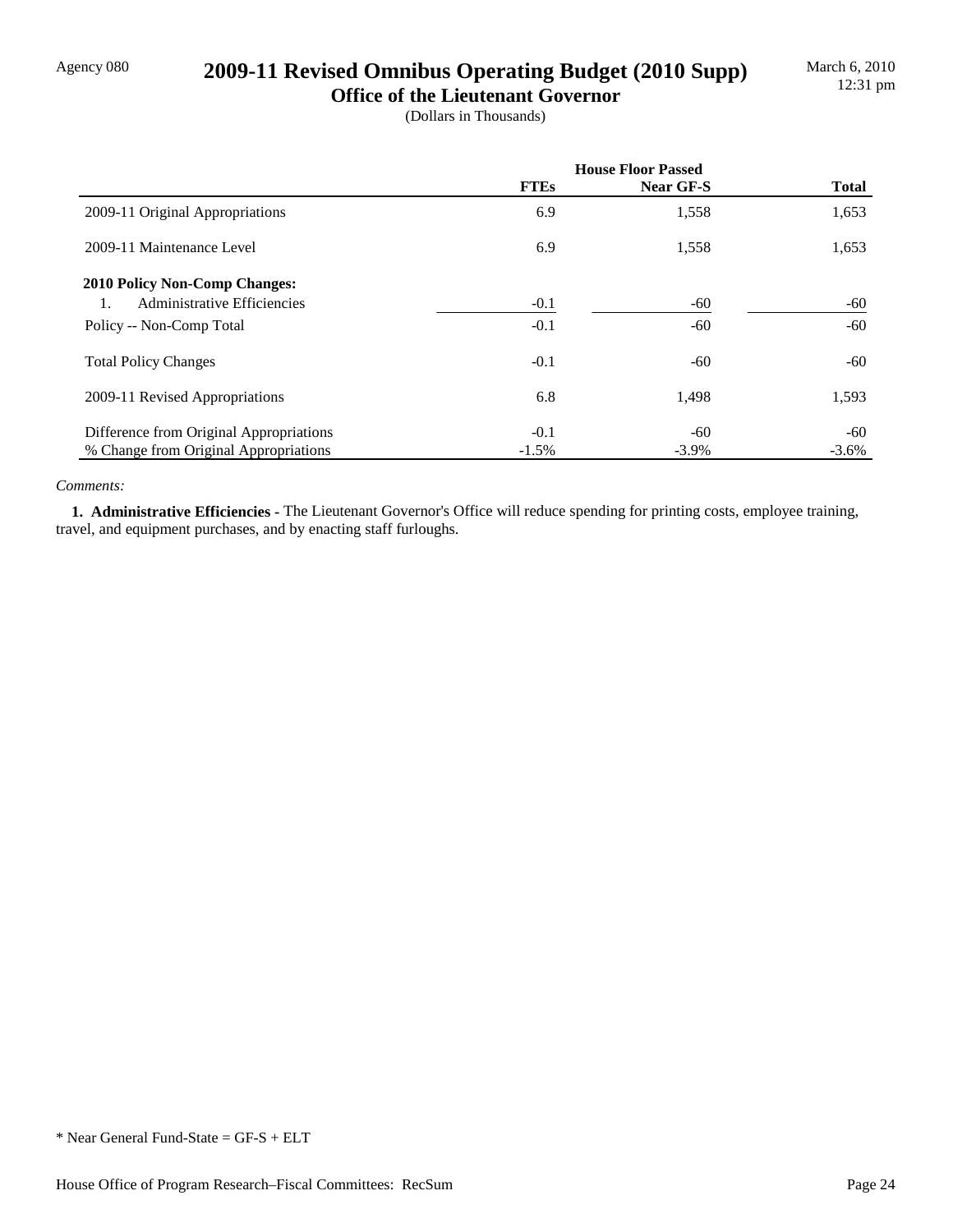## Agency 080 **2009-11 Revised Omnibus Operating Budget (2010 Supp)**

**Office of the Lieutenant Governor** (Dollars in Thousands)

|                                         | <b>House Floor Passed</b> |           |              |
|-----------------------------------------|---------------------------|-----------|--------------|
|                                         | <b>FTEs</b>               | Near GF-S | <b>Total</b> |
| 2009-11 Original Appropriations         | 6.9                       | 1,558     | 1,653        |
| 2009-11 Maintenance Level               | 6.9                       | 1,558     | 1,653        |
| <b>2010 Policy Non-Comp Changes:</b>    |                           |           |              |
| Administrative Efficiencies<br>1.       | $-0.1$                    | $-60$     | -60          |
| Policy -- Non-Comp Total                | $-0.1$                    | $-60$     | -60          |
| <b>Total Policy Changes</b>             | $-0.1$                    | $-60$     | -60          |
| 2009-11 Revised Appropriations          | 6.8                       | 1,498     | 1,593        |
| Difference from Original Appropriations | $-0.1$                    | -60       | -60          |
| % Change from Original Appropriations   | $-1.5\%$                  | $-3.9\%$  | $-3.6\%$     |

#### *Comments:*

 **1. Administrative Efficiencies -** The Lieutenant Governor's Office will reduce spending for printing costs, employee training, travel, and equipment purchases, and by enacting staff furloughs.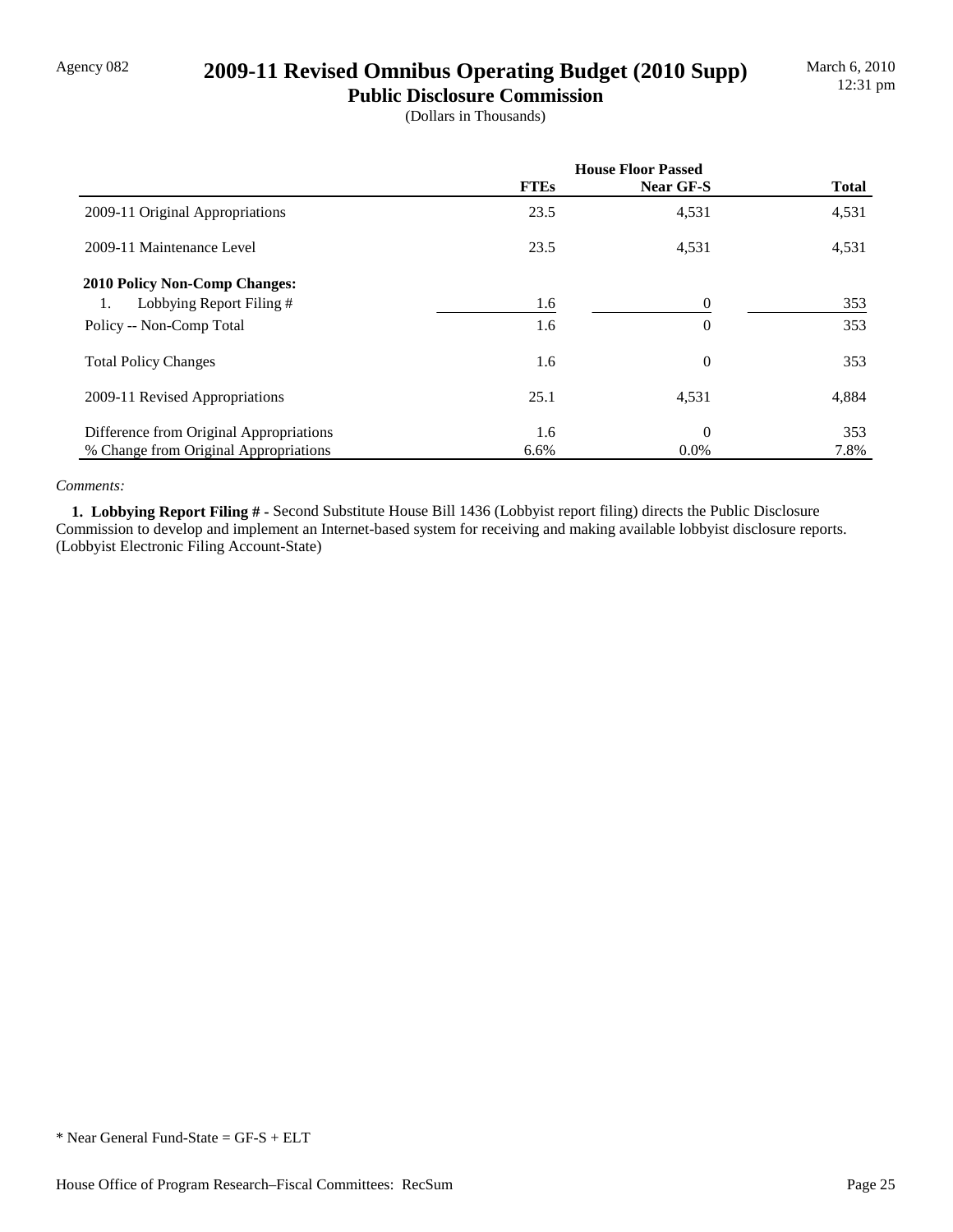## Agency 082 **2009-11 Revised Omnibus Operating Budget (2010 Supp)**

**Public Disclosure Commission** (Dollars in Thousands)

|                                         | <b>House Floor Passed</b> |                |              |  |
|-----------------------------------------|---------------------------|----------------|--------------|--|
|                                         | <b>FTEs</b>               | Near GF-S      | <b>Total</b> |  |
| 2009-11 Original Appropriations         | 23.5                      | 4,531          | 4,531        |  |
| 2009-11 Maintenance Level               | 23.5                      | 4,531          | 4,531        |  |
| <b>2010 Policy Non-Comp Changes:</b>    |                           |                |              |  |
| Lobbying Report Filing #<br>1.          | 1.6                       | $\theta$       | 353          |  |
| Policy -- Non-Comp Total                | 1.6                       | $\overline{0}$ | 353          |  |
| <b>Total Policy Changes</b>             | 1.6                       | $\theta$       | 353          |  |
| 2009-11 Revised Appropriations          | 25.1                      | 4,531          | 4,884        |  |
| Difference from Original Appropriations | 1.6                       | $\theta$       | 353          |  |
| % Change from Original Appropriations   | 6.6%                      | $0.0\%$        | 7.8%         |  |

#### *Comments:*

 **1. Lobbying Report Filing # -** Second Substitute House Bill 1436 (Lobbyist report filing) directs the Public Disclosure Commission to develop and implement an Internet-based system for receiving and making available lobbyist disclosure reports. (Lobbyist Electronic Filing Account-State)

<sup>\*</sup> Near General Fund-State = GF-S + ELT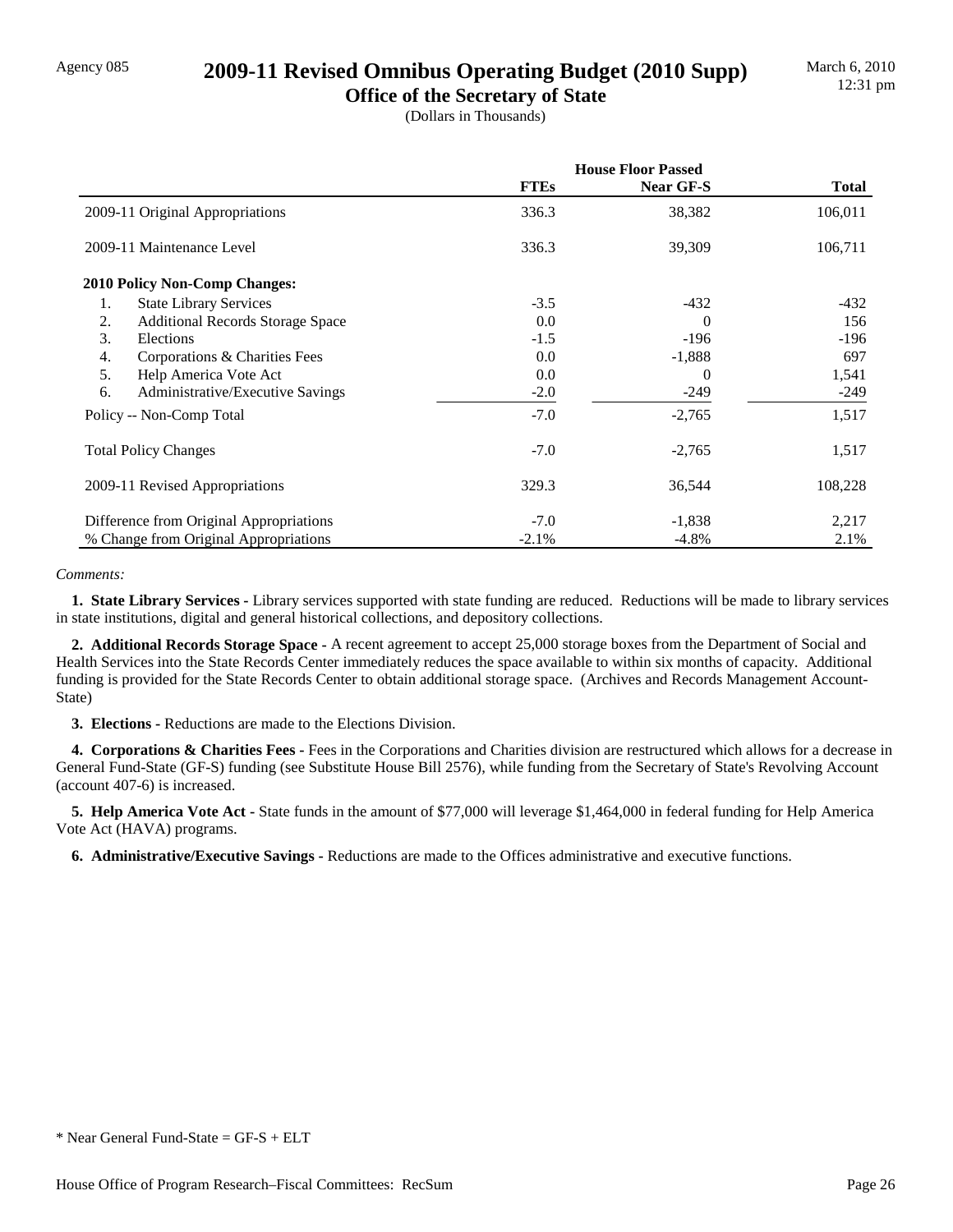### Agency 085 **2009-11 Revised Omnibus Operating Budget (2010 Supp)**

**Office of the Secretary of State** (Dollars in Thousands)

|                                                   | <b>House Floor Passed</b> |           |              |
|---------------------------------------------------|---------------------------|-----------|--------------|
|                                                   | <b>FTEs</b>               | Near GF-S | <b>Total</b> |
| 2009-11 Original Appropriations                   | 336.3                     | 38,382    | 106,011      |
| 2009-11 Maintenance Level                         | 336.3                     | 39,309    | 106,711      |
| <b>2010 Policy Non-Comp Changes:</b>              |                           |           |              |
| 1.<br><b>State Library Services</b>               | $-3.5$                    | $-432$    | -432         |
| 2.<br><b>Additional Records Storage Space</b>     | 0.0                       | $\Omega$  | 156          |
| 3.<br>Elections                                   | $-1.5$                    | $-196$    | -196         |
| $\overline{4}$ .<br>Corporations & Charities Fees | 0.0                       | $-1,888$  | 697          |
| 5.<br>Help America Vote Act                       | 0.0                       | $\Omega$  | 1,541        |
| 6.<br>Administrative/Executive Savings            | $-2.0$                    | $-249$    | -249         |
| Policy -- Non-Comp Total                          | $-7.0$                    | $-2,765$  | 1,517        |
| <b>Total Policy Changes</b>                       | $-7.0$                    | $-2,765$  | 1,517        |
| 2009-11 Revised Appropriations                    | 329.3                     | 36,544    | 108,228      |
| Difference from Original Appropriations           | $-7.0$                    | $-1,838$  | 2,217        |
| % Change from Original Appropriations             | $-2.1%$                   | $-4.8\%$  | 2.1%         |

#### *Comments:*

 **1. State Library Services -** Library services supported with state funding are reduced. Reductions will be made to library services in state institutions, digital and general historical collections, and depository collections.

 **2. Additional Records Storage Space -** A recent agreement to accept 25,000 storage boxes from the Department of Social and Health Services into the State Records Center immediately reduces the space available to within six months of capacity. Additional funding is provided for the State Records Center to obtain additional storage space. (Archives and Records Management Account-State)

 **3. Elections -** Reductions are made to the Elections Division.

 **4. Corporations & Charities Fees -** Fees in the Corporations and Charities division are restructured which allows for a decrease in General Fund-State (GF-S) funding (see Substitute House Bill 2576), while funding from the Secretary of State's Revolving Account (account 407-6) is increased.

 **5. Help America Vote Act -** State funds in the amount of \$77,000 will leverage \$1,464,000 in federal funding for Help America Vote Act (HAVA) programs.

 **6. Administrative/Executive Savings -** Reductions are made to the Offices administrative and executive functions.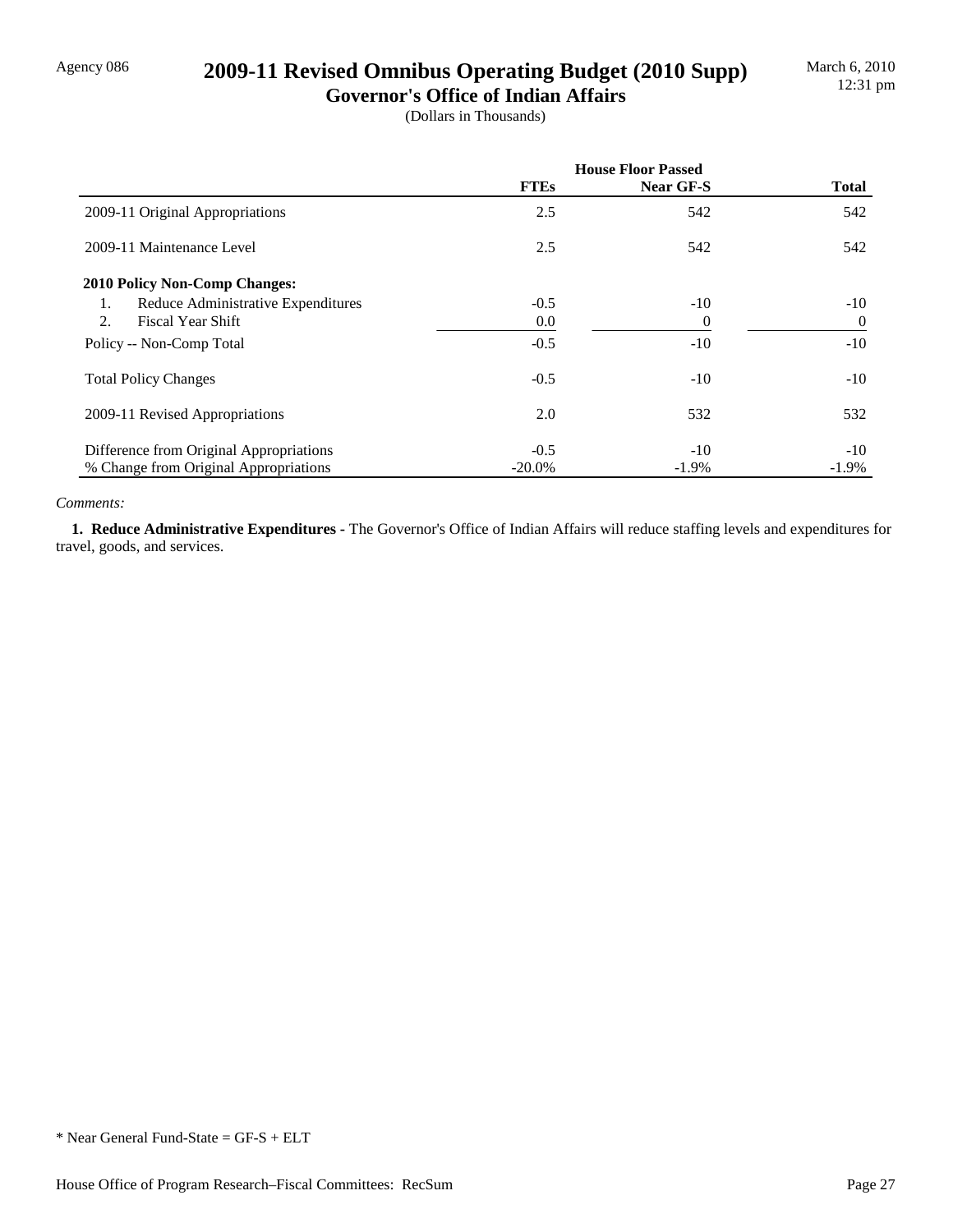## Agency 086 **2009-11 Revised Omnibus Operating Budget (2010 Supp)**

**Governor's Office of Indian Affairs** (Dollars in Thousands)

|                                          | <b>House Floor Passed</b> |           |                |
|------------------------------------------|---------------------------|-----------|----------------|
|                                          | <b>FTEs</b>               | Near GF-S | <b>Total</b>   |
| 2009-11 Original Appropriations          | 2.5                       | 542       | 542            |
| 2009-11 Maintenance Level                | 2.5                       | 542       | 542            |
| <b>2010 Policy Non-Comp Changes:</b>     |                           |           |                |
| Reduce Administrative Expenditures<br>1. | $-0.5$                    | $-10$     | $-10$          |
| 2.<br><b>Fiscal Year Shift</b>           | 0.0                       | $\theta$  | $\overline{0}$ |
| Policy -- Non-Comp Total                 | $-0.5$                    | $-10$     | $-10$          |
| <b>Total Policy Changes</b>              | $-0.5$                    | $-10$     | $-10$          |
| 2009-11 Revised Appropriations           | 2.0                       | 532       | 532            |
| Difference from Original Appropriations  | $-0.5$                    | $-10$     | $-10$          |
| % Change from Original Appropriations    | $-20.0\%$                 | $-1.9\%$  | $-1.9\%$       |

#### *Comments:*

 **1. Reduce Administrative Expenditures -** The Governor's Office of Indian Affairs will reduce staffing levels and expenditures for travel, goods, and services.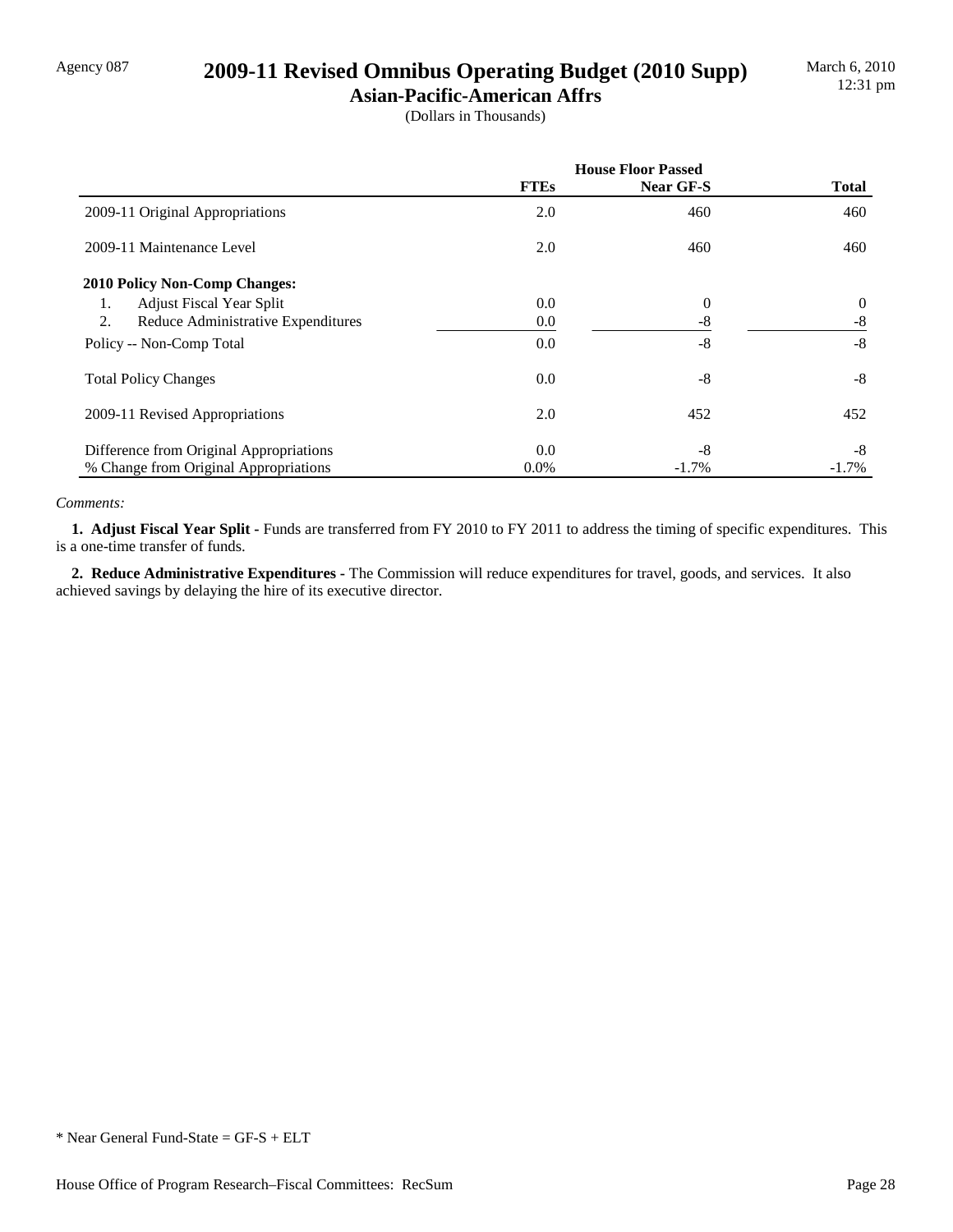## Agency 087 **2009-11 Revised Omnibus Operating Budget (2010 Supp)**

**Asian-Pacific-American Affrs** (Dollars in Thousands)

|                                          | <b>House Floor Passed</b> |           |              |
|------------------------------------------|---------------------------|-----------|--------------|
|                                          | <b>FTEs</b>               | Near GF-S | <b>Total</b> |
| 2009-11 Original Appropriations          | 2.0                       | 460       | 460          |
| 2009-11 Maintenance Level                | 2.0                       | 460       | 460          |
| <b>2010 Policy Non-Comp Changes:</b>     |                           |           |              |
| <b>Adjust Fiscal Year Split</b><br>1.    | 0.0                       | $\theta$  | $\theta$     |
| 2.<br>Reduce Administrative Expenditures | 0.0                       | $-8$      | $-8$         |
| Policy -- Non-Comp Total                 | 0.0                       | $-8$      | $-8$         |
| <b>Total Policy Changes</b>              | 0.0                       | -8        | $-8$         |
| 2009-11 Revised Appropriations           | 2.0                       | 452       | 452          |
| Difference from Original Appropriations  | 0.0                       | $-8$      | $-8$         |
| % Change from Original Appropriations    | $0.0\%$                   | $-1.7\%$  | $-1.7\%$     |

#### *Comments:*

 **1. Adjust Fiscal Year Split -** Funds are transferred from FY 2010 to FY 2011 to address the timing of specific expenditures. This is a one-time transfer of funds.

 **2. Reduce Administrative Expenditures -** The Commission will reduce expenditures for travel, goods, and services. It also achieved savings by delaying the hire of its executive director.

<sup>\*</sup> Near General Fund-State = GF-S + ELT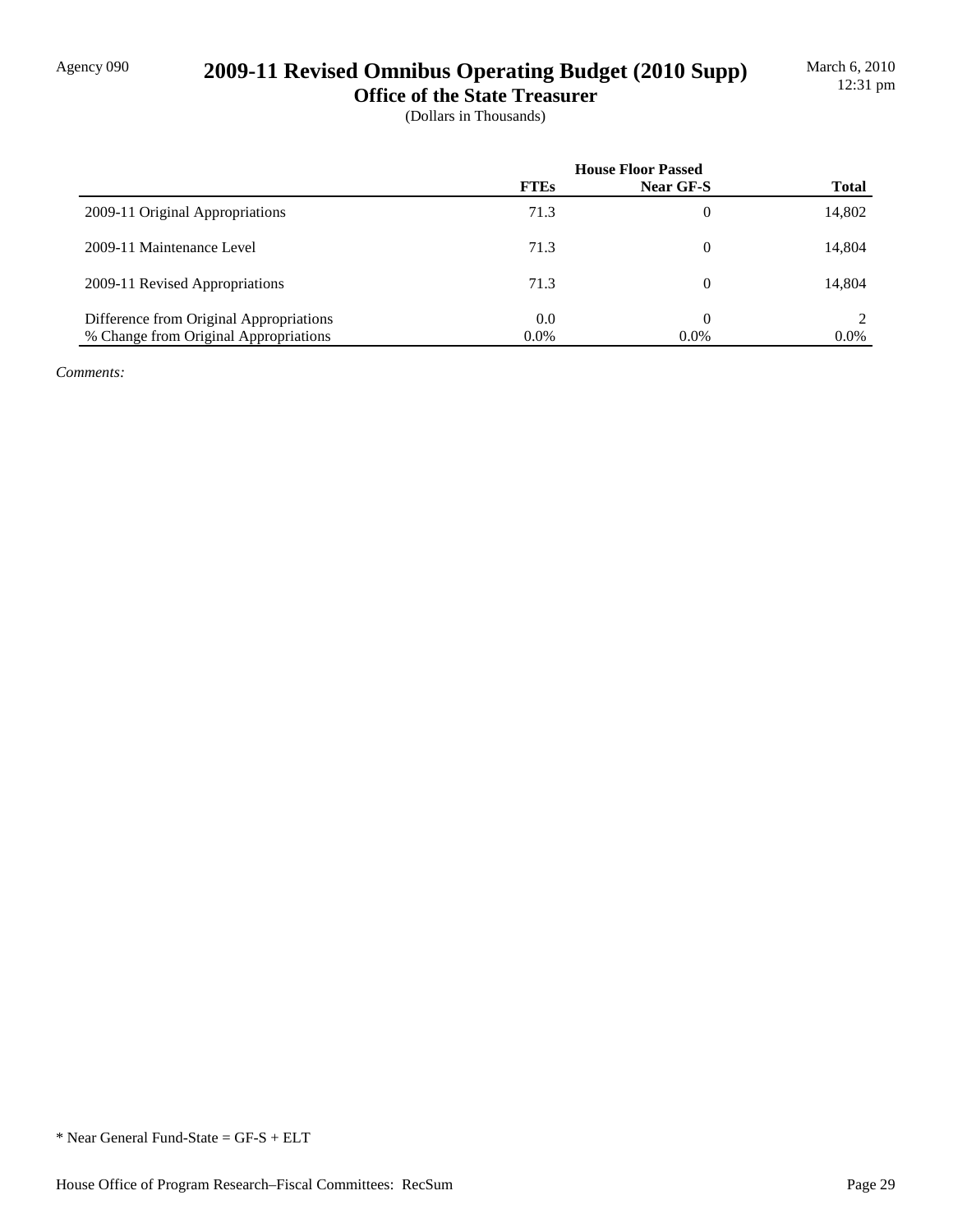# Agency 090 **2009-11 Revised Omnibus Operating Budget (2010 Supp)**

**Office of the State Treasurer** (Dollars in Thousands)

|                                         | <b>House Floor Passed</b> |                  |              |
|-----------------------------------------|---------------------------|------------------|--------------|
|                                         | <b>FTEs</b>               | <b>Near GF-S</b> | <b>Total</b> |
| 2009-11 Original Appropriations         | 71.3                      | $\Omega$         | 14,802       |
| 2009-11 Maintenance Level               | 71.3                      | $\theta$         | 14,804       |
| 2009-11 Revised Appropriations          | 71.3                      | $\theta$         | 14,804       |
| Difference from Original Appropriations | 0.0                       | $\Omega$         | 2            |
| % Change from Original Appropriations   | 0.0%                      | 0.0%             | $0.0\%$      |

*Comments:*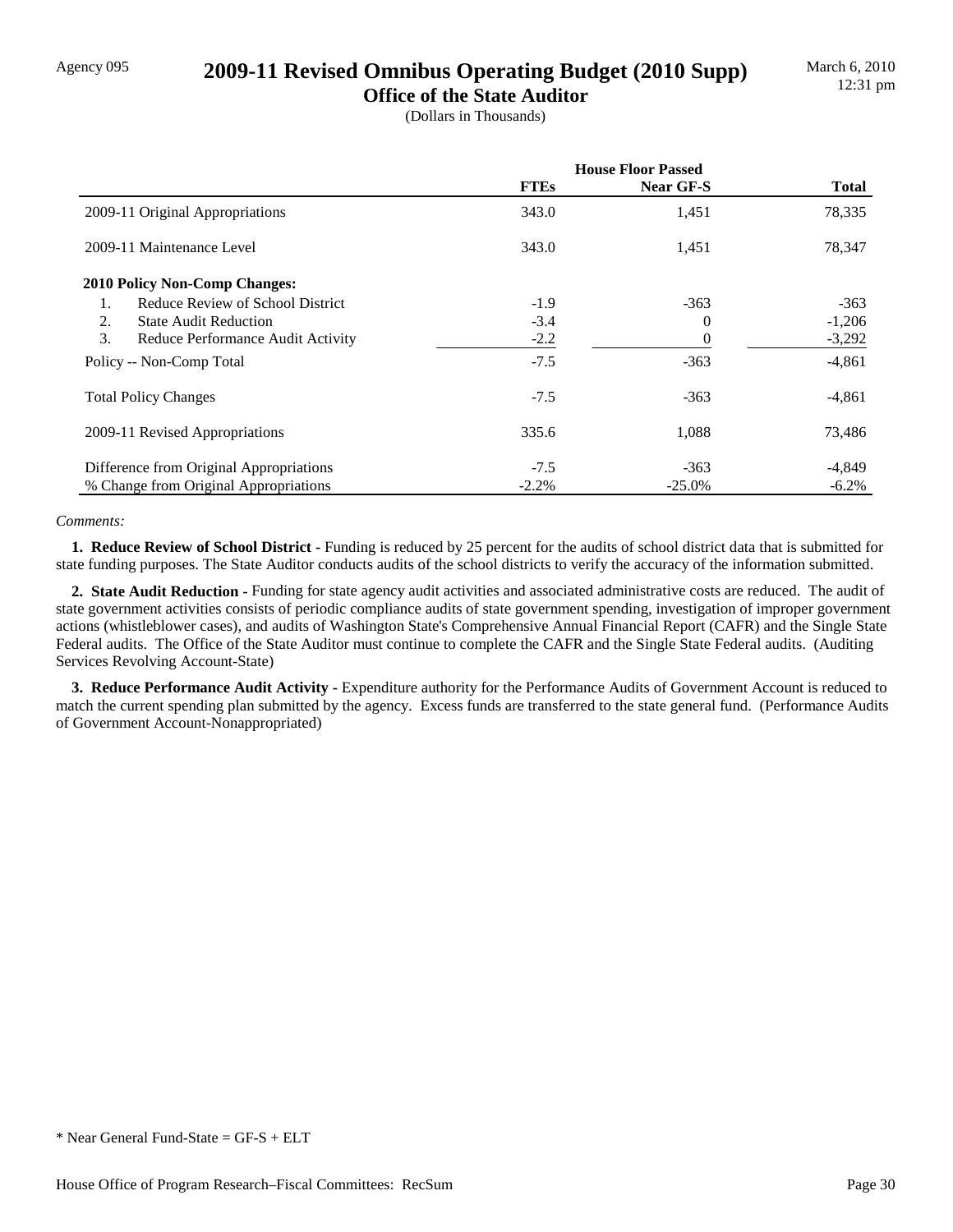## Agency 095 **2009-11 Revised Omnibus Operating Budget (2010 Supp)**

**Office of the State Auditor** (Dollars in Thousands)

|                                         | <b>House Floor Passed</b> |                  |              |
|-----------------------------------------|---------------------------|------------------|--------------|
|                                         | <b>FTEs</b>               | <b>Near GF-S</b> | <b>Total</b> |
| 2009-11 Original Appropriations         | 343.0                     | 1,451            | 78,335       |
| 2009-11 Maintenance Level               | 343.0                     | 1,451            | 78,347       |
| 2010 Policy Non-Comp Changes:           |                           |                  |              |
| Reduce Review of School District        | $-1.9$                    | $-363$           | $-363$       |
| 2.<br><b>State Audit Reduction</b>      | $-3.4$                    | 0                | $-1,206$     |
| 3.<br>Reduce Performance Audit Activity | $-2.2$                    | 0                | $-3,292$     |
| Policy -- Non-Comp Total                | $-7.5$                    | $-363$           | $-4,861$     |
| <b>Total Policy Changes</b>             | $-7.5$                    | $-363$           | $-4,861$     |
| 2009-11 Revised Appropriations          | 335.6                     | 1,088            | 73,486       |
| Difference from Original Appropriations | $-7.5$                    | $-363$           | $-4,849$     |
| % Change from Original Appropriations   | $-2.2%$                   | $-25.0\%$        | $-6.2%$      |

#### *Comments:*

 **1. Reduce Review of School District -** Funding is reduced by 25 percent for the audits of school district data that is submitted for state funding purposes. The State Auditor conducts audits of the school districts to verify the accuracy of the information submitted.

 **2. State Audit Reduction -** Funding for state agency audit activities and associated administrative costs are reduced. The audit of state government activities consists of periodic compliance audits of state government spending, investigation of improper government actions (whistleblower cases), and audits of Washington State's Comprehensive Annual Financial Report (CAFR) and the Single State Federal audits. The Office of the State Auditor must continue to complete the CAFR and the Single State Federal audits. (Auditing Services Revolving Account-State)

 **3. Reduce Performance Audit Activity -** Expenditure authority for the Performance Audits of Government Account is reduced to match the current spending plan submitted by the agency. Excess funds are transferred to the state general fund. (Performance Audits of Government Account-Nonappropriated)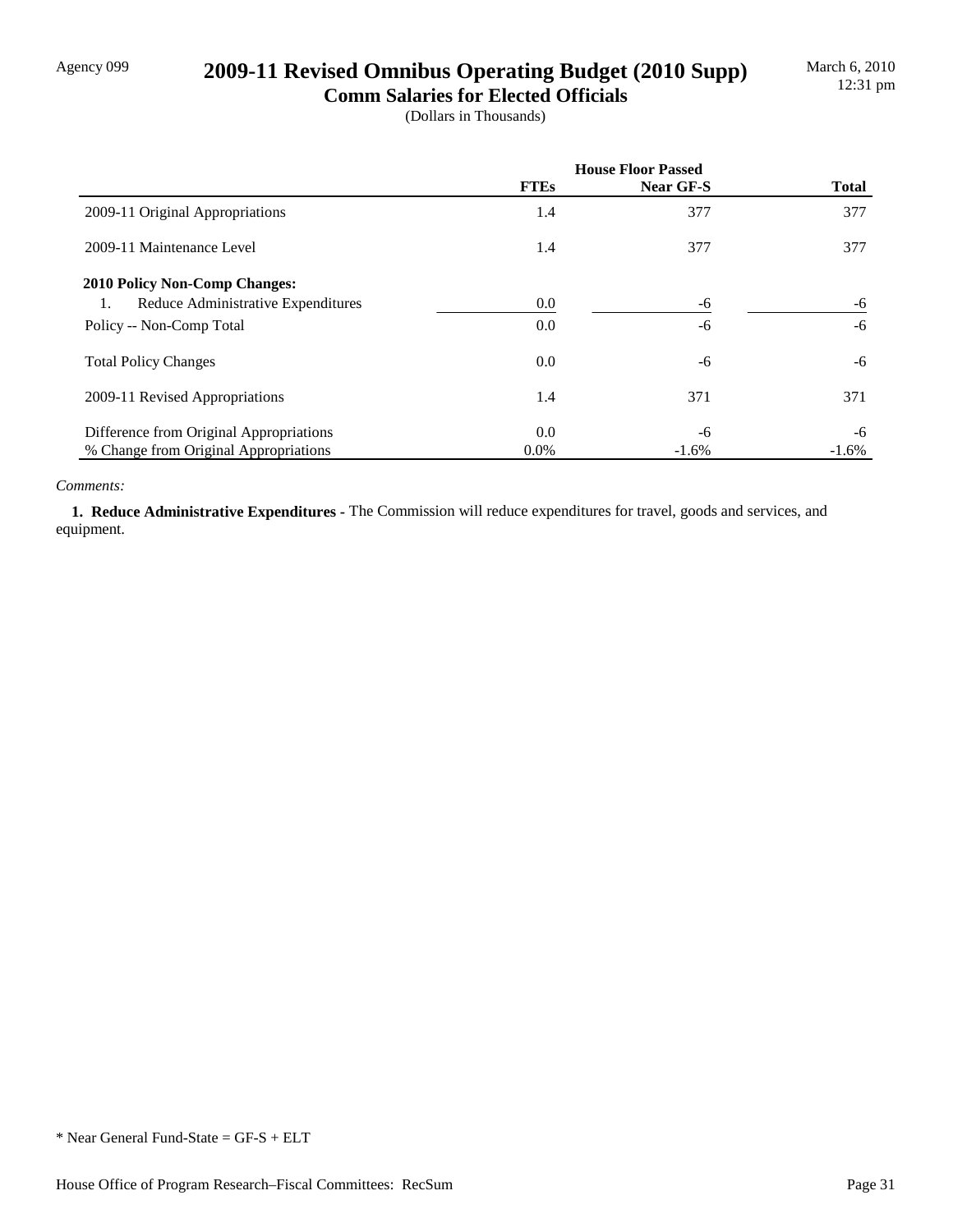## Agency 099 **2009-11 Revised Omnibus Operating Budget (2010 Supp)**

**Comm Salaries for Elected Officials** (Dollars in Thousands)

|                                         | <b>House Floor Passed</b> |           |              |
|-----------------------------------------|---------------------------|-----------|--------------|
|                                         | <b>FTEs</b>               | Near GF-S | <b>Total</b> |
| 2009-11 Original Appropriations         | 1.4                       | 377       | 377          |
| 2009-11 Maintenance Level               | 1.4                       | 377       | 377          |
| <b>2010 Policy Non-Comp Changes:</b>    |                           |           |              |
| Reduce Administrative Expenditures      | 0.0                       | -6        | -6           |
| Policy -- Non-Comp Total                | 0.0                       | -6        | $-6$         |
| <b>Total Policy Changes</b>             | 0.0                       | -6        | -6           |
| 2009-11 Revised Appropriations          | 1.4                       | 371       | 371          |
| Difference from Original Appropriations | 0.0                       | -6        | -6           |
| % Change from Original Appropriations   | $0.0\%$                   | $-1.6%$   | $-1.6%$      |

#### *Comments:*

 **1. Reduce Administrative Expenditures -** The Commission will reduce expenditures for travel, goods and services, and equipment.

<sup>\*</sup> Near General Fund-State = GF-S + ELT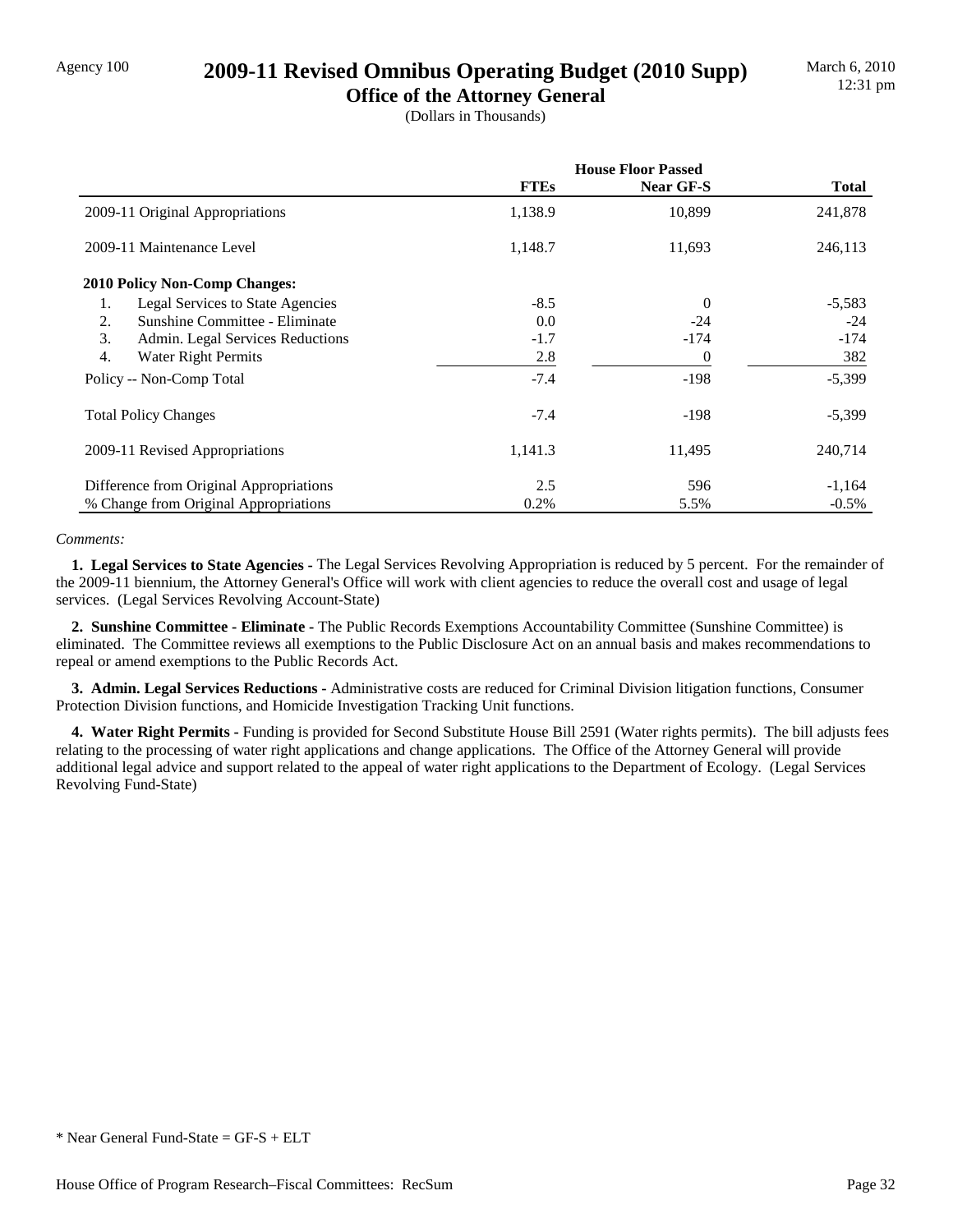### Agency 100 **2009-11 Revised Omnibus Operating Budget (2010 Supp)**

**Office of the Attorney General** (Dollars in Thousands)

|                                         | <b>House Floor Passed</b> |           |              |
|-----------------------------------------|---------------------------|-----------|--------------|
|                                         | <b>FTEs</b>               | Near GF-S | <b>Total</b> |
| 2009-11 Original Appropriations         | 1,138.9                   | 10,899    | 241,878      |
| 2009-11 Maintenance Level               | 1,148.7                   | 11,693    | 246,113      |
| 2010 Policy Non-Comp Changes:           |                           |           |              |
| Legal Services to State Agencies<br>1.  | $-8.5$                    | 0         | $-5,583$     |
| Sunshine Committee - Eliminate<br>2.    | 0.0                       | $-24$     | $-24$        |
| 3.<br>Admin. Legal Services Reductions  | $-1.7$                    | $-174$    | $-174$       |
| 4.<br><b>Water Right Permits</b>        | 2.8                       | 0         | 382          |
| Policy -- Non-Comp Total                | $-7.4$                    | $-198$    | $-5,399$     |
| <b>Total Policy Changes</b>             | $-7.4$                    | -198      | $-5,399$     |
| 2009-11 Revised Appropriations          | 1,141.3                   | 11,495    | 240,714      |
| Difference from Original Appropriations | 2.5                       | 596       | $-1,164$     |
| % Change from Original Appropriations   | 0.2%                      | 5.5%      | $-0.5\%$     |

#### *Comments:*

 **1. Legal Services to State Agencies -** The Legal Services Revolving Appropriation is reduced by 5 percent. For the remainder of the 2009-11 biennium, the Attorney General's Office will work with client agencies to reduce the overall cost and usage of legal services. (Legal Services Revolving Account-State)

 **2. Sunshine Committee - Eliminate -** The Public Records Exemptions Accountability Committee (Sunshine Committee) is eliminated. The Committee reviews all exemptions to the Public Disclosure Act on an annual basis and makes recommendations to repeal or amend exemptions to the Public Records Act.

 **3. Admin. Legal Services Reductions -** Administrative costs are reduced for Criminal Division litigation functions, Consumer Protection Division functions, and Homicide Investigation Tracking Unit functions.

 **4. Water Right Permits -** Funding is provided for Second Substitute House Bill 2591 (Water rights permits). The bill adjusts fees relating to the processing of water right applications and change applications. The Office of the Attorney General will provide additional legal advice and support related to the appeal of water right applications to the Department of Ecology. (Legal Services Revolving Fund-State)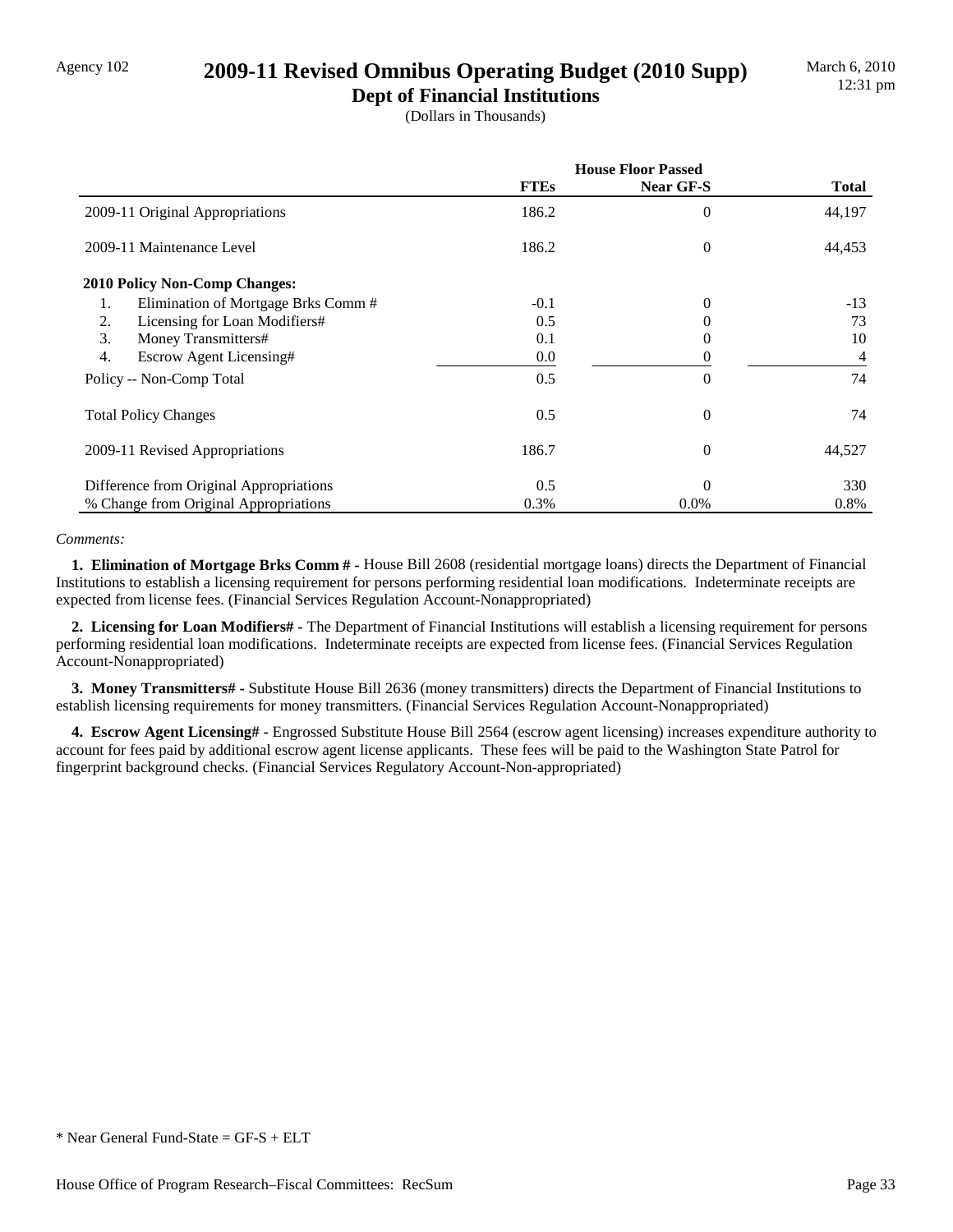## Agency 102 **2009-11 Revised Omnibus Operating Budget (2010 Supp)**

**Dept of Financial Institutions** (Dollars in Thousands)

|                                             | <b>House Floor Passed</b> |                |                |
|---------------------------------------------|---------------------------|----------------|----------------|
|                                             | <b>FTEs</b>               | Near GF-S      | <b>Total</b>   |
| 2009-11 Original Appropriations             | 186.2                     | $\theta$       | 44,197         |
| 2009-11 Maintenance Level                   | 186.2                     | $\theta$       | 44,453         |
| 2010 Policy Non-Comp Changes:               |                           |                |                |
| Elimination of Mortgage Brks Comm #<br>1.   | $-0.1$                    | $\overline{0}$ | $-13$          |
| Licensing for Loan Modifiers#<br>2.         | 0.5                       |                | 73             |
| 3.<br>Money Transmitters#                   | 0.1                       | 0              | 10             |
| $\overline{4}$ .<br>Escrow Agent Licensing# | $0.0\,$                   |                | $\overline{4}$ |
| Policy -- Non-Comp Total                    | 0.5                       | $\theta$       | 74             |
| <b>Total Policy Changes</b>                 | 0.5                       | $\theta$       | 74             |
| 2009-11 Revised Appropriations              | 186.7                     | $\theta$       | 44,527         |
| Difference from Original Appropriations     | 0.5                       | $\Omega$       | 330            |
| % Change from Original Appropriations       | 0.3%                      | $0.0\%$        | 0.8%           |

#### *Comments:*

 **1. Elimination of Mortgage Brks Comm # -** House Bill 2608 (residential mortgage loans) directs the Department of Financial Institutions to establish a licensing requirement for persons performing residential loan modifications. Indeterminate receipts are expected from license fees. (Financial Services Regulation Account-Nonappropriated)

 **2. Licensing for Loan Modifiers# -** The Department of Financial Institutions will establish a licensing requirement for persons performing residential loan modifications. Indeterminate receipts are expected from license fees. (Financial Services Regulation Account-Nonappropriated)

 **3. Money Transmitters# -** Substitute House Bill 2636 (money transmitters) directs the Department of Financial Institutions to establish licensing requirements for money transmitters. (Financial Services Regulation Account-Nonappropriated)

 **4. Escrow Agent Licensing# -** Engrossed Substitute House Bill 2564 (escrow agent licensing) increases expenditure authority to account for fees paid by additional escrow agent license applicants. These fees will be paid to the Washington State Patrol for fingerprint background checks. (Financial Services Regulatory Account-Non-appropriated)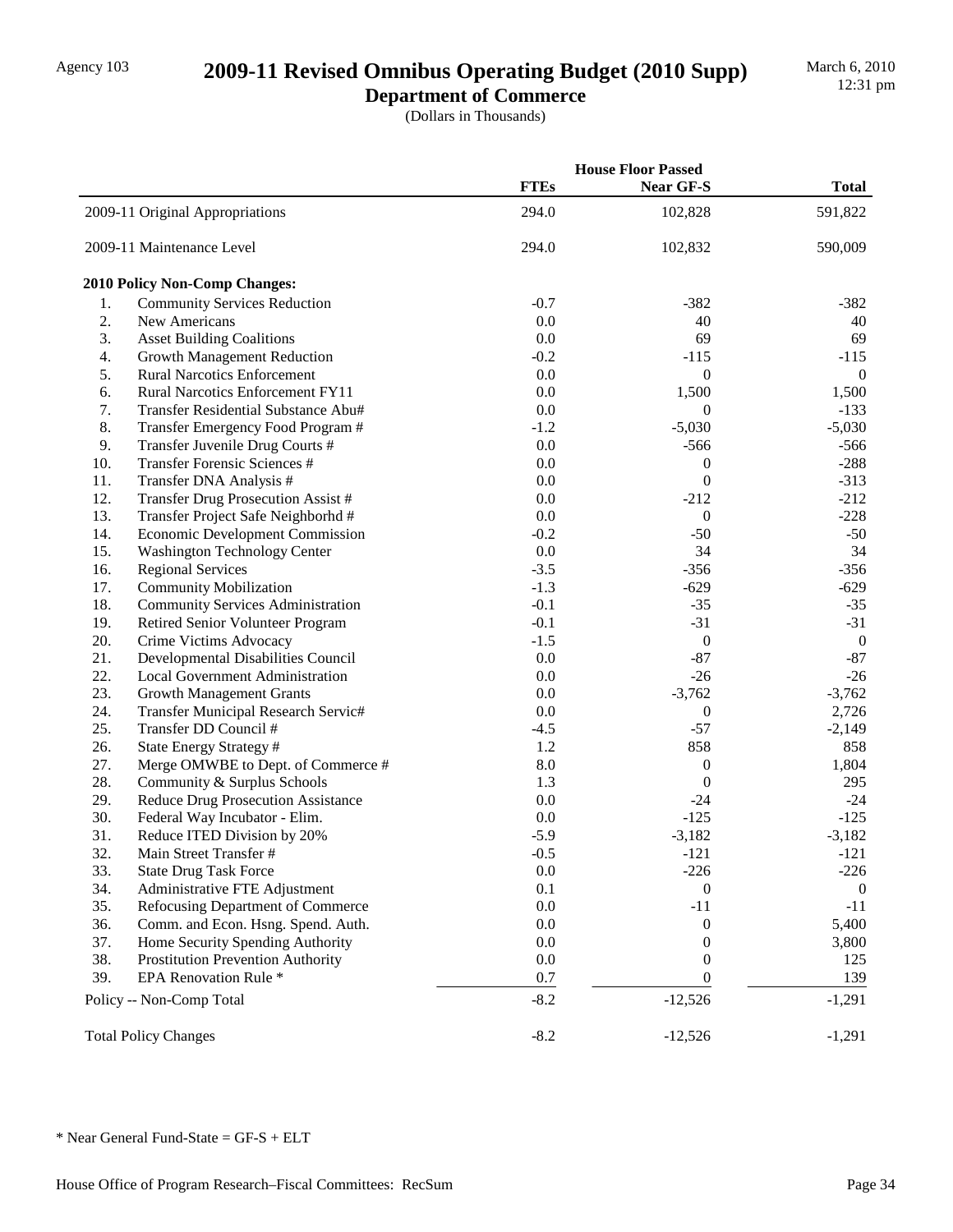## Agency 103 **2009-11 Revised Omnibus Operating Budget (2010 Supp)**

**Department of Commerce**

|     |                                          | <b>House Floor Passed</b> |                  |              |
|-----|------------------------------------------|---------------------------|------------------|--------------|
|     |                                          | <b>FTEs</b>               | Near GF-S        | <b>Total</b> |
|     | 2009-11 Original Appropriations          | 294.0                     | 102,828          | 591,822      |
|     | 2009-11 Maintenance Level                | 294.0                     | 102,832          | 590,009      |
|     | 2010 Policy Non-Comp Changes:            |                           |                  |              |
| 1.  | <b>Community Services Reduction</b>      | $-0.7$                    | $-382$           | $-382$       |
| 2.  | New Americans                            | 0.0                       | 40               | 40           |
| 3.  | <b>Asset Building Coalitions</b>         | 0.0                       | 69               | 69           |
| 4.  | <b>Growth Management Reduction</b>       | $-0.2$                    | $-115$           | $-115$       |
| 5.  | <b>Rural Narcotics Enforcement</b>       | 0.0                       | $\boldsymbol{0}$ | $\theta$     |
| 6.  | Rural Narcotics Enforcement FY11         | 0.0                       | 1,500            | 1,500        |
| 7.  | Transfer Residential Substance Abu#      | 0.0                       | $\boldsymbol{0}$ | $-133$       |
| 8.  | Transfer Emergency Food Program #        | $-1.2$                    | $-5,030$         | $-5,030$     |
| 9.  | Transfer Juvenile Drug Courts #          | 0.0                       | $-566$           | $-566$       |
| 10. | <b>Transfer Forensic Sciences #</b>      | 0.0                       | $\boldsymbol{0}$ | $-288$       |
| 11. | Transfer DNA Analysis #                  | 0.0                       | $\boldsymbol{0}$ | $-313$       |
| 12. | Transfer Drug Prosecution Assist #       | 0.0                       | $-212$           | $-212$       |
| 13. | Transfer Project Safe Neighborhd #       | 0.0                       | $\boldsymbol{0}$ | $-228$       |
| 14. | <b>Economic Development Commission</b>   | $-0.2$                    | $-50$            | $-50$        |
| 15. | <b>Washington Technology Center</b>      | 0.0                       | 34               | 34           |
| 16. | <b>Regional Services</b>                 | $-3.5$                    | $-356$           | $-356$       |
| 17. | <b>Community Mobilization</b>            | $-1.3$                    | $-629$           | $-629$       |
| 18. | <b>Community Services Administration</b> | $-0.1$                    | $-35$            | $-35$        |
| 19. | Retired Senior Volunteer Program         | $-0.1$                    | $-31$            | $-31$        |
| 20. | Crime Victims Advocacy                   | $-1.5$                    | $\boldsymbol{0}$ | $\mathbf{0}$ |
| 21. | Developmental Disabilities Council       | $0.0\,$                   | $-87$            | $-87$        |
| 22. | Local Government Administration          | $0.0\,$                   | $-26$            | $-26$        |
| 23. | <b>Growth Management Grants</b>          | $0.0\,$                   | $-3,762$         | $-3,762$     |
| 24. | Transfer Municipal Research Servic#      | 0.0                       | $\boldsymbol{0}$ | 2,726        |
| 25. | Transfer DD Council #                    | $-4.5$                    | $-57$            | $-2,149$     |
| 26. | State Energy Strategy #                  | 1.2                       | 858              | 858          |
| 27. | Merge OMWBE to Dept. of Commerce #       | 8.0                       | $\boldsymbol{0}$ | 1,804        |
| 28. | Community & Surplus Schools              | 1.3                       | $\boldsymbol{0}$ | 295          |
| 29. | Reduce Drug Prosecution Assistance       | 0.0                       | $-24$            | $-24$        |
| 30. | Federal Way Incubator - Elim.            | 0.0                       | $-125$           | $-125$       |
| 31. | Reduce ITED Division by 20%              | $-5.9$                    | $-3,182$         | $-3,182$     |
| 32. | Main Street Transfer #                   | $-0.5$                    | $-121$           | $-121$       |
| 33. | <b>State Drug Task Force</b>             | 0.0                       | $-226$           | $-226$       |
| 34. | Administrative FTE Adjustment            | 0.1                       | $\boldsymbol{0}$ | $\theta$     |
| 35. | Refocusing Department of Commerce        | $0.0\,$                   | $-11$            | $-11$        |
| 36. | Comm. and Econ. Hsng. Spend. Auth.       | 0.0                       | 0                | 5,400        |
| 37. | Home Security Spending Authority         | 0.0                       | 0                | 3,800        |
| 38. | Prostitution Prevention Authority        | 0.0                       | 0                | 125          |
| 39. | EPA Renovation Rule <sup>*</sup>         | 0.7                       | $\overline{0}$   | 139          |
|     | Policy -- Non-Comp Total                 | $-8.2$                    | $-12,526$        | $-1,291$     |
|     | <b>Total Policy Changes</b>              | $-8.2$                    | $-12,526$        | $-1,291$     |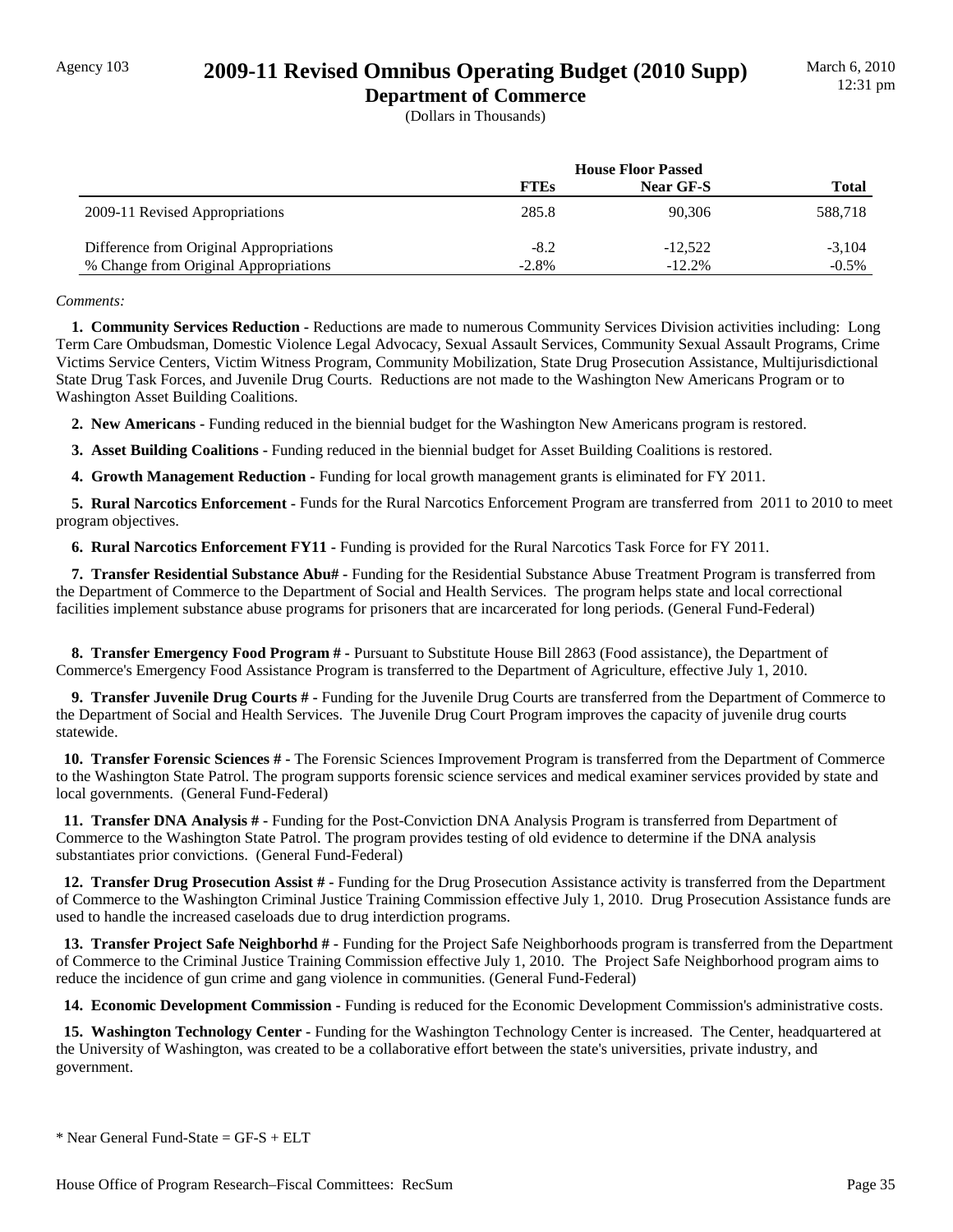## Agency 103 **2009-11 Revised Omnibus Operating Budget (2010 Supp)**

**Department of Commerce** (Dollars in Thousands)

|                                         | <b>House Floor Passed</b> |           |              |
|-----------------------------------------|---------------------------|-----------|--------------|
|                                         | <b>FTEs</b>               | Near GF-S | <b>Total</b> |
| 2009-11 Revised Appropriations          | 285.8                     | 90.306    | 588,718      |
| Difference from Original Appropriations | $-8.2$                    | $-12,522$ | $-3,104$     |
| % Change from Original Appropriations   | $-2.8%$                   | $-12.2%$  | $-0.5\%$     |

#### *Comments:*

 **1. Community Services Reduction -** Reductions are made to numerous Community Services Division activities including: Long Term Care Ombudsman, Domestic Violence Legal Advocacy, Sexual Assault Services, Community Sexual Assault Programs, Crime Victims Service Centers, Victim Witness Program, Community Mobilization, State Drug Prosecution Assistance, Multijurisdictional State Drug Task Forces, and Juvenile Drug Courts. Reductions are not made to the Washington New Americans Program or to Washington Asset Building Coalitions.

 **2. New Americans -** Funding reduced in the biennial budget for the Washington New Americans program is restored.

 **3. Asset Building Coalitions -** Funding reduced in the biennial budget for Asset Building Coalitions is restored.

**4. Growth Management Reduction - Funding for local growth management grants is eliminated for FY 2011.** 

 **5. Rural Narcotics Enforcement -** Funds for the Rural Narcotics Enforcement Program are transferred from 2011 to 2010 to meet program objectives.

 **6. Rural Narcotics Enforcement FY11 -** Funding is provided for the Rural Narcotics Task Force for FY 2011.

 **7. Transfer Residential Substance Abu# -** Funding for the Residential Substance Abuse Treatment Program is transferred from the Department of Commerce to the Department of Social and Health Services. The program helps state and local correctional facilities implement substance abuse programs for prisoners that are incarcerated for long periods. (General Fund-Federal)

 **8. Transfer Emergency Food Program # -** Pursuant to Substitute House Bill 2863 (Food assistance), the Department of Commerce's Emergency Food Assistance Program is transferred to the Department of Agriculture, effective July 1, 2010.

 **9. Transfer Juvenile Drug Courts # -** Funding for the Juvenile Drug Courts are transferred from the Department of Commerce to the Department of Social and Health Services. The Juvenile Drug Court Program improves the capacity of juvenile drug courts statewide.

 **10. Transfer Forensic Sciences # -** The Forensic Sciences Improvement Program is transferred from the Department of Commerce to the Washington State Patrol. The program supports forensic science services and medical examiner services provided by state and local governments. (General Fund-Federal)

 **11. Transfer DNA Analysis # -** Funding for the Post-Conviction DNA Analysis Program is transferred from Department of Commerce to the Washington State Patrol. The program provides testing of old evidence to determine if the DNA analysis substantiates prior convictions. (General Fund-Federal)

 **12. Transfer Drug Prosecution Assist # -** Funding for the Drug Prosecution Assistance activity is transferred from the Department of Commerce to the Washington Criminal Justice Training Commission effective July 1, 2010. Drug Prosecution Assistance funds are used to handle the increased caseloads due to drug interdiction programs.

 **13. Transfer Project Safe Neighborhd # -** Funding for the Project Safe Neighborhoods program is transferred from the Department of Commerce to the Criminal Justice Training Commission effective July 1, 2010. The Project Safe Neighborhood program aims to reduce the incidence of gun crime and gang violence in communities. (General Fund-Federal)

 **14. Economic Development Commission -** Funding is reduced for the Economic Development Commission's administrative costs.

 **15. Washington Technology Center -** Funding for the Washington Technology Center is increased. The Center, headquartered at the University of Washington, was created to be a collaborative effort between the state's universities, private industry, and government.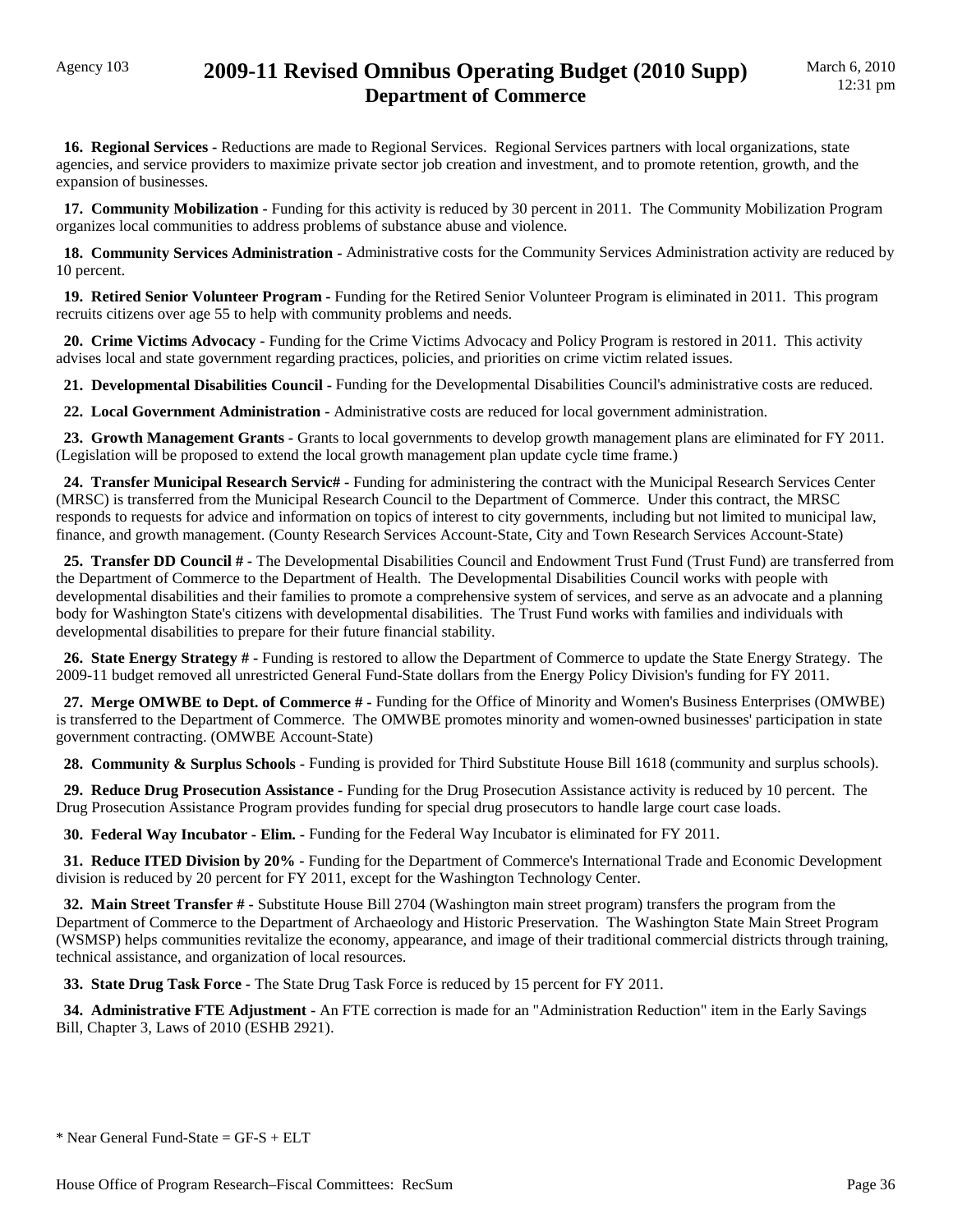**16. Regional Services -** Reductions are made to Regional Services. Regional Services partners with local organizations, state agencies, and service providers to maximize private sector job creation and investment, and to promote retention, growth, and the expansion of businesses.

 **17. Community Mobilization -** Funding for this activity is reduced by 30 percent in 2011. The Community Mobilization Program organizes local communities to address problems of substance abuse and violence.

 **18. Community Services Administration -** Administrative costs for the Community Services Administration activity are reduced by 10 percent.

 **19. Retired Senior Volunteer Program -** Funding for the Retired Senior Volunteer Program is eliminated in 2011. This program recruits citizens over age 55 to help with community problems and needs.

 **20. Crime Victims Advocacy -** Funding for the Crime Victims Advocacy and Policy Program is restored in 2011. This activity advises local and state government regarding practices, policies, and priorities on crime victim related issues.

 **21. Developmental Disabilities Council -** Funding for the Developmental Disabilities Council's administrative costs are reduced.

 **22. Local Government Administration -** Administrative costs are reduced for local government administration.

 **23. Growth Management Grants -** Grants to local governments to develop growth management plans are eliminated for FY 2011. (Legislation will be proposed to extend the local growth management plan update cycle time frame.)

 **24. Transfer Municipal Research Servic# -** Funding for administering the contract with the Municipal Research Services Center (MRSC) is transferred from the Municipal Research Council to the Department of Commerce. Under this contract, the MRSC responds to requests for advice and information on topics of interest to city governments, including but not limited to municipal law, finance, and growth management. (County Research Services Account-State, City and Town Research Services Account-State)

 **25. Transfer DD Council # -** The Developmental Disabilities Council and Endowment Trust Fund (Trust Fund) are transferred from the Department of Commerce to the Department of Health. The Developmental Disabilities Council works with people with developmental disabilities and their families to promote a comprehensive system of services, and serve as an advocate and a planning body for Washington State's citizens with developmental disabilities. The Trust Fund works with families and individuals with developmental disabilities to prepare for their future financial stability.

 **26. State Energy Strategy # -** Funding is restored to allow the Department of Commerce to update the State Energy Strategy. The 2009-11 budget removed all unrestricted General Fund-State dollars from the Energy Policy Division's funding for FY 2011.

 **27. Merge OMWBE to Dept. of Commerce # -** Funding for the Office of Minority and Women's Business Enterprises (OMWBE) is transferred to the Department of Commerce. The OMWBE promotes minority and women-owned businesses' participation in state government contracting. (OMWBE Account-State)

 **28. Community & Surplus Schools -** Funding is provided for Third Substitute House Bill 1618 (community and surplus schools).

 **29. Reduce Drug Prosecution Assistance -** Funding for the Drug Prosecution Assistance activity is reduced by 10 percent. The Drug Prosecution Assistance Program provides funding for special drug prosecutors to handle large court case loads.

 **30. Federal Way Incubator - Elim. -** Funding for the Federal Way Incubator is eliminated for FY 2011.

 **31. Reduce ITED Division by 20% -** Funding for the Department of Commerce's International Trade and Economic Development division is reduced by 20 percent for FY 2011, except for the Washington Technology Center.

 **32. Main Street Transfer # -** Substitute House Bill 2704 (Washington main street program) transfers the program from the Department of Commerce to the Department of Archaeology and Historic Preservation. The Washington State Main Street Program (WSMSP) helps communities revitalize the economy, appearance, and image of their traditional commercial districts through training, technical assistance, and organization of local resources.

 **33. State Drug Task Force -** The State Drug Task Force is reduced by 15 percent for FY 2011.

 **34. Administrative FTE Adjustment -** An FTE correction is made for an "Administration Reduction" item in the Early Savings Bill, Chapter 3, Laws of 2010 (ESHB 2921).

```
* Near General Fund-State = GF-S + ELT
```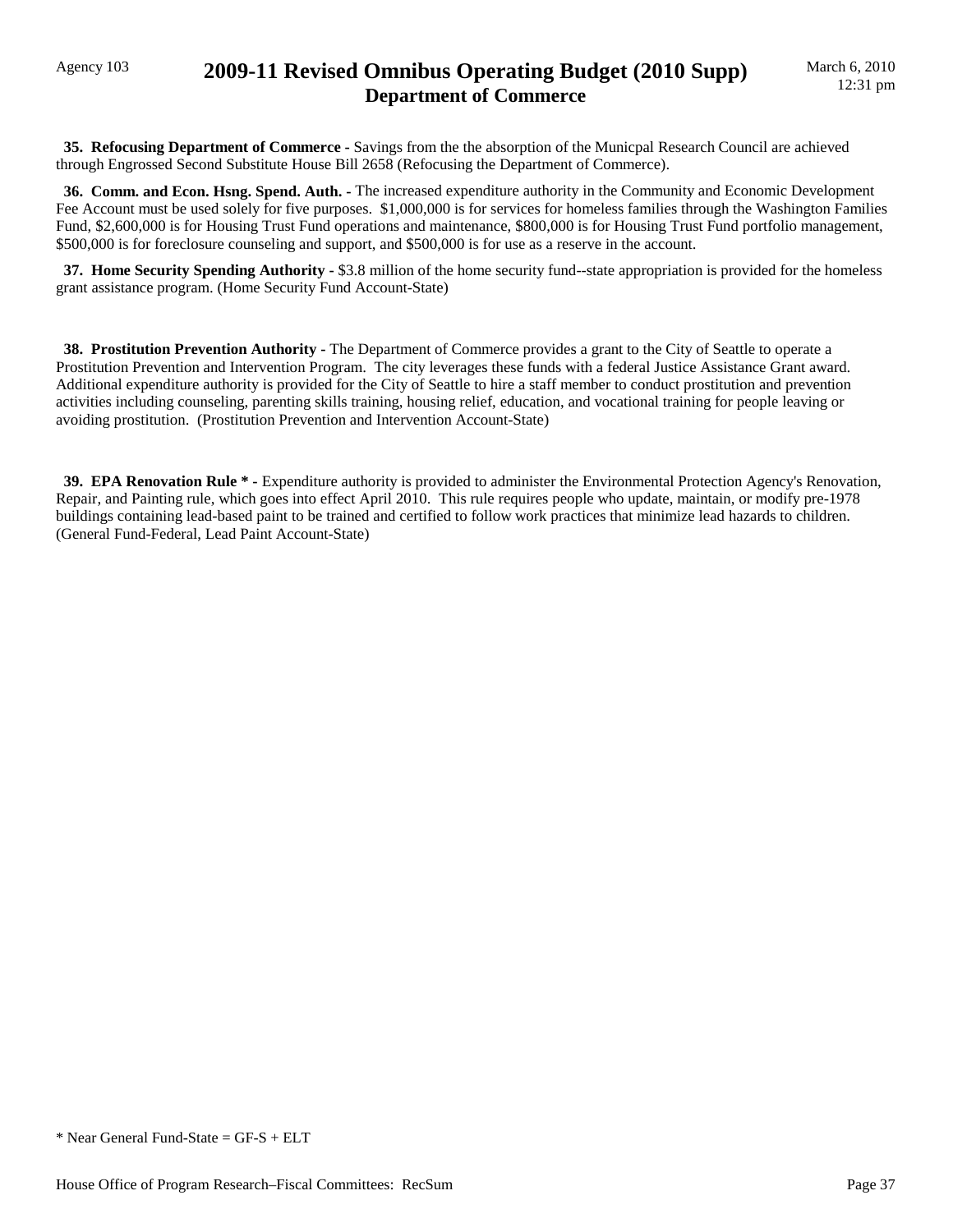### Agency 103 **2009-11 Revised Omnibus Operating Budget (2010 Supp) Department of Commerce**

 **35. Refocusing Department of Commerce -** Savings from the the absorption of the Municpal Research Council are achieved through Engrossed Second Substitute House Bill 2658 (Refocusing the Department of Commerce).

 **36. Comm. and Econ. Hsng. Spend. Auth. -** The increased expenditure authority in the Community and Economic Development Fee Account must be used solely for five purposes. \$1,000,000 is for services for homeless families through the Washington Families Fund, \$2,600,000 is for Housing Trust Fund operations and maintenance, \$800,000 is for Housing Trust Fund portfolio management, \$500,000 is for foreclosure counseling and support, and \$500,000 is for use as a reserve in the account.

**37. Home Security Spending Authority - \$3.8 million of the home security fund--state appropriation is provided for the homeless** grant assistance program. (Home Security Fund Account-State)

 **38. Prostitution Prevention Authority -** The Department of Commerce provides a grant to the City of Seattle to operate a Prostitution Prevention and Intervention Program. The city leverages these funds with a federal Justice Assistance Grant award. Additional expenditure authority is provided for the City of Seattle to hire a staff member to conduct prostitution and prevention activities including counseling, parenting skills training, housing relief, education, and vocational training for people leaving or avoiding prostitution. (Prostitution Prevention and Intervention Account-State)

 **39. EPA Renovation Rule \* -** Expenditure authority is provided to administer the Environmental Protection Agency's Renovation, Repair, and Painting rule, which goes into effect April 2010. This rule requires people who update, maintain, or modify pre-1978 buildings containing lead-based paint to be trained and certified to follow work practices that minimize lead hazards to children. (General Fund-Federal, Lead Paint Account-State)

 $*$  Near General Fund-State = GF-S + ELT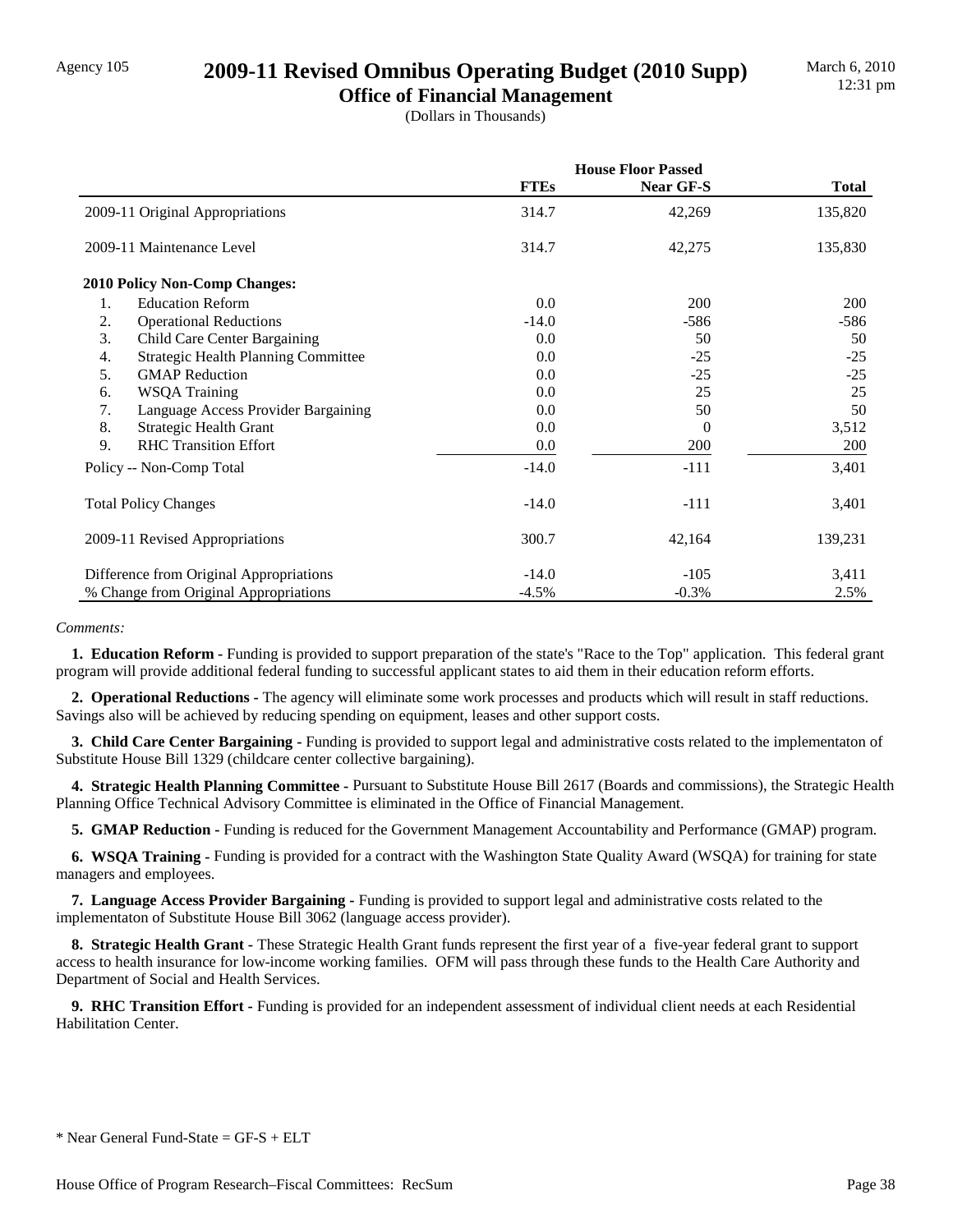## Agency 105 **2009-11 Revised Omnibus Operating Budget (2010 Supp)**

**Office of Financial Management** (Dollars in Thousands)

|                                                  | <b>House Floor Passed</b> |           |              |
|--------------------------------------------------|---------------------------|-----------|--------------|
|                                                  | <b>FTEs</b>               | Near GF-S | <b>Total</b> |
| 2009-11 Original Appropriations                  | 314.7                     | 42,269    | 135,820      |
| 2009-11 Maintenance Level                        | 314.7                     | 42,275    | 135,830      |
| <b>2010 Policy Non-Comp Changes:</b>             |                           |           |              |
| 1.<br><b>Education Reform</b>                    | 0.0                       | 200       | 200          |
| 2.<br><b>Operational Reductions</b>              | $-14.0$                   | $-586$    | -586         |
| 3.<br>Child Care Center Bargaining               | 0.0                       | 50        | 50           |
| <b>Strategic Health Planning Committee</b><br>4. | 0.0                       | $-25$     | $-25$        |
| 5.<br><b>GMAP</b> Reduction                      | 0.0                       | $-25$     | $-25$        |
| <b>WSQA Training</b><br>6.                       | 0.0                       | 25        | 25           |
| 7.<br>Language Access Provider Bargaining        | 0.0                       | 50        | 50           |
| 8.<br>Strategic Health Grant                     | 0.0                       | $\theta$  | 3,512        |
| 9.<br><b>RHC Transition Effort</b>               | 0.0                       | 200       | 200          |
| Policy -- Non-Comp Total                         | $-14.0$                   | $-111$    | 3,401        |
| <b>Total Policy Changes</b>                      | $-14.0$                   | $-111$    | 3,401        |
| 2009-11 Revised Appropriations                   | 300.7                     | 42,164    | 139,231      |
| Difference from Original Appropriations          | $-14.0$                   | $-105$    | 3,411        |
| % Change from Original Appropriations            | $-4.5%$                   | $-0.3%$   | 2.5%         |

#### *Comments:*

 **1. Education Reform -** Funding is provided to support preparation of the state's "Race to the Top" application. This federal grant program will provide additional federal funding to successful applicant states to aid them in their education reform efforts.

 **2. Operational Reductions -** The agency will eliminate some work processes and products which will result in staff reductions. Savings also will be achieved by reducing spending on equipment, leases and other support costs.

 **3. Child Care Center Bargaining -** Funding is provided to support legal and administrative costs related to the implementaton of Substitute House Bill 1329 (childcare center collective bargaining).

 **4. Strategic Health Planning Committee -** Pursuant to Substitute House Bill 2617 (Boards and commissions), the Strategic Health Planning Office Technical Advisory Committee is eliminated in the Office of Financial Management.

 **5. GMAP Reduction -** Funding is reduced for the Government Management Accountability and Performance (GMAP) program.

 **6. WSQA Training -** Funding is provided for a contract with the Washington State Quality Award (WSQA) for training for state managers and employees.

 **7. Language Access Provider Bargaining -** Funding is provided to support legal and administrative costs related to the implementaton of Substitute House Bill 3062 (language access provider).

 **8. Strategic Health Grant -** These Strategic Health Grant funds represent the first year of a five-year federal grant to support access to health insurance for low-income working families. OFM will pass through these funds to the Health Care Authority and Department of Social and Health Services.

 **9. RHC Transition Effort -** Funding is provided for an independent assessment of individual client needs at each Residential Habilitation Center.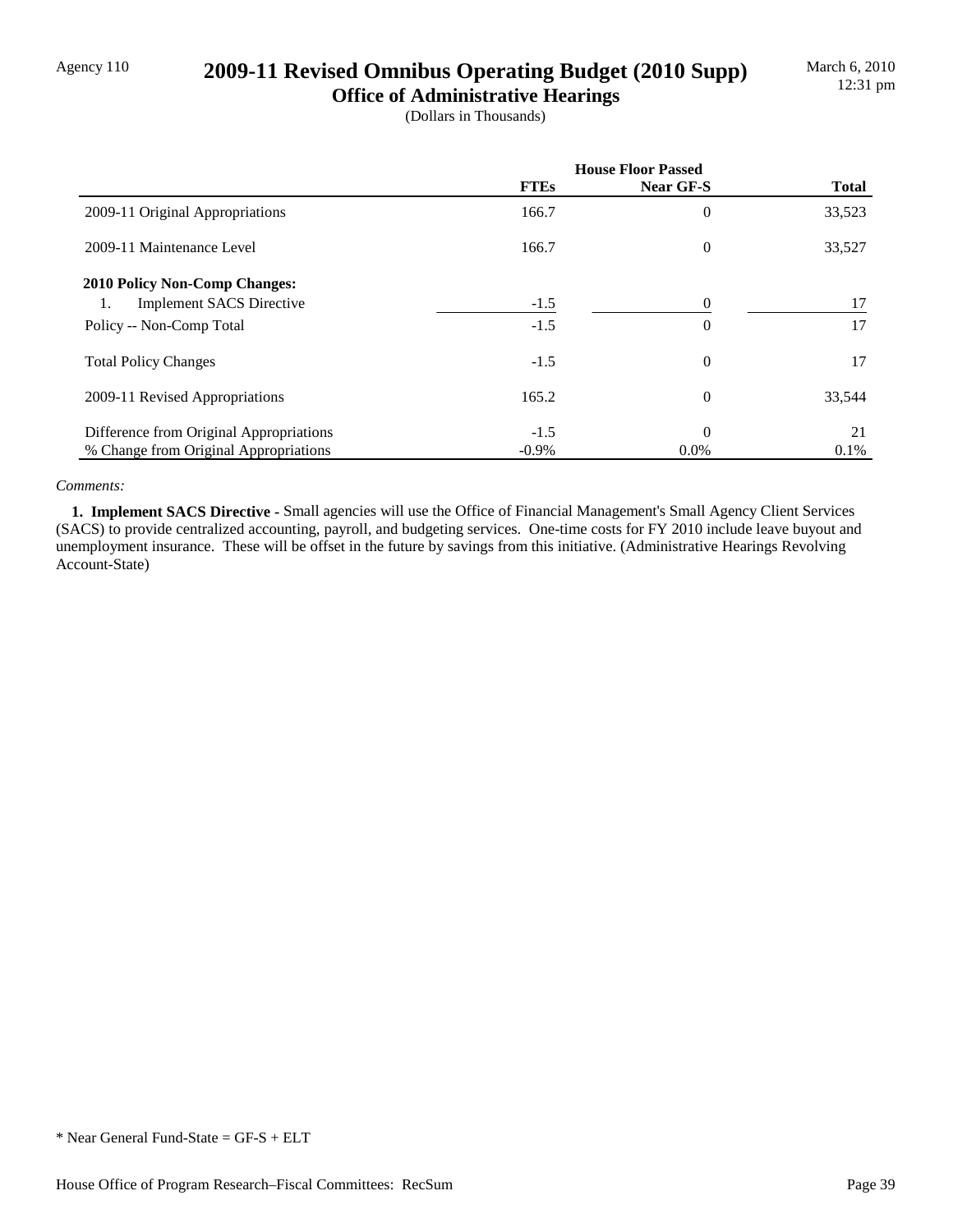## Agency 110 **2009-11 Revised Omnibus Operating Budget (2010 Supp)**

**Office of Administrative Hearings** (Dollars in Thousands)

|                                         | <b>House Floor Passed</b> |                |              |
|-----------------------------------------|---------------------------|----------------|--------------|
|                                         | <b>FTEs</b>               | Near GF-S      | <b>Total</b> |
| 2009-11 Original Appropriations         | 166.7                     | $\overline{0}$ | 33,523       |
| 2009-11 Maintenance Level               | 166.7                     | $\theta$       | 33,527       |
| 2010 Policy Non-Comp Changes:           |                           |                |              |
| <b>Implement SACS Directive</b><br>1.   | $-1.5$                    | $\overline{0}$ | 17           |
| Policy -- Non-Comp Total                | $-1.5$                    | $\overline{0}$ | 17           |
| <b>Total Policy Changes</b>             | $-1.5$                    | $\theta$       | 17           |
| 2009-11 Revised Appropriations          | 165.2                     | $\theta$       | 33,544       |
| Difference from Original Appropriations | $-1.5$                    | $\Omega$       | 21           |
| % Change from Original Appropriations   | $-0.9\%$                  | $0.0\%$        | 0.1%         |

### *Comments:*

 **1. Implement SACS Directive -** Small agencies will use the Office of Financial Management's Small Agency Client Services (SACS) to provide centralized accounting, payroll, and budgeting services. One-time costs for FY 2010 include leave buyout and unemployment insurance. These will be offset in the future by savings from this initiative. (Administrative Hearings Revolving Account-State)

\* Near General Fund-State = GF-S + ELT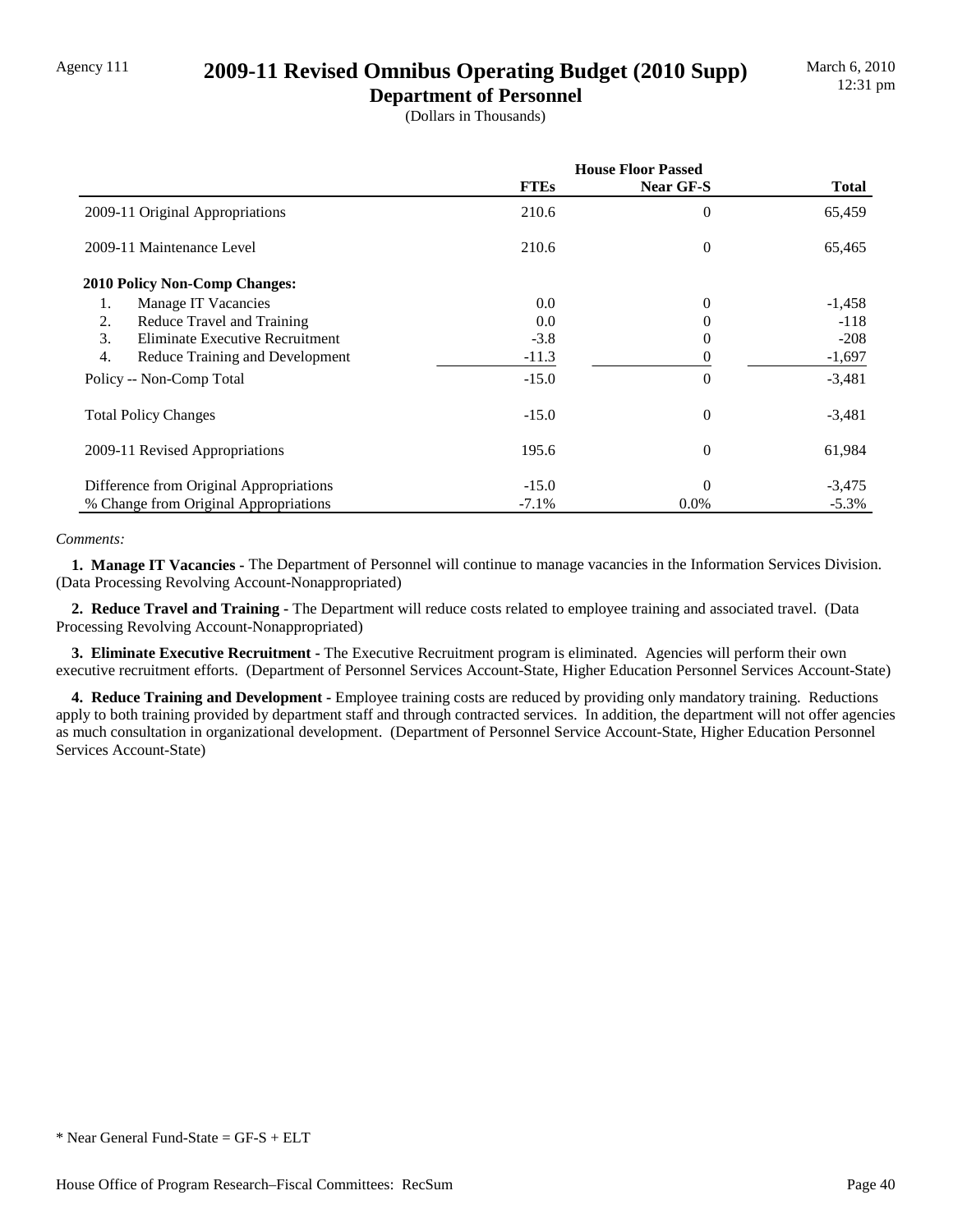## Agency 111 **2009-11 Revised Omnibus Operating Budget (2010 Supp)**

**Department of Personnel** (Dollars in Thousands)

|                                                     | <b>House Floor Passed</b> |                  |              |
|-----------------------------------------------------|---------------------------|------------------|--------------|
|                                                     | <b>FTEs</b>               | <b>Near GF-S</b> | <b>Total</b> |
| 2009-11 Original Appropriations                     | 210.6                     | 0                | 65,459       |
| 2009-11 Maintenance Level                           | 210.6                     | 0                | 65,465       |
| <b>2010 Policy Non-Comp Changes:</b>                |                           |                  |              |
| Manage IT Vacancies<br>1.                           | 0.0                       | 0                | $-1,458$     |
| 2.<br>Reduce Travel and Training                    | 0.0                       | 0                | $-118$       |
| 3.<br>Eliminate Executive Recruitment               | $-3.8$                    | 0                | $-208$       |
| $\overline{4}$ .<br>Reduce Training and Development | $-11.3$                   | 0                | $-1,697$     |
| Policy -- Non-Comp Total                            | $-15.0$                   | 0                | $-3,481$     |
| <b>Total Policy Changes</b>                         | $-15.0$                   | $\theta$         | $-3,481$     |
| 2009-11 Revised Appropriations                      | 195.6                     | $\theta$         | 61,984       |
| Difference from Original Appropriations             | $-15.0$                   | $\Omega$         | $-3,475$     |
| % Change from Original Appropriations               | $-7.1%$                   | $0.0\%$          | $-5.3\%$     |

### *Comments:*

 **1. Manage IT Vacancies -** The Department of Personnel will continue to manage vacancies in the Information Services Division. (Data Processing Revolving Account-Nonappropriated)

 **2. Reduce Travel and Training -** The Department will reduce costs related to employee training and associated travel. (Data Processing Revolving Account-Nonappropriated)

 **3. Eliminate Executive Recruitment -** The Executive Recruitment program is eliminated. Agencies will perform their own executive recruitment efforts. (Department of Personnel Services Account-State, Higher Education Personnel Services Account-State)

 **4. Reduce Training and Development -** Employee training costs are reduced by providing only mandatory training. Reductions apply to both training provided by department staff and through contracted services. In addition, the department will not offer agencies as much consultation in organizational development. (Department of Personnel Service Account-State, Higher Education Personnel Services Account-State)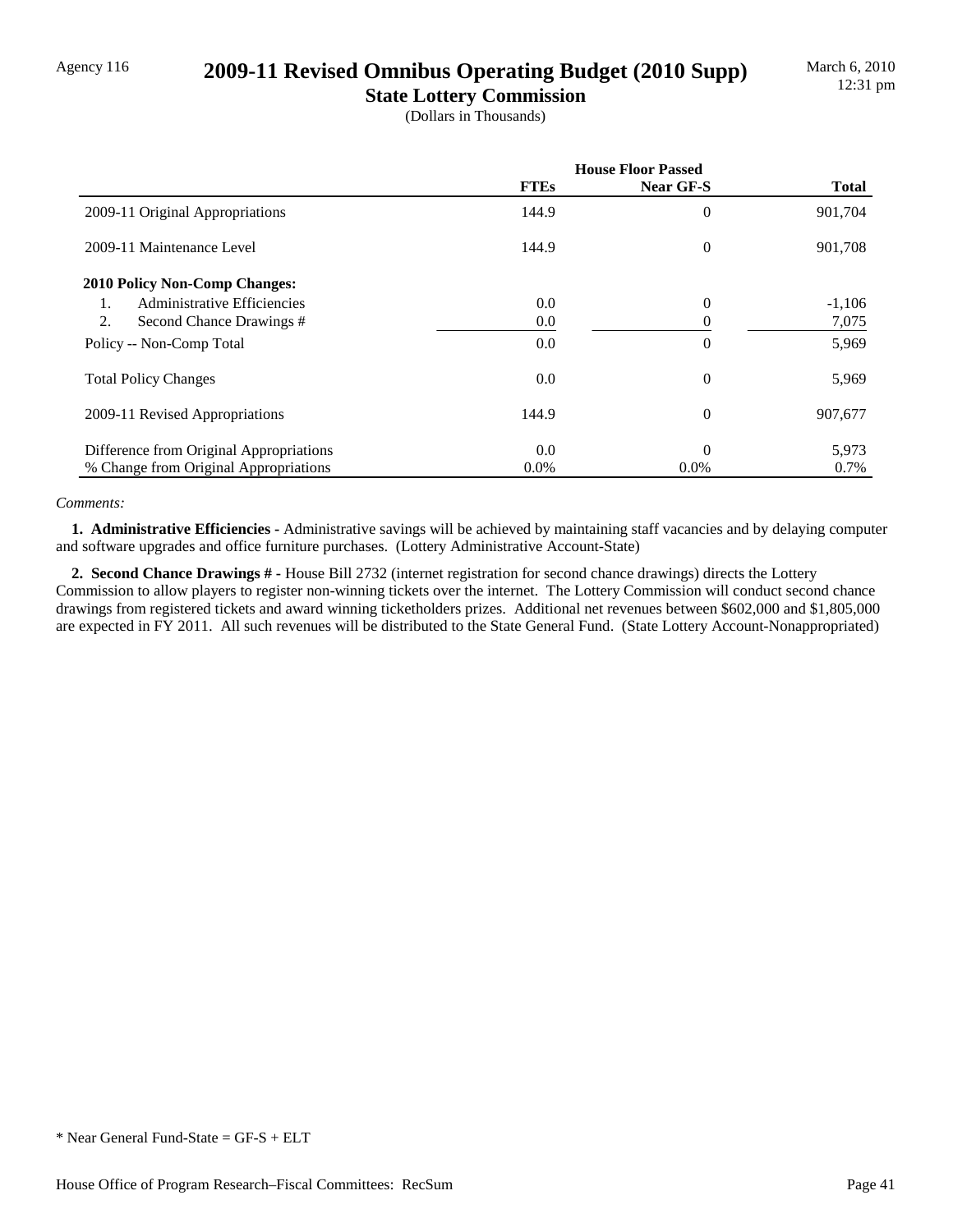### Agency 116 **2009-11 Revised Omnibus Operating Budget (2010 Supp)**

**State Lottery Commission** (Dollars in Thousands)

|                                         | <b>House Floor Passed</b> |                |              |
|-----------------------------------------|---------------------------|----------------|--------------|
|                                         | <b>FTEs</b>               | Near GF-S      | <b>Total</b> |
| 2009-11 Original Appropriations         | 144.9                     | 0              | 901,704      |
| 2009-11 Maintenance Level               | 144.9                     | $\overline{0}$ | 901,708      |
| <b>2010 Policy Non-Comp Changes:</b>    |                           |                |              |
| Administrative Efficiencies<br>1.       | 0.0                       | $\overline{0}$ | $-1,106$     |
| 2.<br>Second Chance Drawings #          | 0.0                       |                | 7,075        |
| Policy -- Non-Comp Total                | $0.0\,$                   | 0              | 5,969        |
| <b>Total Policy Changes</b>             | $0.0\,$                   | 0              | 5,969        |
| 2009-11 Revised Appropriations          | 144.9                     | 0              | 907,677      |
| Difference from Original Appropriations | 0.0                       | $\theta$       | 5,973        |
| % Change from Original Appropriations   | $0.0\%$                   | $0.0\%$        | 0.7%         |

### *Comments:*

 **1. Administrative Efficiencies -** Administrative savings will be achieved by maintaining staff vacancies and by delaying computer and software upgrades and office furniture purchases. (Lottery Administrative Account-State)

 **2. Second Chance Drawings # -** House Bill 2732 (internet registration for second chance drawings) directs the Lottery Commission to allow players to register non-winning tickets over the internet. The Lottery Commission will conduct second chance drawings from registered tickets and award winning ticketholders prizes. Additional net revenues between \$602,000 and \$1,805,000 are expected in FY 2011. All such revenues will be distributed to the State General Fund. (State Lottery Account-Nonappropriated)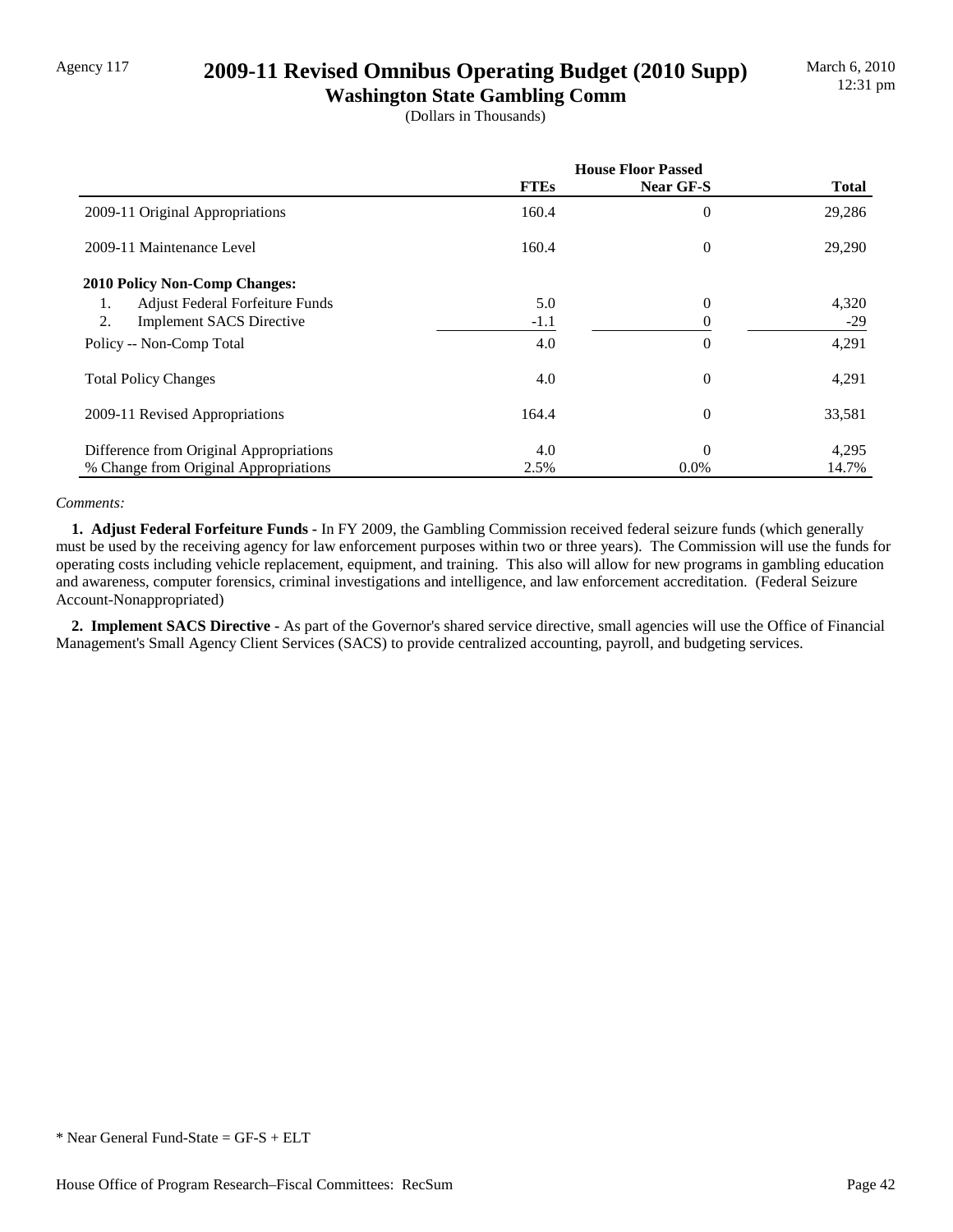## Agency 117 **2009-11 Revised Omnibus Operating Budget (2010 Supp)**

**Washington State Gambling Comm** (Dollars in Thousands)

|                                         | <b>House Floor Passed</b> |                |              |
|-----------------------------------------|---------------------------|----------------|--------------|
|                                         | <b>FTEs</b>               | Near GF-S      | <b>Total</b> |
| 2009-11 Original Appropriations         | 160.4                     | 0              | 29,286       |
| 2009-11 Maintenance Level               | 160.4                     | $\overline{0}$ | 29,290       |
| <b>2010 Policy Non-Comp Changes:</b>    |                           |                |              |
| Adjust Federal Forfeiture Funds<br>1.   | 5.0                       | 0              | 4,320        |
| 2.<br><b>Implement SACS Directive</b>   | $-1.1$                    | 0              | $-29$        |
| Policy -- Non-Comp Total                | 4.0                       | 0              | 4,291        |
| <b>Total Policy Changes</b>             | 4.0                       | 0              | 4,291        |
| 2009-11 Revised Appropriations          | 164.4                     | 0              | 33,581       |
| Difference from Original Appropriations | 4.0                       | $\theta$       | 4,295        |
| % Change from Original Appropriations   | 2.5%                      | $0.0\%$        | 14.7%        |

### *Comments:*

 **1. Adjust Federal Forfeiture Funds -** In FY 2009, the Gambling Commission received federal seizure funds (which generally must be used by the receiving agency for law enforcement purposes within two or three years). The Commission will use the funds for operating costs including vehicle replacement, equipment, and training. This also will allow for new programs in gambling education and awareness, computer forensics, criminal investigations and intelligence, and law enforcement accreditation. (Federal Seizure Account-Nonappropriated)

 **2. Implement SACS Directive -** As part of the Governor's shared service directive, small agencies will use the Office of Financial Management's Small Agency Client Services (SACS) to provide centralized accounting, payroll, and budgeting services.

<sup>\*</sup> Near General Fund-State = GF-S + ELT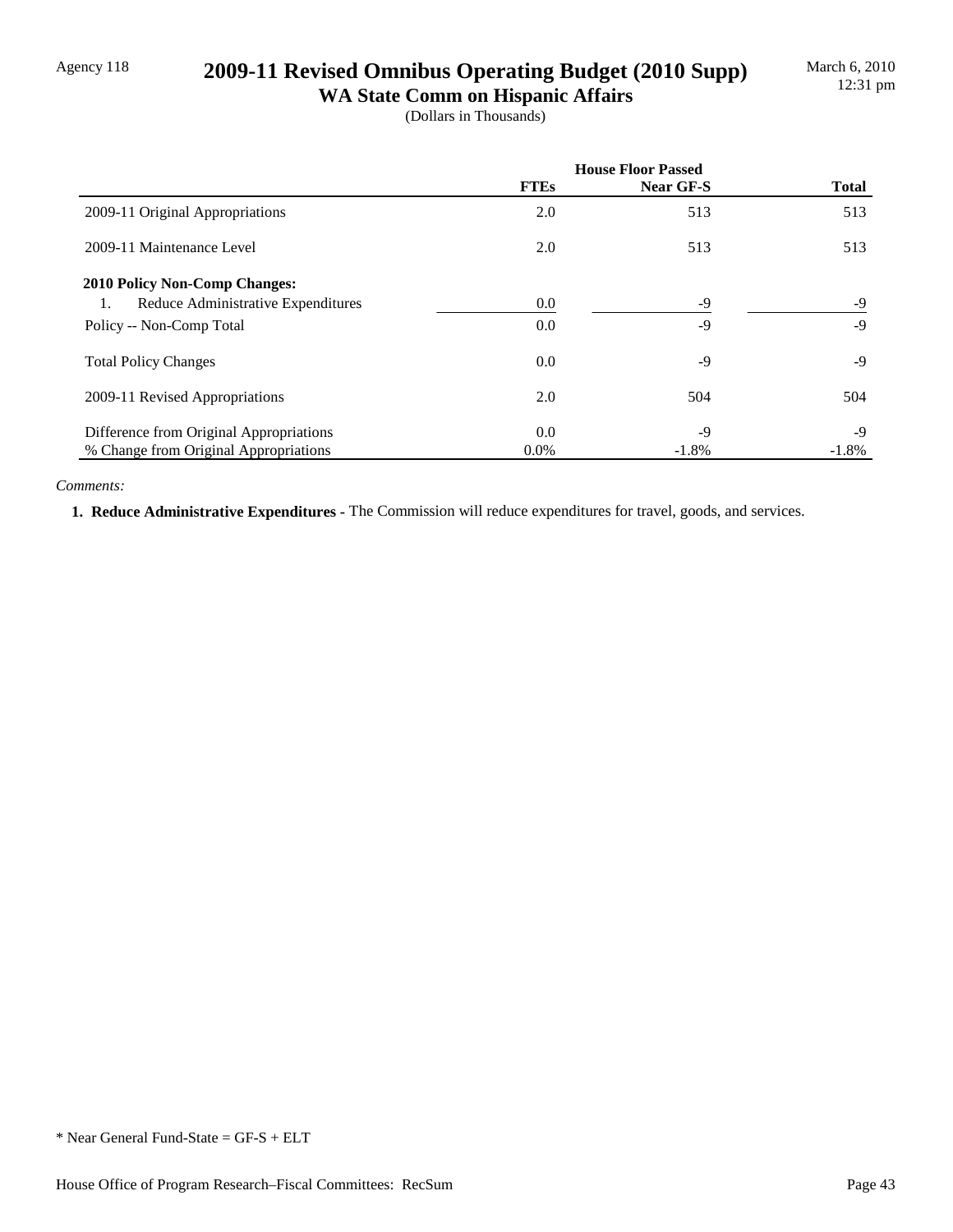## Agency 118 **2009-11 Revised Omnibus Operating Budget (2010 Supp)**

**WA State Comm on Hispanic Affairs** (Dollars in Thousands)

|                                          | <b>House Floor Passed</b> |           |              |
|------------------------------------------|---------------------------|-----------|--------------|
|                                          | <b>FTEs</b>               | Near GF-S | <b>Total</b> |
| 2009-11 Original Appropriations          | 2.0                       | 513       | 513          |
| 2009-11 Maintenance Level                | 2.0                       | 513       | 513          |
| <b>2010 Policy Non-Comp Changes:</b>     |                           |           |              |
| Reduce Administrative Expenditures<br>1. | 0.0                       | $-9$      | -9           |
| Policy -- Non-Comp Total                 | 0.0                       | $-9$      | $-9$         |
| <b>Total Policy Changes</b>              | 0.0                       | $-9$      | $-9$         |
| 2009-11 Revised Appropriations           | 2.0                       | 504       | 504          |
| Difference from Original Appropriations  | 0.0                       | -9        | $-9$         |
| % Change from Original Appropriations    | $0.0\%$                   | $-1.8\%$  | $-1.8%$      |

### *Comments:*

 **1. Reduce Administrative Expenditures -** The Commission will reduce expenditures for travel, goods, and services.

<sup>\*</sup> Near General Fund-State = GF-S + ELT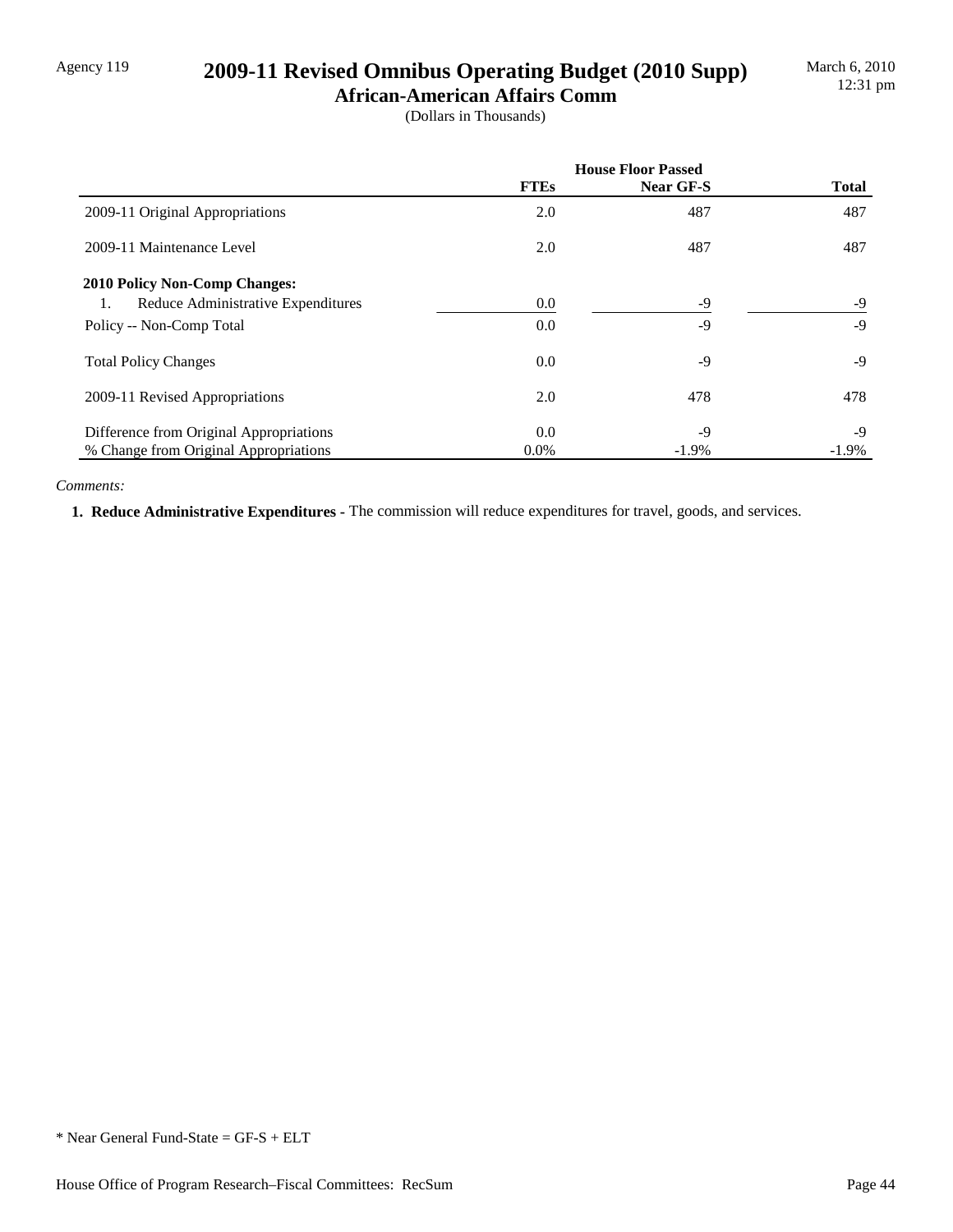## Agency 119 **2009-11 Revised Omnibus Operating Budget (2010 Supp)**

**African-American Affairs Comm** (Dollars in Thousands)

|                                          | <b>House Floor Passed</b> |           |              |
|------------------------------------------|---------------------------|-----------|--------------|
|                                          | <b>FTEs</b>               | Near GF-S | <b>Total</b> |
| 2009-11 Original Appropriations          | 2.0                       | 487       | 487          |
| 2009-11 Maintenance Level                | 2.0                       | 487       | 487          |
| <b>2010 Policy Non-Comp Changes:</b>     |                           |           |              |
| Reduce Administrative Expenditures<br>1. | 0.0                       | $-9$      | -9           |
| Policy -- Non-Comp Total                 | 0.0                       | $-9$      | $-9$         |
| <b>Total Policy Changes</b>              | 0.0                       | -9        | $-9$         |
| 2009-11 Revised Appropriations           | 2.0                       | 478       | 478          |
| Difference from Original Appropriations  | $0.0\,$                   | $-9$      | $-9$         |
| % Change from Original Appropriations    | $0.0\%$                   | $-1.9\%$  | $-1.9\%$     |

### *Comments:*

 **1. Reduce Administrative Expenditures -** The commission will reduce expenditures for travel, goods, and services.

<sup>\*</sup> Near General Fund-State = GF-S + ELT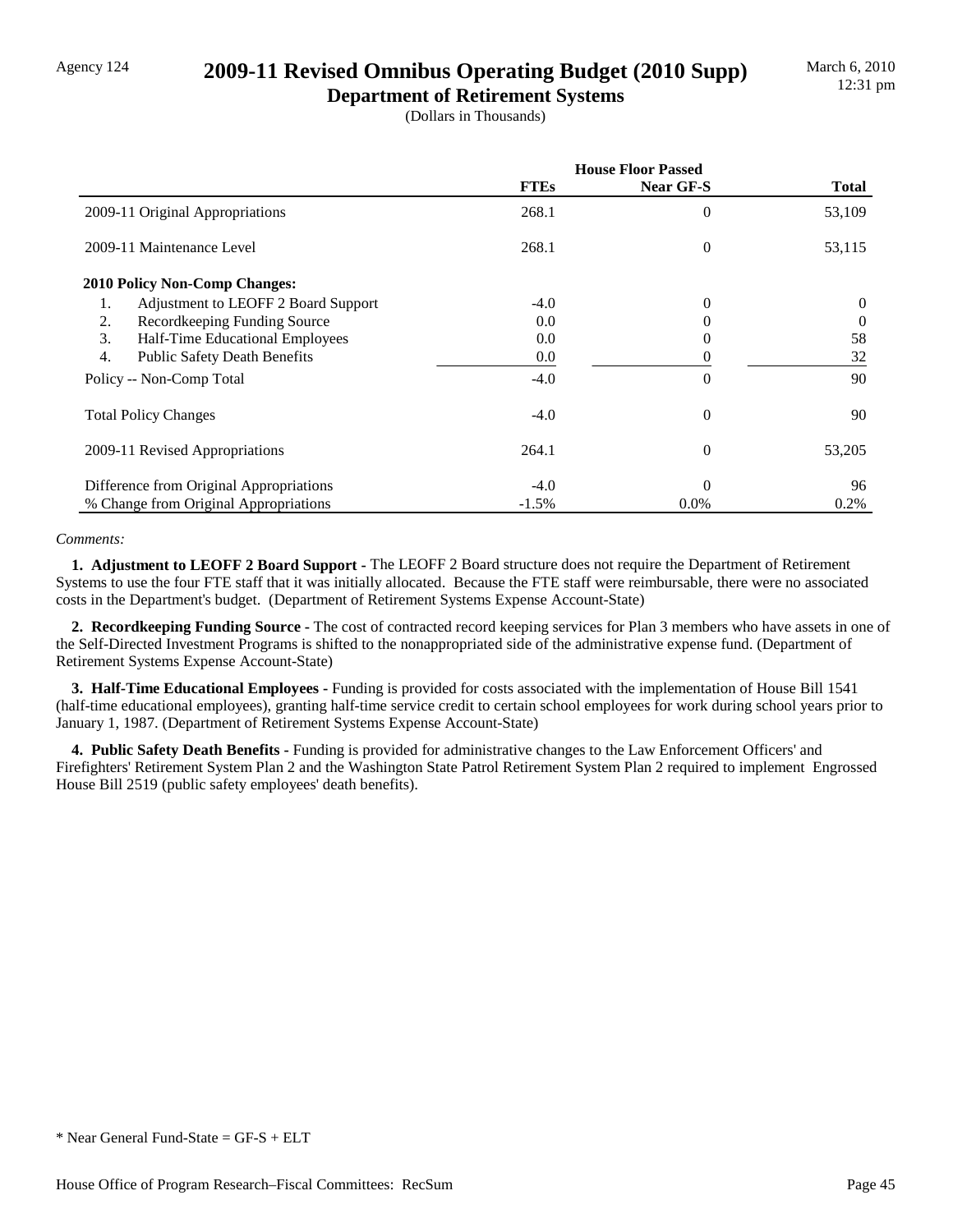## Agency 124 **2009-11 Revised Omnibus Operating Budget (2010 Supp)**

**Department of Retirement Systems** (Dollars in Thousands)

|                                           | <b>House Floor Passed</b> |                  |              |
|-------------------------------------------|---------------------------|------------------|--------------|
|                                           | <b>FTEs</b>               | <b>Near GF-S</b> | <b>Total</b> |
| 2009-11 Original Appropriations           | 268.1                     | $\theta$         | 53,109       |
| 2009-11 Maintenance Level                 | 268.1                     | 0                | 53,115       |
| 2010 Policy Non-Comp Changes:             |                           |                  |              |
| Adjustment to LEOFF 2 Board Support<br>1. | $-4.0$                    | 0                | $\Omega$     |
| Recordkeeping Funding Source<br>2.        | 0.0                       | 0                | $\Omega$     |
| 3.<br>Half-Time Educational Employees     | 0.0                       | 0                | 58           |
| 4.<br><b>Public Safety Death Benefits</b> | 0.0                       |                  | 32           |
| Policy -- Non-Comp Total                  | $-4.0$                    | $\theta$         | 90           |
| <b>Total Policy Changes</b>               | $-4.0$                    | $\theta$         | 90           |
| 2009-11 Revised Appropriations            | 264.1                     | $\theta$         | 53,205       |
| Difference from Original Appropriations   | $-4.0$                    | $\Omega$         | 96           |
| % Change from Original Appropriations     | $-1.5\%$                  | $0.0\%$          | 0.2%         |

### *Comments:*

 **1. Adjustment to LEOFF 2 Board Support -** The LEOFF 2 Board structure does not require the Department of Retirement Systems to use the four FTE staff that it was initially allocated. Because the FTE staff were reimbursable, there were no associated costs in the Department's budget. (Department of Retirement Systems Expense Account-State)

 **2. Recordkeeping Funding Source -** The cost of contracted record keeping services for Plan 3 members who have assets in one of the Self-Directed Investment Programs is shifted to the nonappropriated side of the administrative expense fund. (Department of Retirement Systems Expense Account-State)

 **3. Half-Time Educational Employees -** Funding is provided for costs associated with the implementation of House Bill 1541 (half-time educational employees), granting half-time service credit to certain school employees for work during school years prior to January 1, 1987. (Department of Retirement Systems Expense Account-State)

 **4. Public Safety Death Benefits -** Funding is provided for administrative changes to the Law Enforcement Officers' and Firefighters' Retirement System Plan 2 and the Washington State Patrol Retirement System Plan 2 required to implement Engrossed House Bill 2519 (public safety employees' death benefits).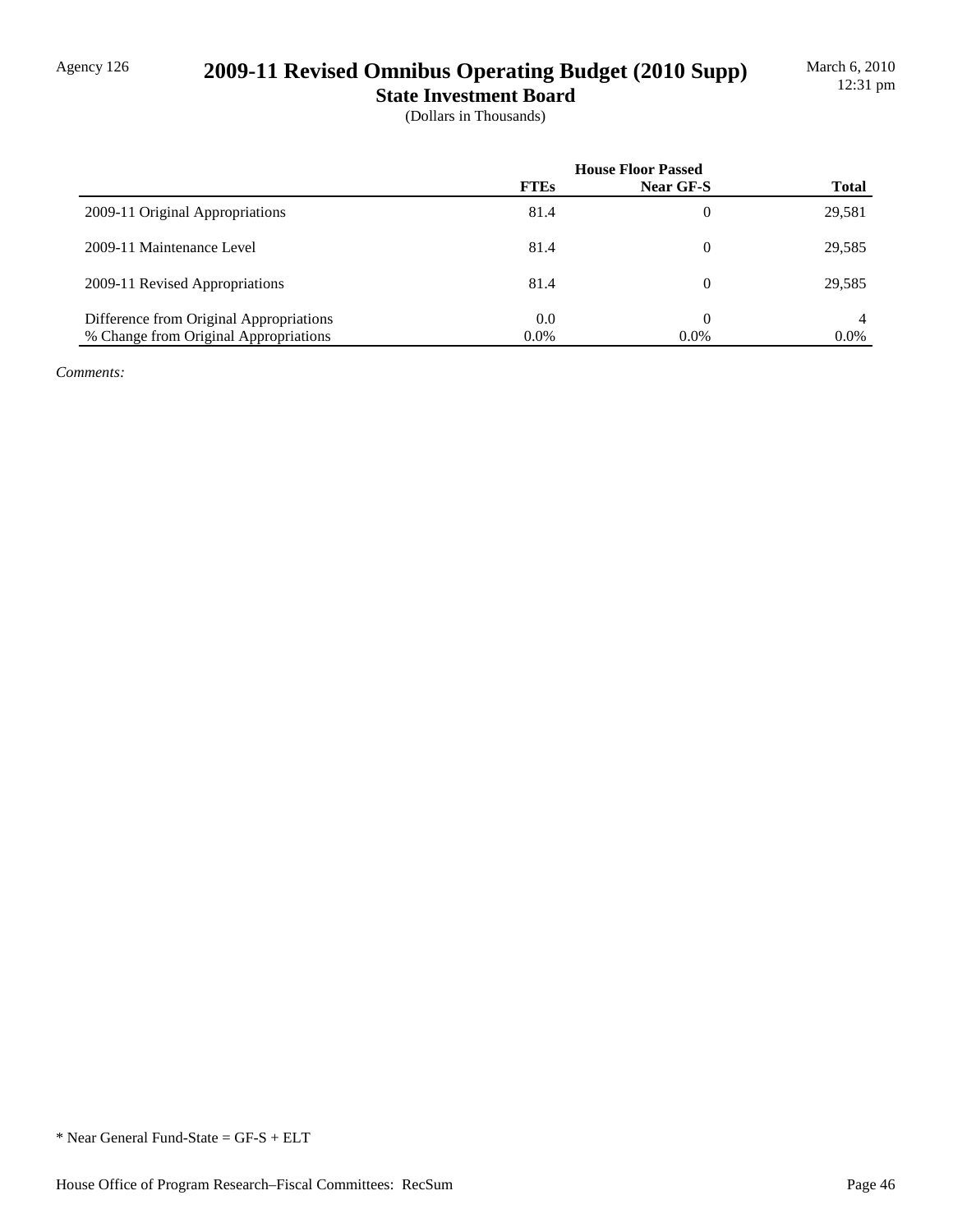# Agency 126 **2009-11 Revised Omnibus Operating Budget (2010 Supp)**

**State Investment Board**

(Dollars in Thousands)

|                                         | <b>House Floor Passed</b> |           |              |
|-----------------------------------------|---------------------------|-----------|--------------|
|                                         | <b>FTEs</b>               | Near GF-S | <b>Total</b> |
| 2009-11 Original Appropriations         | 81.4                      | $\theta$  | 29,581       |
| 2009-11 Maintenance Level               | 81.4                      | $\theta$  | 29,585       |
| 2009-11 Revised Appropriations          | 81.4                      | $\theta$  | 29,585       |
| Difference from Original Appropriations | 0.0                       |           | 4            |
| % Change from Original Appropriations   | $0.0\%$                   | $0.0\%$   | $0.0\%$      |

*Comments:*

<sup>\*</sup> Near General Fund-State = GF-S + ELT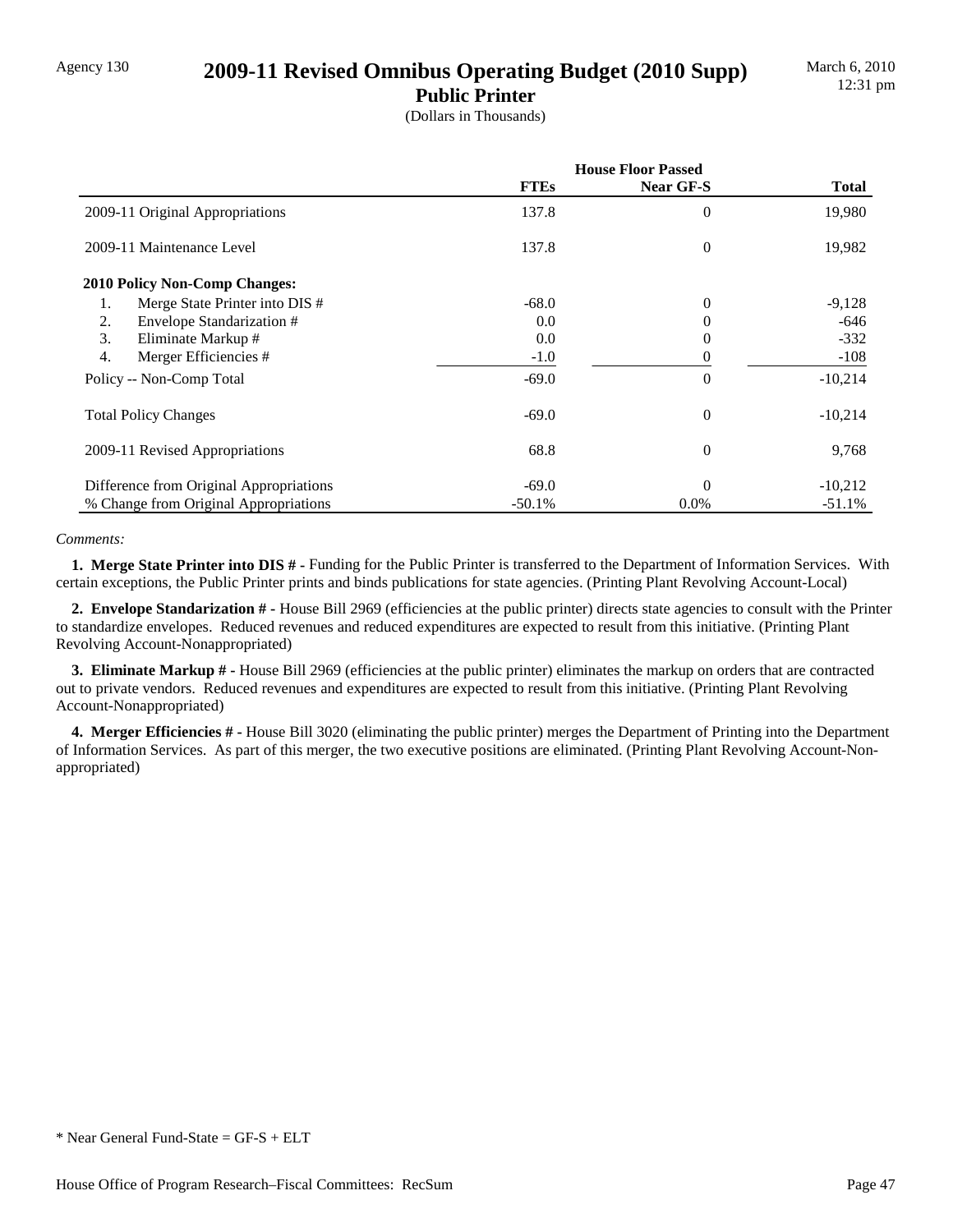## Agency 130 **2009-11 Revised Omnibus Operating Budget (2010 Supp)**

**Public Printer** (Dollars in Thousands)

|                                         | <b>House Floor Passed</b> |                  |              |
|-----------------------------------------|---------------------------|------------------|--------------|
|                                         | <b>FTEs</b>               | Near GF-S        | <b>Total</b> |
| 2009-11 Original Appropriations         | 137.8                     | $\theta$         | 19,980       |
| 2009-11 Maintenance Level               | 137.8                     | $\overline{0}$   | 19,982       |
| <b>2010 Policy Non-Comp Changes:</b>    |                           |                  |              |
| Merge State Printer into DIS #<br>1.    | $-68.0$                   | $\overline{0}$   | $-9,128$     |
| 2.<br>Envelope Standarization #         | 0.0                       | 0                | -646         |
| 3.<br>Eliminate Markup #                | 0.0                       | 0                | $-332$       |
| 4.<br>Merger Efficiencies #             | $-1.0$                    | 0                | $-108$       |
| Policy -- Non-Comp Total                | $-69.0$                   | 0                | $-10,214$    |
| <b>Total Policy Changes</b>             | $-69.0$                   | $\boldsymbol{0}$ | $-10,214$    |
| 2009-11 Revised Appropriations          | 68.8                      | $\theta$         | 9,768        |
| Difference from Original Appropriations | $-69.0$                   | $\theta$         | $-10,212$    |
| % Change from Original Appropriations   | $-50.1%$                  | $0.0\%$          | $-51.1%$     |

### *Comments:*

 **1. Merge State Printer into DIS # -** Funding for the Public Printer is transferred to the Department of Information Services. With certain exceptions, the Public Printer prints and binds publications for state agencies. (Printing Plant Revolving Account-Local)

 **2. Envelope Standarization # -** House Bill 2969 (efficiencies at the public printer) directs state agencies to consult with the Printer to standardize envelopes. Reduced revenues and reduced expenditures are expected to result from this initiative. (Printing Plant Revolving Account-Nonappropriated)

 **3. Eliminate Markup # -** House Bill 2969 (efficiencies at the public printer) eliminates the markup on orders that are contracted out to private vendors. Reduced revenues and expenditures are expected to result from this initiative. (Printing Plant Revolving Account-Nonappropriated)

 **4. Merger Efficiencies # -** House Bill 3020 (eliminating the public printer) merges the Department of Printing into the Department of Information Services. As part of this merger, the two executive positions are eliminated. (Printing Plant Revolving Account-Nonappropriated)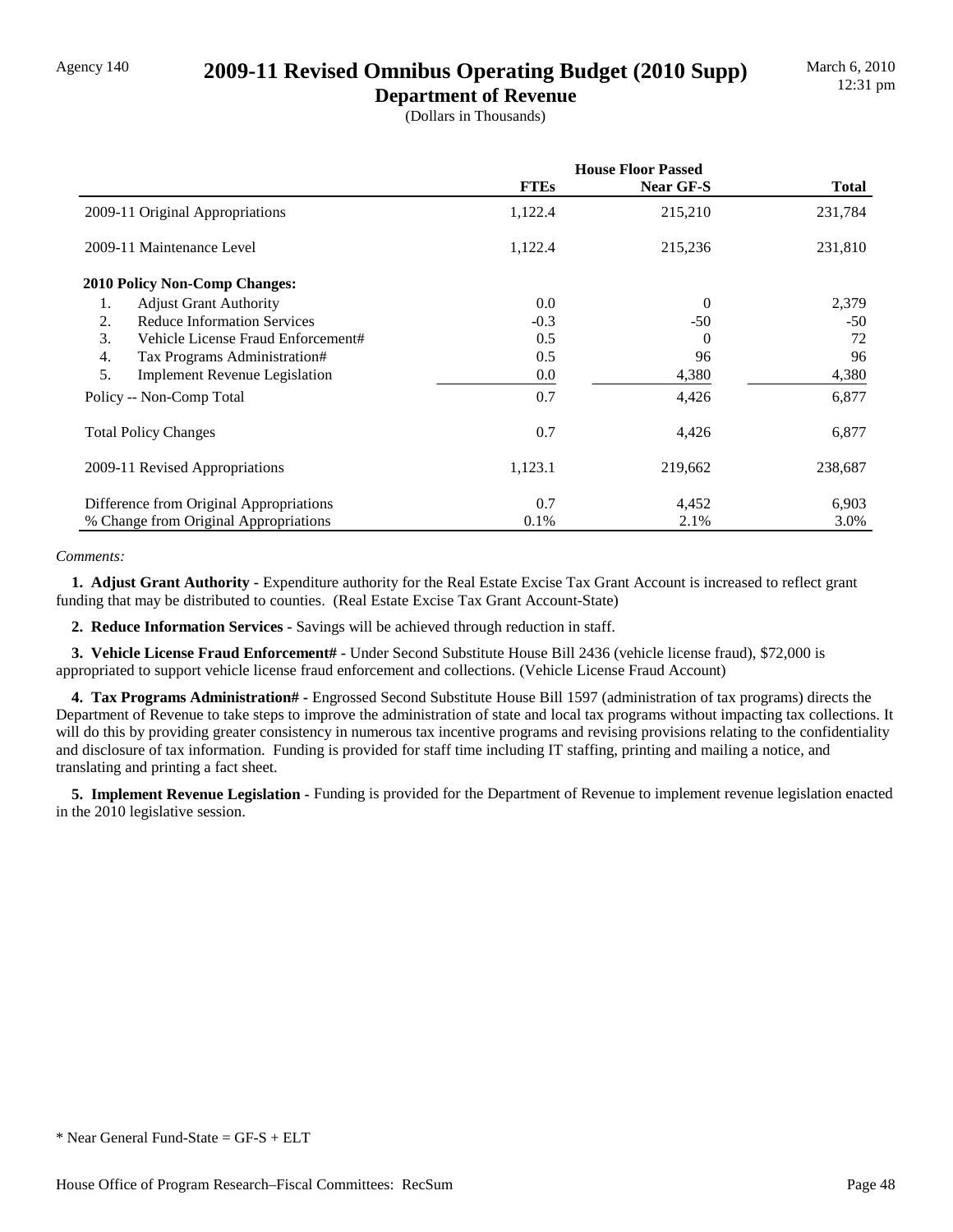## Agency 140 **2009-11 Revised Omnibus Operating Budget (2010 Supp)**

**Department of Revenue** (Dollars in Thousands)

|                                            | <b>House Floor Passed</b> |           |              |
|--------------------------------------------|---------------------------|-----------|--------------|
|                                            | <b>FTEs</b>               | Near GF-S | <b>Total</b> |
| 2009-11 Original Appropriations            | 1,122.4                   | 215,210   | 231,784      |
| 2009-11 Maintenance Level                  | 1,122.4                   | 215,236   | 231,810      |
| <b>2010 Policy Non-Comp Changes:</b>       |                           |           |              |
| <b>Adjust Grant Authority</b><br>1.        | 0.0                       | $\Omega$  | 2,379        |
| <b>Reduce Information Services</b><br>2.   | $-0.3$                    | $-50$     | $-50$        |
| 3.<br>Vehicle License Fraud Enforcement#   | 0.5                       | $\Omega$  | 72           |
| 4.<br>Tax Programs Administration#         | 0.5                       | 96        | 96           |
| 5.<br><b>Implement Revenue Legislation</b> | $0.0\,$                   | 4,380     | 4,380        |
| Policy -- Non-Comp Total                   | 0.7                       | 4,426     | 6,877        |
| <b>Total Policy Changes</b>                | 0.7                       | 4,426     | 6,877        |
| 2009-11 Revised Appropriations             | 1,123.1                   | 219,662   | 238,687      |
| Difference from Original Appropriations    | 0.7                       | 4,452     | 6,903        |
| % Change from Original Appropriations      | 0.1%                      | 2.1%      | 3.0%         |

*Comments:*

 **1. Adjust Grant Authority -** Expenditure authority for the Real Estate Excise Tax Grant Account is increased to reflect grant funding that may be distributed to counties. (Real Estate Excise Tax Grant Account-State)

 **2. Reduce Information Services -** Savings will be achieved through reduction in staff.

 **3. Vehicle License Fraud Enforcement# -** Under Second Substitute House Bill 2436 (vehicle license fraud), \$72,000 is appropriated to support vehicle license fraud enforcement and collections. (Vehicle License Fraud Account)

 **4. Tax Programs Administration# -** Engrossed Second Substitute House Bill 1597 (administration of tax programs) directs the Department of Revenue to take steps to improve the administration of state and local tax programs without impacting tax collections. It will do this by providing greater consistency in numerous tax incentive programs and revising provisions relating to the confidentiality and disclosure of tax information. Funding is provided for staff time including IT staffing, printing and mailing a notice, and translating and printing a fact sheet.

 **5. Implement Revenue Legislation -** Funding is provided for the Department of Revenue to implement revenue legislation enacted in the 2010 legislative session.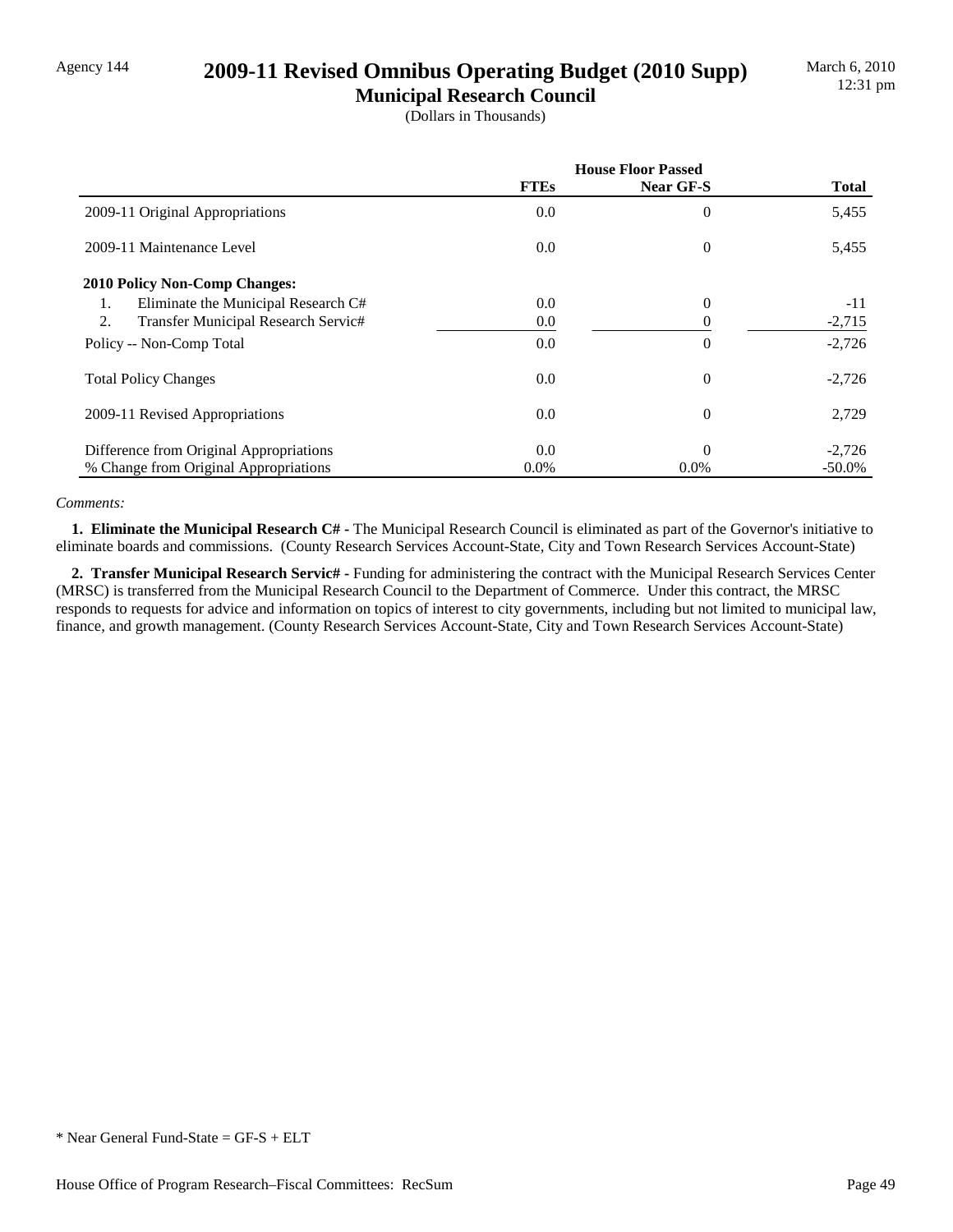## Agency 144 **2009-11 Revised Omnibus Operating Budget (2010 Supp)**

**Municipal Research Council** (Dollars in Thousands)

|                                           | <b>House Floor Passed</b> |                |              |
|-------------------------------------------|---------------------------|----------------|--------------|
|                                           | <b>FTEs</b>               | Near GF-S      | <b>Total</b> |
| 2009-11 Original Appropriations           | $0.0\,$                   | 0              | 5,455        |
| 2009-11 Maintenance Level                 | $0.0\,$                   | $\overline{0}$ | 5,455        |
| <b>2010 Policy Non-Comp Changes:</b>      |                           |                |              |
| Eliminate the Municipal Research C#<br>1. | 0.0                       | $\overline{0}$ | $-11$        |
| Transfer Municipal Research Servic#<br>2. | $0.0\,$                   |                | $-2,715$     |
| Policy -- Non-Comp Total                  | 0.0                       | 0              | $-2,726$     |
| <b>Total Policy Changes</b>               | $0.0\,$                   | 0              | $-2,726$     |
| 2009-11 Revised Appropriations            | $0.0\,$                   | 0              | 2,729        |
| Difference from Original Appropriations   | 0.0                       | $\Omega$       | $-2,726$     |
| % Change from Original Appropriations     | $0.0\%$                   | $0.0\%$        | $-50.0\%$    |

### *Comments:*

 **1. Eliminate the Municipal Research C# -** The Municipal Research Council is eliminated as part of the Governor's initiative to eliminate boards and commissions. (County Research Services Account-State, City and Town Research Services Account-State)

 **2. Transfer Municipal Research Servic# -** Funding for administering the contract with the Municipal Research Services Center (MRSC) is transferred from the Municipal Research Council to the Department of Commerce. Under this contract, the MRSC responds to requests for advice and information on topics of interest to city governments, including but not limited to municipal law, finance, and growth management. (County Research Services Account-State, City and Town Research Services Account-State)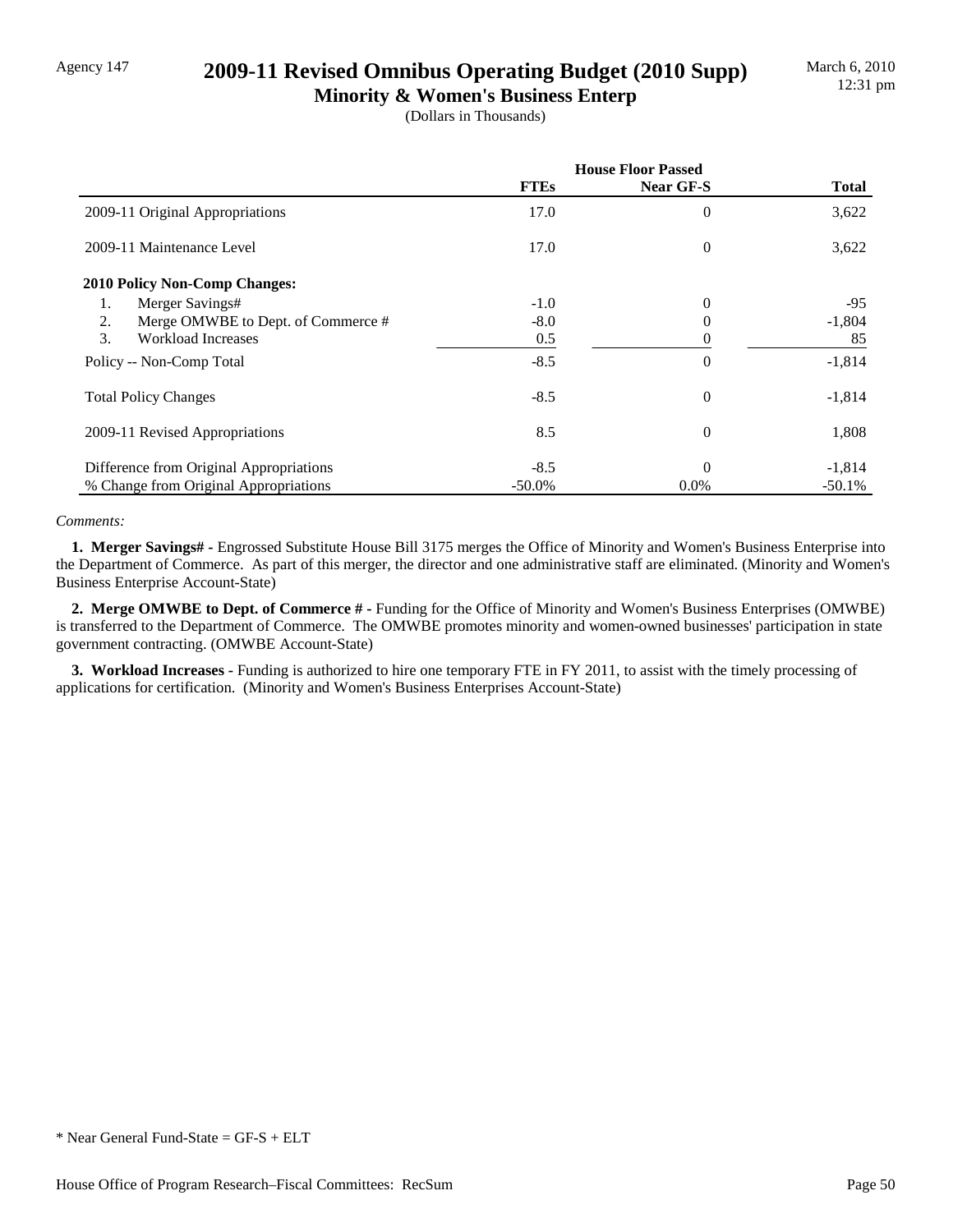## Agency 147 **2009-11 Revised Omnibus Operating Budget (2010 Supp)**

**Minority & Women's Business Enterp** (Dollars in Thousands)

|                                          | <b>House Floor Passed</b> |                |          |
|------------------------------------------|---------------------------|----------------|----------|
|                                          | <b>FTEs</b>               | Near GF-S      | Total    |
| 2009-11 Original Appropriations          | 17.0                      | 0              | 3,622    |
| 2009-11 Maintenance Level                | 17.0                      | $\mathbf{0}$   | 3,622    |
| <b>2010 Policy Non-Comp Changes:</b>     |                           |                |          |
| Merger Savings#<br>1.                    | $-1.0$                    | $\theta$       | $-95$    |
| 2.<br>Merge OMWBE to Dept. of Commerce # | $-8.0$                    | 0              | $-1,804$ |
| 3.<br><b>Workload Increases</b>          | 0.5                       | 0              | 85       |
| Policy -- Non-Comp Total                 | $-8.5$                    | $\theta$       | $-1,814$ |
| <b>Total Policy Changes</b>              | $-8.5$                    | $\theta$       | $-1,814$ |
| 2009-11 Revised Appropriations           | 8.5                       | $\overline{0}$ | 1,808    |
| Difference from Original Appropriations  | $-8.5$                    | $\Omega$       | $-1,814$ |
| % Change from Original Appropriations    | $-50.0\%$                 | $0.0\%$        | $-50.1%$ |

### *Comments:*

 **1. Merger Savings# -** Engrossed Substitute House Bill 3175 merges the Office of Minority and Women's Business Enterprise into the Department of Commerce. As part of this merger, the director and one administrative staff are eliminated. (Minority and Women's Business Enterprise Account-State)

 **2. Merge OMWBE to Dept. of Commerce # -** Funding for the Office of Minority and Women's Business Enterprises (OMWBE) is transferred to the Department of Commerce. The OMWBE promotes minority and women-owned businesses' participation in state government contracting. (OMWBE Account-State)

 **3. Workload Increases -** Funding is authorized to hire one temporary FTE in FY 2011, to assist with the timely processing of applications for certification. (Minority and Women's Business Enterprises Account-State)

<sup>\*</sup> Near General Fund-State = GF-S + ELT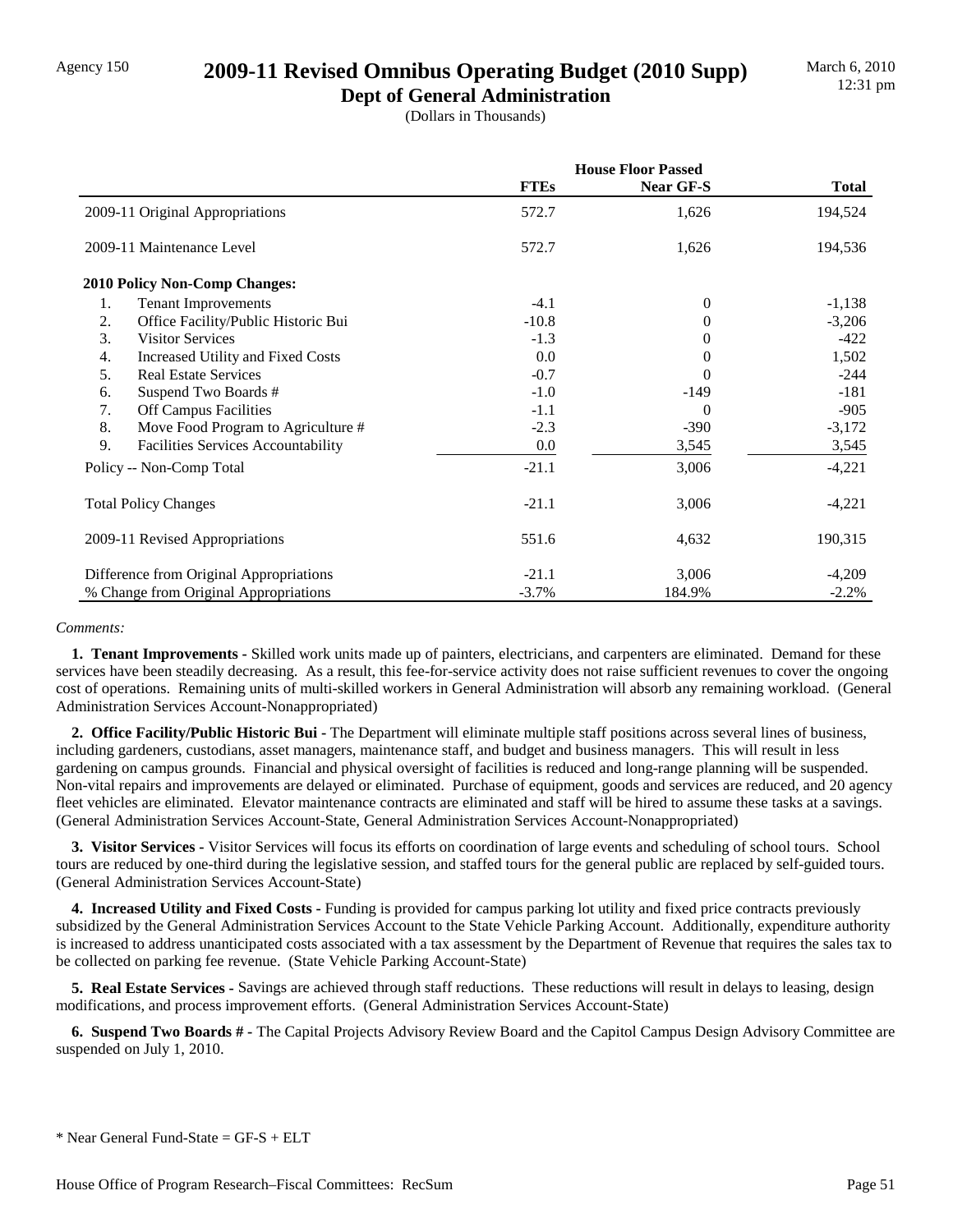## Agency 150 **2009-11 Revised Omnibus Operating Budget (2010 Supp)**

**Dept of General Administration** (Dollars in Thousands)

|                                           | <b>House Floor Passed</b> |           |              |
|-------------------------------------------|---------------------------|-----------|--------------|
|                                           | <b>FTEs</b>               | Near GF-S | <b>Total</b> |
| 2009-11 Original Appropriations           | 572.7                     | 1,626     | 194,524      |
| 2009-11 Maintenance Level                 | 572.7                     | 1,626     | 194,536      |
| 2010 Policy Non-Comp Changes:             |                           |           |              |
| 1.<br><b>Tenant Improvements</b>          | $-4.1$                    | $\theta$  | $-1,138$     |
| 2.<br>Office Facility/Public Historic Bui | $-10.8$                   | 0         | $-3,206$     |
| 3.<br><b>Visitor Services</b>             | $-1.3$                    | 0         | $-422$       |
| Increased Utility and Fixed Costs<br>4.   | 0.0                       | 0         | 1,502        |
| 5.<br><b>Real Estate Services</b>         | $-0.7$                    | 0         | $-244$       |
| Suspend Two Boards #<br>6.                | $-1.0$                    | -149      | $-181$       |
| 7.<br>Off Campus Facilities               | $-1.1$                    | $\Omega$  | $-905$       |
| 8.<br>Move Food Program to Agriculture #  | $-2.3$                    | $-390$    | $-3,172$     |
| 9.<br>Facilities Services Accountability  | 0.0                       | 3,545     | 3,545        |
| Policy -- Non-Comp Total                  | $-21.1$                   | 3,006     | $-4,221$     |
| <b>Total Policy Changes</b>               | $-21.1$                   | 3,006     | $-4,221$     |
| 2009-11 Revised Appropriations            | 551.6                     | 4,632     | 190,315      |
| Difference from Original Appropriations   | $-21.1$                   | 3,006     | $-4,209$     |
| % Change from Original Appropriations     | $-3.7%$                   | 184.9%    | $-2.2%$      |

#### *Comments:*

 **1. Tenant Improvements -** Skilled work units made up of painters, electricians, and carpenters are eliminated. Demand for these services have been steadily decreasing. As a result, this fee-for-service activity does not raise sufficient revenues to cover the ongoing cost of operations. Remaining units of multi-skilled workers in General Administration will absorb any remaining workload. (General Administration Services Account-Nonappropriated)

 **2. Office Facility/Public Historic Bui -** The Department will eliminate multiple staff positions across several lines of business, including gardeners, custodians, asset managers, maintenance staff, and budget and business managers. This will result in less gardening on campus grounds. Financial and physical oversight of facilities is reduced and long-range planning will be suspended. Non-vital repairs and improvements are delayed or eliminated. Purchase of equipment, goods and services are reduced, and 20 agency fleet vehicles are eliminated. Elevator maintenance contracts are eliminated and staff will be hired to assume these tasks at a savings. (General Administration Services Account-State, General Administration Services Account-Nonappropriated)

 **3. Visitor Services -** Visitor Services will focus its efforts on coordination of large events and scheduling of school tours. School tours are reduced by one-third during the legislative session, and staffed tours for the general public are replaced by self-guided tours. (General Administration Services Account-State)

 **4. Increased Utility and Fixed Costs -** Funding is provided for campus parking lot utility and fixed price contracts previously subsidized by the General Administration Services Account to the State Vehicle Parking Account. Additionally, expenditure authority is increased to address unanticipated costs associated with a tax assessment by the Department of Revenue that requires the sales tax to be collected on parking fee revenue. (State Vehicle Parking Account-State)

**5. Real Estate Services -** Savings are achieved through staff reductions. These reductions will result in delays to leasing, design modifications, and process improvement efforts. (General Administration Services Account-State)

 **6. Suspend Two Boards # -** The Capital Projects Advisory Review Board and the Capitol Campus Design Advisory Committee are suspended on July 1, 2010.

\* Near General Fund-State = GF-S + ELT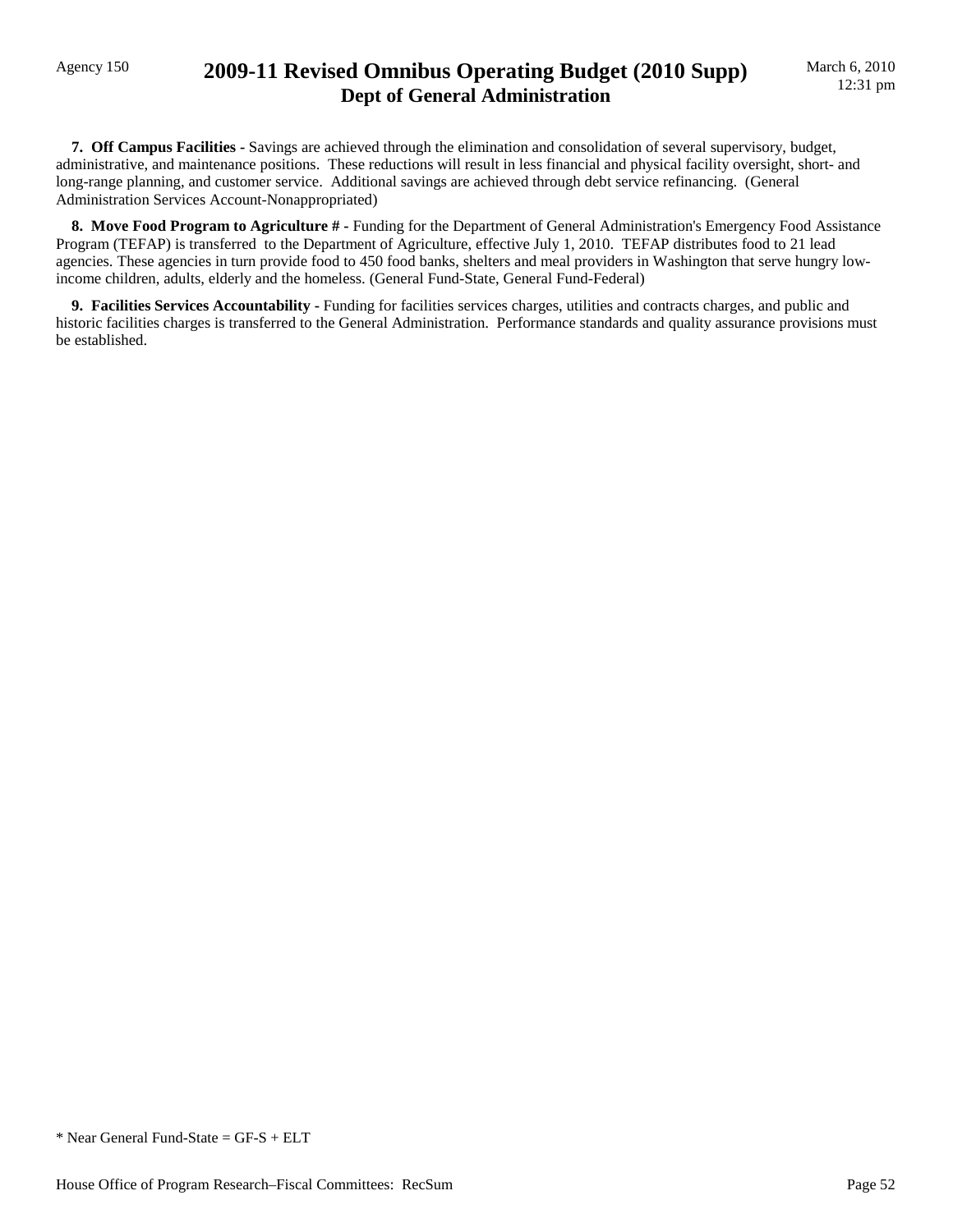## Agency 150 **2009-11 Revised Omnibus Operating Budget (2010 Supp) Dept of General Administration**

 **7. Off Campus Facilities -** Savings are achieved through the elimination and consolidation of several supervisory, budget, administrative, and maintenance positions. These reductions will result in less financial and physical facility oversight, short- and long-range planning, and customer service. Additional savings are achieved through debt service refinancing. (General Administration Services Account-Nonappropriated)

 **8. Move Food Program to Agriculture # -** Funding for the Department of General Administration's Emergency Food Assistance Program (TEFAP) is transferred to the Department of Agriculture, effective July 1, 2010. TEFAP distributes food to 21 lead agencies. These agencies in turn provide food to 450 food banks, shelters and meal providers in Washington that serve hungry lowincome children, adults, elderly and the homeless. (General Fund-State, General Fund-Federal)

 **9. Facilities Services Accountability -** Funding for facilities services charges, utilities and contracts charges, and public and historic facilities charges is transferred to the General Administration. Performance standards and quality assurance provisions must be established.

\* Near General Fund-State = GF-S + ELT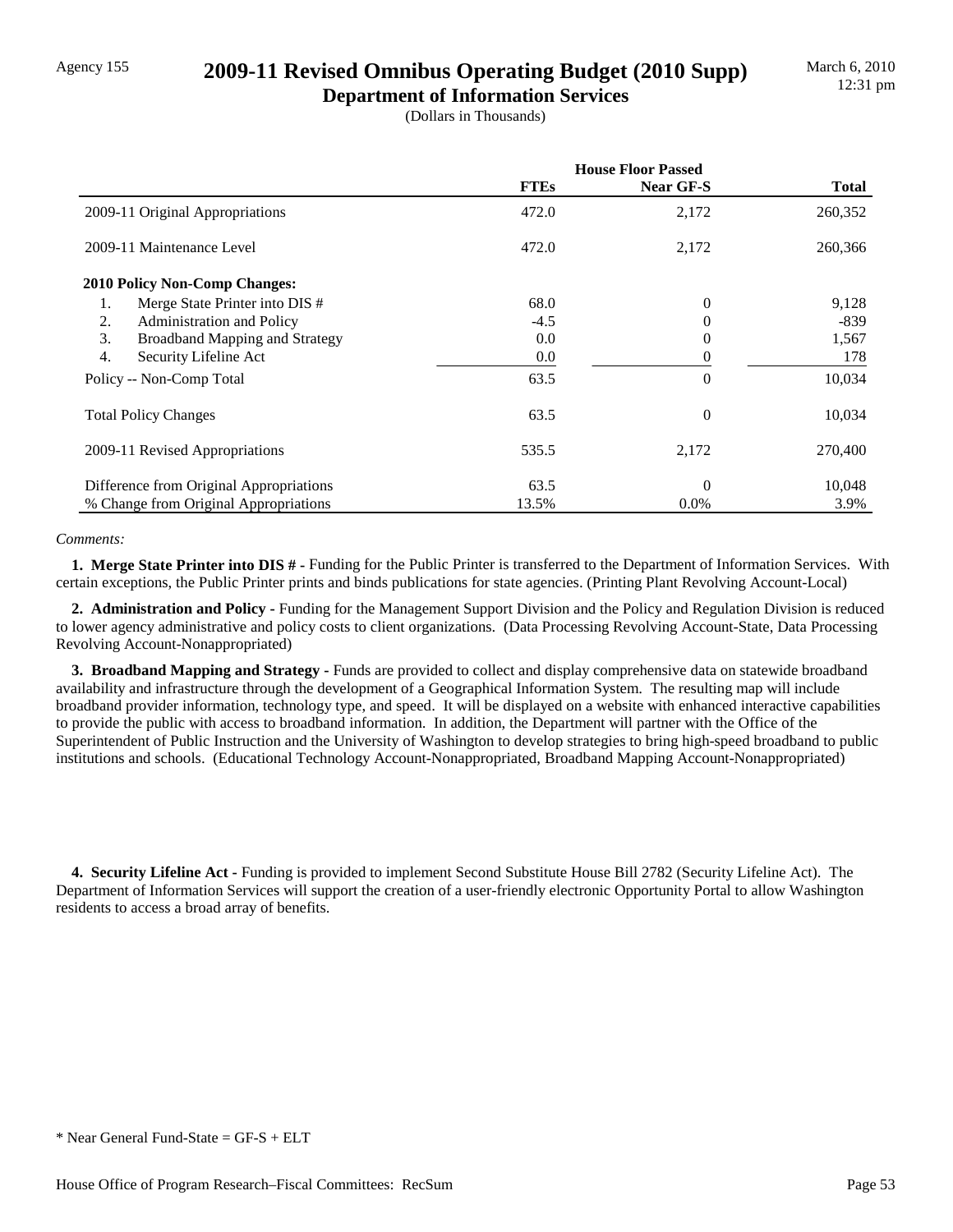## Agency 155 **2009-11 Revised Omnibus Operating Budget (2010 Supp)**

**Department of Information Services** (Dollars in Thousands)

|                                             | <b>House Floor Passed</b> |           |              |
|---------------------------------------------|---------------------------|-----------|--------------|
|                                             | <b>FTEs</b>               | Near GF-S | <b>Total</b> |
| 2009-11 Original Appropriations             | 472.0                     | 2,172     | 260,352      |
| 2009-11 Maintenance Level                   | 472.0                     | 2,172     | 260,366      |
| <b>2010 Policy Non-Comp Changes:</b>        |                           |           |              |
| 1.<br>Merge State Printer into DIS #        | 68.0                      | 0         | 9,128        |
| 2.<br>Administration and Policy             | $-4.5$                    | 0         | -839         |
| 3.<br><b>Broadband Mapping and Strategy</b> | 0.0                       | 0         | 1,567        |
| 4.<br>Security Lifeline Act                 | 0.0                       | 0         | 178          |
| Policy -- Non-Comp Total                    | 63.5                      | $\theta$  | 10,034       |
| <b>Total Policy Changes</b>                 | 63.5                      | 0         | 10,034       |
| 2009-11 Revised Appropriations              | 535.5                     | 2,172     | 270,400      |
| Difference from Original Appropriations     | 63.5                      | $\Omega$  | 10,048       |
| % Change from Original Appropriations       | 13.5%                     | 0.0%      | 3.9%         |

### *Comments:*

 **1. Merge State Printer into DIS # -** Funding for the Public Printer is transferred to the Department of Information Services. With certain exceptions, the Public Printer prints and binds publications for state agencies. (Printing Plant Revolving Account-Local)

 **2. Administration and Policy -** Funding for the Management Support Division and the Policy and Regulation Division is reduced to lower agency administrative and policy costs to client organizations. (Data Processing Revolving Account-State, Data Processing Revolving Account-Nonappropriated)

 **3. Broadband Mapping and Strategy -** Funds are provided to collect and display comprehensive data on statewide broadband availability and infrastructure through the development of a Geographical Information System. The resulting map will include broadband provider information, technology type, and speed. It will be displayed on a website with enhanced interactive capabilities to provide the public with access to broadband information. In addition, the Department will partner with the Office of the Superintendent of Public Instruction and the University of Washington to develop strategies to bring high-speed broadband to public institutions and schools. (Educational Technology Account-Nonappropriated, Broadband Mapping Account-Nonappropriated)

 **4. Security Lifeline Act -** Funding is provided to implement Second Substitute House Bill 2782 (Security Lifeline Act). The Department of Information Services will support the creation of a user-friendly electronic Opportunity Portal to allow Washington residents to access a broad array of benefits.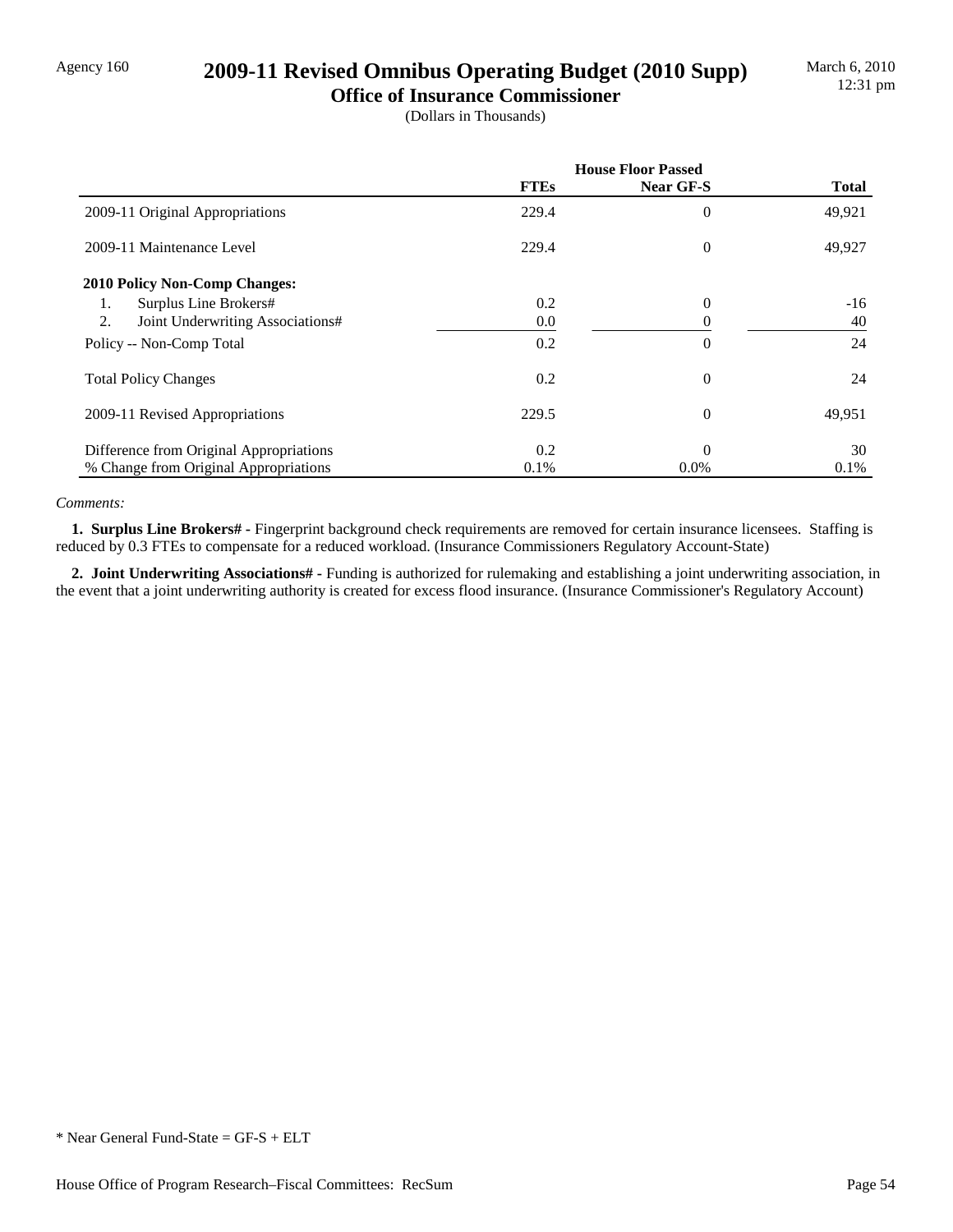## Agency 160 **2009-11 Revised Omnibus Operating Budget (2010 Supp)**

**Office of Insurance Commissioner** (Dollars in Thousands)

|                                         | <b>House Floor Passed</b> |           |              |
|-----------------------------------------|---------------------------|-----------|--------------|
|                                         | <b>FTEs</b>               | Near GF-S | <b>Total</b> |
| 2009-11 Original Appropriations         | 229.4                     | $\theta$  | 49,921       |
| 2009-11 Maintenance Level               | 229.4                     | $\theta$  | 49,927       |
| <b>2010 Policy Non-Comp Changes:</b>    |                           |           |              |
| Surplus Line Brokers#<br>1.             | 0.2                       | $\theta$  | $-16$        |
| 2.<br>Joint Underwriting Associations#  | 0.0                       | $\theta$  | 40           |
| Policy -- Non-Comp Total                | 0.2                       | $\theta$  | 24           |
| <b>Total Policy Changes</b>             | 0.2                       | $\theta$  | 24           |
| 2009-11 Revised Appropriations          | 229.5                     | $\theta$  | 49,951       |
| Difference from Original Appropriations | 0.2                       | $\Omega$  | 30           |
| % Change from Original Appropriations   | 0.1%                      | $0.0\%$   | 0.1%         |

### *Comments:*

 **1. Surplus Line Brokers# -** Fingerprint background check requirements are removed for certain insurance licensees. Staffing is reduced by 0.3 FTEs to compensate for a reduced workload. (Insurance Commissioners Regulatory Account-State)

 **2. Joint Underwriting Associations# -** Funding is authorized for rulemaking and establishing a joint underwriting association, in the event that a joint underwriting authority is created for excess flood insurance. (Insurance Commissioner's Regulatory Account)

<sup>\*</sup> Near General Fund-State = GF-S + ELT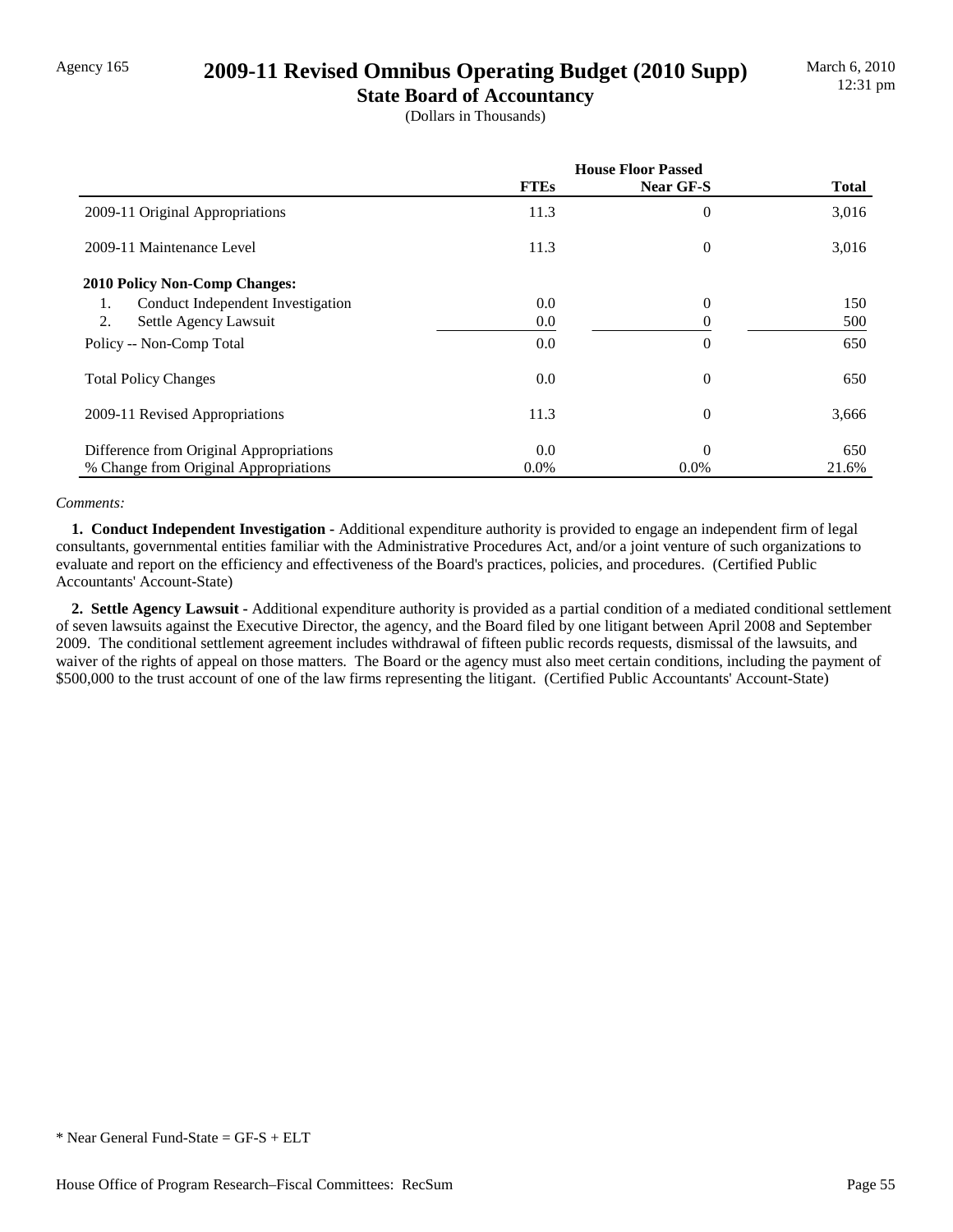### Agency 165 **2009-11 Revised Omnibus Operating Budget (2010 Supp)**

**State Board of Accountancy** (Dollars in Thousands)

|                                         | <b>House Floor Passed</b> |                  |              |
|-----------------------------------------|---------------------------|------------------|--------------|
|                                         | <b>FTEs</b>               | <b>Near GF-S</b> | <b>Total</b> |
| 2009-11 Original Appropriations         | 11.3                      | 0                | 3,016        |
| 2009-11 Maintenance Level               | 11.3                      | $\theta$         | 3,016        |
| <b>2010 Policy Non-Comp Changes:</b>    |                           |                  |              |
| Conduct Independent Investigation<br>1. | 0.0                       | 0                | 150          |
| 2.<br>Settle Agency Lawsuit             | 0.0                       | 0                | 500          |
| Policy -- Non-Comp Total                | 0.0                       | $\theta$         | 650          |
| <b>Total Policy Changes</b>             | 0.0                       | $\theta$         | 650          |
| 2009-11 Revised Appropriations          | 11.3                      | $\theta$         | 3,666        |
| Difference from Original Appropriations | 0.0                       | $\theta$         | 650          |
| % Change from Original Appropriations   | $0.0\%$                   | $0.0\%$          | 21.6%        |

### *Comments:*

 **1. Conduct Independent Investigation -** Additional expenditure authority is provided to engage an independent firm of legal consultants, governmental entities familiar with the Administrative Procedures Act, and/or a joint venture of such organizations to evaluate and report on the efficiency and effectiveness of the Board's practices, policies, and procedures. (Certified Public Accountants' Account-State)

 **2. Settle Agency Lawsuit -** Additional expenditure authority is provided as a partial condition of a mediated conditional settlement of seven lawsuits against the Executive Director, the agency, and the Board filed by one litigant between April 2008 and September 2009. The conditional settlement agreement includes withdrawal of fifteen public records requests, dismissal of the lawsuits, and waiver of the rights of appeal on those matters. The Board or the agency must also meet certain conditions, including the payment of \$500,000 to the trust account of one of the law firms representing the litigant. (Certified Public Accountants' Account-State)

<sup>\*</sup> Near General Fund-State = GF-S + ELT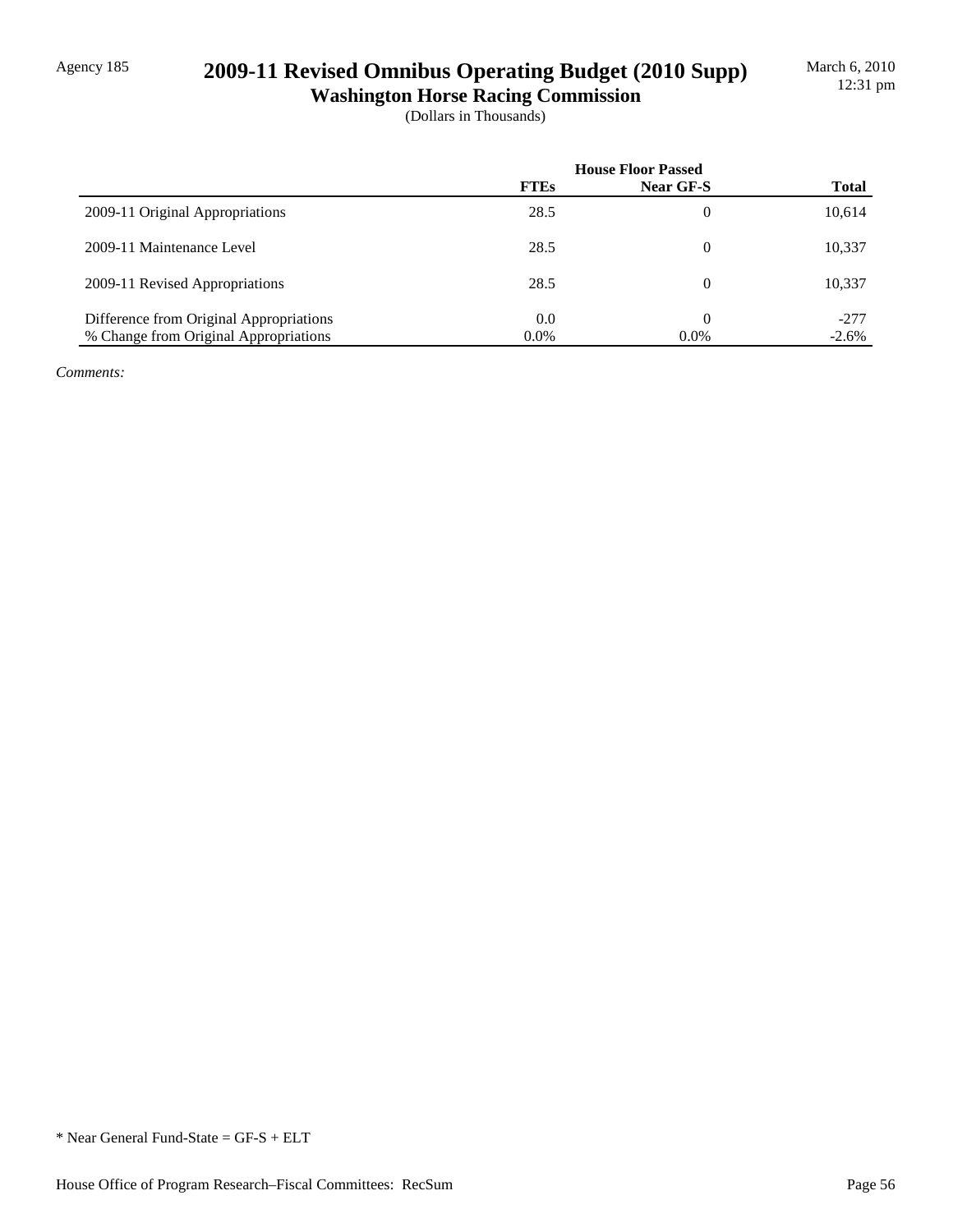## Agency 185 **2009-11 Revised Omnibus Operating Budget (2010 Supp)**

**Washington Horse Racing Commission** (Dollars in Thousands)

|                                         | <b>House Floor Passed</b> |           |              |
|-----------------------------------------|---------------------------|-----------|--------------|
|                                         | <b>FTEs</b>               | Near GF-S | <b>Total</b> |
| 2009-11 Original Appropriations         | 28.5                      | $\Omega$  | 10,614       |
| 2009-11 Maintenance Level               | 28.5                      | $\theta$  | 10,337       |
| 2009-11 Revised Appropriations          | 28.5                      | $\Omega$  | 10,337       |
| Difference from Original Appropriations | 0.0                       | $\Omega$  | $-277$       |
| % Change from Original Appropriations   | $0.0\%$                   | $0.0\%$   | $-2.6\%$     |

*Comments:*

\* Near General Fund-State = GF-S + ELT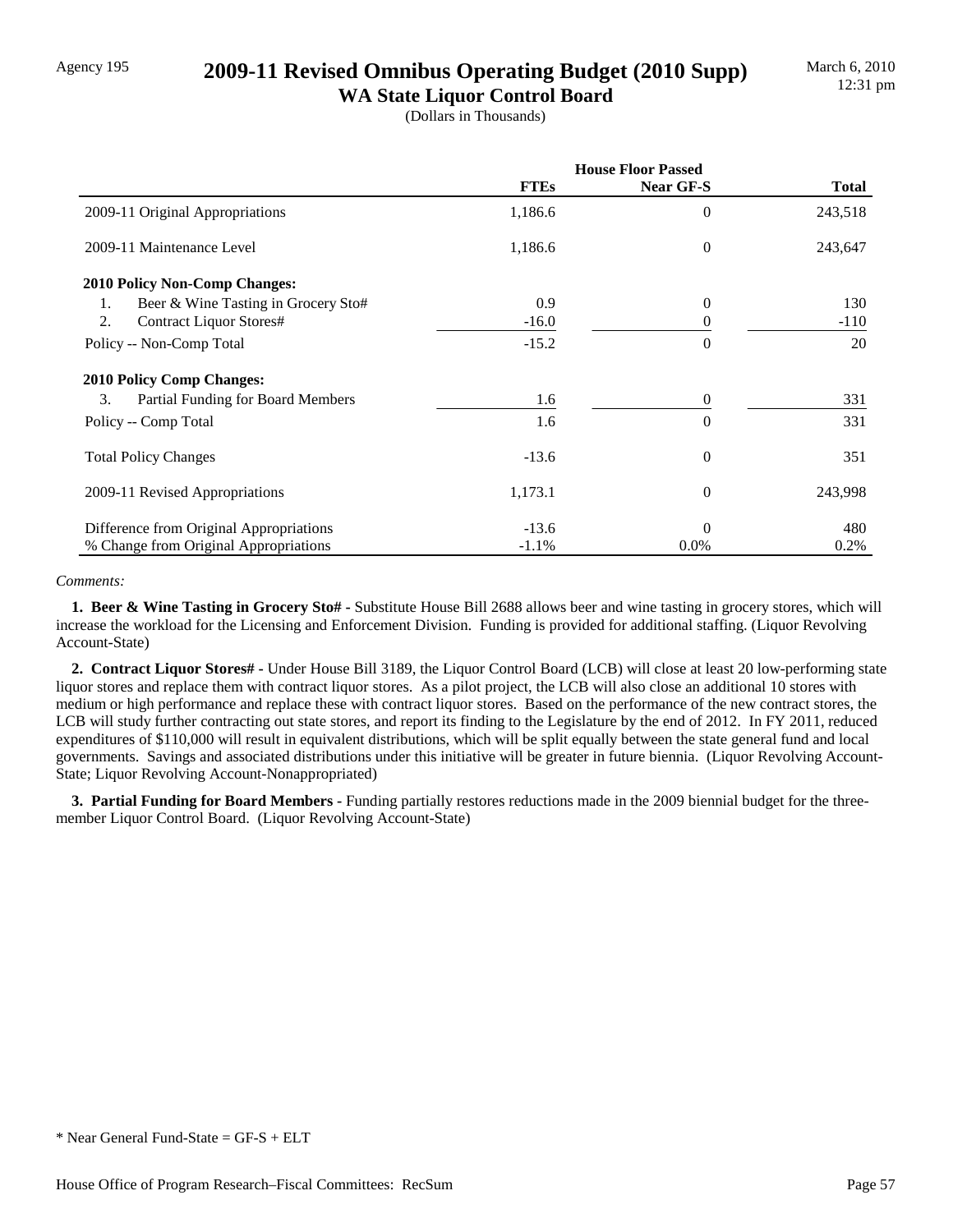## Agency 195 **2009-11 Revised Omnibus Operating Budget (2010 Supp)**

**WA State Liquor Control Board** (Dollars in Thousands)

|                                           | <b>House Floor Passed</b> |                  |              |
|-------------------------------------------|---------------------------|------------------|--------------|
|                                           | <b>FTEs</b>               | Near GF-S        | <b>Total</b> |
| 2009-11 Original Appropriations           | 1,186.6                   | 0                | 243,518      |
| 2009-11 Maintenance Level                 | 1,186.6                   | $\boldsymbol{0}$ | 243,647      |
| <b>2010 Policy Non-Comp Changes:</b>      |                           |                  |              |
| Beer & Wine Tasting in Grocery Sto#<br>1. | 0.9                       | $\theta$         | 130          |
| 2.<br>Contract Liquor Stores#             | $-16.0$                   | 0                | $-110$       |
| Policy -- Non-Comp Total                  | $-15.2$                   | $\theta$         | 20           |
| <b>2010 Policy Comp Changes:</b>          |                           |                  |              |
| 3.<br>Partial Funding for Board Members   | 1.6                       | 0                | 331          |
| Policy -- Comp Total                      | 1.6                       | $\overline{0}$   | 331          |
| <b>Total Policy Changes</b>               | $-13.6$                   | $\theta$         | 351          |
| 2009-11 Revised Appropriations            | 1,173.1                   | $\theta$         | 243,998      |
| Difference from Original Appropriations   | $-13.6$                   | $\Omega$         | 480          |
| % Change from Original Appropriations     | $-1.1%$                   | $0.0\%$          | 0.2%         |

### *Comments:*

 **1. Beer & Wine Tasting in Grocery Sto# -** Substitute House Bill 2688 allows beer and wine tasting in grocery stores, which will increase the workload for the Licensing and Enforcement Division. Funding is provided for additional staffing. (Liquor Revolving Account-State)

 **2. Contract Liquor Stores# -** Under House Bill 3189, the Liquor Control Board (LCB) will close at least 20 low-performing state liquor stores and replace them with contract liquor stores. As a pilot project, the LCB will also close an additional 10 stores with medium or high performance and replace these with contract liquor stores. Based on the performance of the new contract stores, the LCB will study further contracting out state stores, and report its finding to the Legislature by the end of 2012. In FY 2011, reduced expenditures of \$110,000 will result in equivalent distributions, which will be split equally between the state general fund and local governments. Savings and associated distributions under this initiative will be greater in future biennia. (Liquor Revolving Account-State; Liquor Revolving Account-Nonappropriated)

 **3. Partial Funding for Board Members -** Funding partially restores reductions made in the 2009 biennial budget for the threemember Liquor Control Board. (Liquor Revolving Account-State)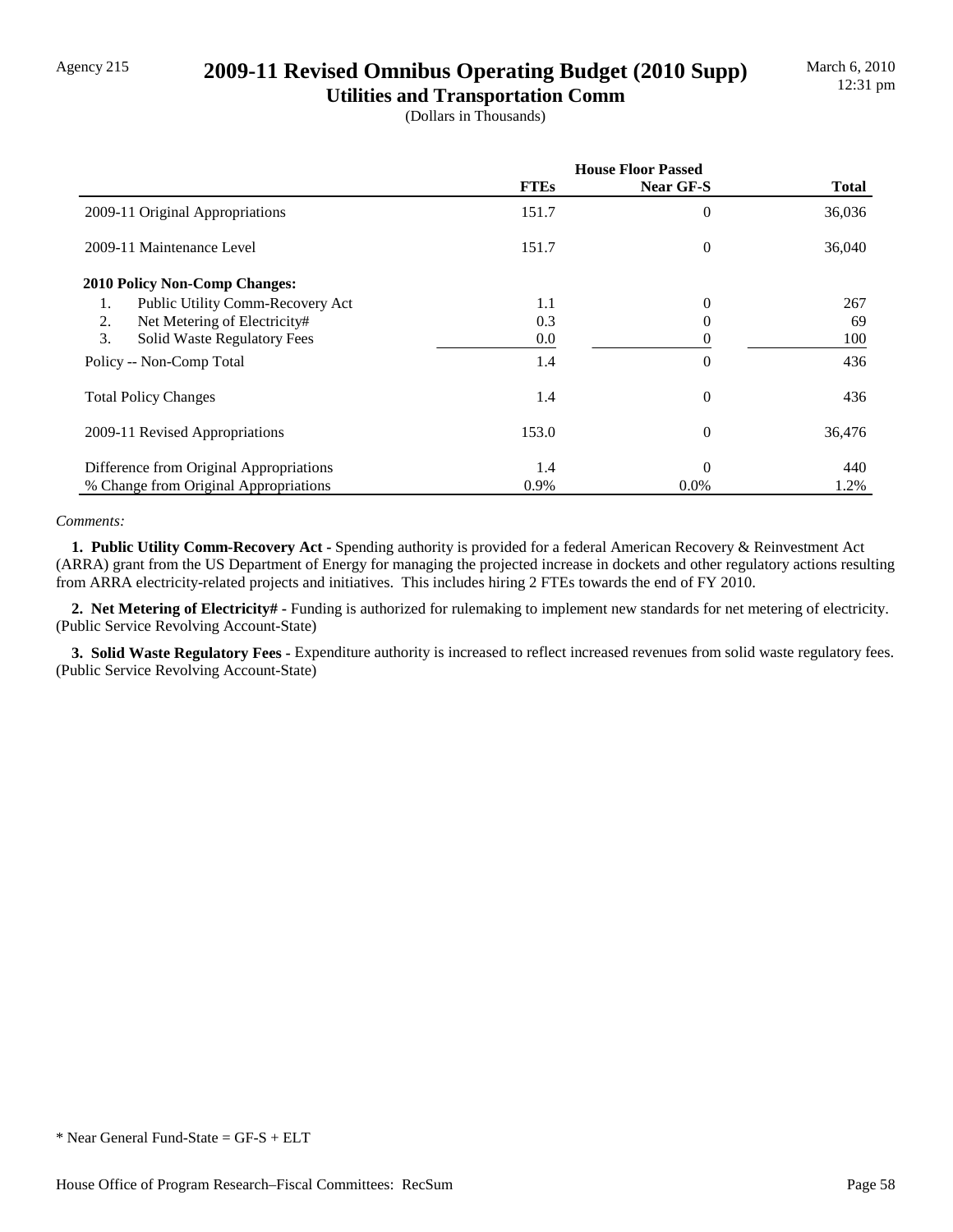## Agency 215 **2009-11 Revised Omnibus Operating Budget (2010 Supp)**

**Utilities and Transportation Comm** (Dollars in Thousands)

|                                         | <b>House Floor Passed</b> |           |        |
|-----------------------------------------|---------------------------|-----------|--------|
|                                         | <b>FTEs</b>               | Near GF-S | Total  |
| 2009-11 Original Appropriations         | 151.7                     | 0         | 36,036 |
| 2009-11 Maintenance Level               | 151.7                     | 0         | 36,040 |
| <b>2010 Policy Non-Comp Changes:</b>    |                           |           |        |
| Public Utility Comm-Recovery Act<br>1.  | 1.1                       | 0         | 267    |
| 2.<br>Net Metering of Electricity#      | 0.3                       | 0         | 69     |
| 3.<br>Solid Waste Regulatory Fees       | 0.0                       | 0         | 100    |
| Policy -- Non-Comp Total                | 1.4                       | $\theta$  | 436    |
| <b>Total Policy Changes</b>             | 1.4                       | $\theta$  | 436    |
| 2009-11 Revised Appropriations          | 153.0                     | $\theta$  | 36,476 |
| Difference from Original Appropriations | 1.4                       | $\Omega$  | 440    |
| % Change from Original Appropriations   | 0.9%                      | $0.0\%$   | 1.2%   |

### *Comments:*

 **1. Public Utility Comm-Recovery Act -** Spending authority is provided for a federal American Recovery & Reinvestment Act (ARRA) grant from the US Department of Energy for managing the projected increase in dockets and other regulatory actions resulting from ARRA electricity-related projects and initiatives. This includes hiring 2 FTEs towards the end of FY 2010.

 **2. Net Metering of Electricity# -** Funding is authorized for rulemaking to implement new standards for net metering of electricity. (Public Service Revolving Account-State)

 **3. Solid Waste Regulatory Fees -** Expenditure authority is increased to reflect increased revenues from solid waste regulatory fees. (Public Service Revolving Account-State)

<sup>\*</sup> Near General Fund-State = GF-S + ELT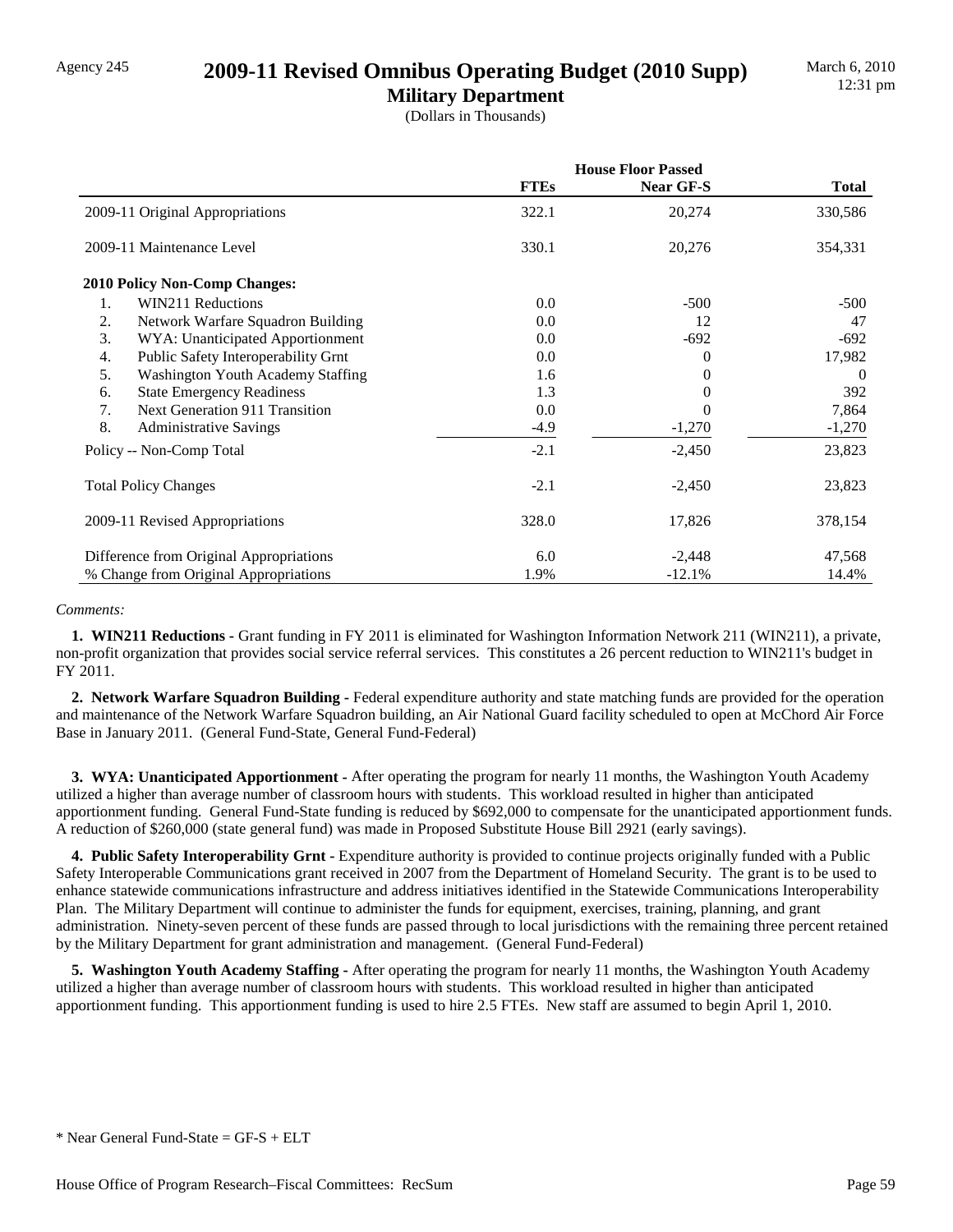### Agency 245 **2009-11 Revised Omnibus Operating Budget (2010 Supp)**

**Military Department** (Dollars in Thousands)

|                                             | <b>House Floor Passed</b> |           |              |
|---------------------------------------------|---------------------------|-----------|--------------|
|                                             | <b>FTEs</b>               | Near GF-S | <b>Total</b> |
| 2009-11 Original Appropriations             | 322.1                     | 20,274    | 330,586      |
| 2009-11 Maintenance Level                   | 330.1                     | 20,276    | 354,331      |
| 2010 Policy Non-Comp Changes:               |                           |           |              |
| 1.<br>WIN211 Reductions                     | 0.0                       | $-500$    | $-500$       |
| 2.<br>Network Warfare Squadron Building     | 0.0                       | 12        | 47           |
| 3.<br>WYA: Unanticipated Apportionment      | 0.0                       | $-692$    | $-692$       |
| Public Safety Interoperability Grnt<br>4.   | 0.0                       | 0         | 17,982       |
| 5.<br>Washington Youth Academy Staffing     | 1.6                       | $_{0}$    | $\theta$     |
| <b>State Emergency Readiness</b><br>6.      | 1.3                       |           | 392          |
| <b>Next Generation 911 Transition</b><br>7. | 0.0                       | 0         | 7,864        |
| 8.<br><b>Administrative Savings</b>         | $-4.9$                    | $-1,270$  | $-1,270$     |
| Policy -- Non-Comp Total                    | $-2.1$                    | $-2,450$  | 23,823       |
| <b>Total Policy Changes</b>                 | $-2.1$                    | $-2,450$  | 23,823       |
| 2009-11 Revised Appropriations              | 328.0                     | 17,826    | 378,154      |
| Difference from Original Appropriations     | 6.0                       | $-2,448$  | 47,568       |
| % Change from Original Appropriations       | 1.9%                      | $-12.1%$  | 14.4%        |

### *Comments:*

 **1. WIN211 Reductions -** Grant funding in FY 2011 is eliminated for Washington Information Network 211 (WIN211), a private, non-profit organization that provides social service referral services. This constitutes a 26 percent reduction to WIN211's budget in FY 2011.

 **2. Network Warfare Squadron Building -** Federal expenditure authority and state matching funds are provided for the operation and maintenance of the Network Warfare Squadron building, an Air National Guard facility scheduled to open at McChord Air Force Base in January 2011. (General Fund-State, General Fund-Federal)

 **3. WYA: Unanticipated Apportionment -** After operating the program for nearly 11 months, the Washington Youth Academy utilized a higher than average number of classroom hours with students. This workload resulted in higher than anticipated apportionment funding. General Fund-State funding is reduced by \$692,000 to compensate for the unanticipated apportionment funds. A reduction of \$260,000 (state general fund) was made in Proposed Substitute House Bill 2921 (early savings).

 **4. Public Safety Interoperability Grnt -** Expenditure authority is provided to continue projects originally funded with a Public Safety Interoperable Communications grant received in 2007 from the Department of Homeland Security. The grant is to be used to enhance statewide communications infrastructure and address initiatives identified in the Statewide Communications Interoperability Plan. The Military Department will continue to administer the funds for equipment, exercises, training, planning, and grant administration. Ninety-seven percent of these funds are passed through to local jurisdictions with the remaining three percent retained by the Military Department for grant administration and management. (General Fund-Federal)

 **5. Washington Youth Academy Staffing -** After operating the program for nearly 11 months, the Washington Youth Academy utilized a higher than average number of classroom hours with students. This workload resulted in higher than anticipated apportionment funding. This apportionment funding is used to hire 2.5 FTEs. New staff are assumed to begin April 1, 2010.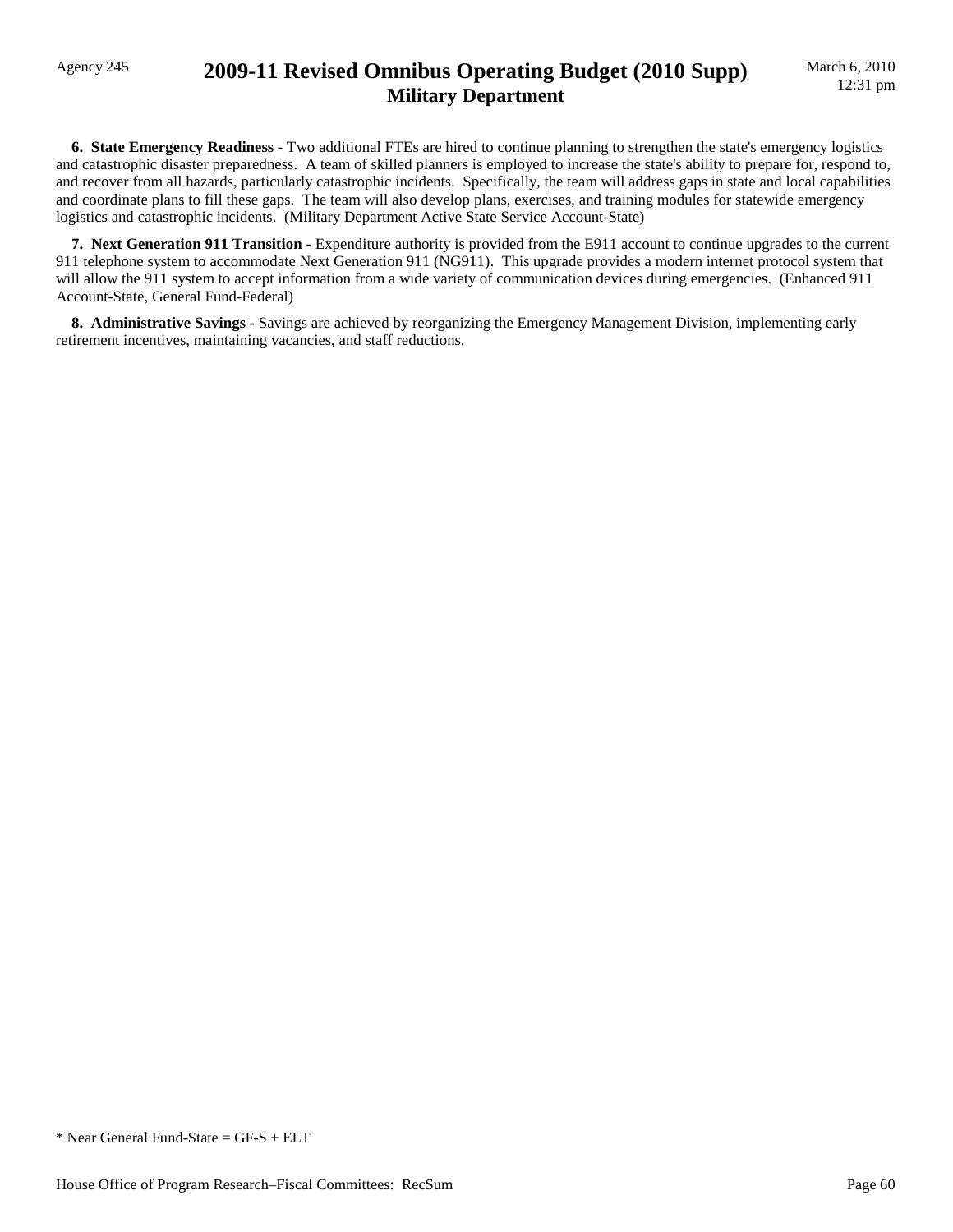## Agency 245 **2009-11 Revised Omnibus Operating Budget (2010 Supp) Military Department**

 **6. State Emergency Readiness -** Two additional FTEs are hired to continue planning to strengthen the state's emergency logistics and catastrophic disaster preparedness. A team of skilled planners is employed to increase the state's ability to prepare for, respond to, and recover from all hazards, particularly catastrophic incidents. Specifically, the team will address gaps in state and local capabilities and coordinate plans to fill these gaps. The team will also develop plans, exercises, and training modules for statewide emergency logistics and catastrophic incidents. (Military Department Active State Service Account-State)

**7. Next Generation 911 Transition -** Expenditure authority is provided from the E911 account to continue upgrades to the current 911 telephone system to accommodate Next Generation 911 (NG911). This upgrade provides a modern internet protocol system that will allow the 911 system to accept information from a wide variety of communication devices during emergencies. (Enhanced 911 Account-State, General Fund-Federal)

 **8. Administrative Savings -** Savings are achieved by reorganizing the Emergency Management Division, implementing early retirement incentives, maintaining vacancies, and staff reductions.

\* Near General Fund-State = GF-S + ELT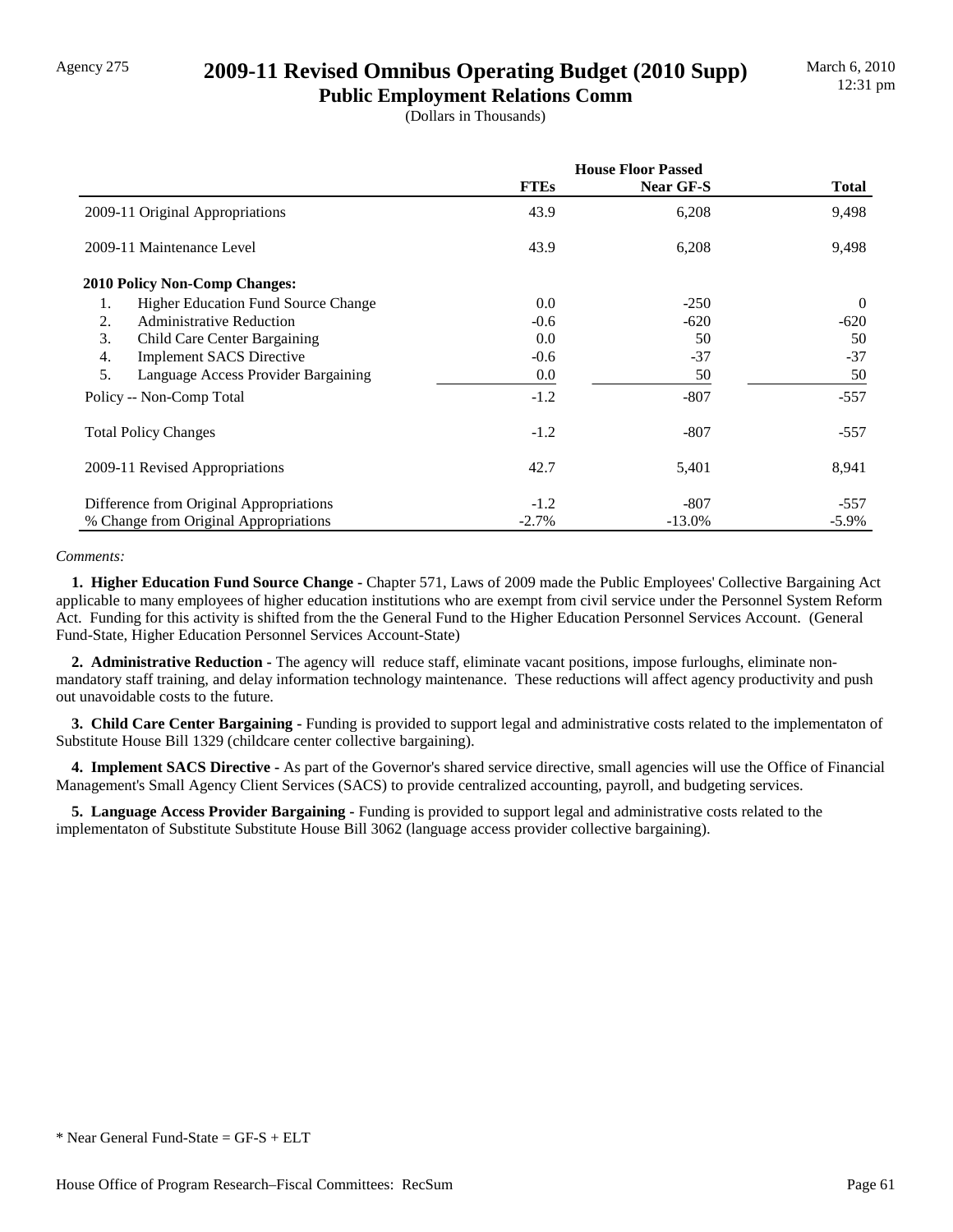## Agency 275 **2009-11 Revised Omnibus Operating Budget (2010 Supp)**

**Public Employment Relations Comm** (Dollars in Thousands)

|                                                     | <b>House Floor Passed</b> |           |              |
|-----------------------------------------------------|---------------------------|-----------|--------------|
|                                                     | <b>FTEs</b>               | Near GF-S | <b>Total</b> |
| 2009-11 Original Appropriations                     | 43.9                      | 6,208     | 9,498        |
| 2009-11 Maintenance Level                           | 43.9                      | 6,208     | 9,498        |
| <b>2010 Policy Non-Comp Changes:</b>                |                           |           |              |
| <b>Higher Education Fund Source Change</b><br>1.    | 0.0                       | $-250$    | $\Omega$     |
| <b>Administrative Reduction</b><br>2.               | $-0.6$                    | $-620$    | $-620$       |
| 3.<br>Child Care Center Bargaining                  | 0.0                       | 50        | 50           |
| $\overline{4}$ .<br><b>Implement SACS Directive</b> | $-0.6$                    | $-37$     | $-37$        |
| 5.<br>Language Access Provider Bargaining           | $0.0\,$                   | 50        | 50           |
| Policy -- Non-Comp Total                            | $-1.2$                    | $-807$    | $-557$       |
| <b>Total Policy Changes</b>                         | $-1.2$                    | $-807$    | $-557$       |
| 2009-11 Revised Appropriations                      | 42.7                      | 5,401     | 8,941        |
| Difference from Original Appropriations             | $-1.2$                    | $-807$    | -557         |
| % Change from Original Appropriations               | $-2.7%$                   | $-13.0\%$ | $-5.9\%$     |

### *Comments:*

 **1. Higher Education Fund Source Change -** Chapter 571, Laws of 2009 made the Public Employees' Collective Bargaining Act applicable to many employees of higher education institutions who are exempt from civil service under the Personnel System Reform Act. Funding for this activity is shifted from the the General Fund to the Higher Education Personnel Services Account. (General Fund-State, Higher Education Personnel Services Account-State)

 **2. Administrative Reduction -** The agency will reduce staff, eliminate vacant positions, impose furloughs, eliminate nonmandatory staff training, and delay information technology maintenance. These reductions will affect agency productivity and push out unavoidable costs to the future.

 **3. Child Care Center Bargaining -** Funding is provided to support legal and administrative costs related to the implementaton of Substitute House Bill 1329 (childcare center collective bargaining).

 **4. Implement SACS Directive -** As part of the Governor's shared service directive, small agencies will use the Office of Financial Management's Small Agency Client Services (SACS) to provide centralized accounting, payroll, and budgeting services.

 **5. Language Access Provider Bargaining -** Funding is provided to support legal and administrative costs related to the implementaton of Substitute Substitute House Bill 3062 (language access provider collective bargaining).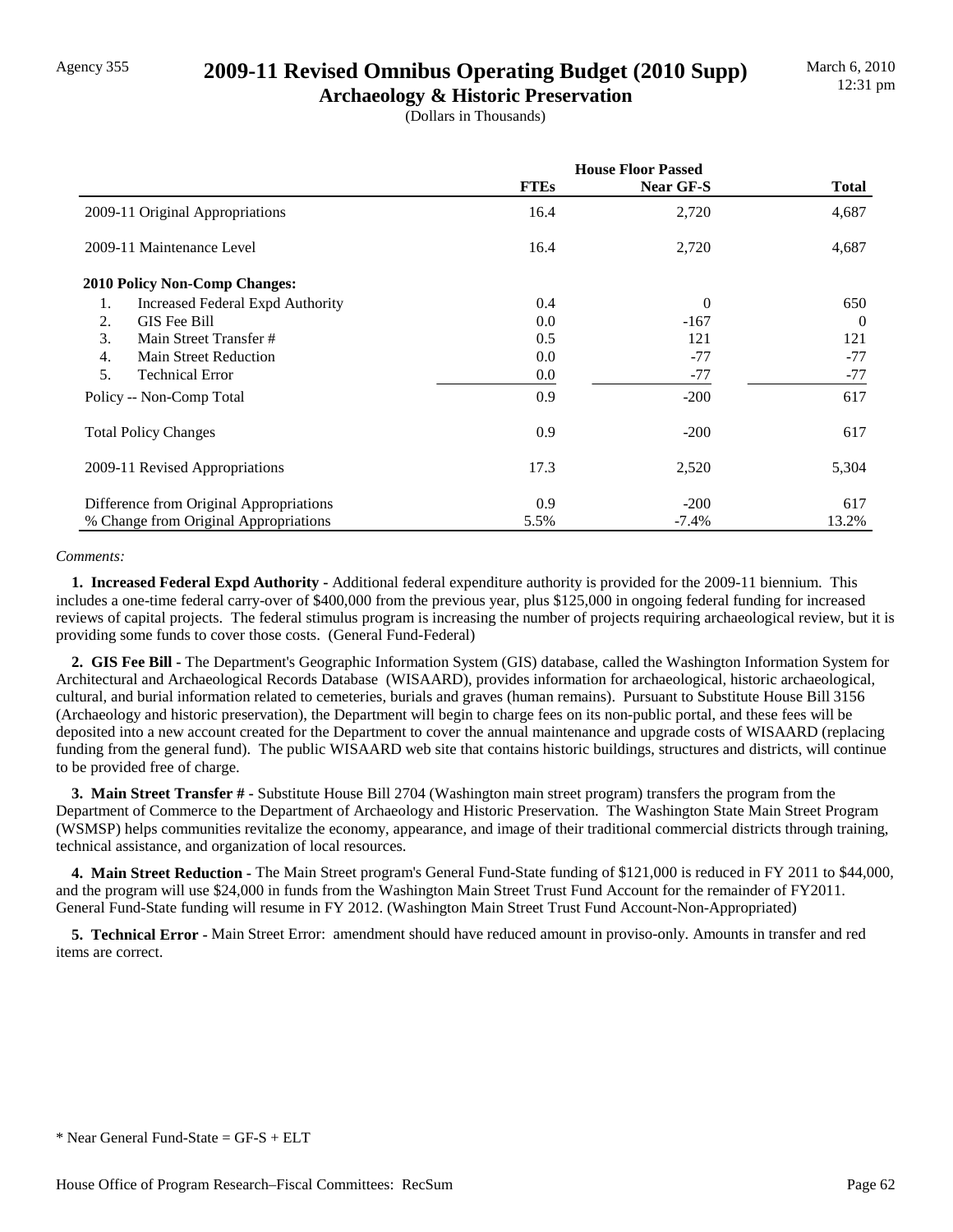## Agency 355 **2009-11 Revised Omnibus Operating Budget (2010 Supp)**

**Archaeology & Historic Preservation** (Dollars in Thousands)

|                                               | <b>House Floor Passed</b> |           |              |
|-----------------------------------------------|---------------------------|-----------|--------------|
|                                               | <b>FTEs</b>               | Near GF-S | <b>Total</b> |
| 2009-11 Original Appropriations               | 16.4                      | 2,720     | 4,687        |
| 2009-11 Maintenance Level                     | 16.4                      | 2,720     | 4,687        |
| <b>2010 Policy Non-Comp Changes:</b>          |                           |           |              |
| 1.<br><b>Increased Federal Expd Authority</b> | 0.4                       | $\theta$  | 650          |
| GIS Fee Bill<br>2.                            | 0.0                       | $-167$    | $\Omega$     |
| 3.<br>Main Street Transfer #                  | 0.5                       | 121       | 121          |
| 4.<br>Main Street Reduction                   | 0.0                       | $-77$     | $-77$        |
| 5.<br><b>Technical Error</b>                  | 0.0                       | $-77$     | $-77$        |
| Policy -- Non-Comp Total                      | 0.9                       | $-200$    | 617          |
| <b>Total Policy Changes</b>                   | 0.9                       | $-200$    | 617          |
| 2009-11 Revised Appropriations                | 17.3                      | 2,520     | 5,304        |
| Difference from Original Appropriations       | 0.9                       | $-200$    | 617          |
| % Change from Original Appropriations         | 5.5%                      | $-7.4%$   | 13.2%        |

### *Comments:*

 **1. Increased Federal Expd Authority -** Additional federal expenditure authority is provided for the 2009-11 biennium. This includes a one-time federal carry-over of \$400,000 from the previous year, plus \$125,000 in ongoing federal funding for increased reviews of capital projects. The federal stimulus program is increasing the number of projects requiring archaeological review, but it is providing some funds to cover those costs. (General Fund-Federal)

 **2. GIS Fee Bill -** The Department's Geographic Information System (GIS) database, called the Washington Information System for Architectural and Archaeological Records Database (WISAARD), provides information for archaeological, historic archaeological, cultural, and burial information related to cemeteries, burials and graves (human remains). Pursuant to Substitute House Bill 3156 (Archaeology and historic preservation), the Department will begin to charge fees on its non-public portal, and these fees will be deposited into a new account created for the Department to cover the annual maintenance and upgrade costs of WISAARD (replacing funding from the general fund). The public WISAARD web site that contains historic buildings, structures and districts, will continue to be provided free of charge.

 **3. Main Street Transfer # -** Substitute House Bill 2704 (Washington main street program) transfers the program from the Department of Commerce to the Department of Archaeology and Historic Preservation. The Washington State Main Street Program (WSMSP) helps communities revitalize the economy, appearance, and image of their traditional commercial districts through training, technical assistance, and organization of local resources.

 **4. Main Street Reduction -** The Main Street program's General Fund-State funding of \$121,000 is reduced in FY 2011 to \$44,000, and the program will use \$24,000 in funds from the Washington Main Street Trust Fund Account for the remainder of FY2011. General Fund-State funding will resume in FY 2012. (Washington Main Street Trust Fund Account-Non-Appropriated)

 **5. Technical Error -** Main Street Error: amendment should have reduced amount in proviso-only. Amounts in transfer and red items are correct.

 $*$  Near General Fund-State = GF-S + ELT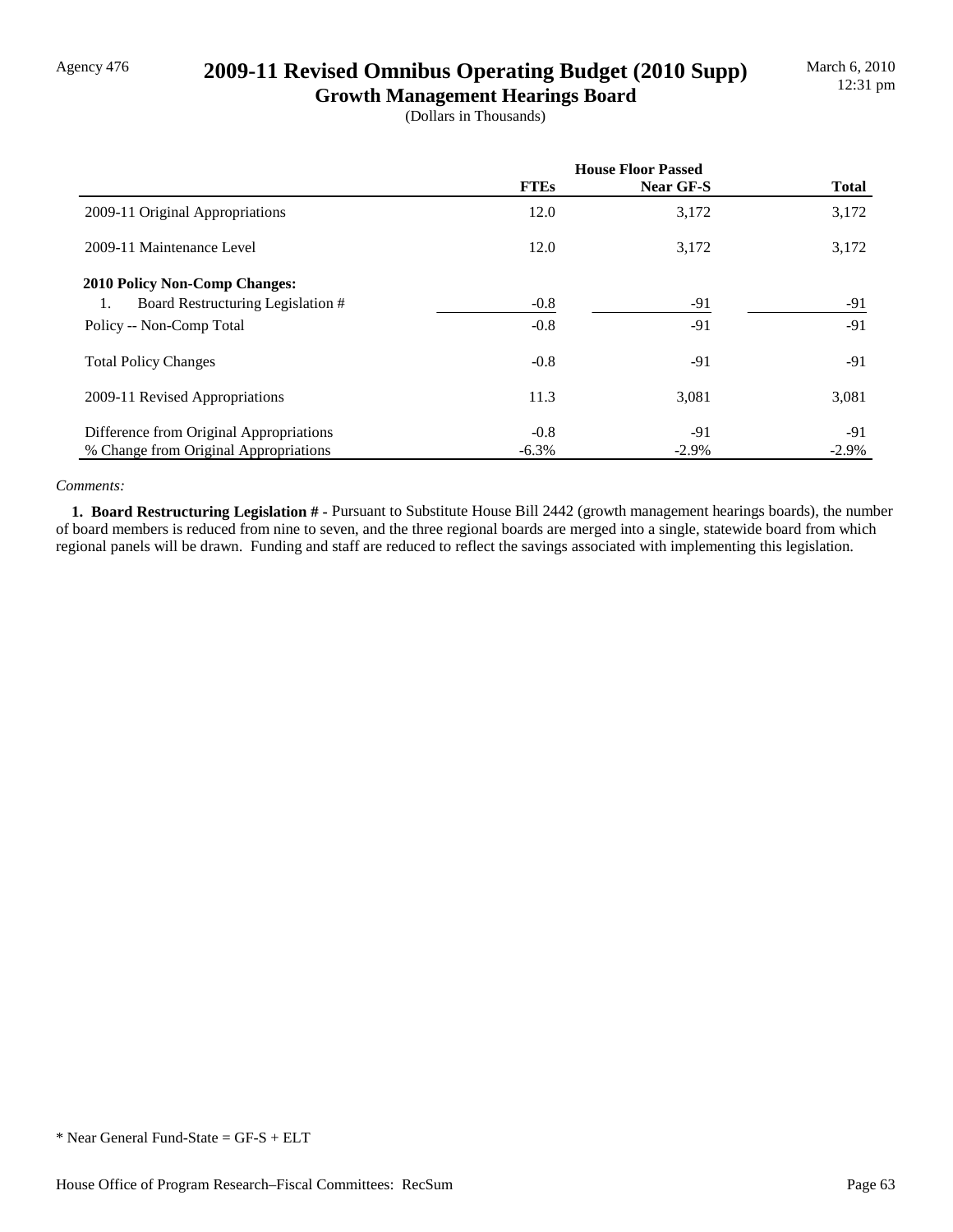## Agency 476 **2009-11 Revised Omnibus Operating Budget (2010 Supp)**

**Growth Management Hearings Board** (Dollars in Thousands)

|                                         | <b>House Floor Passed</b> |           |              |
|-----------------------------------------|---------------------------|-----------|--------------|
|                                         | <b>FTEs</b>               | Near GF-S | <b>Total</b> |
| 2009-11 Original Appropriations         | 12.0                      | 3,172     | 3,172        |
| 2009-11 Maintenance Level               | 12.0                      | 3,172     | 3,172        |
| <b>2010 Policy Non-Comp Changes:</b>    |                           |           |              |
| Board Restructuring Legislation #<br>1. | $-0.8$                    | $-91$     | -91          |
| Policy -- Non-Comp Total                | $-0.8$                    | $-91$     | $-91$        |
| <b>Total Policy Changes</b>             | $-0.8$                    | $-91$     | $-91$        |
| 2009-11 Revised Appropriations          | 11.3                      | 3,081     | 3,081        |
| Difference from Original Appropriations | $-0.8$                    | -91       | -91          |
| % Change from Original Appropriations   | $-6.3\%$                  | $-2.9\%$  | $-2.9\%$     |

### *Comments:*

 **1. Board Restructuring Legislation # -** Pursuant to Substitute House Bill 2442 (growth management hearings boards), the number of board members is reduced from nine to seven, and the three regional boards are merged into a single, statewide board from which regional panels will be drawn. Funding and staff are reduced to reflect the savings associated with implementing this legislation.

<sup>\*</sup> Near General Fund-State = GF-S + ELT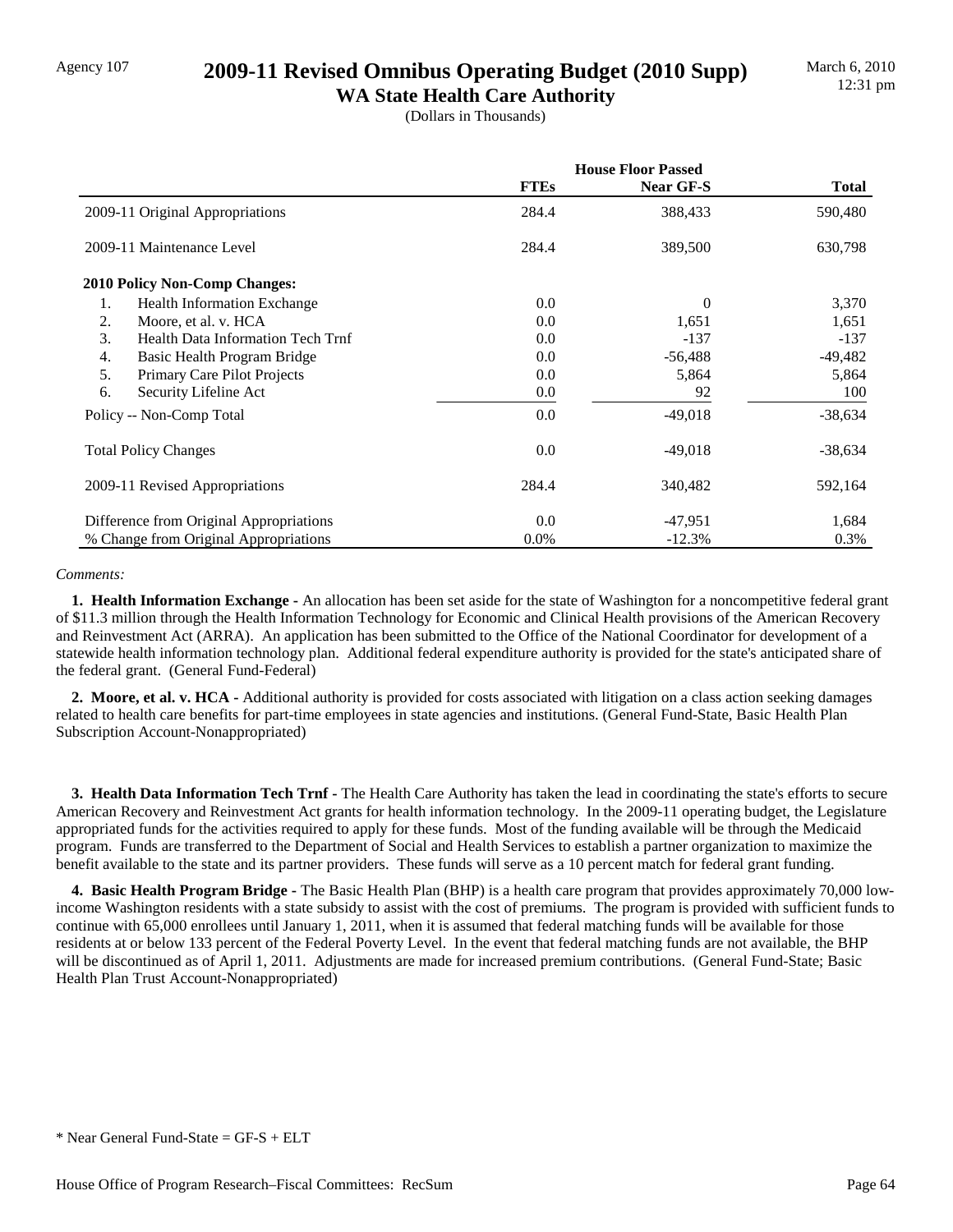## Agency 107 **2009-11 Revised Omnibus Operating Budget (2010 Supp)**

**WA State Health Care Authority** (Dollars in Thousands)

|                                          | <b>House Floor Passed</b> |           |              |
|------------------------------------------|---------------------------|-----------|--------------|
|                                          | <b>FTEs</b>               | Near GF-S | <b>Total</b> |
| 2009-11 Original Appropriations          | 284.4                     | 388,433   | 590,480      |
| 2009-11 Maintenance Level                | 284.4                     | 389,500   | 630,798      |
| <b>2010 Policy Non-Comp Changes:</b>     |                           |           |              |
| 1.<br><b>Health Information Exchange</b> | $0.0\,$                   | $\theta$  | 3,370        |
| 2.<br>Moore, et al. v. HCA               | 0.0                       | 1,651     | 1,651        |
| 3.<br>Health Data Information Tech Trnf  | 0.0                       | $-137$    | $-137$       |
| 4.<br>Basic Health Program Bridge        | 0.0                       | $-56,488$ | -49,482      |
| 5.<br>Primary Care Pilot Projects        | 0.0                       | 5,864     | 5,864        |
| Security Lifeline Act<br>6.              | $0.0\,$                   | 92        | 100          |
| Policy -- Non-Comp Total                 | 0.0                       | $-49,018$ | $-38,634$    |
| <b>Total Policy Changes</b>              | 0.0                       | $-49,018$ | $-38,634$    |
| 2009-11 Revised Appropriations           | 284.4                     | 340,482   | 592,164      |
| Difference from Original Appropriations  | 0.0                       | $-47,951$ | 1,684        |
| % Change from Original Appropriations    | $0.0\%$                   | $-12.3%$  | 0.3%         |

### *Comments:*

 **1. Health Information Exchange -** An allocation has been set aside for the state of Washington for a noncompetitive federal grant of \$11.3 million through the Health Information Technology for Economic and Clinical Health provisions of the American Recovery and Reinvestment Act (ARRA). An application has been submitted to the Office of the National Coordinator for development of a statewide health information technology plan. Additional federal expenditure authority is provided for the state's anticipated share of the federal grant. (General Fund-Federal)

 **2. Moore, et al. v. HCA -** Additional authority is provided for costs associated with litigation on a class action seeking damages related to health care benefits for part-time employees in state agencies and institutions. (General Fund-State, Basic Health Plan Subscription Account-Nonappropriated)

 **3. Health Data Information Tech Trnf -** The Health Care Authority has taken the lead in coordinating the state's efforts to secure American Recovery and Reinvestment Act grants for health information technology. In the 2009-11 operating budget, the Legislature appropriated funds for the activities required to apply for these funds. Most of the funding available will be through the Medicaid program. Funds are transferred to the Department of Social and Health Services to establish a partner organization to maximize the benefit available to the state and its partner providers. These funds will serve as a 10 percent match for federal grant funding.

 **4. Basic Health Program Bridge -** The Basic Health Plan (BHP) is a health care program that provides approximately 70,000 lowincome Washington residents with a state subsidy to assist with the cost of premiums. The program is provided with sufficient funds to continue with 65,000 enrollees until January 1, 2011, when it is assumed that federal matching funds will be available for those residents at or below 133 percent of the Federal Poverty Level. In the event that federal matching funds are not available, the BHP will be discontinued as of April 1, 2011. Adjustments are made for increased premium contributions. (General Fund-State; Basic Health Plan Trust Account-Nonappropriated)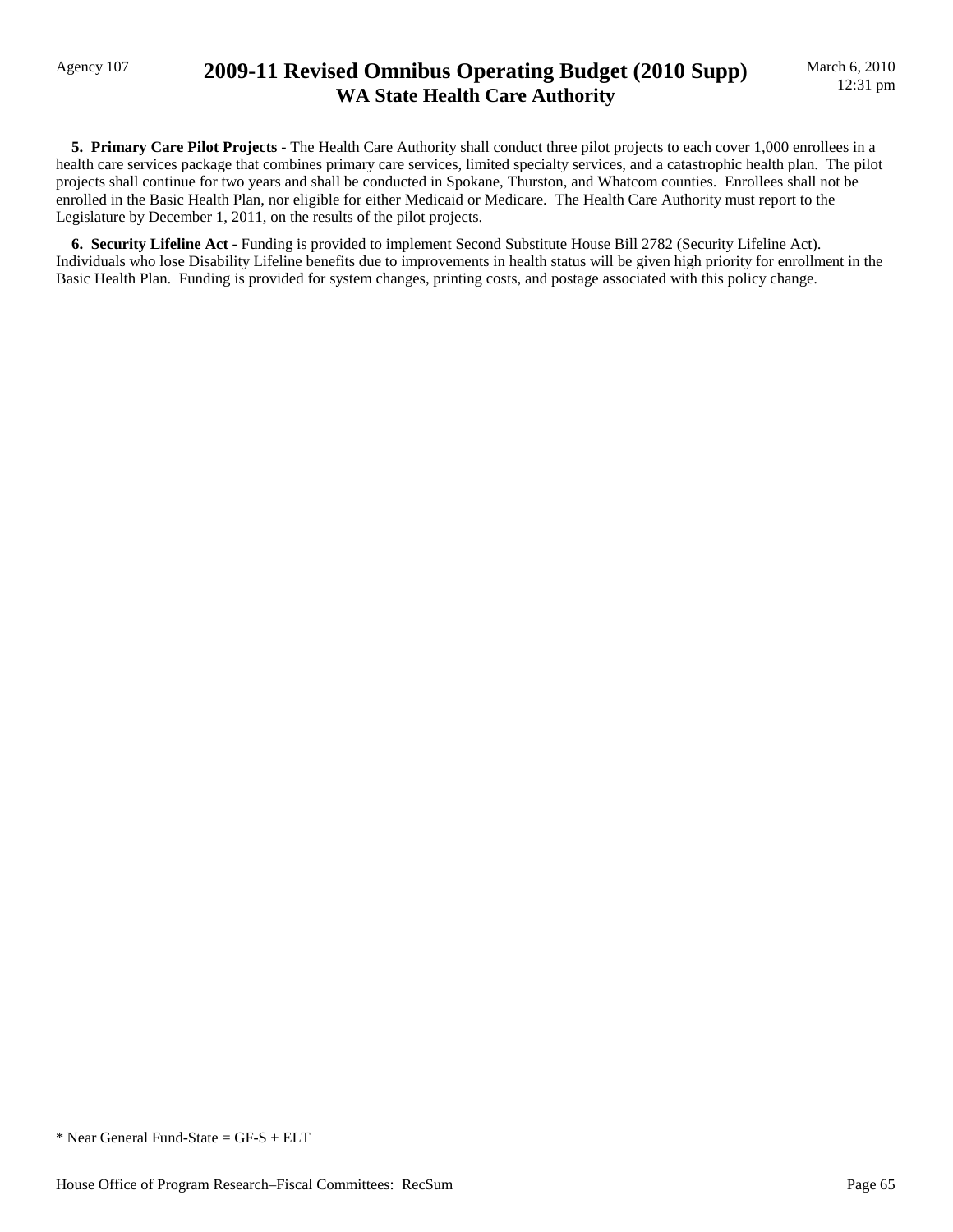## Agency 107 **2009-11 Revised Omnibus Operating Budget (2010 Supp) WA State Health Care Authority**

 **5. Primary Care Pilot Projects -** The Health Care Authority shall conduct three pilot projects to each cover 1,000 enrollees in a health care services package that combines primary care services, limited specialty services, and a catastrophic health plan. The pilot projects shall continue for two years and shall be conducted in Spokane, Thurston, and Whatcom counties. Enrollees shall not be enrolled in the Basic Health Plan, nor eligible for either Medicaid or Medicare. The Health Care Authority must report to the Legislature by December 1, 2011, on the results of the pilot projects.

 **6. Security Lifeline Act -** Funding is provided to implement Second Substitute House Bill 2782 (Security Lifeline Act). Individuals who lose Disability Lifeline benefits due to improvements in health status will be given high priority for enrollment in the Basic Health Plan. Funding is provided for system changes, printing costs, and postage associated with this policy change.

<sup>\*</sup> Near General Fund-State = GF-S + ELT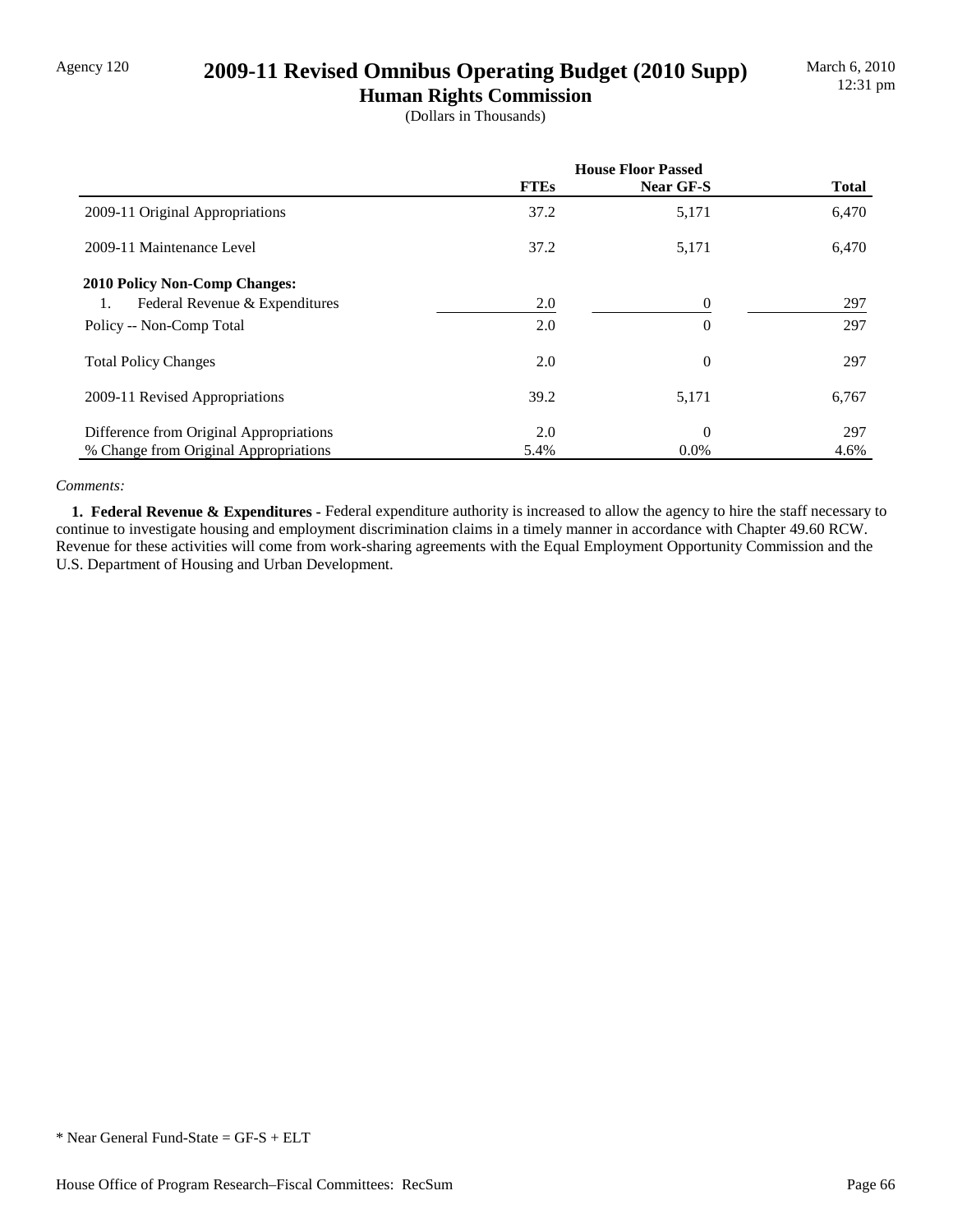## Agency 120 **2009-11 Revised Omnibus Operating Budget (2010 Supp)**

**Human Rights Commission** (Dollars in Thousands)

|                                         | <b>House Floor Passed</b> |           |              |
|-----------------------------------------|---------------------------|-----------|--------------|
|                                         | <b>FTEs</b>               | Near GF-S | <b>Total</b> |
| 2009-11 Original Appropriations         | 37.2                      | 5,171     | 6,470        |
| 2009-11 Maintenance Level               | 37.2                      | 5,171     | 6,470        |
| <b>2010 Policy Non-Comp Changes:</b>    |                           |           |              |
| Federal Revenue & Expenditures<br>1.    | 2.0                       | 0         | 297          |
| Policy -- Non-Comp Total                | 2.0                       | 0         | 297          |
| <b>Total Policy Changes</b>             | 2.0                       | $\theta$  | 297          |
| 2009-11 Revised Appropriations          | 39.2                      | 5,171     | 6,767        |
| Difference from Original Appropriations | 2.0                       | $\theta$  | 297          |
| % Change from Original Appropriations   | 5.4%                      | $0.0\%$   | 4.6%         |

### *Comments:*

 **1. Federal Revenue & Expenditures -** Federal expenditure authority is increased to allow the agency to hire the staff necessary to continue to investigate housing and employment discrimination claims in a timely manner in accordance with Chapter 49.60 RCW. Revenue for these activities will come from work-sharing agreements with the Equal Employment Opportunity Commission and the U.S. Department of Housing and Urban Development.

<sup>\*</sup> Near General Fund-State = GF-S + ELT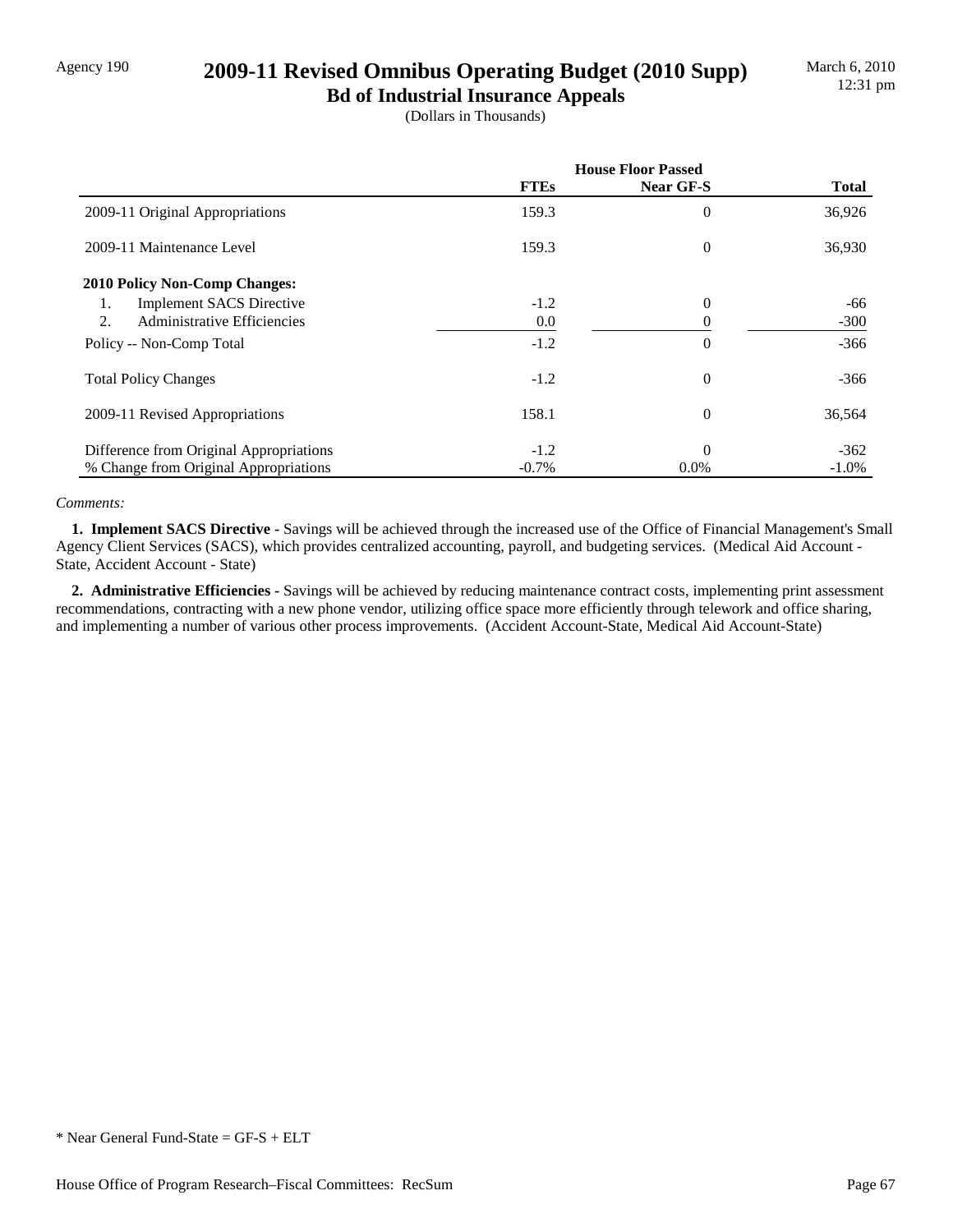## Agency 190 **2009-11 Revised Omnibus Operating Budget (2010 Supp)**

**Bd of Industrial Insurance Appeals** (Dollars in Thousands)

|                                         | <b>House Floor Passed</b> |           |              |
|-----------------------------------------|---------------------------|-----------|--------------|
|                                         | <b>FTEs</b>               | Near GF-S | <b>Total</b> |
| 2009-11 Original Appropriations         | 159.3                     | $\theta$  | 36,926       |
| 2009-11 Maintenance Level               | 159.3                     | 0         | 36,930       |
| <b>2010 Policy Non-Comp Changes:</b>    |                           |           |              |
| <b>Implement SACS Directive</b><br>1.   | $-1.2$                    | $\theta$  | -66          |
| Administrative Efficiencies<br>2.       | 0.0                       | 0         | $-300$       |
| Policy -- Non-Comp Total                | $-1.2$                    | $\theta$  | $-366$       |
| <b>Total Policy Changes</b>             | $-1.2$                    | $\theta$  | $-366$       |
| 2009-11 Revised Appropriations          | 158.1                     | $\theta$  | 36,564       |
| Difference from Original Appropriations | $-1.2$                    | $\theta$  | $-362$       |
| % Change from Original Appropriations   | $-0.7\%$                  | $0.0\%$   | $-1.0%$      |

### *Comments:*

 **1. Implement SACS Directive -** Savings will be achieved through the increased use of the Office of Financial Management's Small Agency Client Services (SACS), which provides centralized accounting, payroll, and budgeting services. (Medical Aid Account - State, Accident Account - State)

 **2. Administrative Efficiencies -** Savings will be achieved by reducing maintenance contract costs, implementing print assessment recommendations, contracting with a new phone vendor, utilizing office space more efficiently through telework and office sharing, and implementing a number of various other process improvements. (Accident Account-State, Medical Aid Account-State)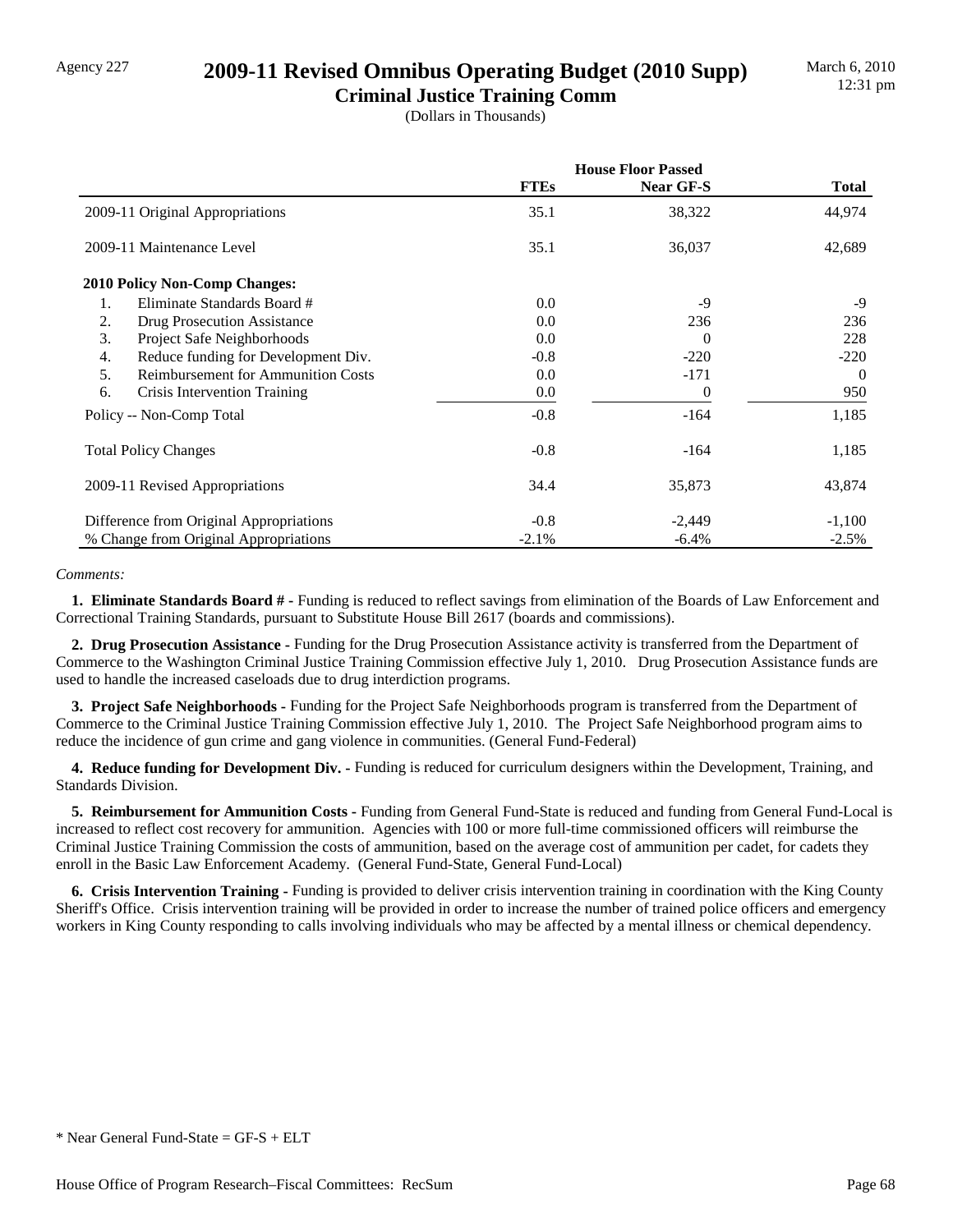## Agency 227 **2009-11 Revised Omnibus Operating Budget (2010 Supp)**

**Criminal Justice Training Comm** (Dollars in Thousands)

|                                                         | <b>House Floor Passed</b> |           |              |  |
|---------------------------------------------------------|---------------------------|-----------|--------------|--|
|                                                         | <b>FTEs</b>               | Near GF-S | <b>Total</b> |  |
| 2009-11 Original Appropriations                         | 35.1                      | 38,322    | 44,974       |  |
| 2009-11 Maintenance Level                               | 35.1                      | 36,037    | 42,689       |  |
| <b>2010 Policy Non-Comp Changes:</b>                    |                           |           |              |  |
| 1.<br>Eliminate Standards Board #                       | 0.0                       | $-9$      | -9           |  |
| 2.<br>Drug Prosecution Assistance                       | 0.0                       | 236       | 236          |  |
| Project Safe Neighborhoods<br>3.                        | 0.0                       | $\Omega$  | 228          |  |
| Reduce funding for Development Div.<br>$\overline{4}$ . | $-0.8$                    | $-220$    | $-220$       |  |
| 5.<br><b>Reimbursement for Ammunition Costs</b>         | 0.0                       | $-171$    | $\Omega$     |  |
| 6.<br>Crisis Intervention Training                      | 0.0                       | 0         | 950          |  |
| Policy -- Non-Comp Total                                | $-0.8$                    | $-164$    | 1,185        |  |
| <b>Total Policy Changes</b>                             | $-0.8$                    | $-164$    | 1,185        |  |
| 2009-11 Revised Appropriations                          | 34.4                      | 35,873    | 43,874       |  |
| Difference from Original Appropriations                 | $-0.8$                    | $-2,449$  | $-1,100$     |  |
| % Change from Original Appropriations                   | $-2.1\%$                  | $-6.4\%$  | $-2.5%$      |  |

### *Comments:*

 **1. Eliminate Standards Board # -** Funding is reduced to reflect savings from elimination of the Boards of Law Enforcement and Correctional Training Standards, pursuant to Substitute House Bill 2617 (boards and commissions).

 **2. Drug Prosecution Assistance -** Funding for the Drug Prosecution Assistance activity is transferred from the Department of Commerce to the Washington Criminal Justice Training Commission effective July 1, 2010. Drug Prosecution Assistance funds are used to handle the increased caseloads due to drug interdiction programs.

 **3. Project Safe Neighborhoods -** Funding for the Project Safe Neighborhoods program is transferred from the Department of Commerce to the Criminal Justice Training Commission effective July 1, 2010. The Project Safe Neighborhood program aims to reduce the incidence of gun crime and gang violence in communities. (General Fund-Federal)

 **4. Reduce funding for Development Div. -** Funding is reduced for curriculum designers within the Development, Training, and Standards Division.

 **5. Reimbursement for Ammunition Costs -** Funding from General Fund-State is reduced and funding from General Fund-Local is increased to reflect cost recovery for ammunition. Agencies with 100 or more full-time commissioned officers will reimburse the Criminal Justice Training Commission the costs of ammunition, based on the average cost of ammunition per cadet, for cadets they enroll in the Basic Law Enforcement Academy. (General Fund-State, General Fund-Local)

 **6. Crisis Intervention Training -** Funding is provided to deliver crisis intervention training in coordination with the King County Sheriff's Office. Crisis intervention training will be provided in order to increase the number of trained police officers and emergency workers in King County responding to calls involving individuals who may be affected by a mental illness or chemical dependency.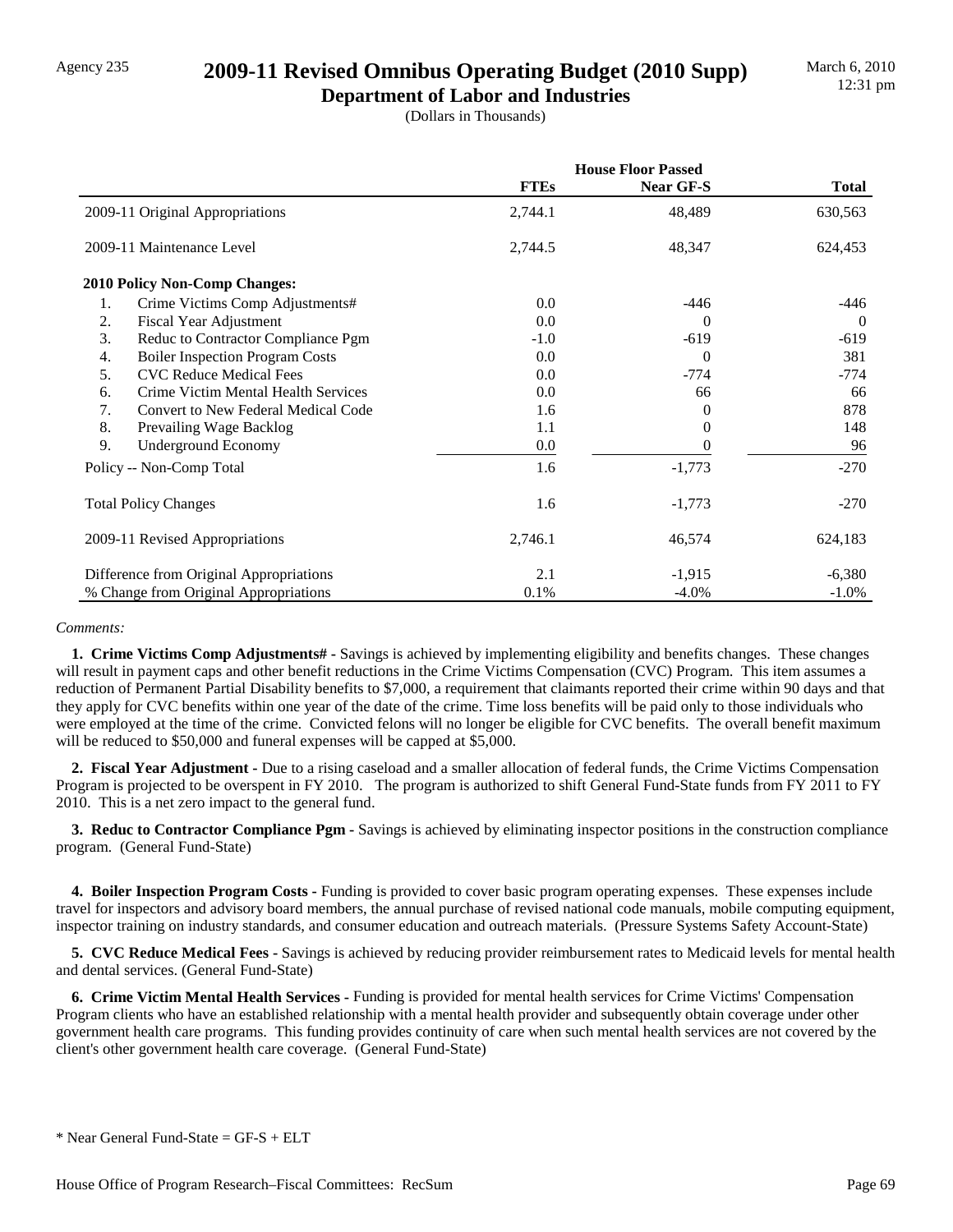## Agency 235 **2009-11 Revised Omnibus Operating Budget (2010 Supp)**

**Department of Labor and Industries** (Dollars in Thousands)

|                                              | <b>House Floor Passed</b> |                  |              |
|----------------------------------------------|---------------------------|------------------|--------------|
|                                              | <b>FTEs</b>               | <b>Near GF-S</b> | <b>Total</b> |
| 2009-11 Original Appropriations              | 2,744.1                   | 48,489           | 630,563      |
| 2009-11 Maintenance Level                    | 2,744.5                   | 48,347           | 624,453      |
| 2010 Policy Non-Comp Changes:                |                           |                  |              |
| Crime Victims Comp Adjustments#<br>1.        | $0.0\,$                   | -446             | -446         |
| 2.<br>Fiscal Year Adjustment                 | 0.0                       | $\Omega$         | $\Omega$     |
| 3.<br>Reduc to Contractor Compliance Pgm     | $-1.0$                    | $-619$           | $-619$       |
| <b>Boiler Inspection Program Costs</b><br>4. | 0.0                       | $\Omega$         | 381          |
| 5.<br><b>CVC Reduce Medical Fees</b>         | 0.0                       | $-774$           | -774         |
| Crime Victim Mental Health Services<br>6.    | 0.0                       | 66               | 66           |
| 7.<br>Convert to New Federal Medical Code    | 1.6                       | $\theta$         | 878          |
| 8.<br>Prevailing Wage Backlog                | 1.1                       | 0                | 148          |
| 9.<br><b>Underground Economy</b>             | 0.0                       |                  | 96           |
| Policy -- Non-Comp Total                     | 1.6                       | $-1,773$         | $-270$       |
| <b>Total Policy Changes</b>                  | 1.6                       | $-1,773$         | $-270$       |
| 2009-11 Revised Appropriations               | 2,746.1                   | 46,574           | 624,183      |
| Difference from Original Appropriations      | 2.1                       | $-1,915$         | $-6,380$     |
| % Change from Original Appropriations        | 0.1%                      | $-4.0\%$         | $-1.0\%$     |

#### *Comments:*

 **1. Crime Victims Comp Adjustments# -** Savings is achieved by implementing eligibility and benefits changes. These changes will result in payment caps and other benefit reductions in the Crime Victims Compensation (CVC) Program. This item assumes a reduction of Permanent Partial Disability benefits to \$7,000, a requirement that claimants reported their crime within 90 days and that they apply for CVC benefits within one year of the date of the crime. Time loss benefits will be paid only to those individuals who were employed at the time of the crime. Convicted felons will no longer be eligible for CVC benefits. The overall benefit maximum will be reduced to \$50,000 and funeral expenses will be capped at \$5,000.

 **2. Fiscal Year Adjustment -** Due to a rising caseload and a smaller allocation of federal funds, the Crime Victims Compensation Program is projected to be overspent in FY 2010. The program is authorized to shift General Fund-State funds from FY 2011 to FY 2010. This is a net zero impact to the general fund.

 **3. Reduc to Contractor Compliance Pgm -** Savings is achieved by eliminating inspector positions in the construction compliance program. (General Fund-State)

 **4. Boiler Inspection Program Costs -** Funding is provided to cover basic program operating expenses. These expenses include travel for inspectors and advisory board members, the annual purchase of revised national code manuals, mobile computing equipment, inspector training on industry standards, and consumer education and outreach materials. (Pressure Systems Safety Account-State)

 **5. CVC Reduce Medical Fees -** Savings is achieved by reducing provider reimbursement rates to Medicaid levels for mental health and dental services. (General Fund-State)

 **6. Crime Victim Mental Health Services -** Funding is provided for mental health services for Crime Victims' Compensation Program clients who have an established relationship with a mental health provider and subsequently obtain coverage under other government health care programs. This funding provides continuity of care when such mental health services are not covered by the client's other government health care coverage. (General Fund-State)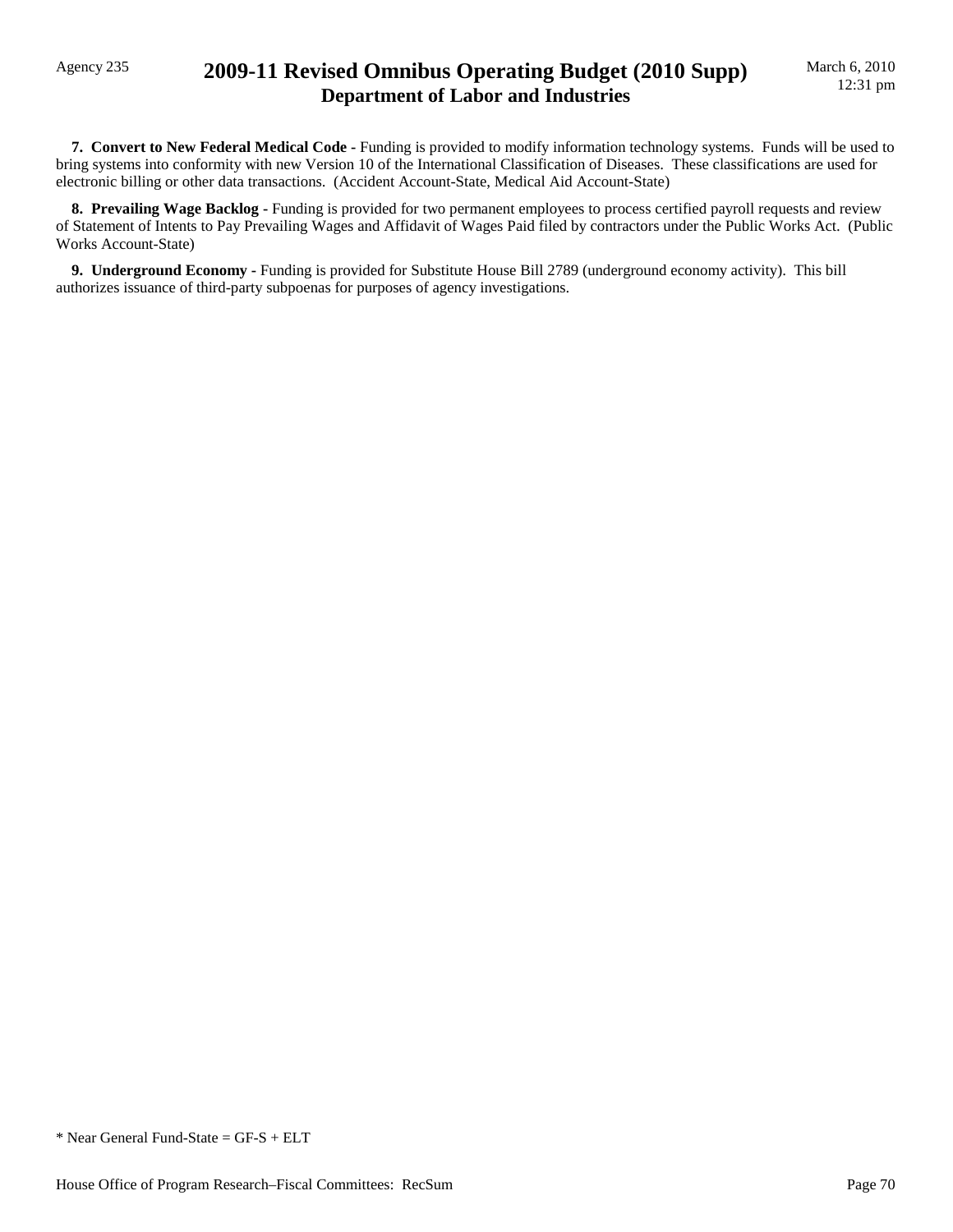## Agency 235 **2009-11 Revised Omnibus Operating Budget (2010 Supp) Department of Labor and Industries**

 **7. Convert to New Federal Medical Code -** Funding is provided to modify information technology systems. Funds will be used to bring systems into conformity with new Version 10 of the International Classification of Diseases. These classifications are used for electronic billing or other data transactions. (Accident Account-State, Medical Aid Account-State)

**8. Prevailing Wage Backlog -** Funding is provided for two permanent employees to process certified payroll requests and review of Statement of Intents to Pay Prevailing Wages and Affidavit of Wages Paid filed by contractors under the Public Works Act. (Public Works Account-State)

 **9. Underground Economy -** Funding is provided for Substitute House Bill 2789 (underground economy activity). This bill authorizes issuance of third-party subpoenas for purposes of agency investigations.

\* Near General Fund-State = GF-S + ELT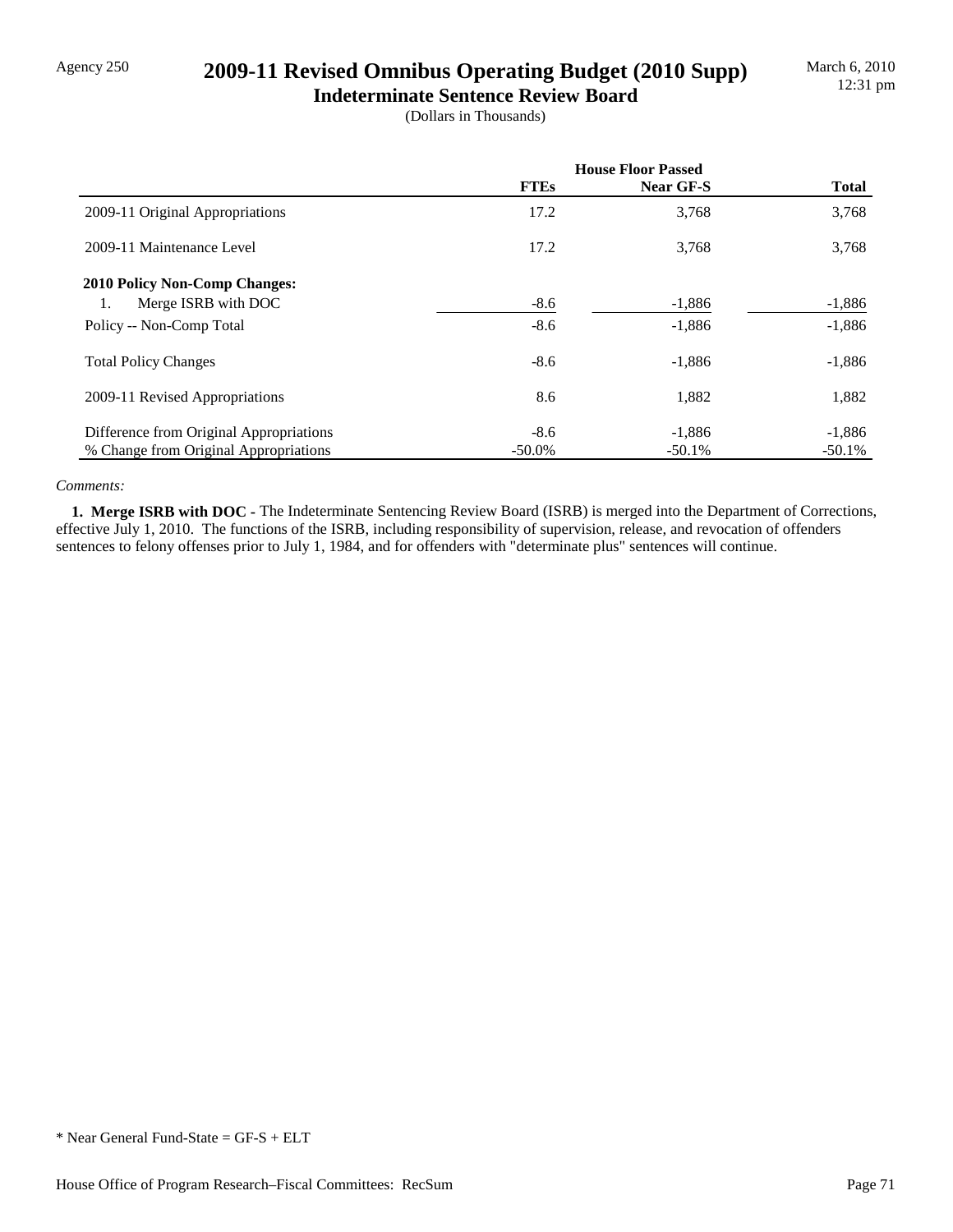## Agency 250 **2009-11 Revised Omnibus Operating Budget (2010 Supp)**

**Indeterminate Sentence Review Board** (Dollars in Thousands)

|                                         | <b>House Floor Passed</b> |           |              |
|-----------------------------------------|---------------------------|-----------|--------------|
|                                         | <b>FTEs</b>               | Near GF-S | <b>Total</b> |
| 2009-11 Original Appropriations         | 17.2                      | 3,768     | 3,768        |
| 2009-11 Maintenance Level               | 17.2                      | 3,768     | 3,768        |
| <b>2010 Policy Non-Comp Changes:</b>    |                           |           |              |
| Merge ISRB with DOC<br>1.               | $-8.6$                    | $-1,886$  | $-1,886$     |
| Policy -- Non-Comp Total                | $-8.6$                    | $-1,886$  | $-1,886$     |
| <b>Total Policy Changes</b>             | $-8.6$                    | $-1,886$  | $-1,886$     |
| 2009-11 Revised Appropriations          | 8.6                       | 1,882     | 1,882        |
| Difference from Original Appropriations | $-8.6$                    | $-1,886$  | $-1,886$     |
| % Change from Original Appropriations   | $-50.0\%$                 | $-50.1%$  | $-50.1%$     |

### *Comments:*

 **1. Merge ISRB with DOC -** The Indeterminate Sentencing Review Board (ISRB) is merged into the Department of Corrections, effective July 1, 2010. The functions of the ISRB, including responsibility of supervision, release, and revocation of offenders sentences to felony offenses prior to July 1, 1984, and for offenders with "determinate plus" sentences will continue.

<sup>\*</sup> Near General Fund-State = GF-S + ELT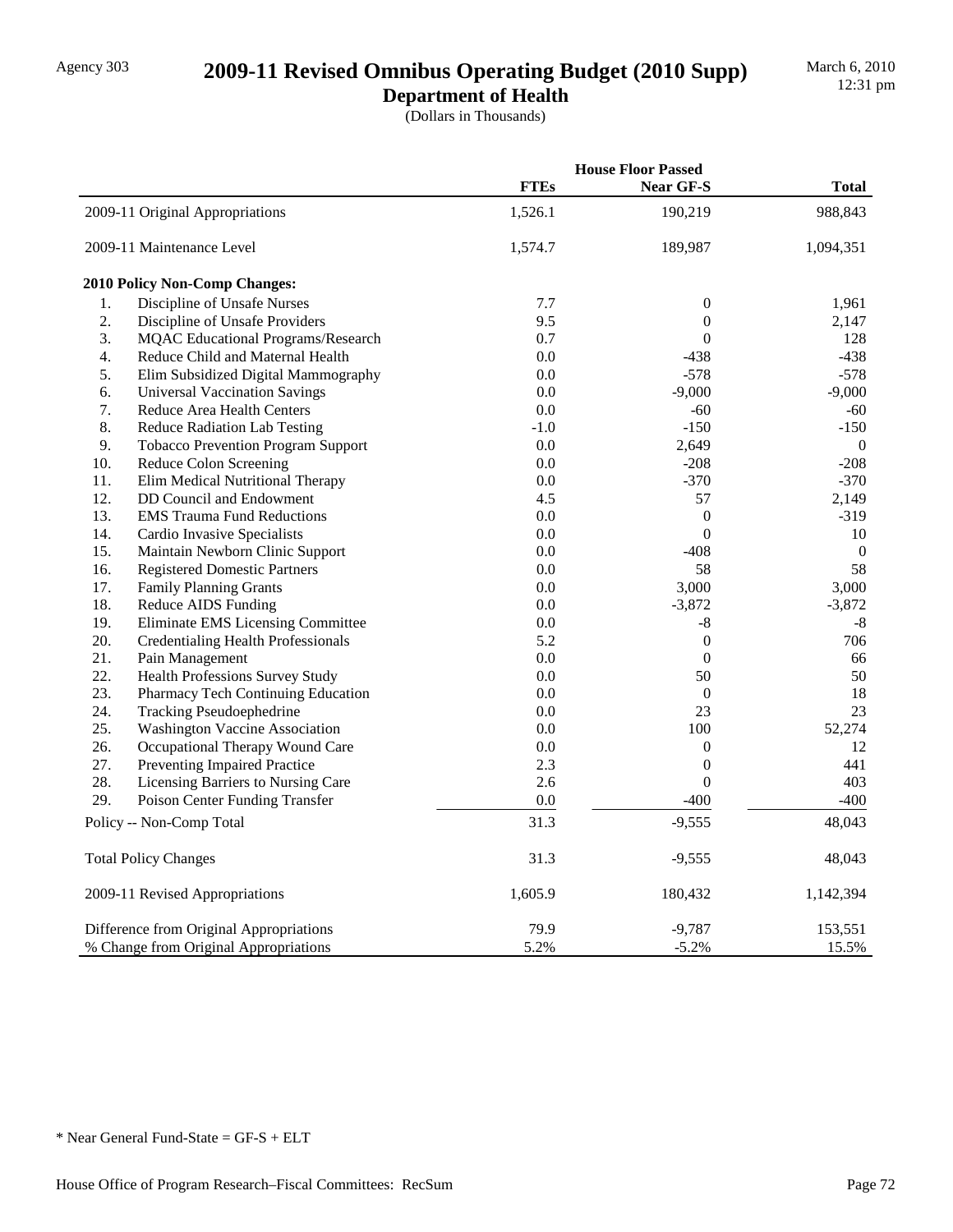# Agency 303 **2009-11 Revised Omnibus Operating Budget (2010 Supp)**

**Department of Health** (Dollars in Thousands)

|     |                                           | <b>House Floor Passed</b> |                  |                  |
|-----|-------------------------------------------|---------------------------|------------------|------------------|
|     |                                           | <b>FTEs</b>               | Near GF-S        | <b>Total</b>     |
|     | 2009-11 Original Appropriations           | 1,526.1                   | 190,219          | 988,843          |
|     | 2009-11 Maintenance Level                 | 1,574.7                   | 189,987          | 1,094,351        |
|     | 2010 Policy Non-Comp Changes:             |                           |                  |                  |
| 1.  | Discipline of Unsafe Nurses               | 7.7                       | $\mathbf{0}$     | 1,961            |
| 2.  | Discipline of Unsafe Providers            | 9.5                       | $\boldsymbol{0}$ | 2,147            |
| 3.  | <b>MQAC</b> Educational Programs/Research | 0.7                       | $\boldsymbol{0}$ | 128              |
| 4.  | Reduce Child and Maternal Health          | $0.0\,$                   | $-438$           | $-438$           |
| 5.  | Elim Subsidized Digital Mammography       | 0.0                       | $-578$           | $-578$           |
| 6.  | <b>Universal Vaccination Savings</b>      | 0.0                       | $-9,000$         | $-9,000$         |
| 7.  | Reduce Area Health Centers                | 0.0                       | -60              | -60              |
| 8.  | <b>Reduce Radiation Lab Testing</b>       | $-1.0$                    | $-150$           | $-150$           |
| 9.  | <b>Tobacco Prevention Program Support</b> | 0.0                       | 2,649            | $\mathbf{0}$     |
| 10. | Reduce Colon Screening                    | 0.0                       | $-208$           | $-208$           |
| 11. | Elim Medical Nutritional Therapy          | 0.0                       | $-370$           | $-370$           |
| 12. | DD Council and Endowment                  | 4.5                       | 57               | 2,149            |
| 13. | <b>EMS Trauma Fund Reductions</b>         | 0.0                       | $\boldsymbol{0}$ | $-319$           |
| 14. | Cardio Invasive Specialists               | 0.0                       | $\boldsymbol{0}$ | 10               |
| 15. | Maintain Newborn Clinic Support           | 0.0                       | $-408$           | $\boldsymbol{0}$ |
| 16. | <b>Registered Domestic Partners</b>       | 0.0                       | 58               | 58               |
| 17. | <b>Family Planning Grants</b>             | 0.0                       | 3,000            | 3,000            |
| 18. | <b>Reduce AIDS Funding</b>                | 0.0                       | $-3,872$         | $-3,872$         |
| 19. | Eliminate EMS Licensing Committee         | 0.0                       | -8               | $-8$             |
| 20. | <b>Credentialing Health Professionals</b> | 5.2                       | $\boldsymbol{0}$ | 706              |
| 21. | Pain Management                           | 0.0                       | $\boldsymbol{0}$ | 66               |
| 22. | Health Professions Survey Study           | 0.0                       | 50               | 50               |
| 23. | Pharmacy Tech Continuing Education        | 0.0                       | $\boldsymbol{0}$ | 18               |
| 24. | <b>Tracking Pseudoephedrine</b>           | 0.0                       | 23               | 23               |
| 25. | <b>Washington Vaccine Association</b>     | 0.0                       | 100              | 52,274           |
| 26. | Occupational Therapy Wound Care           | 0.0                       | $\boldsymbol{0}$ | 12               |
| 27. | Preventing Impaired Practice              | 2.3                       | $\boldsymbol{0}$ | 441              |
| 28. | Licensing Barriers to Nursing Care        | 2.6                       | $\boldsymbol{0}$ | 403              |
| 29. | Poison Center Funding Transfer            | $0.0\,$                   | $-400$           | $-400$           |
|     | Policy -- Non-Comp Total                  | 31.3                      | $-9,555$         | 48,043           |
|     | <b>Total Policy Changes</b>               | 31.3                      | $-9,555$         | 48,043           |
|     | 2009-11 Revised Appropriations            | 1,605.9                   | 180,432          | 1,142,394        |
|     | Difference from Original Appropriations   | 79.9                      | $-9,787$         | 153,551          |
|     | % Change from Original Appropriations     | 5.2%                      | $-5.2%$          | 15.5%            |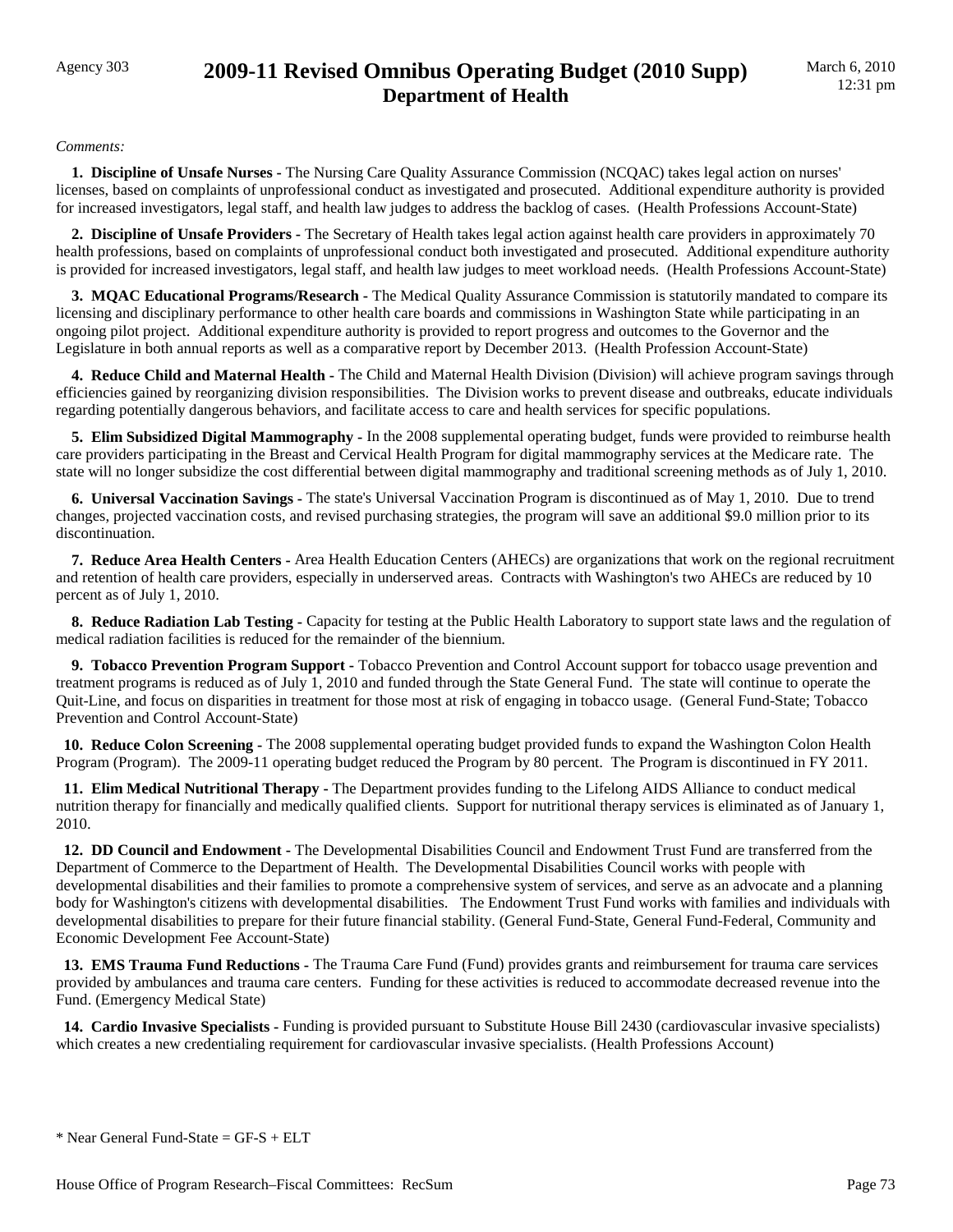## Agency 303 **2009-11 Revised Omnibus Operating Budget (2010 Supp) Department of Health**

#### *Comments:*

 **1. Discipline of Unsafe Nurses -** The Nursing Care Quality Assurance Commission (NCQAC) takes legal action on nurses' licenses, based on complaints of unprofessional conduct as investigated and prosecuted. Additional expenditure authority is provided for increased investigators, legal staff, and health law judges to address the backlog of cases. (Health Professions Account-State)

 **2. Discipline of Unsafe Providers -** The Secretary of Health takes legal action against health care providers in approximately 70 health professions, based on complaints of unprofessional conduct both investigated and prosecuted. Additional expenditure authority is provided for increased investigators, legal staff, and health law judges to meet workload needs. (Health Professions Account-State)

 **3. MQAC Educational Programs/Research -** The Medical Quality Assurance Commission is statutorily mandated to compare its licensing and disciplinary performance to other health care boards and commissions in Washington State while participating in an ongoing pilot project. Additional expenditure authority is provided to report progress and outcomes to the Governor and the Legislature in both annual reports as well as a comparative report by December 2013. (Health Profession Account-State)

 **4. Reduce Child and Maternal Health -** The Child and Maternal Health Division (Division) will achieve program savings through efficiencies gained by reorganizing division responsibilities. The Division works to prevent disease and outbreaks, educate individuals regarding potentially dangerous behaviors, and facilitate access to care and health services for specific populations.

 **5. Elim Subsidized Digital Mammography -** In the 2008 supplemental operating budget, funds were provided to reimburse health care providers participating in the Breast and Cervical Health Program for digital mammography services at the Medicare rate. The state will no longer subsidize the cost differential between digital mammography and traditional screening methods as of July 1, 2010.

 **6. Universal Vaccination Savings -** The state's Universal Vaccination Program is discontinued as of May 1, 2010. Due to trend changes, projected vaccination costs, and revised purchasing strategies, the program will save an additional \$9.0 million prior to its discontinuation.

 **7. Reduce Area Health Centers -** Area Health Education Centers (AHECs) are organizations that work on the regional recruitment and retention of health care providers, especially in underserved areas. Contracts with Washington's two AHECs are reduced by 10 percent as of July 1, 2010.

 **8. Reduce Radiation Lab Testing -** Capacity for testing at the Public Health Laboratory to support state laws and the regulation of medical radiation facilities is reduced for the remainder of the biennium.

 **9. Tobacco Prevention Program Support -** Tobacco Prevention and Control Account support for tobacco usage prevention and treatment programs is reduced as of July 1, 2010 and funded through the State General Fund. The state will continue to operate the Quit-Line, and focus on disparities in treatment for those most at risk of engaging in tobacco usage. (General Fund-State; Tobacco Prevention and Control Account-State)

 **10. Reduce Colon Screening -** The 2008 supplemental operating budget provided funds to expand the Washington Colon Health Program (Program). The 2009-11 operating budget reduced the Program by 80 percent. The Program is discontinued in FY 2011.

 **11. Elim Medical Nutritional Therapy -** The Department provides funding to the Lifelong AIDS Alliance to conduct medical nutrition therapy for financially and medically qualified clients. Support for nutritional therapy services is eliminated as of January 1, 2010.

 **12. DD Council and Endowment -** The Developmental Disabilities Council and Endowment Trust Fund are transferred from the Department of Commerce to the Department of Health. The Developmental Disabilities Council works with people with developmental disabilities and their families to promote a comprehensive system of services, and serve as an advocate and a planning body for Washington's citizens with developmental disabilities. The Endowment Trust Fund works with families and individuals with developmental disabilities to prepare for their future financial stability. (General Fund-State, General Fund-Federal, Community and Economic Development Fee Account-State)

 **13. EMS Trauma Fund Reductions -** The Trauma Care Fund (Fund) provides grants and reimbursement for trauma care services provided by ambulances and trauma care centers. Funding for these activities is reduced to accommodate decreased revenue into the Fund. (Emergency Medical State)

 **14. Cardio Invasive Specialists -** Funding is provided pursuant to Substitute House Bill 2430 (cardiovascular invasive specialists) which creates a new credentialing requirement for cardiovascular invasive specialists. (Health Professions Account)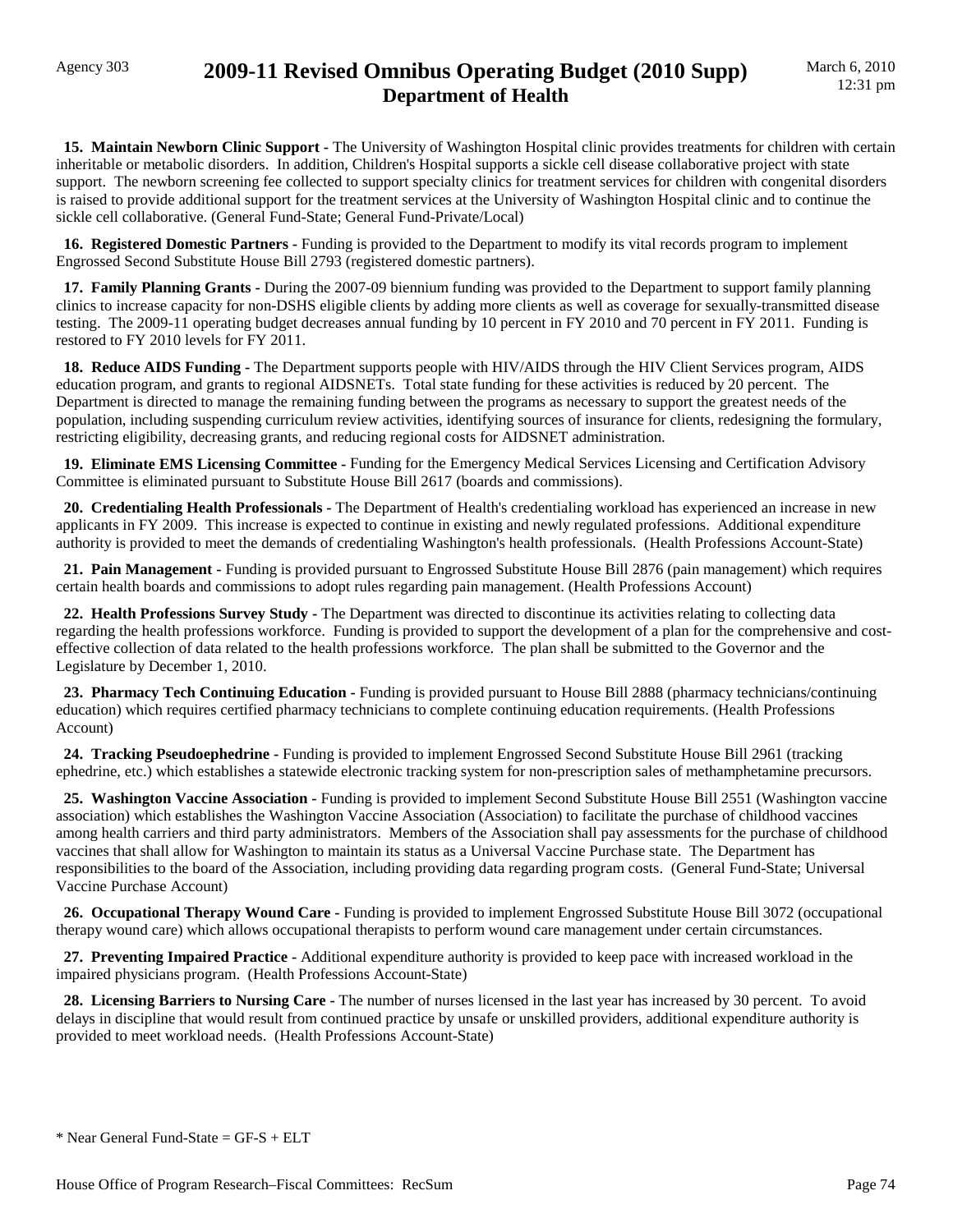## Agency 303 **2009-11 Revised Omnibus Operating Budget (2010 Supp) Department of Health**

 **15. Maintain Newborn Clinic Support -** The University of Washington Hospital clinic provides treatments for children with certain inheritable or metabolic disorders. In addition, Children's Hospital supports a sickle cell disease collaborative project with state support. The newborn screening fee collected to support specialty clinics for treatment services for children with congenital disorders is raised to provide additional support for the treatment services at the University of Washington Hospital clinic and to continue the sickle cell collaborative. (General Fund-State; General Fund-Private/Local)

 **16. Registered Domestic Partners -** Funding is provided to the Department to modify its vital records program to implement Engrossed Second Substitute House Bill 2793 (registered domestic partners).

 **17. Family Planning Grants -** During the 2007-09 biennium funding was provided to the Department to support family planning clinics to increase capacity for non-DSHS eligible clients by adding more clients as well as coverage for sexually-transmitted disease testing. The 2009-11 operating budget decreases annual funding by 10 percent in FY 2010 and 70 percent in FY 2011. Funding is restored to FY 2010 levels for FY 2011.

 **18. Reduce AIDS Funding -** The Department supports people with HIV/AIDS through the HIV Client Services program, AIDS education program, and grants to regional AIDSNETs. Total state funding for these activities is reduced by 20 percent. The Department is directed to manage the remaining funding between the programs as necessary to support the greatest needs of the population, including suspending curriculum review activities, identifying sources of insurance for clients, redesigning the formulary, restricting eligibility, decreasing grants, and reducing regional costs for AIDSNET administration.

 **19. Eliminate EMS Licensing Committee -** Funding for the Emergency Medical Services Licensing and Certification Advisory Committee is eliminated pursuant to Substitute House Bill 2617 (boards and commissions).

 **20. Credentialing Health Professionals -** The Department of Health's credentialing workload has experienced an increase in new applicants in FY 2009. This increase is expected to continue in existing and newly regulated professions. Additional expenditure authority is provided to meet the demands of credentialing Washington's health professionals. (Health Professions Account-State)

 **21. Pain Management -** Funding is provided pursuant to Engrossed Substitute House Bill 2876 (pain management) which requires certain health boards and commissions to adopt rules regarding pain management. (Health Professions Account)

 **22. Health Professions Survey Study -** The Department was directed to discontinue its activities relating to collecting data regarding the health professions workforce. Funding is provided to support the development of a plan for the comprehensive and costeffective collection of data related to the health professions workforce. The plan shall be submitted to the Governor and the Legislature by December 1, 2010.

23. Pharmacy Tech Continuing Education - Funding is provided pursuant to House Bill 2888 (pharmacy technicians/continuing education) which requires certified pharmacy technicians to complete continuing education requirements. (Health Professions Account)

 **24. Tracking Pseudoephedrine -** Funding is provided to implement Engrossed Second Substitute House Bill 2961 (tracking ephedrine, etc.) which establishes a statewide electronic tracking system for non-prescription sales of methamphetamine precursors.

 **25. Washington Vaccine Association -** Funding is provided to implement Second Substitute House Bill 2551 (Washington vaccine association) which establishes the Washington Vaccine Association (Association) to facilitate the purchase of childhood vaccines among health carriers and third party administrators. Members of the Association shall pay assessments for the purchase of childhood vaccines that shall allow for Washington to maintain its status as a Universal Vaccine Purchase state. The Department has responsibilities to the board of the Association, including providing data regarding program costs. (General Fund-State; Universal Vaccine Purchase Account)

 **26. Occupational Therapy Wound Care -** Funding is provided to implement Engrossed Substitute House Bill 3072 (occupational therapy wound care) which allows occupational therapists to perform wound care management under certain circumstances.

 **27. Preventing Impaired Practice -** Additional expenditure authority is provided to keep pace with increased workload in the impaired physicians program. (Health Professions Account-State)

28. Licensing Barriers to Nursing Care - The number of nurses licensed in the last year has increased by 30 percent. To avoid delays in discipline that would result from continued practice by unsafe or unskilled providers, additional expenditure authority is provided to meet workload needs. (Health Professions Account-State)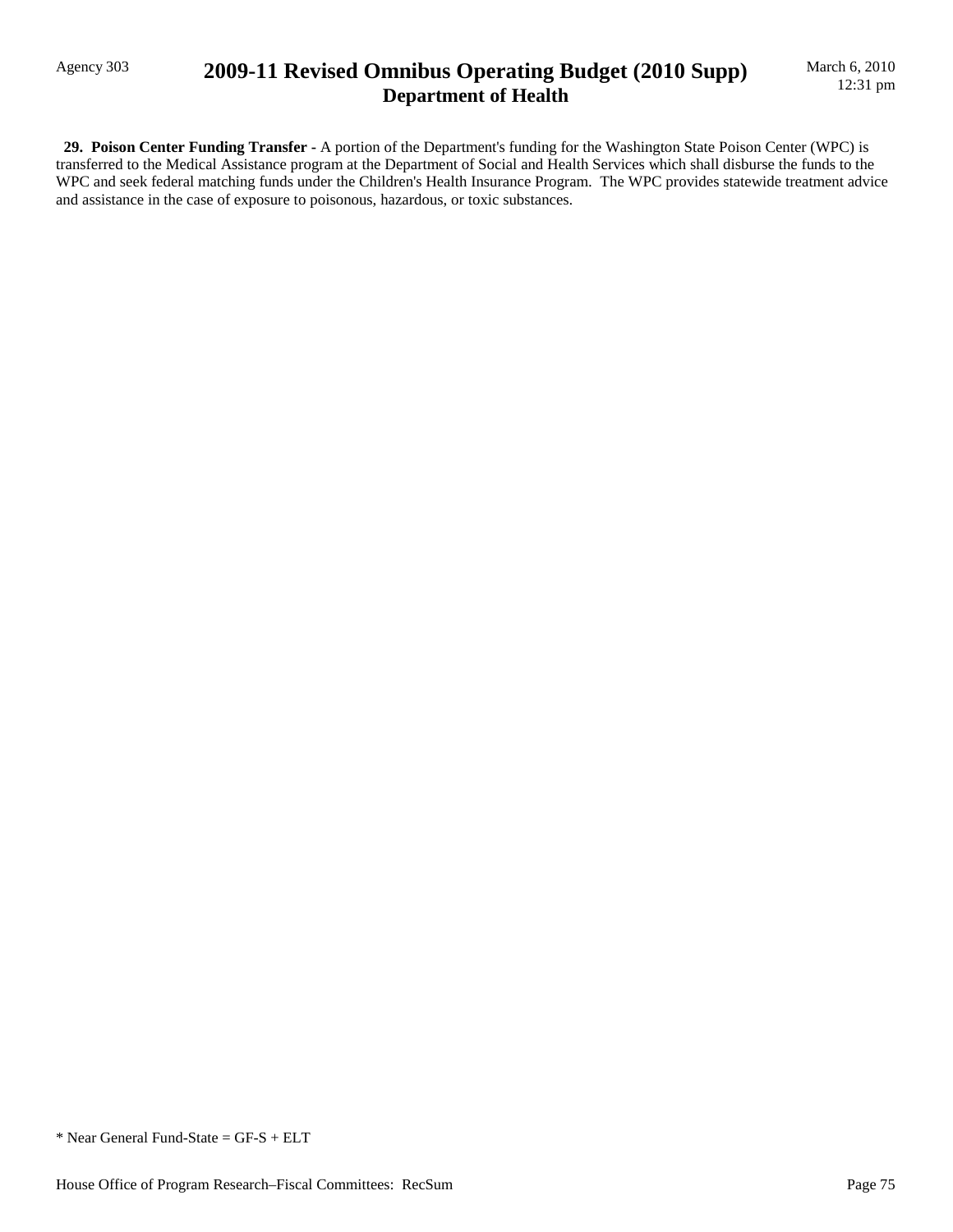## Agency 303 **2009-11 Revised Omnibus Operating Budget (2010 Supp) Department of Health**

 **29. Poison Center Funding Transfer -** A portion of the Department's funding for the Washington State Poison Center (WPC) is transferred to the Medical Assistance program at the Department of Social and Health Services which shall disburse the funds to the WPC and seek federal matching funds under the Children's Health Insurance Program. The WPC provides statewide treatment advice and assistance in the case of exposure to poisonous, hazardous, or toxic substances.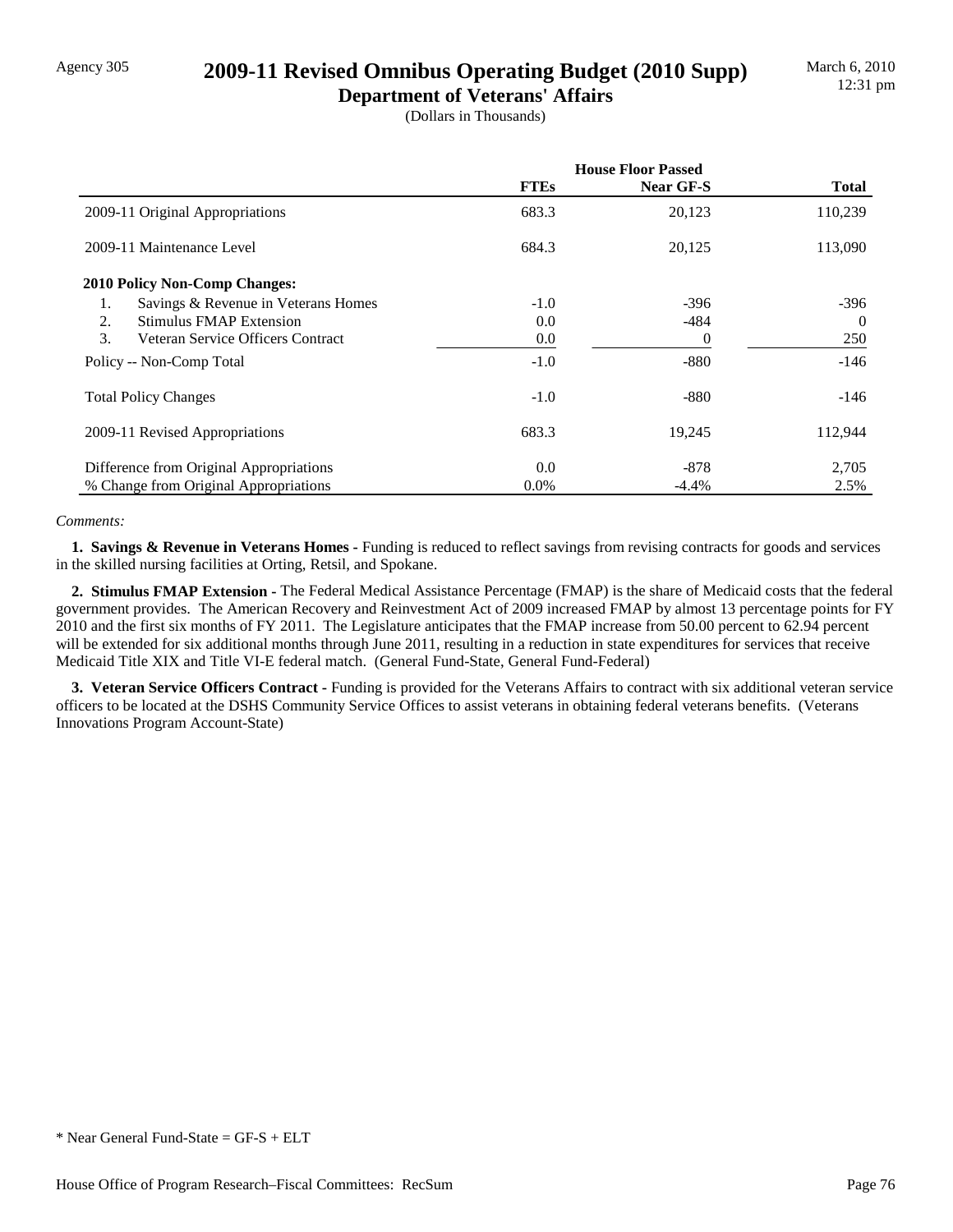## Agency 305 **2009-11 Revised Omnibus Operating Budget (2010 Supp)**

**Department of Veterans' Affairs** (Dollars in Thousands)

|                                           | <b>House Floor Passed</b> |           |              |  |
|-------------------------------------------|---------------------------|-----------|--------------|--|
|                                           | <b>FTEs</b>               | Near GF-S | <b>Total</b> |  |
| 2009-11 Original Appropriations           | 683.3                     | 20,123    | 110,239      |  |
| 2009-11 Maintenance Level                 | 684.3                     | 20,125    | 113,090      |  |
| <b>2010 Policy Non-Comp Changes:</b>      |                           |           |              |  |
| Savings & Revenue in Veterans Homes<br>1. | $-1.0$                    | $-396$    | $-396$       |  |
| 2.<br><b>Stimulus FMAP Extension</b>      | 0.0                       | $-484$    | $\Omega$     |  |
| 3.<br>Veteran Service Officers Contract   | $0.0\,$                   | 0         | 250          |  |
| Policy -- Non-Comp Total                  | $-1.0$                    | $-880$    | $-146$       |  |
| <b>Total Policy Changes</b>               | $-1.0$                    | $-880$    | $-146$       |  |
| 2009-11 Revised Appropriations            | 683.3                     | 19,245    | 112,944      |  |
| Difference from Original Appropriations   | 0.0                       | $-878$    | 2,705        |  |
| % Change from Original Appropriations     | $0.0\%$                   | $-4.4\%$  | 2.5%         |  |

#### *Comments:*

 **1. Savings & Revenue in Veterans Homes -** Funding is reduced to reflect savings from revising contracts for goods and services in the skilled nursing facilities at Orting, Retsil, and Spokane.

 **2. Stimulus FMAP Extension -** The Federal Medical Assistance Percentage (FMAP) is the share of Medicaid costs that the federal government provides. The American Recovery and Reinvestment Act of 2009 increased FMAP by almost 13 percentage points for FY 2010 and the first six months of FY 2011. The Legislature anticipates that the FMAP increase from 50.00 percent to 62.94 percent will be extended for six additional months through June 2011, resulting in a reduction in state expenditures for services that receive Medicaid Title XIX and Title VI-E federal match. (General Fund-State, General Fund-Federal)

 **3. Veteran Service Officers Contract -** Funding is provided for the Veterans Affairs to contract with six additional veteran service officers to be located at the DSHS Community Service Offices to assist veterans in obtaining federal veterans benefits. (Veterans Innovations Program Account-State)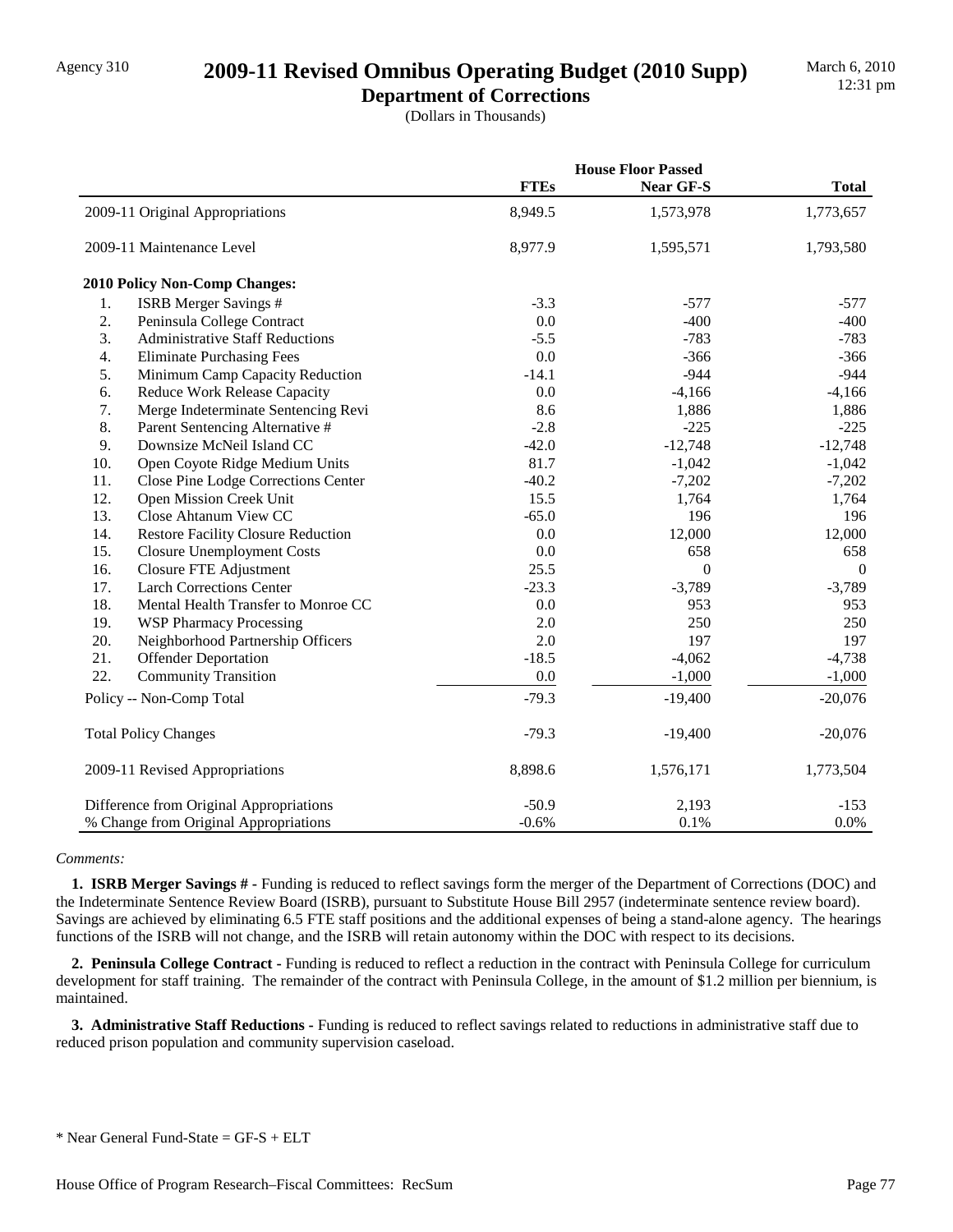## Agency 310 **2009-11 Revised Omnibus Operating Budget (2010 Supp)**

**Department of Corrections** (Dollars in Thousands)

|     |                                           |             | <b>House Floor Passed</b> |                  |
|-----|-------------------------------------------|-------------|---------------------------|------------------|
|     |                                           | <b>FTEs</b> | Near GF-S                 | <b>Total</b>     |
|     | 2009-11 Original Appropriations           | 8,949.5     | 1,573,978                 | 1,773,657        |
|     | 2009-11 Maintenance Level                 | 8,977.9     | 1,595,571                 | 1,793,580        |
|     | 2010 Policy Non-Comp Changes:             |             |                           |                  |
| 1.  | ISRB Merger Savings #                     | $-3.3$      | $-577$                    | $-577$           |
| 2.  | Peninsula College Contract                | 0.0         | $-400$                    | $-400$           |
| 3.  | <b>Administrative Staff Reductions</b>    | $-5.5$      | $-783$                    | $-783$           |
| 4.  | <b>Eliminate Purchasing Fees</b>          | 0.0         | $-366$                    | $-366$           |
| 5.  | Minimum Camp Capacity Reduction           | $-14.1$     | $-944$                    | $-944$           |
| 6.  | <b>Reduce Work Release Capacity</b>       | 0.0         | $-4,166$                  | $-4,166$         |
| 7.  | Merge Indeterminate Sentencing Revi       | 8.6         | 1,886                     | 1,886            |
| 8.  | Parent Sentencing Alternative #           | $-2.8$      | $-225$                    | $-225$           |
| 9.  | Downsize McNeil Island CC                 | $-42.0$     | $-12,748$                 | $-12,748$        |
| 10. | Open Coyote Ridge Medium Units            | 81.7        | $-1,042$                  | $-1,042$         |
| 11. | Close Pine Lodge Corrections Center       | $-40.2$     | $-7,202$                  | $-7,202$         |
| 12. | Open Mission Creek Unit                   | 15.5        | 1,764                     | 1,764            |
| 13. | Close Ahtanum View CC                     | $-65.0$     | 196                       | 196              |
| 14. | <b>Restore Facility Closure Reduction</b> | 0.0         | 12,000                    | 12,000           |
| 15. | <b>Closure Unemployment Costs</b>         | 0.0         | 658                       | 658              |
| 16. | Closure FTE Adjustment                    | 25.5        | $\boldsymbol{0}$          | $\boldsymbol{0}$ |
| 17. | <b>Larch Corrections Center</b>           | $-23.3$     | $-3,789$                  | $-3,789$         |
| 18. | Mental Health Transfer to Monroe CC       | 0.0         | 953                       | 953              |
| 19. | <b>WSP Pharmacy Processing</b>            | 2.0         | 250                       | 250              |
| 20. | Neighborhood Partnership Officers         | 2.0         | 197                       | 197              |
| 21. | <b>Offender Deportation</b>               | $-18.5$     | $-4,062$                  | $-4,738$         |
| 22. | <b>Community Transition</b>               | 0.0         | $-1,000$                  | $-1,000$         |
|     | Policy -- Non-Comp Total                  | $-79.3$     | $-19,400$                 | $-20,076$        |
|     | <b>Total Policy Changes</b>               | $-79.3$     | $-19,400$                 | $-20,076$        |
|     | 2009-11 Revised Appropriations            | 8,898.6     | 1,576,171                 | 1,773,504        |
|     | Difference from Original Appropriations   | $-50.9$     | 2,193                     | $-153$           |
|     | % Change from Original Appropriations     | $-0.6%$     | 0.1%                      | 0.0%             |

#### *Comments:*

 **1. ISRB Merger Savings # -** Funding is reduced to reflect savings form the merger of the Department of Corrections (DOC) and the Indeterminate Sentence Review Board (ISRB), pursuant to Substitute House Bill 2957 (indeterminate sentence review board). Savings are achieved by eliminating 6.5 FTE staff positions and the additional expenses of being a stand-alone agency. The hearings functions of the ISRB will not change, and the ISRB will retain autonomy within the DOC with respect to its decisions.

 **2. Peninsula College Contract -** Funding is reduced to reflect a reduction in the contract with Peninsula College for curriculum development for staff training. The remainder of the contract with Peninsula College, in the amount of \$1.2 million per biennium, is maintained.

 **3. Administrative Staff Reductions -** Funding is reduced to reflect savings related to reductions in administrative staff due to reduced prison population and community supervision caseload.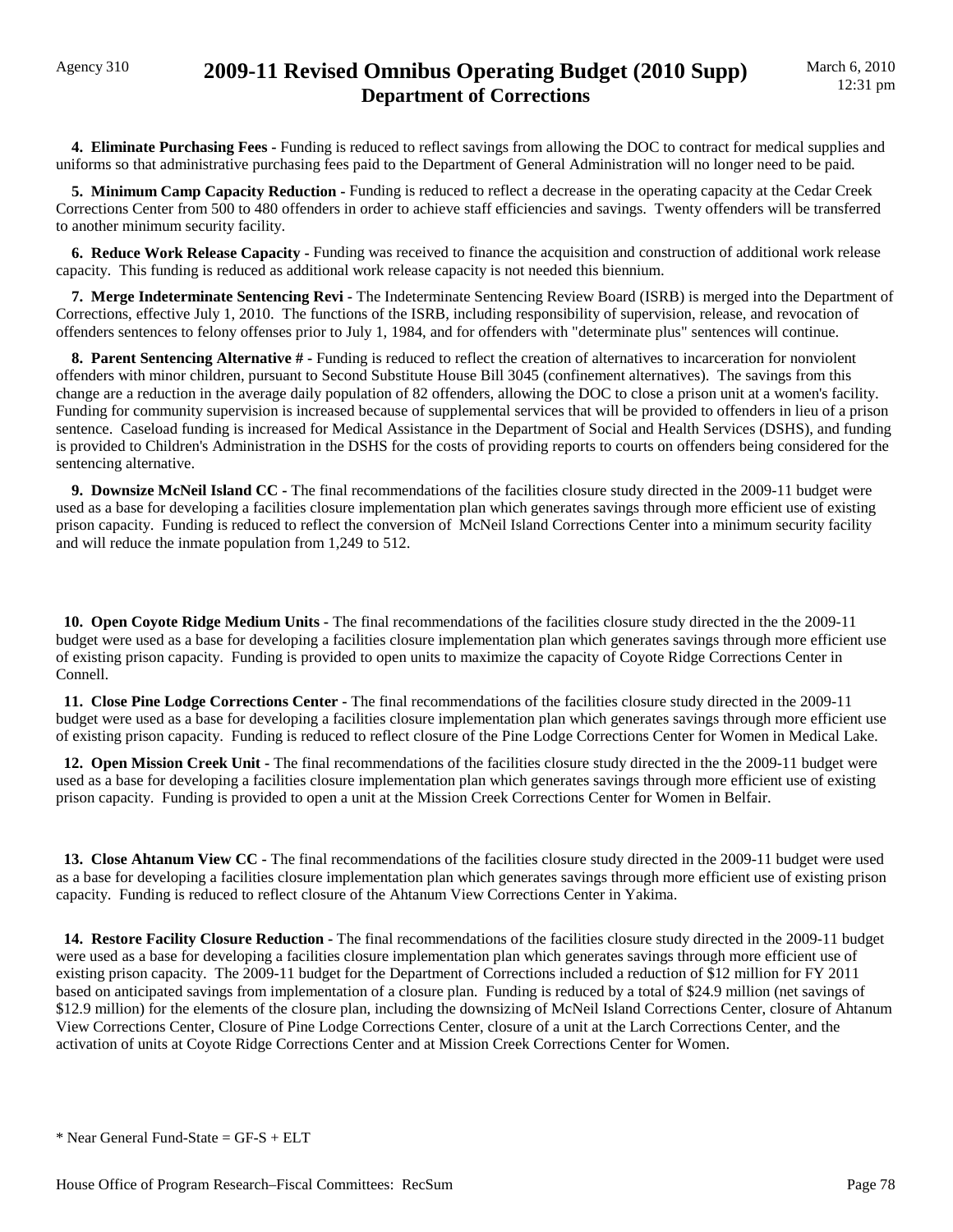## Agency 310 **2009-11 Revised Omnibus Operating Budget (2010 Supp) Department of Corrections**

 **4. Eliminate Purchasing Fees -** Funding is reduced to reflect savings from allowing the DOC to contract for medical supplies and uniforms so that administrative purchasing fees paid to the Department of General Administration will no longer need to be paid.

**5. Minimum Camp Capacity Reduction -** Funding is reduced to reflect a decrease in the operating capacity at the Cedar Creek Corrections Center from 500 to 480 offenders in order to achieve staff efficiencies and savings. Twenty offenders will be transferred to another minimum security facility.

 **6. Reduce Work Release Capacity -** Funding was received to finance the acquisition and construction of additional work release capacity. This funding is reduced as additional work release capacity is not needed this biennium.

 **7. Merge Indeterminate Sentencing Revi -** The Indeterminate Sentencing Review Board (ISRB) is merged into the Department of Corrections, effective July 1, 2010. The functions of the ISRB, including responsibility of supervision, release, and revocation of offenders sentences to felony offenses prior to July 1, 1984, and for offenders with "determinate plus" sentences will continue.

**8. Parent Sentencing Alternative # - Funding is reduced to reflect the creation of alternatives to incarceration for nonviolent** offenders with minor children, pursuant to Second Substitute House Bill 3045 (confinement alternatives). The savings from this change are a reduction in the average daily population of 82 offenders, allowing the DOC to close a prison unit at a women's facility. Funding for community supervision is increased because of supplemental services that will be provided to offenders in lieu of a prison sentence. Caseload funding is increased for Medical Assistance in the Department of Social and Health Services (DSHS), and funding is provided to Children's Administration in the DSHS for the costs of providing reports to courts on offenders being considered for the sentencing alternative.

 **9. Downsize McNeil Island CC -** The final recommendations of the facilities closure study directed in the 2009-11 budget were used as a base for developing a facilities closure implementation plan which generates savings through more efficient use of existing prison capacity. Funding is reduced to reflect the conversion of McNeil Island Corrections Center into a minimum security facility and will reduce the inmate population from 1,249 to 512.

 **10. Open Coyote Ridge Medium Units -** The final recommendations of the facilities closure study directed in the the 2009-11 budget were used as a base for developing a facilities closure implementation plan which generates savings through more efficient use of existing prison capacity. Funding is provided to open units to maximize the capacity of Coyote Ridge Corrections Center in Connell.

 **11. Close Pine Lodge Corrections Center -** The final recommendations of the facilities closure study directed in the 2009-11 budget were used as a base for developing a facilities closure implementation plan which generates savings through more efficient use of existing prison capacity. Funding is reduced to reflect closure of the Pine Lodge Corrections Center for Women in Medical Lake.

**12. Open Mission Creek Unit -** The final recommendations of the facilities closure study directed in the the 2009-11 budget were used as a base for developing a facilities closure implementation plan which generates savings through more efficient use of existing prison capacity. Funding is provided to open a unit at the Mission Creek Corrections Center for Women in Belfair.

 **13. Close Ahtanum View CC -** The final recommendations of the facilities closure study directed in the 2009-11 budget were used as a base for developing a facilities closure implementation plan which generates savings through more efficient use of existing prison capacity. Funding is reduced to reflect closure of the Ahtanum View Corrections Center in Yakima.

 **14. Restore Facility Closure Reduction -** The final recommendations of the facilities closure study directed in the 2009-11 budget were used as a base for developing a facilities closure implementation plan which generates savings through more efficient use of existing prison capacity. The 2009-11 budget for the Department of Corrections included a reduction of \$12 million for FY 2011 based on anticipated savings from implementation of a closure plan. Funding is reduced by a total of \$24.9 million (net savings of \$12.9 million) for the elements of the closure plan, including the downsizing of McNeil Island Corrections Center, closure of Ahtanum View Corrections Center, Closure of Pine Lodge Corrections Center, closure of a unit at the Larch Corrections Center, and the activation of units at Coyote Ridge Corrections Center and at Mission Creek Corrections Center for Women.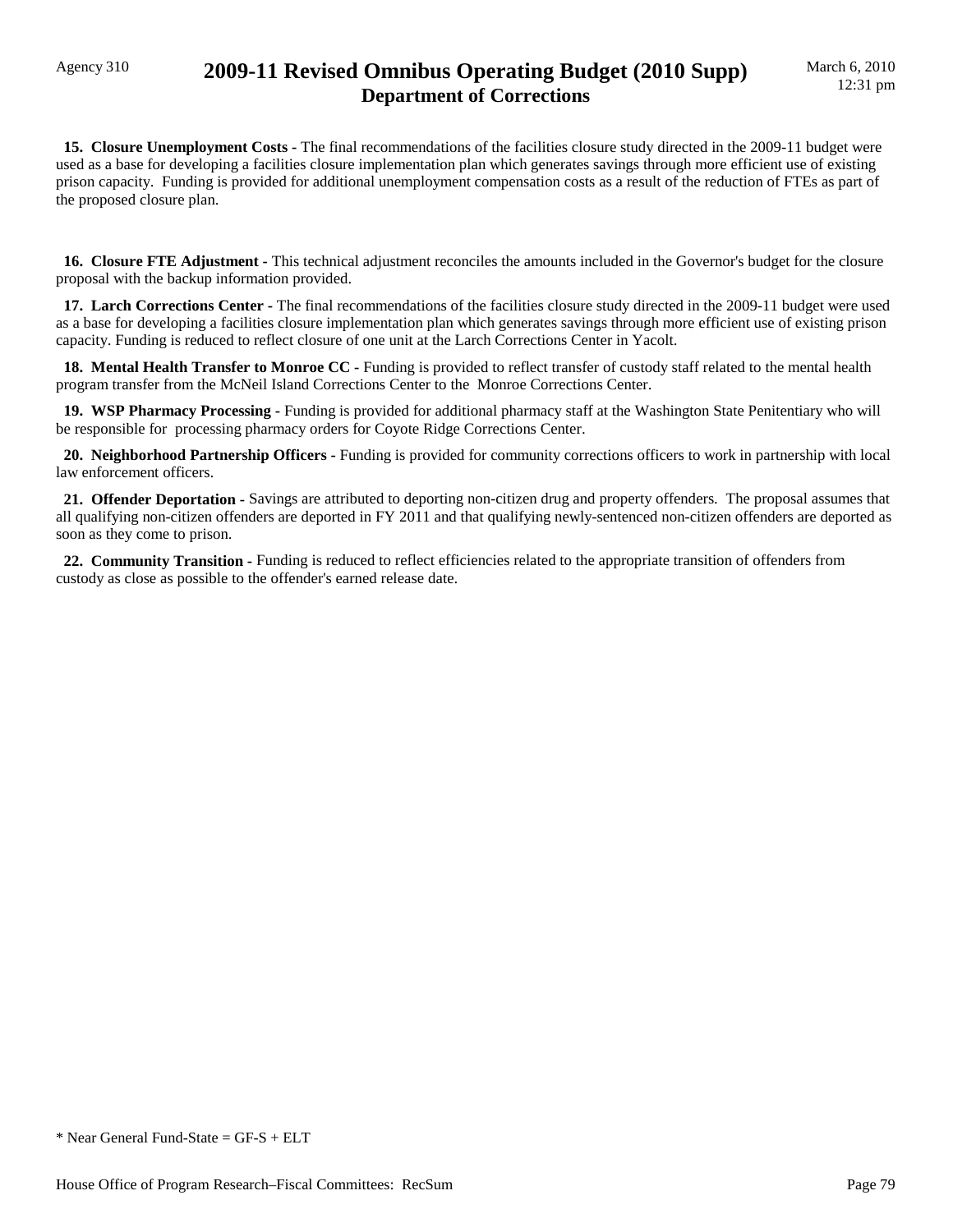## Agency 310 **2009-11 Revised Omnibus Operating Budget (2010 Supp) Department of Corrections**

 **15. Closure Unemployment Costs -** The final recommendations of the facilities closure study directed in the 2009-11 budget were used as a base for developing a facilities closure implementation plan which generates savings through more efficient use of existing prison capacity. Funding is provided for additional unemployment compensation costs as a result of the reduction of FTEs as part of the proposed closure plan.

 **16. Closure FTE Adjustment -** This technical adjustment reconciles the amounts included in the Governor's budget for the closure proposal with the backup information provided.

**17. Larch Corrections Center -** The final recommendations of the facilities closure study directed in the 2009-11 budget were used as a base for developing a facilities closure implementation plan which generates savings through more efficient use of existing prison capacity. Funding is reduced to reflect closure of one unit at the Larch Corrections Center in Yacolt.

 **18. Mental Health Transfer to Monroe CC -** Funding is provided to reflect transfer of custody staff related to the mental health program transfer from the McNeil Island Corrections Center to the Monroe Corrections Center.

 **19. WSP Pharmacy Processing -** Funding is provided for additional pharmacy staff at the Washington State Penitentiary who will be responsible for processing pharmacy orders for Coyote Ridge Corrections Center.

 **20. Neighborhood Partnership Officers -** Funding is provided for community corrections officers to work in partnership with local law enforcement officers.

 **21. Offender Deportation -** Savings are attributed to deporting non-citizen drug and property offenders. The proposal assumes that all qualifying non-citizen offenders are deported in FY 2011 and that qualifying newly-sentenced non-citizen offenders are deported as soon as they come to prison.

 **22. Community Transition -** Funding is reduced to reflect efficiencies related to the appropriate transition of offenders from custody as close as possible to the offender's earned release date.

 $*$  Near General Fund-State = GF-S + ELT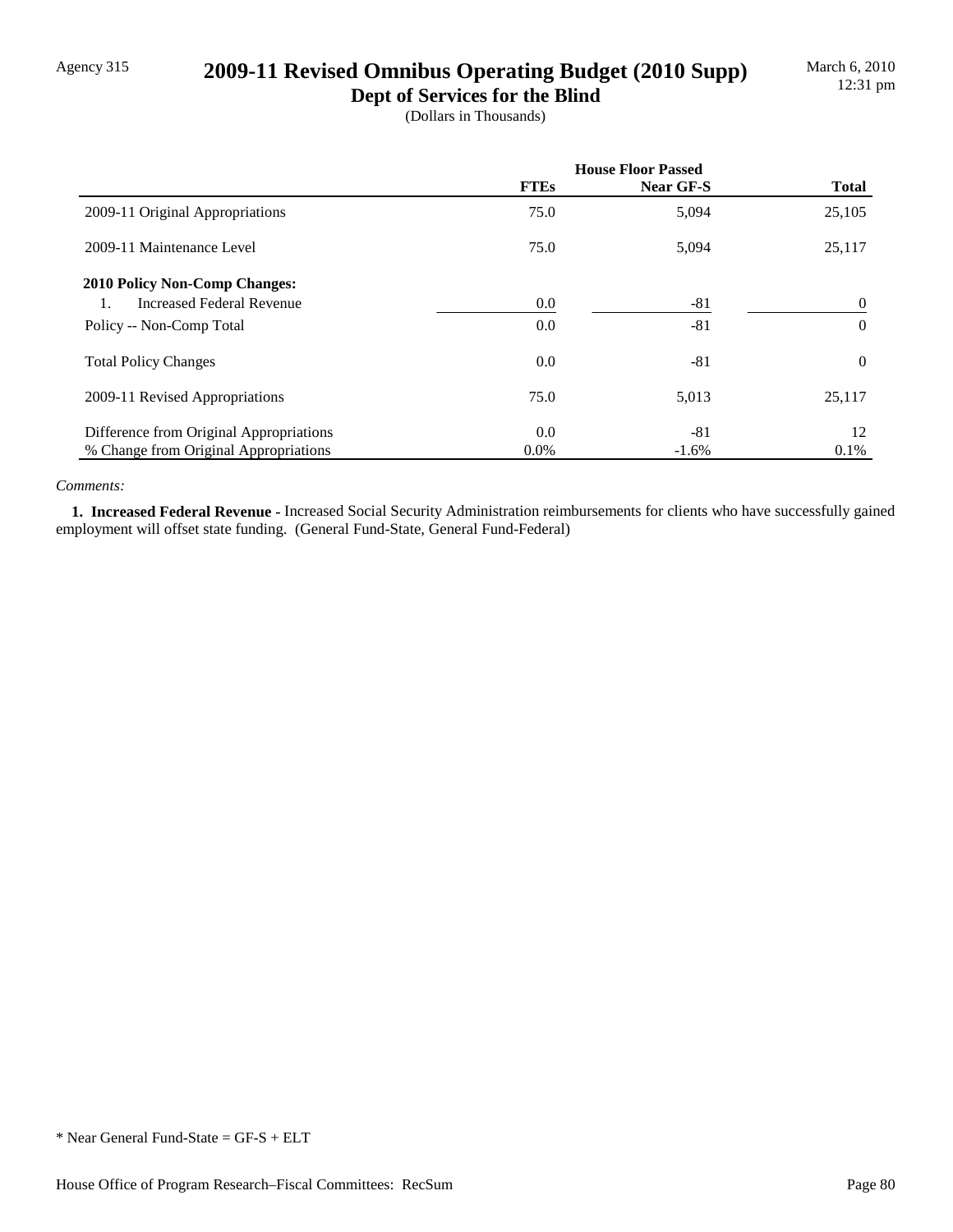## Agency 315 **2009-11 Revised Omnibus Operating Budget (2010 Supp)**

**Dept of Services for the Blind** (Dollars in Thousands)

|                                         | <b>House Floor Passed</b> |           |              |
|-----------------------------------------|---------------------------|-----------|--------------|
|                                         | <b>FTEs</b>               | Near GF-S | <b>Total</b> |
| 2009-11 Original Appropriations         | 75.0                      | 5,094     | 25,105       |
| 2009-11 Maintenance Level               | 75.0                      | 5,094     | 25,117       |
| <b>2010 Policy Non-Comp Changes:</b>    |                           |           |              |
| <b>Increased Federal Revenue</b>        | 0.0                       | $-81$     | $\theta$     |
| Policy -- Non-Comp Total                | 0.0                       | $-81$     | $\Omega$     |
| <b>Total Policy Changes</b>             | 0.0                       | $-81$     | $\Omega$     |
| 2009-11 Revised Appropriations          | 75.0                      | 5,013     | 25,117       |
| Difference from Original Appropriations | 0.0                       | $-81$     | 12           |
| % Change from Original Appropriations   | $0.0\%$                   | $-1.6\%$  | 0.1%         |

#### *Comments:*

 **1. Increased Federal Revenue -** Increased Social Security Administration reimbursements for clients who have successfully gained employment will offset state funding. (General Fund-State, General Fund-Federal)

\* Near General Fund-State = GF-S + ELT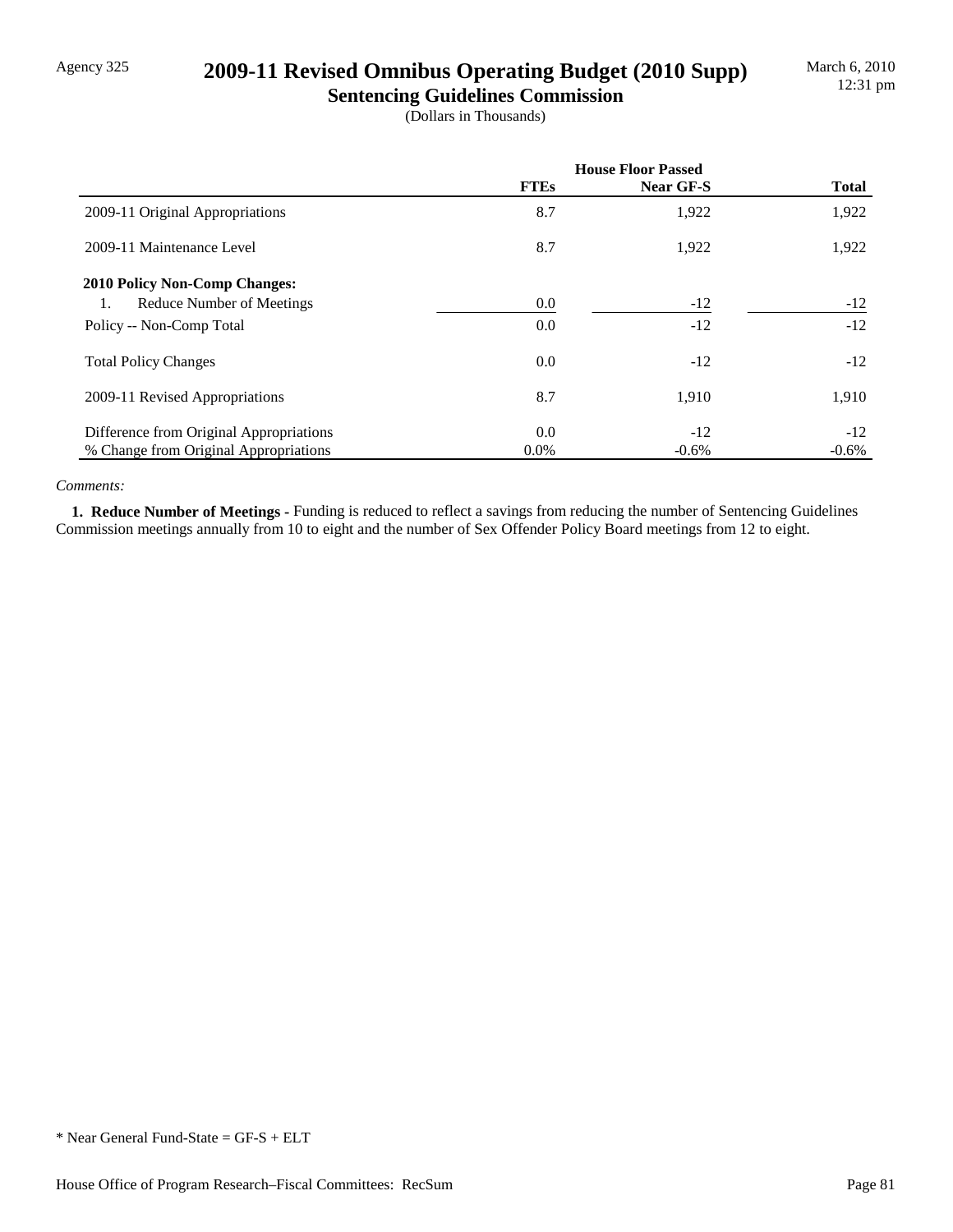## Agency 325 **2009-11 Revised Omnibus Operating Budget (2010 Supp)**

**Sentencing Guidelines Commission** (Dollars in Thousands)

|                                         | <b>House Floor Passed</b> |           |              |
|-----------------------------------------|---------------------------|-----------|--------------|
|                                         | <b>FTEs</b>               | Near GF-S | <b>Total</b> |
| 2009-11 Original Appropriations         | 8.7                       | 1,922     | 1,922        |
| 2009-11 Maintenance Level               | 8.7                       | 1,922     | 1,922        |
| <b>2010 Policy Non-Comp Changes:</b>    |                           |           |              |
| Reduce Number of Meetings<br>1.         | 0.0                       | $-12$     | $-12$        |
| Policy -- Non-Comp Total                | 0.0                       | $-12$     | $-12$        |
| <b>Total Policy Changes</b>             | 0.0                       | $-12$     | $-12$        |
| 2009-11 Revised Appropriations          | 8.7                       | 1,910     | 1,910        |
| Difference from Original Appropriations | 0.0                       | $-12$     | $-12$        |
| % Change from Original Appropriations   | $0.0\%$                   | $-0.6%$   | $-0.6%$      |

#### *Comments:*

 **1. Reduce Number of Meetings -** Funding is reduced to reflect a savings from reducing the number of Sentencing Guidelines Commission meetings annually from 10 to eight and the number of Sex Offender Policy Board meetings from 12 to eight.

\* Near General Fund-State = GF-S + ELT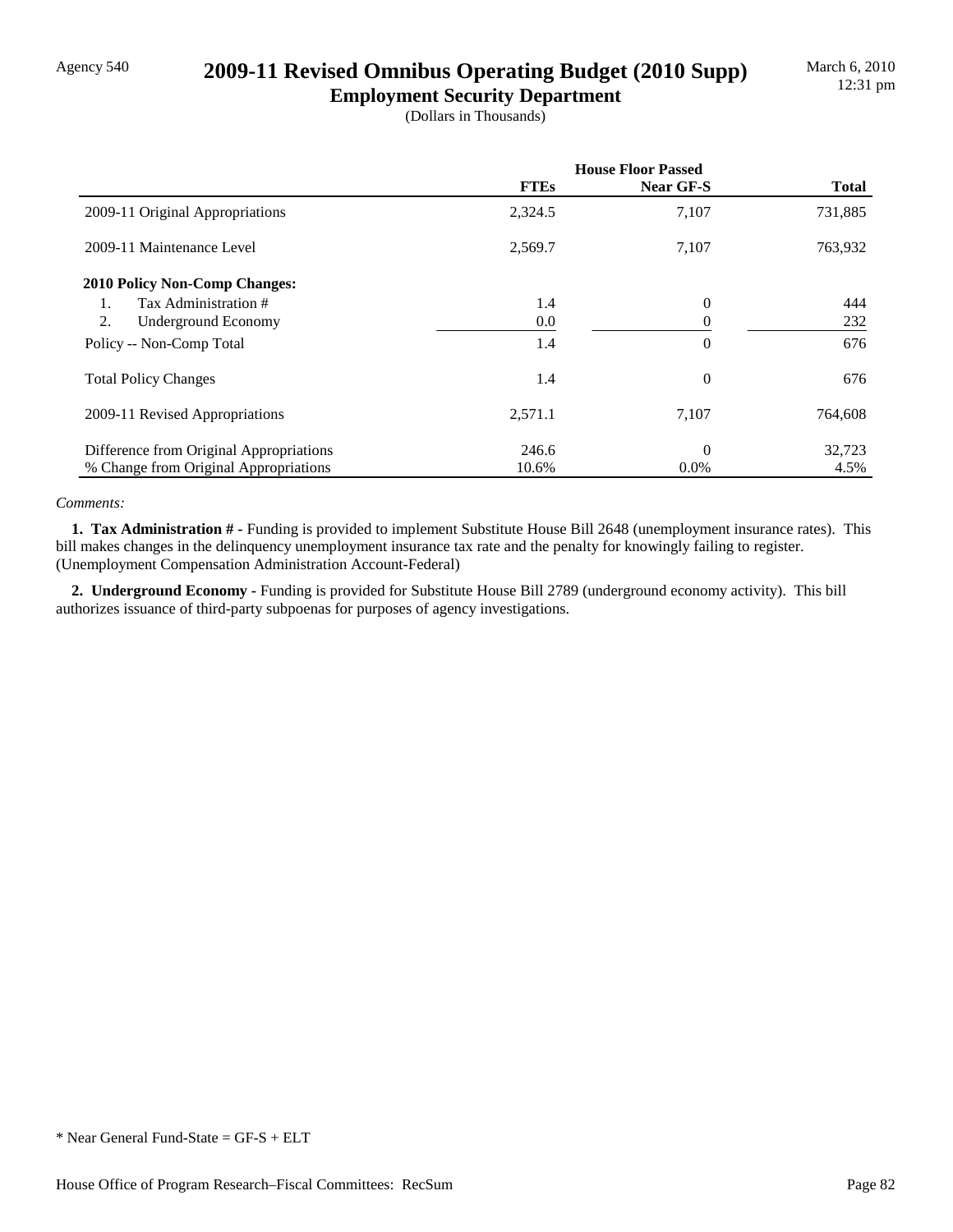## Agency 540 **2009-11 Revised Omnibus Operating Budget (2010 Supp)**

**Employment Security Department** (Dollars in Thousands)

|                                         | <b>House Floor Passed</b> |           |              |
|-----------------------------------------|---------------------------|-----------|--------------|
|                                         | <b>FTEs</b>               | Near GF-S | <b>Total</b> |
| 2009-11 Original Appropriations         | 2,324.5                   | 7,107     | 731,885      |
| 2009-11 Maintenance Level               | 2,569.7                   | 7,107     | 763,932      |
| <b>2010 Policy Non-Comp Changes:</b>    |                           |           |              |
| Tax Administration #<br>$\mathbf{1}$ .  | 1.4                       | $\theta$  | 444          |
| 2.<br>Underground Economy               | 0.0                       | $\theta$  | 232          |
| Policy -- Non-Comp Total                | 1.4                       | $\theta$  | 676          |
| <b>Total Policy Changes</b>             | 1.4                       | $\theta$  | 676          |
| 2009-11 Revised Appropriations          | 2,571.1                   | 7,107     | 764,608      |
| Difference from Original Appropriations | 246.6                     | $\Omega$  | 32,723       |
| % Change from Original Appropriations   | 10.6%                     | $0.0\%$   | 4.5%         |

#### *Comments:*

 **1. Tax Administration # -** Funding is provided to implement Substitute House Bill 2648 (unemployment insurance rates). This bill makes changes in the delinquency unemployment insurance tax rate and the penalty for knowingly failing to register. (Unemployment Compensation Administration Account-Federal)

 **2. Underground Economy -** Funding is provided for Substitute House Bill 2789 (underground economy activity). This bill authorizes issuance of third-party subpoenas for purposes of agency investigations.

<sup>\*</sup> Near General Fund-State = GF-S + ELT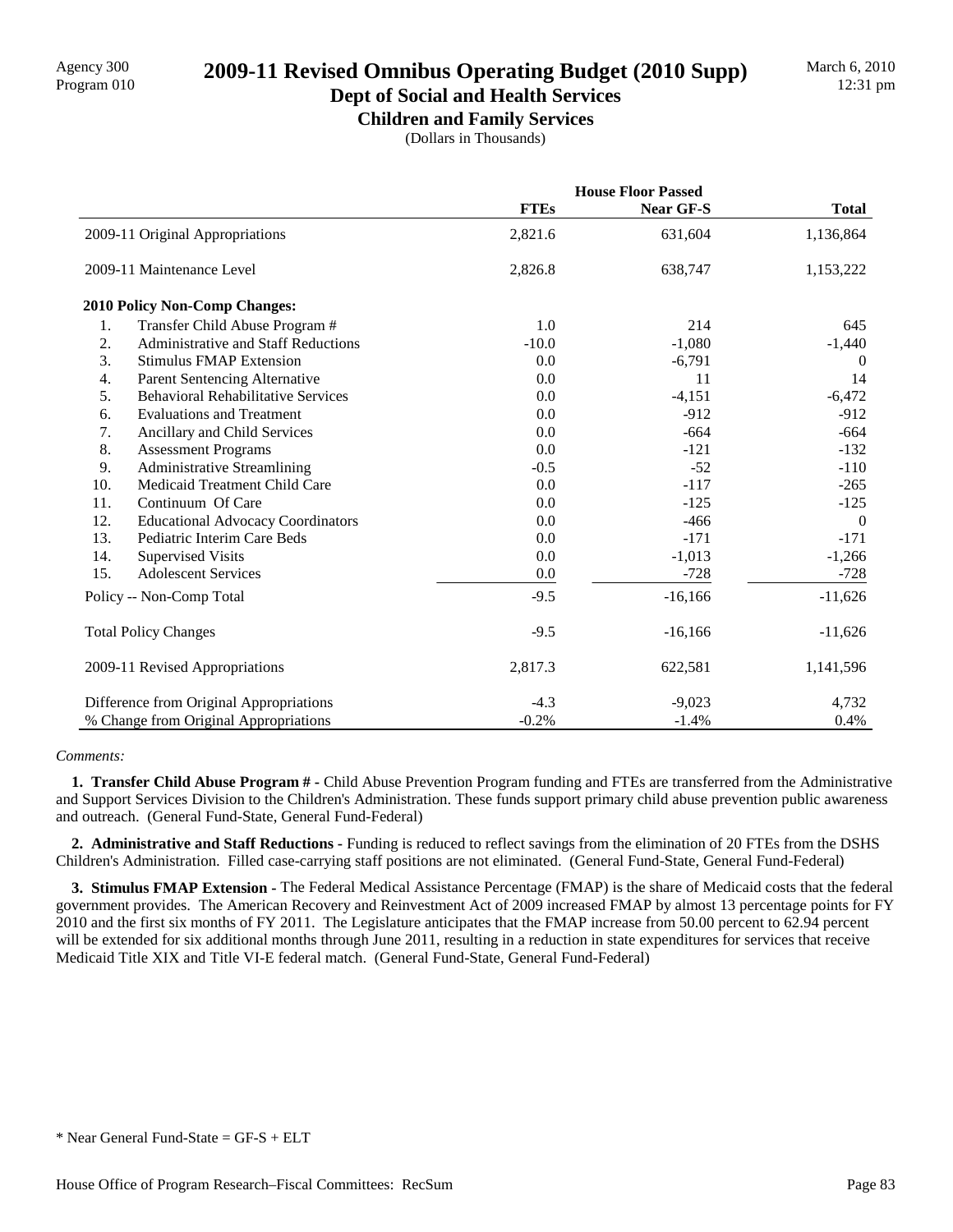# Program 010 **2009-11 Revised Omnibus Operating Budget (2010 Supp)**

### **Dept of Social and Health Services Children and Family Services**

(Dollars in Thousands)

|     |                                            | <b>House Floor Passed</b> |                  |                |
|-----|--------------------------------------------|---------------------------|------------------|----------------|
|     |                                            | <b>FTEs</b>               | <b>Near GF-S</b> | <b>Total</b>   |
|     | 2009-11 Original Appropriations            | 2,821.6                   | 631,604          | 1,136,864      |
|     | 2009-11 Maintenance Level                  | 2,826.8                   | 638,747          | 1,153,222      |
|     | 2010 Policy Non-Comp Changes:              |                           |                  |                |
| 1.  | Transfer Child Abuse Program #             | 1.0                       | 214              | 645            |
| 2.  | <b>Administrative and Staff Reductions</b> | $-10.0$                   | $-1,080$         | $-1,440$       |
| 3.  | <b>Stimulus FMAP Extension</b>             | 0.0                       | $-6,791$         | $\overline{0}$ |
| 4.  | Parent Sentencing Alternative              | 0.0                       | 11               | 14             |
| 5.  | <b>Behavioral Rehabilitative Services</b>  | 0.0                       | $-4,151$         | $-6,472$       |
| 6.  | <b>Evaluations and Treatment</b>           | 0.0                       | $-912$           | $-912$         |
| 7.  | Ancillary and Child Services               | 0.0                       | $-664$           | $-664$         |
| 8.  | <b>Assessment Programs</b>                 | 0.0                       | $-121$           | $-132$         |
| 9.  | <b>Administrative Streamlining</b>         | $-0.5$                    | $-52$            | $-110$         |
| 10. | Medicaid Treatment Child Care              | 0.0                       | $-117$           | $-265$         |
| 11. | Continuum Of Care                          | 0.0                       | $-125$           | $-125$         |
| 12. | <b>Educational Advocacy Coordinators</b>   | 0.0                       | $-466$           | $\overline{0}$ |
| 13. | Pediatric Interim Care Beds                | 0.0                       | $-171$           | $-171$         |
| 14. | <b>Supervised Visits</b>                   | 0.0                       | $-1,013$         | $-1,266$       |
| 15. | <b>Adolescent Services</b>                 | 0.0                       | $-728$           | $-728$         |
|     | Policy -- Non-Comp Total                   | $-9.5$                    | $-16,166$        | $-11,626$      |
|     | <b>Total Policy Changes</b>                | $-9.5$                    | $-16,166$        | $-11,626$      |
|     | 2009-11 Revised Appropriations             | 2,817.3                   | 622,581          | 1,141,596      |
|     | Difference from Original Appropriations    | $-4.3$                    | $-9,023$         | 4,732          |
|     | % Change from Original Appropriations      | $-0.2%$                   | $-1.4%$          | 0.4%           |

#### *Comments:*

 **1. Transfer Child Abuse Program # -** Child Abuse Prevention Program funding and FTEs are transferred from the Administrative and Support Services Division to the Children's Administration. These funds support primary child abuse prevention public awareness and outreach. (General Fund-State, General Fund-Federal)

 **2. Administrative and Staff Reductions -** Funding is reduced to reflect savings from the elimination of 20 FTEs from the DSHS Children's Administration. Filled case-carrying staff positions are not eliminated. (General Fund-State, General Fund-Federal)

 **3. Stimulus FMAP Extension -** The Federal Medical Assistance Percentage (FMAP) is the share of Medicaid costs that the federal government provides. The American Recovery and Reinvestment Act of 2009 increased FMAP by almost 13 percentage points for FY 2010 and the first six months of FY 2011. The Legislature anticipates that the FMAP increase from 50.00 percent to 62.94 percent will be extended for six additional months through June 2011, resulting in a reduction in state expenditures for services that receive Medicaid Title XIX and Title VI-E federal match. (General Fund-State, General Fund-Federal)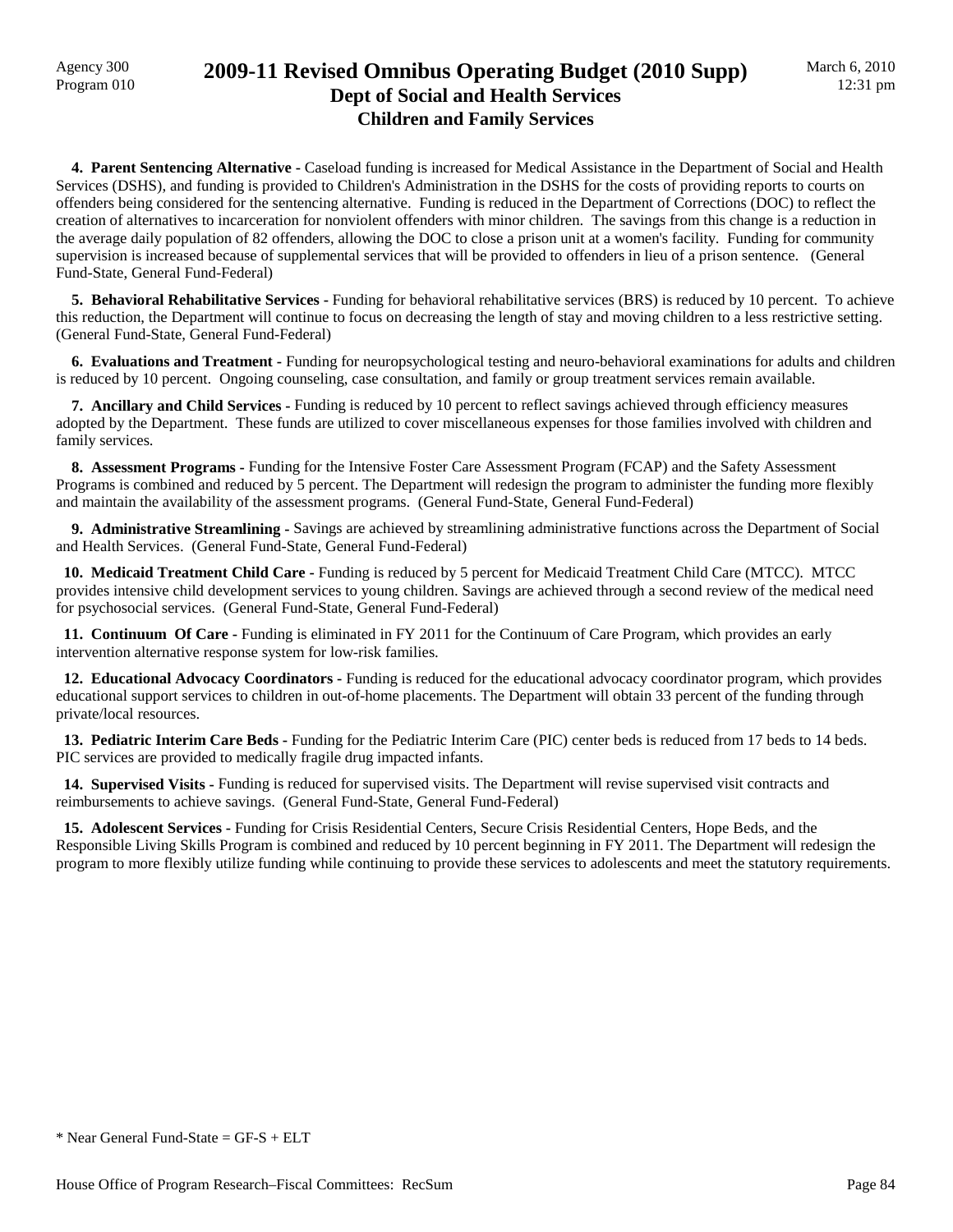## Agency 300 **2009-11 Revised Omnibus Operating Budget (2010 Supp)**<br>Program 010 **Dept of Social and Health Services Children and Family Services**

 **4. Parent Sentencing Alternative -** Caseload funding is increased for Medical Assistance in the Department of Social and Health Services (DSHS), and funding is provided to Children's Administration in the DSHS for the costs of providing reports to courts on offenders being considered for the sentencing alternative. Funding is reduced in the Department of Corrections (DOC) to reflect the creation of alternatives to incarceration for nonviolent offenders with minor children. The savings from this change is a reduction in the average daily population of 82 offenders, allowing the DOC to close a prison unit at a women's facility. Funding for community supervision is increased because of supplemental services that will be provided to offenders in lieu of a prison sentence. (General Fund-State, General Fund-Federal)

 **5. Behavioral Rehabilitative Services -** Funding for behavioral rehabilitative services (BRS) is reduced by 10 percent. To achieve this reduction, the Department will continue to focus on decreasing the length of stay and moving children to a less restrictive setting. (General Fund-State, General Fund-Federal)

 **6. Evaluations and Treatment -** Funding for neuropsychological testing and neuro-behavioral examinations for adults and children is reduced by 10 percent. Ongoing counseling, case consultation, and family or group treatment services remain available.

 **7. Ancillary and Child Services -** Funding is reduced by 10 percent to reflect savings achieved through efficiency measures adopted by the Department. These funds are utilized to cover miscellaneous expenses for those families involved with children and family services.

 **8. Assessment Programs -** Funding for the Intensive Foster Care Assessment Program (FCAP) and the Safety Assessment Programs is combined and reduced by 5 percent. The Department will redesign the program to administer the funding more flexibly and maintain the availability of the assessment programs. (General Fund-State, General Fund-Federal)

 **9. Administrative Streamlining -** Savings are achieved by streamlining administrative functions across the Department of Social and Health Services. (General Fund-State, General Fund-Federal)

 **10. Medicaid Treatment Child Care -** Funding is reduced by 5 percent for Medicaid Treatment Child Care (MTCC). MTCC provides intensive child development services to young children. Savings are achieved through a second review of the medical need for psychosocial services. (General Fund-State, General Fund-Federal)

**11. Continuum Of Care - Funding is eliminated in FY 2011 for the Continuum of Care Program, which provides an early** intervention alternative response system for low-risk families.

 **12. Educational Advocacy Coordinators -** Funding is reduced for the educational advocacy coordinator program, which provides educational support services to children in out-of-home placements. The Department will obtain 33 percent of the funding through private/local resources.

13. Pediatric Interim Care Beds - Funding for the Pediatric Interim Care (PIC) center beds is reduced from 17 beds to 14 beds. PIC services are provided to medically fragile drug impacted infants.

 **14. Supervised Visits -** Funding is reduced for supervised visits. The Department will revise supervised visit contracts and reimbursements to achieve savings. (General Fund-State, General Fund-Federal)

 **15. Adolescent Services -** Funding for Crisis Residential Centers, Secure Crisis Residential Centers, Hope Beds, and the Responsible Living Skills Program is combined and reduced by 10 percent beginning in FY 2011. The Department will redesign the program to more flexibly utilize funding while continuing to provide these services to adolescents and meet the statutory requirements.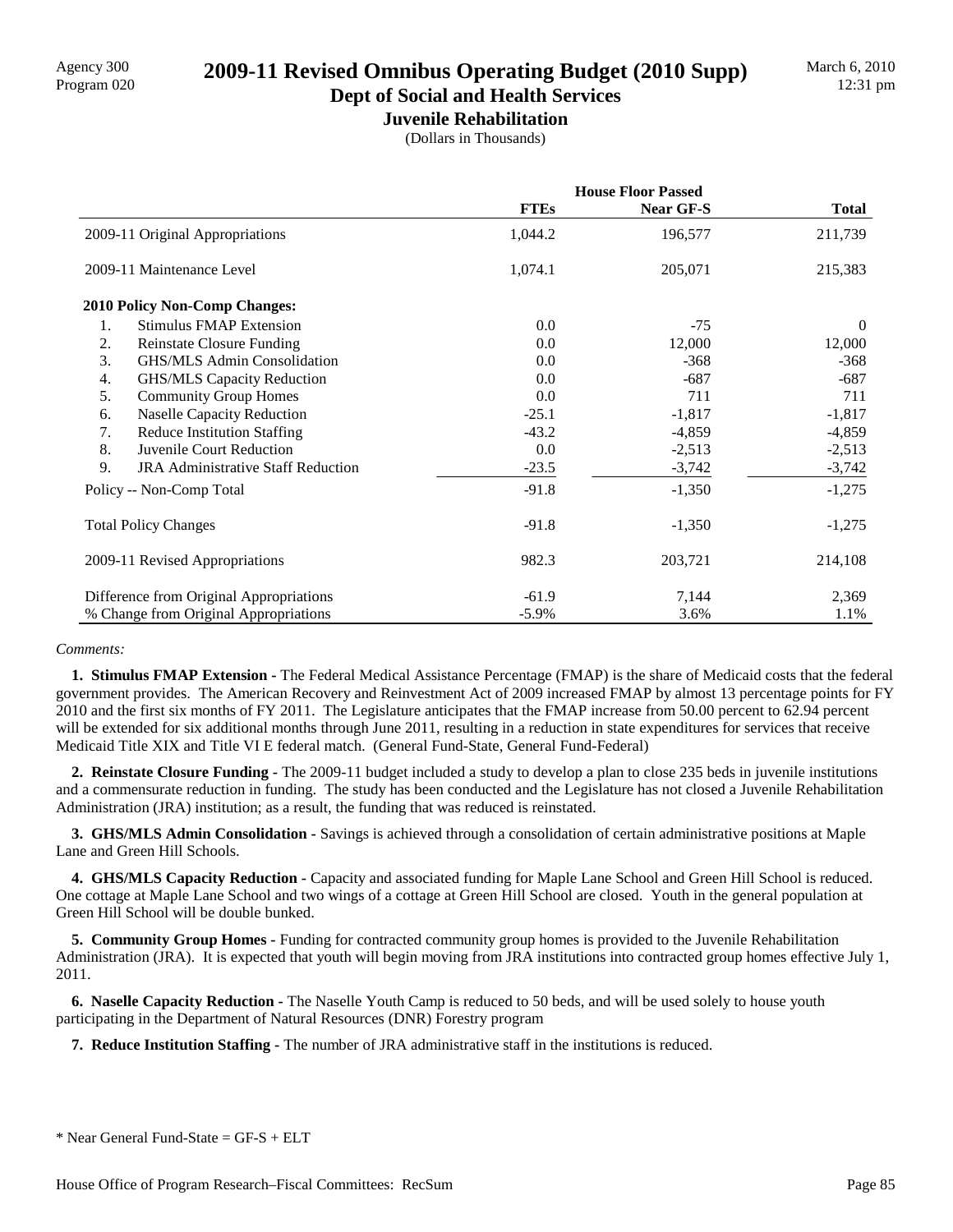# Agency 300<br>Program 020 **2009-11 Revised Omnibus Operating Budget (2010 Supp)**

## **Dept of Social and Health Services**

**Juvenile Rehabilitation** (Dollars in Thousands)

|                                                 | <b>House Floor Passed</b> |           |              |
|-------------------------------------------------|---------------------------|-----------|--------------|
|                                                 | <b>FTEs</b>               | Near GF-S | <b>Total</b> |
| 2009-11 Original Appropriations                 | 1,044.2                   | 196,577   | 211,739      |
| 2009-11 Maintenance Level                       | 1,074.1                   | 205,071   | 215,383      |
| 2010 Policy Non-Comp Changes:                   |                           |           |              |
| <b>Stimulus FMAP Extension</b><br>1.            | 0.0                       | $-75$     | $\theta$     |
| 2.<br><b>Reinstate Closure Funding</b>          | 0.0                       | 12,000    | 12,000       |
| 3.<br>GHS/MLS Admin Consolidation               | 0.0                       | $-368$    | $-368$       |
| <b>GHS/MLS Capacity Reduction</b><br>4.         | 0.0                       | $-687$    | $-687$       |
| 5.<br><b>Community Group Homes</b>              | 0.0                       | 711       | 711          |
| <b>Naselle Capacity Reduction</b><br>6.         | $-25.1$                   | $-1,817$  | $-1,817$     |
| <b>Reduce Institution Staffing</b><br>7.        | $-43.2$                   | $-4,859$  | $-4,859$     |
| 8.<br>Juvenile Court Reduction                  | 0.0                       | $-2,513$  | $-2,513$     |
| 9.<br><b>JRA Administrative Staff Reduction</b> | $-23.5$                   | $-3,742$  | $-3,742$     |
| Policy -- Non-Comp Total                        | $-91.8$                   | $-1,350$  | $-1,275$     |
| <b>Total Policy Changes</b>                     | $-91.8$                   | $-1,350$  | $-1,275$     |
| 2009-11 Revised Appropriations                  | 982.3                     | 203,721   | 214,108      |
| Difference from Original Appropriations         | $-61.9$                   | 7,144     | 2,369        |
| % Change from Original Appropriations           | $-5.9\%$                  | 3.6%      | 1.1%         |

#### *Comments:*

 **1. Stimulus FMAP Extension -** The Federal Medical Assistance Percentage (FMAP) is the share of Medicaid costs that the federal government provides. The American Recovery and Reinvestment Act of 2009 increased FMAP by almost 13 percentage points for FY 2010 and the first six months of FY 2011. The Legislature anticipates that the FMAP increase from 50.00 percent to 62.94 percent will be extended for six additional months through June 2011, resulting in a reduction in state expenditures for services that receive Medicaid Title XIX and Title VI E federal match. (General Fund-State, General Fund-Federal)

 **2. Reinstate Closure Funding -** The 2009-11 budget included a study to develop a plan to close 235 beds in juvenile institutions and a commensurate reduction in funding. The study has been conducted and the Legislature has not closed a Juvenile Rehabilitation Administration (JRA) institution; as a result, the funding that was reduced is reinstated.

 **3. GHS/MLS Admin Consolidation -** Savings is achieved through a consolidation of certain administrative positions at Maple Lane and Green Hill Schools.

 **4. GHS/MLS Capacity Reduction -** Capacity and associated funding for Maple Lane School and Green Hill School is reduced. One cottage at Maple Lane School and two wings of a cottage at Green Hill School are closed. Youth in the general population at Green Hill School will be double bunked.

 **5. Community Group Homes -** Funding for contracted community group homes is provided to the Juvenile Rehabilitation Administration (JRA). It is expected that youth will begin moving from JRA institutions into contracted group homes effective July 1, 2011.

 **6. Naselle Capacity Reduction -** The Naselle Youth Camp is reduced to 50 beds, and will be used solely to house youth participating in the Department of Natural Resources (DNR) Forestry program

 **7. Reduce Institution Staffing -** The number of JRA administrative staff in the institutions is reduced.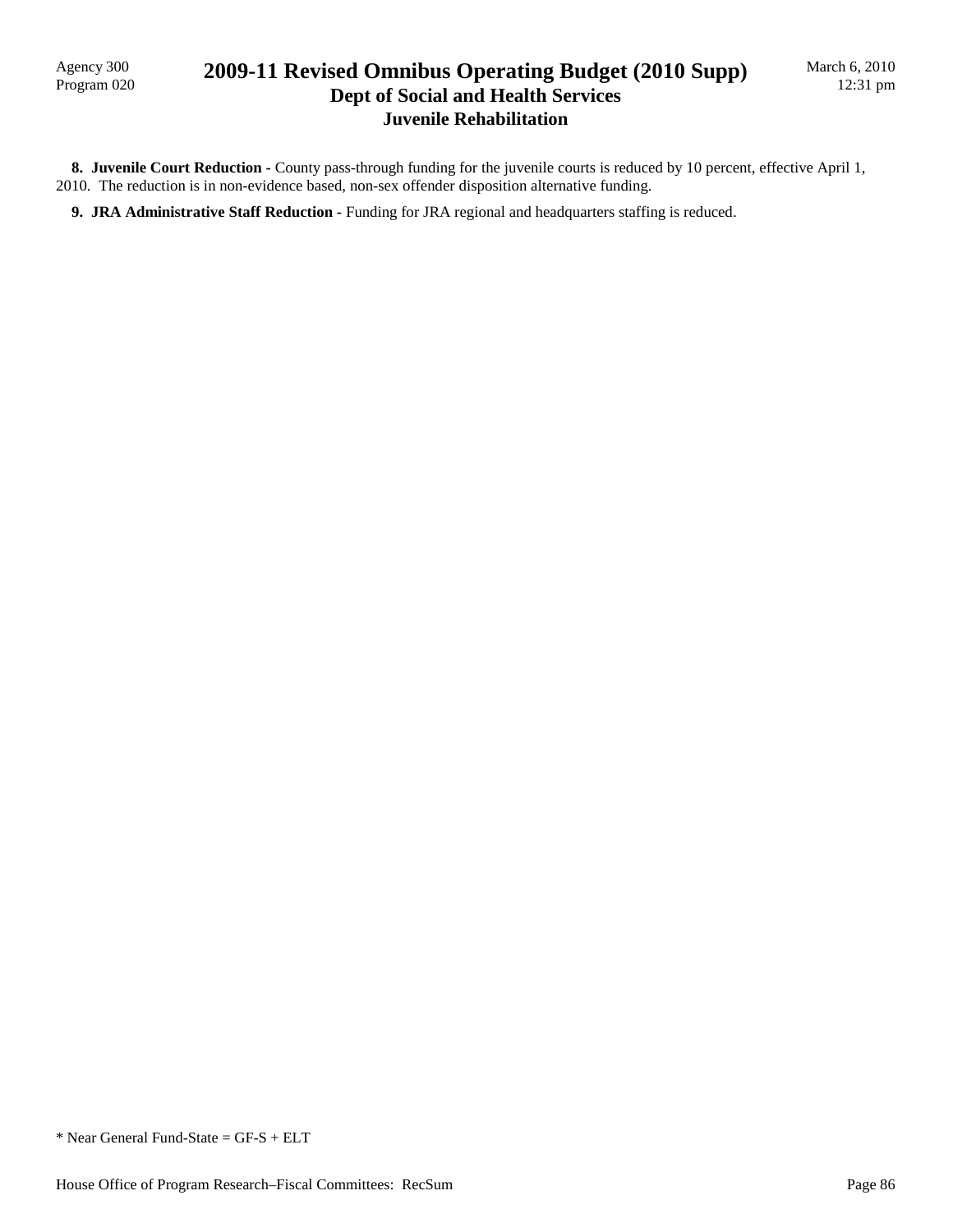Agency 300<br>Program 020

## 2009-11 Revised Omnibus Operating Budget (2010 Supp) **Dept of Social and Health Services Juvenile Rehabilitation**

8. Juvenile Court Reduction - County pass-through funding for the juvenile courts is reduced by 10 percent, effective April 1, 2010. The reduction is in non-evidence based, non-sex offender disposition alternative funding.

**9. JRA Administrative Staff Reduction - Funding for JRA regional and headquarters staffing is reduced.** 

\* Near General Fund-State = GF-S + ELT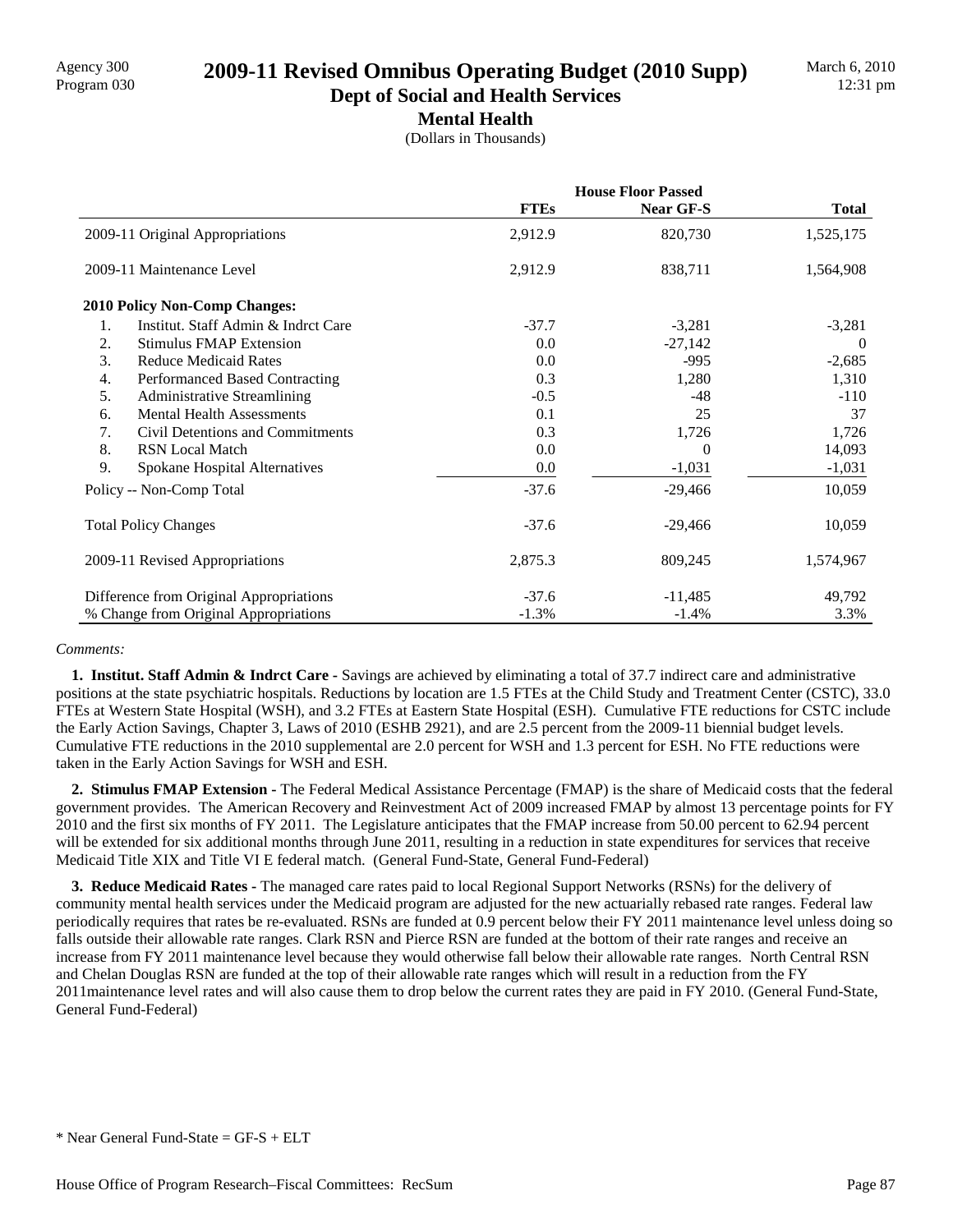# Agency 300 **2009-11 Revised Omnibus Operating Budget (2010 Supp)**<br>Program 030

#### **Dept of Social and Health Services Mental Health**

(Dollars in Thousands)

|                                           | <b>House Floor Passed</b> |           |              |
|-------------------------------------------|---------------------------|-----------|--------------|
|                                           | <b>FTEs</b>               | Near GF-S | <b>Total</b> |
| 2009-11 Original Appropriations           | 2,912.9                   | 820,730   | 1,525,175    |
| 2009-11 Maintenance Level                 | 2,912.9                   | 838,711   | 1,564,908    |
| <b>2010 Policy Non-Comp Changes:</b>      |                           |           |              |
| Institut. Staff Admin & Indret Care<br>1. | $-37.7$                   | $-3,281$  | $-3,281$     |
| 2.<br><b>Stimulus FMAP Extension</b>      | 0.0                       | $-27,142$ | -0           |
| 3.<br><b>Reduce Medicaid Rates</b>        | 0.0                       | $-995$    | $-2,685$     |
| Performanced Based Contracting<br>4.      | 0.3                       | 1,280     | 1,310        |
| 5.<br><b>Administrative Streamlining</b>  | $-0.5$                    | $-48$     | $-110$       |
| <b>Mental Health Assessments</b><br>6.    | 0.1                       | 25        | 37           |
| Civil Detentions and Commitments<br>7.    | 0.3                       | 1,726     | 1,726        |
| 8.<br><b>RSN Local Match</b>              | 0.0                       | $\Omega$  | 14,093       |
| 9.<br>Spokane Hospital Alternatives       | 0.0                       | $-1,031$  | $-1,031$     |
| Policy -- Non-Comp Total                  | $-37.6$                   | $-29,466$ | 10,059       |
| <b>Total Policy Changes</b>               | $-37.6$                   | $-29,466$ | 10,059       |
| 2009-11 Revised Appropriations            | 2,875.3                   | 809,245   | 1,574,967    |
| Difference from Original Appropriations   | $-37.6$                   | $-11,485$ | 49,792       |
| % Change from Original Appropriations     | $-1.3%$                   | $-1.4%$   | 3.3%         |

#### *Comments:*

 **1. Institut. Staff Admin & Indrct Care -** Savings are achieved by eliminating a total of 37.7 indirect care and administrative positions at the state psychiatric hospitals. Reductions by location are 1.5 FTEs at the Child Study and Treatment Center (CSTC), 33.0 FTEs at Western State Hospital (WSH), and 3.2 FTEs at Eastern State Hospital (ESH). Cumulative FTE reductions for CSTC include the Early Action Savings, Chapter 3, Laws of 2010 (ESHB 2921), and are 2.5 percent from the 2009-11 biennial budget levels. Cumulative FTE reductions in the 2010 supplemental are 2.0 percent for WSH and 1.3 percent for ESH. No FTE reductions were taken in the Early Action Savings for WSH and ESH.

 **2. Stimulus FMAP Extension -** The Federal Medical Assistance Percentage (FMAP) is the share of Medicaid costs that the federal government provides. The American Recovery and Reinvestment Act of 2009 increased FMAP by almost 13 percentage points for FY 2010 and the first six months of FY 2011. The Legislature anticipates that the FMAP increase from 50.00 percent to 62.94 percent will be extended for six additional months through June 2011, resulting in a reduction in state expenditures for services that receive Medicaid Title XIX and Title VI E federal match. (General Fund-State, General Fund-Federal)

 **3. Reduce Medicaid Rates -** The managed care rates paid to local Regional Support Networks (RSNs) for the delivery of community mental health services under the Medicaid program are adjusted for the new actuarially rebased rate ranges. Federal law periodically requires that rates be re-evaluated. RSNs are funded at 0.9 percent below their FY 2011 maintenance level unless doing so falls outside their allowable rate ranges. Clark RSN and Pierce RSN are funded at the bottom of their rate ranges and receive an increase from FY 2011 maintenance level because they would otherwise fall below their allowable rate ranges. North Central RSN and Chelan Douglas RSN are funded at the top of their allowable rate ranges which will result in a reduction from the FY 2011maintenance level rates and will also cause them to drop below the current rates they are paid in FY 2010. (General Fund-State, General Fund-Federal)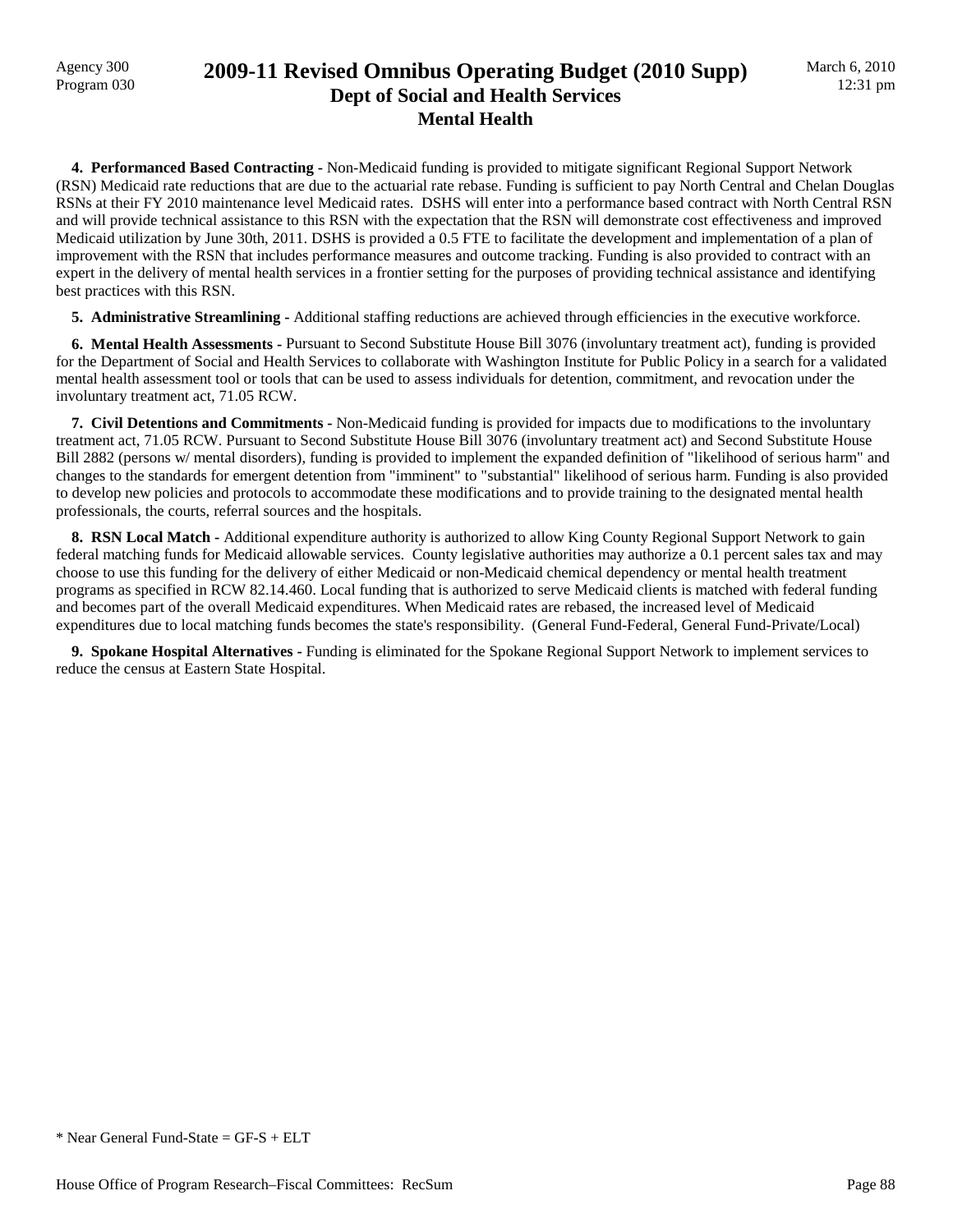## Agency 300 **2009-11 Revised Omnibus Operating Budget (2010 Supp)**<br>Program 030 **Dept of Social and Health Services Mental Health**

 **4. Performanced Based Contracting -** Non-Medicaid funding is provided to mitigate significant Regional Support Network (RSN) Medicaid rate reductions that are due to the actuarial rate rebase. Funding is sufficient to pay North Central and Chelan Douglas RSNs at their FY 2010 maintenance level Medicaid rates. DSHS will enter into a performance based contract with North Central RSN and will provide technical assistance to this RSN with the expectation that the RSN will demonstrate cost effectiveness and improved Medicaid utilization by June 30th, 2011. DSHS is provided a 0.5 FTE to facilitate the development and implementation of a plan of improvement with the RSN that includes performance measures and outcome tracking. Funding is also provided to contract with an expert in the delivery of mental health services in a frontier setting for the purposes of providing technical assistance and identifying best practices with this RSN.

 **5. Administrative Streamlining -** Additional staffing reductions are achieved through efficiencies in the executive workforce.

 **6. Mental Health Assessments -** Pursuant to Second Substitute House Bill 3076 (involuntary treatment act), funding is provided for the Department of Social and Health Services to collaborate with Washington Institute for Public Policy in a search for a validated mental health assessment tool or tools that can be used to assess individuals for detention, commitment, and revocation under the involuntary treatment act, 71.05 RCW.

 **7. Civil Detentions and Commitments -** Non-Medicaid funding is provided for impacts due to modifications to the involuntary treatment act, 71.05 RCW. Pursuant to Second Substitute House Bill 3076 (involuntary treatment act) and Second Substitute House Bill 2882 (persons w/ mental disorders), funding is provided to implement the expanded definition of "likelihood of serious harm" and changes to the standards for emergent detention from "imminent" to "substantial" likelihood of serious harm. Funding is also provided to develop new policies and protocols to accommodate these modifications and to provide training to the designated mental health professionals, the courts, referral sources and the hospitals.

**8. RSN Local Match -** Additional expenditure authority is authorized to allow King County Regional Support Network to gain federal matching funds for Medicaid allowable services. County legislative authorities may authorize a 0.1 percent sales tax and may choose to use this funding for the delivery of either Medicaid or non-Medicaid chemical dependency or mental health treatment programs as specified in RCW 82.14.460. Local funding that is authorized to serve Medicaid clients is matched with federal funding and becomes part of the overall Medicaid expenditures. When Medicaid rates are rebased, the increased level of Medicaid expenditures due to local matching funds becomes the state's responsibility. (General Fund-Federal, General Fund-Private/Local)

 **9. Spokane Hospital Alternatives -** Funding is eliminated for the Spokane Regional Support Network to implement services to reduce the census at Eastern State Hospital.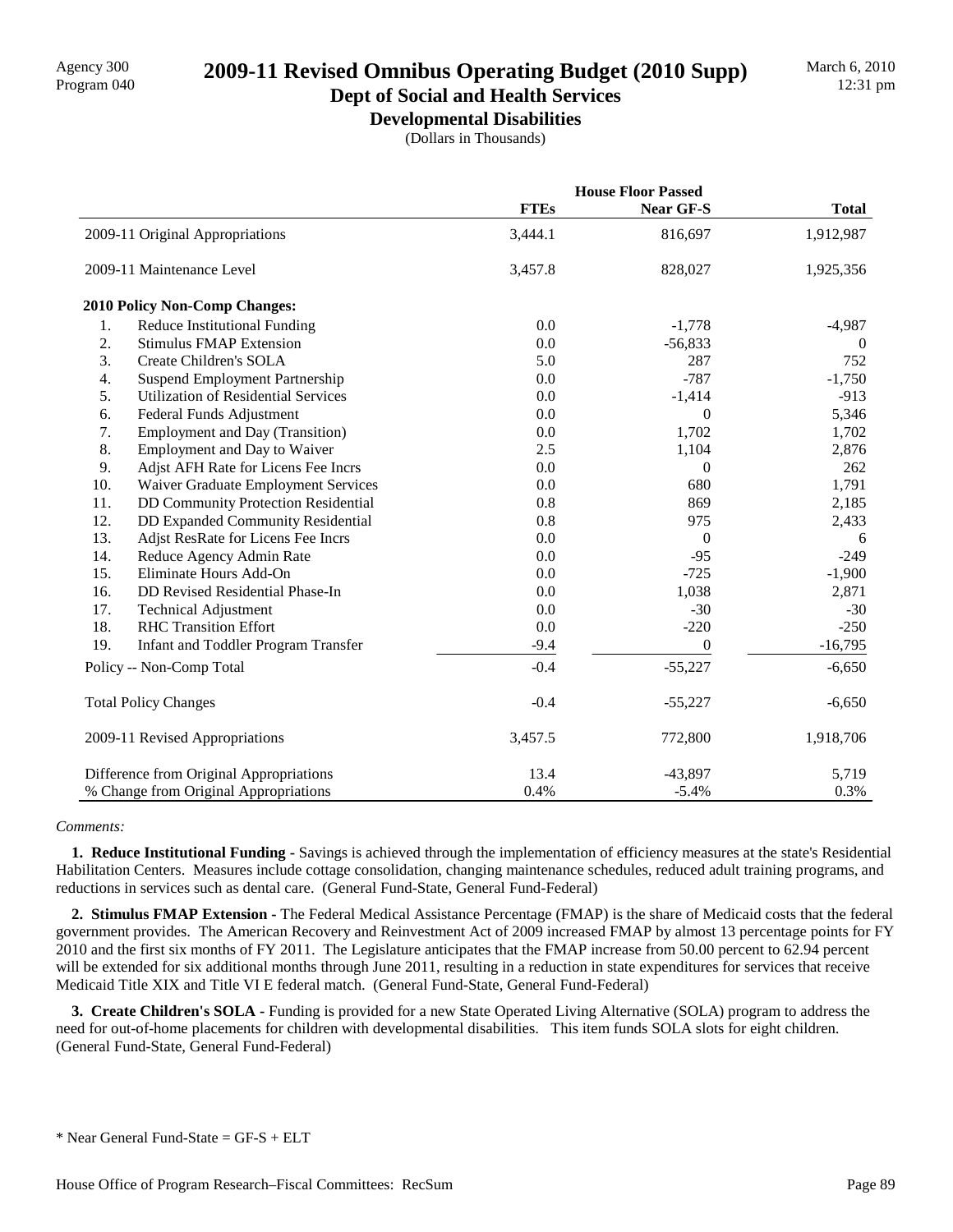## Agency 300 **2009-11 Revised Omnibus Operating Budget (2010 Supp)**<br>Program 040

#### **Dept of Social and Health Services Developmental Disabilities**

(Dollars in Thousands)

|     |                                            |             | <b>House Floor Passed</b> |              |  |
|-----|--------------------------------------------|-------------|---------------------------|--------------|--|
|     |                                            | <b>FTEs</b> | Near GF-S                 | <b>Total</b> |  |
|     | 2009-11 Original Appropriations            | 3,444.1     | 816,697                   | 1,912,987    |  |
|     | 2009-11 Maintenance Level                  | 3,457.8     | 828,027                   | 1,925,356    |  |
|     | 2010 Policy Non-Comp Changes:              |             |                           |              |  |
| 1.  | Reduce Institutional Funding               | 0.0         | $-1,778$                  | $-4,987$     |  |
| 2.  | <b>Stimulus FMAP Extension</b>             | 0.0         | $-56,833$                 | $\theta$     |  |
| 3.  | Create Children's SOLA                     | 5.0         | 287                       | 752          |  |
| 4.  | Suspend Employment Partnership             | 0.0         | $-787$                    | $-1,750$     |  |
| 5.  | <b>Utilization of Residential Services</b> | 0.0         | $-1,414$                  | $-913$       |  |
| 6.  | Federal Funds Adjustment                   | 0.0         | $\boldsymbol{0}$          | 5,346        |  |
| 7.  | <b>Employment and Day (Transition)</b>     | 0.0         | 1,702                     | 1,702        |  |
| 8.  | Employment and Day to Waiver               | 2.5         | 1,104                     | 2,876        |  |
| 9.  | Adjst AFH Rate for Licens Fee Incrs        | 0.0         | $\Omega$                  | 262          |  |
| 10. | Waiver Graduate Employment Services        | 0.0         | 680                       | 1,791        |  |
| 11. | <b>DD Community Protection Residential</b> | 0.8         | 869                       | 2,185        |  |
| 12. | DD Expanded Community Residential          | 0.8         | 975                       | 2,433        |  |
| 13. | Adjst ResRate for Licens Fee Incrs         | 0.0         | $\theta$                  | 6            |  |
| 14. | Reduce Agency Admin Rate                   | 0.0         | $-95$                     | $-249$       |  |
| 15. | Eliminate Hours Add-On                     | 0.0         | $-725$                    | $-1,900$     |  |
| 16. | DD Revised Residential Phase-In            | 0.0         | 1,038                     | 2,871        |  |
| 17. | <b>Technical Adjustment</b>                | 0.0         | $-30$                     | $-30$        |  |
| 18. | <b>RHC Transition Effort</b>               | 0.0         | $-220$                    | $-250$       |  |
| 19. | Infant and Toddler Program Transfer        | $-9.4$      | $\theta$                  | $-16,795$    |  |
|     | Policy -- Non-Comp Total                   | $-0.4$      | $-55,227$                 | $-6,650$     |  |
|     | <b>Total Policy Changes</b>                | $-0.4$      | $-55,227$                 | $-6,650$     |  |
|     | 2009-11 Revised Appropriations             | 3,457.5     | 772,800                   | 1,918,706    |  |
|     | Difference from Original Appropriations    | 13.4        | $-43,897$                 | 5,719        |  |
|     | % Change from Original Appropriations      | 0.4%        | $-5.4%$                   | 0.3%         |  |

#### *Comments:*

 **1. Reduce Institutional Funding -** Savings is achieved through the implementation of efficiency measures at the state's Residential Habilitation Centers. Measures include cottage consolidation, changing maintenance schedules, reduced adult training programs, and reductions in services such as dental care. (General Fund-State, General Fund-Federal)

 **2. Stimulus FMAP Extension -** The Federal Medical Assistance Percentage (FMAP) is the share of Medicaid costs that the federal government provides. The American Recovery and Reinvestment Act of 2009 increased FMAP by almost 13 percentage points for FY 2010 and the first six months of FY 2011. The Legislature anticipates that the FMAP increase from 50.00 percent to 62.94 percent will be extended for six additional months through June 2011, resulting in a reduction in state expenditures for services that receive Medicaid Title XIX and Title VI E federal match. (General Fund-State, General Fund-Federal)

 **3. Create Children's SOLA -** Funding is provided for a new State Operated Living Alternative (SOLA) program to address the need for out-of-home placements for children with developmental disabilities. This item funds SOLA slots for eight children. (General Fund-State, General Fund-Federal)

 $*$  Near General Fund-State = GF-S + ELT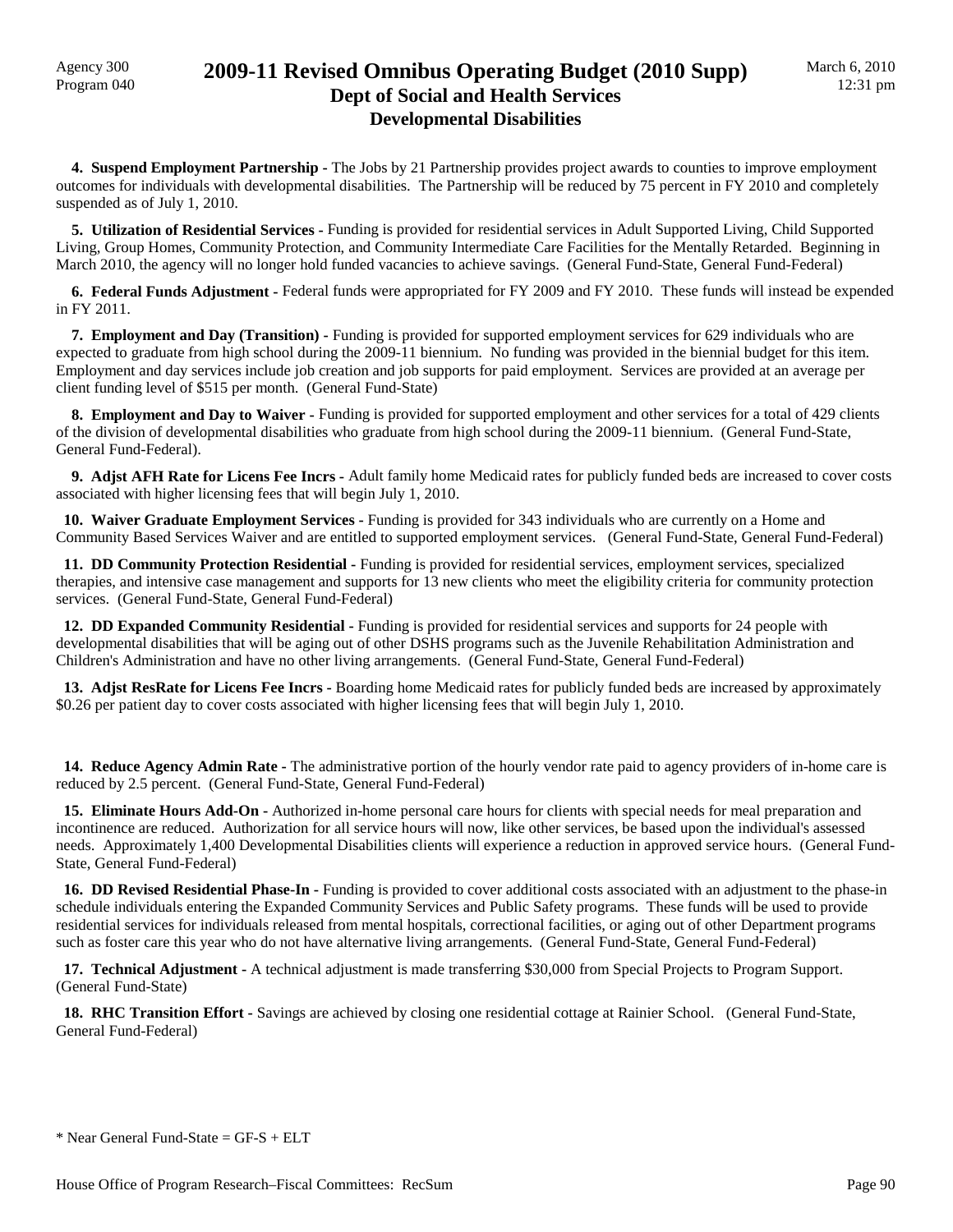### Agency 300 **2009-11 Revised Omnibus Operating Budget (2010 Supp)**<br>Program 040 **Dept of Social and Health Services Developmental Disabilities**

**4. Suspend Employment Partnership -** The Jobs by 21 Partnership provides project awards to counties to improve employment outcomes for individuals with developmental disabilities. The Partnership will be reduced by 75 percent in FY 2010 and completely suspended as of July 1, 2010.

 **5. Utilization of Residential Services -** Funding is provided for residential services in Adult Supported Living, Child Supported Living, Group Homes, Community Protection, and Community Intermediate Care Facilities for the Mentally Retarded. Beginning in March 2010, the agency will no longer hold funded vacancies to achieve savings. (General Fund-State, General Fund-Federal)

 **6. Federal Funds Adjustment -** Federal funds were appropriated for FY 2009 and FY 2010. These funds will instead be expended in FY 2011.

 **7. Employment and Day (Transition) -** Funding is provided for supported employment services for 629 individuals who are expected to graduate from high school during the 2009-11 biennium. No funding was provided in the biennial budget for this item. Employment and day services include job creation and job supports for paid employment. Services are provided at an average per client funding level of \$515 per month. (General Fund-State)

 **8. Employment and Day to Waiver -** Funding is provided for supported employment and other services for a total of 429 clients of the division of developmental disabilities who graduate from high school during the 2009-11 biennium. (General Fund-State, General Fund-Federal).

 **9. Adjst AFH Rate for Licens Fee Incrs -** Adult family home Medicaid rates for publicly funded beds are increased to cover costs associated with higher licensing fees that will begin July 1, 2010.

 **10. Waiver Graduate Employment Services -** Funding is provided for 343 individuals who are currently on a Home and Community Based Services Waiver and are entitled to supported employment services. (General Fund-State, General Fund-Federal)

 **11. DD Community Protection Residential -** Funding is provided for residential services, employment services, specialized therapies, and intensive case management and supports for 13 new clients who meet the eligibility criteria for community protection services. (General Fund-State, General Fund-Federal)

 **12. DD Expanded Community Residential -** Funding is provided for residential services and supports for 24 people with developmental disabilities that will be aging out of other DSHS programs such as the Juvenile Rehabilitation Administration and Children's Administration and have no other living arrangements. (General Fund-State, General Fund-Federal)

 **13. Adjst ResRate for Licens Fee Incrs -** Boarding home Medicaid rates for publicly funded beds are increased by approximately \$0.26 per patient day to cover costs associated with higher licensing fees that will begin July 1, 2010.

 **14. Reduce Agency Admin Rate -** The administrative portion of the hourly vendor rate paid to agency providers of in-home care is reduced by 2.5 percent. (General Fund-State, General Fund-Federal)

 **15. Eliminate Hours Add-On -** Authorized in-home personal care hours for clients with special needs for meal preparation and incontinence are reduced. Authorization for all service hours will now, like other services, be based upon the individual's assessed needs. Approximately 1,400 Developmental Disabilities clients will experience a reduction in approved service hours. (General Fund-State, General Fund-Federal)

 **16. DD Revised Residential Phase-In -** Funding is provided to cover additional costs associated with an adjustment to the phase-in schedule individuals entering the Expanded Community Services and Public Safety programs. These funds will be used to provide residential services for individuals released from mental hospitals, correctional facilities, or aging out of other Department programs such as foster care this year who do not have alternative living arrangements. (General Fund-State, General Fund-Federal)

 **17. Technical Adjustment -** A technical adjustment is made transferring \$30,000 from Special Projects to Program Support. (General Fund-State)

 **18. RHC Transition Effort -** Savings are achieved by closing one residential cottage at Rainier School. (General Fund-State, General Fund-Federal)

 $*$  Near General Fund-State = GF-S + ELT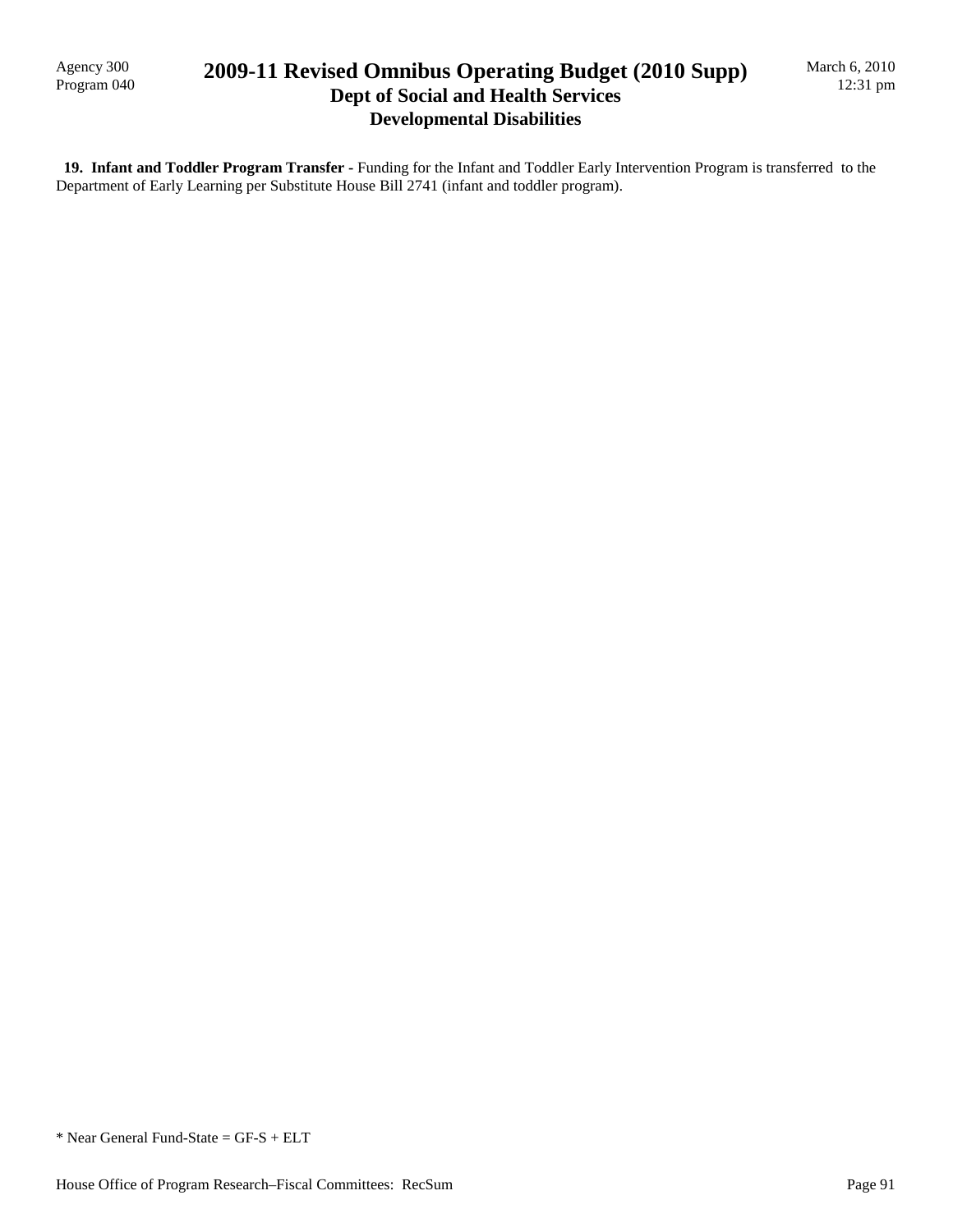Agency 300<br>Program 040

## 2009-11 Revised Omnibus Operating Budget (2010 Supp) **Dept of Social and Health Services Developmental Disabilities**

 **19. Infant and Toddler Program Transfer -** Funding for the Infant and Toddler Early Intervention Program is transferred to the Department of Early Learning per Substitute House Bill 2741 (infant and toddler program).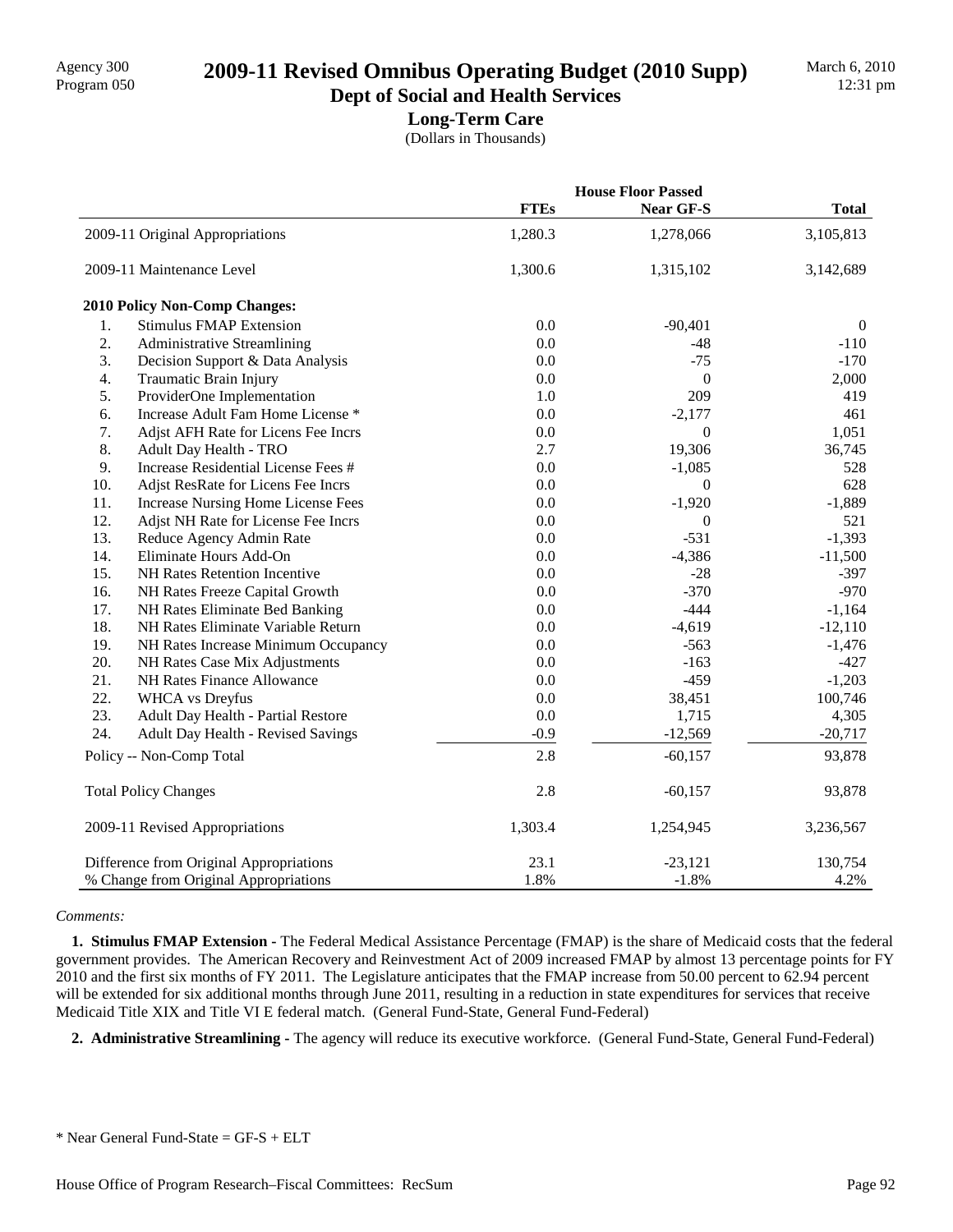# Program 050 **2009-11 Revised Omnibus Operating Budget (2010 Supp)**

### **Dept of Social and Health Services Long-Term Care**

(Dollars in Thousands)

|     |                                         |             | <b>House Floor Passed</b> |                |  |
|-----|-----------------------------------------|-------------|---------------------------|----------------|--|
|     |                                         | <b>FTEs</b> | Near GF-S                 | <b>Total</b>   |  |
|     | 2009-11 Original Appropriations         | 1,280.3     | 1,278,066                 | 3,105,813      |  |
|     | 2009-11 Maintenance Level               | 1,300.6     | 1,315,102                 | 3,142,689      |  |
|     | <b>2010 Policy Non-Comp Changes:</b>    |             |                           |                |  |
| 1.  | <b>Stimulus FMAP Extension</b>          | 0.0         | $-90,401$                 | $\overline{0}$ |  |
| 2.  | <b>Administrative Streamlining</b>      | 0.0         | $-48$                     | $-110$         |  |
| 3.  | Decision Support & Data Analysis        | 0.0         | $-75$                     | $-170$         |  |
| 4.  | Traumatic Brain Injury                  | 0.0         | $\mathbf{0}$              | 2,000          |  |
| 5.  | ProviderOne Implementation              | 1.0         | 209                       | 419            |  |
| 6.  | Increase Adult Fam Home License *       | 0.0         | $-2,177$                  | 461            |  |
| 7.  | Adjst AFH Rate for Licens Fee Incrs     | 0.0         | $\mathbf{0}$              | 1,051          |  |
| 8.  | Adult Day Health - TRO                  | 2.7         | 19,306                    | 36,745         |  |
| 9.  | Increase Residential License Fees #     | 0.0         | $-1,085$                  | 528            |  |
| 10. | Adjst ResRate for Licens Fee Incrs      | 0.0         | $\overline{0}$            | 628            |  |
| 11. | Increase Nursing Home License Fees      | 0.0         | $-1,920$                  | $-1,889$       |  |
| 12. | Adjst NH Rate for License Fee Incrs     | 0.0         | $\boldsymbol{0}$          | 521            |  |
| 13. | Reduce Agency Admin Rate                | 0.0         | $-531$                    | $-1,393$       |  |
| 14. | Eliminate Hours Add-On                  | 0.0         | $-4,386$                  | $-11,500$      |  |
| 15. | NH Rates Retention Incentive            | 0.0         | $-28$                     | $-397$         |  |
| 16. | NH Rates Freeze Capital Growth          | 0.0         | $-370$                    | $-970$         |  |
| 17. | NH Rates Eliminate Bed Banking          | 0.0         | $-444$                    | $-1,164$       |  |
| 18. | NH Rates Eliminate Variable Return      | 0.0         | $-4,619$                  | $-12,110$      |  |
| 19. | NH Rates Increase Minimum Occupancy     | 0.0         | $-563$                    | $-1,476$       |  |
| 20. | NH Rates Case Mix Adjustments           | 0.0         | $-163$                    | $-427$         |  |
| 21. | NH Rates Finance Allowance              | 0.0         | $-459$                    | $-1,203$       |  |
| 22. | <b>WHCA</b> vs Dreyfus                  | 0.0         | 38,451                    | 100,746        |  |
| 23. | Adult Day Health - Partial Restore      | 0.0         | 1,715                     | 4,305          |  |
| 24. | Adult Day Health - Revised Savings      | $-0.9$      | $-12,569$                 | $-20,717$      |  |
|     | Policy -- Non-Comp Total                | 2.8         | $-60,157$                 | 93,878         |  |
|     | <b>Total Policy Changes</b>             | 2.8         | $-60,157$                 | 93,878         |  |
|     | 2009-11 Revised Appropriations          | 1,303.4     | 1,254,945                 | 3,236,567      |  |
|     | Difference from Original Appropriations | 23.1        | $-23,121$                 | 130,754        |  |
|     | % Change from Original Appropriations   | 1.8%        | $-1.8%$                   | 4.2%           |  |

#### *Comments:*

 **1. Stimulus FMAP Extension -** The Federal Medical Assistance Percentage (FMAP) is the share of Medicaid costs that the federal government provides. The American Recovery and Reinvestment Act of 2009 increased FMAP by almost 13 percentage points for FY 2010 and the first six months of FY 2011. The Legislature anticipates that the FMAP increase from 50.00 percent to 62.94 percent will be extended for six additional months through June 2011, resulting in a reduction in state expenditures for services that receive Medicaid Title XIX and Title VI E federal match. (General Fund-State, General Fund-Federal)

 **2. Administrative Streamlining -** The agency will reduce its executive workforce. (General Fund-State, General Fund-Federal)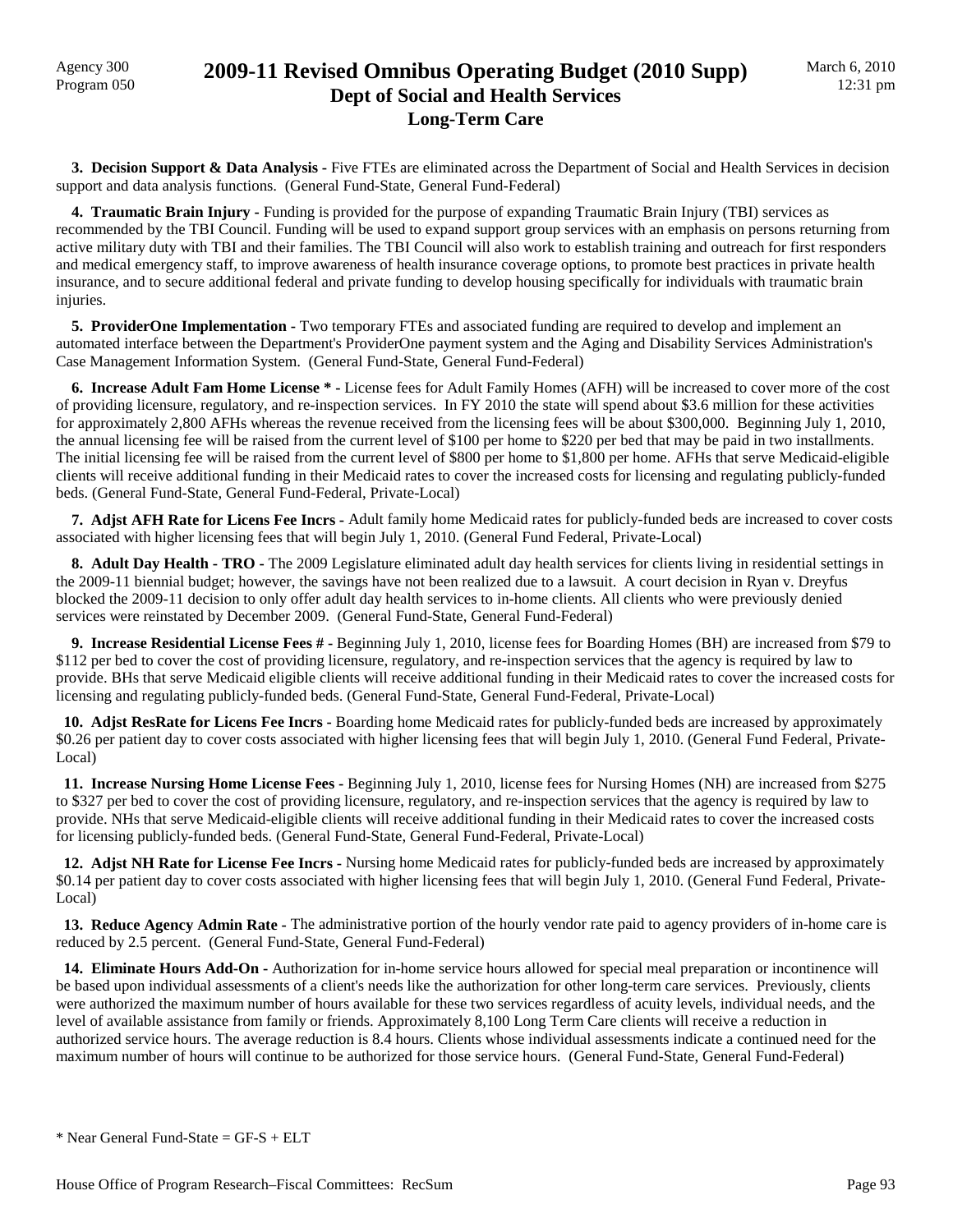Agency 300

## Agency 300<br>Program 050 **2009-11 Revised Omnibus Operating Budget (2010 Supp) Dept of Social and Health Services Long-Term Care**

**3. Decision Support & Data Analysis -** Five FTEs are eliminated across the Department of Social and Health Services in decision support and data analysis functions. (General Fund-State, General Fund-Federal)

 **4. Traumatic Brain Injury -** Funding is provided for the purpose of expanding Traumatic Brain Injury (TBI) services as recommended by the TBI Council. Funding will be used to expand support group services with an emphasis on persons returning from active military duty with TBI and their families. The TBI Council will also work to establish training and outreach for first responders and medical emergency staff, to improve awareness of health insurance coverage options, to promote best practices in private health insurance, and to secure additional federal and private funding to develop housing specifically for individuals with traumatic brain injuries.

 **5. ProviderOne Implementation -** Two temporary FTEs and associated funding are required to develop and implement an automated interface between the Department's ProviderOne payment system and the Aging and Disability Services Administration's Case Management Information System. (General Fund-State, General Fund-Federal)

 **6. Increase Adult Fam Home License \* -** License fees for Adult Family Homes (AFH) will be increased to cover more of the cost of providing licensure, regulatory, and re-inspection services. In FY 2010 the state will spend about \$3.6 million for these activities for approximately 2,800 AFHs whereas the revenue received from the licensing fees will be about \$300,000. Beginning July 1, 2010, the annual licensing fee will be raised from the current level of \$100 per home to \$220 per bed that may be paid in two installments. The initial licensing fee will be raised from the current level of \$800 per home to \$1,800 per home. AFHs that serve Medicaid-eligible clients will receive additional funding in their Medicaid rates to cover the increased costs for licensing and regulating publicly-funded beds. (General Fund-State, General Fund-Federal, Private-Local)

 **7. Adjst AFH Rate for Licens Fee Incrs -** Adult family home Medicaid rates for publicly-funded beds are increased to cover costs associated with higher licensing fees that will begin July 1, 2010. (General Fund Federal, Private-Local)

 **8. Adult Day Health - TRO -** The 2009 Legislature eliminated adult day health services for clients living in residential settings in the 2009-11 biennial budget; however, the savings have not been realized due to a lawsuit. A court decision in Ryan v. Dreyfus blocked the 2009-11 decision to only offer adult day health services to in-home clients. All clients who were previously denied services were reinstated by December 2009. (General Fund-State, General Fund-Federal)

 **9. Increase Residential License Fees # -** Beginning July 1, 2010, license fees for Boarding Homes (BH) are increased from \$79 to \$112 per bed to cover the cost of providing licensure, regulatory, and re-inspection services that the agency is required by law to provide. BHs that serve Medicaid eligible clients will receive additional funding in their Medicaid rates to cover the increased costs for licensing and regulating publicly-funded beds. (General Fund-State, General Fund-Federal, Private-Local)

 **10. Adjst ResRate for Licens Fee Incrs -** Boarding home Medicaid rates for publicly-funded beds are increased by approximately \$0.26 per patient day to cover costs associated with higher licensing fees that will begin July 1, 2010. (General Fund Federal, Private-Local)

 **11. Increase Nursing Home License Fees -** Beginning July 1, 2010, license fees for Nursing Homes (NH) are increased from \$275 to \$327 per bed to cover the cost of providing licensure, regulatory, and re-inspection services that the agency is required by law to provide. NHs that serve Medicaid-eligible clients will receive additional funding in their Medicaid rates to cover the increased costs for licensing publicly-funded beds. (General Fund-State, General Fund-Federal, Private-Local)

 **12. Adjst NH Rate for License Fee Incrs -** Nursing home Medicaid rates for publicly-funded beds are increased by approximately \$0.14 per patient day to cover costs associated with higher licensing fees that will begin July 1, 2010. (General Fund Federal, Private-Local)

13. Reduce Agency Admin Rate - The administrative portion of the hourly vendor rate paid to agency providers of in-home care is reduced by 2.5 percent. (General Fund-State, General Fund-Federal)

 **14. Eliminate Hours Add-On -** Authorization for in-home service hours allowed for special meal preparation or incontinence will be based upon individual assessments of a client's needs like the authorization for other long-term care services. Previously, clients were authorized the maximum number of hours available for these two services regardless of acuity levels, individual needs, and the level of available assistance from family or friends. Approximately 8,100 Long Term Care clients will receive a reduction in authorized service hours. The average reduction is 8.4 hours. Clients whose individual assessments indicate a continued need for the maximum number of hours will continue to be authorized for those service hours. (General Fund-State, General Fund-Federal)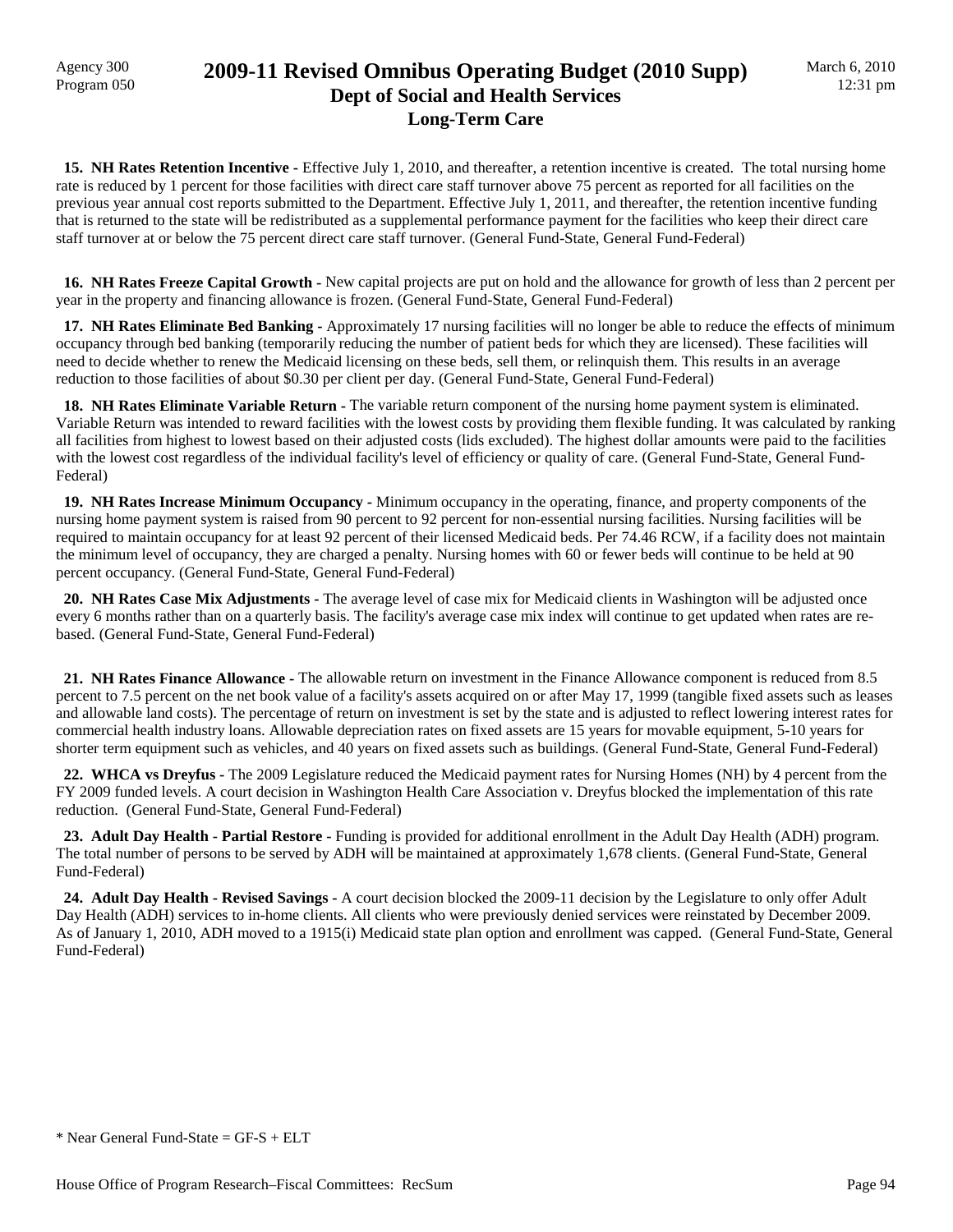## Agency 300 **2009-11 Revised Omnibus Operating Budget (2010 Supp)**<br>Program 050 **Dept of Social and Health Services Long-Term Care**

 **15. NH Rates Retention Incentive -** Effective July 1, 2010, and thereafter, a retention incentive is created. The total nursing home rate is reduced by 1 percent for those facilities with direct care staff turnover above 75 percent as reported for all facilities on the previous year annual cost reports submitted to the Department. Effective July 1, 2011, and thereafter, the retention incentive funding that is returned to the state will be redistributed as a supplemental performance payment for the facilities who keep their direct care staff turnover at or below the 75 percent direct care staff turnover. (General Fund-State, General Fund-Federal)

 **16. NH Rates Freeze Capital Growth -** New capital projects are put on hold and the allowance for growth of less than 2 percent per year in the property and financing allowance is frozen. (General Fund-State, General Fund-Federal)

 **17. NH Rates Eliminate Bed Banking -** Approximately 17 nursing facilities will no longer be able to reduce the effects of minimum occupancy through bed banking (temporarily reducing the number of patient beds for which they are licensed). These facilities will need to decide whether to renew the Medicaid licensing on these beds, sell them, or relinquish them. This results in an average reduction to those facilities of about \$0.30 per client per day. (General Fund-State, General Fund-Federal)

 **18. NH Rates Eliminate Variable Return -** The variable return component of the nursing home payment system is eliminated. Variable Return was intended to reward facilities with the lowest costs by providing them flexible funding. It was calculated by ranking all facilities from highest to lowest based on their adjusted costs (lids excluded). The highest dollar amounts were paid to the facilities with the lowest cost regardless of the individual facility's level of efficiency or quality of care. (General Fund-State, General Fund-Federal)

 **19. NH Rates Increase Minimum Occupancy -** Minimum occupancy in the operating, finance, and property components of the nursing home payment system is raised from 90 percent to 92 percent for non-essential nursing facilities. Nursing facilities will be required to maintain occupancy for at least 92 percent of their licensed Medicaid beds. Per 74.46 RCW, if a facility does not maintain the minimum level of occupancy, they are charged a penalty. Nursing homes with 60 or fewer beds will continue to be held at 90 percent occupancy. (General Fund-State, General Fund-Federal)

 **20. NH Rates Case Mix Adjustments -** The average level of case mix for Medicaid clients in Washington will be adjusted once every 6 months rather than on a quarterly basis. The facility's average case mix index will continue to get updated when rates are rebased. (General Fund-State, General Fund-Federal)

 **21. NH Rates Finance Allowance -** The allowable return on investment in the Finance Allowance component is reduced from 8.5 percent to 7.5 percent on the net book value of a facility's assets acquired on or after May 17, 1999 (tangible fixed assets such as leases and allowable land costs). The percentage of return on investment is set by the state and is adjusted to reflect lowering interest rates for commercial health industry loans. Allowable depreciation rates on fixed assets are 15 years for movable equipment, 5-10 years for shorter term equipment such as vehicles, and 40 years on fixed assets such as buildings. (General Fund-State, General Fund-Federal)

 **22. WHCA vs Dreyfus -** The 2009 Legislature reduced the Medicaid payment rates for Nursing Homes (NH) by 4 percent from the FY 2009 funded levels. A court decision in Washington Health Care Association v. Dreyfus blocked the implementation of this rate reduction. (General Fund-State, General Fund-Federal)

 **23. Adult Day Health - Partial Restore -** Funding is provided for additional enrollment in the Adult Day Health (ADH) program. The total number of persons to be served by ADH will be maintained at approximately 1,678 clients. (General Fund-State, General Fund-Federal)

 **24. Adult Day Health - Revised Savings -** A court decision blocked the 2009-11 decision by the Legislature to only offer Adult Day Health (ADH) services to in-home clients. All clients who were previously denied services were reinstated by December 2009. As of January 1, 2010, ADH moved to a 1915(i) Medicaid state plan option and enrollment was capped. (General Fund-State, General Fund-Federal)

 $*$  Near General Fund-State = GF-S + ELT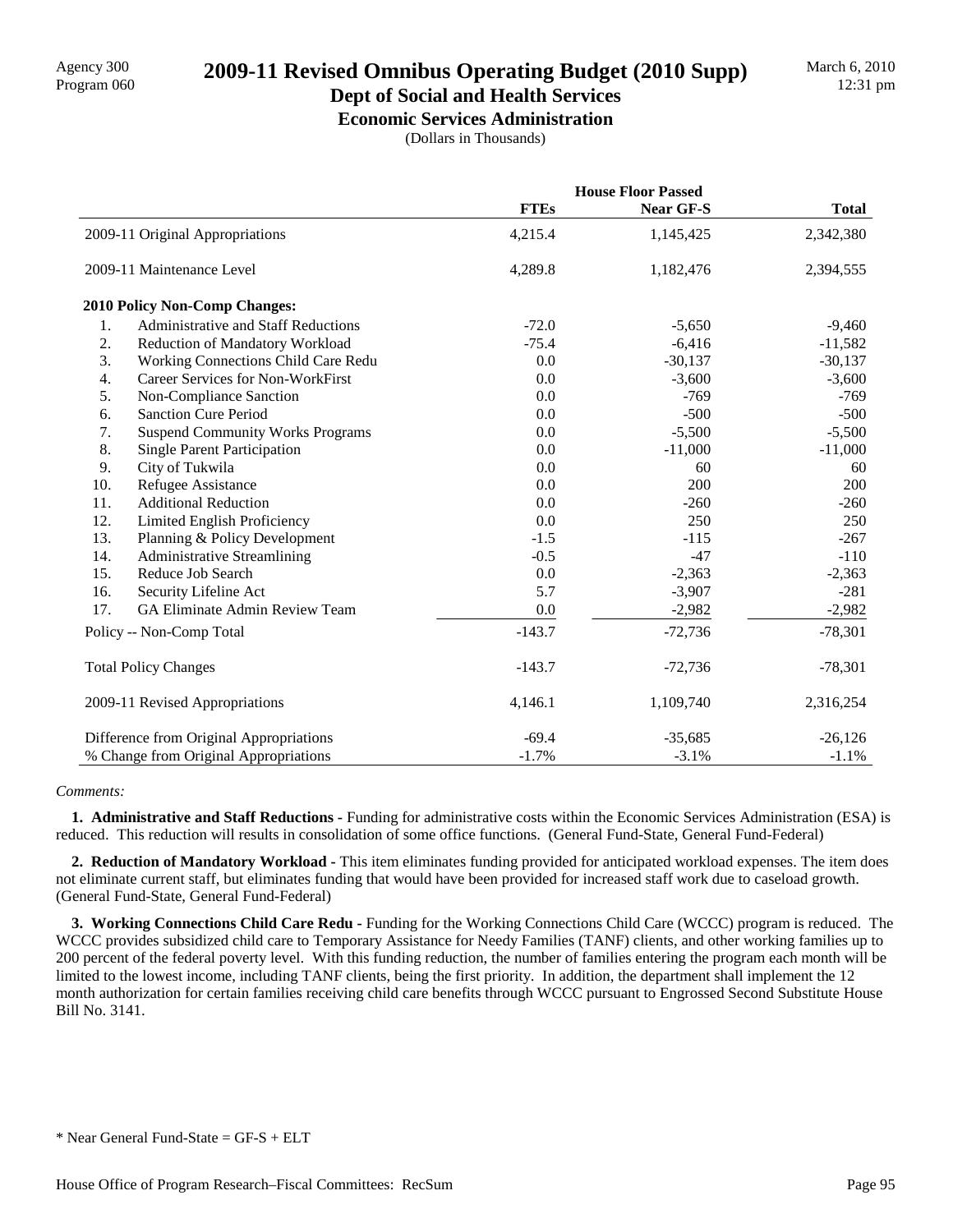# Agency 300 **2009-11 Revised Omnibus Operating Budget (2010 Supp)**<br>Program 060

#### **Dept of Social and Health Services Economic Services Administration**

(Dollars in Thousands)

|                  |                                          |             | <b>House Floor Passed</b> |              |  |
|------------------|------------------------------------------|-------------|---------------------------|--------------|--|
|                  |                                          | <b>FTEs</b> | <b>Near GF-S</b>          | <b>Total</b> |  |
|                  | 2009-11 Original Appropriations          | 4,215.4     | 1,145,425                 | 2,342,380    |  |
|                  | 2009-11 Maintenance Level                | 4,289.8     | 1,182,476                 | 2,394,555    |  |
|                  | <b>2010 Policy Non-Comp Changes:</b>     |             |                           |              |  |
| 1.               | Administrative and Staff Reductions      | $-72.0$     | $-5,650$                  | $-9,460$     |  |
| 2.               | Reduction of Mandatory Workload          | $-75.4$     | $-6,416$                  | $-11,582$    |  |
| 3.               | Working Connections Child Care Redu      | 0.0         | $-30,137$                 | $-30,137$    |  |
| $\overline{4}$ . | <b>Career Services for Non-WorkFirst</b> | 0.0         | $-3,600$                  | $-3,600$     |  |
| 5.               | Non-Compliance Sanction                  | 0.0         | $-769$                    | $-769$       |  |
| 6.               | <b>Sanction Cure Period</b>              | 0.0         | $-500$                    | $-500$       |  |
| 7.               | <b>Suspend Community Works Programs</b>  | 0.0         | $-5,500$                  | $-5,500$     |  |
| 8.               | <b>Single Parent Participation</b>       | 0.0         | $-11,000$                 | $-11,000$    |  |
| 9.               | City of Tukwila                          | 0.0         | 60                        | 60           |  |
| 10.              | Refugee Assistance                       | 0.0         | 200                       | 200          |  |
| 11.              | <b>Additional Reduction</b>              | 0.0         | $-260$                    | $-260$       |  |
| 12.              | Limited English Proficiency              | 0.0         | 250                       | 250          |  |
| 13.              | Planning & Policy Development            | $-1.5$      | $-115$                    | $-267$       |  |
| 14.              | <b>Administrative Streamlining</b>       | $-0.5$      | $-47$                     | $-110$       |  |
| 15.              | Reduce Job Search                        | 0.0         | $-2,363$                  | $-2,363$     |  |
| 16.              | Security Lifeline Act                    | 5.7         | $-3,907$                  | $-281$       |  |
| 17.              | GA Eliminate Admin Review Team           | 0.0         | $-2,982$                  | $-2,982$     |  |
|                  | Policy -- Non-Comp Total                 | $-143.7$    | $-72,736$                 | $-78,301$    |  |
|                  | <b>Total Policy Changes</b>              | $-143.7$    | $-72,736$                 | $-78,301$    |  |
|                  | 2009-11 Revised Appropriations           | 4,146.1     | 1,109,740                 | 2,316,254    |  |
|                  | Difference from Original Appropriations  | $-69.4$     | $-35,685$                 | $-26,126$    |  |
|                  | % Change from Original Appropriations    | $-1.7%$     | $-3.1%$                   | $-1.1%$      |  |

#### *Comments:*

 **1. Administrative and Staff Reductions -** Funding for administrative costs within the Economic Services Administration (ESA) is reduced. This reduction will results in consolidation of some office functions. (General Fund-State, General Fund-Federal)

 **2. Reduction of Mandatory Workload -** This item eliminates funding provided for anticipated workload expenses. The item does not eliminate current staff, but eliminates funding that would have been provided for increased staff work due to caseload growth. (General Fund-State, General Fund-Federal)

 **3. Working Connections Child Care Redu -** Funding for the Working Connections Child Care (WCCC) program is reduced. The WCCC provides subsidized child care to Temporary Assistance for Needy Families (TANF) clients, and other working families up to 200 percent of the federal poverty level. With this funding reduction, the number of families entering the program each month will be limited to the lowest income, including TANF clients, being the first priority. In addition, the department shall implement the 12 month authorization for certain families receiving child care benefits through WCCC pursuant to Engrossed Second Substitute House Bill No. 3141.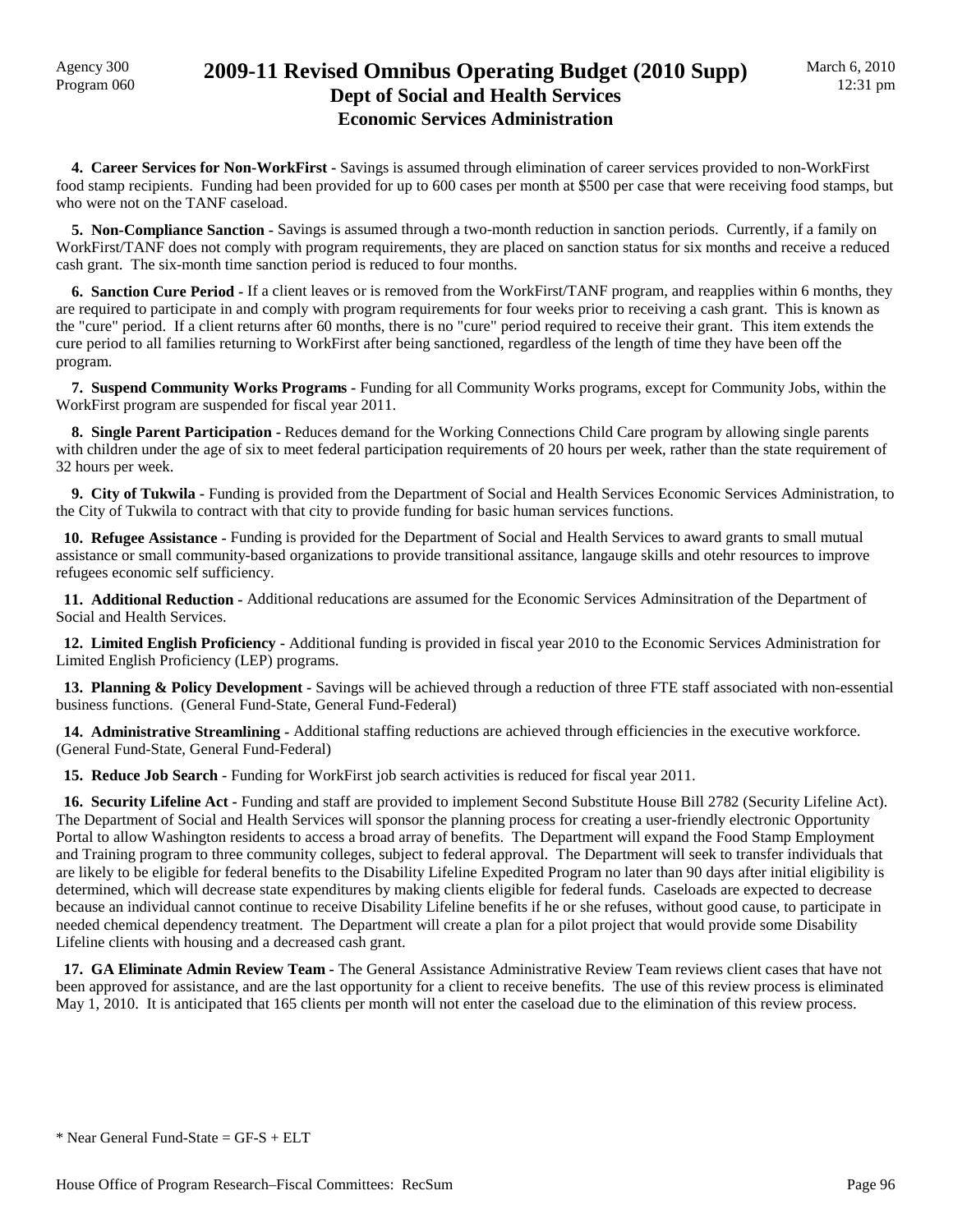### Agency 300<br>Program 060 **2009-11 Revised Omnibus Operating Budget (2010 Supp) Dept of Social and Health Services Economic Services Administration**

 **4. Career Services for Non-WorkFirst -** Savings is assumed through elimination of career services provided to non-WorkFirst food stamp recipients. Funding had been provided for up to 600 cases per month at \$500 per case that were receiving food stamps, but who were not on the TANF caseload.

 **5. Non-Compliance Sanction -** Savings is assumed through a two-month reduction in sanction periods. Currently, if a family on WorkFirst/TANF does not comply with program requirements, they are placed on sanction status for six months and receive a reduced cash grant. The six-month time sanction period is reduced to four months.

 **6. Sanction Cure Period -** If a client leaves or is removed from the WorkFirst/TANF program, and reapplies within 6 months, they are required to participate in and comply with program requirements for four weeks prior to receiving a cash grant. This is known as the "cure" period. If a client returns after 60 months, there is no "cure" period required to receive their grant. This item extends the cure period to all families returning to WorkFirst after being sanctioned, regardless of the length of time they have been off the program.

 **7. Suspend Community Works Programs -** Funding for all Community Works programs, except for Community Jobs, within the WorkFirst program are suspended for fiscal year 2011.

 **8. Single Parent Participation -** Reduces demand for the Working Connections Child Care program by allowing single parents with children under the age of six to meet federal participation requirements of 20 hours per week, rather than the state requirement of 32 hours per week.

 **9. City of Tukwila -** Funding is provided from the Department of Social and Health Services Economic Services Administration, to the City of Tukwila to contract with that city to provide funding for basic human services functions.

 **10. Refugee Assistance -** Funding is provided for the Department of Social and Health Services to award grants to small mutual assistance or small community-based organizations to provide transitional assitance, langauge skills and otehr resources to improve refugees economic self sufficiency.

 **11. Additional Reduction -** Additional reducations are assumed for the Economic Services Adminsitration of the Department of Social and Health Services.

 **12. Limited English Proficiency -** Additional funding is provided in fiscal year 2010 to the Economic Services Administration for Limited English Proficiency (LEP) programs.

 **13. Planning & Policy Development -** Savings will be achieved through a reduction of three FTE staff associated with non-essential business functions. (General Fund-State, General Fund-Federal)

 **14. Administrative Streamlining -** Additional staffing reductions are achieved through efficiencies in the executive workforce. (General Fund-State, General Fund-Federal)

 **15. Reduce Job Search -** Funding for WorkFirst job search activities is reduced for fiscal year 2011.

 **16. Security Lifeline Act -** Funding and staff are provided to implement Second Substitute House Bill 2782 (Security Lifeline Act). The Department of Social and Health Services will sponsor the planning process for creating a user-friendly electronic Opportunity Portal to allow Washington residents to access a broad array of benefits. The Department will expand the Food Stamp Employment and Training program to three community colleges, subject to federal approval. The Department will seek to transfer individuals that are likely to be eligible for federal benefits to the Disability Lifeline Expedited Program no later than 90 days after initial eligibility is determined, which will decrease state expenditures by making clients eligible for federal funds. Caseloads are expected to decrease because an individual cannot continue to receive Disability Lifeline benefits if he or she refuses, without good cause, to participate in needed chemical dependency treatment. The Department will create a plan for a pilot project that would provide some Disability Lifeline clients with housing and a decreased cash grant.

 **17. GA Eliminate Admin Review Team -** The General Assistance Administrative Review Team reviews client cases that have not been approved for assistance, and are the last opportunity for a client to receive benefits. The use of this review process is eliminated May 1, 2010. It is anticipated that 165 clients per month will not enter the caseload due to the elimination of this review process.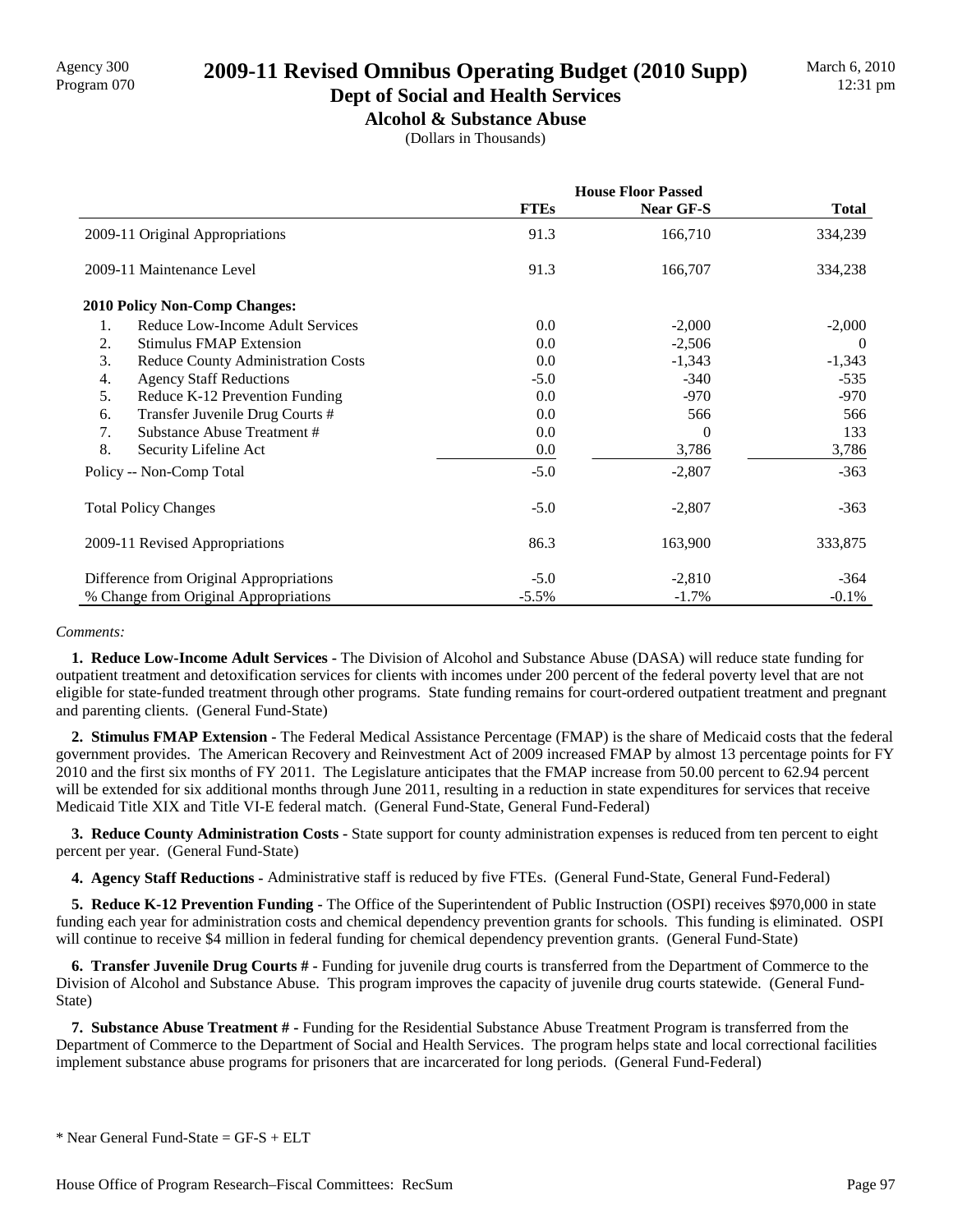# Agency 300 **2009-11 Revised Omnibus Operating Budget (2010 Supp)**<br>Program 070

## **Dept of Social and Health Services**

**Alcohol & Substance Abuse** (Dollars in Thousands)

|                                                 | <b>House Floor Passed</b> |           |              |
|-------------------------------------------------|---------------------------|-----------|--------------|
|                                                 | <b>FTEs</b>               | Near GF-S | <b>Total</b> |
| 2009-11 Original Appropriations                 | 91.3                      | 166,710   | 334,239      |
| 2009-11 Maintenance Level                       | 91.3                      | 166,707   | 334,238      |
| <b>2010 Policy Non-Comp Changes:</b>            |                           |           |              |
| 1.<br>Reduce Low-Income Adult Services          | 0.0                       | $-2,000$  | $-2,000$     |
| 2.<br><b>Stimulus FMAP Extension</b>            | 0.0                       | $-2,506$  | $\theta$     |
| 3.<br><b>Reduce County Administration Costs</b> | 0.0                       | $-1,343$  | $-1,343$     |
| <b>Agency Staff Reductions</b><br>4.            | $-5.0$                    | $-340$    | $-535$       |
| 5.<br>Reduce K-12 Prevention Funding            | 0.0                       | $-970$    | -970         |
| Transfer Juvenile Drug Courts #<br>6.           | 0.0                       | 566       | 566          |
| Substance Abuse Treatment #<br>7.               | 0.0                       | $\Omega$  | 133          |
| 8.<br>Security Lifeline Act                     | 0.0                       | 3,786     | 3,786        |
| Policy -- Non-Comp Total                        | $-5.0$                    | $-2,807$  | $-363$       |
| <b>Total Policy Changes</b>                     | $-5.0$                    | $-2,807$  | $-363$       |
| 2009-11 Revised Appropriations                  | 86.3                      | 163,900   | 333,875      |
| Difference from Original Appropriations         | $-5.0$                    | $-2,810$  | $-364$       |
| % Change from Original Appropriations           | $-5.5%$                   | $-1.7\%$  | $-0.1\%$     |

#### *Comments:*

 **1. Reduce Low-Income Adult Services -** The Division of Alcohol and Substance Abuse (DASA) will reduce state funding for outpatient treatment and detoxification services for clients with incomes under 200 percent of the federal poverty level that are not eligible for state-funded treatment through other programs. State funding remains for court-ordered outpatient treatment and pregnant and parenting clients. (General Fund-State)

 **2. Stimulus FMAP Extension -** The Federal Medical Assistance Percentage (FMAP) is the share of Medicaid costs that the federal government provides. The American Recovery and Reinvestment Act of 2009 increased FMAP by almost 13 percentage points for FY 2010 and the first six months of FY 2011. The Legislature anticipates that the FMAP increase from 50.00 percent to 62.94 percent will be extended for six additional months through June 2011, resulting in a reduction in state expenditures for services that receive Medicaid Title XIX and Title VI-E federal match. (General Fund-State, General Fund-Federal)

 **3. Reduce County Administration Costs -** State support for county administration expenses is reduced from ten percent to eight percent per year. (General Fund-State)

 **4. Agency Staff Reductions -** Administrative staff is reduced by five FTEs. (General Fund-State, General Fund-Federal)

 **5. Reduce K-12 Prevention Funding -** The Office of the Superintendent of Public Instruction (OSPI) receives \$970,000 in state funding each year for administration costs and chemical dependency prevention grants for schools. This funding is eliminated. OSPI will continue to receive \$4 million in federal funding for chemical dependency prevention grants. (General Fund-State)

 **6. Transfer Juvenile Drug Courts # -** Funding for juvenile drug courts is transferred from the Department of Commerce to the Division of Alcohol and Substance Abuse. This program improves the capacity of juvenile drug courts statewide. (General Fund-State)

 **7. Substance Abuse Treatment # -** Funding for the Residential Substance Abuse Treatment Program is transferred from the Department of Commerce to the Department of Social and Health Services. The program helps state and local correctional facilities implement substance abuse programs for prisoners that are incarcerated for long periods. (General Fund-Federal)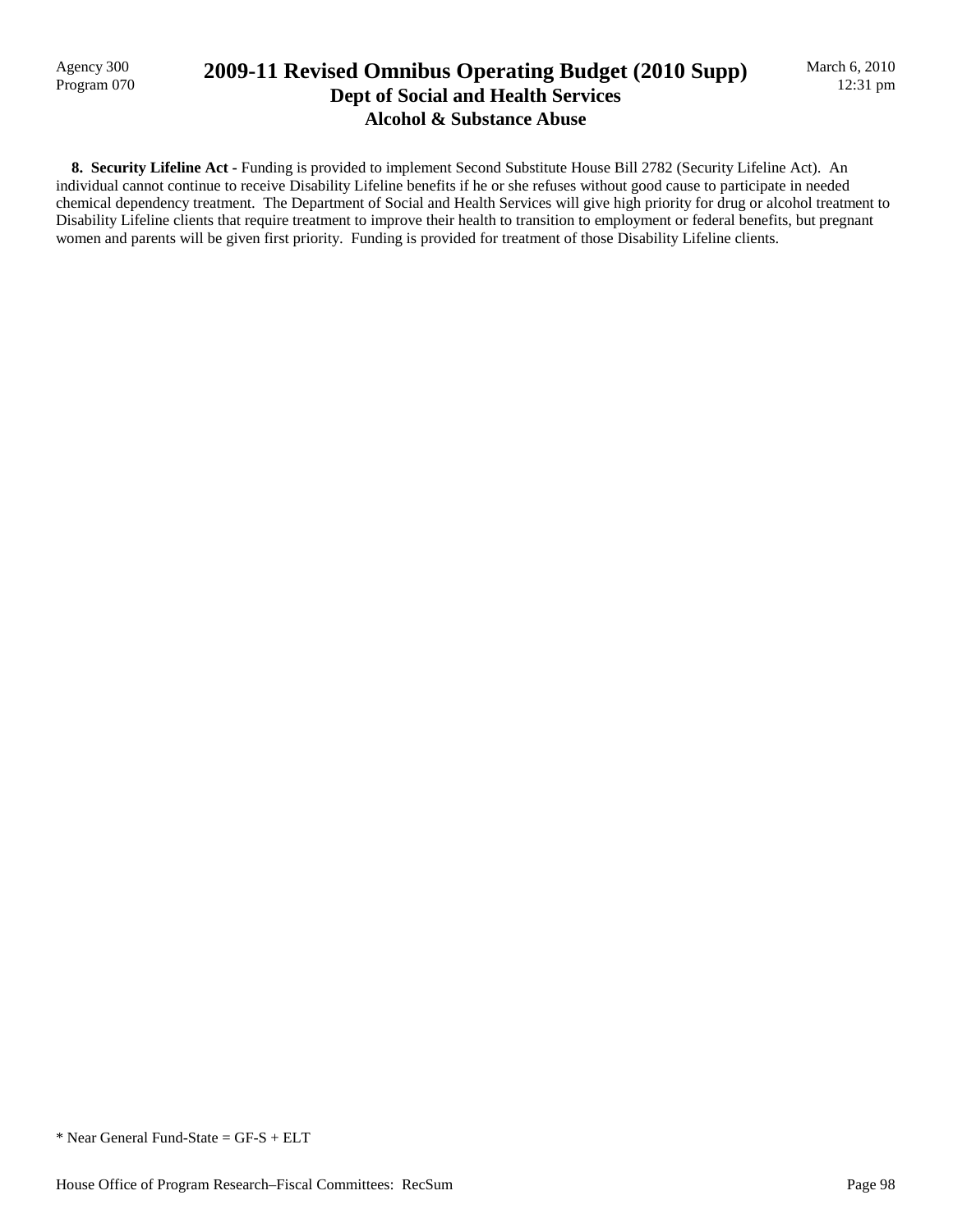Agency 300<br>Program 070

## 2009-11 Revised Omnibus Operating Budget (2010 Supp) **Dept of Social and Health Services Alcohol & Substance Abuse**

 **8. Security Lifeline Act -** Funding is provided to implement Second Substitute House Bill 2782 (Security Lifeline Act). An individual cannot continue to receive Disability Lifeline benefits if he or she refuses without good cause to participate in needed chemical dependency treatment. The Department of Social and Health Services will give high priority for drug or alcohol treatment to Disability Lifeline clients that require treatment to improve their health to transition to employment or federal benefits, but pregnant women and parents will be given first priority. Funding is provided for treatment of those Disability Lifeline clients.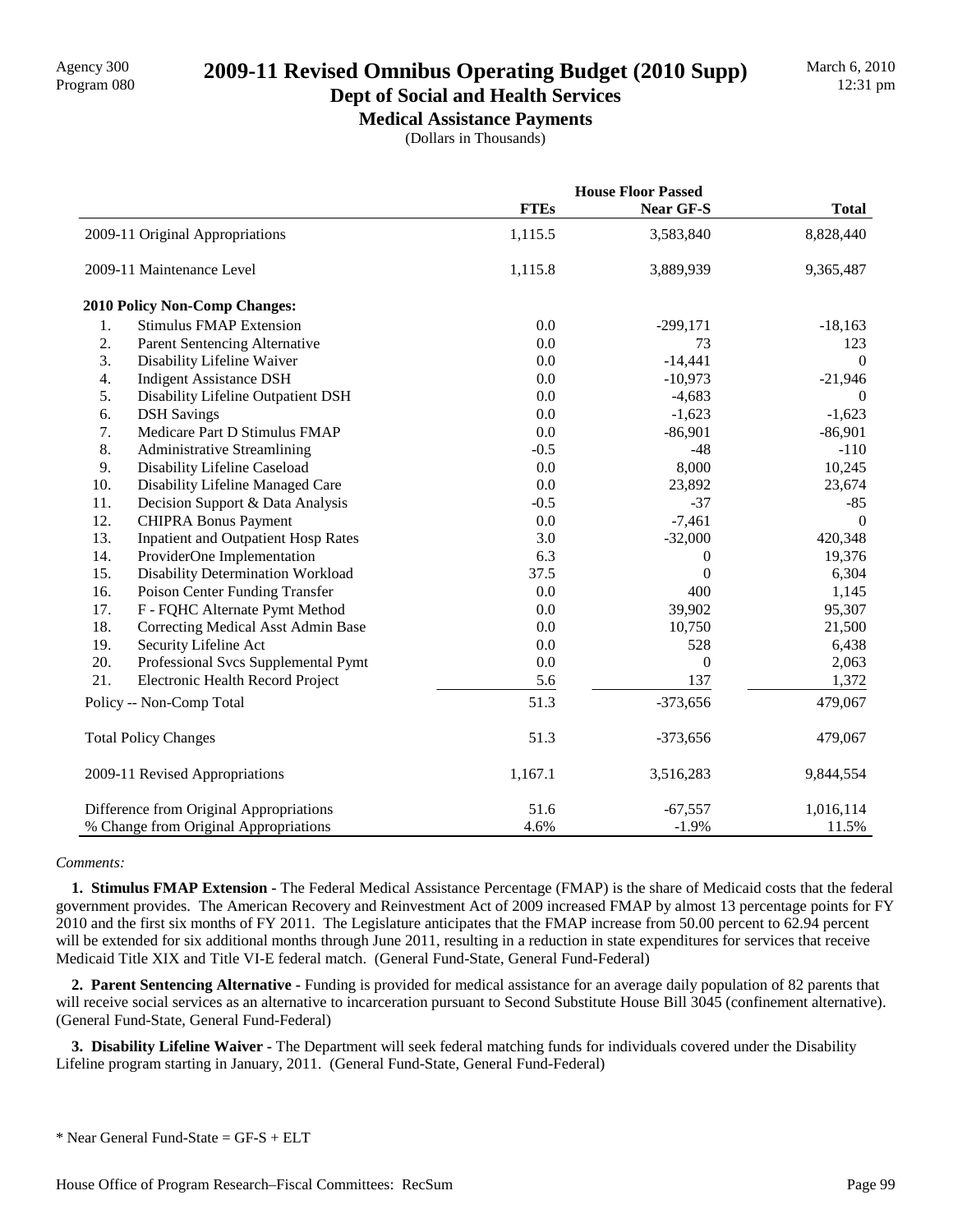# Agency 300<br>Program 080 **2009-11 Revised Omnibus Operating Budget (2010 Supp)**

### **Dept of Social and Health Services Medical Assistance Payments**

(Dollars in Thousands)

|                                         |                                            | <b>House Floor Passed</b> |                  |                |
|-----------------------------------------|--------------------------------------------|---------------------------|------------------|----------------|
|                                         |                                            | <b>FTEs</b>               | Near GF-S        | <b>Total</b>   |
|                                         | 2009-11 Original Appropriations            | 1,115.5                   | 3,583,840        | 8,828,440      |
|                                         | 2009-11 Maintenance Level                  | 1,115.8                   | 3,889,939        | 9,365,487      |
|                                         | 2010 Policy Non-Comp Changes:              |                           |                  |                |
| 1.                                      | <b>Stimulus FMAP Extension</b>             | 0.0                       | $-299,171$       | $-18,163$      |
| 2.                                      | <b>Parent Sentencing Alternative</b>       | 0.0                       | 73               | 123            |
| 3.                                      | Disability Lifeline Waiver                 | 0.0                       | $-14,441$        | $\overline{0}$ |
| 4.                                      | <b>Indigent Assistance DSH</b>             | 0.0                       | $-10,973$        | $-21,946$      |
| 5.                                      | Disability Lifeline Outpatient DSH         | 0.0                       | $-4,683$         | $\overline{0}$ |
| 6.                                      | <b>DSH</b> Savings                         | 0.0                       | $-1,623$         | $-1,623$       |
| 7.                                      | Medicare Part D Stimulus FMAP              | 0.0                       | $-86,901$        | $-86,901$      |
| 8.                                      | <b>Administrative Streamlining</b>         | $-0.5$                    | $-48$            | $-110$         |
| 9.                                      | Disability Lifeline Caseload               | 0.0                       | 8,000            | 10,245         |
| 10.                                     | Disability Lifeline Managed Care           | 0.0                       | 23,892           | 23,674         |
| 11.                                     | Decision Support & Data Analysis           | $-0.5$                    | $-37$            | $-85$          |
| 12.                                     | <b>CHIPRA Bonus Payment</b>                | 0.0                       | $-7,461$         | $\Omega$       |
| 13.                                     | <b>Inpatient and Outpatient Hosp Rates</b> | 3.0                       | $-32,000$        | 420,348        |
| 14.                                     | ProviderOne Implementation                 | 6.3                       | 0                | 19,376         |
| 15.                                     | Disability Determination Workload          | 37.5                      | $\mathbf{0}$     | 6,304          |
| 16.                                     | Poison Center Funding Transfer             | 0.0                       | 400              | 1,145          |
| 17.                                     | F - FQHC Alternate Pymt Method             | 0.0                       | 39,902           | 95,307         |
| 18.                                     | Correcting Medical Asst Admin Base         | 0.0                       | 10,750           | 21,500         |
| 19.                                     | Security Lifeline Act                      | 0.0                       | 528              | 6,438          |
| 20.                                     | Professional Svcs Supplemental Pymt        | $0.0\,$                   | $\boldsymbol{0}$ | 2,063          |
| 21.                                     | Electronic Health Record Project           | 5.6                       | 137              | 1,372          |
| Policy -- Non-Comp Total                |                                            | 51.3                      | $-373,656$       | 479,067        |
| <b>Total Policy Changes</b>             |                                            | 51.3                      | $-373,656$       | 479,067        |
| 2009-11 Revised Appropriations          |                                            | 1,167.1                   | 3,516,283        | 9,844,554      |
| Difference from Original Appropriations |                                            | 51.6                      | $-67,557$        | 1,016,114      |
| % Change from Original Appropriations   |                                            | 4.6%                      | $-1.9%$          | 11.5%          |

#### *Comments:*

 **1. Stimulus FMAP Extension -** The Federal Medical Assistance Percentage (FMAP) is the share of Medicaid costs that the federal government provides. The American Recovery and Reinvestment Act of 2009 increased FMAP by almost 13 percentage points for FY 2010 and the first six months of FY 2011. The Legislature anticipates that the FMAP increase from 50.00 percent to 62.94 percent will be extended for six additional months through June 2011, resulting in a reduction in state expenditures for services that receive Medicaid Title XIX and Title VI-E federal match. (General Fund-State, General Fund-Federal)

 **2. Parent Sentencing Alternative -** Funding is provided for medical assistance for an average daily population of 82 parents that will receive social services as an alternative to incarceration pursuant to Second Substitute House Bill 3045 (confinement alternative). (General Fund-State, General Fund-Federal)

 **3. Disability Lifeline Waiver -** The Department will seek federal matching funds for individuals covered under the Disability Lifeline program starting in January, 2011. (General Fund-State, General Fund-Federal)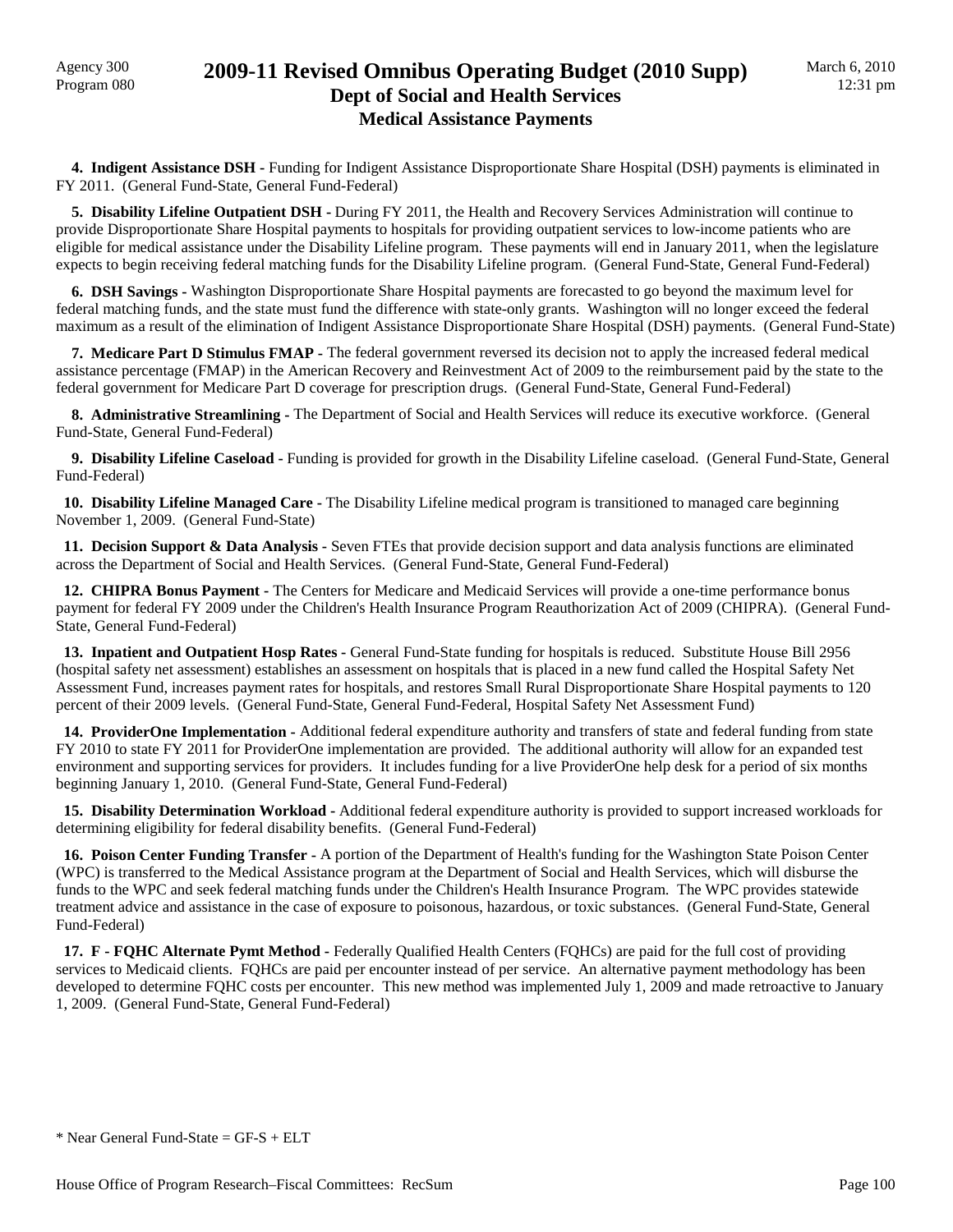## Agency 300<br>Program 080 **2009-11 Revised Omnibus Operating Budget (2010 Supp) Dept of Social and Health Services Medical Assistance Payments**

 **4. Indigent Assistance DSH -** Funding for Indigent Assistance Disproportionate Share Hospital (DSH) payments is eliminated in FY 2011. (General Fund-State, General Fund-Federal)

 **5. Disability Lifeline Outpatient DSH -** During FY 2011, the Health and Recovery Services Administration will continue to provide Disproportionate Share Hospital payments to hospitals for providing outpatient services to low-income patients who are eligible for medical assistance under the Disability Lifeline program. These payments will end in January 2011, when the legislature expects to begin receiving federal matching funds for the Disability Lifeline program. (General Fund-State, General Fund-Federal)

 **6. DSH Savings -** Washington Disproportionate Share Hospital payments are forecasted to go beyond the maximum level for federal matching funds, and the state must fund the difference with state-only grants. Washington will no longer exceed the federal maximum as a result of the elimination of Indigent Assistance Disproportionate Share Hospital (DSH) payments. (General Fund-State)

 **7. Medicare Part D Stimulus FMAP -** The federal government reversed its decision not to apply the increased federal medical assistance percentage (FMAP) in the American Recovery and Reinvestment Act of 2009 to the reimbursement paid by the state to the federal government for Medicare Part D coverage for prescription drugs. (General Fund-State, General Fund-Federal)

 **8. Administrative Streamlining -** The Department of Social and Health Services will reduce its executive workforce. (General Fund-State, General Fund-Federal)

 **9. Disability Lifeline Caseload -** Funding is provided for growth in the Disability Lifeline caseload. (General Fund-State, General Fund-Federal)

 **10. Disability Lifeline Managed Care -** The Disability Lifeline medical program is transitioned to managed care beginning November 1, 2009. (General Fund-State)

 **11. Decision Support & Data Analysis -** Seven FTEs that provide decision support and data analysis functions are eliminated across the Department of Social and Health Services. (General Fund-State, General Fund-Federal)

 **12. CHIPRA Bonus Payment -** The Centers for Medicare and Medicaid Services will provide a one-time performance bonus payment for federal FY 2009 under the Children's Health Insurance Program Reauthorization Act of 2009 (CHIPRA). (General Fund-State, General Fund-Federal)

 **13. Inpatient and Outpatient Hosp Rates -** General Fund-State funding for hospitals is reduced. Substitute House Bill 2956 (hospital safety net assessment) establishes an assessment on hospitals that is placed in a new fund called the Hospital Safety Net Assessment Fund, increases payment rates for hospitals, and restores Small Rural Disproportionate Share Hospital payments to 120 percent of their 2009 levels. (General Fund-State, General Fund-Federal, Hospital Safety Net Assessment Fund)

 **14. ProviderOne Implementation -** Additional federal expenditure authority and transfers of state and federal funding from state FY 2010 to state FY 2011 for ProviderOne implementation are provided. The additional authority will allow for an expanded test environment and supporting services for providers. It includes funding for a live ProviderOne help desk for a period of six months beginning January 1, 2010. (General Fund-State, General Fund-Federal)

 **15. Disability Determination Workload -** Additional federal expenditure authority is provided to support increased workloads for determining eligibility for federal disability benefits. (General Fund-Federal)

 **16. Poison Center Funding Transfer -** A portion of the Department of Health's funding for the Washington State Poison Center (WPC) is transferred to the Medical Assistance program at the Department of Social and Health Services, which will disburse the funds to the WPC and seek federal matching funds under the Children's Health Insurance Program. The WPC provides statewide treatment advice and assistance in the case of exposure to poisonous, hazardous, or toxic substances. (General Fund-State, General Fund-Federal)

 **17. F - FQHC Alternate Pymt Method -** Federally Qualified Health Centers (FQHCs) are paid for the full cost of providing services to Medicaid clients. FQHCs are paid per encounter instead of per service. An alternative payment methodology has been developed to determine FQHC costs per encounter. This new method was implemented July 1, 2009 and made retroactive to January 1, 2009. (General Fund-State, General Fund-Federal)

 $*$  Near General Fund-State = GF-S + ELT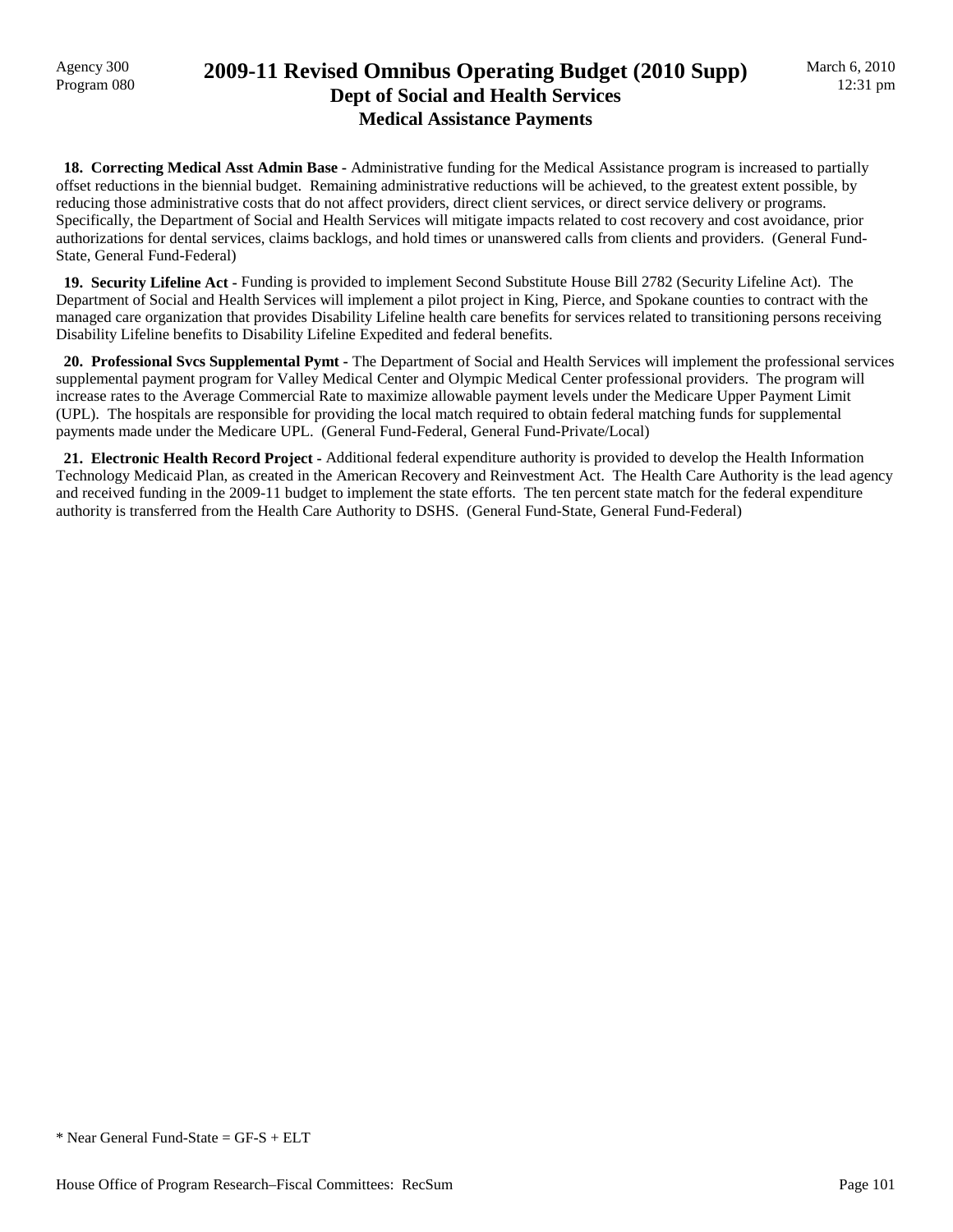### Agency 300<br>Program 080 **2009-11 Revised Omnibus Operating Budget (2010 Supp) Dept of Social and Health Services Medical Assistance Payments**

 **18. Correcting Medical Asst Admin Base -** Administrative funding for the Medical Assistance program is increased to partially offset reductions in the biennial budget. Remaining administrative reductions will be achieved, to the greatest extent possible, by reducing those administrative costs that do not affect providers, direct client services, or direct service delivery or programs. Specifically, the Department of Social and Health Services will mitigate impacts related to cost recovery and cost avoidance, prior authorizations for dental services, claims backlogs, and hold times or unanswered calls from clients and providers. (General Fund-State, General Fund-Federal)

 **19. Security Lifeline Act -** Funding is provided to implement Second Substitute House Bill 2782 (Security Lifeline Act). The Department of Social and Health Services will implement a pilot project in King, Pierce, and Spokane counties to contract with the managed care organization that provides Disability Lifeline health care benefits for services related to transitioning persons receiving Disability Lifeline benefits to Disability Lifeline Expedited and federal benefits.

 **20. Professional Svcs Supplemental Pymt -** The Department of Social and Health Services will implement the professional services supplemental payment program for Valley Medical Center and Olympic Medical Center professional providers. The program will increase rates to the Average Commercial Rate to maximize allowable payment levels under the Medicare Upper Payment Limit (UPL). The hospitals are responsible for providing the local match required to obtain federal matching funds for supplemental payments made under the Medicare UPL. (General Fund-Federal, General Fund-Private/Local)

 **21. Electronic Health Record Project -** Additional federal expenditure authority is provided to develop the Health Information Technology Medicaid Plan, as created in the American Recovery and Reinvestment Act. The Health Care Authority is the lead agency and received funding in the 2009-11 budget to implement the state efforts. The ten percent state match for the federal expenditure authority is transferred from the Health Care Authority to DSHS. (General Fund-State, General Fund-Federal)

 $*$  Near General Fund-State = GF-S + ELT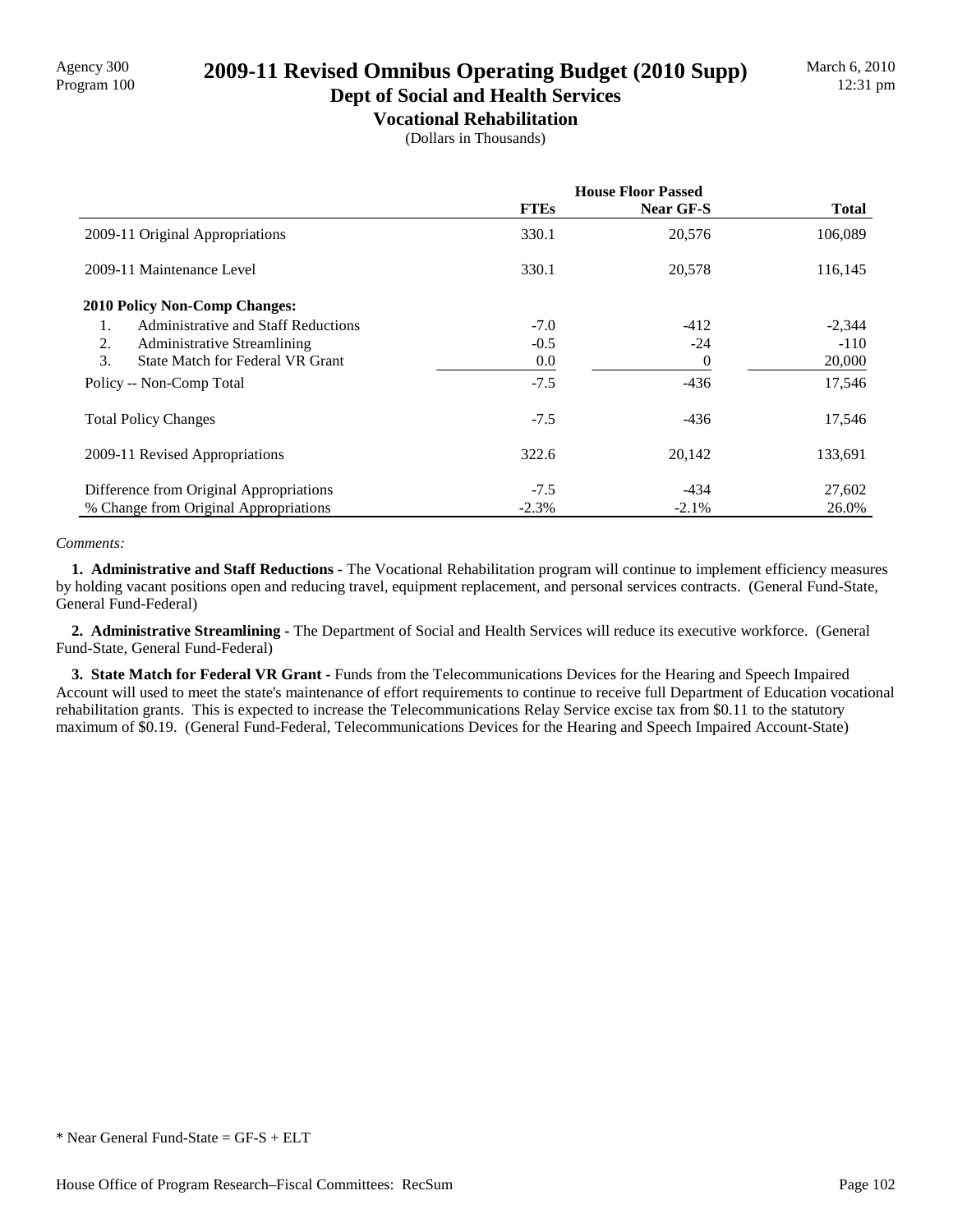# Program 100 **2009-11 Revised Omnibus Operating Budget (2010 Supp)**

### **Dept of Social and Health Services Vocational Rehabilitation**

(Dollars in Thousands)

|                                               | <b>House Floor Passed</b> |                  |              |  |
|-----------------------------------------------|---------------------------|------------------|--------------|--|
|                                               | <b>FTEs</b>               | <b>Near GF-S</b> | <b>Total</b> |  |
| 2009-11 Original Appropriations               | 330.1                     | 20,576           | 106,089      |  |
| 2009-11 Maintenance Level                     | 330.1                     | 20,578           | 116,145      |  |
| <b>2010 Policy Non-Comp Changes:</b>          |                           |                  |              |  |
| Administrative and Staff Reductions<br>1.     | $-7.0$                    | $-412$           | $-2,344$     |  |
| 2.<br><b>Administrative Streamlining</b>      | $-0.5$                    | $-24$            | $-110$       |  |
| 3.<br><b>State Match for Federal VR Grant</b> | 0.0                       | $\Omega$         | 20,000       |  |
| Policy -- Non-Comp Total                      | $-7.5$                    | $-436$           | 17,546       |  |
| <b>Total Policy Changes</b>                   | $-7.5$                    | $-436$           | 17,546       |  |
| 2009-11 Revised Appropriations                | 322.6                     | 20,142           | 133,691      |  |
| Difference from Original Appropriations       | $-7.5$                    | $-434$           | 27,602       |  |
| % Change from Original Appropriations         | $-2.3\%$                  | $-2.1\%$         | 26.0%        |  |

#### *Comments:*

 **1. Administrative and Staff Reductions -** The Vocational Rehabilitation program will continue to implement efficiency measures by holding vacant positions open and reducing travel, equipment replacement, and personal services contracts. (General Fund-State, General Fund-Federal)

 **2. Administrative Streamlining -** The Department of Social and Health Services will reduce its executive workforce. (General Fund-State, General Fund-Federal)

 **3. State Match for Federal VR Grant -** Funds from the Telecommunications Devices for the Hearing and Speech Impaired Account will used to meet the state's maintenance of effort requirements to continue to receive full Department of Education vocational rehabilitation grants. This is expected to increase the Telecommunications Relay Service excise tax from \$0.11 to the statutory maximum of \$0.19. (General Fund-Federal, Telecommunications Devices for the Hearing and Speech Impaired Account-State)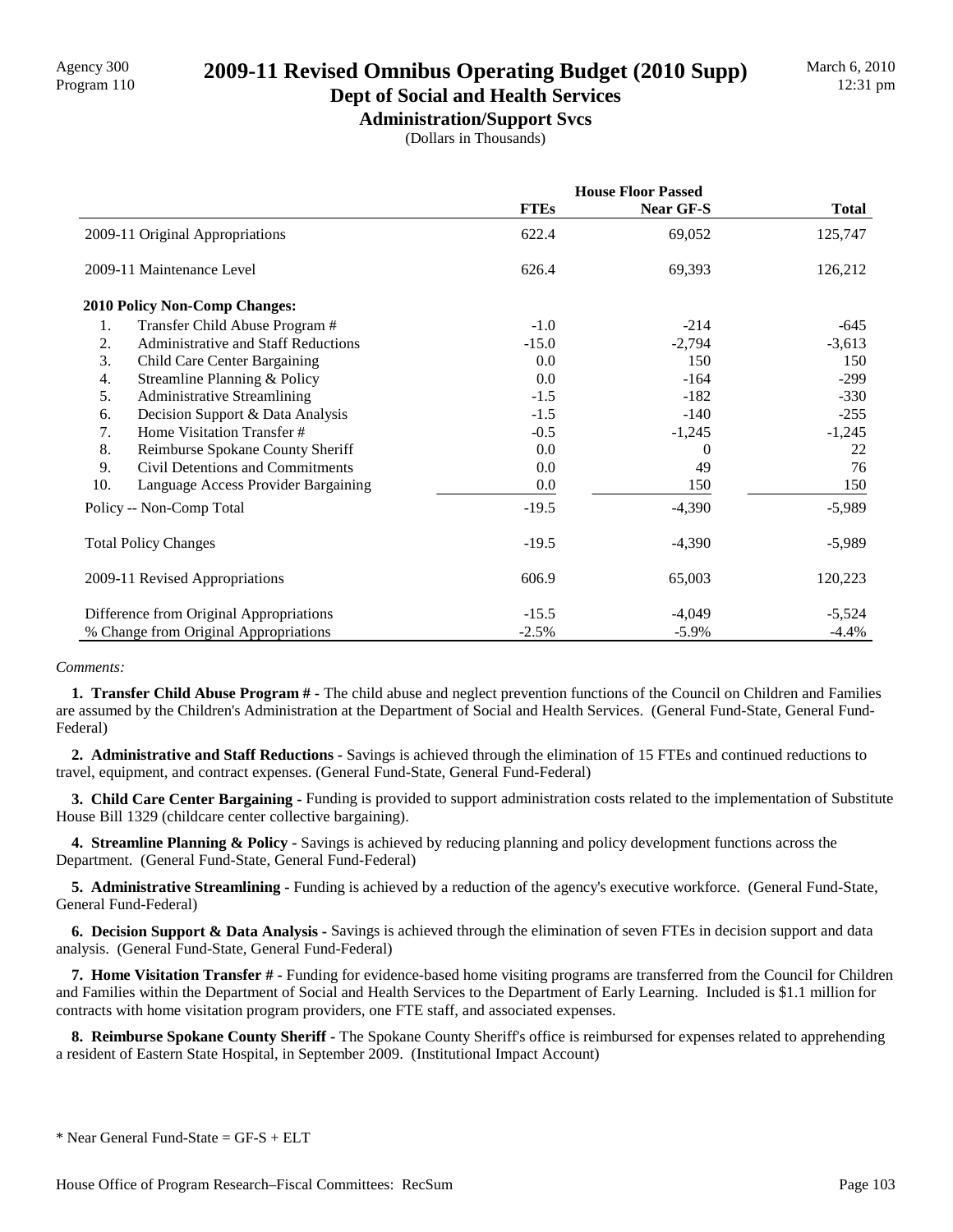# Agency 300<br>Program 110 **2009-11 Revised Omnibus Operating Budget (2010 Supp)**

### **Dept of Social and Health Services Administration/Support Svcs**

(Dollars in Thousands)

|                                         |                                     | <b>House Floor Passed</b> |           |          |
|-----------------------------------------|-------------------------------------|---------------------------|-----------|----------|
|                                         |                                     | <b>FTEs</b>               | Near GF-S | Total    |
| 2009-11 Original Appropriations         |                                     | 622.4                     | 69,052    | 125,747  |
|                                         | 2009-11 Maintenance Level           | 626.4                     | 69,393    | 126,212  |
|                                         | 2010 Policy Non-Comp Changes:       |                           |           |          |
| 1.                                      | Transfer Child Abuse Program #      | $-1.0$                    | $-214$    | -645     |
| 2.                                      | Administrative and Staff Reductions | $-15.0$                   | $-2,794$  | $-3,613$ |
| 3.                                      | Child Care Center Bargaining        | 0.0                       | 150       | 150      |
| $\overline{4}$ .                        | Streamline Planning & Policy        | 0.0                       | $-164$    | $-299$   |
| 5.                                      | <b>Administrative Streamlining</b>  | $-1.5$                    | $-182$    | $-330$   |
| 6.                                      | Decision Support & Data Analysis    | $-1.5$                    | $-140$    | $-255$   |
| 7.                                      | Home Visitation Transfer #          | $-0.5$                    | $-1,245$  | $-1,245$ |
| 8.                                      | Reimburse Spokane County Sheriff    | 0.0                       | $\Omega$  | 22       |
| 9.                                      | Civil Detentions and Commitments    | 0.0                       | 49        | 76       |
| 10.                                     | Language Access Provider Bargaining | 0.0                       | 150       | 150      |
| Policy -- Non-Comp Total                |                                     | $-19.5$                   | $-4,390$  | $-5,989$ |
| <b>Total Policy Changes</b>             |                                     | $-19.5$                   | $-4,390$  | $-5,989$ |
| 2009-11 Revised Appropriations          |                                     | 606.9                     | 65,003    | 120,223  |
| Difference from Original Appropriations |                                     | $-15.5$                   | $-4,049$  | $-5,524$ |
| % Change from Original Appropriations   |                                     | $-2.5%$                   | $-5.9\%$  | $-4.4\%$ |

#### *Comments:*

 **1. Transfer Child Abuse Program # -** The child abuse and neglect prevention functions of the Council on Children and Families are assumed by the Children's Administration at the Department of Social and Health Services. (General Fund-State, General Fund-Federal)

 **2. Administrative and Staff Reductions -** Savings is achieved through the elimination of 15 FTEs and continued reductions to travel, equipment, and contract expenses. (General Fund-State, General Fund-Federal)

 **3. Child Care Center Bargaining -** Funding is provided to support administration costs related to the implementation of Substitute House Bill 1329 (childcare center collective bargaining).

**4. Streamline Planning & Policy -** Savings is achieved by reducing planning and policy development functions across the Department. (General Fund-State, General Fund-Federal)

 **5. Administrative Streamlining -** Funding is achieved by a reduction of the agency's executive workforce. (General Fund-State, General Fund-Federal)

**6. Decision Support & Data Analysis -** Savings is achieved through the elimination of seven FTEs in decision support and data analysis. (General Fund-State, General Fund-Federal)

 **7. Home Visitation Transfer # -** Funding for evidence-based home visiting programs are transferred from the Council for Children and Families within the Department of Social and Health Services to the Department of Early Learning. Included is \$1.1 million for contracts with home visitation program providers, one FTE staff, and associated expenses.

 **8. Reimburse Spokane County Sheriff -** The Spokane County Sheriff's office is reimbursed for expenses related to apprehending a resident of Eastern State Hospital, in September 2009. (Institutional Impact Account)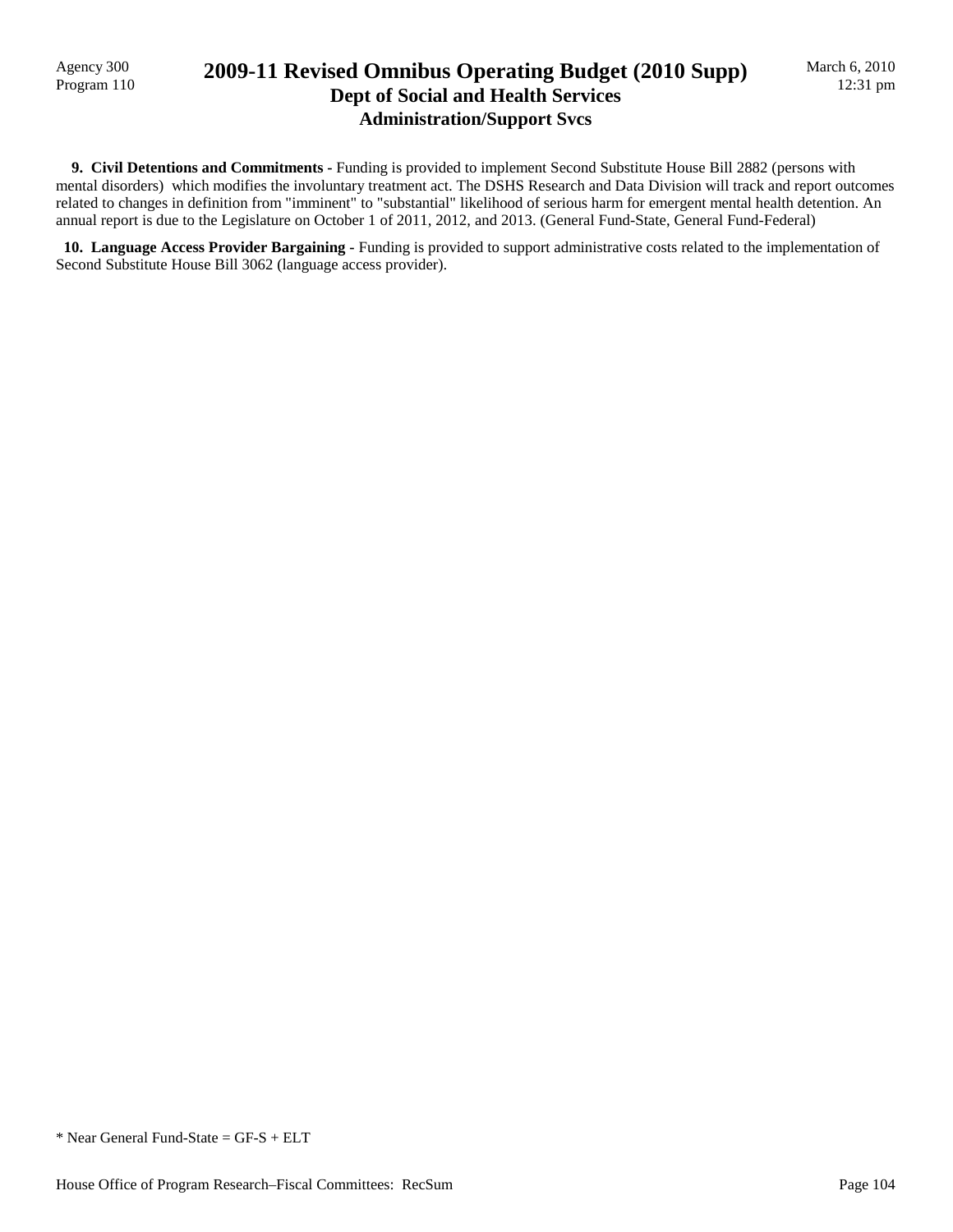## Program 110 **2009-11 Revised Omnibus Operating Budget (2010 Supp) Dept of Social and Health Services Administration/Support Svcs**

 **9. Civil Detentions and Commitments -** Funding is provided to implement Second Substitute House Bill 2882 (persons with mental disorders) which modifies the involuntary treatment act. The DSHS Research and Data Division will track and report outcomes related to changes in definition from "imminent" to "substantial" likelihood of serious harm for emergent mental health detention. An annual report is due to the Legislature on October 1 of 2011, 2012, and 2013. (General Fund-State, General Fund-Federal)

 **10. Language Access Provider Bargaining -** Funding is provided to support administrative costs related to the implementation of Second Substitute House Bill 3062 (language access provider).

\* Near General Fund-State = GF-S + ELT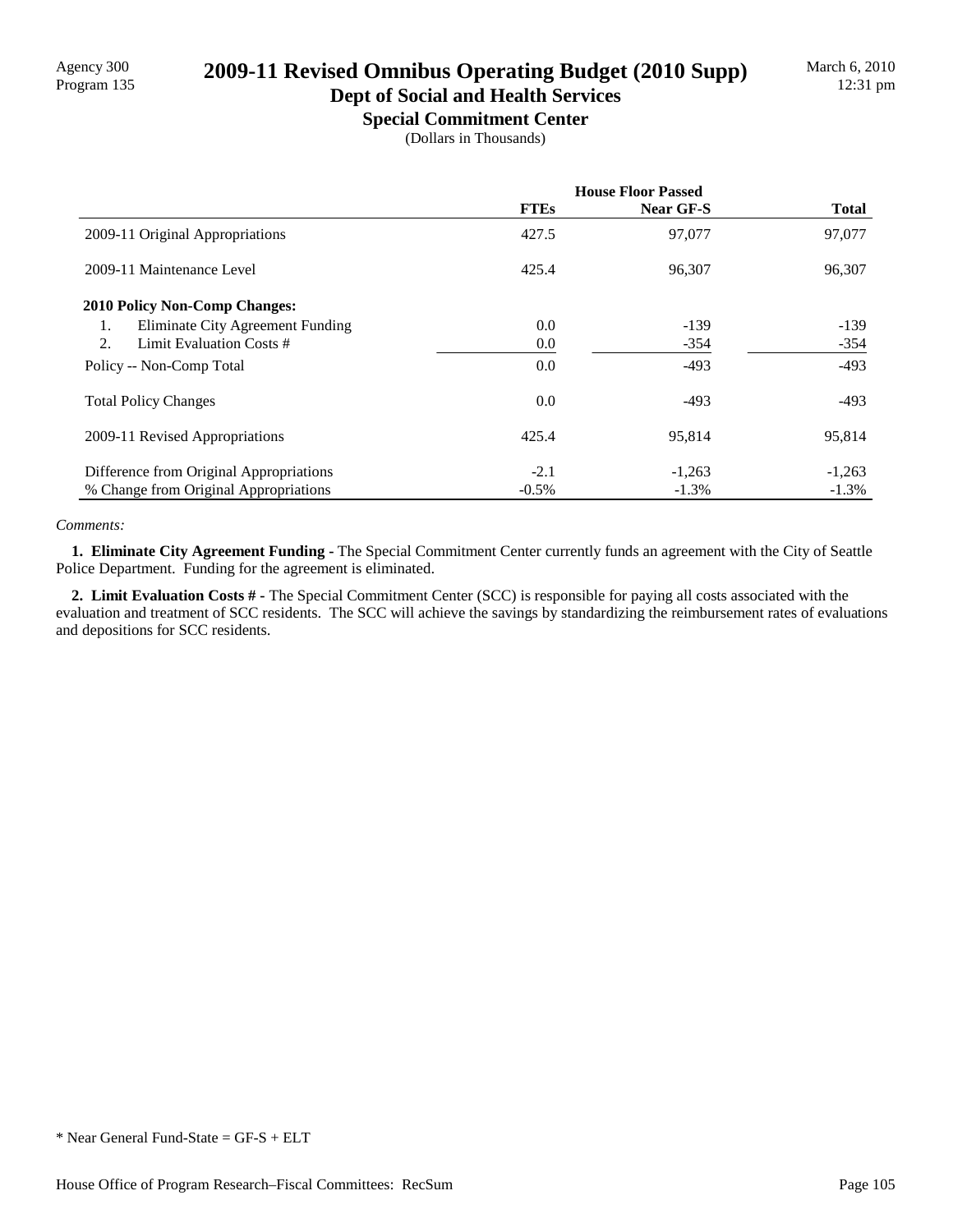# Program 135 **2009-11 Revised Omnibus Operating Budget (2010 Supp)**

### **Dept of Social and Health Services Special Commitment Center**

(Dollars in Thousands)

|                                         | <b>House Floor Passed</b> |                  |              |
|-----------------------------------------|---------------------------|------------------|--------------|
|                                         | <b>FTEs</b>               | <b>Near GF-S</b> | <b>Total</b> |
| 2009-11 Original Appropriations         | 427.5                     | 97,077           | 97,077       |
| 2009-11 Maintenance Level               | 425.4                     | 96,307           | 96,307       |
| <b>2010 Policy Non-Comp Changes:</b>    |                           |                  |              |
| Eliminate City Agreement Funding<br>1.  | 0.0                       | $-139$           | $-139$       |
| Limit Evaluation Costs #<br>2.          | 0.0                       | $-354$           | $-354$       |
| Policy -- Non-Comp Total                | 0.0                       | $-493$           | $-493$       |
| <b>Total Policy Changes</b>             | 0.0                       | $-493$           | $-493$       |
| 2009-11 Revised Appropriations          | 425.4                     | 95,814           | 95,814       |
| Difference from Original Appropriations | $-2.1$                    | $-1,263$         | $-1,263$     |
| % Change from Original Appropriations   | $-0.5%$                   | $-1.3\%$         | $-1.3\%$     |

#### *Comments:*

 **1. Eliminate City Agreement Funding -** The Special Commitment Center currently funds an agreement with the City of Seattle Police Department. Funding for the agreement is eliminated.

 **2. Limit Evaluation Costs # -** The Special Commitment Center (SCC) is responsible for paying all costs associated with the evaluation and treatment of SCC residents. The SCC will achieve the savings by standardizing the reimbursement rates of evaluations and depositions for SCC residents.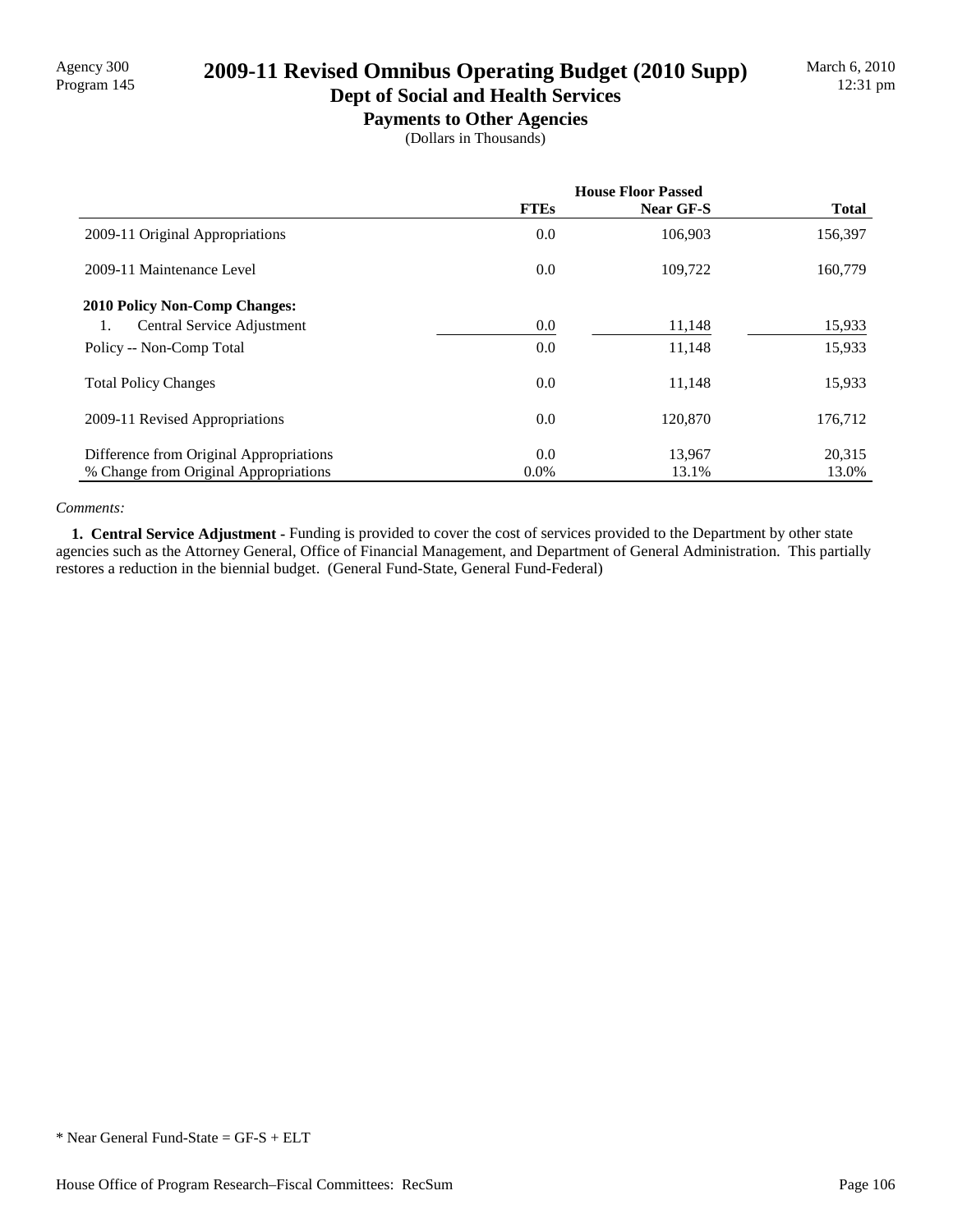# Agency 300<br>Program 145 **2009-11 Revised Omnibus Operating Budget (2010 Supp)**

### **Dept of Social and Health Services Payments to Other Agencies**

(Dollars in Thousands)

|                                         | <b>House Floor Passed</b> |                  |              |
|-----------------------------------------|---------------------------|------------------|--------------|
|                                         | <b>FTEs</b>               | <b>Near GF-S</b> | <b>Total</b> |
| 2009-11 Original Appropriations         | 0.0                       | 106,903          | 156,397      |
| 2009-11 Maintenance Level               | 0.0                       | 109,722          | 160,779      |
| <b>2010 Policy Non-Comp Changes:</b>    |                           |                  |              |
| Central Service Adjustment<br>1.        | 0.0                       | 11,148           | 15,933       |
| Policy -- Non-Comp Total                | 0.0                       | 11,148           | 15,933       |
| <b>Total Policy Changes</b>             | 0.0                       | 11,148           | 15,933       |
| 2009-11 Revised Appropriations          | 0.0                       | 120,870          | 176,712      |
| Difference from Original Appropriations | 0.0                       | 13,967           | 20,315       |
| % Change from Original Appropriations   | $0.0\%$                   | 13.1%            | 13.0%        |

#### *Comments:*

 **1. Central Service Adjustment -** Funding is provided to cover the cost of services provided to the Department by other state agencies such as the Attorney General, Office of Financial Management, and Department of General Administration. This partially restores a reduction in the biennial budget. (General Fund-State, General Fund-Federal)

<sup>\*</sup> Near General Fund-State = GF-S + ELT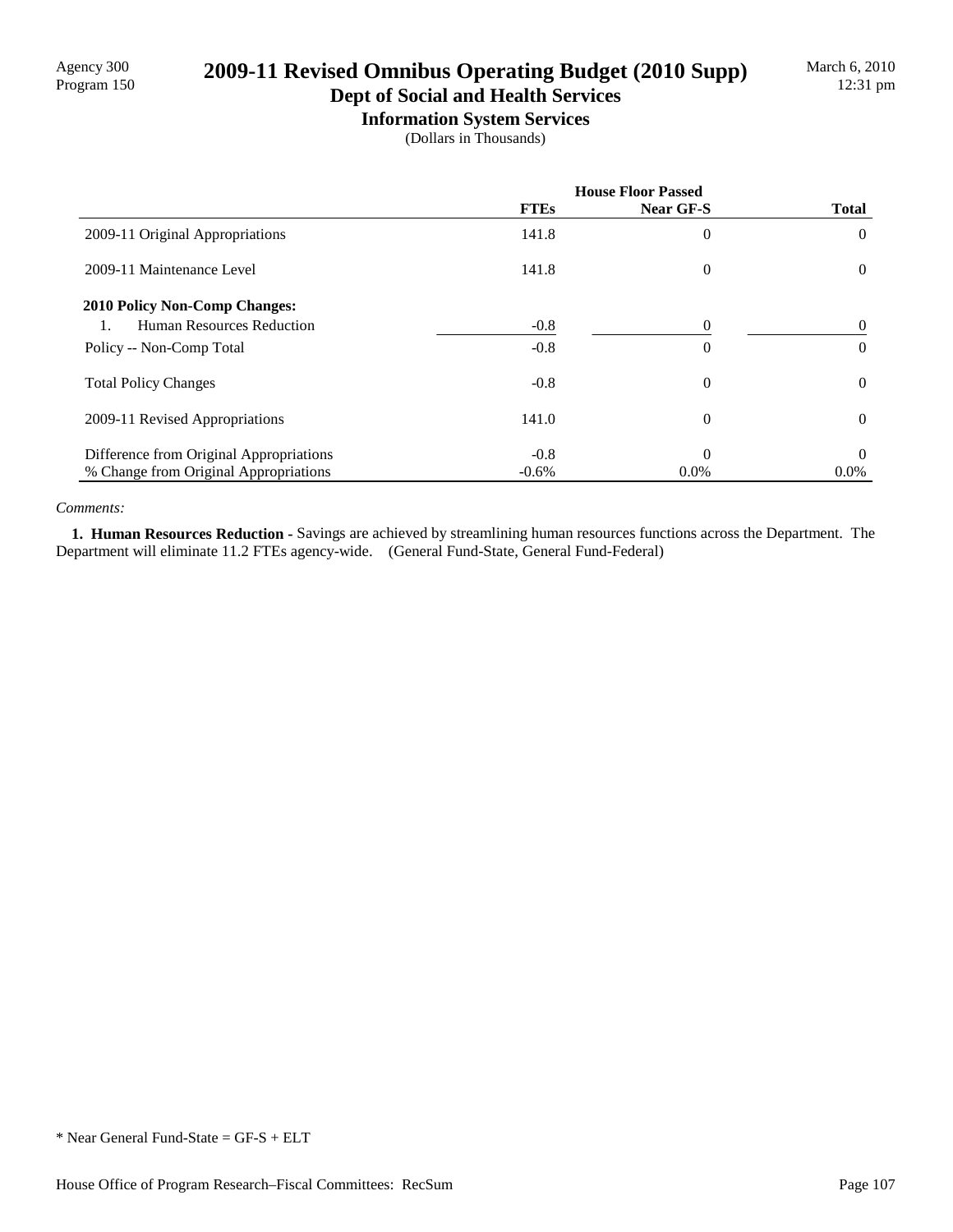# Agency 300 **2009-11 Revised Omnibus Operating Budget (2010 Supp)**<br>Program 150

### **Dept of Social and Health Services Information System Services**

(Dollars in Thousands)

|                                         | <b>House Floor Passed</b> |                |                |
|-----------------------------------------|---------------------------|----------------|----------------|
|                                         | <b>FTEs</b>               | Near GF-S      | <b>Total</b>   |
| 2009-11 Original Appropriations         | 141.8                     | 0              | $\theta$       |
| 2009-11 Maintenance Level               | 141.8                     | $\overline{0}$ | $\overline{0}$ |
| <b>2010 Policy Non-Comp Changes:</b>    |                           |                |                |
| Human Resources Reduction               | $-0.8$                    | 0              | $\theta$       |
| Policy -- Non-Comp Total                | $-0.8$                    | 0              | $\theta$       |
| <b>Total Policy Changes</b>             | $-0.8$                    | $\overline{0}$ | $\theta$       |
| 2009-11 Revised Appropriations          | 141.0                     | 0              | $\theta$       |
| Difference from Original Appropriations | $-0.8$                    | $\theta$       | $\theta$       |
| % Change from Original Appropriations   | $-0.6%$                   | 0.0%           | $0.0\%$        |

#### *Comments:*

 **1. Human Resources Reduction -** Savings are achieved by streamlining human resources functions across the Department. The Department will eliminate 11.2 FTEs agency-wide. (General Fund-State, General Fund-Federal)

<sup>\*</sup> Near General Fund-State = GF-S + ELT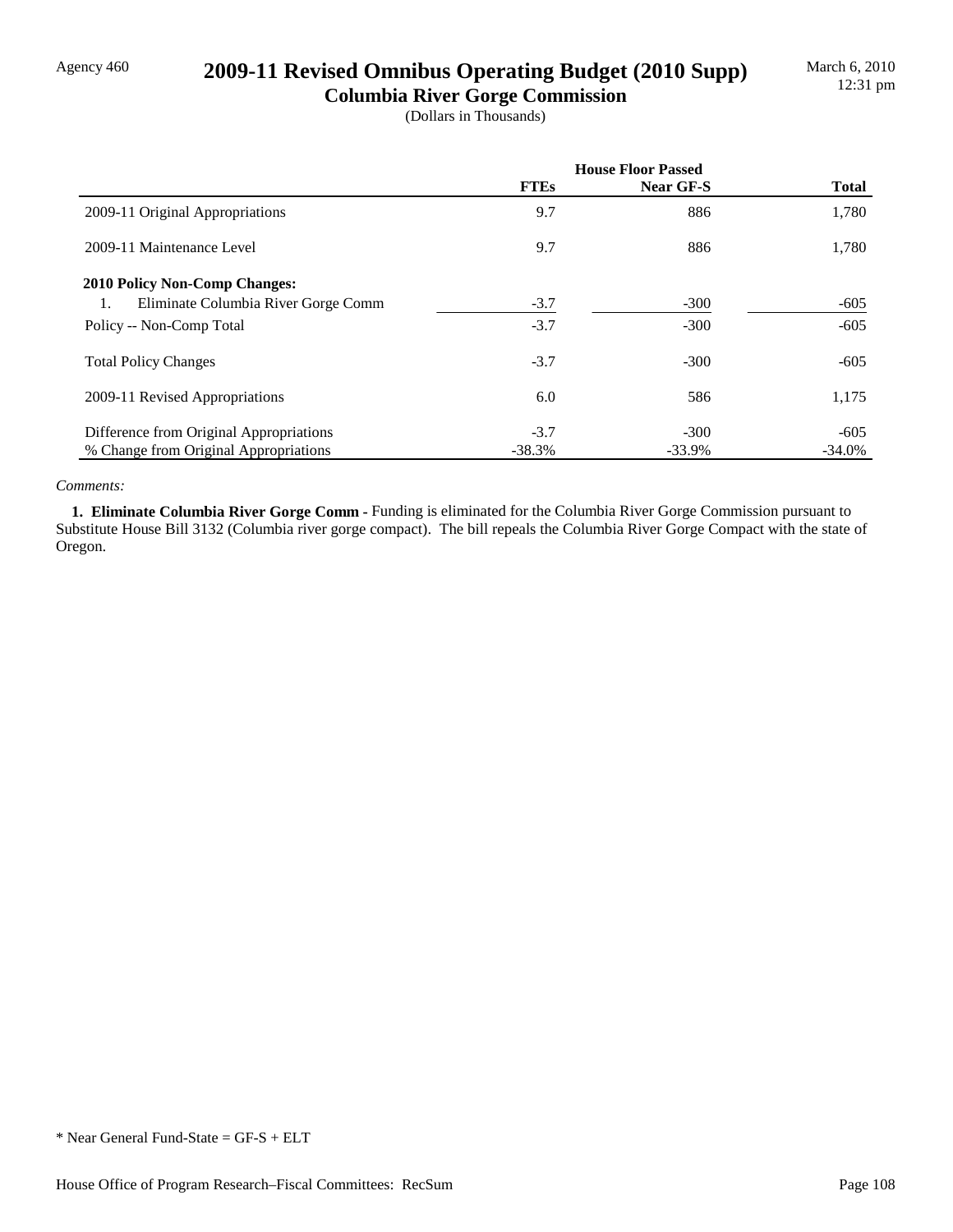## Agency 460 **2009-11 Revised Omnibus Operating Budget (2010 Supp)**

**Columbia River Gorge Commission** (Dollars in Thousands)

|                                           | <b>House Floor Passed</b> |           |              |
|-------------------------------------------|---------------------------|-----------|--------------|
|                                           | <b>FTEs</b>               | Near GF-S | <b>Total</b> |
| 2009-11 Original Appropriations           | 9.7                       | 886       | 1,780        |
| 2009-11 Maintenance Level                 | 9.7                       | 886       | 1,780        |
| 2010 Policy Non-Comp Changes:             |                           |           |              |
| Eliminate Columbia River Gorge Comm<br>1. | $-3.7$                    | $-300$    | $-605$       |
| Policy -- Non-Comp Total                  | $-3.7$                    | $-300$    | $-605$       |
| <b>Total Policy Changes</b>               | $-3.7$                    | $-300$    | $-605$       |
| 2009-11 Revised Appropriations            | 6.0                       | 586       | 1,175        |
| Difference from Original Appropriations   | $-3.7$                    | $-300$    | $-605$       |
| % Change from Original Appropriations     | $-38.3%$                  | $-33.9%$  | $-34.0%$     |

#### *Comments:*

 **1. Eliminate Columbia River Gorge Comm -** Funding is eliminated for the Columbia River Gorge Commission pursuant to Substitute House Bill 3132 (Columbia river gorge compact). The bill repeals the Columbia River Gorge Compact with the state of Oregon.

<sup>\*</sup> Near General Fund-State = GF-S + ELT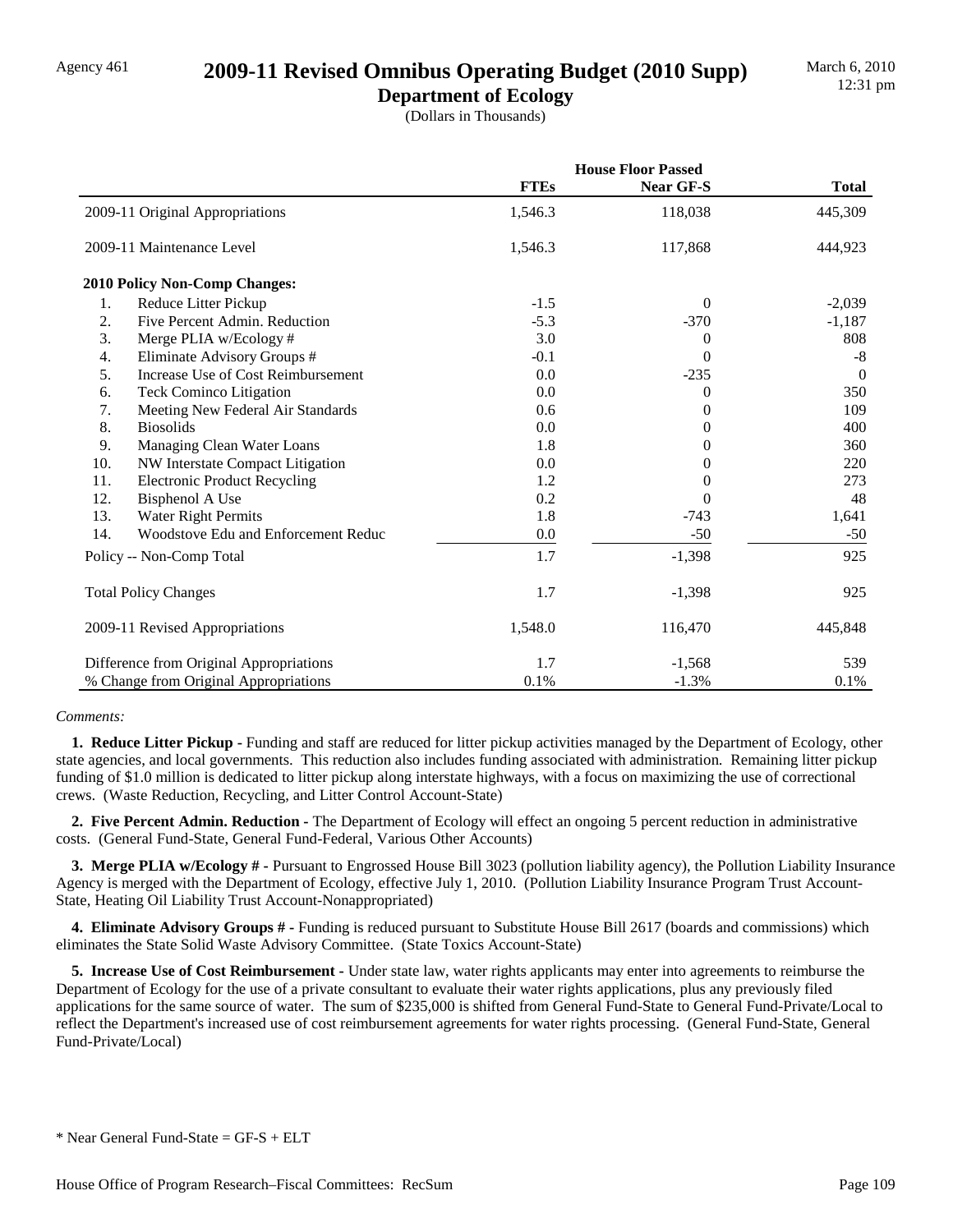## Agency 461 **2009-11 Revised Omnibus Operating Budget (2010 Supp)**

**Department of Ecology** (Dollars in Thousands)

|     |                                         |             | <b>House Floor Passed</b> |                |  |
|-----|-----------------------------------------|-------------|---------------------------|----------------|--|
|     |                                         | <b>FTEs</b> | <b>Near GF-S</b>          | <b>Total</b>   |  |
|     | 2009-11 Original Appropriations         | 1,546.3     | 118,038                   | 445,309        |  |
|     | 2009-11 Maintenance Level               | 1,546.3     | 117,868                   | 444,923        |  |
|     | 2010 Policy Non-Comp Changes:           |             |                           |                |  |
| 1.  | Reduce Litter Pickup                    | $-1.5$      | $\Omega$                  | $-2,039$       |  |
| 2.  | Five Percent Admin. Reduction           | $-5.3$      | $-370$                    | $-1,187$       |  |
| 3.  | Merge PLIA w/Ecology #                  | 3.0         | 0                         | 808            |  |
| 4.  | Eliminate Advisory Groups #             | $-0.1$      | 0                         | $-8$           |  |
| 5.  | Increase Use of Cost Reimbursement      | 0.0         | $-235$                    | $\overline{0}$ |  |
| 6.  | <b>Teck Cominco Litigation</b>          | 0.0         | 0                         | 350            |  |
| 7.  | Meeting New Federal Air Standards       | 0.6         | 0                         | 109            |  |
| 8.  | <b>Biosolids</b>                        | 0.0         | 0                         | 400            |  |
| 9.  | Managing Clean Water Loans              | 1.8         | 0                         | 360            |  |
| 10. | NW Interstate Compact Litigation        | 0.0         | 0                         | 220            |  |
| 11. | <b>Electronic Product Recycling</b>     | 1.2         | 0                         | 273            |  |
| 12. | <b>Bisphenol A Use</b>                  | 0.2         | 0                         | 48             |  |
| 13. | <b>Water Right Permits</b>              | 1.8         | $-743$                    | 1,641          |  |
| 14. | Woodstove Edu and Enforcement Reduc     | 0.0         | $-50$                     | $-50$          |  |
|     | Policy -- Non-Comp Total                | 1.7         | $-1,398$                  | 925            |  |
|     | <b>Total Policy Changes</b>             | 1.7         | $-1,398$                  | 925            |  |
|     | 2009-11 Revised Appropriations          | 1,548.0     | 116,470                   | 445,848        |  |
|     | Difference from Original Appropriations | 1.7         | $-1,568$                  | 539            |  |
|     | % Change from Original Appropriations   | 0.1%        | $-1.3%$                   | 0.1%           |  |

#### *Comments:*

 **1. Reduce Litter Pickup -** Funding and staff are reduced for litter pickup activities managed by the Department of Ecology, other state agencies, and local governments. This reduction also includes funding associated with administration. Remaining litter pickup funding of \$1.0 million is dedicated to litter pickup along interstate highways, with a focus on maximizing the use of correctional crews. (Waste Reduction, Recycling, and Litter Control Account-State)

 **2. Five Percent Admin. Reduction -** The Department of Ecology will effect an ongoing 5 percent reduction in administrative costs. (General Fund-State, General Fund-Federal, Various Other Accounts)

 **3. Merge PLIA w/Ecology # -** Pursuant to Engrossed House Bill 3023 (pollution liability agency), the Pollution Liability Insurance Agency is merged with the Department of Ecology, effective July 1, 2010. (Pollution Liability Insurance Program Trust Account-State, Heating Oil Liability Trust Account-Nonappropriated)

 **4. Eliminate Advisory Groups # -** Funding is reduced pursuant to Substitute House Bill 2617 (boards and commissions) which eliminates the State Solid Waste Advisory Committee. (State Toxics Account-State)

 **5. Increase Use of Cost Reimbursement -** Under state law, water rights applicants may enter into agreements to reimburse the Department of Ecology for the use of a private consultant to evaluate their water rights applications, plus any previously filed applications for the same source of water. The sum of \$235,000 is shifted from General Fund-State to General Fund-Private/Local to reflect the Department's increased use of cost reimbursement agreements for water rights processing. (General Fund-State, General Fund-Private/Local)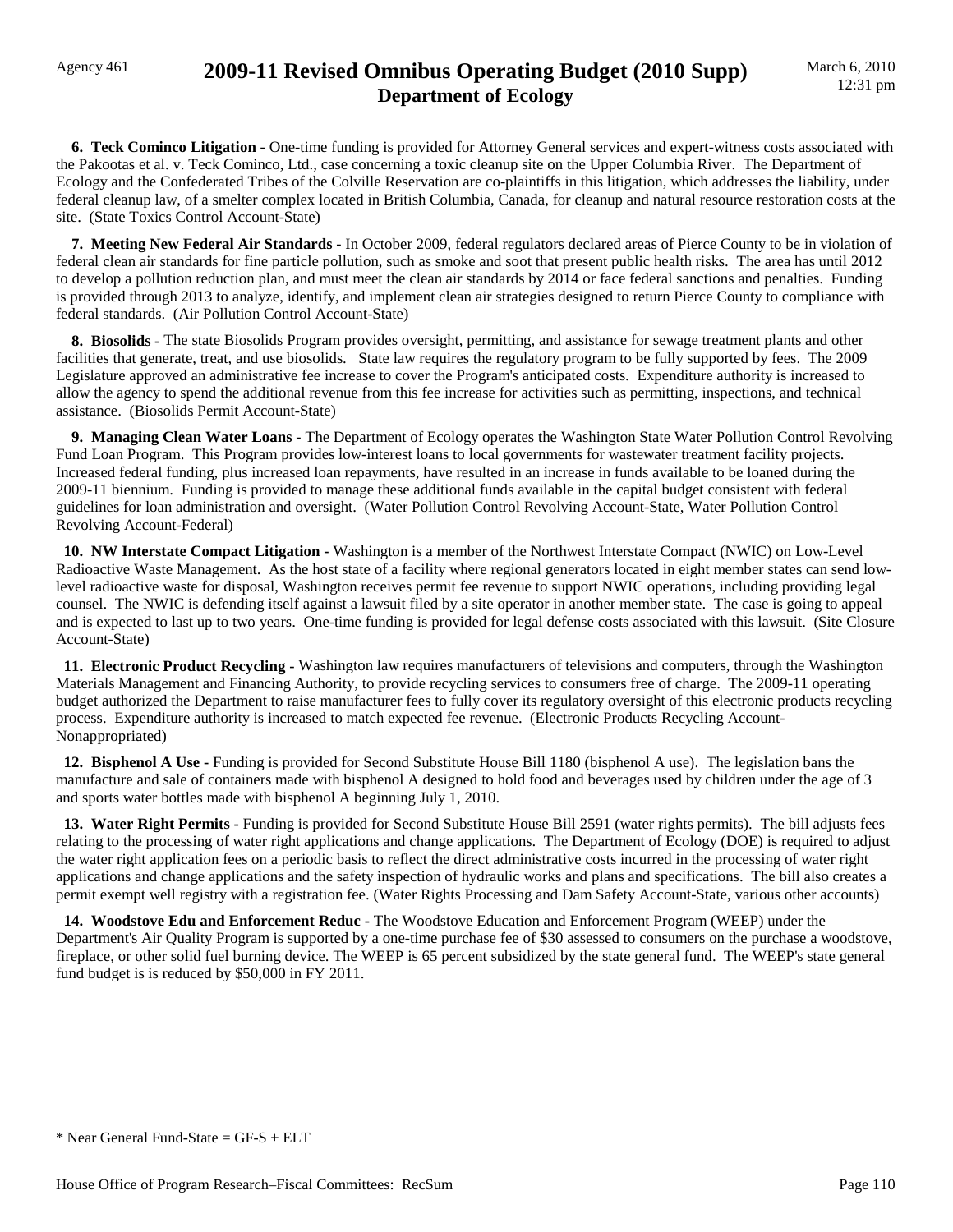### Agency 461 **2009-11 Revised Omnibus Operating Budget (2010 Supp) Department of Ecology**

**6. Teck Cominco Litigation -** One-time funding is provided for Attorney General services and expert-witness costs associated with the Pakootas et al. v. Teck Cominco, Ltd., case concerning a toxic cleanup site on the Upper Columbia River. The Department of Ecology and the Confederated Tribes of the Colville Reservation are co-plaintiffs in this litigation, which addresses the liability, under federal cleanup law, of a smelter complex located in British Columbia, Canada, for cleanup and natural resource restoration costs at the site. (State Toxics Control Account-State)

 **7. Meeting New Federal Air Standards -** In October 2009, federal regulators declared areas of Pierce County to be in violation of federal clean air standards for fine particle pollution, such as smoke and soot that present public health risks. The area has until 2012 to develop a pollution reduction plan, and must meet the clean air standards by 2014 or face federal sanctions and penalties. Funding is provided through 2013 to analyze, identify, and implement clean air strategies designed to return Pierce County to compliance with federal standards. (Air Pollution Control Account-State)

 **8. Biosolids -** The state Biosolids Program provides oversight, permitting, and assistance for sewage treatment plants and other facilities that generate, treat, and use biosolids. State law requires the regulatory program to be fully supported by fees. The 2009 Legislature approved an administrative fee increase to cover the Program's anticipated costs. Expenditure authority is increased to allow the agency to spend the additional revenue from this fee increase for activities such as permitting, inspections, and technical assistance. (Biosolids Permit Account-State)

 **9. Managing Clean Water Loans -** The Department of Ecology operates the Washington State Water Pollution Control Revolving Fund Loan Program. This Program provides low-interest loans to local governments for wastewater treatment facility projects. Increased federal funding, plus increased loan repayments, have resulted in an increase in funds available to be loaned during the 2009-11 biennium. Funding is provided to manage these additional funds available in the capital budget consistent with federal guidelines for loan administration and oversight. (Water Pollution Control Revolving Account-State, Water Pollution Control Revolving Account-Federal)

 **10. NW Interstate Compact Litigation -** Washington is a member of the Northwest Interstate Compact (NWIC) on Low-Level Radioactive Waste Management. As the host state of a facility where regional generators located in eight member states can send lowlevel radioactive waste for disposal, Washington receives permit fee revenue to support NWIC operations, including providing legal counsel. The NWIC is defending itself against a lawsuit filed by a site operator in another member state. The case is going to appeal and is expected to last up to two years. One-time funding is provided for legal defense costs associated with this lawsuit. (Site Closure Account-State)

 **11. Electronic Product Recycling -** Washington law requires manufacturers of televisions and computers, through the Washington Materials Management and Financing Authority, to provide recycling services to consumers free of charge. The 2009-11 operating budget authorized the Department to raise manufacturer fees to fully cover its regulatory oversight of this electronic products recycling process. Expenditure authority is increased to match expected fee revenue. (Electronic Products Recycling Account-Nonappropriated)

 **12. Bisphenol A Use -** Funding is provided for Second Substitute House Bill 1180 (bisphenol A use). The legislation bans the manufacture and sale of containers made with bisphenol A designed to hold food and beverages used by children under the age of 3 and sports water bottles made with bisphenol A beginning July 1, 2010.

 **13. Water Right Permits -** Funding is provided for Second Substitute House Bill 2591 (water rights permits). The bill adjusts fees relating to the processing of water right applications and change applications. The Department of Ecology (DOE) is required to adjust the water right application fees on a periodic basis to reflect the direct administrative costs incurred in the processing of water right applications and change applications and the safety inspection of hydraulic works and plans and specifications. The bill also creates a permit exempt well registry with a registration fee. (Water Rights Processing and Dam Safety Account-State, various other accounts)

 **14. Woodstove Edu and Enforcement Reduc -** The Woodstove Education and Enforcement Program (WEEP) under the Department's Air Quality Program is supported by a one-time purchase fee of \$30 assessed to consumers on the purchase a woodstove, fireplace, or other solid fuel burning device. The WEEP is 65 percent subsidized by the state general fund. The WEEP's state general fund budget is is reduced by \$50,000 in FY 2011.

 $*$  Near General Fund-State = GF-S + ELT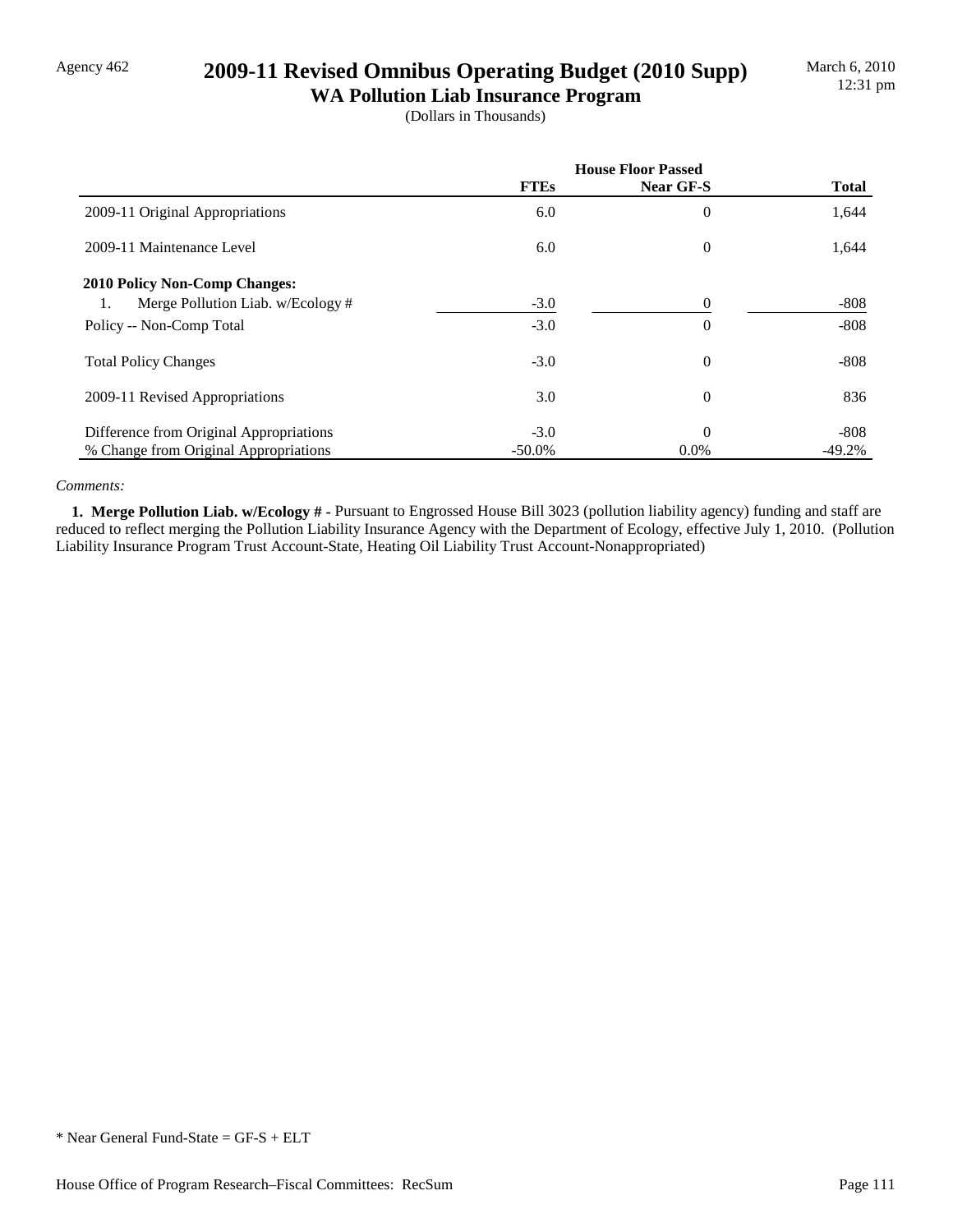## Agency 462 **2009-11 Revised Omnibus Operating Budget (2010 Supp)**

**WA Pollution Liab Insurance Program** (Dollars in Thousands)

|                                         | <b>House Floor Passed</b> |                |              |
|-----------------------------------------|---------------------------|----------------|--------------|
|                                         | <b>FTEs</b>               | Near GF-S      | <b>Total</b> |
| 2009-11 Original Appropriations         | 6.0                       | $\theta$       | 1,644        |
| 2009-11 Maintenance Level               | 6.0                       | $\overline{0}$ | 1,644        |
| 2010 Policy Non-Comp Changes:           |                           |                |              |
| Merge Pollution Liab. w/Ecology #<br>1. | $-3.0$                    | 0              | $-808$       |
| Policy -- Non-Comp Total                | $-3.0$                    | $\overline{0}$ | $-808$       |
| <b>Total Policy Changes</b>             | $-3.0$                    | $\theta$       | $-808$       |
| 2009-11 Revised Appropriations          | 3.0                       | $\theta$       | 836          |
| Difference from Original Appropriations | $-3.0$                    | $\theta$       | $-808$       |
| % Change from Original Appropriations   | $-50.0\%$                 | $0.0\%$        | $-49.2%$     |

#### *Comments:*

 **1. Merge Pollution Liab. w/Ecology # -** Pursuant to Engrossed House Bill 3023 (pollution liability agency) funding and staff are reduced to reflect merging the Pollution Liability Insurance Agency with the Department of Ecology, effective July 1, 2010. (Pollution Liability Insurance Program Trust Account-State, Heating Oil Liability Trust Account-Nonappropriated)

<sup>\*</sup> Near General Fund-State = GF-S + ELT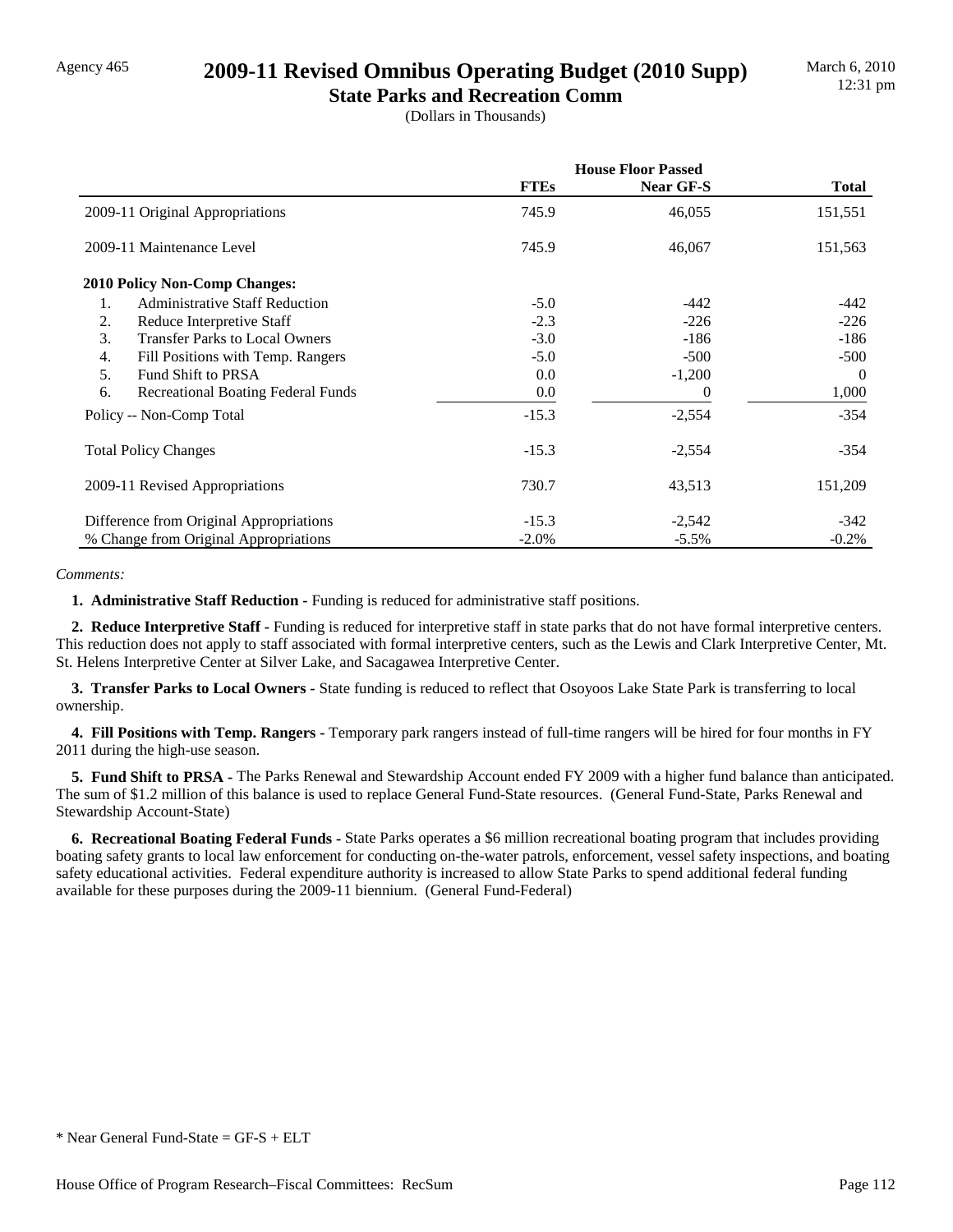## Agency 465 **2009-11 Revised Omnibus Operating Budget (2010 Supp)**

**State Parks and Recreation Comm** (Dollars in Thousands)

|                                             | <b>House Floor Passed</b> |           |              |
|---------------------------------------------|---------------------------|-----------|--------------|
|                                             | <b>FTEs</b>               | Near GF-S | <b>Total</b> |
| 2009-11 Original Appropriations             | 745.9                     | 46,055    | 151,551      |
| 2009-11 Maintenance Level                   | 745.9                     | 46,067    | 151,563      |
| <b>2010 Policy Non-Comp Changes:</b>        |                           |           |              |
| 1.<br><b>Administrative Staff Reduction</b> | $-5.0$                    | $-442$    | -442         |
| 2.<br>Reduce Interpretive Staff             | $-2.3$                    | $-226$    | $-226$       |
| 3.<br><b>Transfer Parks to Local Owners</b> | $-3.0$                    | $-186$    | -186         |
| 4.<br>Fill Positions with Temp. Rangers     | $-5.0$                    | $-500$    | $-500$       |
| 5.<br>Fund Shift to PRSA                    | 0.0                       | $-1,200$  | $\Omega$     |
| 6.<br>Recreational Boating Federal Funds    | 0.0                       | 0         | 1,000        |
| Policy -- Non-Comp Total                    | $-15.3$                   | $-2,554$  | $-354$       |
| <b>Total Policy Changes</b>                 | $-15.3$                   | $-2,554$  | $-354$       |
| 2009-11 Revised Appropriations              | 730.7                     | 43,513    | 151,209      |
| Difference from Original Appropriations     | $-15.3$                   | $-2,542$  | -342         |
| % Change from Original Appropriations       | $-2.0\%$                  | $-5.5\%$  | $-0.2%$      |

#### *Comments:*

**1. Administrative Staff Reduction - Funding is reduced for administrative staff positions.** 

 **2. Reduce Interpretive Staff -** Funding is reduced for interpretive staff in state parks that do not have formal interpretive centers. This reduction does not apply to staff associated with formal interpretive centers, such as the Lewis and Clark Interpretive Center, Mt. St. Helens Interpretive Center at Silver Lake, and Sacagawea Interpretive Center.

 **3. Transfer Parks to Local Owners -** State funding is reduced to reflect that Osoyoos Lake State Park is transferring to local ownership.

 **4. Fill Positions with Temp. Rangers -** Temporary park rangers instead of full-time rangers will be hired for four months in FY 2011 during the high-use season.

 **5. Fund Shift to PRSA -** The Parks Renewal and Stewardship Account ended FY 2009 with a higher fund balance than anticipated. The sum of \$1.2 million of this balance is used to replace General Fund-State resources. (General Fund-State, Parks Renewal and Stewardship Account-State)

 **6. Recreational Boating Federal Funds -** State Parks operates a \$6 million recreational boating program that includes providing boating safety grants to local law enforcement for conducting on-the-water patrols, enforcement, vessel safety inspections, and boating safety educational activities. Federal expenditure authority is increased to allow State Parks to spend additional federal funding available for these purposes during the 2009-11 biennium. (General Fund-Federal)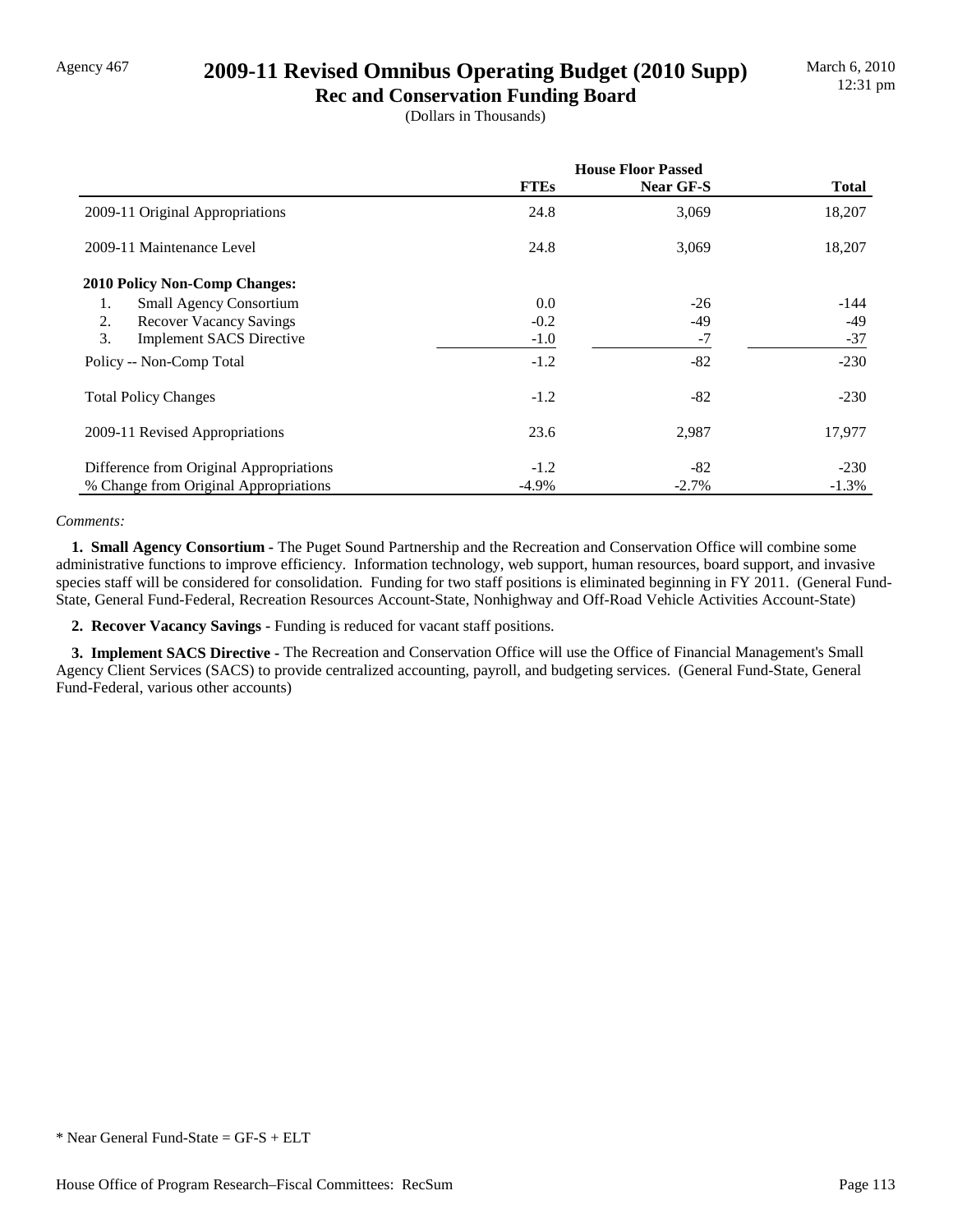## Agency 467 **2009-11 Revised Omnibus Operating Budget (2010 Supp)**

**Rec and Conservation Funding Board** (Dollars in Thousands)

|                                         | <b>House Floor Passed</b> |                  |              |
|-----------------------------------------|---------------------------|------------------|--------------|
|                                         | <b>FTEs</b>               | <b>Near GF-S</b> | <b>Total</b> |
| 2009-11 Original Appropriations         | 24.8                      | 3,069            | 18,207       |
| 2009-11 Maintenance Level               | 24.8                      | 3,069            | 18,207       |
| 2010 Policy Non-Comp Changes:           |                           |                  |              |
| <b>Small Agency Consortium</b><br>1.    | 0.0                       | $-26$            | $-144$       |
| 2.<br><b>Recover Vacancy Savings</b>    | $-0.2$                    | -49              | -49          |
| 3.<br><b>Implement SACS Directive</b>   | $-1.0$                    | $-7$             | $-37$        |
| Policy -- Non-Comp Total                | $-1.2$                    | $-82$            | $-230$       |
| <b>Total Policy Changes</b>             | $-1.2$                    | $-82$            | $-230$       |
| 2009-11 Revised Appropriations          | 23.6                      | 2,987            | 17,977       |
| Difference from Original Appropriations | $-1.2$                    | $-82$            | $-230$       |
| % Change from Original Appropriations   | $-4.9\%$                  | $-2.7\%$         | $-1.3%$      |

#### *Comments:*

 **1. Small Agency Consortium -** The Puget Sound Partnership and the Recreation and Conservation Office will combine some administrative functions to improve efficiency. Information technology, web support, human resources, board support, and invasive species staff will be considered for consolidation. Funding for two staff positions is eliminated beginning in FY 2011. (General Fund-State, General Fund-Federal, Recreation Resources Account-State, Nonhighway and Off-Road Vehicle Activities Account-State)

 **2. Recover Vacancy Savings -** Funding is reduced for vacant staff positions.

**3. Implement SACS Directive -** The Recreation and Conservation Office will use the Office of Financial Management's Small Agency Client Services (SACS) to provide centralized accounting, payroll, and budgeting services. (General Fund-State, General Fund-Federal, various other accounts)

<sup>\*</sup> Near General Fund-State = GF-S + ELT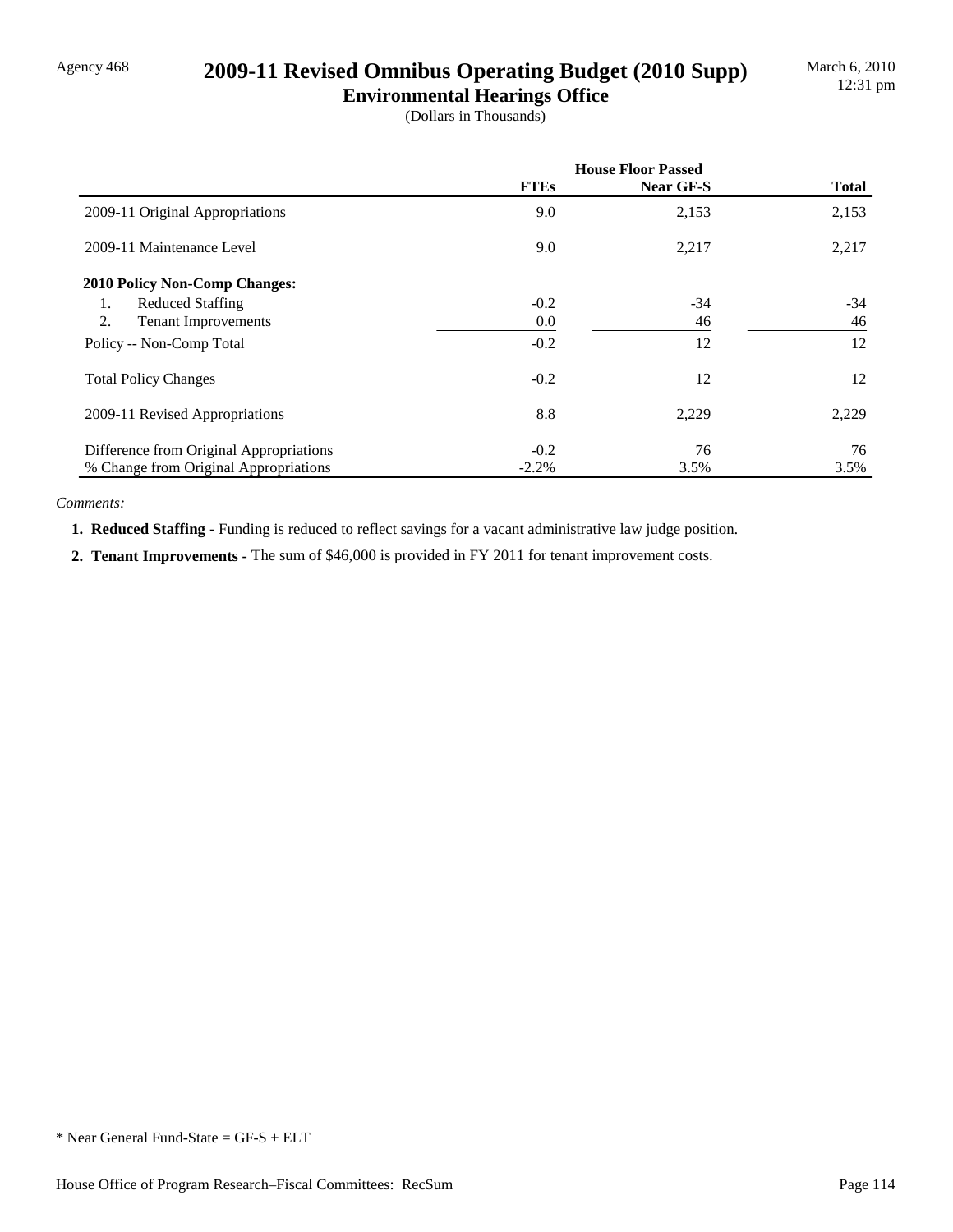## Agency 468 **2009-11 Revised Omnibus Operating Budget (2010 Supp)**

**Environmental Hearings Office** (Dollars in Thousands)

|                                         | <b>House Floor Passed</b> |           |              |
|-----------------------------------------|---------------------------|-----------|--------------|
|                                         | <b>FTEs</b>               | Near GF-S | <b>Total</b> |
| 2009-11 Original Appropriations         | 9.0                       | 2,153     | 2,153        |
| 2009-11 Maintenance Level               | 9.0                       | 2,217     | 2,217        |
| 2010 Policy Non-Comp Changes:           |                           |           |              |
| <b>Reduced Staffing</b><br>1.           | $-0.2$                    | $-34$     | $-34$        |
| 2.<br><b>Tenant Improvements</b>        | 0.0                       | 46        | 46           |
| Policy -- Non-Comp Total                | $-0.2$                    | 12        | 12           |
| <b>Total Policy Changes</b>             | $-0.2$                    | 12        | 12           |
| 2009-11 Revised Appropriations          | 8.8                       | 2,229     | 2,229        |
| Difference from Original Appropriations | $-0.2$                    | 76        | 76           |
| % Change from Original Appropriations   | $-2.2%$                   | 3.5%      | 3.5%         |

*Comments:*

**1. Reduced Staffing - Funding is reduced to reflect savings for a vacant administrative law judge position.** 

 **2. Tenant Improvements -** The sum of \$46,000 is provided in FY 2011 for tenant improvement costs.

<sup>\*</sup> Near General Fund-State = GF-S + ELT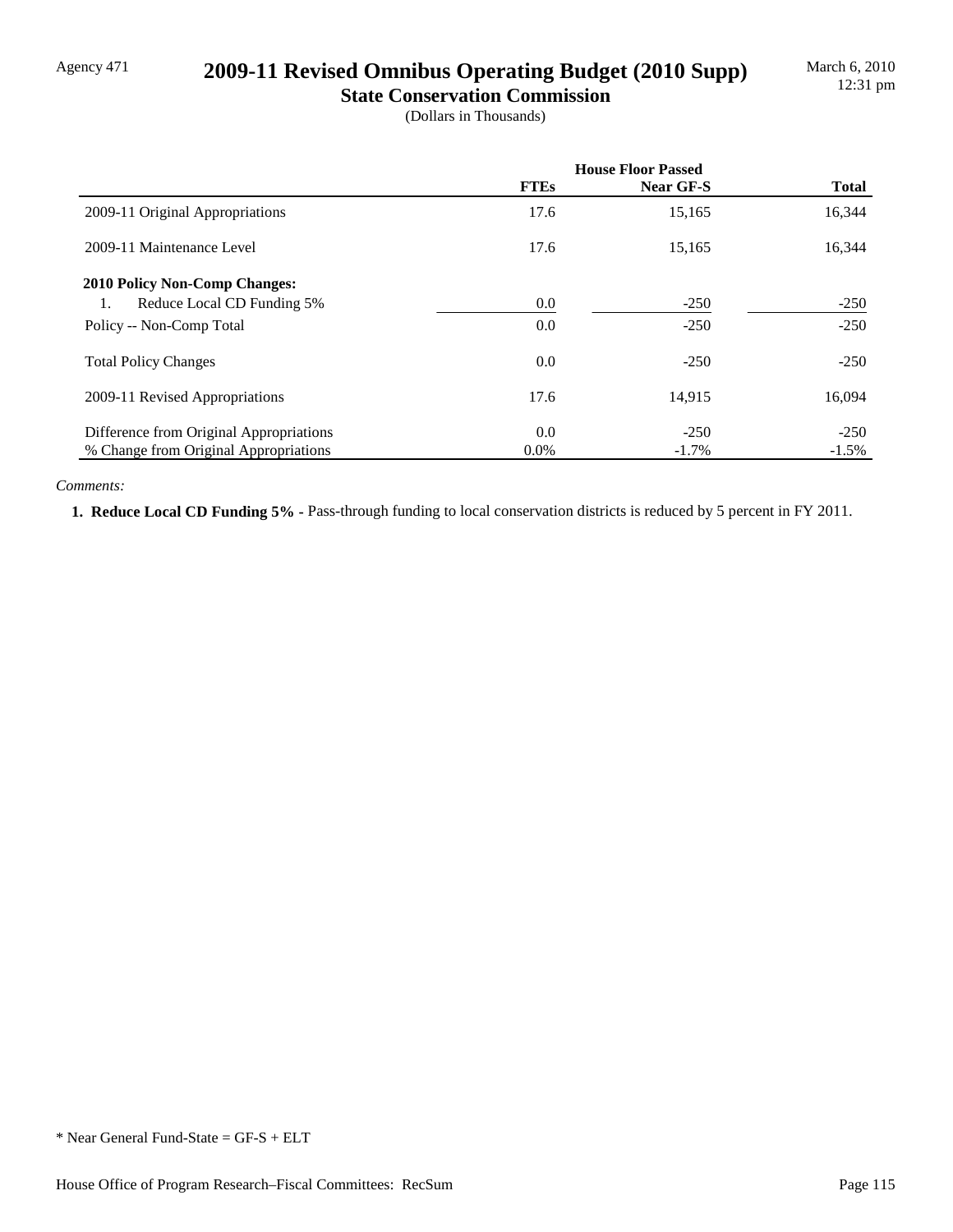## Agency 471 **2009-11 Revised Omnibus Operating Budget (2010 Supp)**

**State Conservation Commission** (Dollars in Thousands)

|                                         | <b>House Floor Passed</b> |           |              |  |
|-----------------------------------------|---------------------------|-----------|--------------|--|
|                                         | <b>FTEs</b>               | Near GF-S | <b>Total</b> |  |
| 2009-11 Original Appropriations         | 17.6                      | 15,165    | 16,344       |  |
| 2009-11 Maintenance Level               | 17.6                      | 15,165    | 16,344       |  |
| <b>2010 Policy Non-Comp Changes:</b>    |                           |           |              |  |
| Reduce Local CD Funding 5%<br>1.        | 0.0                       | $-250$    | $-250$       |  |
| Policy -- Non-Comp Total                | 0.0                       | $-250$    | $-250$       |  |
| <b>Total Policy Changes</b>             | 0.0                       | $-250$    | $-250$       |  |
| 2009-11 Revised Appropriations          | 17.6                      | 14,915    | 16,094       |  |
| Difference from Original Appropriations | 0.0                       | $-250$    | $-250$       |  |
| % Change from Original Appropriations   | $0.0\%$                   | $-1.7\%$  | $-1.5\%$     |  |

#### *Comments:*

 **1. Reduce Local CD Funding 5% -** Pass-through funding to local conservation districts is reduced by 5 percent in FY 2011.

<sup>\*</sup> Near General Fund-State = GF-S + ELT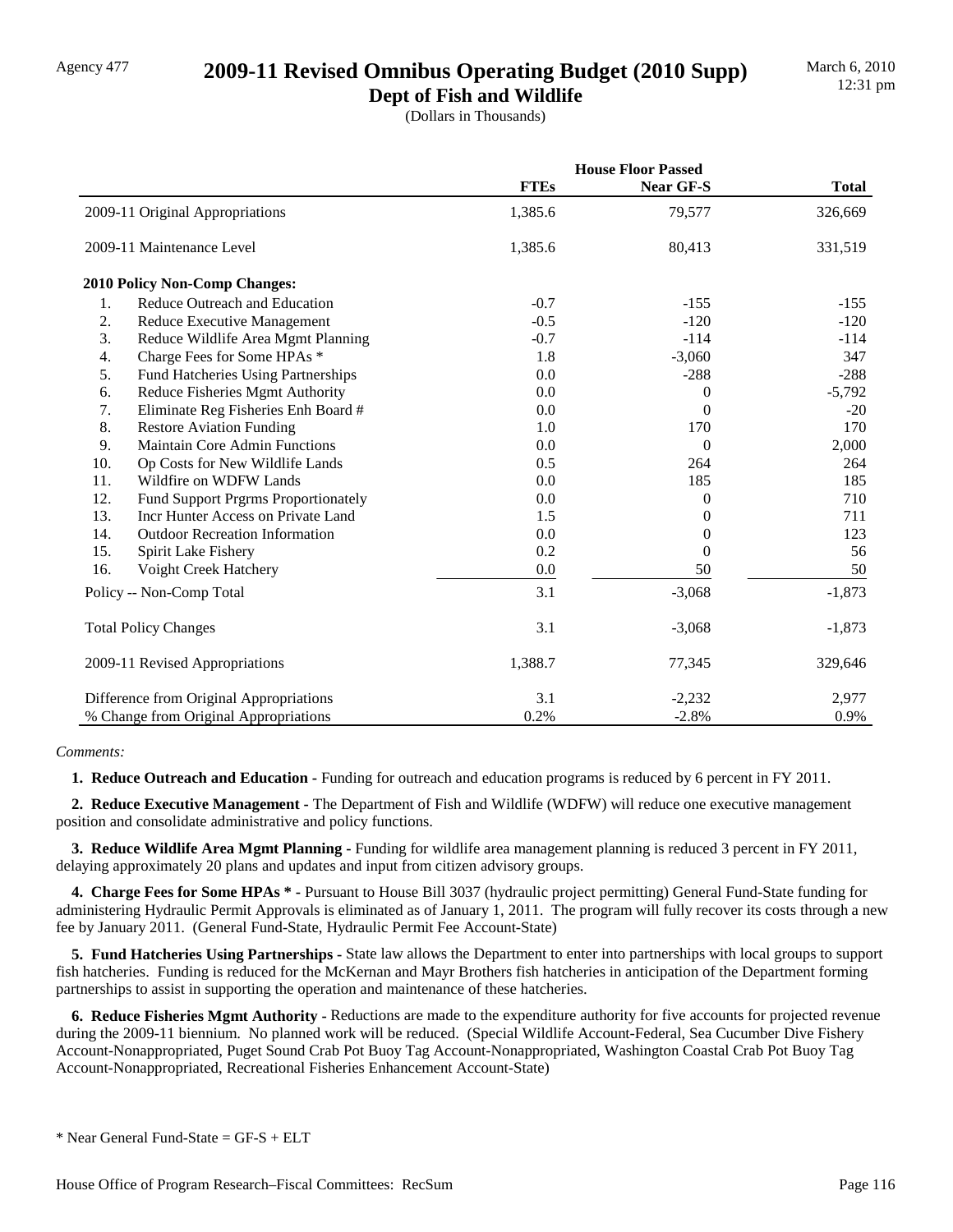## Agency 477 **2009-11 Revised Omnibus Operating Budget (2010 Supp)**

**Dept of Fish and Wildlife** (Dollars in Thousands)

|     |                                            | <b>House Floor Passed</b> |                |              |
|-----|--------------------------------------------|---------------------------|----------------|--------------|
|     |                                            | <b>FTEs</b>               | Near GF-S      | <b>Total</b> |
|     | 2009-11 Original Appropriations            | 1,385.6                   | 79,577         | 326,669      |
|     | 2009-11 Maintenance Level                  | 1,385.6                   | 80,413         | 331,519      |
|     | 2010 Policy Non-Comp Changes:              |                           |                |              |
| 1.  | Reduce Outreach and Education              | $-0.7$                    | $-155$         | $-155$       |
| 2.  | Reduce Executive Management                | $-0.5$                    | $-120$         | $-120$       |
| 3.  | Reduce Wildlife Area Mgmt Planning         | $-0.7$                    | $-114$         | $-114$       |
| 4.  | Charge Fees for Some HPAs *                | 1.8                       | $-3,060$       | 347          |
| 5.  | Fund Hatcheries Using Partnerships         | 0.0                       | $-288$         | $-288$       |
| 6.  | Reduce Fisheries Mgmt Authority            | 0.0                       | $\theta$       | $-5,792$     |
| 7.  | Eliminate Reg Fisheries Enh Board #        | 0.0                       | 0              | $-20$        |
| 8.  | <b>Restore Aviation Funding</b>            | 1.0                       | 170            | 170          |
| 9.  | <b>Maintain Core Admin Functions</b>       | 0.0                       | $\overline{0}$ | 2,000        |
| 10. | Op Costs for New Wildlife Lands            | 0.5                       | 264            | 264          |
| 11. | Wildfire on WDFW Lands                     | 0.0                       | 185            | 185          |
| 12. | <b>Fund Support Prgrms Proportionately</b> | 0.0                       | $\theta$       | 710          |
| 13. | Incr Hunter Access on Private Land         | 1.5                       | 0              | 711          |
| 14. | <b>Outdoor Recreation Information</b>      | 0.0                       | 0              | 123          |
| 15. | Spirit Lake Fishery                        | 0.2                       | $\theta$       | 56           |
| 16. | Voight Creek Hatchery                      | 0.0                       | 50             | 50           |
|     | Policy -- Non-Comp Total                   | 3.1                       | $-3,068$       | $-1,873$     |
|     | <b>Total Policy Changes</b>                | 3.1                       | $-3,068$       | $-1,873$     |
|     | 2009-11 Revised Appropriations             | 1,388.7                   | 77,345         | 329,646      |
|     | Difference from Original Appropriations    | 3.1                       | $-2,232$       | 2,977        |
|     | % Change from Original Appropriations      | 0.2%                      | $-2.8%$        | 0.9%         |

#### *Comments:*

**1. Reduce Outreach and Education -** Funding for outreach and education programs is reduced by 6 percent in FY 2011.

 **2. Reduce Executive Management -** The Department of Fish and Wildlife (WDFW) will reduce one executive management position and consolidate administrative and policy functions.

 **3. Reduce Wildlife Area Mgmt Planning -** Funding for wildlife area management planning is reduced 3 percent in FY 2011, delaying approximately 20 plans and updates and input from citizen advisory groups.

 **4. Charge Fees for Some HPAs \* -** Pursuant to House Bill 3037 (hydraulic project permitting) General Fund-State funding for administering Hydraulic Permit Approvals is eliminated as of January 1, 2011. The program will fully recover its costs through a new fee by January 2011. (General Fund-State, Hydraulic Permit Fee Account-State)

 **5. Fund Hatcheries Using Partnerships -** State law allows the Department to enter into partnerships with local groups to support fish hatcheries. Funding is reduced for the McKernan and Mayr Brothers fish hatcheries in anticipation of the Department forming partnerships to assist in supporting the operation and maintenance of these hatcheries.

 **6. Reduce Fisheries Mgmt Authority -** Reductions are made to the expenditure authority for five accounts for projected revenue during the 2009-11 biennium. No planned work will be reduced. (Special Wildlife Account-Federal, Sea Cucumber Dive Fishery Account-Nonappropriated, Puget Sound Crab Pot Buoy Tag Account-Nonappropriated, Washington Coastal Crab Pot Buoy Tag Account-Nonappropriated, Recreational Fisheries Enhancement Account-State)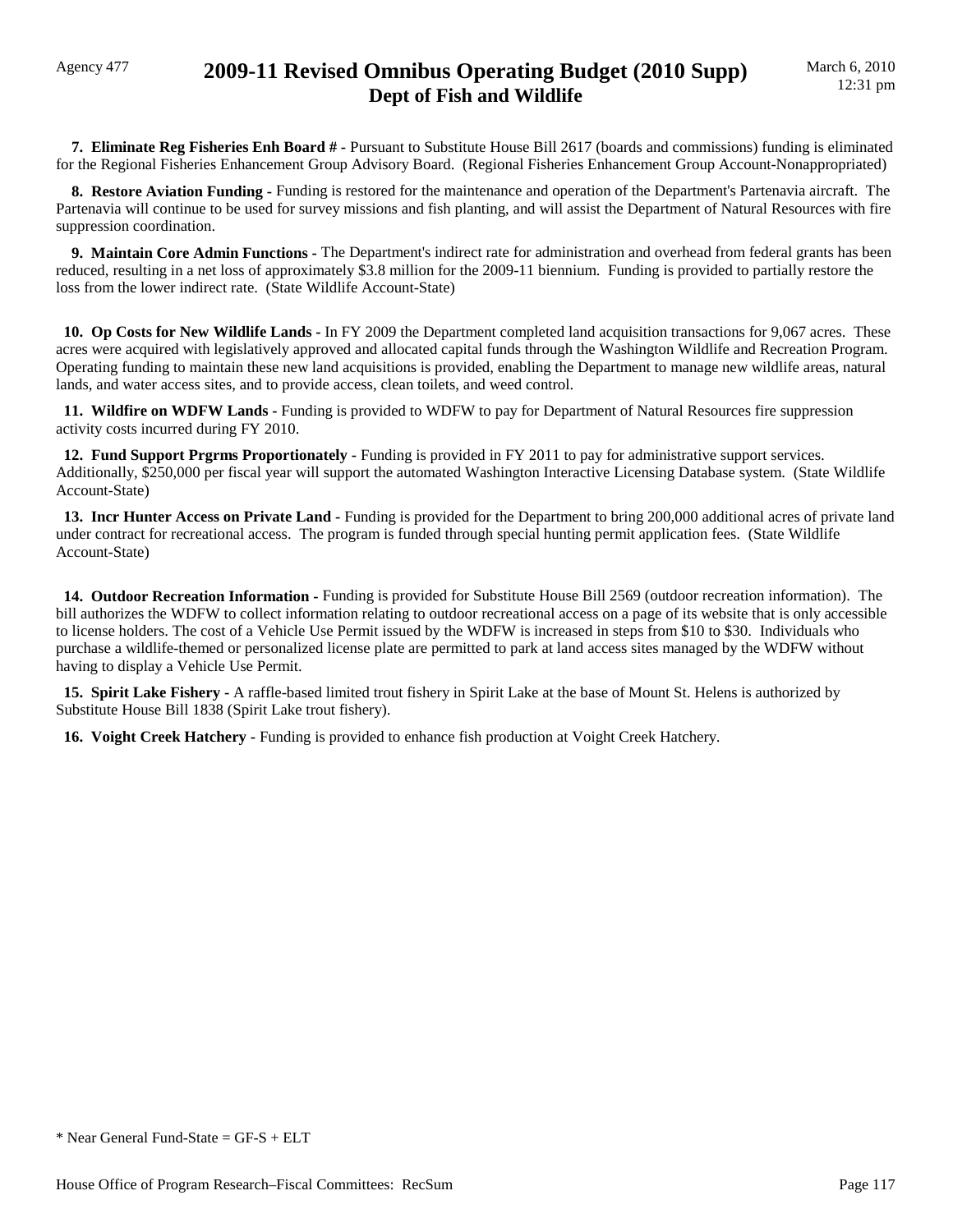### Agency 477 **2009-11 Revised Omnibus Operating Budget (2010 Supp) Dept of Fish and Wildlife**

 **7. Eliminate Reg Fisheries Enh Board # -** Pursuant to Substitute House Bill 2617 (boards and commissions) funding is eliminated for the Regional Fisheries Enhancement Group Advisory Board. (Regional Fisheries Enhancement Group Account-Nonappropriated)

 **8. Restore Aviation Funding -** Funding is restored for the maintenance and operation of the Department's Partenavia aircraft. The Partenavia will continue to be used for survey missions and fish planting, and will assist the Department of Natural Resources with fire suppression coordination.

 **9. Maintain Core Admin Functions -** The Department's indirect rate for administration and overhead from federal grants has been reduced, resulting in a net loss of approximately \$3.8 million for the 2009-11 biennium. Funding is provided to partially restore the loss from the lower indirect rate. (State Wildlife Account-State)

 **10. Op Costs for New Wildlife Lands -** In FY 2009 the Department completed land acquisition transactions for 9,067 acres. These acres were acquired with legislatively approved and allocated capital funds through the Washington Wildlife and Recreation Program. Operating funding to maintain these new land acquisitions is provided, enabling the Department to manage new wildlife areas, natural lands, and water access sites, and to provide access, clean toilets, and weed control.

 **11. Wildfire on WDFW Lands -** Funding is provided to WDFW to pay for Department of Natural Resources fire suppression activity costs incurred during FY 2010.

 **12. Fund Support Prgrms Proportionately - Funding is provided in FY 2011 to pay for administrative support services.** Additionally, \$250,000 per fiscal year will support the automated Washington Interactive Licensing Database system. (State Wildlife Account-State)

 **13. Incr Hunter Access on Private Land -** Funding is provided for the Department to bring 200,000 additional acres of private land under contract for recreational access. The program is funded through special hunting permit application fees. (State Wildlife Account-State)

 **14. Outdoor Recreation Information -** Funding is provided for Substitute House Bill 2569 (outdoor recreation information). The bill authorizes the WDFW to collect information relating to outdoor recreational access on a page of its website that is only accessible to license holders. The cost of a Vehicle Use Permit issued by the WDFW is increased in steps from \$10 to \$30. Individuals who purchase a wildlife-themed or personalized license plate are permitted to park at land access sites managed by the WDFW without having to display a Vehicle Use Permit.

 **15. Spirit Lake Fishery -** A raffle-based limited trout fishery in Spirit Lake at the base of Mount St. Helens is authorized by Substitute House Bill 1838 (Spirit Lake trout fishery).

 **16. Voight Creek Hatchery - Funding is provided to enhance fish production at Voight Creek Hatchery.** 

 $*$  Near General Fund-State = GF-S + ELT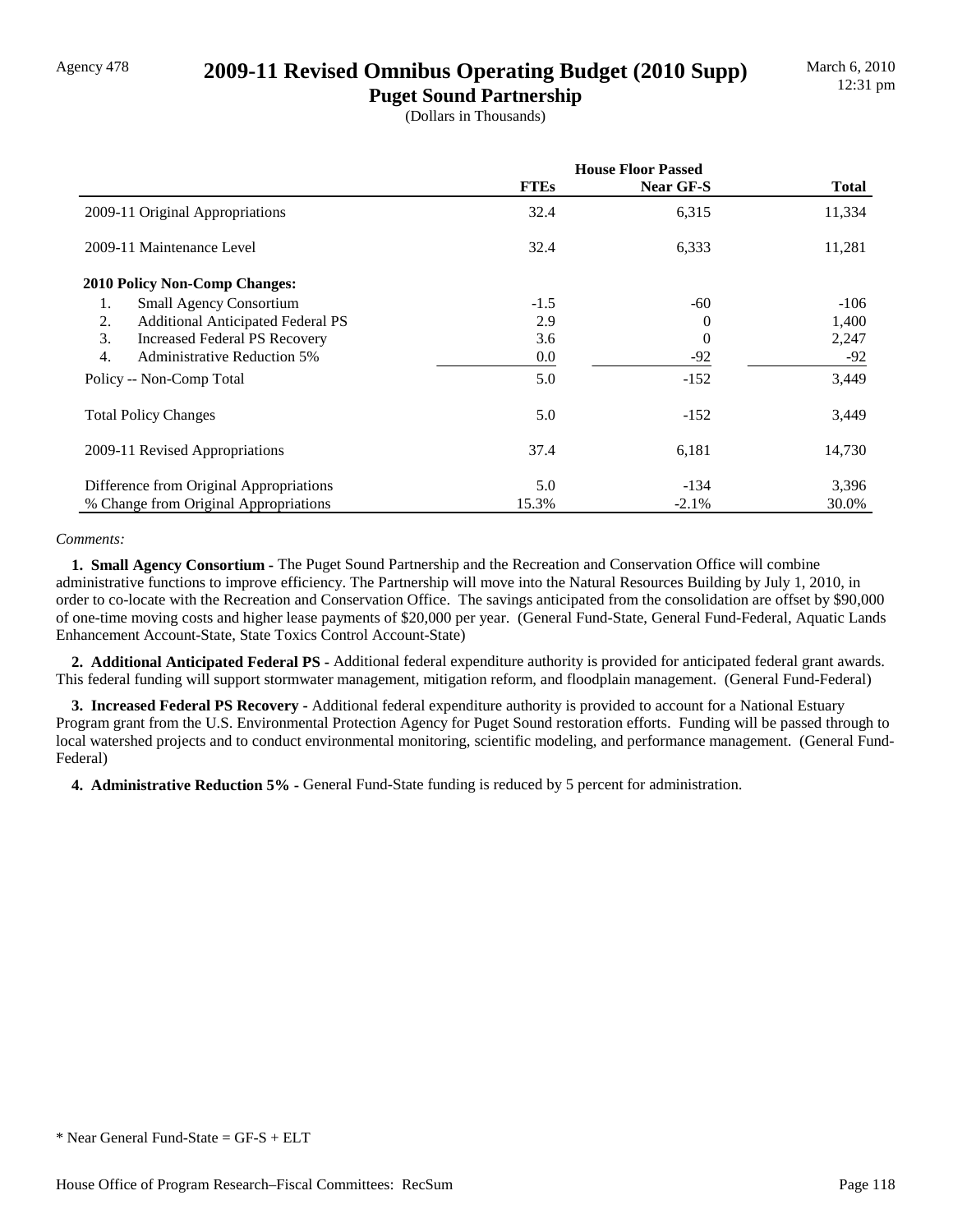### Agency 478 **2009-11 Revised Omnibus Operating Budget (2010 Supp)**

**Puget Sound Partnership** (Dollars in Thousands)

|                                                | <b>House Floor Passed</b> |           |              |  |
|------------------------------------------------|---------------------------|-----------|--------------|--|
|                                                | <b>FTEs</b>               | Near GF-S | <b>Total</b> |  |
| 2009-11 Original Appropriations                | 32.4                      | 6,315     | 11,334       |  |
| 2009-11 Maintenance Level                      | 32.4                      | 6,333     | 11,281       |  |
| 2010 Policy Non-Comp Changes:                  |                           |           |              |  |
| <b>Small Agency Consortium</b><br>1.           | $-1.5$                    | -60       | $-106$       |  |
| <b>Additional Anticipated Federal PS</b><br>2. | 2.9                       | 0         | 1,400        |  |
| 3.<br><b>Increased Federal PS Recovery</b>     | 3.6                       | $\theta$  | 2,247        |  |
| 4.<br><b>Administrative Reduction 5%</b>       | $0.0\,$                   | $-92$     | $-92$        |  |
| Policy -- Non-Comp Total                       | 5.0                       | $-152$    | 3,449        |  |
| <b>Total Policy Changes</b>                    | 5.0                       | $-152$    | 3,449        |  |
| 2009-11 Revised Appropriations                 | 37.4                      | 6,181     | 14,730       |  |
| Difference from Original Appropriations        | 5.0                       | $-134$    | 3,396        |  |
| % Change from Original Appropriations          | 15.3%                     | $-2.1\%$  | 30.0%        |  |

#### *Comments:*

 **1. Small Agency Consortium -** The Puget Sound Partnership and the Recreation and Conservation Office will combine administrative functions to improve efficiency. The Partnership will move into the Natural Resources Building by July 1, 2010, in order to co-locate with the Recreation and Conservation Office. The savings anticipated from the consolidation are offset by \$90,000 of one-time moving costs and higher lease payments of \$20,000 per year. (General Fund-State, General Fund-Federal, Aquatic Lands Enhancement Account-State, State Toxics Control Account-State)

 **2. Additional Anticipated Federal PS -** Additional federal expenditure authority is provided for anticipated federal grant awards. This federal funding will support stormwater management, mitigation reform, and floodplain management. (General Fund-Federal)

 **3. Increased Federal PS Recovery -** Additional federal expenditure authority is provided to account for a National Estuary Program grant from the U.S. Environmental Protection Agency for Puget Sound restoration efforts. Funding will be passed through to local watershed projects and to conduct environmental monitoring, scientific modeling, and performance management. (General Fund-Federal)

 **4. Administrative Reduction 5% -** General Fund-State funding is reduced by 5 percent for administration.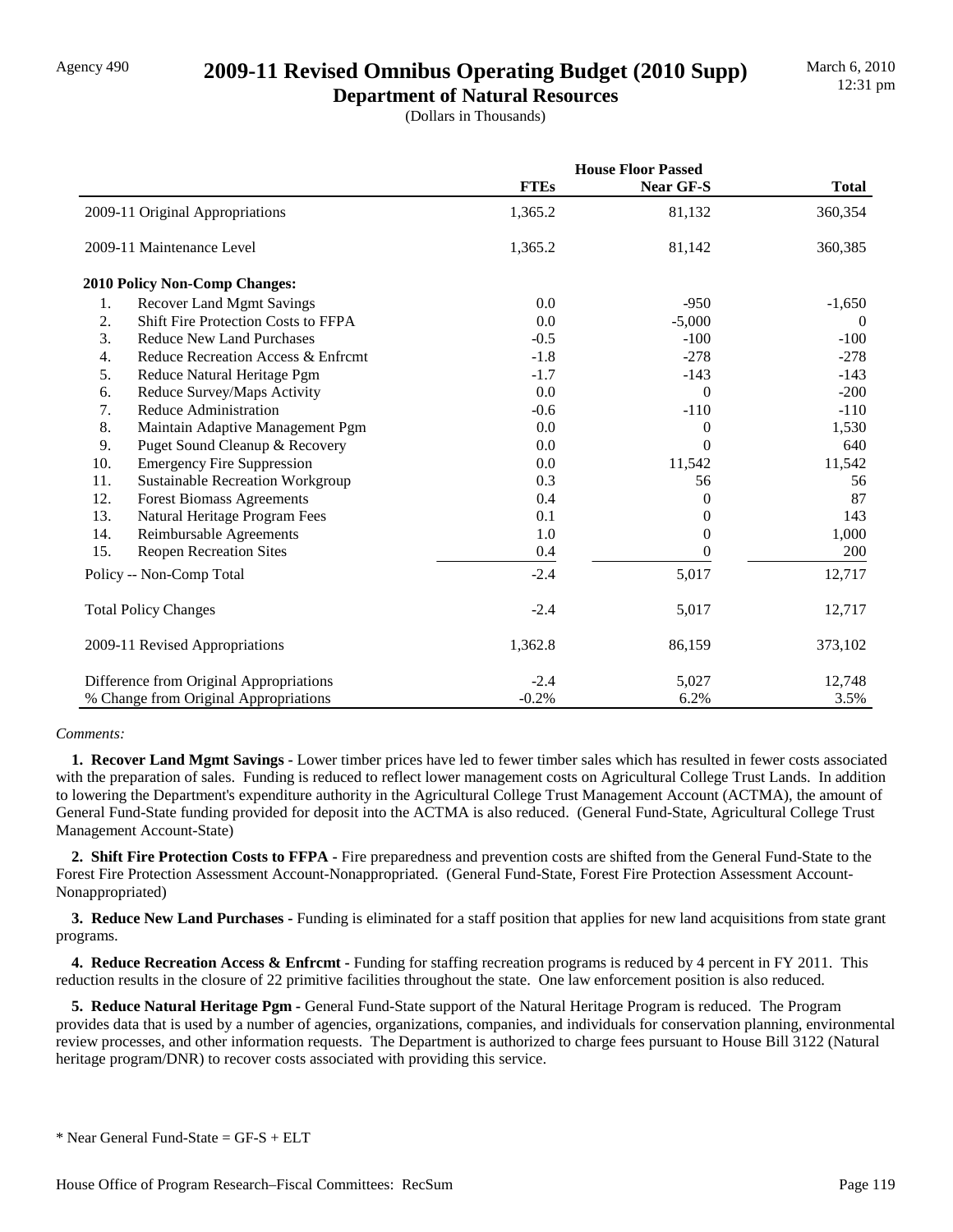## Agency 490 **2009-11 Revised Omnibus Operating Budget (2010 Supp)**

**Department of Natural Resources** (Dollars in Thousands)

|     |                                         |             | <b>House Floor Passed</b> |              |  |
|-----|-----------------------------------------|-------------|---------------------------|--------------|--|
|     |                                         | <b>FTEs</b> | Near GF-S                 | <b>Total</b> |  |
|     | 2009-11 Original Appropriations         | 1,365.2     | 81,132                    | 360,354      |  |
|     | 2009-11 Maintenance Level               | 1,365.2     | 81,142                    | 360,385      |  |
|     | 2010 Policy Non-Comp Changes:           |             |                           |              |  |
| 1.  | <b>Recover Land Mgmt Savings</b>        | 0.0         | $-950$                    | $-1,650$     |  |
| 2.  | Shift Fire Protection Costs to FFPA     | 0.0         | $-5,000$                  | $\theta$     |  |
| 3.  | <b>Reduce New Land Purchases</b>        | $-0.5$      | $-100$                    | $-100$       |  |
| 4.  | Reduce Recreation Access & Enfremt      | $-1.8$      | $-278$                    | $-278$       |  |
| 5.  | Reduce Natural Heritage Pgm             | $-1.7$      | $-143$                    | $-143$       |  |
| 6.  | Reduce Survey/Maps Activity             | 0.0         | $\overline{0}$            | $-200$       |  |
| 7.  | Reduce Administration                   | $-0.6$      | $-110$                    | $-110$       |  |
| 8.  | Maintain Adaptive Management Pgm        | 0.0         | $\boldsymbol{0}$          | 1,530        |  |
| 9.  | Puget Sound Cleanup & Recovery          | 0.0         | $\Omega$                  | 640          |  |
| 10. | <b>Emergency Fire Suppression</b>       | 0.0         | 11,542                    | 11,542       |  |
| 11. | <b>Sustainable Recreation Workgroup</b> | 0.3         | 56                        | 56           |  |
| 12. | <b>Forest Biomass Agreements</b>        | 0.4         | $\overline{0}$            | 87           |  |
| 13. | Natural Heritage Program Fees           | 0.1         | 0                         | 143          |  |
| 14. | Reimbursable Agreements                 | 1.0         | $\theta$                  | 1,000        |  |
| 15. | <b>Reopen Recreation Sites</b>          | 0.4         | $\theta$                  | 200          |  |
|     | Policy -- Non-Comp Total                | $-2.4$      | 5,017                     | 12,717       |  |
|     | <b>Total Policy Changes</b>             | $-2.4$      | 5,017                     | 12,717       |  |
|     | 2009-11 Revised Appropriations          | 1,362.8     | 86,159                    | 373,102      |  |
|     | Difference from Original Appropriations | $-2.4$      | 5,027                     | 12,748       |  |
|     | % Change from Original Appropriations   | $-0.2%$     | 6.2%                      | 3.5%         |  |

#### *Comments:*

 **1. Recover Land Mgmt Savings -** Lower timber prices have led to fewer timber sales which has resulted in fewer costs associated with the preparation of sales. Funding is reduced to reflect lower management costs on Agricultural College Trust Lands. In addition to lowering the Department's expenditure authority in the Agricultural College Trust Management Account (ACTMA), the amount of General Fund-State funding provided for deposit into the ACTMA is also reduced. (General Fund-State, Agricultural College Trust Management Account-State)

 **2. Shift Fire Protection Costs to FFPA -** Fire preparedness and prevention costs are shifted from the General Fund-State to the Forest Fire Protection Assessment Account-Nonappropriated. (General Fund-State, Forest Fire Protection Assessment Account-Nonappropriated)

 **3. Reduce New Land Purchases -** Funding is eliminated for a staff position that applies for new land acquisitions from state grant programs.

**4. Reduce Recreation Access & Enfrcmt -** Funding for staffing recreation programs is reduced by 4 percent in FY 2011. This reduction results in the closure of 22 primitive facilities throughout the state. One law enforcement position is also reduced.

 **5. Reduce Natural Heritage Pgm -** General Fund-State support of the Natural Heritage Program is reduced. The Program provides data that is used by a number of agencies, organizations, companies, and individuals for conservation planning, environmental review processes, and other information requests. The Department is authorized to charge fees pursuant to House Bill 3122 (Natural heritage program/DNR) to recover costs associated with providing this service.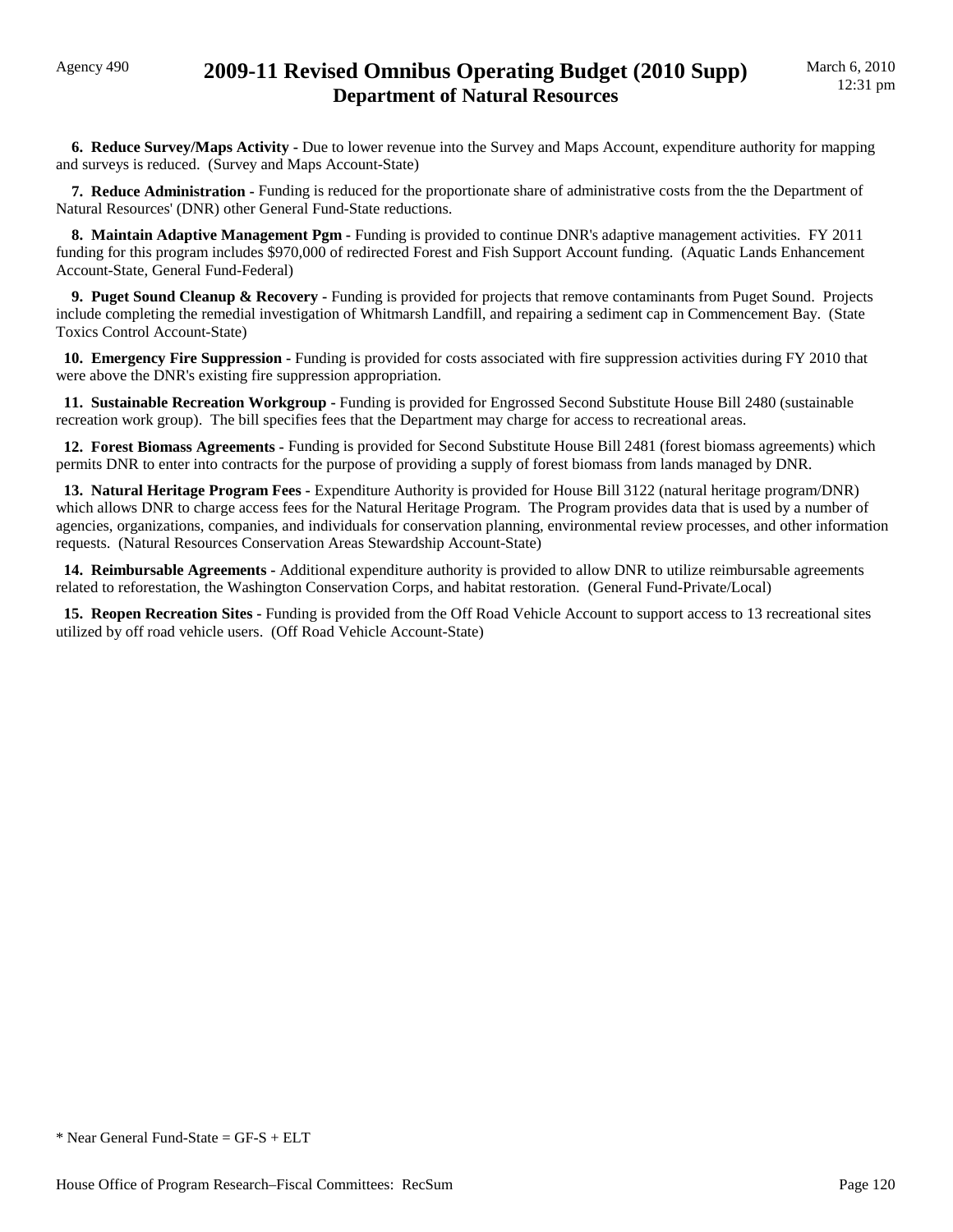**6. Reduce Survey/Maps Activity -** Due to lower revenue into the Survey and Maps Account, expenditure authority for mapping and surveys is reduced. (Survey and Maps Account-State)

 **7. Reduce Administration -** Funding is reduced for the proportionate share of administrative costs from the the Department of Natural Resources' (DNR) other General Fund-State reductions.

 **8. Maintain Adaptive Management Pgm -** Funding is provided to continue DNR's adaptive management activities. FY 2011 funding for this program includes \$970,000 of redirected Forest and Fish Support Account funding. (Aquatic Lands Enhancement Account-State, General Fund-Federal)

**9. Puget Sound Cleanup & Recovery -** Funding is provided for projects that remove contaminants from Puget Sound. Projects include completing the remedial investigation of Whitmarsh Landfill, and repairing a sediment cap in Commencement Bay. (State Toxics Control Account-State)

 **10. Emergency Fire Suppression -** Funding is provided for costs associated with fire suppression activities during FY 2010 that were above the DNR's existing fire suppression appropriation.

 **11. Sustainable Recreation Workgroup -** Funding is provided for Engrossed Second Substitute House Bill 2480 (sustainable recreation work group). The bill specifies fees that the Department may charge for access to recreational areas.

 **12. Forest Biomass Agreements -** Funding is provided for Second Substitute House Bill 2481 (forest biomass agreements) which permits DNR to enter into contracts for the purpose of providing a supply of forest biomass from lands managed by DNR.

 **13. Natural Heritage Program Fees -** Expenditure Authority is provided for House Bill 3122 (natural heritage program/DNR) which allows DNR to charge access fees for the Natural Heritage Program. The Program provides data that is used by a number of agencies, organizations, companies, and individuals for conservation planning, environmental review processes, and other information requests. (Natural Resources Conservation Areas Stewardship Account-State)

 **14. Reimbursable Agreements -** Additional expenditure authority is provided to allow DNR to utilize reimbursable agreements related to reforestation, the Washington Conservation Corps, and habitat restoration. (General Fund-Private/Local)

 **15. Reopen Recreation Sites -** Funding is provided from the Off Road Vehicle Account to support access to 13 recreational sites utilized by off road vehicle users. (Off Road Vehicle Account-State)

 $*$  Near General Fund-State = GF-S + ELT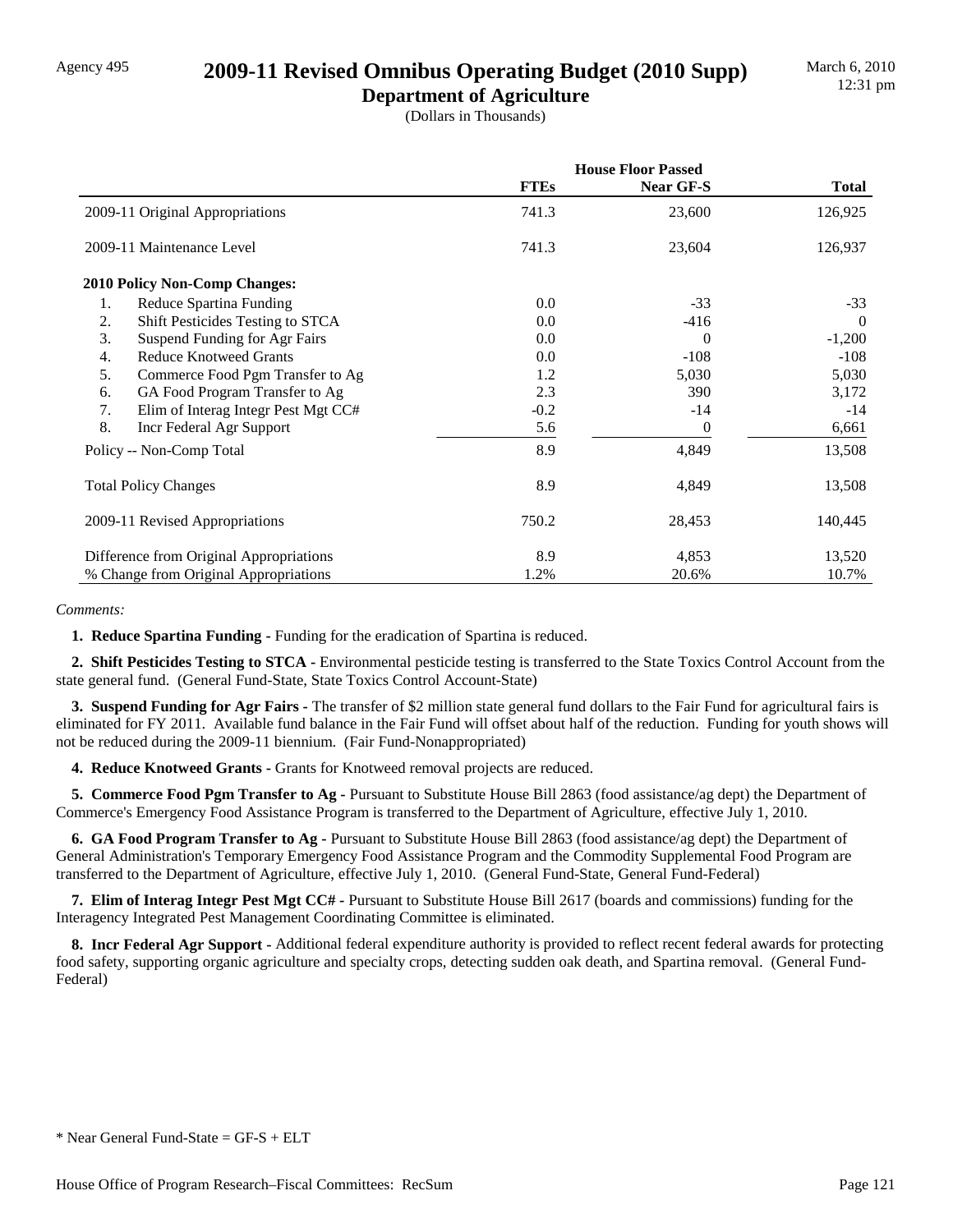## Agency 495 **2009-11 Revised Omnibus Operating Budget (2010 Supp)**

**Department of Agriculture** (Dollars in Thousands)

|                                           | <b>House Floor Passed</b> |           |              |
|-------------------------------------------|---------------------------|-----------|--------------|
|                                           | <b>FTEs</b>               | Near GF-S | <b>Total</b> |
| 2009-11 Original Appropriations           | 741.3                     | 23,600    | 126,925      |
| 2009-11 Maintenance Level                 | 741.3                     | 23,604    | 126,937      |
| <b>2010 Policy Non-Comp Changes:</b>      |                           |           |              |
| 1.<br>Reduce Spartina Funding             | 0.0                       | $-33$     | $-33$        |
| 2.<br>Shift Pesticides Testing to STCA    | $0.0\,$                   | $-416$    | $\Omega$     |
| Suspend Funding for Agr Fairs<br>3.       | 0.0                       | $\Omega$  | $-1,200$     |
| <b>Reduce Knotweed Grants</b><br>4.       | $0.0\,$                   | $-108$    | $-108$       |
| 5.<br>Commerce Food Pgm Transfer to Ag    | 1.2                       | 5,030     | 5,030        |
| GA Food Program Transfer to Ag<br>6.      | 2.3                       | 390       | 3,172        |
| 7.<br>Elim of Interag Integr Pest Mgt CC# | $-0.2$                    | $-14$     | $-14$        |
| 8.<br>Incr Federal Agr Support            | 5.6                       | $\theta$  | 6,661        |
| Policy -- Non-Comp Total                  | 8.9                       | 4,849     | 13,508       |
| <b>Total Policy Changes</b>               | 8.9                       | 4,849     | 13,508       |
| 2009-11 Revised Appropriations            | 750.2                     | 28,453    | 140,445      |
| Difference from Original Appropriations   | 8.9                       | 4,853     | 13,520       |
| % Change from Original Appropriations     | 1.2%                      | 20.6%     | 10.7%        |

#### *Comments:*

 **1. Reduce Spartina Funding -** Funding for the eradication of Spartina is reduced.

 **2. Shift Pesticides Testing to STCA -** Environmental pesticide testing is transferred to the State Toxics Control Account from the state general fund. (General Fund-State, State Toxics Control Account-State)

 **3. Suspend Funding for Agr Fairs -** The transfer of \$2 million state general fund dollars to the Fair Fund for agricultural fairs is eliminated for FY 2011. Available fund balance in the Fair Fund will offset about half of the reduction. Funding for youth shows will not be reduced during the 2009-11 biennium. (Fair Fund-Nonappropriated)

**4. Reduce Knotweed Grants - Grants for Knotweed removal projects are reduced.** 

 **5. Commerce Food Pgm Transfer to Ag -** Pursuant to Substitute House Bill 2863 (food assistance/ag dept) the Department of Commerce's Emergency Food Assistance Program is transferred to the Department of Agriculture, effective July 1, 2010.

 **6. GA Food Program Transfer to Ag -** Pursuant to Substitute House Bill 2863 (food assistance/ag dept) the Department of General Administration's Temporary Emergency Food Assistance Program and the Commodity Supplemental Food Program are transferred to the Department of Agriculture, effective July 1, 2010. (General Fund-State, General Fund-Federal)

 **7. Elim of Interag Integr Pest Mgt CC# -** Pursuant to Substitute House Bill 2617 (boards and commissions) funding for the Interagency Integrated Pest Management Coordinating Committee is eliminated.

 **8. Incr Federal Agr Support -** Additional federal expenditure authority is provided to reflect recent federal awards for protecting food safety, supporting organic agriculture and specialty crops, detecting sudden oak death, and Spartina removal. (General Fund-Federal)

<sup>\*</sup> Near General Fund-State = GF-S + ELT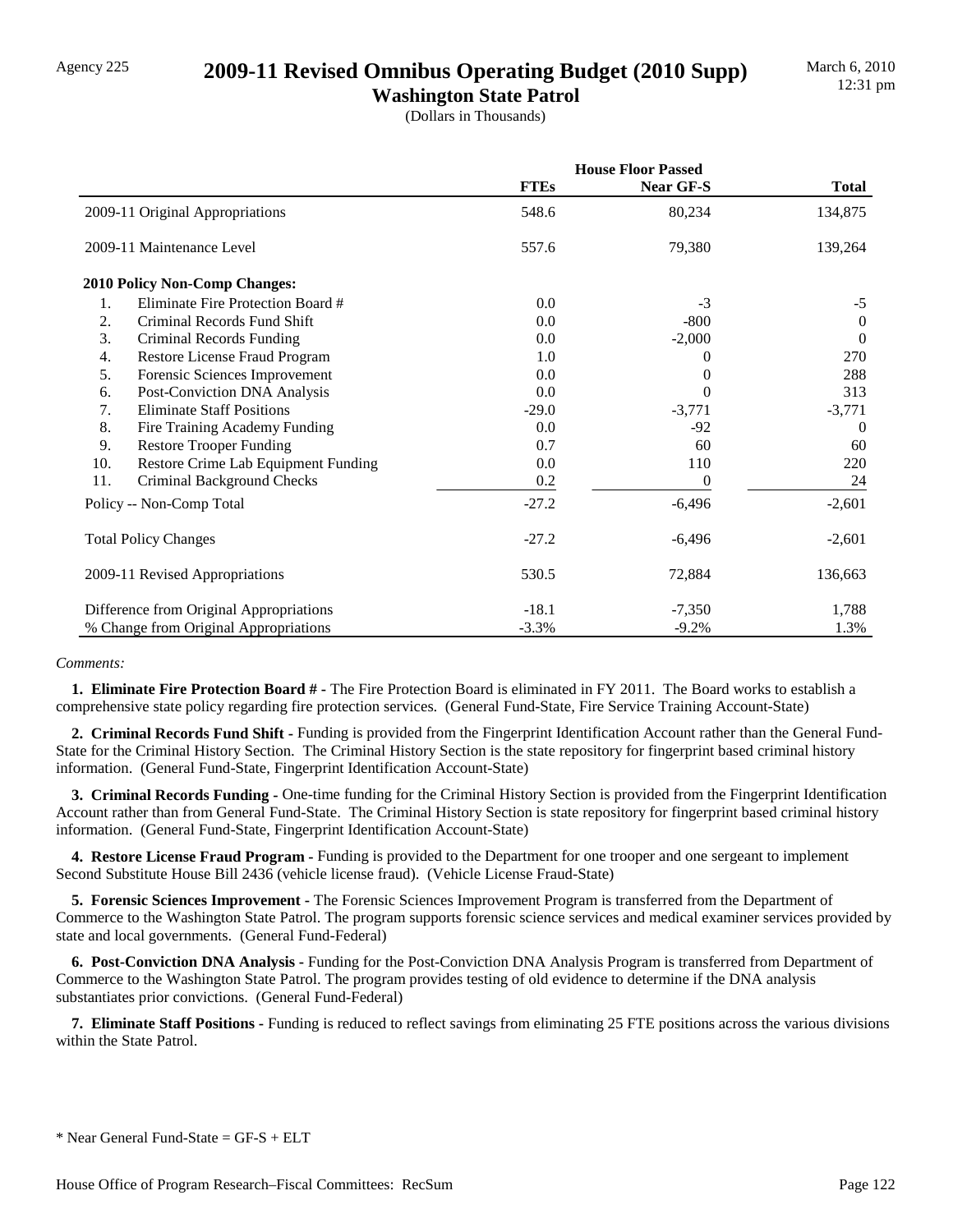### Agency 225 **2009-11 Revised Omnibus Operating Budget (2010 Supp)**

**Washington State Patrol** (Dollars in Thousands)

|     |                                         | <b>House Floor Passed</b> |                  |              |
|-----|-----------------------------------------|---------------------------|------------------|--------------|
|     |                                         | <b>FTEs</b>               | <b>Near GF-S</b> | <b>Total</b> |
|     | 2009-11 Original Appropriations         | 548.6                     | 80,234           | 134,875      |
|     | 2009-11 Maintenance Level               | 557.6                     | 79,380           | 139,264      |
|     | 2010 Policy Non-Comp Changes:           |                           |                  |              |
| 1.  | Eliminate Fire Protection Board #       | 0.0                       | $-3$             | $-5$         |
| 2.  | Criminal Records Fund Shift             | 0.0                       | $-800$           | $\Omega$     |
| 3.  | Criminal Records Funding                | 0.0                       | $-2,000$         | $\theta$     |
| 4.  | Restore License Fraud Program           | 1.0                       | 0                | 270          |
| 5.  | Forensic Sciences Improvement           | 0.0                       | 0                | 288          |
| 6.  | Post-Conviction DNA Analysis            | 0.0                       | 0                | 313          |
| 7.  | <b>Eliminate Staff Positions</b>        | $-29.0$                   | $-3,771$         | $-3,771$     |
| 8.  | Fire Training Academy Funding           | 0.0                       | $-92$            | $\Omega$     |
| 9.  | <b>Restore Trooper Funding</b>          | 0.7                       | 60               | 60           |
| 10. | Restore Crime Lab Equipment Funding     | 0.0                       | 110              | 220          |
| 11. | Criminal Background Checks              | 0.2                       | 0                | 24           |
|     | Policy -- Non-Comp Total                | $-27.2$                   | $-6,496$         | $-2,601$     |
|     | <b>Total Policy Changes</b>             | $-27.2$                   | $-6,496$         | $-2,601$     |
|     | 2009-11 Revised Appropriations          | 530.5                     | 72,884           | 136,663      |
|     | Difference from Original Appropriations | $-18.1$                   | $-7,350$         | 1,788        |
|     | % Change from Original Appropriations   | $-3.3%$                   | $-9.2%$          | 1.3%         |

#### *Comments:*

 **1. Eliminate Fire Protection Board # -** The Fire Protection Board is eliminated in FY 2011. The Board works to establish a comprehensive state policy regarding fire protection services. (General Fund-State, Fire Service Training Account-State)

 **2. Criminal Records Fund Shift -** Funding is provided from the Fingerprint Identification Account rather than the General Fund-State for the Criminal History Section. The Criminal History Section is the state repository for fingerprint based criminal history information. (General Fund-State, Fingerprint Identification Account-State)

 **3. Criminal Records Funding -** One-time funding for the Criminal History Section is provided from the Fingerprint Identification Account rather than from General Fund-State. The Criminal History Section is state repository for fingerprint based criminal history information. (General Fund-State, Fingerprint Identification Account-State)

 **4. Restore License Fraud Program -** Funding is provided to the Department for one trooper and one sergeant to implement Second Substitute House Bill 2436 (vehicle license fraud). (Vehicle License Fraud-State)

 **5. Forensic Sciences Improvement -** The Forensic Sciences Improvement Program is transferred from the Department of Commerce to the Washington State Patrol. The program supports forensic science services and medical examiner services provided by state and local governments. (General Fund-Federal)

 **6. Post-Conviction DNA Analysis -** Funding for the Post-Conviction DNA Analysis Program is transferred from Department of Commerce to the Washington State Patrol. The program provides testing of old evidence to determine if the DNA analysis substantiates prior convictions. (General Fund-Federal)

 **7. Eliminate Staff Positions -** Funding is reduced to reflect savings from eliminating 25 FTE positions across the various divisions within the State Patrol.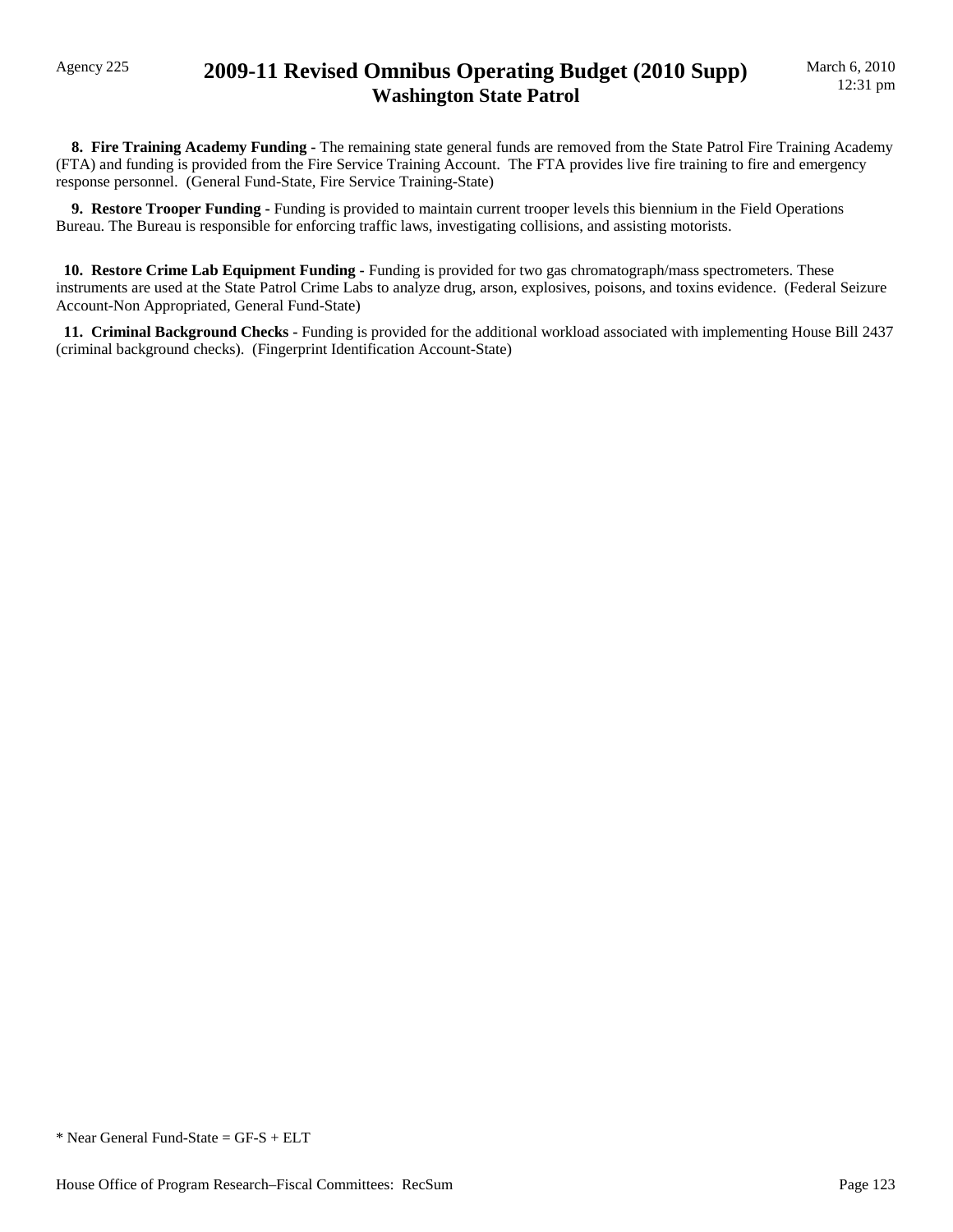### Agency 225 **2009-11 Revised Omnibus Operating Budget (2010 Supp) Washington State Patrol**

 **8. Fire Training Academy Funding -** The remaining state general funds are removed from the State Patrol Fire Training Academy (FTA) and funding is provided from the Fire Service Training Account. The FTA provides live fire training to fire and emergency response personnel. (General Fund-State, Fire Service Training-State)

 **9. Restore Trooper Funding -** Funding is provided to maintain current trooper levels this biennium in the Field Operations Bureau. The Bureau is responsible for enforcing traffic laws, investigating collisions, and assisting motorists.

 **10. Restore Crime Lab Equipment Funding -** Funding is provided for two gas chromatograph/mass spectrometers. These instruments are used at the State Patrol Crime Labs to analyze drug, arson, explosives, poisons, and toxins evidence. (Federal Seizure Account-Non Appropriated, General Fund-State)

 **11. Criminal Background Checks -** Funding is provided for the additional workload associated with implementing House Bill 2437 (criminal background checks). (Fingerprint Identification Account-State)

\* Near General Fund-State = GF-S + ELT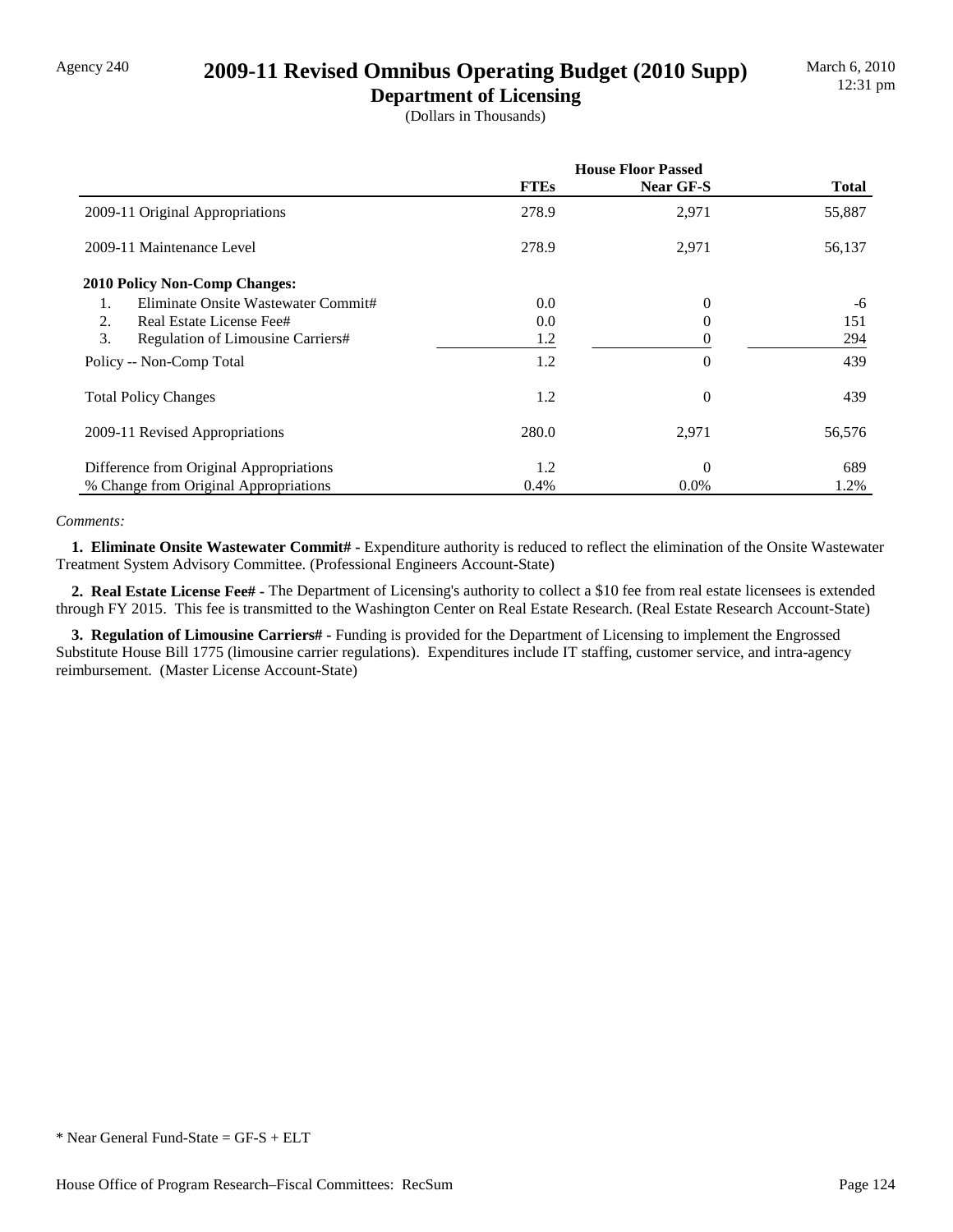## Agency 240 **2009-11 Revised Omnibus Operating Budget (2010 Supp)**

**Department of Licensing** (Dollars in Thousands)

|                                         | <b>House Floor Passed</b> |           |              |  |
|-----------------------------------------|---------------------------|-----------|--------------|--|
|                                         | <b>FTEs</b>               | Near GF-S | <b>Total</b> |  |
| 2009-11 Original Appropriations         | 278.9                     | 2,971     | 55,887       |  |
| 2009-11 Maintenance Level               | 278.9                     | 2,971     | 56,137       |  |
| <b>2010 Policy Non-Comp Changes:</b>    |                           |           |              |  |
| Eliminate Onsite Wastewater Commit#     | 0.0                       | 0         | -6           |  |
| 2.<br>Real Estate License Fee#          | 0.0                       | 0         | 151          |  |
| 3.<br>Regulation of Limousine Carriers# | 1.2                       |           | 294          |  |
| Policy -- Non-Comp Total                | 1.2                       | $\theta$  | 439          |  |
| <b>Total Policy Changes</b>             | 1.2                       | $\theta$  | 439          |  |
| 2009-11 Revised Appropriations          | 280.0                     | 2,971     | 56,576       |  |
| Difference from Original Appropriations | 1.2                       | 0         | 689          |  |
| % Change from Original Appropriations   | 0.4%                      | $0.0\%$   | 1.2%         |  |

#### *Comments:*

 **1. Eliminate Onsite Wastewater Commit# -** Expenditure authority is reduced to reflect the elimination of the Onsite Wastewater Treatment System Advisory Committee. (Professional Engineers Account-State)

 **2. Real Estate License Fee# -** The Department of Licensing's authority to collect a \$10 fee from real estate licensees is extended through FY 2015. This fee is transmitted to the Washington Center on Real Estate Research. (Real Estate Research Account-State)

 **3. Regulation of Limousine Carriers# -** Funding is provided for the Department of Licensing to implement the Engrossed Substitute House Bill 1775 (limousine carrier regulations). Expenditures include IT staffing, customer service, and intra-agency reimbursement. (Master License Account-State)

<sup>\*</sup> Near General Fund-State = GF-S + ELT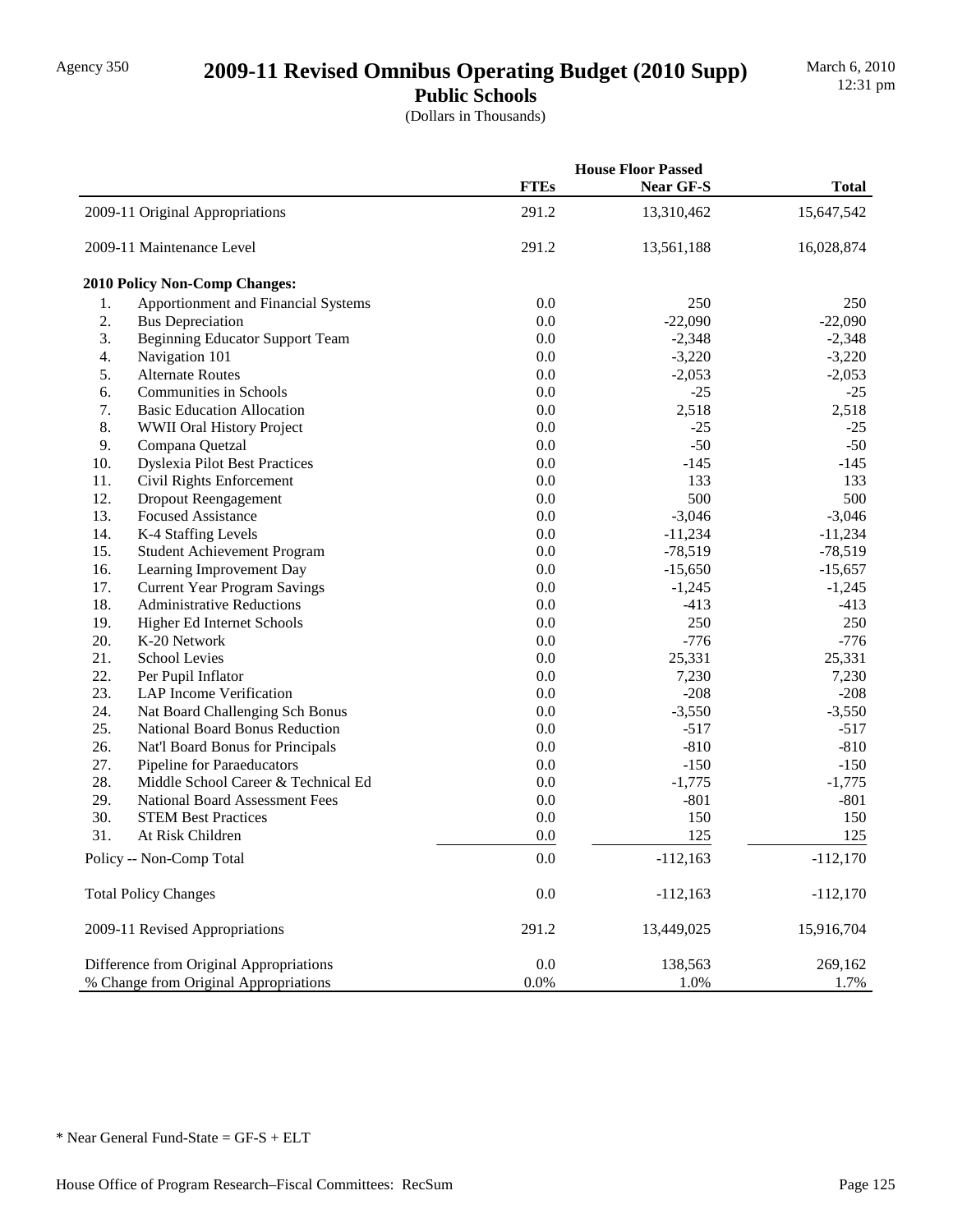## Agency 350 **2009-11 Revised Omnibus Operating Budget (2010 Supp)**

**Public Schools** (Dollars in Thousands)

|     |                                         | <b>House Floor Passed</b> |            |              |
|-----|-----------------------------------------|---------------------------|------------|--------------|
|     |                                         | <b>FTEs</b>               | Near GF-S  | <b>Total</b> |
|     | 2009-11 Original Appropriations         | 291.2                     | 13,310,462 | 15,647,542   |
|     | 2009-11 Maintenance Level               | 291.2                     | 13,561,188 | 16,028,874   |
|     | 2010 Policy Non-Comp Changes:           |                           |            |              |
| 1.  | Apportionment and Financial Systems     | 0.0                       | 250        | 250          |
| 2.  | <b>Bus Depreciation</b>                 | 0.0                       | $-22,090$  | $-22,090$    |
| 3.  | <b>Beginning Educator Support Team</b>  | 0.0                       | $-2,348$   | $-2,348$     |
| 4.  | Navigation 101                          | 0.0                       | $-3,220$   | $-3,220$     |
| 5.  | <b>Alternate Routes</b>                 | 0.0                       | $-2,053$   | $-2,053$     |
| 6.  | <b>Communities in Schools</b>           | 0.0                       | $-25$      | $-25$        |
| 7.  | <b>Basic Education Allocation</b>       | 0.0                       | 2,518      | 2,518        |
| 8.  | WWII Oral History Project               | 0.0                       | $-25$      | $-25$        |
| 9.  | Compana Quetzal                         | 0.0                       | $-50$      | $-50$        |
| 10. | <b>Dyslexia Pilot Best Practices</b>    | 0.0                       | $-145$     | $-145$       |
| 11. | Civil Rights Enforcement                | 0.0                       | 133        | 133          |
| 12. | Dropout Reengagement                    | 0.0                       | 500        | 500          |
| 13. | <b>Focused Assistance</b>               | 0.0                       | $-3,046$   | $-3,046$     |
| 14. | K-4 Staffing Levels                     | 0.0                       | $-11,234$  | $-11,234$    |
| 15. | Student Achievement Program             | 0.0                       | $-78,519$  | $-78,519$    |
| 16. | Learning Improvement Day                | 0.0                       | $-15,650$  | $-15,657$    |
| 17. | <b>Current Year Program Savings</b>     | 0.0                       | $-1,245$   | $-1,245$     |
| 18. | <b>Administrative Reductions</b>        | 0.0                       | $-413$     | $-413$       |
| 19. | Higher Ed Internet Schools              | 0.0                       | 250        | 250          |
| 20. | K-20 Network                            | 0.0                       | $-776$     | $-776$       |
| 21. | School Levies                           | 0.0                       | 25,331     | 25,331       |
| 22. | Per Pupil Inflator                      | 0.0                       | 7,230      | 7,230        |
| 23. | LAP Income Verification                 | 0.0                       | $-208$     | $-208$       |
| 24. | Nat Board Challenging Sch Bonus         | 0.0                       | $-3,550$   | $-3,550$     |
| 25. | National Board Bonus Reduction          | 0.0                       | $-517$     | $-517$       |
| 26. | Nat'l Board Bonus for Principals        | 0.0                       | $-810$     | $-810$       |
| 27. | Pipeline for Paraeducators              | 0.0                       | $-150$     | $-150$       |
| 28. | Middle School Career & Technical Ed     | 0.0                       | $-1,775$   | $-1,775$     |
| 29. | <b>National Board Assessment Fees</b>   | 0.0                       | $-801$     | $-801$       |
| 30. | <b>STEM Best Practices</b>              | 0.0                       | 150        | 150          |
| 31. | At Risk Children                        | 0.0                       | 125        | 125          |
|     | Policy -- Non-Comp Total                | 0.0                       | $-112,163$ | $-112,170$   |
|     | <b>Total Policy Changes</b>             | 0.0                       | $-112,163$ | $-112,170$   |
|     | 2009-11 Revised Appropriations          | 291.2                     | 13,449,025 | 15,916,704   |
|     | Difference from Original Appropriations | 0.0                       | 138,563    | 269,162      |
|     | % Change from Original Appropriations   | 0.0%                      | 1.0%       | 1.7%         |
|     |                                         |                           |            |              |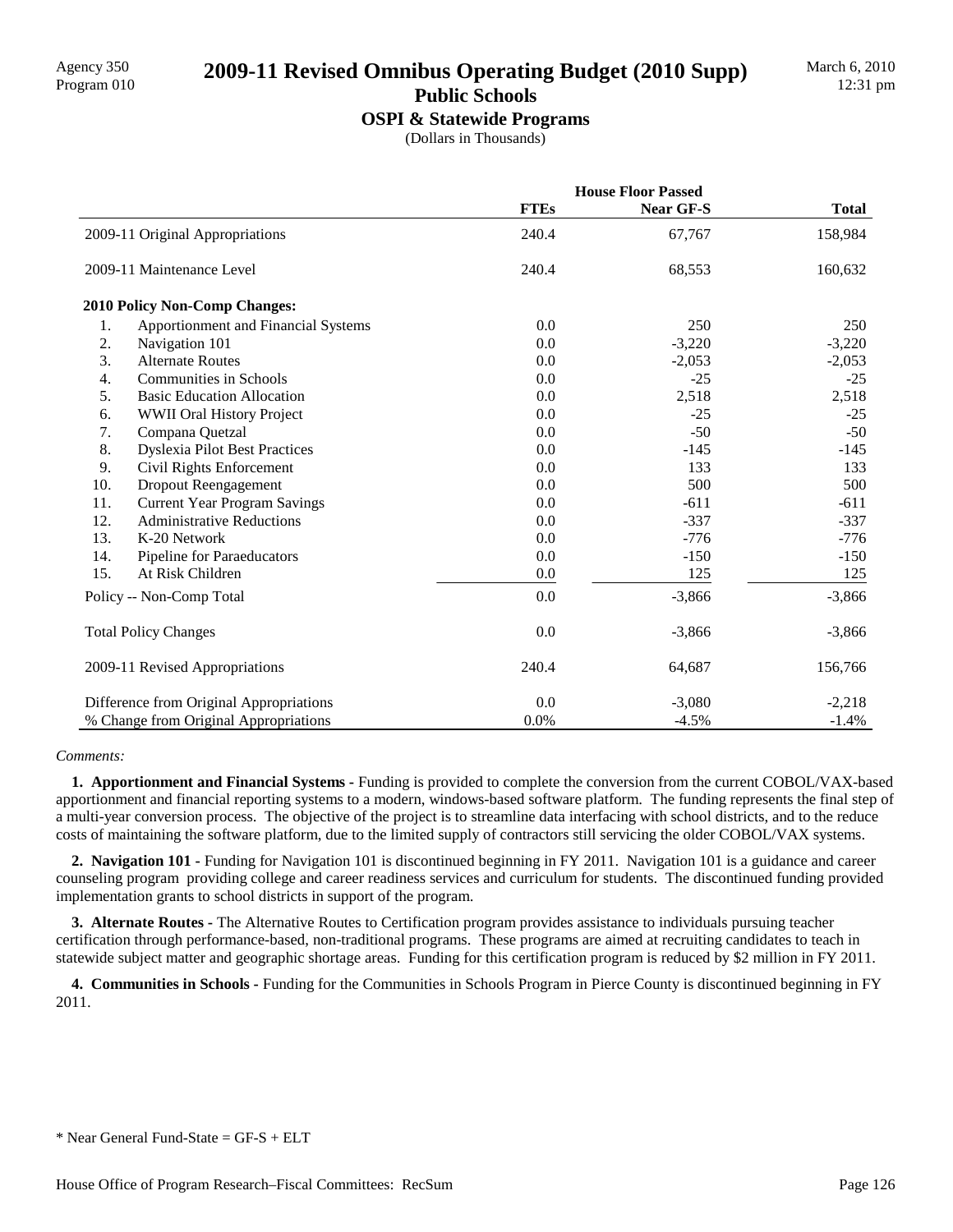# Agency 350 **2009-11 Revised Omnibus Operating Budget (2010 Supp)** Program 010

### **Public Schools**

**OSPI & Statewide Programs**

(Dollars in Thousands)

|     |                                         | <b>House Floor Passed</b> |           |              |  |
|-----|-----------------------------------------|---------------------------|-----------|--------------|--|
|     |                                         | <b>FTEs</b>               | Near GF-S | <b>Total</b> |  |
|     | 2009-11 Original Appropriations         | 240.4                     | 67,767    | 158,984      |  |
|     | 2009-11 Maintenance Level               | 240.4                     | 68,553    | 160,632      |  |
|     | <b>2010 Policy Non-Comp Changes:</b>    |                           |           |              |  |
| 1.  | Apportionment and Financial Systems     | 0.0                       | 250       | 250          |  |
| 2.  | Navigation 101                          | 0.0                       | $-3,220$  | $-3,220$     |  |
| 3.  | <b>Alternate Routes</b>                 | 0.0                       | $-2,053$  | $-2,053$     |  |
| 4.  | <b>Communities in Schools</b>           | 0.0                       | $-25$     | $-25$        |  |
| 5.  | <b>Basic Education Allocation</b>       | 0.0                       | 2,518     | 2,518        |  |
| 6.  | WWII Oral History Project               | 0.0                       | $-25$     | $-25$        |  |
| 7.  | Compana Quetzal                         | 0.0                       | $-50$     | $-50$        |  |
| 8.  | <b>Dyslexia Pilot Best Practices</b>    | 0.0                       | $-145$    | $-145$       |  |
| 9.  | Civil Rights Enforcement                | 0.0                       | 133       | 133          |  |
| 10. | Dropout Reengagement                    | 0.0                       | 500       | 500          |  |
| 11. | <b>Current Year Program Savings</b>     | 0.0                       | $-611$    | $-611$       |  |
| 12. | <b>Administrative Reductions</b>        | 0.0                       | $-337$    | $-337$       |  |
| 13. | K-20 Network                            | 0.0                       | $-776$    | $-776$       |  |
| 14. | Pipeline for Paraeducators              | 0.0                       | $-150$    | $-150$       |  |
| 15. | At Risk Children                        | 0.0                       | 125       | 125          |  |
|     | Policy -- Non-Comp Total                | 0.0                       | $-3,866$  | $-3,866$     |  |
|     | <b>Total Policy Changes</b>             | 0.0                       | $-3,866$  | $-3,866$     |  |
|     | 2009-11 Revised Appropriations          | 240.4                     | 64,687    | 156,766      |  |
|     | Difference from Original Appropriations | 0.0                       | $-3,080$  | $-2,218$     |  |
|     | % Change from Original Appropriations   | 0.0%                      | $-4.5%$   | $-1.4%$      |  |

#### *Comments:*

 **1. Apportionment and Financial Systems -** Funding is provided to complete the conversion from the current COBOL/VAX-based apportionment and financial reporting systems to a modern, windows-based software platform. The funding represents the final step of a multi-year conversion process. The objective of the project is to streamline data interfacing with school districts, and to the reduce costs of maintaining the software platform, due to the limited supply of contractors still servicing the older COBOL/VAX systems.

 **2. Navigation 101 -** Funding for Navigation 101 is discontinued beginning in FY 2011. Navigation 101 is a guidance and career counseling program providing college and career readiness services and curriculum for students. The discontinued funding provided implementation grants to school districts in support of the program.

 **3. Alternate Routes -** The Alternative Routes to Certification program provides assistance to individuals pursuing teacher certification through performance-based, non-traditional programs. These programs are aimed at recruiting candidates to teach in statewide subject matter and geographic shortage areas. Funding for this certification program is reduced by \$2 million in FY 2011.

 **4. Communities in Schools -** Funding for the Communities in Schools Program in Pierce County is discontinued beginning in FY 2011.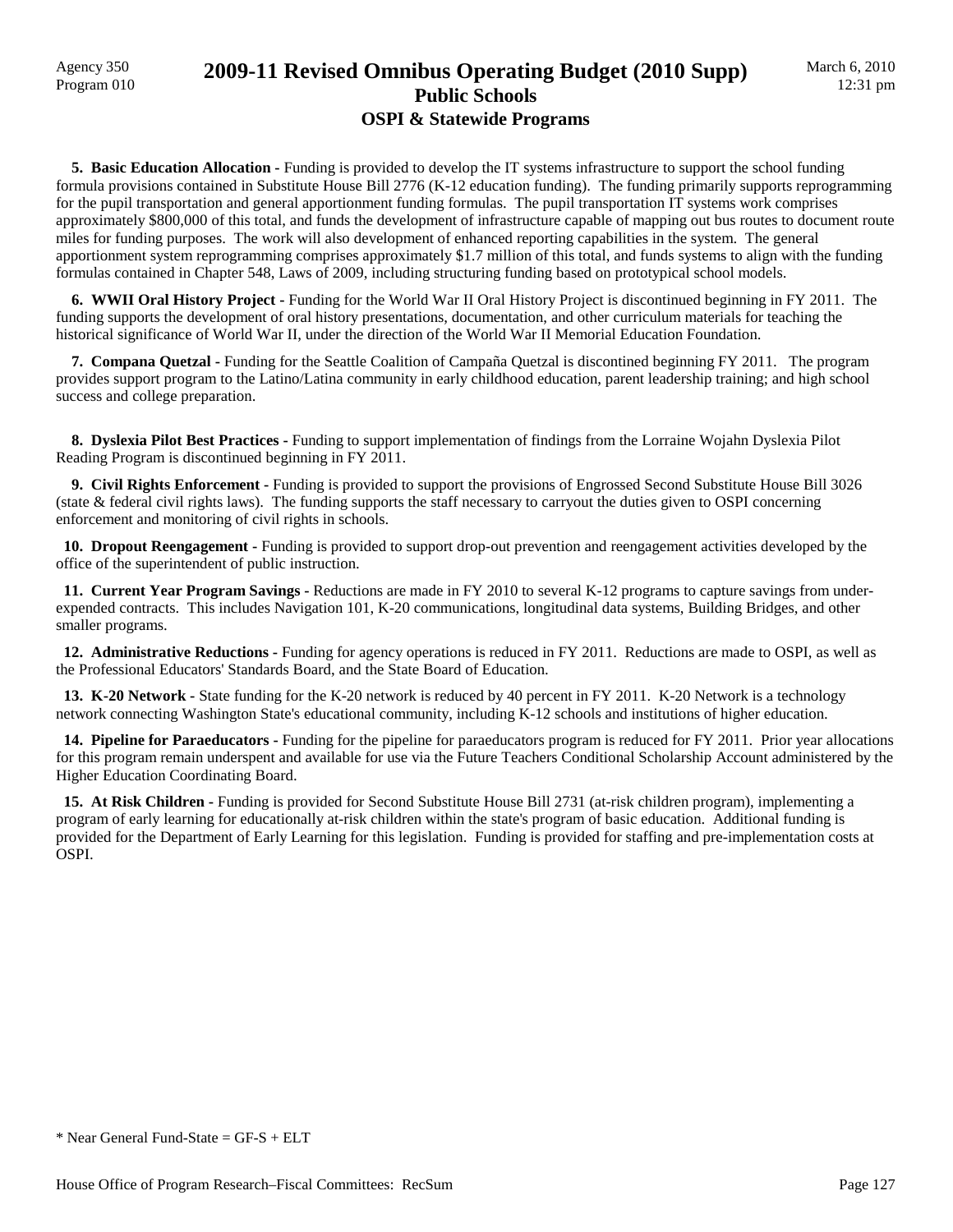### Agency 350 **2009-11 Revised Omnibus Operating Budget (2010 Supp)** Program 010 **Public Schools OSPI & Statewide Programs**

 **5. Basic Education Allocation -** Funding is provided to develop the IT systems infrastructure to support the school funding formula provisions contained in Substitute House Bill 2776 (K-12 education funding). The funding primarily supports reprogramming for the pupil transportation and general apportionment funding formulas. The pupil transportation IT systems work comprises approximately \$800,000 of this total, and funds the development of infrastructure capable of mapping out bus routes to document route miles for funding purposes. The work will also development of enhanced reporting capabilities in the system. The general apportionment system reprogramming comprises approximately \$1.7 million of this total, and funds systems to align with the funding formulas contained in Chapter 548, Laws of 2009, including structuring funding based on prototypical school models.

**6. WWII Oral History Project - Funding for the World War II Oral History Project is discontinued beginning in FY 2011. The** funding supports the development of oral history presentations, documentation, and other curriculum materials for teaching the historical significance of World War II, under the direction of the World War II Memorial Education Foundation.

 **7. Compana Quetzal -** Funding for the Seattle Coalition of Campaña Quetzal is discontined beginning FY 2011. The program provides support program to the Latino/Latina community in early childhood education, parent leadership training; and high school success and college preparation.

 **8. Dyslexia Pilot Best Practices -** Funding to support implementation of findings from the Lorraine Wojahn Dyslexia Pilot Reading Program is discontinued beginning in FY 2011.

 **9. Civil Rights Enforcement -** Funding is provided to support the provisions of Engrossed Second Substitute House Bill 3026 (state & federal civil rights laws). The funding supports the staff necessary to carryout the duties given to OSPI concerning enforcement and monitoring of civil rights in schools.

 **10. Dropout Reengagement -** Funding is provided to support drop-out prevention and reengagement activities developed by the office of the superintendent of public instruction.

 **11. Current Year Program Savings -** Reductions are made in FY 2010 to several K-12 programs to capture savings from underexpended contracts. This includes Navigation 101, K-20 communications, longitudinal data systems, Building Bridges, and other smaller programs.

 **12. Administrative Reductions -** Funding for agency operations is reduced in FY 2011. Reductions are made to OSPI, as well as the Professional Educators' Standards Board, and the State Board of Education.

**13. K-20 Network -** State funding for the K-20 network is reduced by 40 percent in FY 2011. K-20 Network is a technology network connecting Washington State's educational community, including K-12 schools and institutions of higher education.

 **14. Pipeline for Paraeducators -** Funding for the pipeline for paraeducators program is reduced for FY 2011. Prior year allocations for this program remain underspent and available for use via the Future Teachers Conditional Scholarship Account administered by the Higher Education Coordinating Board.

 **15. At Risk Children -** Funding is provided for Second Substitute House Bill 2731 (at-risk children program), implementing a program of early learning for educationally at-risk children within the state's program of basic education. Additional funding is provided for the Department of Early Learning for this legislation. Funding is provided for staffing and pre-implementation costs at OSPI.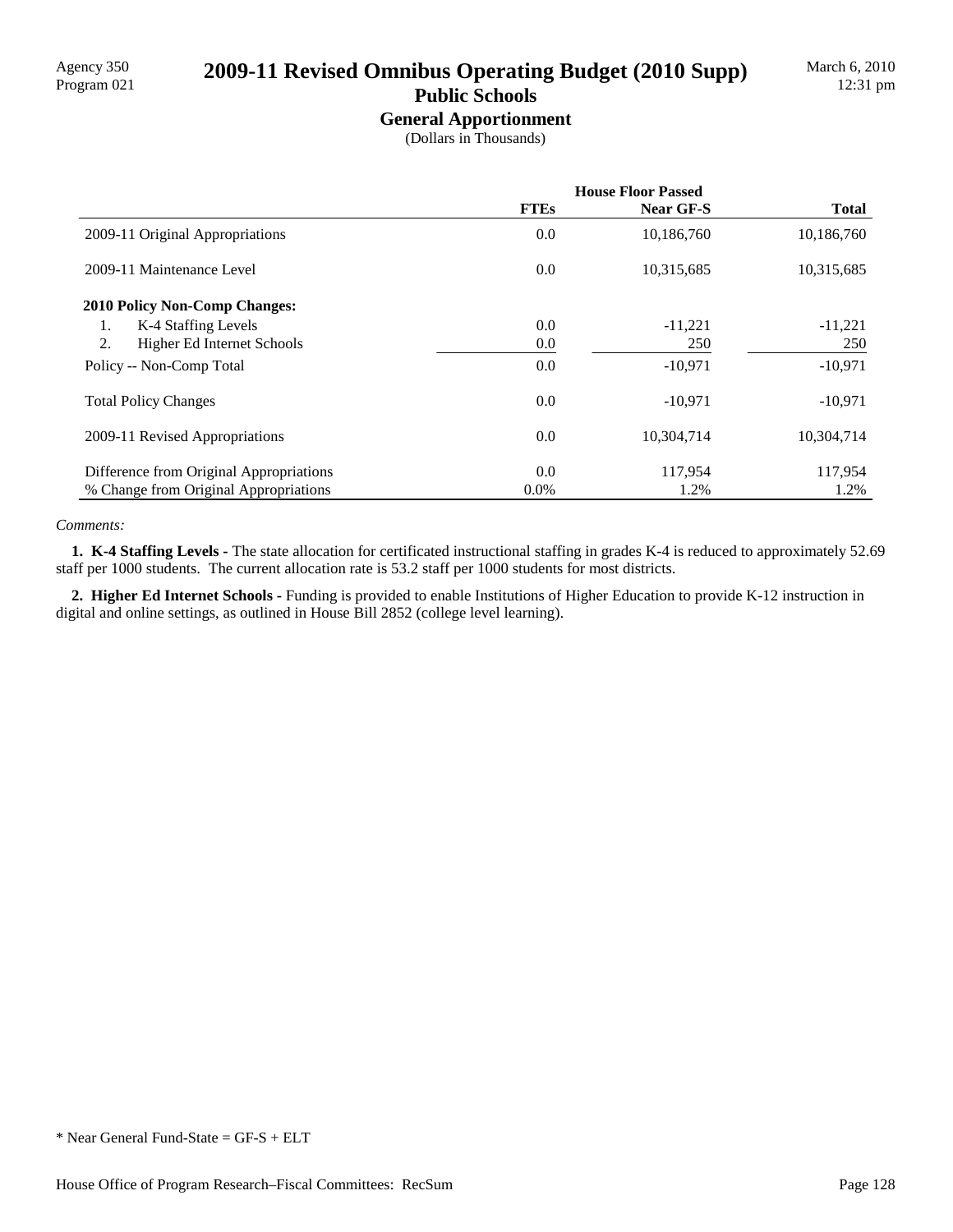# Agency 350<br>Program 021 **2009-11 Revised Omnibus Operating Budget (2010 Supp)**

## **Public Schools**

**General Apportionment** (Dollars in Thousands)

|                                         | <b>House Floor Passed</b> |            |              |  |
|-----------------------------------------|---------------------------|------------|--------------|--|
|                                         | <b>FTEs</b>               | Near GF-S  | <b>Total</b> |  |
| 2009-11 Original Appropriations         | 0.0                       | 10,186,760 | 10,186,760   |  |
| 2009-11 Maintenance Level               | 0.0                       | 10,315,685 | 10,315,685   |  |
| <b>2010 Policy Non-Comp Changes:</b>    |                           |            |              |  |
| K-4 Staffing Levels<br>1.               | 0.0                       | $-11,221$  | $-11,221$    |  |
| 2.<br>Higher Ed Internet Schools        | 0.0                       | 250        | 250          |  |
| Policy -- Non-Comp Total                | 0.0                       | $-10,971$  | $-10,971$    |  |
| <b>Total Policy Changes</b>             | 0.0                       | $-10,971$  | $-10,971$    |  |
| 2009-11 Revised Appropriations          | 0.0                       | 10,304,714 | 10,304,714   |  |
| Difference from Original Appropriations | 0.0                       | 117,954    | 117,954      |  |
| % Change from Original Appropriations   | $0.0\%$                   | 1.2%       | 1.2%         |  |

#### *Comments:*

 **1. K-4 Staffing Levels -** The state allocation for certificated instructional staffing in grades K-4 is reduced to approximately 52.69 staff per 1000 students. The current allocation rate is 53.2 staff per 1000 students for most districts.

 **2. Higher Ed Internet Schools -** Funding is provided to enable Institutions of Higher Education to provide K-12 instruction in digital and online settings, as outlined in House Bill 2852 (college level learning).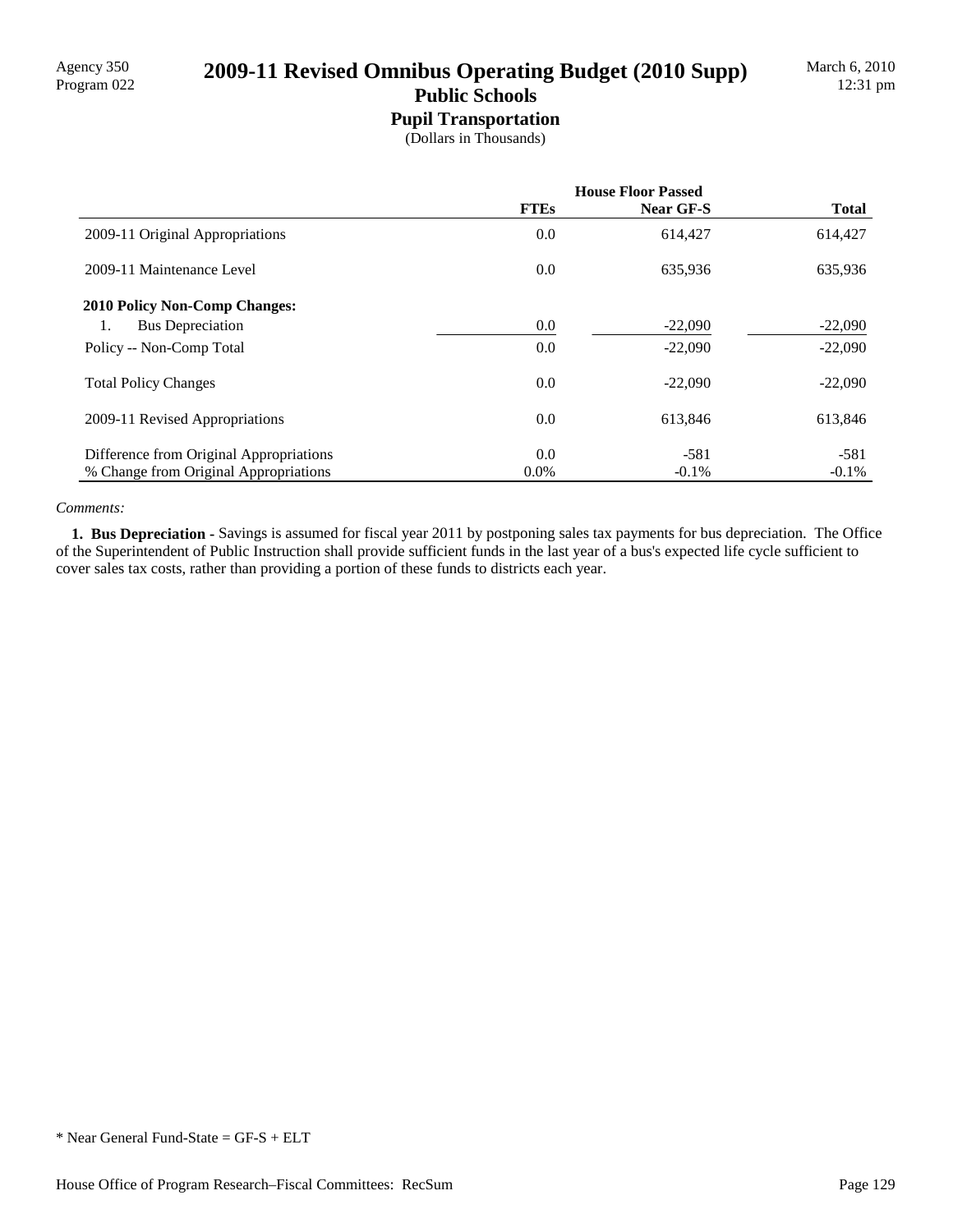# Agency 350<br>Program 022 **2009-11 Revised Omnibus Operating Budget (2010 Supp)**

### **Public Schools Pupil Transportation**

(Dollars in Thousands)

|                                         | <b>House Floor Passed</b> |           |              |
|-----------------------------------------|---------------------------|-----------|--------------|
|                                         | <b>FTEs</b>               | Near GF-S | <b>Total</b> |
| 2009-11 Original Appropriations         | $0.0\,$                   | 614,427   | 614,427      |
| 2009-11 Maintenance Level               | 0.0                       | 635,936   | 635,936      |
| <b>2010 Policy Non-Comp Changes:</b>    |                           |           |              |
| <b>Bus Depreciation</b><br>1.           | 0.0                       | $-22,090$ | $-22,090$    |
| Policy -- Non-Comp Total                | 0.0                       | $-22,090$ | $-22,090$    |
| <b>Total Policy Changes</b>             | 0.0                       | $-22.090$ | $-22,090$    |
| 2009-11 Revised Appropriations          | 0.0                       | 613,846   | 613,846      |
| Difference from Original Appropriations | 0.0                       | $-581$    | $-581$       |
| % Change from Original Appropriations   | $0.0\%$                   | $-0.1\%$  | $-0.1\%$     |

#### *Comments:*

 **1. Bus Depreciation -** Savings is assumed for fiscal year 2011 by postponing sales tax payments for bus depreciation. The Office of the Superintendent of Public Instruction shall provide sufficient funds in the last year of a bus's expected life cycle sufficient to cover sales tax costs, rather than providing a portion of these funds to districts each year.

<sup>\*</sup> Near General Fund-State = GF-S + ELT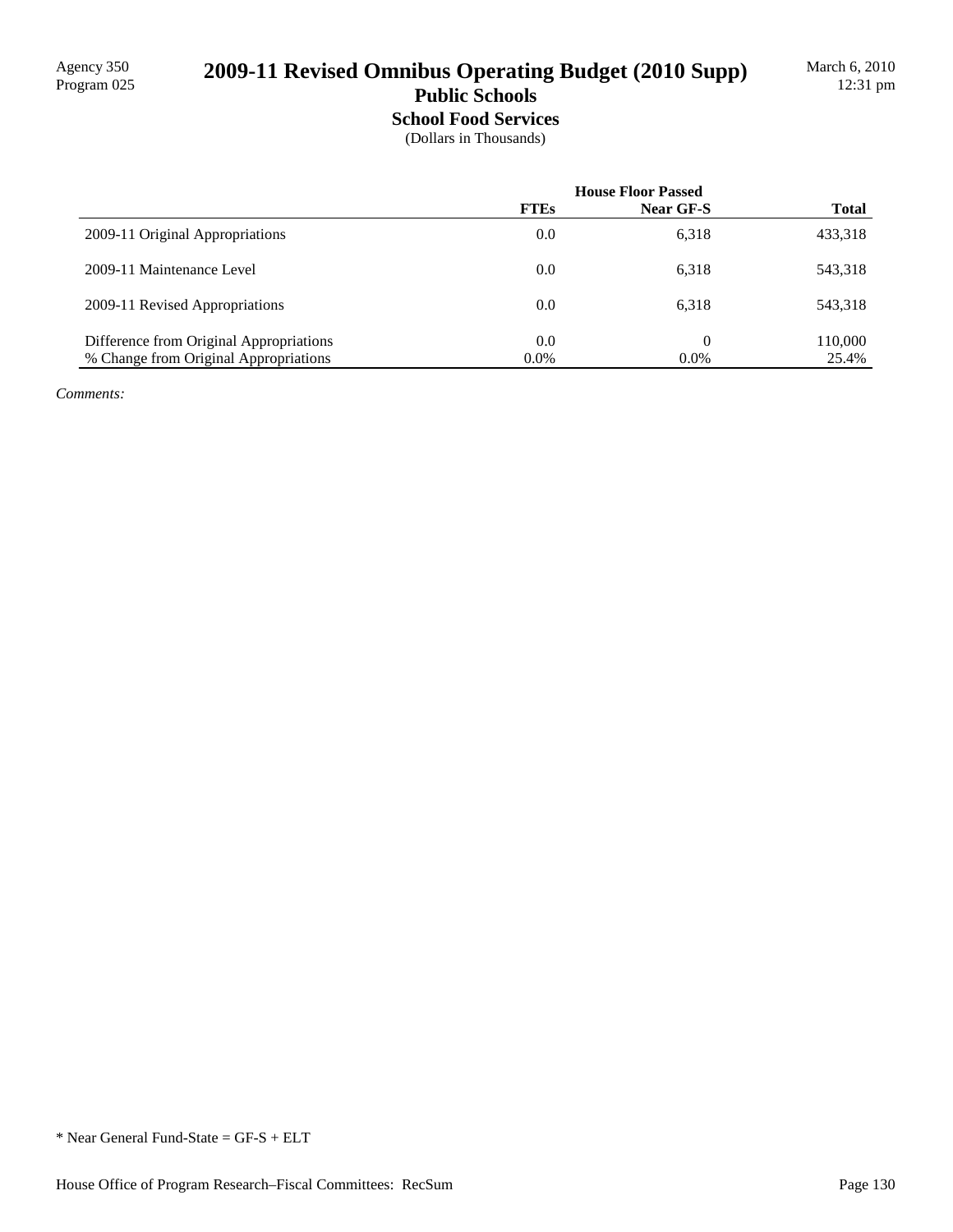# 2009-11 Revised Omnibus Operating Budget (2010 Supp)

### **Public Schools School Food Services**

(Dollars in Thousands)

|                                         | <b>House Floor Passed</b> |           |              |
|-----------------------------------------|---------------------------|-----------|--------------|
|                                         | <b>FTEs</b>               | Near GF-S | <b>Total</b> |
| 2009-11 Original Appropriations         | 0.0                       | 6,318     | 433,318      |
| 2009-11 Maintenance Level               | 0.0                       | 6,318     | 543,318      |
| 2009-11 Revised Appropriations          | 0.0                       | 6.318     | 543,318      |
| Difference from Original Appropriations | 0.0                       | 0         | 110,000      |
| % Change from Original Appropriations   | $0.0\%$                   | $0.0\%$   | 25.4%        |

*Comments:*

<sup>\*</sup> Near General Fund-State = GF-S + ELT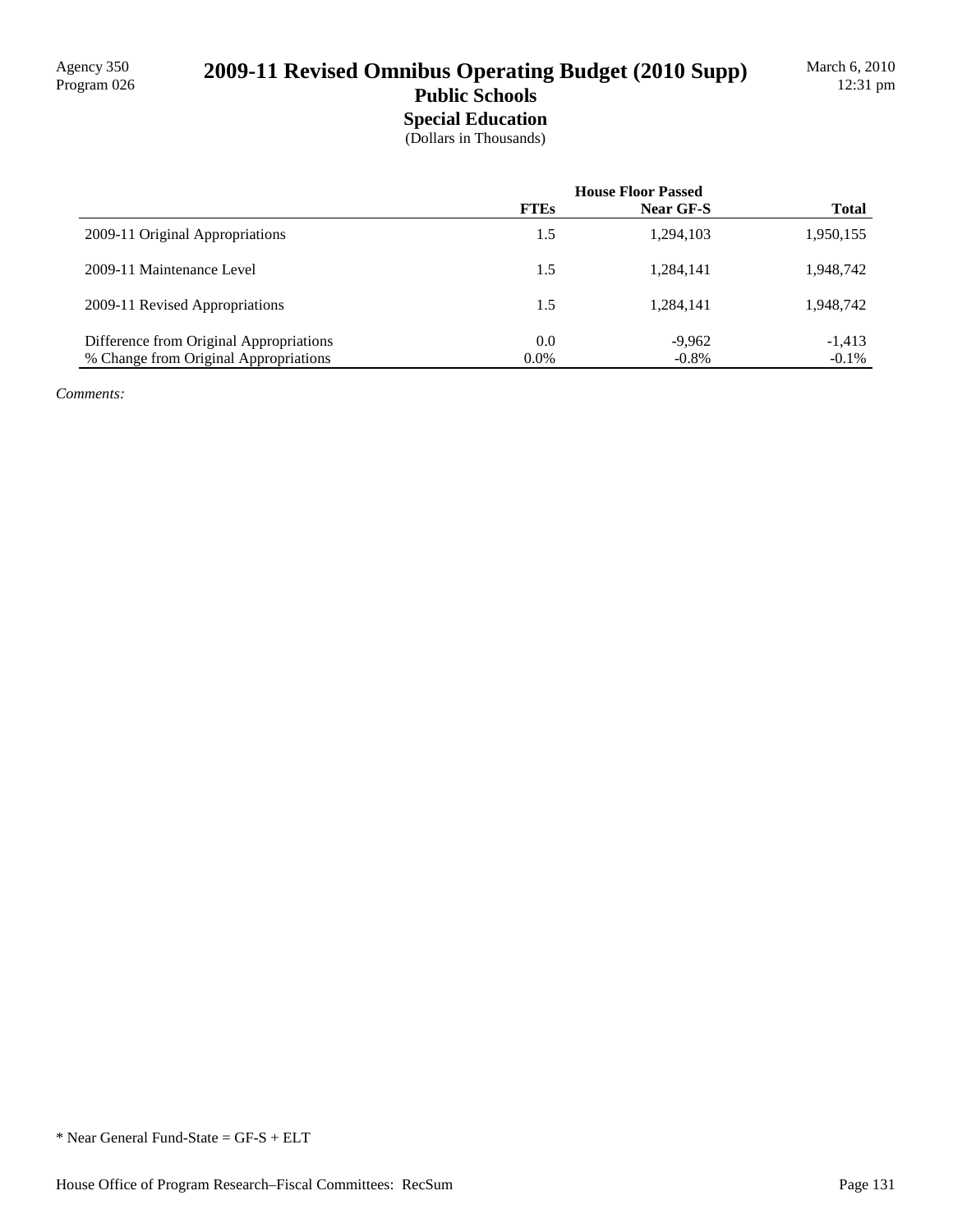## 2009-11 Revised Omnibus Operating Budget (2010 Supp) **Public Schools**

## **Special Education**

(Dollars in Thousands)

|                                         | <b>House Floor Passed</b> |           |              |
|-----------------------------------------|---------------------------|-----------|--------------|
|                                         | <b>FTEs</b>               | Near GF-S | <b>Total</b> |
| 2009-11 Original Appropriations         | 1.5                       | 1,294,103 | 1,950,155    |
| 2009-11 Maintenance Level               | 1.5                       | 1,284,141 | 1,948,742    |
| 2009-11 Revised Appropriations          | 1.5                       | 1,284,141 | 1,948,742    |
| Difference from Original Appropriations | 0.0                       | $-9,962$  | $-1,413$     |
| % Change from Original Appropriations   | $0.0\%$                   | $-0.8\%$  | $-0.1\%$     |

*Comments:*

<sup>\*</sup> Near General Fund-State = GF-S + ELT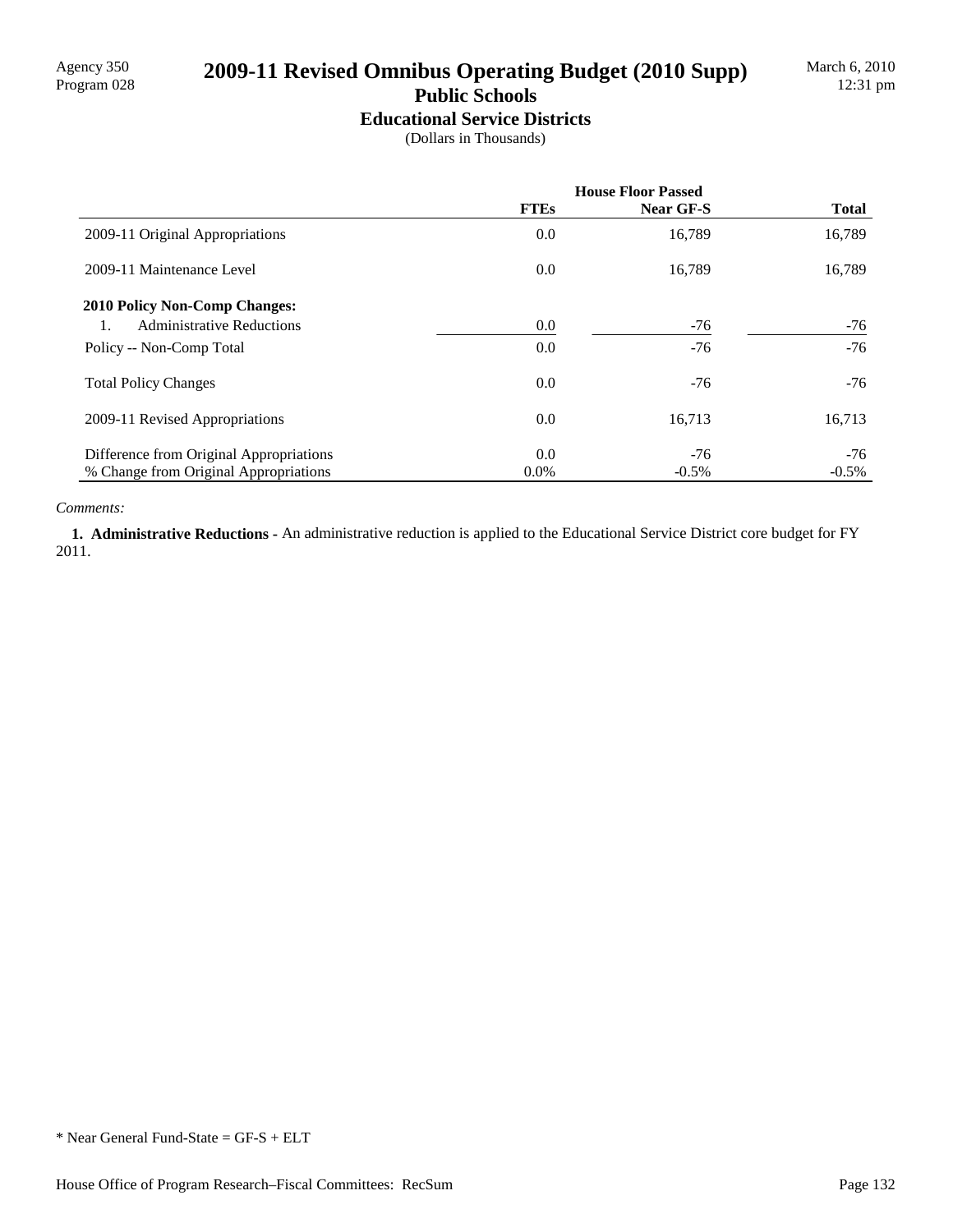# 2009-11 Revised Omnibus Operating Budget (2010 Supp)

#### **Public Schools Educational Service Districts**

(Dollars in Thousands)

|                                         | <b>House Floor Passed</b> |           |              |
|-----------------------------------------|---------------------------|-----------|--------------|
|                                         | <b>FTEs</b>               | Near GF-S | <b>Total</b> |
| 2009-11 Original Appropriations         | 0.0                       | 16,789    | 16,789       |
| 2009-11 Maintenance Level               | 0.0                       | 16,789    | 16,789       |
| <b>2010 Policy Non-Comp Changes:</b>    |                           |           |              |
| <b>Administrative Reductions</b>        | 0.0                       | $-76$     | -76          |
| Policy -- Non-Comp Total                | 0.0                       | $-76$     | $-76$        |
| <b>Total Policy Changes</b>             | 0.0                       | $-76$     | $-76$        |
| 2009-11 Revised Appropriations          | 0.0                       | 16,713    | 16,713       |
| Difference from Original Appropriations | 0.0                       | $-76$     | $-76$        |
| % Change from Original Appropriations   | $0.0\%$                   | $-0.5\%$  | $-0.5\%$     |

#### *Comments:*

 **1. Administrative Reductions -** An administrative reduction is applied to the Educational Service District core budget for FY 2011.

\* Near General Fund-State = GF-S + ELT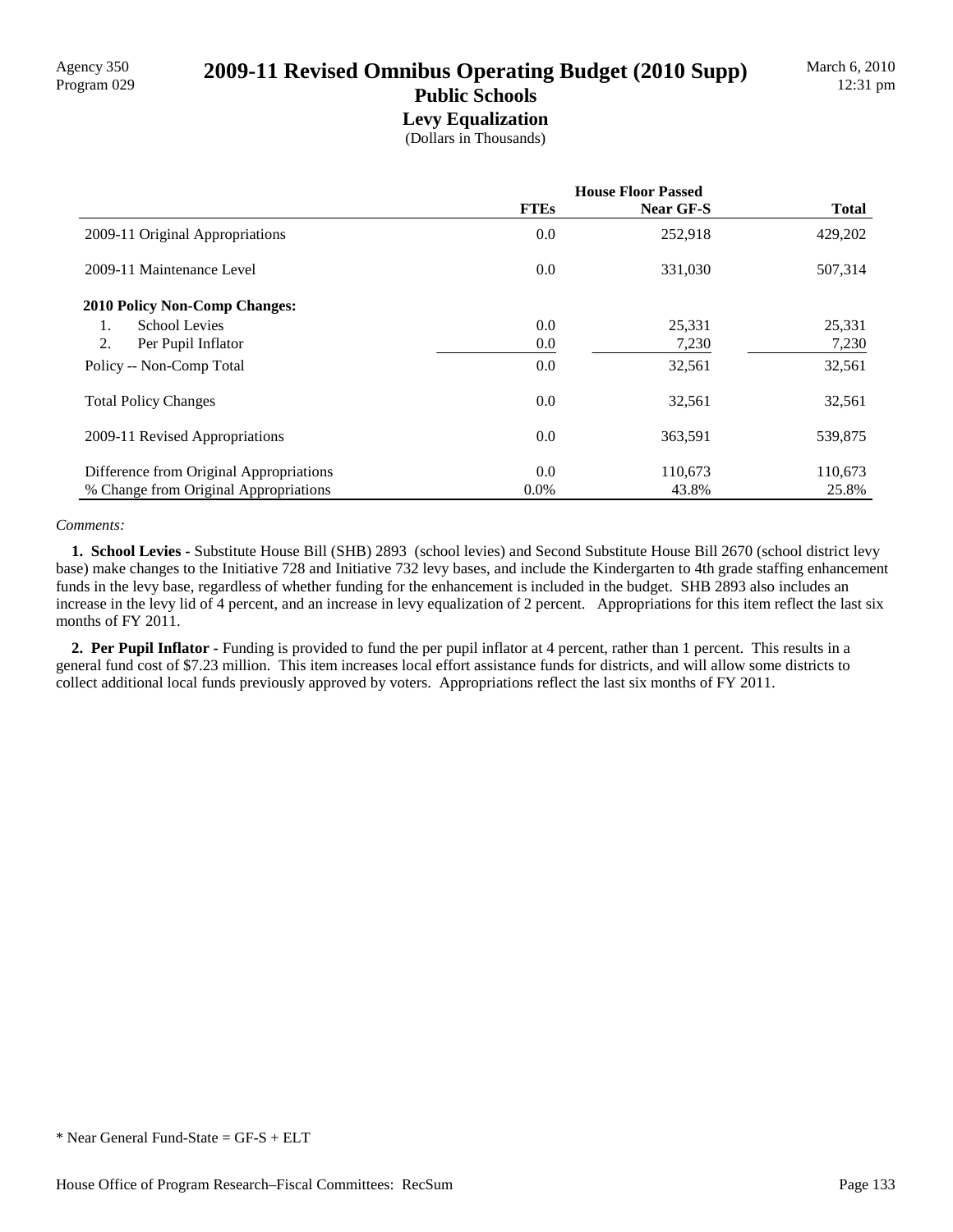# Agency 350 **2009-11 Revised Omnibus Operating Budget (2010 Supp)** Program 029

#### **Public Schools Levy Equalization**

(Dollars in Thousands)

|                                         | <b>House Floor Passed</b> |           |              |
|-----------------------------------------|---------------------------|-----------|--------------|
|                                         | <b>FTEs</b>               | Near GF-S | <b>Total</b> |
| 2009-11 Original Appropriations         | 0.0                       | 252,918   | 429,202      |
| 2009-11 Maintenance Level               | 0.0                       | 331,030   | 507,314      |
| <b>2010 Policy Non-Comp Changes:</b>    |                           |           |              |
| <b>School Levies</b><br>1.              | 0.0                       | 25,331    | 25,331       |
| 2.<br>Per Pupil Inflator                | 0.0                       | 7,230     | 7,230        |
| Policy -- Non-Comp Total                | 0.0                       | 32,561    | 32,561       |
| <b>Total Policy Changes</b>             | 0.0                       | 32,561    | 32,561       |
| 2009-11 Revised Appropriations          | 0.0                       | 363,591   | 539,875      |
| Difference from Original Appropriations | 0.0                       | 110,673   | 110,673      |
| % Change from Original Appropriations   | $0.0\%$                   | 43.8%     | 25.8%        |

#### *Comments:*

 **1. School Levies -** Substitute House Bill (SHB) 2893 (school levies) and Second Substitute House Bill 2670 (school district levy base) make changes to the Initiative 728 and Initiative 732 levy bases, and include the Kindergarten to 4th grade staffing enhancement funds in the levy base, regardless of whether funding for the enhancement is included in the budget. SHB 2893 also includes an increase in the levy lid of 4 percent, and an increase in levy equalization of 2 percent. Appropriations for this item reflect the last six months of FY 2011.

**2. Per Pupil Inflator - Funding is provided to fund the per pupil inflator at 4 percent, rather than 1 percent. This results in a** general fund cost of \$7.23 million. This item increases local effort assistance funds for districts, and will allow some districts to collect additional local funds previously approved by voters. Appropriations reflect the last six months of FY 2011.

<sup>\*</sup> Near General Fund-State = GF-S + ELT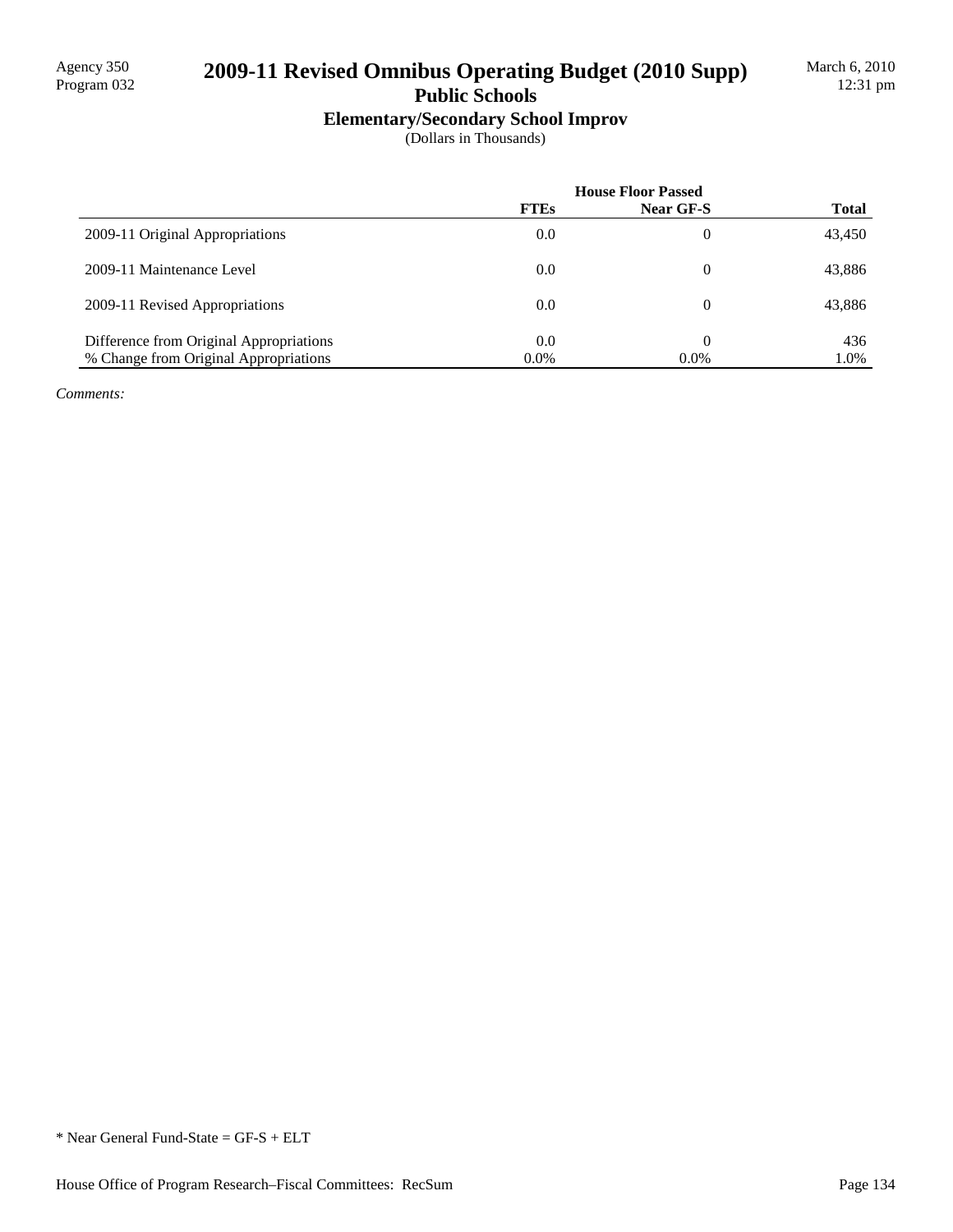## 2009-11 Revised Omnibus Operating Budget (2010 Supp)

# **Public Schools**

**Elementary/Secondary School Improv**

(Dollars in Thousands)

|                                         | <b>House Floor Passed</b> |           |              |
|-----------------------------------------|---------------------------|-----------|--------------|
|                                         | <b>FTEs</b>               | Near GF-S | <b>Total</b> |
| 2009-11 Original Appropriations         | 0.0                       | 0         | 43,450       |
| 2009-11 Maintenance Level               | 0.0                       | 0         | 43,886       |
| 2009-11 Revised Appropriations          | 0.0                       | 0         | 43,886       |
| Difference from Original Appropriations | 0.0                       |           | 436          |
| % Change from Original Appropriations   | $0.0\%$                   | $0.0\%$   | 1.0%         |

*Comments:*

\* Near General Fund-State = GF-S + ELT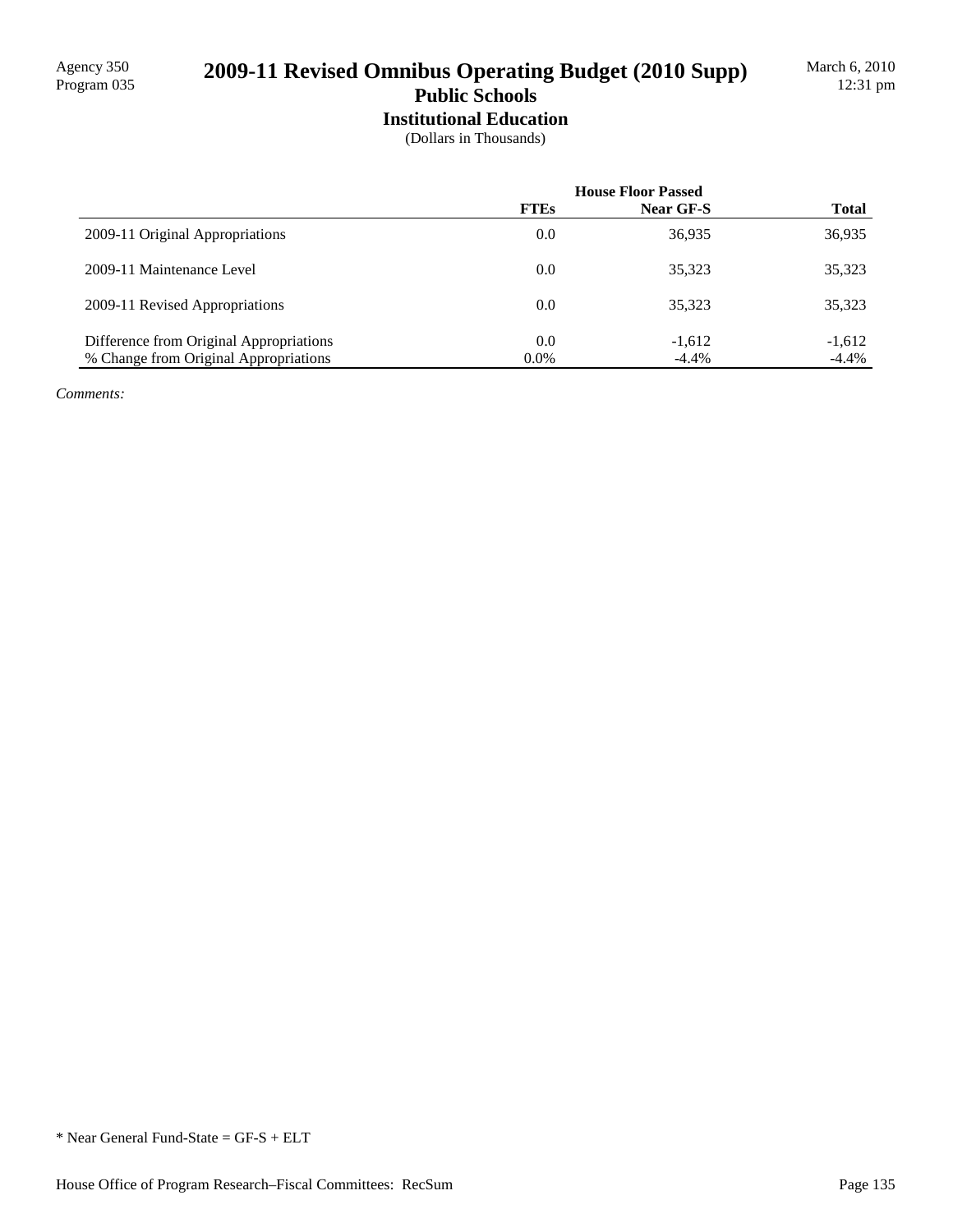## 2009-11 Revised Omnibus Operating Budget (2010 Supp) **Public Schools**

# **Institutional Education**

(Dollars in Thousands)

|                                         | <b>House Floor Passed</b> |           |              |
|-----------------------------------------|---------------------------|-----------|--------------|
|                                         | <b>FTEs</b>               | Near GF-S | <b>Total</b> |
| 2009-11 Original Appropriations         | 0.0                       | 36,935    | 36,935       |
| 2009-11 Maintenance Level               | 0.0                       | 35,323    | 35,323       |
| 2009-11 Revised Appropriations          | 0.0                       | 35.323    | 35,323       |
| Difference from Original Appropriations | 0.0                       | $-1,612$  | $-1,612$     |
| % Change from Original Appropriations   | $0.0\%$                   | $-4.4\%$  | $-4.4\%$     |

*Comments:*

<sup>\*</sup> Near General Fund-State = GF-S + ELT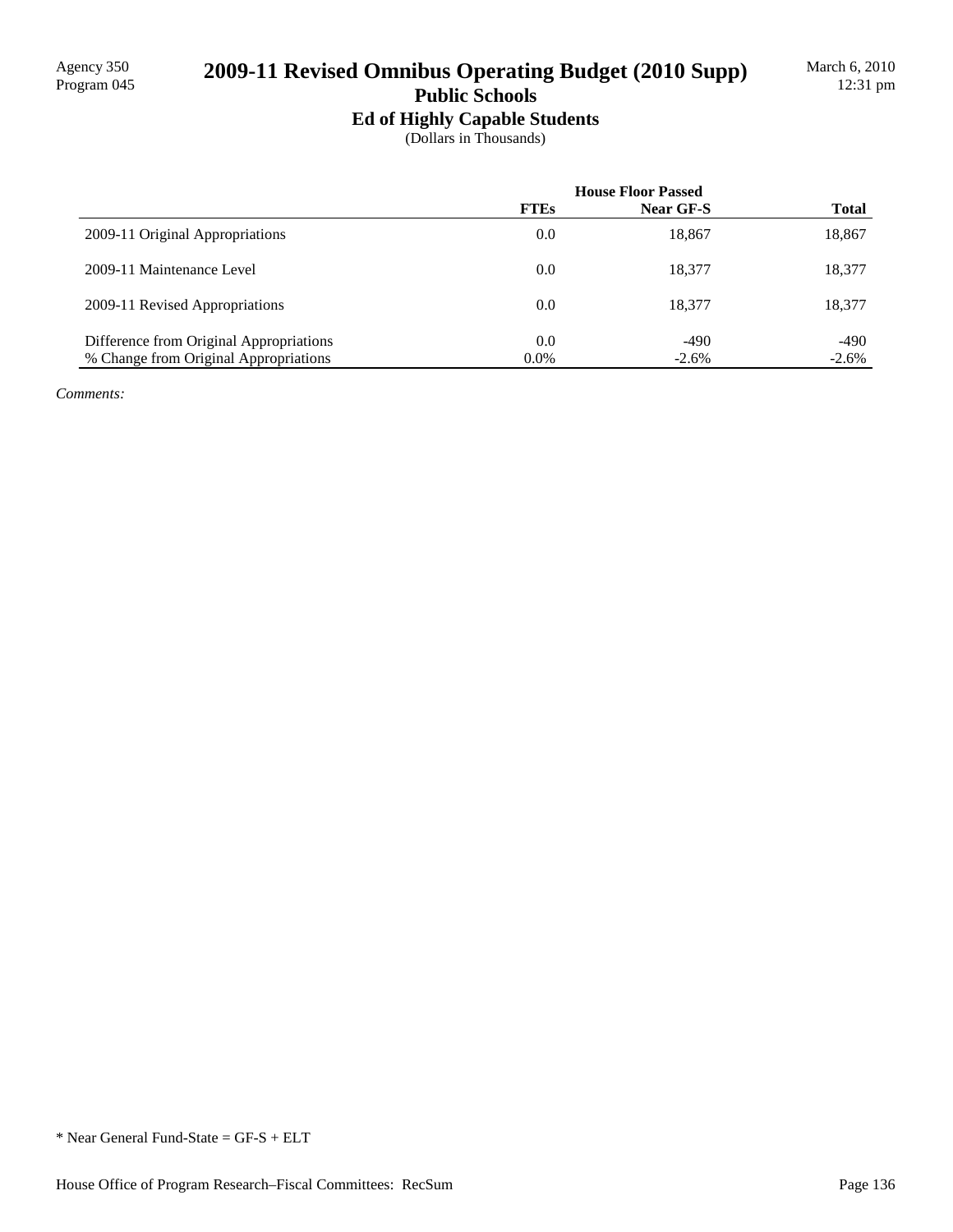# 2009-11 Revised Omnibus Operating Budget (2010 Supp)

### **Public Schools Ed of Highly Capable Students**

(Dollars in Thousands)

|                                         | <b>House Floor Passed</b> |           |              |
|-----------------------------------------|---------------------------|-----------|--------------|
|                                         | <b>FTEs</b>               | Near GF-S | <b>Total</b> |
| 2009-11 Original Appropriations         | 0.0                       | 18,867    | 18,867       |
| 2009-11 Maintenance Level               | 0.0                       | 18.377    | 18,377       |
| 2009-11 Revised Appropriations          | 0.0                       | 18.377    | 18,377       |
| Difference from Original Appropriations | 0.0                       | $-490$    | $-490$       |
| % Change from Original Appropriations   | $0.0\%$                   | $-2.6\%$  | $-2.6%$      |

*Comments:*

<sup>\*</sup> Near General Fund-State = GF-S + ELT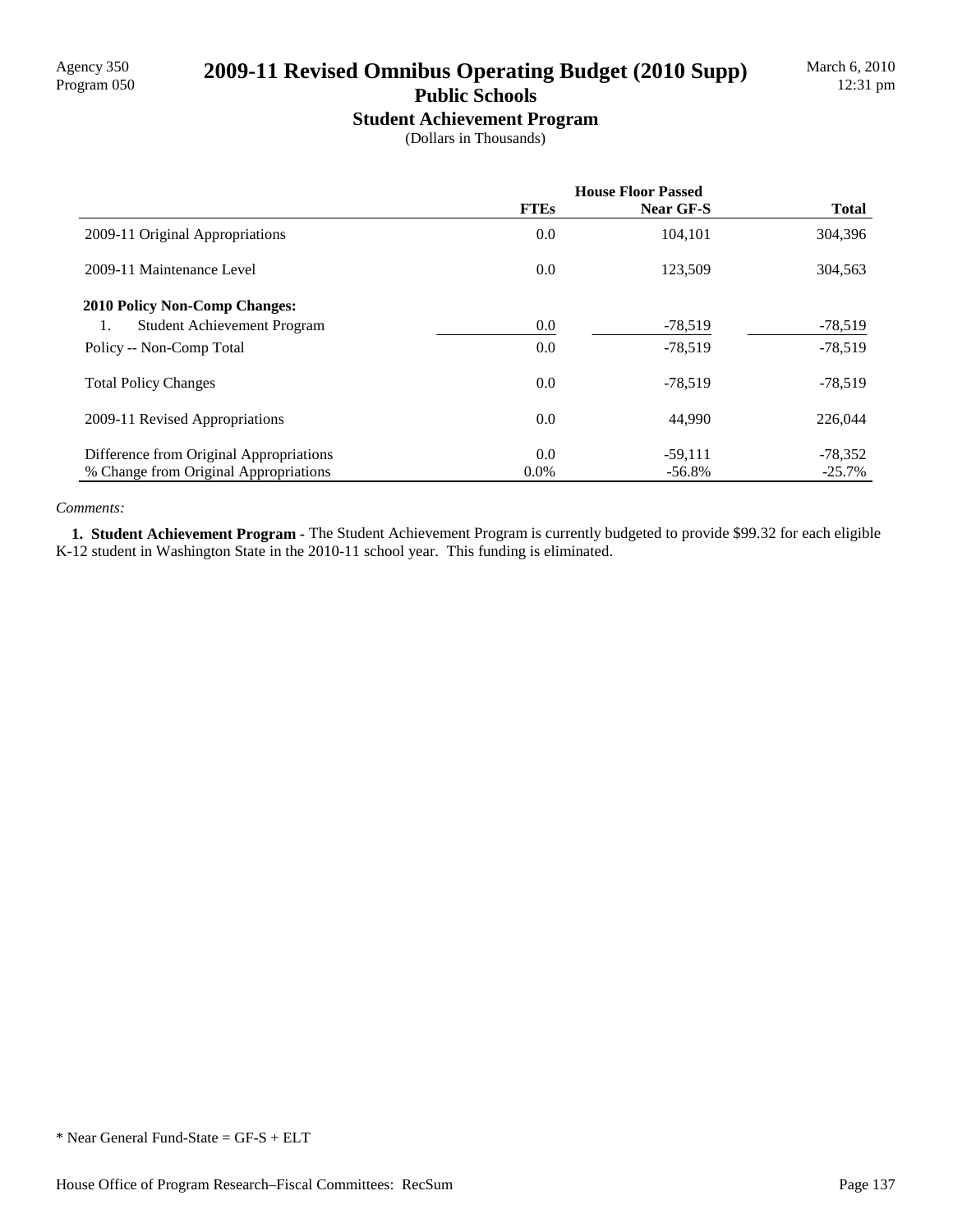## 2009-11 Revised Omnibus Operating Budget (2010 Supp)

## **Public Schools**

**Student Achievement Program** (Dollars in Thousands)

|                                          | <b>House Floor Passed</b> |           |              |
|------------------------------------------|---------------------------|-----------|--------------|
|                                          | <b>FTEs</b>               | Near GF-S | <b>Total</b> |
| 2009-11 Original Appropriations          | 0.0                       | 104,101   | 304,396      |
| 2009-11 Maintenance Level                | 0.0                       | 123,509   | 304,563      |
| <b>2010 Policy Non-Comp Changes:</b>     |                           |           |              |
| <b>Student Achievement Program</b><br>1. | 0.0                       | $-78,519$ | $-78,519$    |
| Policy -- Non-Comp Total                 | 0.0                       | $-78.519$ | $-78,519$    |
| <b>Total Policy Changes</b>              | 0.0                       | $-78,519$ | $-78,519$    |
| 2009-11 Revised Appropriations           | 0.0                       | 44,990    | 226,044      |
| Difference from Original Appropriations  | 0.0                       | $-59,111$ | $-78,352$    |
| % Change from Original Appropriations    | $0.0\%$                   | $-56.8\%$ | $-25.7\%$    |

#### *Comments:*

 **1. Student Achievement Program -** The Student Achievement Program is currently budgeted to provide \$99.32 for each eligible K-12 student in Washington State in the 2010-11 school year. This funding is eliminated.

\* Near General Fund-State = GF-S + ELT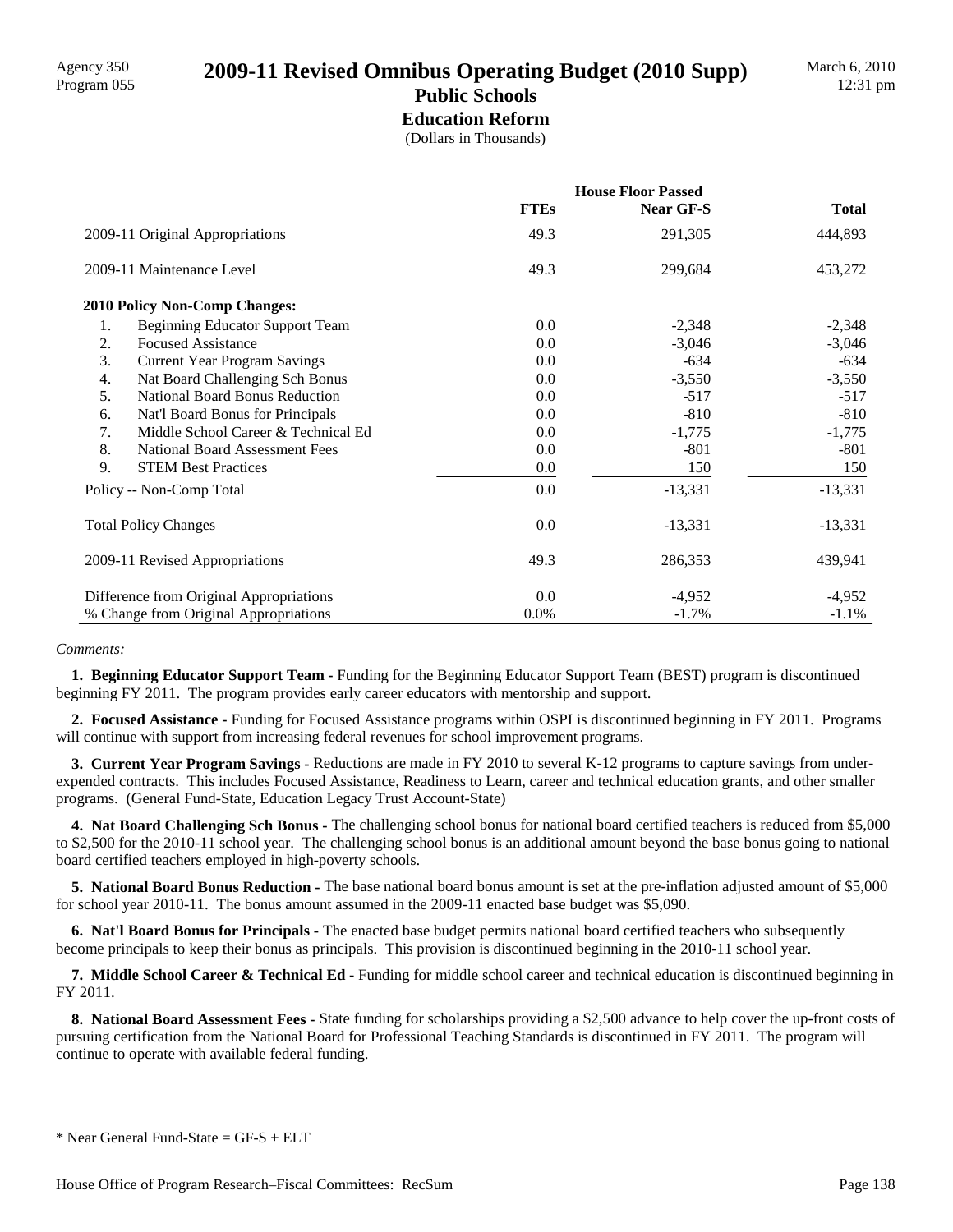# **Education Reform**

(Dollars in Thousands)

|                                                     | <b>House Floor Passed</b> |                  |              |  |
|-----------------------------------------------------|---------------------------|------------------|--------------|--|
|                                                     | <b>FTEs</b>               | <b>Near GF-S</b> | <b>Total</b> |  |
| 2009-11 Original Appropriations                     | 49.3                      | 291,305          | 444,893      |  |
| 2009-11 Maintenance Level                           | 49.3                      | 299,684          | 453,272      |  |
| <b>2010 Policy Non-Comp Changes:</b>                |                           |                  |              |  |
| 1.<br>Beginning Educator Support Team               | 0.0                       | $-2,348$         | $-2,348$     |  |
| <b>Focused Assistance</b><br>2.                     | 0.0                       | $-3,046$         | $-3,046$     |  |
| 3.<br><b>Current Year Program Savings</b>           | 0.0                       | $-634$           | $-634$       |  |
| Nat Board Challenging Sch Bonus<br>$\overline{4}$ . | 0.0                       | $-3,550$         | $-3,550$     |  |
| 5.<br><b>National Board Bonus Reduction</b>         | 0.0                       | $-517$           | $-517$       |  |
| 6.<br>Nat'l Board Bonus for Principals              | 0.0                       | $-810$           | $-810$       |  |
| Middle School Career & Technical Ed<br>7.           | 0.0                       | $-1,775$         | $-1,775$     |  |
| 8.<br><b>National Board Assessment Fees</b>         | 0.0                       | $-801$           | $-801$       |  |
| 9.<br><b>STEM Best Practices</b>                    | 0.0                       | 150              | 150          |  |
| Policy -- Non-Comp Total                            | 0.0                       | $-13,331$        | $-13,331$    |  |
| <b>Total Policy Changes</b>                         | 0.0                       | $-13,331$        | $-13,331$    |  |
| 2009-11 Revised Appropriations                      | 49.3                      | 286,353          | 439,941      |  |
| Difference from Original Appropriations             | 0.0                       | $-4,952$         | $-4,952$     |  |
| % Change from Original Appropriations               | 0.0%                      | $-1.7\%$         | $-1.1\%$     |  |

#### *Comments:*

 **1. Beginning Educator Support Team -** Funding for the Beginning Educator Support Team (BEST) program is discontinued beginning FY 2011. The program provides early career educators with mentorship and support.

 **2. Focused Assistance -** Funding for Focused Assistance programs within OSPI is discontinued beginning in FY 2011. Programs will continue with support from increasing federal revenues for school improvement programs.

 **3. Current Year Program Savings -** Reductions are made in FY 2010 to several K-12 programs to capture savings from underexpended contracts. This includes Focused Assistance, Readiness to Learn, career and technical education grants, and other smaller programs. (General Fund-State, Education Legacy Trust Account-State)

 **4. Nat Board Challenging Sch Bonus -** The challenging school bonus for national board certified teachers is reduced from \$5,000 to \$2,500 for the 2010-11 school year. The challenging school bonus is an additional amount beyond the base bonus going to national board certified teachers employed in high-poverty schools.

 **5. National Board Bonus Reduction -** The base national board bonus amount is set at the pre-inflation adjusted amount of \$5,000 for school year 2010-11. The bonus amount assumed in the 2009-11 enacted base budget was \$5,090.

 **6. Nat'l Board Bonus for Principals -** The enacted base budget permits national board certified teachers who subsequently become principals to keep their bonus as principals. This provision is discontinued beginning in the 2010-11 school year.

 **7. Middle School Career & Technical Ed -** Funding for middle school career and technical education is discontinued beginning in FY 2011.

 **8. National Board Assessment Fees -** State funding for scholarships providing a \$2,500 advance to help cover the up-front costs of pursuing certification from the National Board for Professional Teaching Standards is discontinued in FY 2011. The program will continue to operate with available federal funding.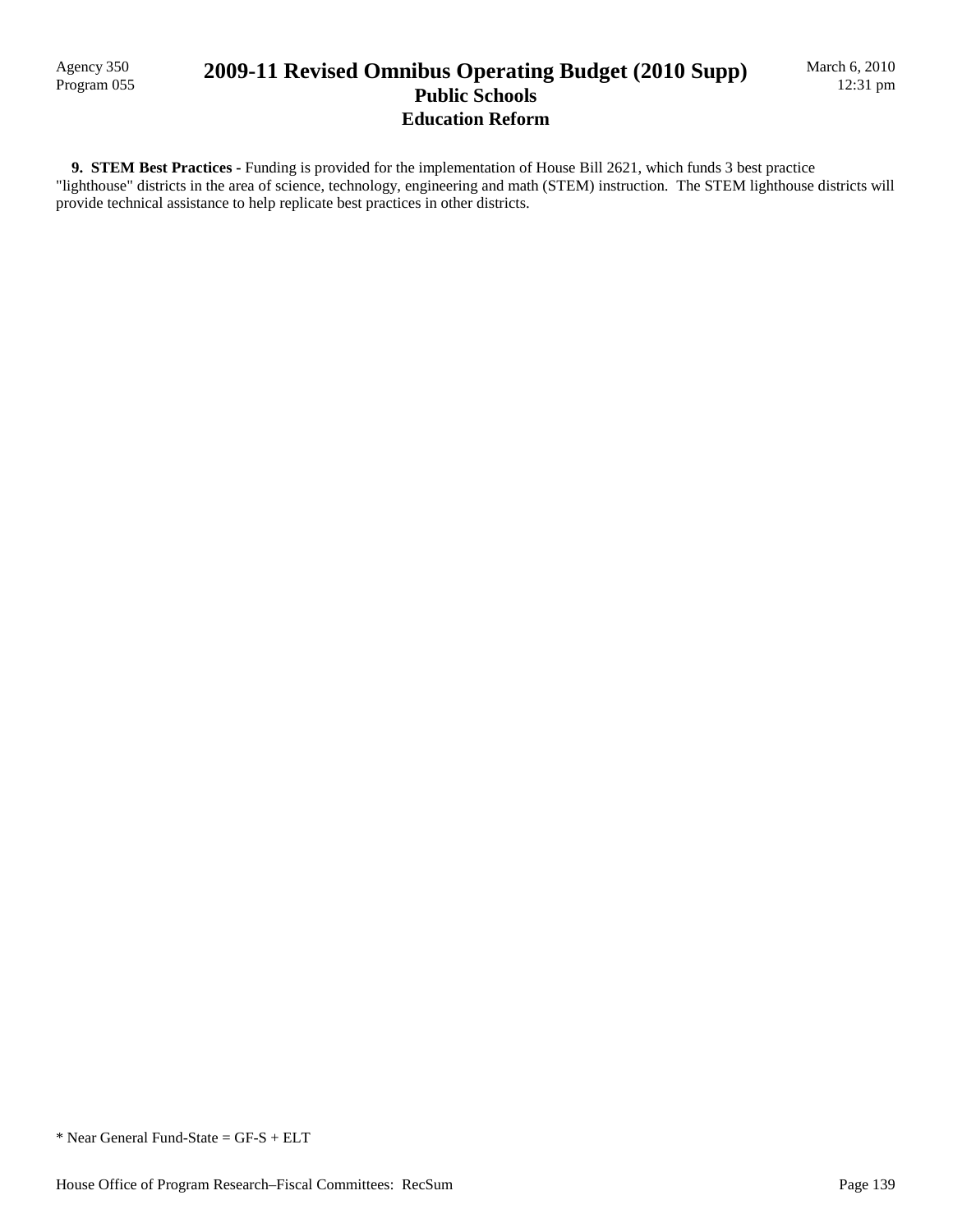Agency 350

### Agency 350<br>Program 055 **2009-11 Revised Omnibus Operating Budget (2010 Supp) Public Schools Education Reform**

 **9. STEM Best Practices -** Funding is provided for the implementation of House Bill 2621, which funds 3 best practice "lighthouse" districts in the area of science, technology, engineering and math (STEM) instruction. The STEM lighthouse districts will provide technical assistance to help replicate best practices in other districts.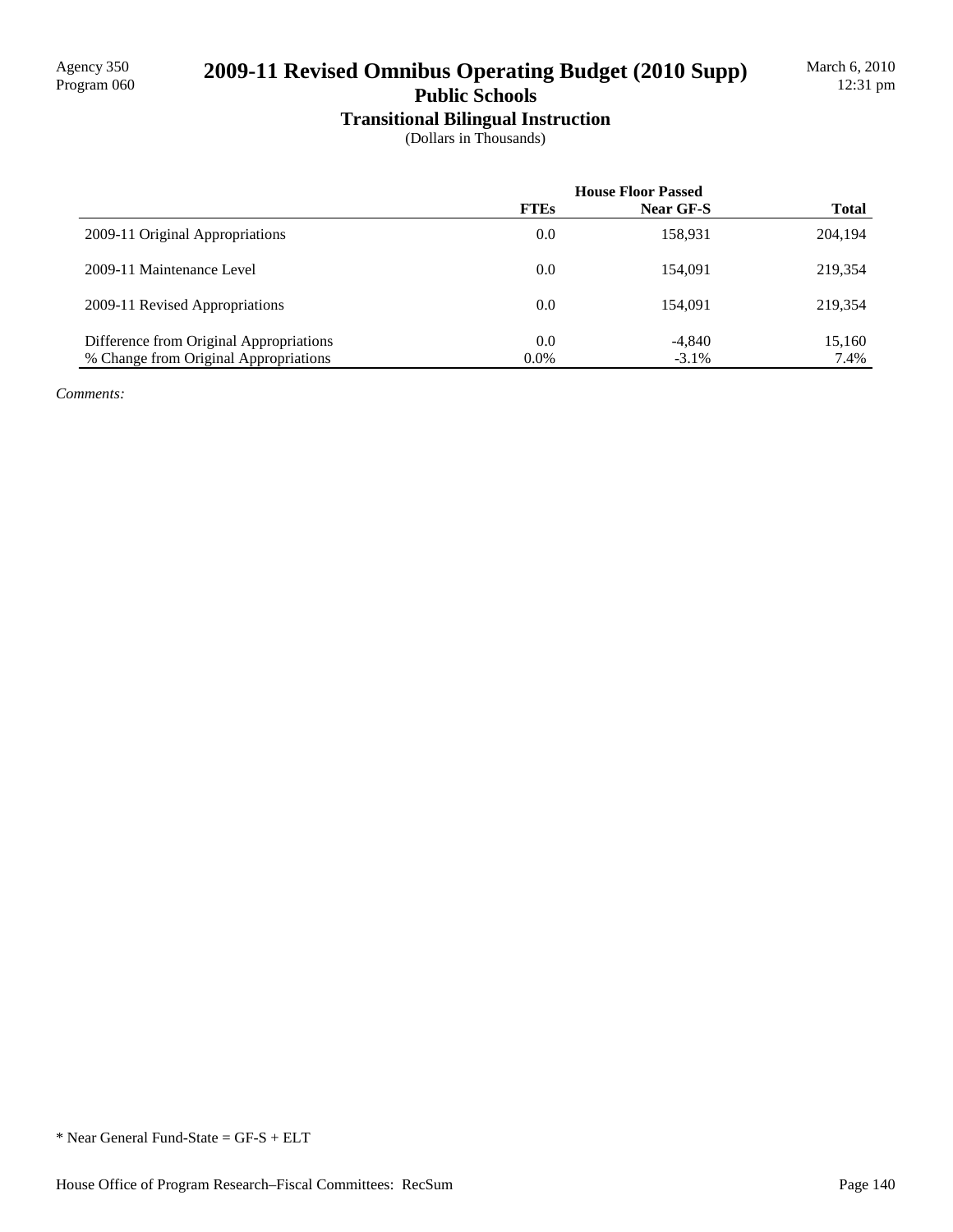## 2009-11 Revised Omnibus Operating Budget (2010 Supp)

## **Public Schools**

**Transitional Bilingual Instruction** (Dollars in Thousands)

|                                         | <b>House Floor Passed</b> |           |              |
|-----------------------------------------|---------------------------|-----------|--------------|
|                                         | <b>FTEs</b>               | Near GF-S | <b>Total</b> |
| 2009-11 Original Appropriations         | 0.0                       | 158,931   | 204,194      |
| 2009-11 Maintenance Level               | 0.0                       | 154.091   | 219,354      |
| 2009-11 Revised Appropriations          | 0.0                       | 154,091   | 219,354      |
| Difference from Original Appropriations | 0.0                       | $-4,840$  | 15,160       |
| % Change from Original Appropriations   | $0.0\%$                   | $-3.1\%$  | 7.4%         |

*Comments:*

\* Near General Fund-State = GF-S + ELT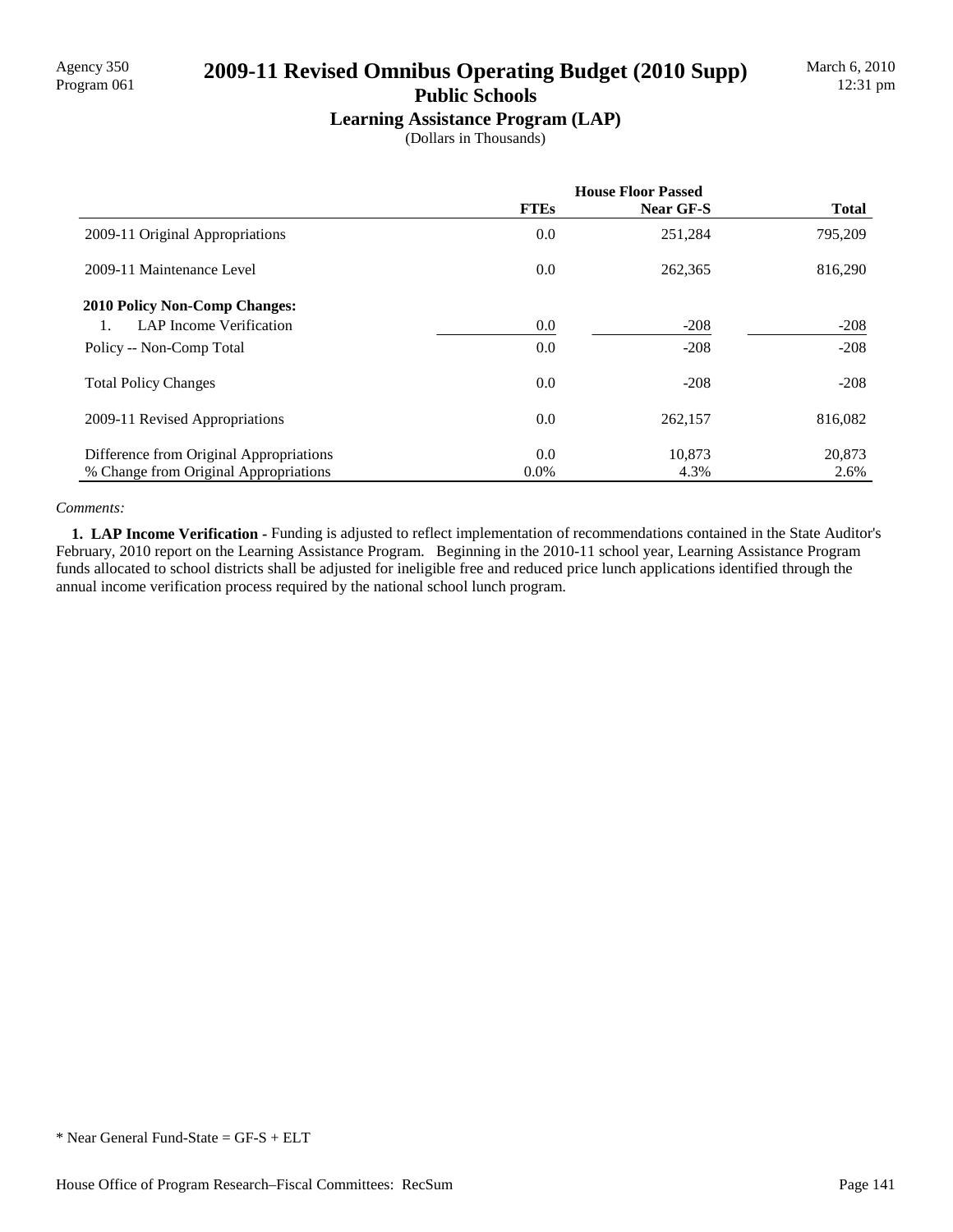### Agency 350<br>Program 061 **2009-11 Revised Omnibus Operating Budget (2010 Supp) Public Schools**

# **Learning Assistance Program (LAP)**

(Dollars in Thousands)

|                                         | <b>House Floor Passed</b> |           |              |
|-----------------------------------------|---------------------------|-----------|--------------|
|                                         | <b>FTEs</b>               | Near GF-S | <b>Total</b> |
| 2009-11 Original Appropriations         | 0.0                       | 251,284   | 795,209      |
| 2009-11 Maintenance Level               | 0.0                       | 262,365   | 816,290      |
| <b>2010 Policy Non-Comp Changes:</b>    |                           |           |              |
| LAP Income Verification                 | $0.0\,$                   | $-208$    | $-208$       |
| Policy -- Non-Comp Total                | 0.0                       | $-208$    | $-208$       |
| <b>Total Policy Changes</b>             | 0.0                       | $-208$    | $-208$       |
| 2009-11 Revised Appropriations          | 0.0                       | 262,157   | 816,082      |
| Difference from Original Appropriations | 0.0                       | 10,873    | 20,873       |
| % Change from Original Appropriations   | $0.0\%$                   | 4.3%      | 2.6%         |

#### *Comments:*

 **1. LAP Income Verification -** Funding is adjusted to reflect implementation of recommendations contained in the State Auditor's February, 2010 report on the Learning Assistance Program. Beginning in the 2010-11 school year, Learning Assistance Program funds allocated to school districts shall be adjusted for ineligible free and reduced price lunch applications identified through the annual income verification process required by the national school lunch program.

<sup>\*</sup> Near General Fund-State = GF-S + ELT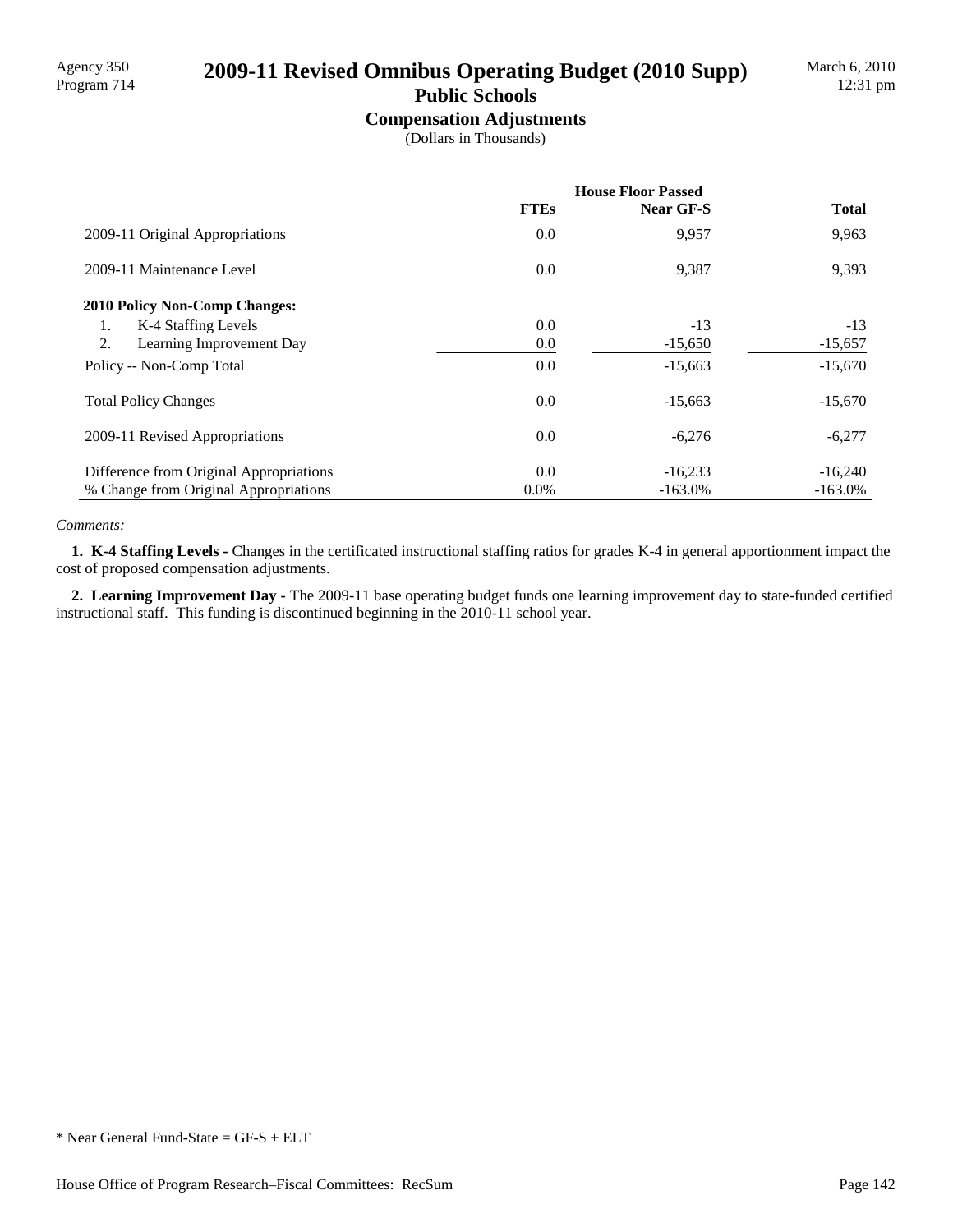# Agency 350<br>Program 714 **2009-11 Revised Omnibus Operating Budget (2010 Supp)**

## **Public Schools**

**Compensation Adjustments** (Dollars in Thousands)

|                                         | <b>House Floor Passed</b> |           |              |
|-----------------------------------------|---------------------------|-----------|--------------|
|                                         | <b>FTEs</b>               | Near GF-S | <b>Total</b> |
| 2009-11 Original Appropriations         | 0.0                       | 9,957     | 9,963        |
| 2009-11 Maintenance Level               | 0.0                       | 9,387     | 9,393        |
| <b>2010 Policy Non-Comp Changes:</b>    |                           |           |              |
| K-4 Staffing Levels<br>1.               | 0.0                       | $-13$     | $-13$        |
| 2.<br>Learning Improvement Day          | 0.0                       | $-15,650$ | $-15,657$    |
| Policy -- Non-Comp Total                | 0.0                       | $-15,663$ | $-15,670$    |
| <b>Total Policy Changes</b>             | 0.0                       | $-15,663$ | $-15,670$    |
| 2009-11 Revised Appropriations          | 0.0                       | $-6,276$  | $-6,277$     |
| Difference from Original Appropriations | 0.0                       | $-16,233$ | $-16,240$    |
| % Change from Original Appropriations   | $0.0\%$                   | $-163.0%$ | $-163.0\%$   |

#### *Comments:*

 **1. K-4 Staffing Levels -** Changes in the certificated instructional staffing ratios for grades K-4 in general apportionment impact the cost of proposed compensation adjustments.

 **2. Learning Improvement Day -** The 2009-11 base operating budget funds one learning improvement day to state-funded certified instructional staff. This funding is discontinued beginning in the 2010-11 school year.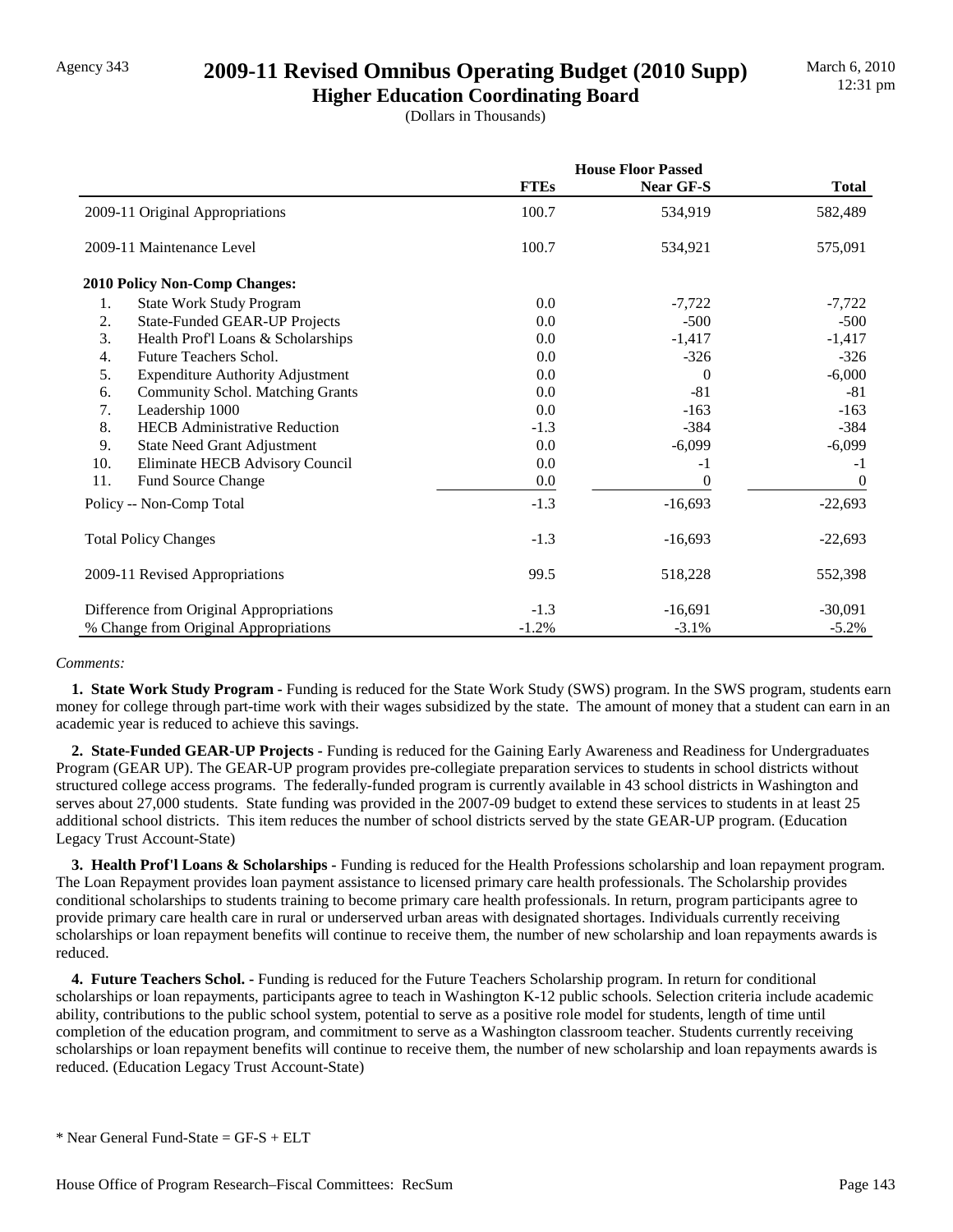## Agency 343 **2009-11 Revised Omnibus Operating Budget (2010 Supp)**

**Higher Education Coordinating Board** (Dollars in Thousands)

|                                               | <b>House Floor Passed</b> |                |                |
|-----------------------------------------------|---------------------------|----------------|----------------|
|                                               | <b>FTEs</b>               | Near GF-S      | <b>Total</b>   |
| 2009-11 Original Appropriations               | 100.7                     | 534,919        | 582,489        |
| 2009-11 Maintenance Level                     | 100.7                     | 534,921        | 575,091        |
| <b>2010 Policy Non-Comp Changes:</b>          |                           |                |                |
| <b>State Work Study Program</b><br>1.         | $0.0\,$                   | $-7,722$       | $-7,722$       |
| 2.<br><b>State-Funded GEAR-UP Projects</b>    | 0.0                       | $-500$         | $-500$         |
| 3.<br>Health Prof'l Loans & Scholarships      | 0.0                       | $-1,417$       | $-1,417$       |
| Future Teachers Schol.<br>$\overline{4}$ .    | 0.0                       | $-326$         | $-326$         |
| 5.<br><b>Expenditure Authority Adjustment</b> | $0.0\,$                   | $\Omega$       | $-6,000$       |
| <b>Community Schol. Matching Grants</b><br>6. | 0.0                       | $-81$          | $-81$          |
| 7.<br>Leadership 1000                         | 0.0                       | $-163$         | $-163$         |
| <b>HECB</b> Administrative Reduction<br>8.    | $-1.3$                    | $-384$         | $-384$         |
| 9.<br>State Need Grant Adjustment             | 0.0                       | $-6,099$       | $-6,099$       |
| 10.<br>Eliminate HECB Advisory Council        | $0.0\,$                   | $-1$           | $-1$           |
| 11.<br><b>Fund Source Change</b>              | 0.0                       | $\overline{0}$ | $\overline{0}$ |
| Policy -- Non-Comp Total                      | $-1.3$                    | $-16,693$      | $-22,693$      |
| <b>Total Policy Changes</b>                   | $-1.3$                    | $-16,693$      | $-22,693$      |
| 2009-11 Revised Appropriations                | 99.5                      | 518,228        | 552,398        |
| Difference from Original Appropriations       | $-1.3$                    | $-16,691$      | $-30,091$      |
| % Change from Original Appropriations         | $-1.2%$                   | $-3.1%$        | $-5.2%$        |

#### *Comments:*

 **1. State Work Study Program -** Funding is reduced for the State Work Study (SWS) program. In the SWS program, students earn money for college through part-time work with their wages subsidized by the state. The amount of money that a student can earn in an academic year is reduced to achieve this savings.

 **2. State-Funded GEAR-UP Projects -** Funding is reduced for the Gaining Early Awareness and Readiness for Undergraduates Program (GEAR UP). The GEAR-UP program provides pre-collegiate preparation services to students in school districts without structured college access programs. The federally-funded program is currently available in 43 school districts in Washington and serves about 27,000 students. State funding was provided in the 2007-09 budget to extend these services to students in at least 25 additional school districts. This item reduces the number of school districts served by the state GEAR-UP program. (Education Legacy Trust Account-State)

 **3. Health Prof'l Loans & Scholarships -** Funding is reduced for the Health Professions scholarship and loan repayment program. The Loan Repayment provides loan payment assistance to licensed primary care health professionals. The Scholarship provides conditional scholarships to students training to become primary care health professionals. In return, program participants agree to provide primary care health care in rural or underserved urban areas with designated shortages. Individuals currently receiving scholarships or loan repayment benefits will continue to receive them, the number of new scholarship and loan repayments awards is reduced.

 **4. Future Teachers Schol. -** Funding is reduced for the Future Teachers Scholarship program. In return for conditional scholarships or loan repayments, participants agree to teach in Washington K-12 public schools. Selection criteria include academic ability, contributions to the public school system, potential to serve as a positive role model for students, length of time until completion of the education program, and commitment to serve as a Washington classroom teacher. Students currently receiving scholarships or loan repayment benefits will continue to receive them, the number of new scholarship and loan repayments awards is reduced. (Education Legacy Trust Account-State)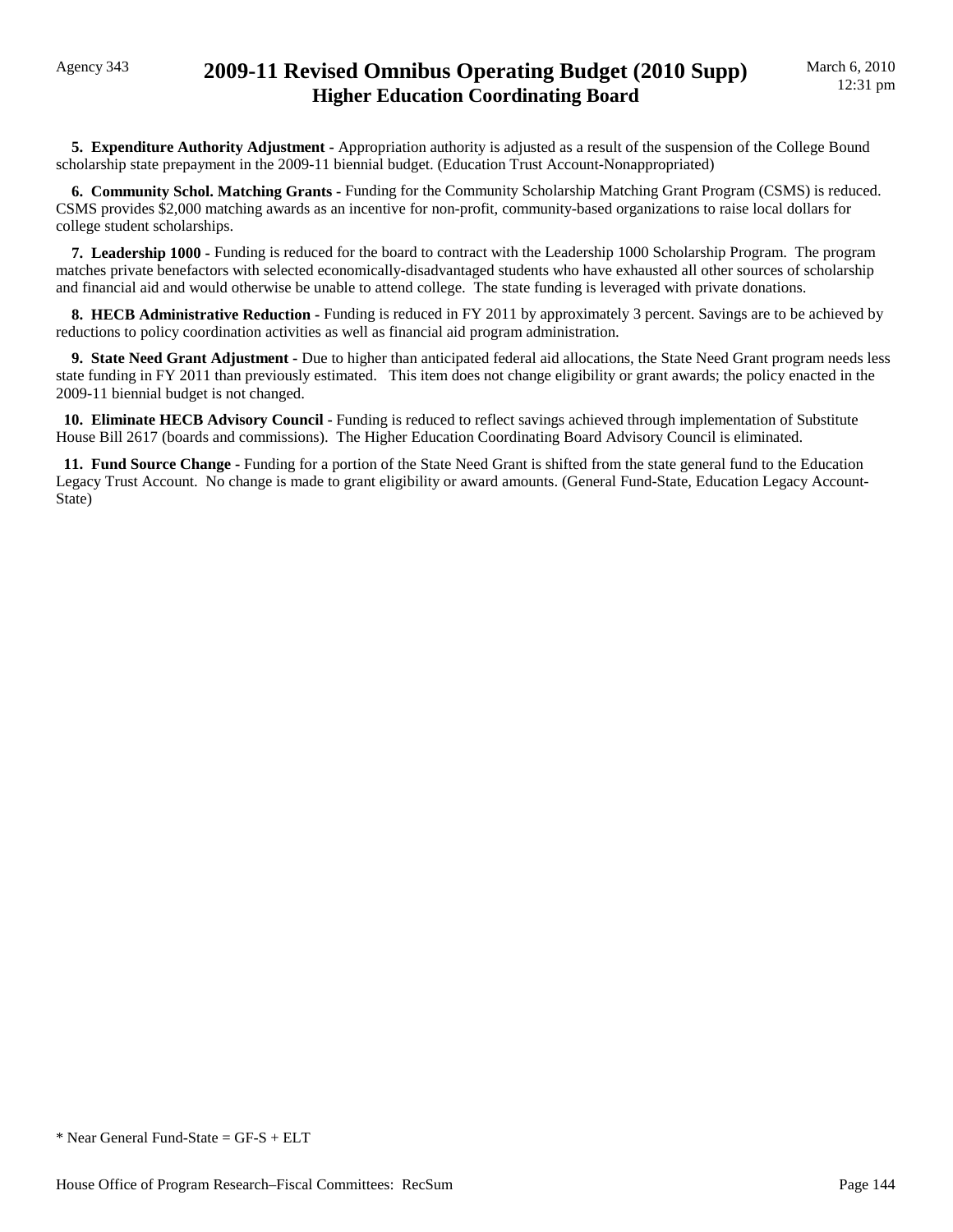### Agency 343 **2009-11 Revised Omnibus Operating Budget (2010 Supp) Higher Education Coordinating Board**

 **5. Expenditure Authority Adjustment -** Appropriation authority is adjusted as a result of the suspension of the College Bound scholarship state prepayment in the 2009-11 biennial budget. (Education Trust Account-Nonappropriated)

 **6. Community Schol. Matching Grants -** Funding for the Community Scholarship Matching Grant Program (CSMS) is reduced. CSMS provides \$2,000 matching awards as an incentive for non-profit, community-based organizations to raise local dollars for college student scholarships.

 **7. Leadership 1000 -** Funding is reduced for the board to contract with the Leadership 1000 Scholarship Program. The program matches private benefactors with selected economically-disadvantaged students who have exhausted all other sources of scholarship and financial aid and would otherwise be unable to attend college. The state funding is leveraged with private donations.

**8. HECB Administrative Reduction -** Funding is reduced in FY 2011 by approximately 3 percent. Savings are to be achieved by reductions to policy coordination activities as well as financial aid program administration.

 **9. State Need Grant Adjustment -** Due to higher than anticipated federal aid allocations, the State Need Grant program needs less state funding in FY 2011 than previously estimated. This item does not change eligibility or grant awards; the policy enacted in the 2009-11 biennial budget is not changed.

 **10. Eliminate HECB Advisory Council -** Funding is reduced to reflect savings achieved through implementation of Substitute House Bill 2617 (boards and commissions). The Higher Education Coordinating Board Advisory Council is eliminated.

 **11. Fund Source Change -** Funding for a portion of the State Need Grant is shifted from the state general fund to the Education Legacy Trust Account. No change is made to grant eligibility or award amounts. (General Fund-State, Education Legacy Account-State)

<sup>\*</sup> Near General Fund-State = GF-S + ELT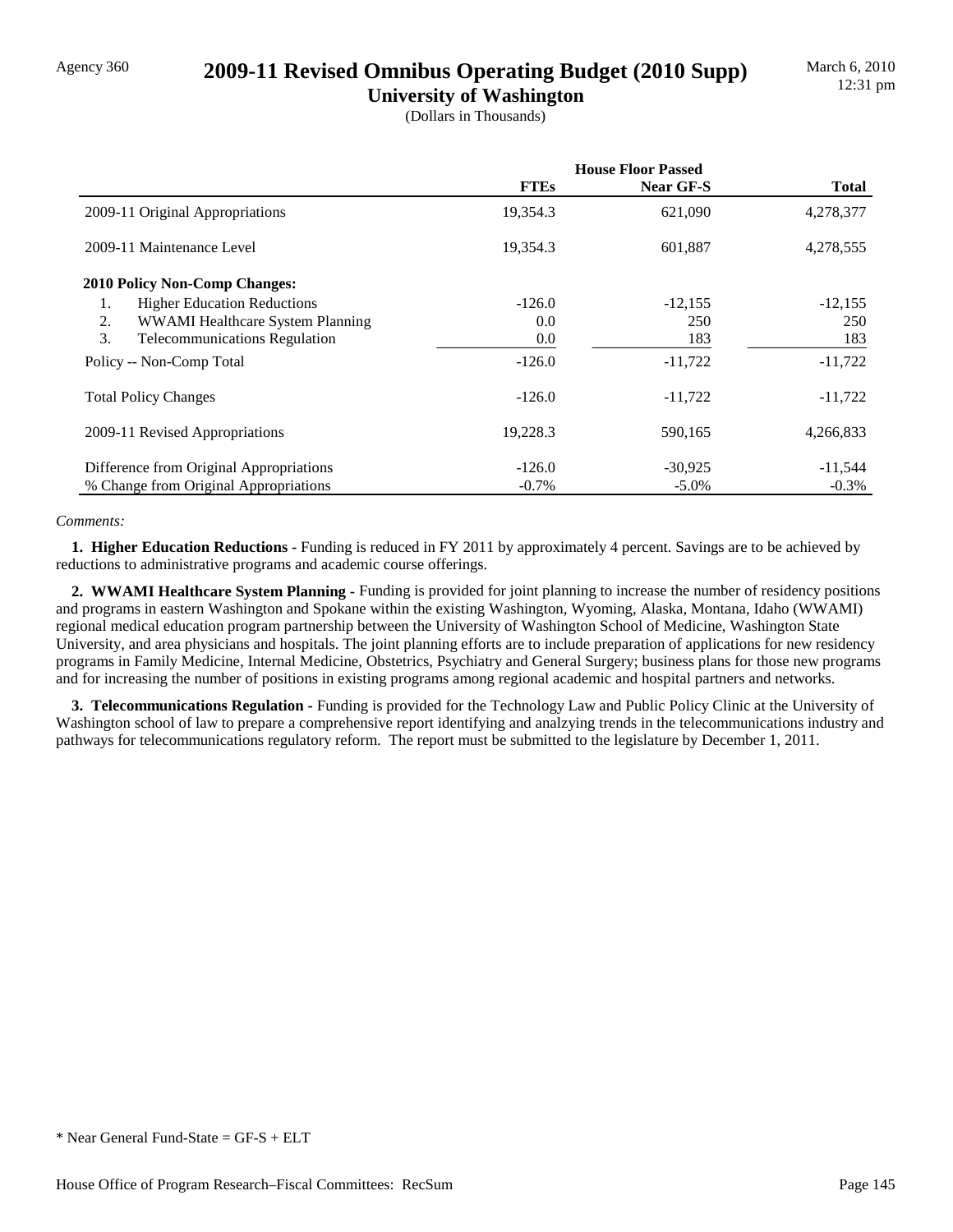### Agency 360 **2009-11 Revised Omnibus Operating Budget (2010 Supp)**

**University of Washington** (Dollars in Thousands)

|                                            | <b>House Floor Passed</b> |                  |           |
|--------------------------------------------|---------------------------|------------------|-----------|
|                                            | <b>FTEs</b>               | <b>Near GF-S</b> | Total     |
| 2009-11 Original Appropriations            | 19,354.3                  | 621,090          | 4,278,377 |
| 2009-11 Maintenance Level                  | 19,354.3                  | 601,887          | 4,278,555 |
| <b>2010 Policy Non-Comp Changes:</b>       |                           |                  |           |
| <b>Higher Education Reductions</b><br>1.   | $-126.0$                  | $-12,155$        | $-12,155$ |
| WWAMI Healthcare System Planning<br>2.     | 0.0                       | 250              | 250       |
| 3.<br><b>Telecommunications Regulation</b> | 0.0                       | 183              | 183       |
| Policy -- Non-Comp Total                   | $-126.0$                  | $-11,722$        | $-11,722$ |
| <b>Total Policy Changes</b>                | $-126.0$                  | $-11,722$        | $-11,722$ |
| 2009-11 Revised Appropriations             | 19,228.3                  | 590,165          | 4,266,833 |
| Difference from Original Appropriations    | $-126.0$                  | $-30,925$        | $-11,544$ |
| % Change from Original Appropriations      | $-0.7\%$                  | $-5.0\%$         | $-0.3\%$  |

#### *Comments:*

 **1. Higher Education Reductions -** Funding is reduced in FY 2011 by approximately 4 percent. Savings are to be achieved by reductions to administrative programs and academic course offerings.

 **2. WWAMI Healthcare System Planning -** Funding is provided for joint planning to increase the number of residency positions and programs in eastern Washington and Spokane within the existing Washington, Wyoming, Alaska, Montana, Idaho (WWAMI) regional medical education program partnership between the University of Washington School of Medicine, Washington State University, and area physicians and hospitals. The joint planning efforts are to include preparation of applications for new residency programs in Family Medicine, Internal Medicine, Obstetrics, Psychiatry and General Surgery; business plans for those new programs and for increasing the number of positions in existing programs among regional academic and hospital partners and networks.

 **3. Telecommunications Regulation -** Funding is provided for the Technology Law and Public Policy Clinic at the University of Washington school of law to prepare a comprehensive report identifying and analzying trends in the telecommunications industry and pathways for telecommunications regulatory reform. The report must be submitted to the legislature by December 1, 2011.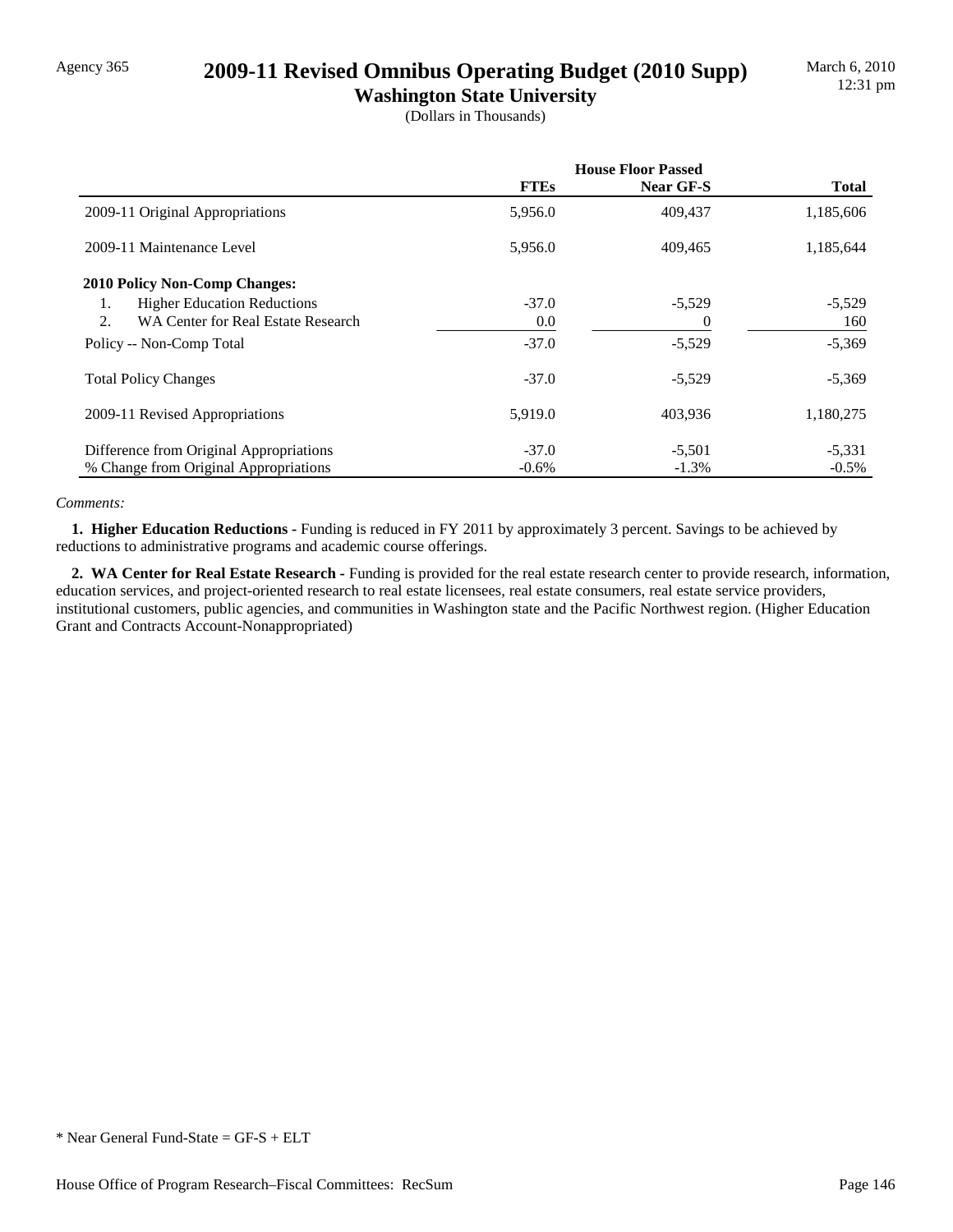### Agency 365 **2009-11 Revised Omnibus Operating Budget (2010 Supp)**

**Washington State University** (Dollars in Thousands)

|                                          | <b>House Floor Passed</b> |           |              |
|------------------------------------------|---------------------------|-----------|--------------|
|                                          | <b>FTEs</b>               | Near GF-S | <b>Total</b> |
| 2009-11 Original Appropriations          | 5,956.0                   | 409,437   | 1,185,606    |
| 2009-11 Maintenance Level                | 5,956.0                   | 409,465   | 1,185,644    |
| <b>2010 Policy Non-Comp Changes:</b>     |                           |           |              |
| <b>Higher Education Reductions</b><br>1. | $-37.0$                   | $-5,529$  | $-5,529$     |
| WA Center for Real Estate Research<br>2. | 0.0                       | 0         | 160          |
| Policy -- Non-Comp Total                 | $-37.0$                   | $-5,529$  | $-5,369$     |
| <b>Total Policy Changes</b>              | $-37.0$                   | $-5,529$  | $-5,369$     |
| 2009-11 Revised Appropriations           | 5,919.0                   | 403,936   | 1,180,275    |
| Difference from Original Appropriations  | $-37.0$                   | $-5,501$  | $-5,331$     |
| % Change from Original Appropriations    | $-0.6%$                   | $-1.3%$   | $-0.5\%$     |

#### *Comments:*

 **1. Higher Education Reductions -** Funding is reduced in FY 2011 by approximately 3 percent. Savings to be achieved by reductions to administrative programs and academic course offerings.

 **2. WA Center for Real Estate Research -** Funding is provided for the real estate research center to provide research, information, education services, and project-oriented research to real estate licensees, real estate consumers, real estate service providers, institutional customers, public agencies, and communities in Washington state and the Pacific Northwest region. (Higher Education Grant and Contracts Account-Nonappropriated)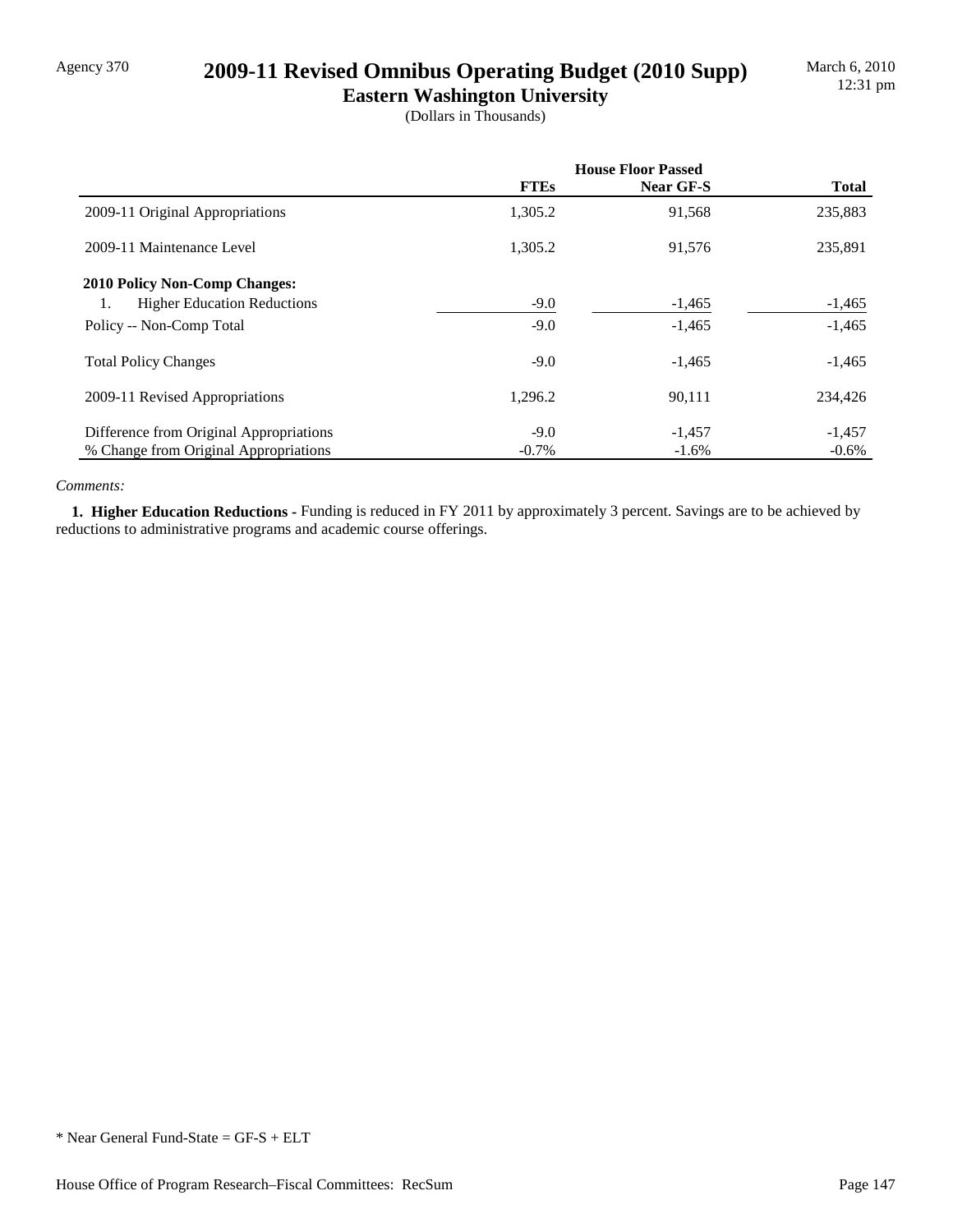## Agency 370 **2009-11 Revised Omnibus Operating Budget (2010 Supp)**

**Eastern Washington University** (Dollars in Thousands)

|                                          |             | <b>House Floor Passed</b> |              |  |
|------------------------------------------|-------------|---------------------------|--------------|--|
|                                          | <b>FTEs</b> | Near GF-S                 | <b>Total</b> |  |
| 2009-11 Original Appropriations          | 1,305.2     | 91,568                    | 235,883      |  |
| 2009-11 Maintenance Level                | 1.305.2     | 91,576                    | 235,891      |  |
| <b>2010 Policy Non-Comp Changes:</b>     |             |                           |              |  |
| <b>Higher Education Reductions</b><br>1. | $-9.0$      | $-1,465$                  | $-1,465$     |  |
| Policy -- Non-Comp Total                 | $-9.0$      | $-1,465$                  | $-1,465$     |  |
| <b>Total Policy Changes</b>              | $-9.0$      | $-1,465$                  | $-1,465$     |  |
| 2009-11 Revised Appropriations           | 1,296.2     | 90,111                    | 234,426      |  |
| Difference from Original Appropriations  | $-9.0$      | $-1,457$                  | $-1,457$     |  |
| % Change from Original Appropriations    | $-0.7\%$    | $-1.6\%$                  | $-0.6%$      |  |

#### *Comments:*

 **1. Higher Education Reductions -** Funding is reduced in FY 2011 by approximately 3 percent. Savings are to be achieved by reductions to administrative programs and academic course offerings.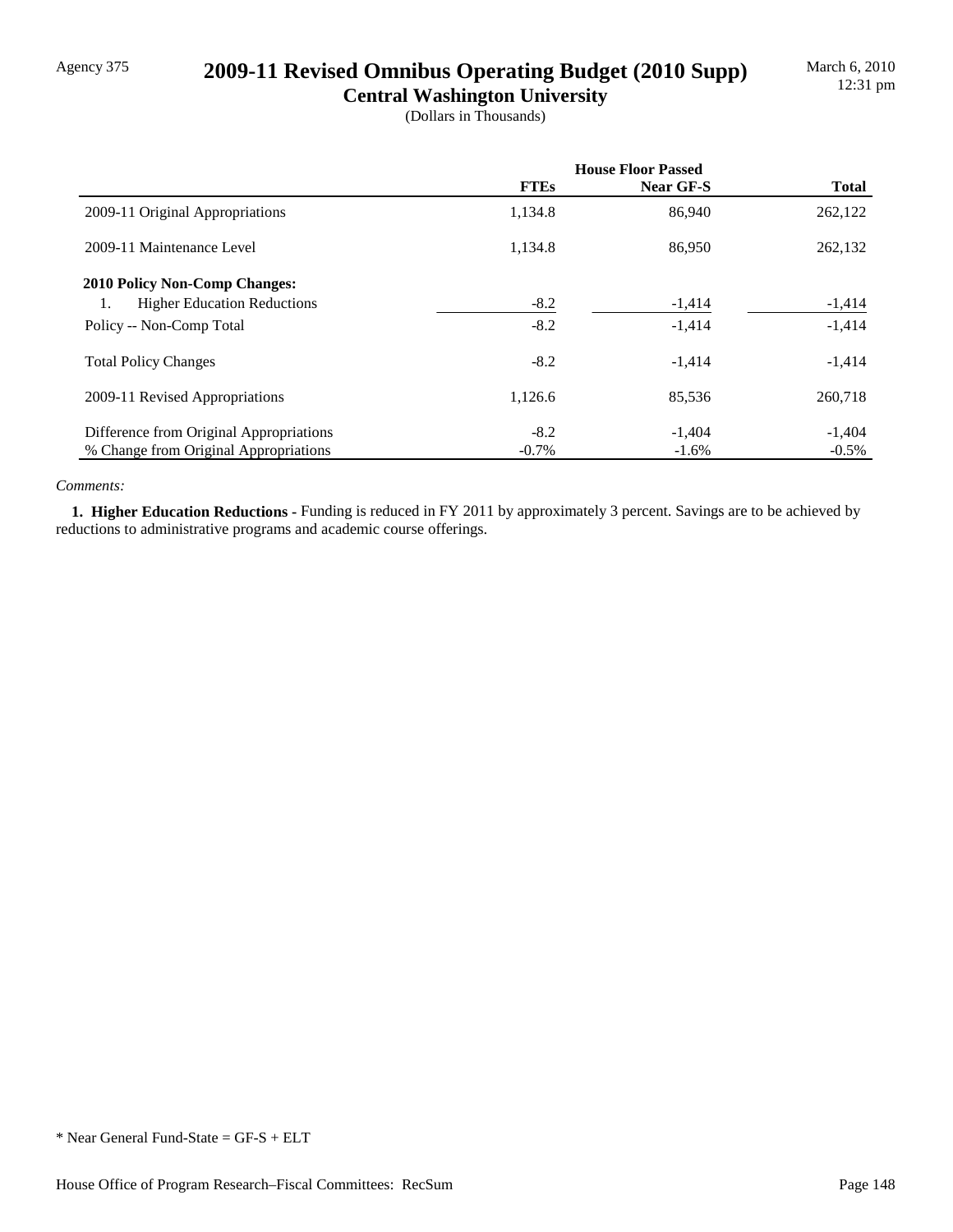## Agency 375 **2009-11 Revised Omnibus Operating Budget (2010 Supp)**

**Central Washington University** (Dollars in Thousands)

|                                          | <b>House Floor Passed</b> |           |              |
|------------------------------------------|---------------------------|-----------|--------------|
|                                          | <b>FTEs</b>               | Near GF-S | <b>Total</b> |
| 2009-11 Original Appropriations          | 1,134.8                   | 86,940    | 262,122      |
| 2009-11 Maintenance Level                | 1,134.8                   | 86,950    | 262,132      |
| <b>2010 Policy Non-Comp Changes:</b>     |                           |           |              |
| <b>Higher Education Reductions</b><br>1. | $-8.2$                    | $-1,414$  | $-1,414$     |
| Policy -- Non-Comp Total                 | $-8.2$                    | $-1,414$  | $-1,414$     |
| <b>Total Policy Changes</b>              | $-8.2$                    | $-1,414$  | $-1,414$     |
| 2009-11 Revised Appropriations           | 1,126.6                   | 85,536    | 260,718      |
| Difference from Original Appropriations  | $-8.2$                    | $-1,404$  | $-1,404$     |
| % Change from Original Appropriations    | $-0.7\%$                  | $-1.6\%$  | $-0.5\%$     |

#### *Comments:*

 **1. Higher Education Reductions -** Funding is reduced in FY 2011 by approximately 3 percent. Savings are to be achieved by reductions to administrative programs and academic course offerings.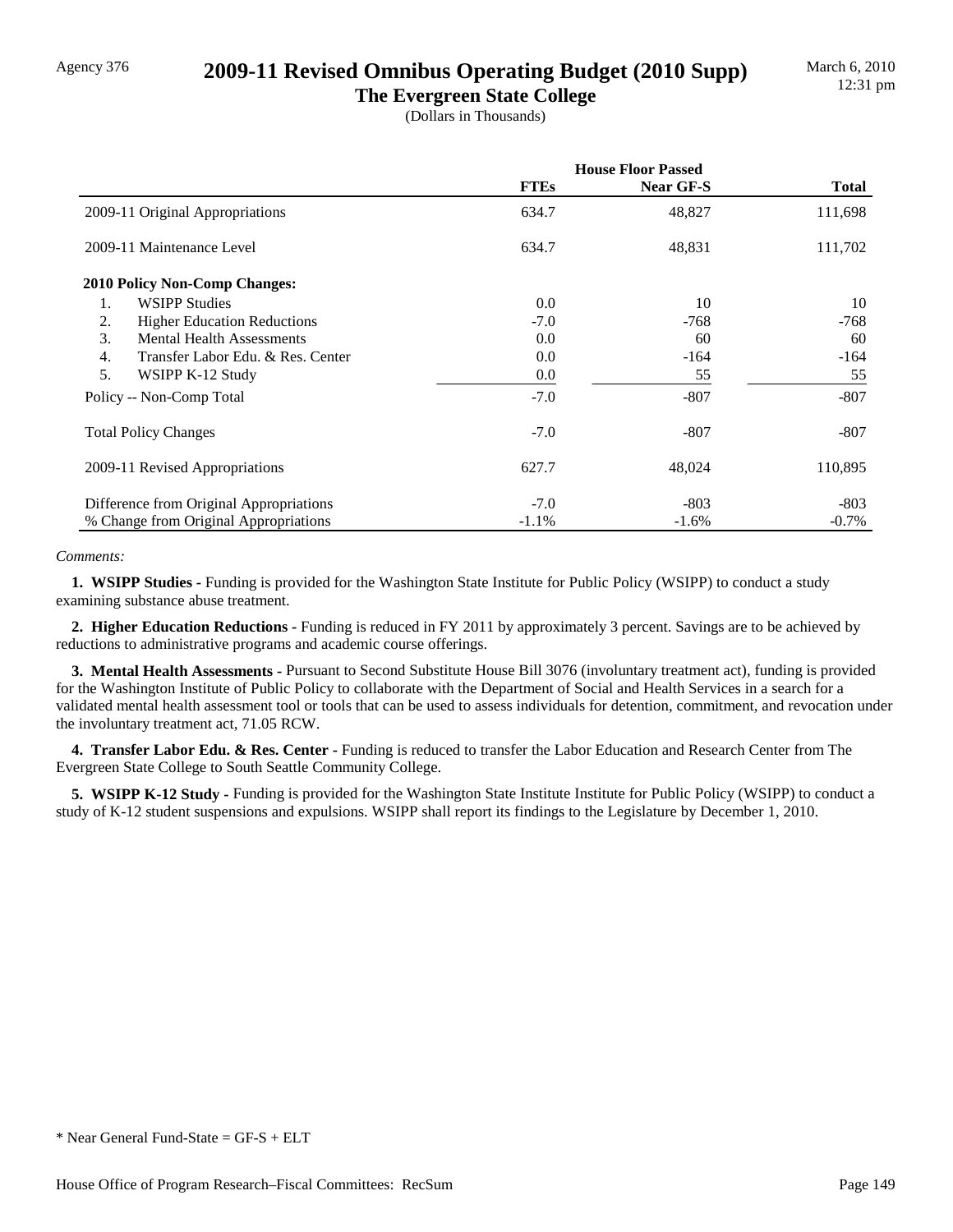### Agency 376 **2009-11 Revised Omnibus Operating Budget (2010 Supp)**

**The Evergreen State College** (Dollars in Thousands)

|                                                       | <b>House Floor Passed</b> |           |          |
|-------------------------------------------------------|---------------------------|-----------|----------|
|                                                       | <b>FTEs</b>               | Near GF-S | Total    |
| 2009-11 Original Appropriations                       | 634.7                     | 48,827    | 111,698  |
| 2009-11 Maintenance Level                             | 634.7                     | 48,831    | 111,702  |
| <b>2010 Policy Non-Comp Changes:</b>                  |                           |           |          |
| <b>WSIPP Studies</b><br>1.                            | 0.0                       | 10        | 10       |
| 2.<br><b>Higher Education Reductions</b>              | $-7.0$                    | $-768$    | $-768$   |
| 3.<br><b>Mental Health Assessments</b>                | 0.0                       | 60        | 60       |
| $\overline{4}$ .<br>Transfer Labor Edu. & Res. Center | 0.0                       | $-164$    | $-164$   |
| 5.<br>WSIPP K-12 Study                                | 0.0                       | 55        | 55       |
| Policy -- Non-Comp Total                              | $-7.0$                    | $-807$    | $-807$   |
| <b>Total Policy Changes</b>                           | $-7.0$                    | $-807$    | $-807$   |
| 2009-11 Revised Appropriations                        | 627.7                     | 48,024    | 110,895  |
| Difference from Original Appropriations               | $-7.0$                    | $-803$    | $-803$   |
| % Change from Original Appropriations                 | $-1.1%$                   | $-1.6%$   | $-0.7\%$ |

#### *Comments:*

**1. WSIPP Studies -** Funding is provided for the Washington State Institute for Public Policy (WSIPP) to conduct a study examining substance abuse treatment.

 **2. Higher Education Reductions -** Funding is reduced in FY 2011 by approximately 3 percent. Savings are to be achieved by reductions to administrative programs and academic course offerings.

 **3. Mental Health Assessments -** Pursuant to Second Substitute House Bill 3076 (involuntary treatment act), funding is provided for the Washington Institute of Public Policy to collaborate with the Department of Social and Health Services in a search for a validated mental health assessment tool or tools that can be used to assess individuals for detention, commitment, and revocation under the involuntary treatment act, 71.05 RCW.

 **4. Transfer Labor Edu. & Res. Center -** Funding is reduced to transfer the Labor Education and Research Center from The Evergreen State College to South Seattle Community College.

**5. WSIPP K-12 Study - Funding is provided for the Washington State Institute Institute for Public Policy (WSIPP) to conduct a** study of K-12 student suspensions and expulsions. WSIPP shall report its findings to the Legislature by December 1, 2010.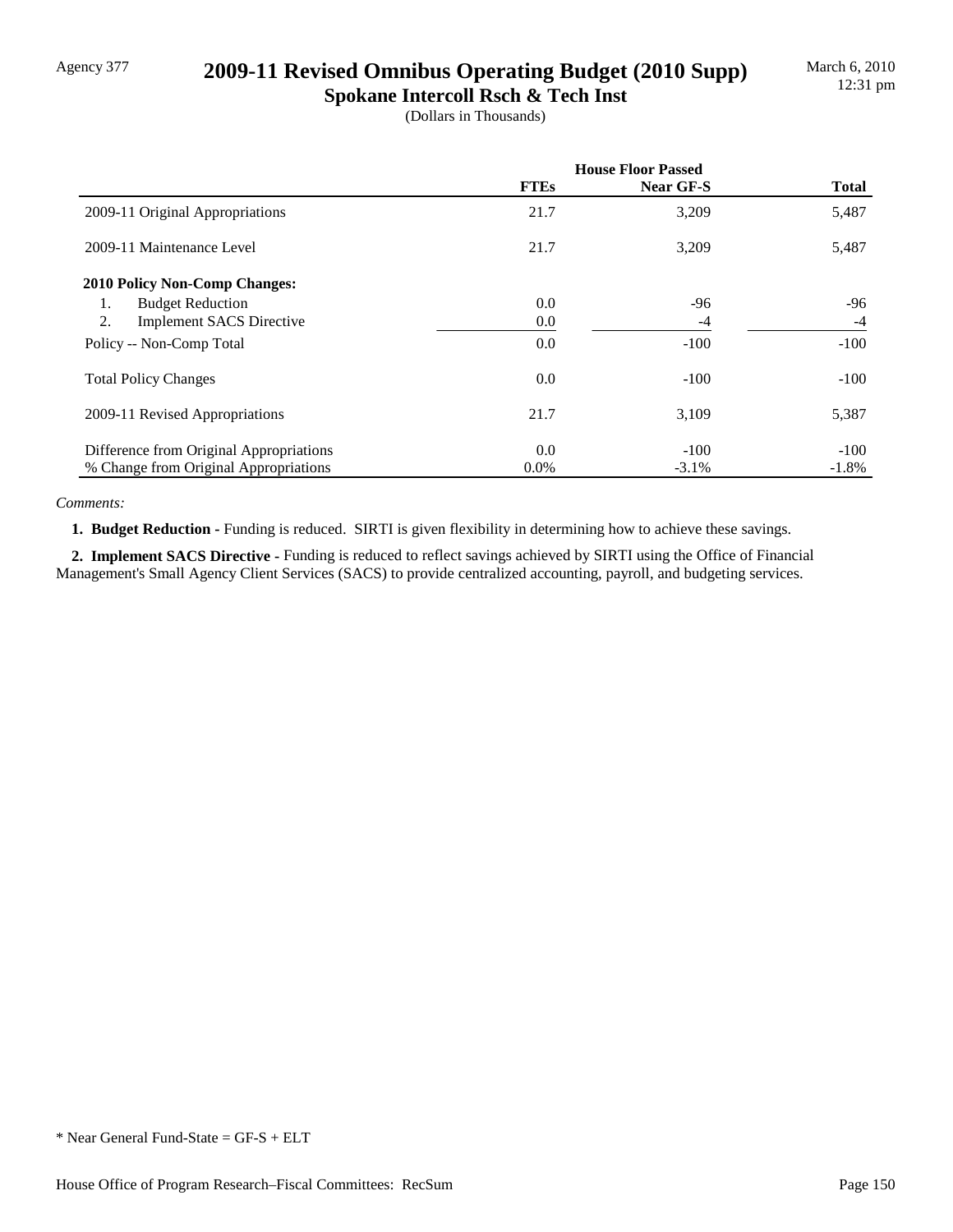## Agency 377 **2009-11 Revised Omnibus Operating Budget (2010 Supp)**

**Spokane Intercoll Rsch & Tech Inst** (Dollars in Thousands)

|                                         | <b>House Floor Passed</b> |           |              |
|-----------------------------------------|---------------------------|-----------|--------------|
|                                         | <b>FTEs</b>               | Near GF-S | <b>Total</b> |
| 2009-11 Original Appropriations         | 21.7                      | 3,209     | 5,487        |
| 2009-11 Maintenance Level               | 21.7                      | 3,209     | 5,487        |
| <b>2010 Policy Non-Comp Changes:</b>    |                           |           |              |
| <b>Budget Reduction</b><br>1.           | 0.0                       | $-96$     | -96          |
| 2.<br><b>Implement SACS Directive</b>   | 0.0                       | $-4$      | $-4$         |
| Policy -- Non-Comp Total                | 0.0                       | $-100$    | $-100$       |
| <b>Total Policy Changes</b>             | 0.0                       | $-100$    | $-100$       |
| 2009-11 Revised Appropriations          | 21.7                      | 3,109     | 5,387        |
| Difference from Original Appropriations | 0.0                       | $-100$    | $-100$       |
| % Change from Original Appropriations   | $0.0\%$                   | $-3.1\%$  | $-1.8%$      |

*Comments:*

 **1. Budget Reduction -** Funding is reduced. SIRTI is given flexibility in determining how to achieve these savings.

 **2. Implement SACS Directive -** Funding is reduced to reflect savings achieved by SIRTI using the Office of Financial Management's Small Agency Client Services (SACS) to provide centralized accounting, payroll, and budgeting services.

<sup>\*</sup> Near General Fund-State = GF-S + ELT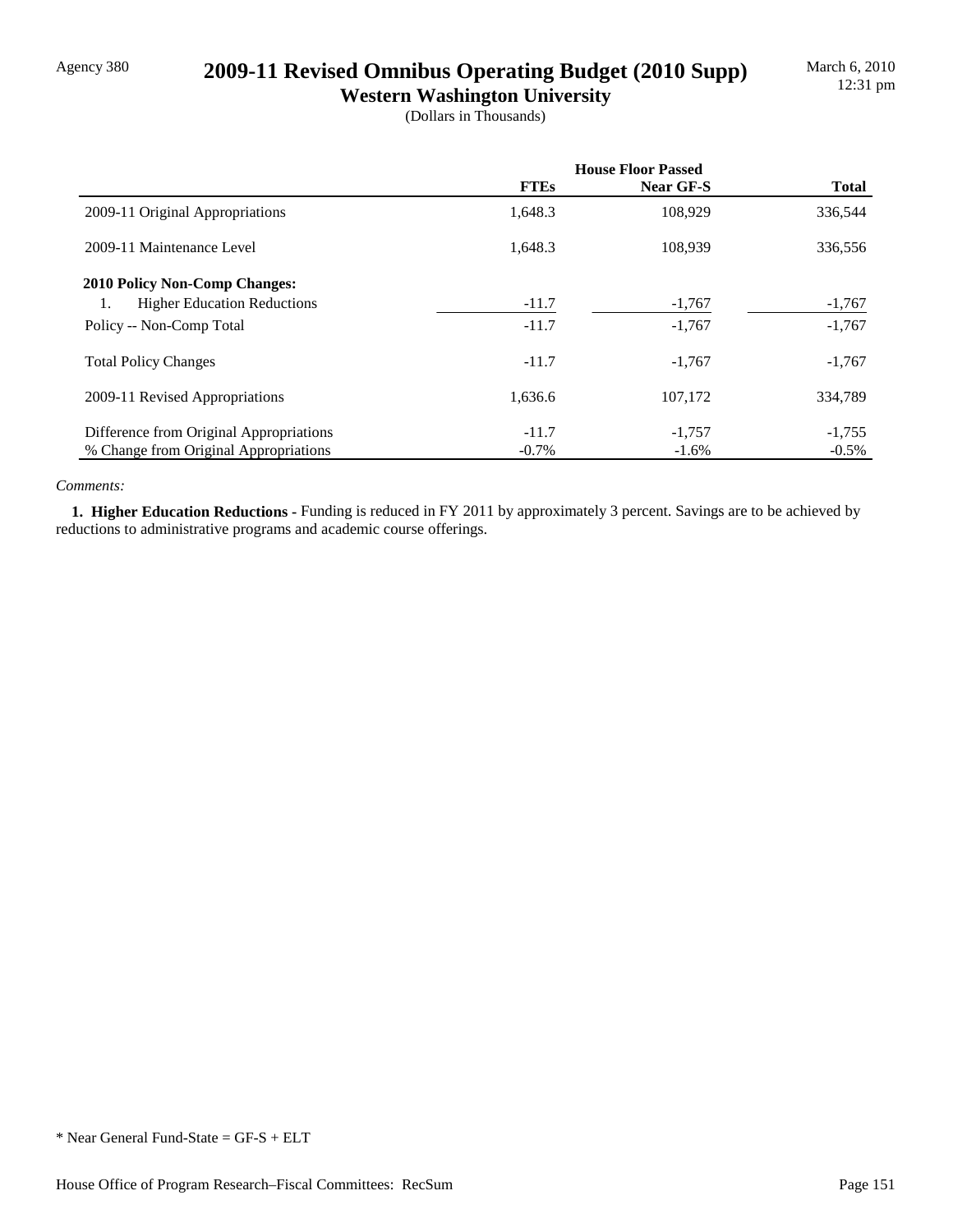## Agency 380 **2009-11 Revised Omnibus Operating Budget (2010 Supp)**

**Western Washington University** (Dollars in Thousands)

|                                          | <b>House Floor Passed</b> |                  |              |
|------------------------------------------|---------------------------|------------------|--------------|
|                                          | <b>FTEs</b>               | <b>Near GF-S</b> | <b>Total</b> |
| 2009-11 Original Appropriations          | 1,648.3                   | 108,929          | 336,544      |
| 2009-11 Maintenance Level                | 1.648.3                   | 108.939          | 336,556      |
| <b>2010 Policy Non-Comp Changes:</b>     |                           |                  |              |
| <b>Higher Education Reductions</b><br>1. | $-11.7$                   | $-1,767$         | $-1,767$     |
| Policy -- Non-Comp Total                 | $-11.7$                   | $-1,767$         | $-1,767$     |
| <b>Total Policy Changes</b>              | $-11.7$                   | $-1,767$         | $-1,767$     |
| 2009-11 Revised Appropriations           | 1,636.6                   | 107.172          | 334,789      |
| Difference from Original Appropriations  | $-11.7$                   | $-1,757$         | $-1,755$     |
| % Change from Original Appropriations    | $-0.7\%$                  | $-1.6\%$         | $-0.5\%$     |

#### *Comments:*

 **1. Higher Education Reductions -** Funding is reduced in FY 2011 by approximately 3 percent. Savings are to be achieved by reductions to administrative programs and academic course offerings.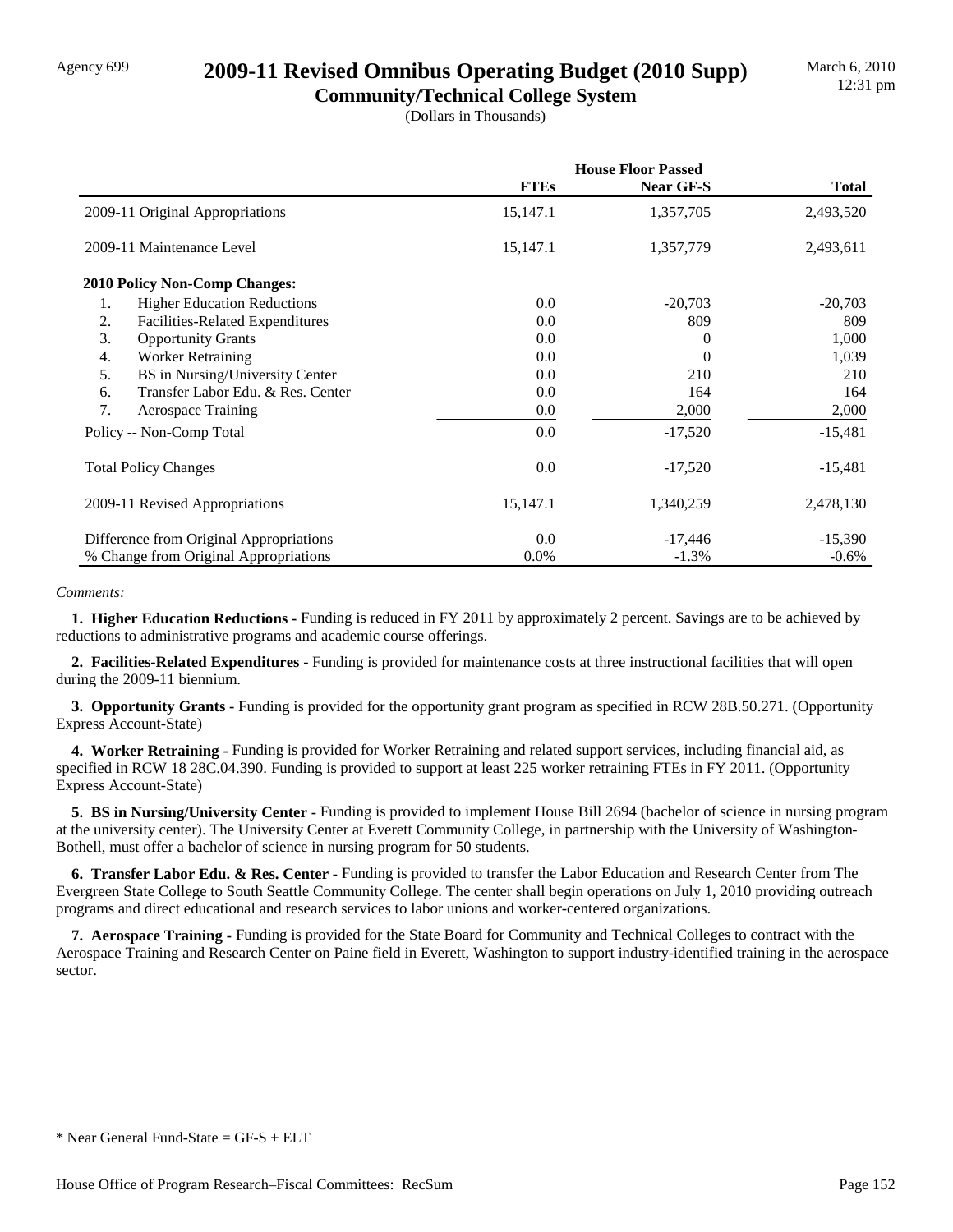### Agency 699 **2009-11 Revised Omnibus Operating Budget (2010 Supp)**

**Community/Technical College System** (Dollars in Thousands)

|                                          | <b>House Floor Passed</b> |           |              |
|------------------------------------------|---------------------------|-----------|--------------|
|                                          | <b>FTEs</b>               | Near GF-S | <b>Total</b> |
| 2009-11 Original Appropriations          | 15,147.1                  | 1,357,705 | 2,493,520    |
| 2009-11 Maintenance Level                | 15,147.1                  | 1,357,779 | 2,493,611    |
| <b>2010 Policy Non-Comp Changes:</b>     |                           |           |              |
| <b>Higher Education Reductions</b><br>1. | 0.0                       | $-20,703$ | $-20,703$    |
| 2.<br>Facilities-Related Expenditures    | 0.0                       | 809       | 809          |
| 3.<br><b>Opportunity Grants</b>          | 0.0                       | 0         | 1,000        |
| <b>Worker Retraining</b><br>4.           | 0.0                       | 0         | 1,039        |
| BS in Nursing/University Center<br>5.    | 0.0                       | 210       | 210          |
| Transfer Labor Edu. & Res. Center<br>6.  | 0.0                       | 164       | 164          |
| 7.<br><b>Aerospace Training</b>          | 0.0                       | 2,000     | 2,000        |
| Policy -- Non-Comp Total                 | 0.0                       | $-17,520$ | $-15,481$    |
| <b>Total Policy Changes</b>              | 0.0                       | $-17,520$ | $-15,481$    |
| 2009-11 Revised Appropriations           | 15,147.1                  | 1,340,259 | 2,478,130    |
| Difference from Original Appropriations  | 0.0                       | $-17,446$ | $-15,390$    |
| % Change from Original Appropriations    | $0.0\%$                   | $-1.3%$   | $-0.6\%$     |

#### *Comments:*

 **1. Higher Education Reductions -** Funding is reduced in FY 2011 by approximately 2 percent. Savings are to be achieved by reductions to administrative programs and academic course offerings.

 **2. Facilities-Related Expenditures -** Funding is provided for maintenance costs at three instructional facilities that will open during the 2009-11 biennium.

 **3. Opportunity Grants -** Funding is provided for the opportunity grant program as specified in RCW 28B.50.271. (Opportunity Express Account-State)

 **4. Worker Retraining -** Funding is provided for Worker Retraining and related support services, including financial aid, as specified in RCW 18 28C.04.390. Funding is provided to support at least 225 worker retraining FTEs in FY 2011. (Opportunity Express Account-State)

 **5. BS in Nursing/University Center -** Funding is provided to implement House Bill 2694 (bachelor of science in nursing program at the university center). The University Center at Everett Community College, in partnership with the University of Washington-Bothell, must offer a bachelor of science in nursing program for 50 students.

 **6. Transfer Labor Edu. & Res. Center -** Funding is provided to transfer the Labor Education and Research Center from The Evergreen State College to South Seattle Community College. The center shall begin operations on July 1, 2010 providing outreach programs and direct educational and research services to labor unions and worker-centered organizations.

 **7. Aerospace Training -** Funding is provided for the State Board for Community and Technical Colleges to contract with the Aerospace Training and Research Center on Paine field in Everett, Washington to support industry-identified training in the aerospace sector.

 $*$  Near General Fund-State = GF-S + ELT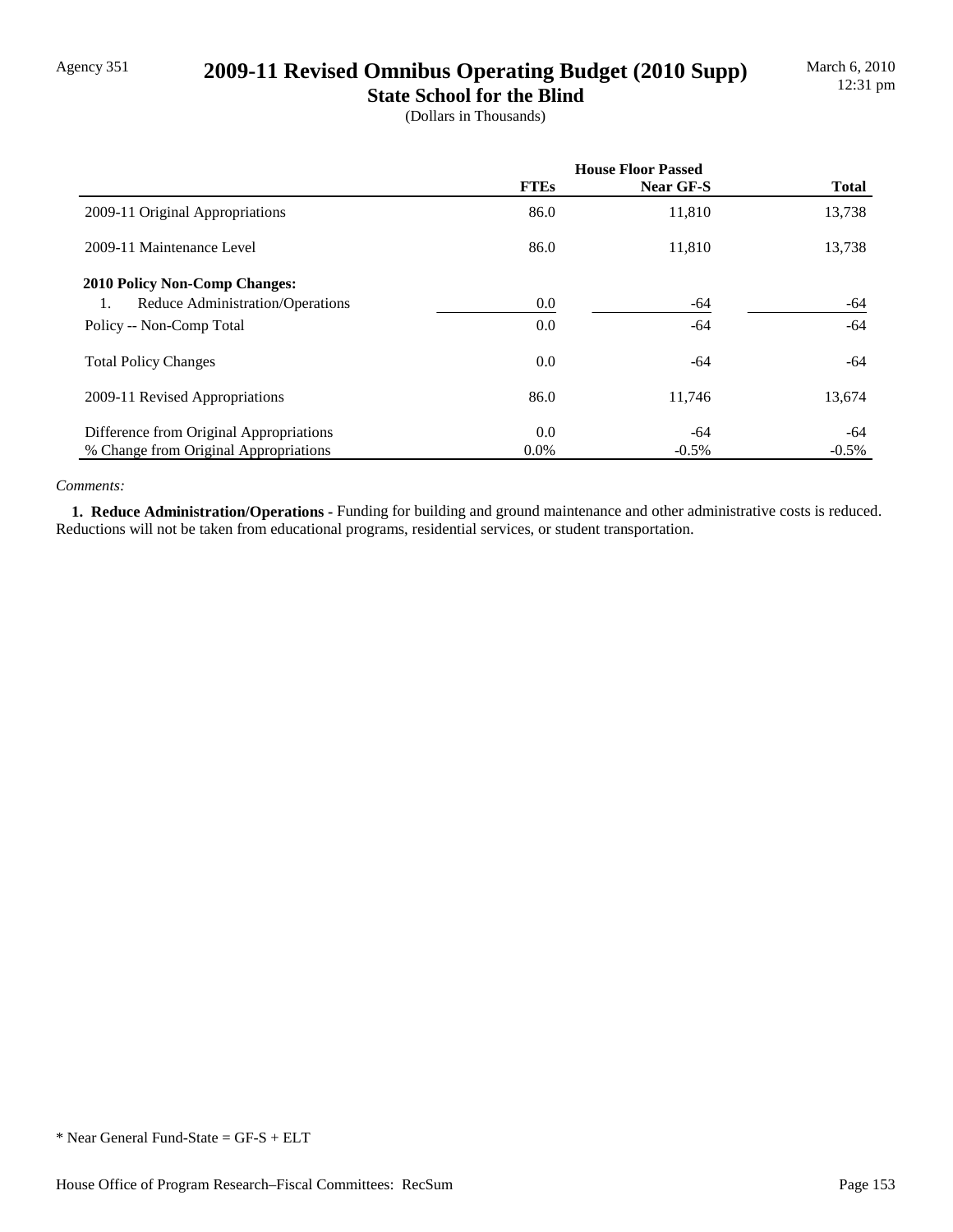## Agency 351 **2009-11 Revised Omnibus Operating Budget (2010 Supp)**

**State School for the Blind** (Dollars in Thousands)

|                                         | <b>House Floor Passed</b> |           |              |
|-----------------------------------------|---------------------------|-----------|--------------|
|                                         | <b>FTEs</b>               | Near GF-S | <b>Total</b> |
| 2009-11 Original Appropriations         | 86.0                      | 11,810    | 13,738       |
| 2009-11 Maintenance Level               | 86.0                      | 11,810    | 13,738       |
| <b>2010 Policy Non-Comp Changes:</b>    |                           |           |              |
| Reduce Administration/Operations<br>1.  | $0.0\,$                   | -64       | -64          |
| Policy -- Non-Comp Total                | $0.0\,$                   | -64       | -64          |
| <b>Total Policy Changes</b>             | $0.0\,$                   | -64       | -64          |
| 2009-11 Revised Appropriations          | 86.0                      | 11,746    | 13,674       |
| Difference from Original Appropriations | 0.0                       | -64       | -64          |
| % Change from Original Appropriations   | $0.0\%$                   | $-0.5\%$  | $-0.5\%$     |

#### *Comments:*

1. Reduce Administration/Operations - Funding for building and ground maintenance and other administrative costs is reduced. Reductions will not be taken from educational programs, residential services, or student transportation.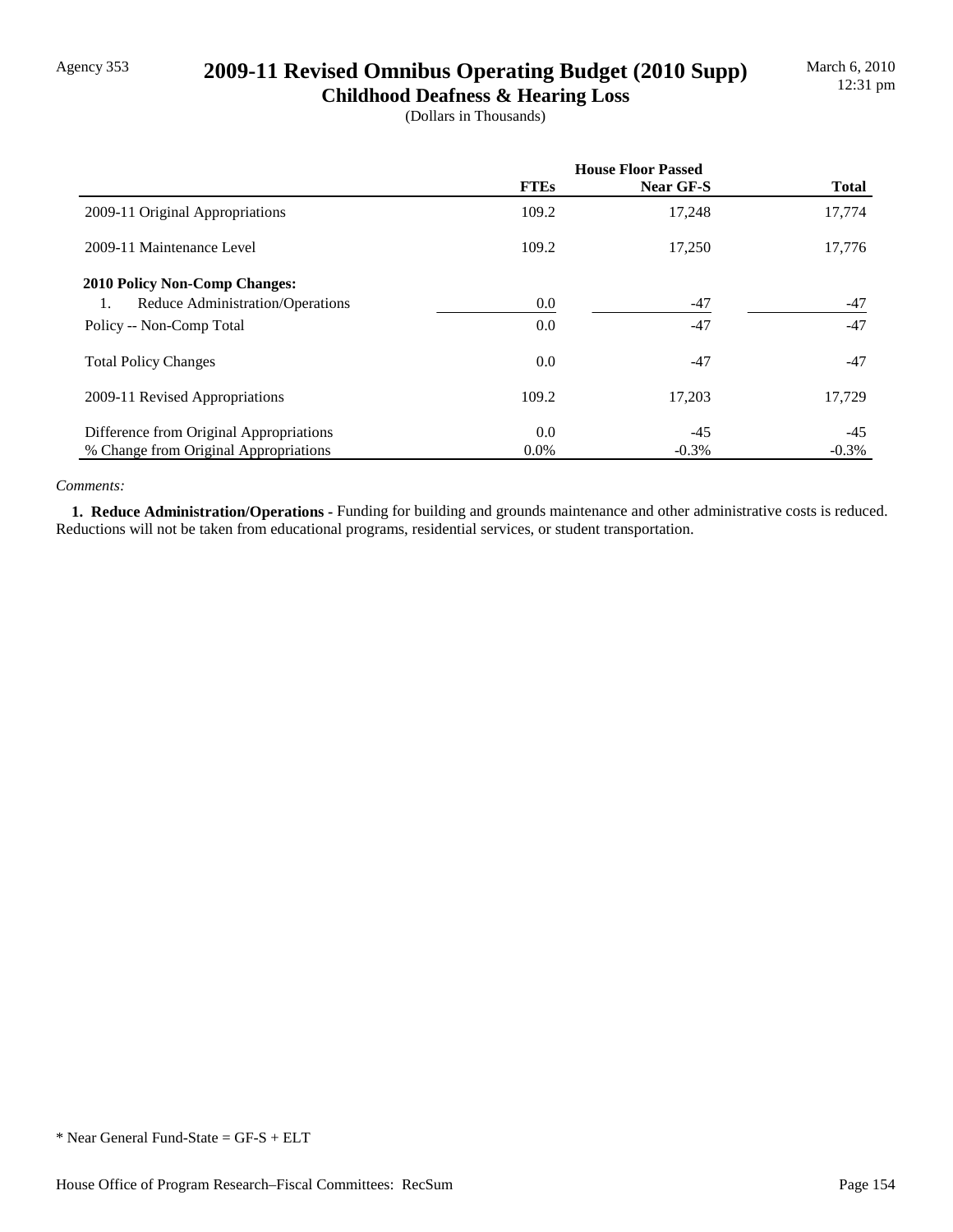# Agency 353 **2009-11 Revised Omnibus Operating Budget (2010 Supp)**

**Childhood Deafness & Hearing Loss** (Dollars in Thousands)

|                                         | <b>House Floor Passed</b> |           |              |
|-----------------------------------------|---------------------------|-----------|--------------|
|                                         | <b>FTEs</b>               | Near GF-S | <b>Total</b> |
| 2009-11 Original Appropriations         | 109.2                     | 17,248    | 17,774       |
| 2009-11 Maintenance Level               | 109.2                     | 17.250    | 17,776       |
| <b>2010 Policy Non-Comp Changes:</b>    |                           |           |              |
| Reduce Administration/Operations<br>1.  | 0.0                       | $-47$     | $-47$        |
| Policy -- Non-Comp Total                | 0.0                       | $-47$     | $-47$        |
| <b>Total Policy Changes</b>             | 0.0                       | $-47$     | $-47$        |
| 2009-11 Revised Appropriations          | 109.2                     | 17,203    | 17,729       |
| Difference from Original Appropriations | 0.0                       | $-45$     | $-45$        |
| % Change from Original Appropriations   | $0.0\%$                   | $-0.3%$   | $-0.3%$      |

#### *Comments:*

 **1. Reduce Administration/Operations -** Funding for building and grounds maintenance and other administrative costs is reduced. Reductions will not be taken from educational programs, residential services, or student transportation.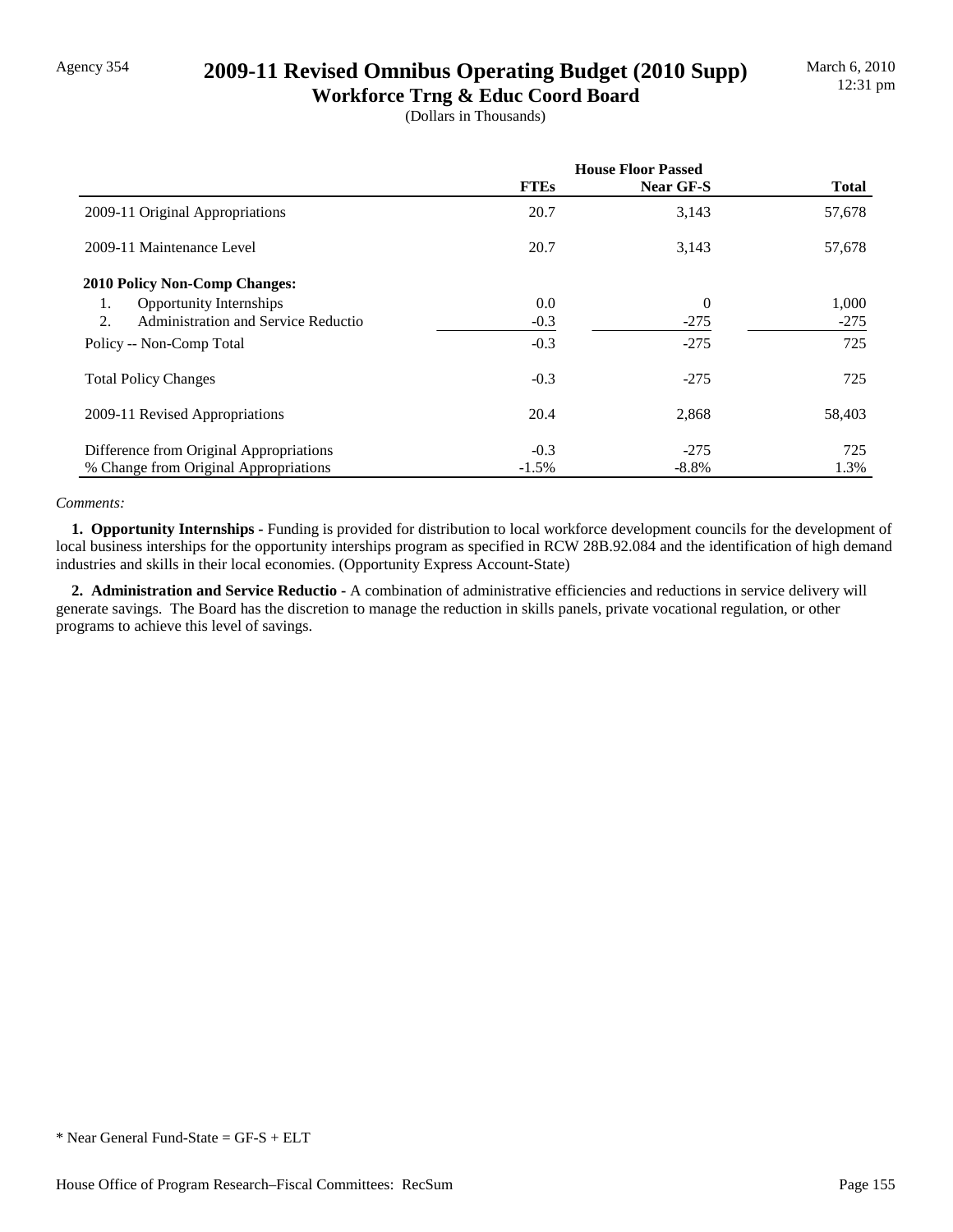# Agency 354 **2009-11 Revised Omnibus Operating Budget (2010 Supp)**

**Workforce Trng & Educ Coord Board** (Dollars in Thousands)

|                                           | <b>House Floor Passed</b> |                |              |
|-------------------------------------------|---------------------------|----------------|--------------|
|                                           | <b>FTEs</b>               | Near GF-S      | <b>Total</b> |
| 2009-11 Original Appropriations           | 20.7                      | 3,143          | 57,678       |
| 2009-11 Maintenance Level                 | 20.7                      | 3,143          | 57,678       |
| 2010 Policy Non-Comp Changes:             |                           |                |              |
| Opportunity Internships<br>1.             | 0.0                       | $\overline{0}$ | 1,000        |
| Administration and Service Reductio<br>2. | $-0.3$                    | $-275$         | $-275$       |
| Policy -- Non-Comp Total                  | $-0.3$                    | $-275$         | 725          |
| <b>Total Policy Changes</b>               | $-0.3$                    | $-275$         | 725          |
| 2009-11 Revised Appropriations            | 20.4                      | 2,868          | 58,403       |
| Difference from Original Appropriations   | $-0.3$                    | $-275$         | 725          |
| % Change from Original Appropriations     | $-1.5%$                   | $-8.8\%$       | 1.3%         |

#### *Comments:*

**1. Opportunity Internships - Funding is provided for distribution to local workforce development councils for the development of** local business interships for the opportunity interships program as specified in RCW 28B.92.084 and the identification of high demand industries and skills in their local economies. (Opportunity Express Account-State)

2. Administration and Service Reductio - A combination of administrative efficiencies and reductions in service delivery will generate savings. The Board has the discretion to manage the reduction in skills panels, private vocational regulation, or other programs to achieve this level of savings.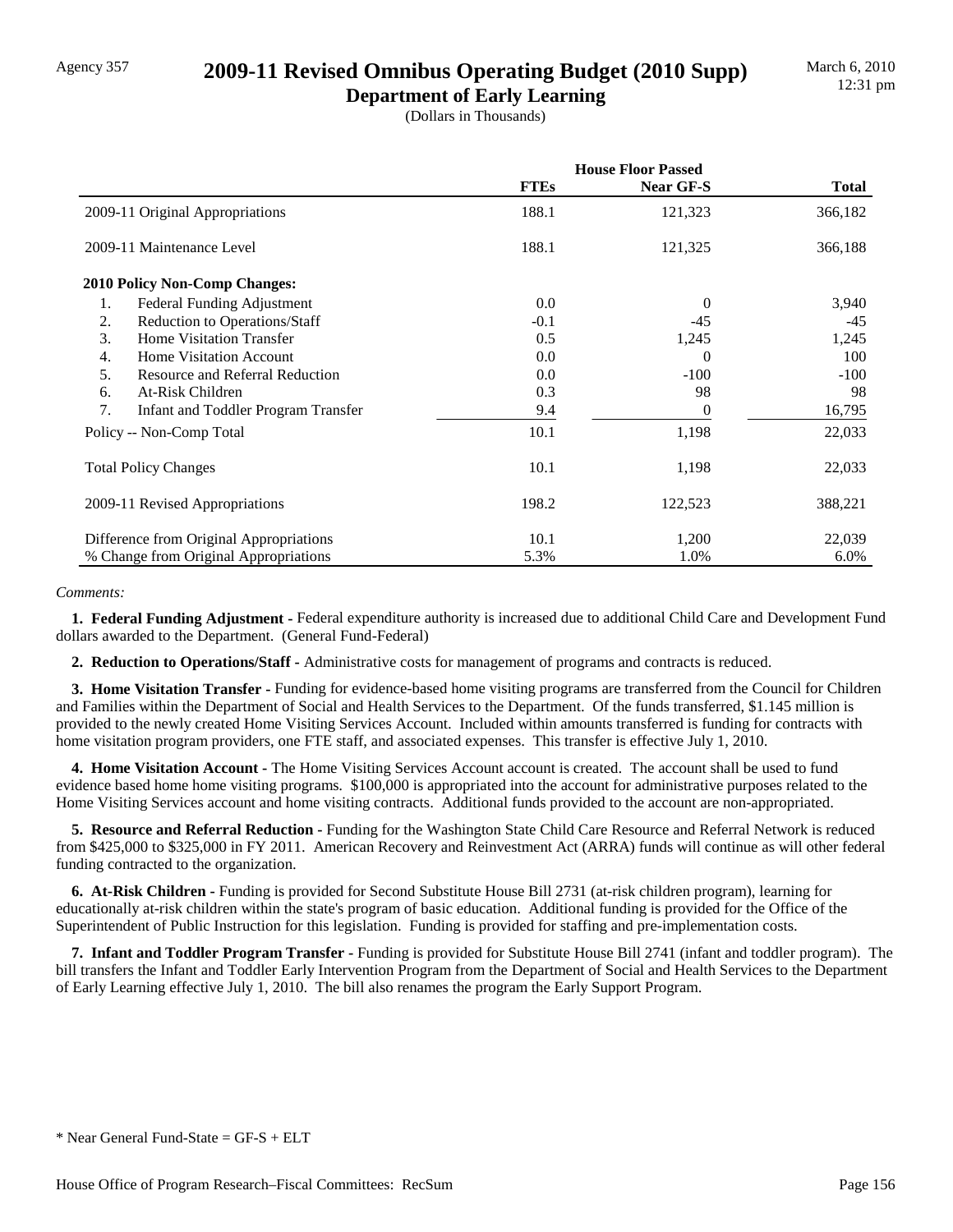### Agency 357 **2009-11 Revised Omnibus Operating Budget (2010 Supp)**

**Department of Early Learning** (Dollars in Thousands)

|                                           | <b>House Floor Passed</b> |           |              |
|-------------------------------------------|---------------------------|-----------|--------------|
|                                           | <b>FTEs</b>               | Near GF-S | <b>Total</b> |
| 2009-11 Original Appropriations           | 188.1                     | 121,323   | 366,182      |
| 2009-11 Maintenance Level                 | 188.1                     | 121,325   | 366,188      |
| <b>2010 Policy Non-Comp Changes:</b>      |                           |           |              |
| Federal Funding Adjustment<br>1.          | $0.0\,$                   | $\theta$  | 3,940        |
| Reduction to Operations/Staff<br>2.       | $-0.1$                    | $-45$     | $-45$        |
| 3.<br><b>Home Visitation Transfer</b>     | 0.5                       | 1,245     | 1,245        |
| Home Visitation Account<br>4.             | 0.0                       | 0         | 100          |
| 5.<br>Resource and Referral Reduction     | 0.0                       | $-100$    | $-100$       |
| At-Risk Children<br>6.                    | 0.3                       | 98        | 98           |
| 7.<br>Infant and Toddler Program Transfer | 9.4                       | 0         | 16,795       |
| Policy -- Non-Comp Total                  | 10.1                      | 1,198     | 22,033       |
| <b>Total Policy Changes</b>               | 10.1                      | 1,198     | 22,033       |
| 2009-11 Revised Appropriations            | 198.2                     | 122,523   | 388,221      |
| Difference from Original Appropriations   | 10.1                      | 1,200     | 22,039       |
| % Change from Original Appropriations     | 5.3%                      | 1.0%      | 6.0%         |

#### *Comments:*

 **1. Federal Funding Adjustment -** Federal expenditure authority is increased due to additional Child Care and Development Fund dollars awarded to the Department. (General Fund-Federal)

 **2. Reduction to Operations/Staff -** Administrative costs for management of programs and contracts is reduced.

 **3. Home Visitation Transfer -** Funding for evidence-based home visiting programs are transferred from the Council for Children and Families within the Department of Social and Health Services to the Department. Of the funds transferred, \$1.145 million is provided to the newly created Home Visiting Services Account. Included within amounts transferred is funding for contracts with home visitation program providers, one FTE staff, and associated expenses. This transfer is effective July 1, 2010.

 **4. Home Visitation Account -** The Home Visiting Services Account account is created. The account shall be used to fund evidence based home home visiting programs. \$100,000 is appropriated into the account for administrative purposes related to the Home Visiting Services account and home visiting contracts. Additional funds provided to the account are non-appropriated.

 **5. Resource and Referral Reduction -** Funding for the Washington State Child Care Resource and Referral Network is reduced from \$425,000 to \$325,000 in FY 2011. American Recovery and Reinvestment Act (ARRA) funds will continue as will other federal funding contracted to the organization.

 **6. At-Risk Children -** Funding is provided for Second Substitute House Bill 2731 (at-risk children program), learning for educationally at-risk children within the state's program of basic education. Additional funding is provided for the Office of the Superintendent of Public Instruction for this legislation. Funding is provided for staffing and pre-implementation costs.

 **7. Infant and Toddler Program Transfer -** Funding is provided for Substitute House Bill 2741 (infant and toddler program). The bill transfers the Infant and Toddler Early Intervention Program from the Department of Social and Health Services to the Department of Early Learning effective July 1, 2010. The bill also renames the program the Early Support Program.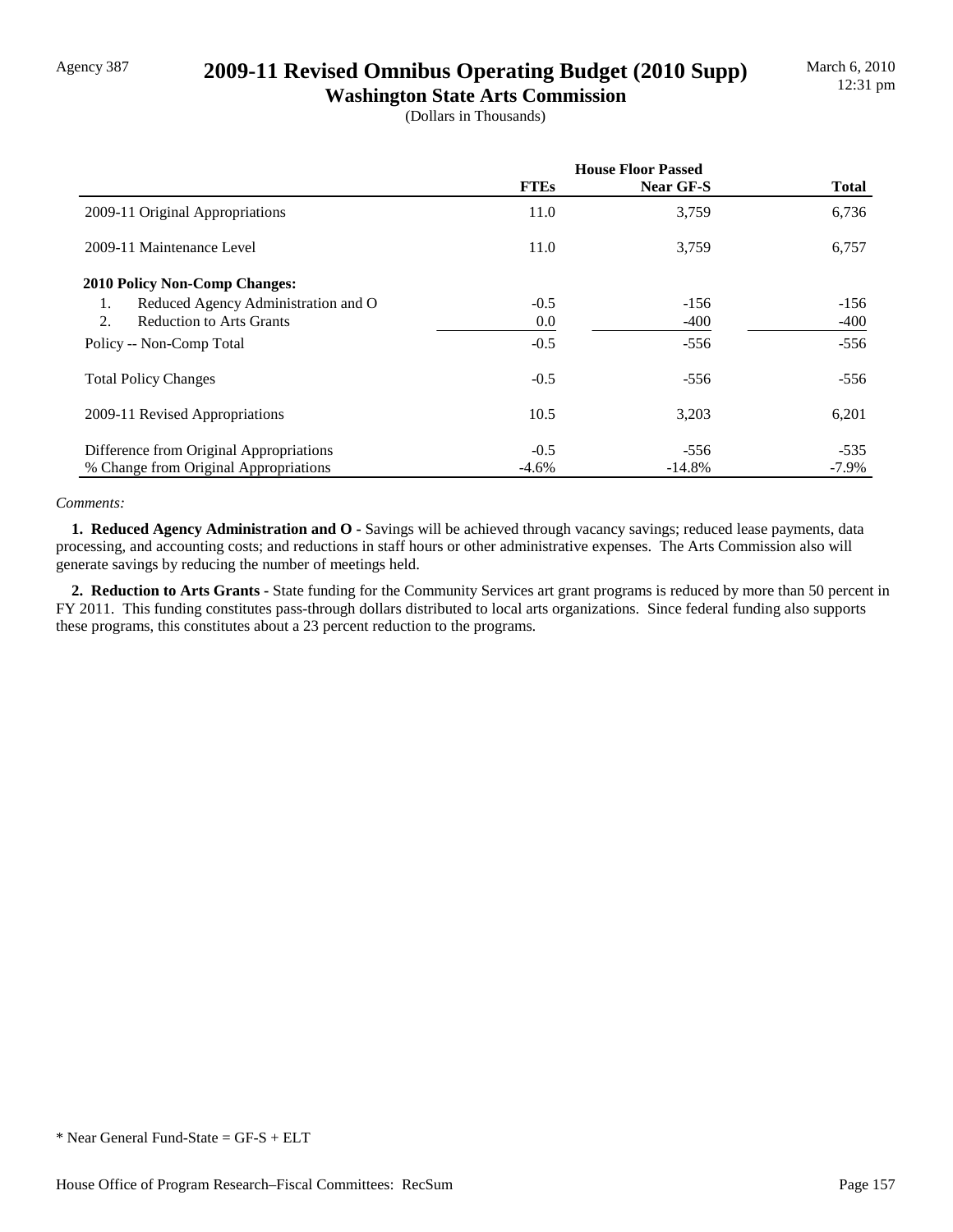### Agency 387 **2009-11 Revised Omnibus Operating Budget (2010 Supp)**

**Washington State Arts Commission** (Dollars in Thousands)

|                                           | <b>House Floor Passed</b> |                  |              |
|-------------------------------------------|---------------------------|------------------|--------------|
|                                           | <b>FTEs</b>               | <b>Near GF-S</b> | <b>Total</b> |
| 2009-11 Original Appropriations           | 11.0                      | 3,759            | 6,736        |
| 2009-11 Maintenance Level                 | 11.0                      | 3,759            | 6,757        |
| <b>2010 Policy Non-Comp Changes:</b>      |                           |                  |              |
| Reduced Agency Administration and O<br>1. | $-0.5$                    | $-156$           | $-156$       |
| <b>Reduction to Arts Grants</b><br>2.     | 0.0                       | $-400$           | -400         |
| Policy -- Non-Comp Total                  | $-0.5$                    | $-556$           | $-556$       |
| <b>Total Policy Changes</b>               | $-0.5$                    | $-556$           | $-556$       |
| 2009-11 Revised Appropriations            | 10.5                      | 3,203            | 6,201        |
| Difference from Original Appropriations   | $-0.5$                    | $-556$           | $-535$       |
| % Change from Original Appropriations     | $-4.6%$                   | $-14.8%$         | $-7.9\%$     |

#### *Comments:*

 **1. Reduced Agency Administration and O -** Savings will be achieved through vacancy savings; reduced lease payments, data processing, and accounting costs; and reductions in staff hours or other administrative expenses. The Arts Commission also will generate savings by reducing the number of meetings held.

 **2. Reduction to Arts Grants -** State funding for the Community Services art grant programs is reduced by more than 50 percent in FY 2011. This funding constitutes pass-through dollars distributed to local arts organizations. Since federal funding also supports these programs, this constitutes about a 23 percent reduction to the programs.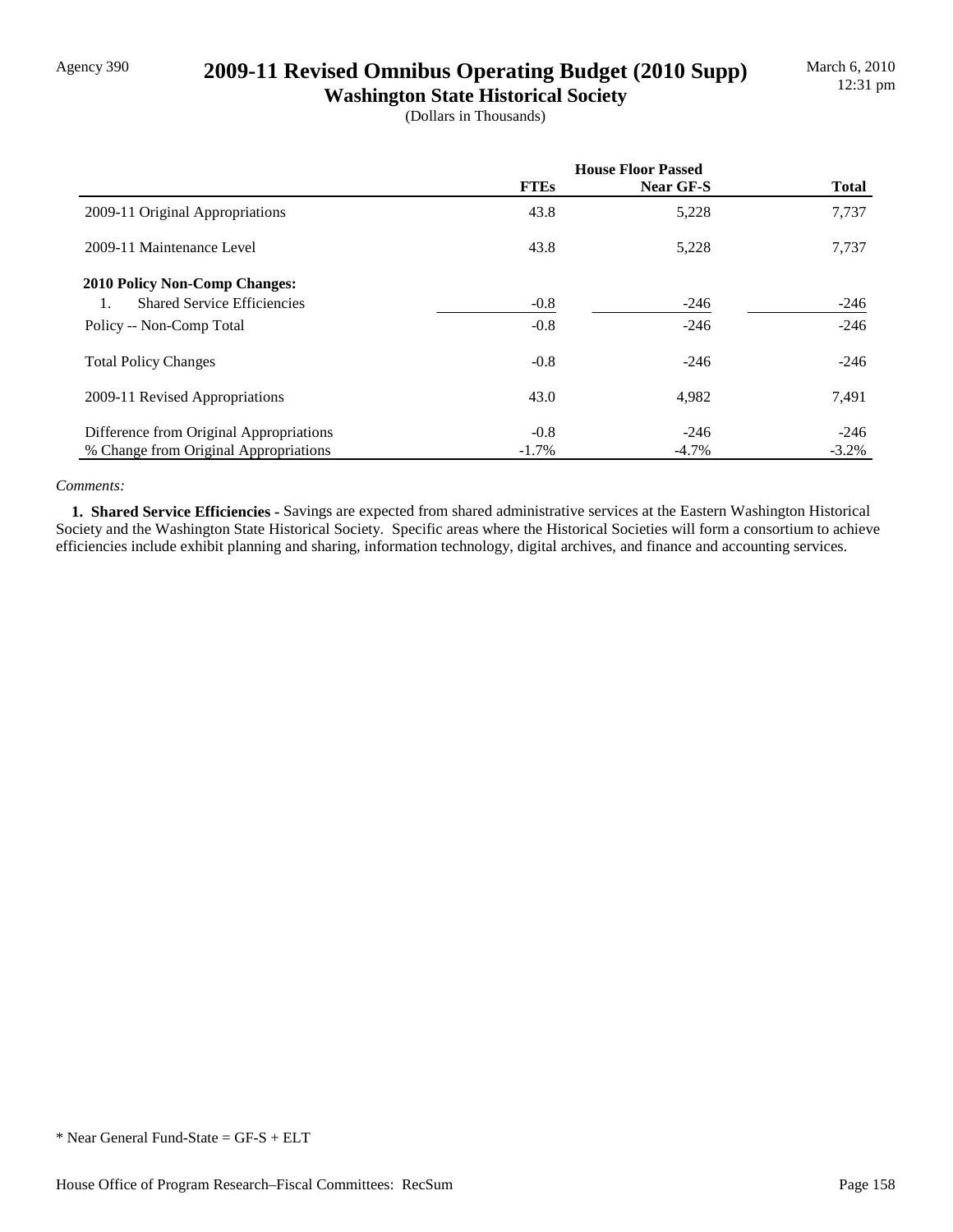## Agency 390 **2009-11 Revised Omnibus Operating Budget (2010 Supp)**

**Washington State Historical Society** (Dollars in Thousands)

|                                          | <b>House Floor Passed</b> |           |              |
|------------------------------------------|---------------------------|-----------|--------------|
|                                          | <b>FTEs</b>               | Near GF-S | <b>Total</b> |
| 2009-11 Original Appropriations          | 43.8                      | 5,228     | 7,737        |
| 2009-11 Maintenance Level                | 43.8                      | 5,228     | 7,737        |
| <b>2010 Policy Non-Comp Changes:</b>     |                           |           |              |
| <b>Shared Service Efficiencies</b><br>1. | $-0.8$                    | $-246$    | $-246$       |
| Policy -- Non-Comp Total                 | $-0.8$                    | $-246$    | $-246$       |
| <b>Total Policy Changes</b>              | $-0.8$                    | $-246$    | $-246$       |
| 2009-11 Revised Appropriations           | 43.0                      | 4,982     | 7,491        |
| Difference from Original Appropriations  | $-0.8$                    | $-246$    | $-246$       |
| % Change from Original Appropriations    | $-1.7\%$                  | $-4.7\%$  | $-3.2\%$     |

#### *Comments:*

 **1. Shared Service Efficiencies -** Savings are expected from shared administrative services at the Eastern Washington Historical Society and the Washington State Historical Society. Specific areas where the Historical Societies will form a consortium to achieve efficiencies include exhibit planning and sharing, information technology, digital archives, and finance and accounting services.

<sup>\*</sup> Near General Fund-State = GF-S + ELT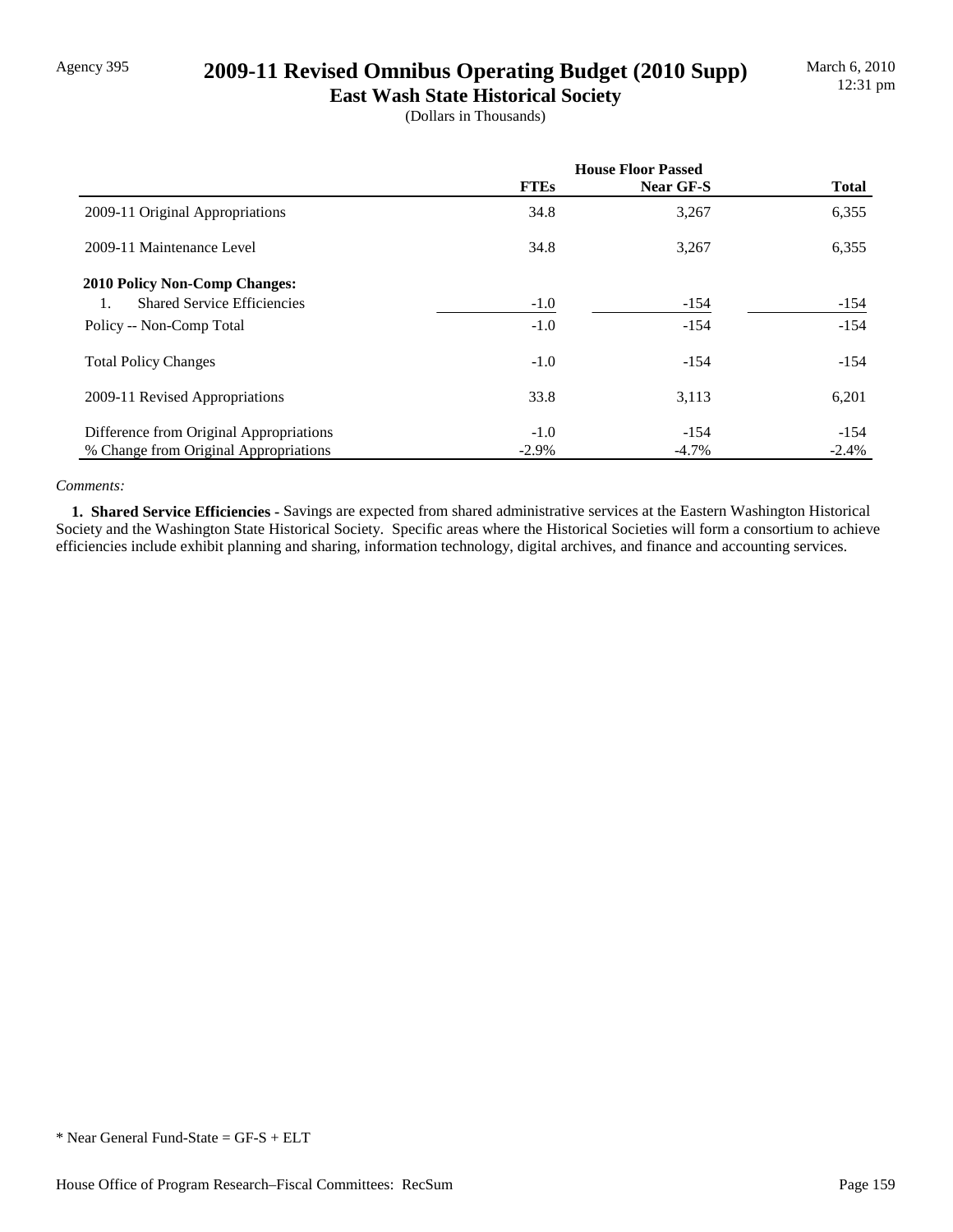### Agency 395 **2009-11 Revised Omnibus Operating Budget (2010 Supp)**

**East Wash State Historical Society** (Dollars in Thousands)

|                                          | <b>House Floor Passed</b> |           |              |
|------------------------------------------|---------------------------|-----------|--------------|
|                                          | <b>FTEs</b>               | Near GF-S | <b>Total</b> |
| 2009-11 Original Appropriations          | 34.8                      | 3,267     | 6,355        |
| 2009-11 Maintenance Level                | 34.8                      | 3,267     | 6,355        |
| 2010 Policy Non-Comp Changes:            |                           |           |              |
| <b>Shared Service Efficiencies</b><br>1. | $-1.0$                    | $-154$    | $-154$       |
| Policy -- Non-Comp Total                 | $-1.0$                    | $-154$    | $-154$       |
| <b>Total Policy Changes</b>              | $-1.0$                    | $-154$    | $-154$       |
| 2009-11 Revised Appropriations           | 33.8                      | 3,113     | 6,201        |
| Difference from Original Appropriations  | $-1.0$                    | $-154$    | $-154$       |
| % Change from Original Appropriations    | $-2.9\%$                  | $-4.7\%$  | $-2.4%$      |

#### *Comments:*

 **1. Shared Service Efficiencies -** Savings are expected from shared administrative services at the Eastern Washington Historical Society and the Washington State Historical Society. Specific areas where the Historical Societies will form a consortium to achieve efficiencies include exhibit planning and sharing, information technology, digital archives, and finance and accounting services.

<sup>\*</sup> Near General Fund-State = GF-S + ELT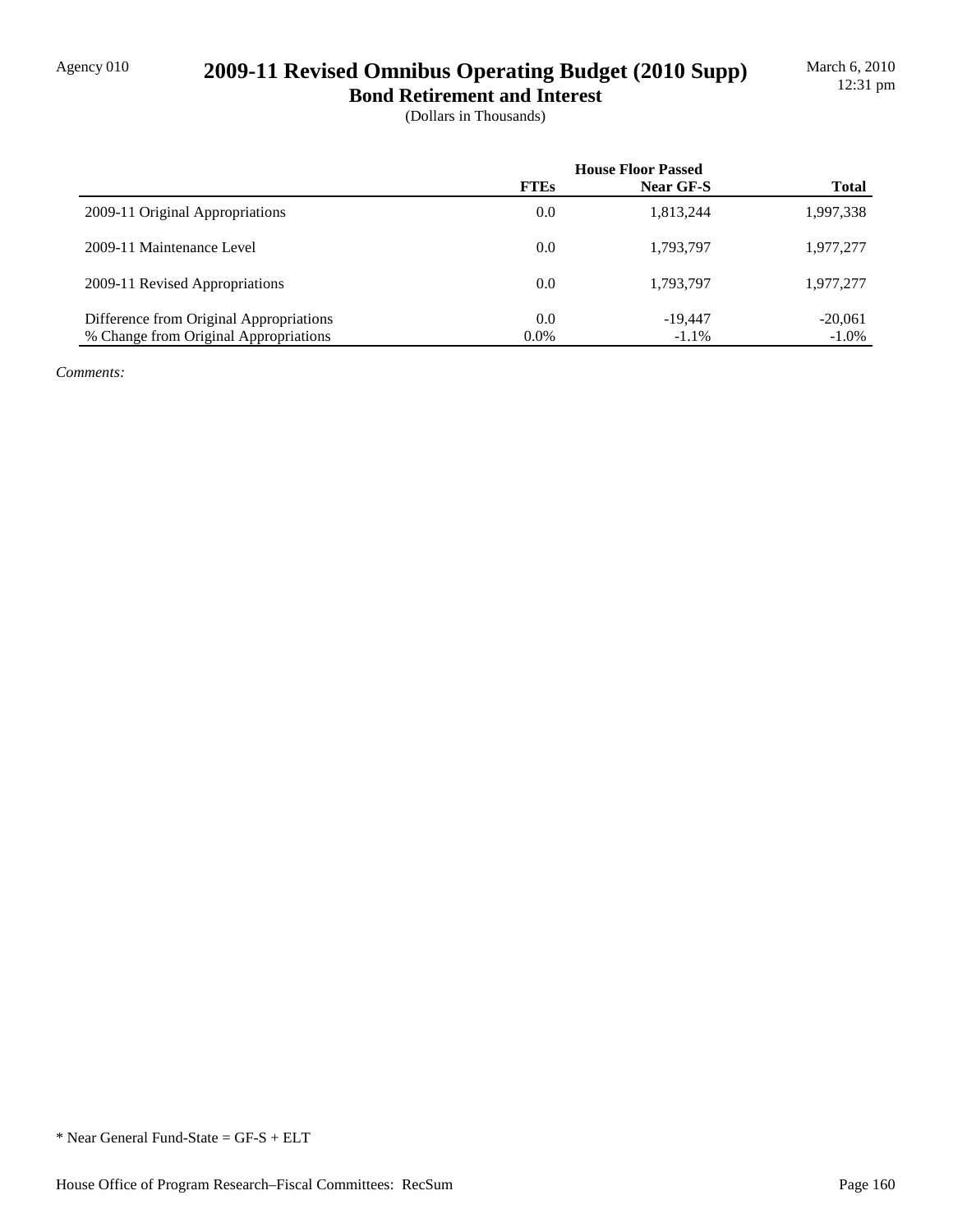## Agency 010 **2009-11 Revised Omnibus Operating Budget (2010 Supp)**

**Bond Retirement and Interest** (Dollars in Thousands)

|                                         | <b>House Floor Passed</b> |           |              |
|-----------------------------------------|---------------------------|-----------|--------------|
|                                         | <b>FTEs</b>               | Near GF-S | <b>Total</b> |
| 2009-11 Original Appropriations         | 0.0                       | 1,813,244 | 1,997,338    |
| 2009-11 Maintenance Level               | 0.0                       | 1,793,797 | 1,977,277    |
| 2009-11 Revised Appropriations          | 0.0                       | 1,793,797 | 1,977,277    |
| Difference from Original Appropriations | 0.0                       | $-19.447$ | $-20,061$    |
| % Change from Original Appropriations   | $0.0\%$                   | $-1.1\%$  | $-1.0\%$     |

*Comments:*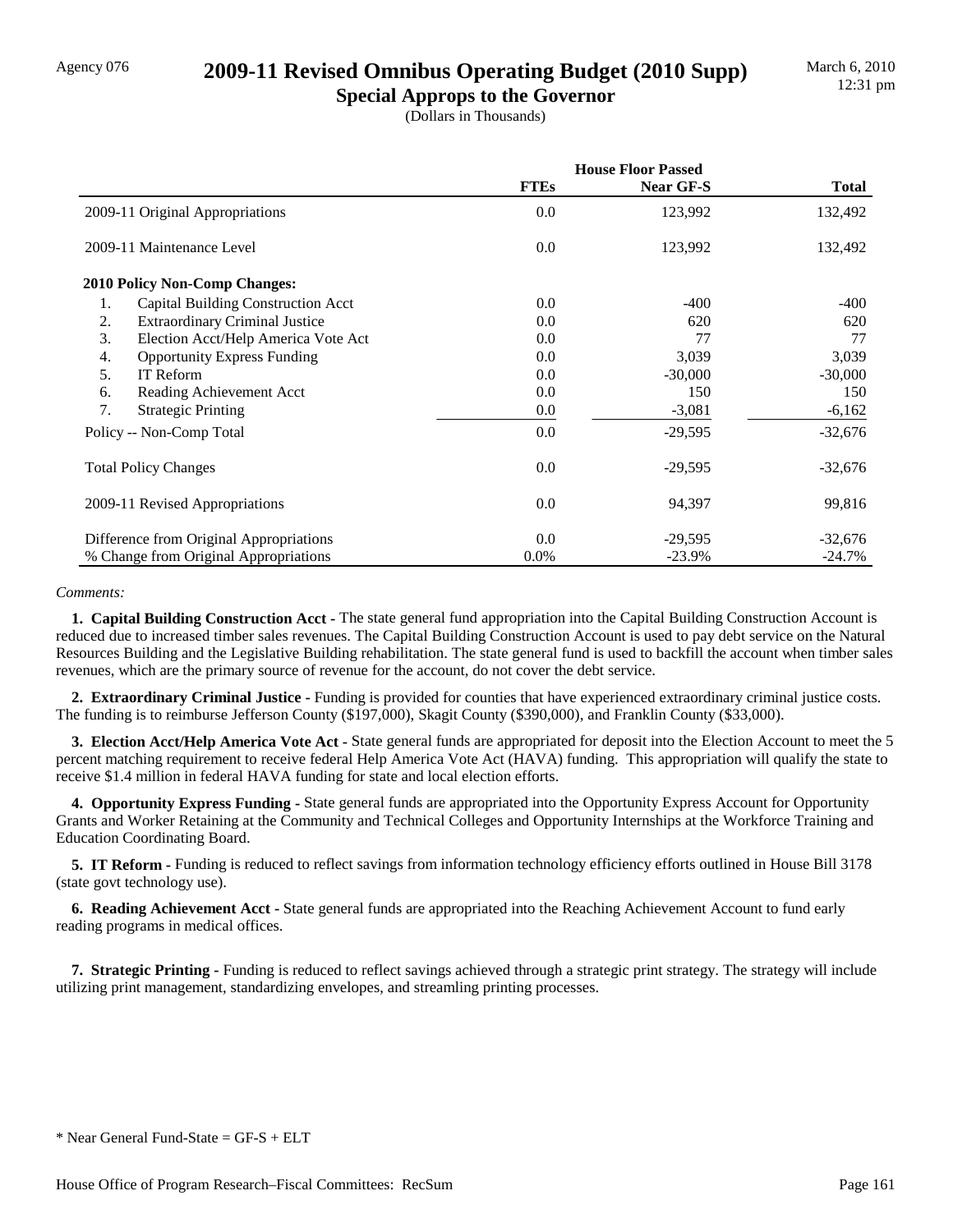### Agency 076 **2009-11 Revised Omnibus Operating Budget (2010 Supp)**

**Special Approps to the Governor** (Dollars in Thousands)

|                                                 | <b>House Floor Passed</b> |           |              |
|-------------------------------------------------|---------------------------|-----------|--------------|
|                                                 | <b>FTEs</b>               | Near GF-S | <b>Total</b> |
| 2009-11 Original Appropriations                 | 0.0                       | 123,992   | 132,492      |
| 2009-11 Maintenance Level                       | 0.0                       | 123,992   | 132,492      |
| <b>2010 Policy Non-Comp Changes:</b>            |                           |           |              |
| <b>Capital Building Construction Acct</b><br>1. | 0.0                       | -400      | $-400$       |
| 2.<br><b>Extraordinary Criminal Justice</b>     | 0.0                       | 620       | 620          |
| 3.<br>Election Acct/Help America Vote Act       | 0.0                       | 77        | 77           |
| <b>Opportunity Express Funding</b><br>4.        | 0.0                       | 3,039     | 3,039        |
| IT Reform<br>5.                                 | 0.0                       | $-30,000$ | $-30,000$    |
| 6.<br>Reading Achievement Acct                  | 0.0                       | 150       | 150          |
| <b>Strategic Printing</b><br>7.                 | 0.0                       | $-3,081$  | $-6,162$     |
| Policy -- Non-Comp Total                        | 0.0                       | $-29,595$ | $-32,676$    |
| <b>Total Policy Changes</b>                     | 0.0                       | $-29,595$ | $-32,676$    |
| 2009-11 Revised Appropriations                  | 0.0                       | 94,397    | 99,816       |
| Difference from Original Appropriations         | 0.0                       | $-29,595$ | $-32,676$    |
| % Change from Original Appropriations           | $0.0\%$                   | $-23.9%$  | $-24.7%$     |

#### *Comments:*

 **1. Capital Building Construction Acct -** The state general fund appropriation into the Capital Building Construction Account is reduced due to increased timber sales revenues. The Capital Building Construction Account is used to pay debt service on the Natural Resources Building and the Legislative Building rehabilitation. The state general fund is used to backfill the account when timber sales revenues, which are the primary source of revenue for the account, do not cover the debt service.

 **2. Extraordinary Criminal Justice -** Funding is provided for counties that have experienced extraordinary criminal justice costs. The funding is to reimburse Jefferson County (\$197,000), Skagit County (\$390,000), and Franklin County (\$33,000).

**3. Election Acct/Help America Vote Act -** State general funds are appropriated for deposit into the Election Account to meet the 5 percent matching requirement to receive federal Help America Vote Act (HAVA) funding. This appropriation will qualify the state to receive \$1.4 million in federal HAVA funding for state and local election efforts.

 **4. Opportunity Express Funding -** State general funds are appropriated into the Opportunity Express Account for Opportunity Grants and Worker Retaining at the Community and Technical Colleges and Opportunity Internships at the Workforce Training and Education Coordinating Board.

**5. IT Reform -** Funding is reduced to reflect savings from information technology efficiency efforts outlined in House Bill 3178 (state govt technology use).

 **6. Reading Achievement Acct -** State general funds are appropriated into the Reaching Achievement Account to fund early reading programs in medical offices.

 **7. Strategic Printing -** Funding is reduced to reflect savings achieved through a strategic print strategy. The strategy will include utilizing print management, standardizing envelopes, and streamling printing processes.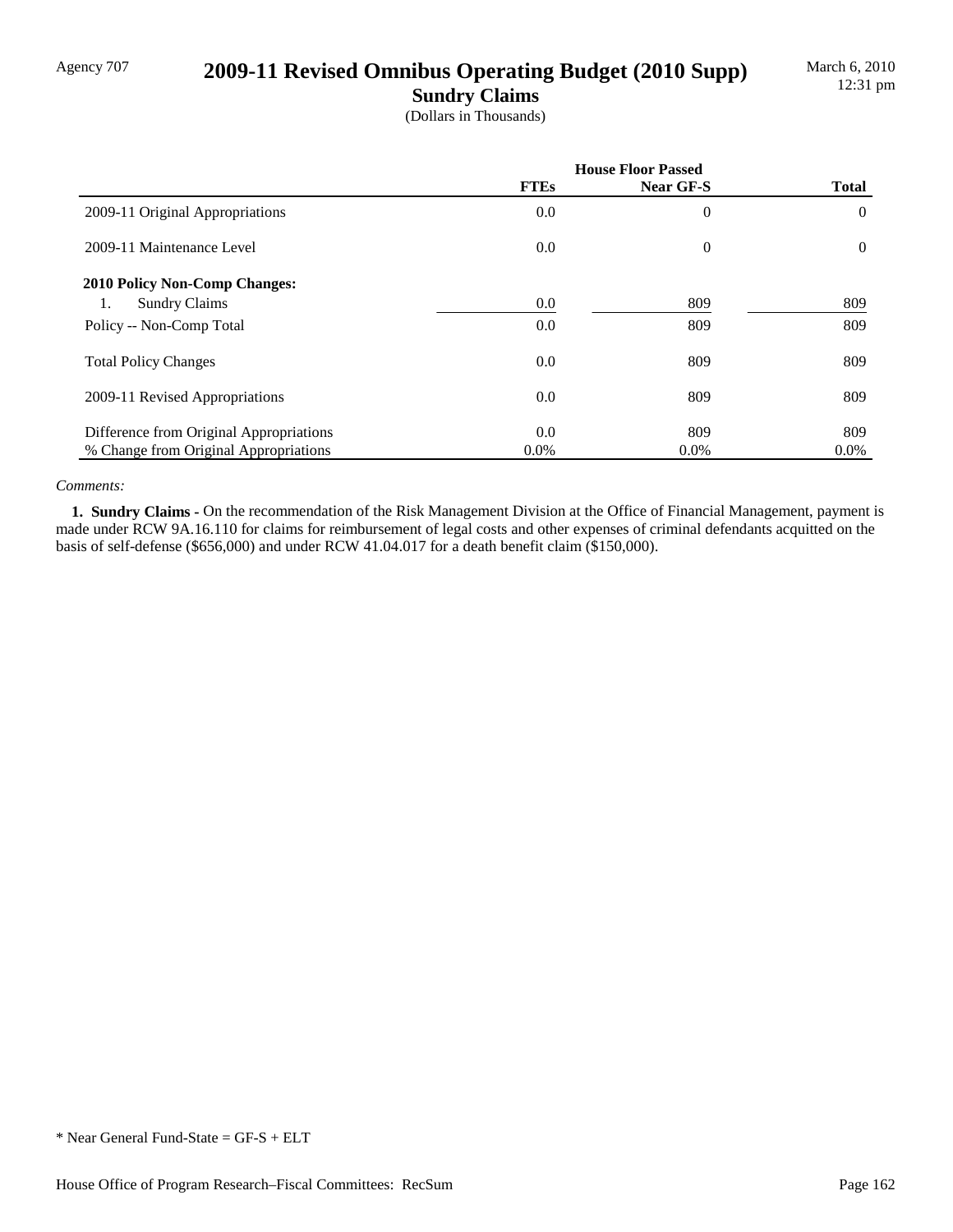# Agency 707 **2009-11 Revised Omnibus Operating Budget (2010 Supp)**

**Sundry Claims**

(Dollars in Thousands)

|                                         | <b>House Floor Passed</b> |                  |              |
|-----------------------------------------|---------------------------|------------------|--------------|
|                                         | <b>FTEs</b>               | Near GF-S        | <b>Total</b> |
| 2009-11 Original Appropriations         | 0.0                       | $\theta$         | $\theta$     |
| 2009-11 Maintenance Level               | 0.0                       | $\boldsymbol{0}$ | $\theta$     |
| <b>2010 Policy Non-Comp Changes:</b>    |                           |                  |              |
| <b>Sundry Claims</b><br>1.              | 0.0                       | 809              | 809          |
| Policy -- Non-Comp Total                | 0.0                       | 809              | 809          |
| <b>Total Policy Changes</b>             | 0.0                       | 809              | 809          |
| 2009-11 Revised Appropriations          | 0.0                       | 809              | 809          |
| Difference from Original Appropriations | 0.0                       | 809              | 809          |
| % Change from Original Appropriations   | $0.0\%$                   | $0.0\%$          | $0.0\%$      |

#### *Comments:*

**1. Sundry Claims -** On the recommendation of the Risk Management Division at the Office of Financial Management, payment is made under RCW 9A.16.110 for claims for reimbursement of legal costs and other expenses of criminal defendants acquitted on the basis of self-defense (\$656,000) and under RCW 41.04.017 for a death benefit claim (\$150,000).

<sup>\*</sup> Near General Fund-State = GF-S + ELT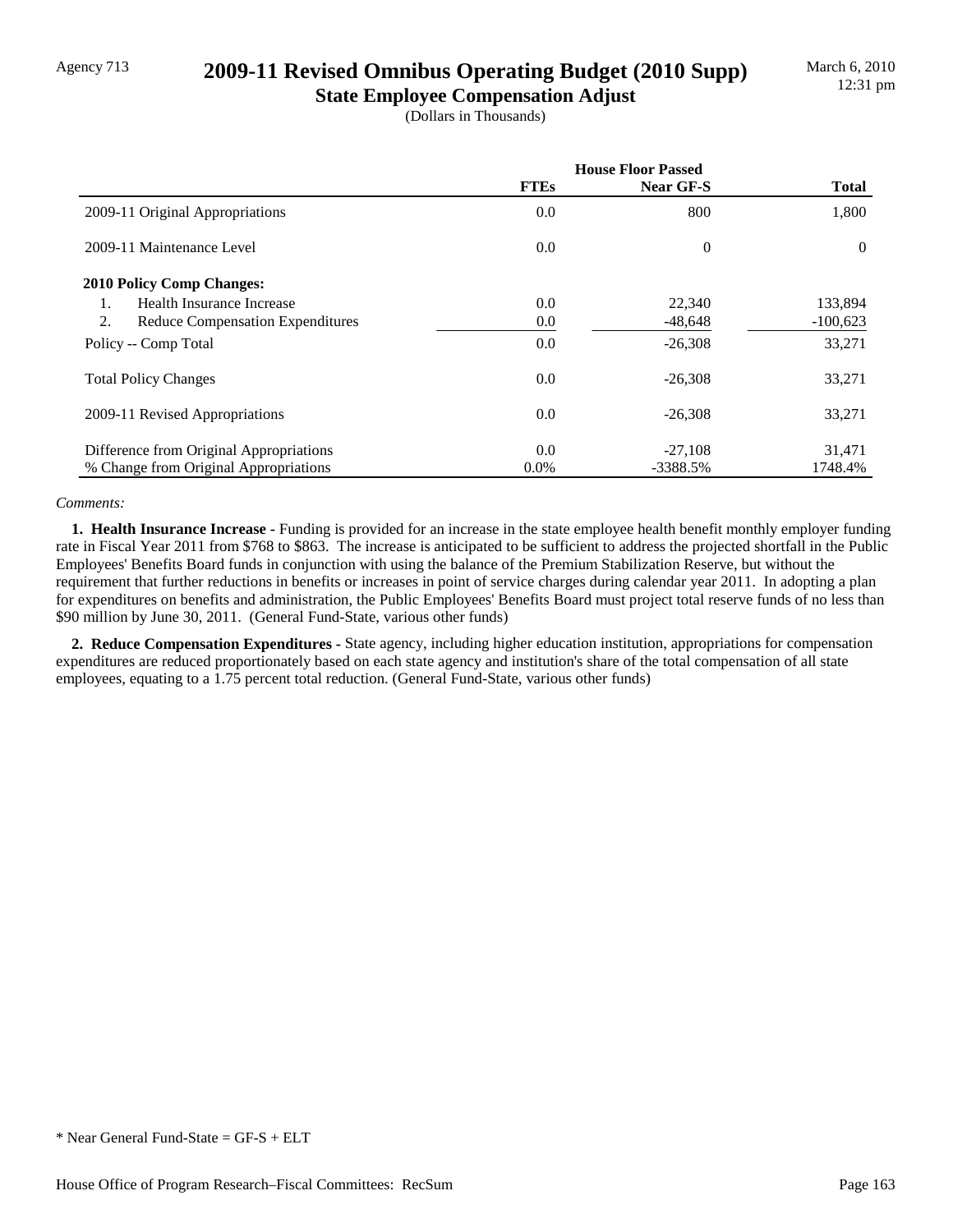## Agency 713 **2009-11 Revised Omnibus Operating Budget (2010 Supp)**

**State Employee Compensation Adjust** (Dollars in Thousands)

|                                               | <b>House Floor Passed</b> |                |              |
|-----------------------------------------------|---------------------------|----------------|--------------|
|                                               | <b>FTEs</b>               | Near GF-S      | <b>Total</b> |
| 2009-11 Original Appropriations               | 0.0                       | 800            | 1,800        |
| 2009-11 Maintenance Level                     | 0.0                       | $\overline{0}$ | $\Omega$     |
| <b>2010 Policy Comp Changes:</b>              |                           |                |              |
| Health Insurance Increase<br>1.               | 0.0                       | 22,340         | 133,894      |
| 2.<br><b>Reduce Compensation Expenditures</b> | 0.0                       | $-48,648$      | $-100,623$   |
| Policy -- Comp Total                          | 0.0                       | $-26,308$      | 33,271       |
| <b>Total Policy Changes</b>                   | 0.0                       | $-26,308$      | 33,271       |
| 2009-11 Revised Appropriations                | 0.0                       | $-26,308$      | 33,271       |
| Difference from Original Appropriations       | 0.0                       | $-27,108$      | 31,471       |
| % Change from Original Appropriations         | $0.0\%$                   | -3388.5%       | 1748.4%      |

#### *Comments:*

 **1. Health Insurance Increase -** Funding is provided for an increase in the state employee health benefit monthly employer funding rate in Fiscal Year 2011 from \$768 to \$863. The increase is anticipated to be sufficient to address the projected shortfall in the Public Employees' Benefits Board funds in conjunction with using the balance of the Premium Stabilization Reserve, but without the requirement that further reductions in benefits or increases in point of service charges during calendar year 2011. In adopting a plan for expenditures on benefits and administration, the Public Employees' Benefits Board must project total reserve funds of no less than \$90 million by June 30, 2011. (General Fund-State, various other funds)

 **2. Reduce Compensation Expenditures -** State agency, including higher education institution, appropriations for compensation expenditures are reduced proportionately based on each state agency and institution's share of the total compensation of all state employees, equating to a 1.75 percent total reduction. (General Fund-State, various other funds)